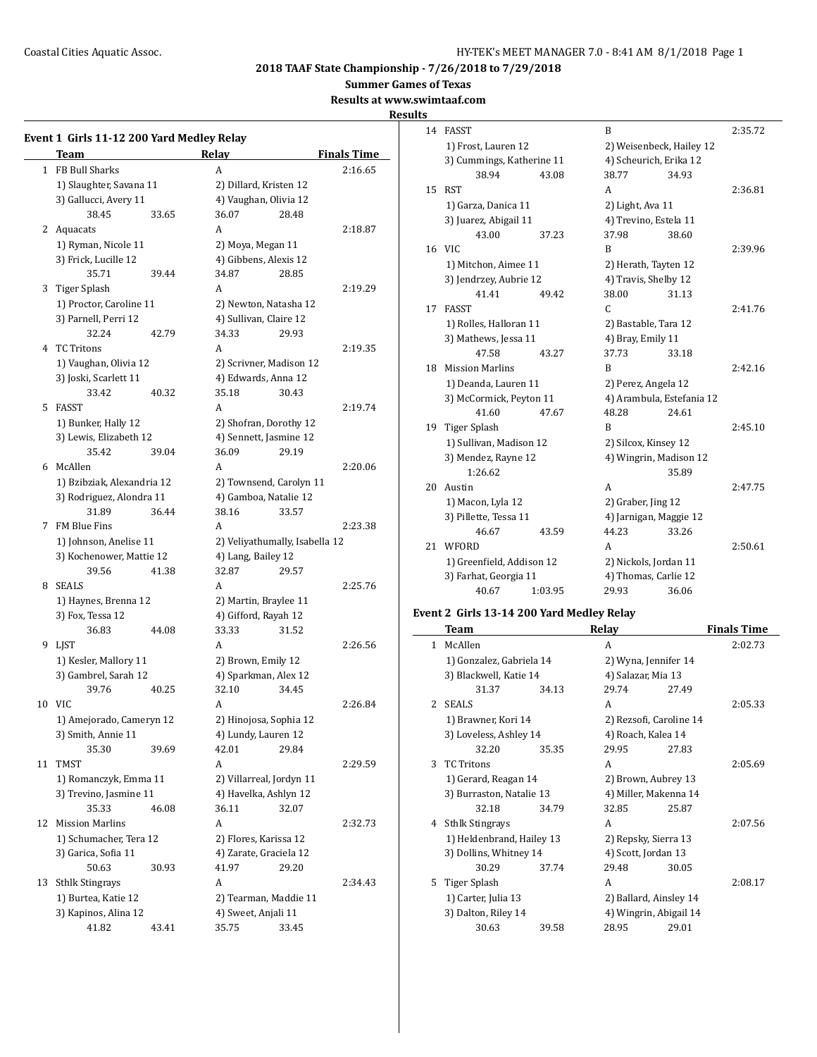**Summer Games of Texas**

**Results at www.swimtaaf.com**

#### **Results**

|              | Event 1 Girls 11-12 200 Yard Medley Relay |       |                                |                    |
|--------------|-------------------------------------------|-------|--------------------------------|--------------------|
|              | <b>Team</b>                               |       | Relay                          | <b>Finals Time</b> |
| $\mathbf{1}$ | FB Bull Sharks                            |       | A                              | 2:16.65            |
|              | 1) Slaughter, Savana 11                   |       | 2) Dillard, Kristen 12         |                    |
|              | 3) Gallucci, Avery 11                     |       | 4) Vaughan, Olivia 12          |                    |
|              | 38.45                                     | 33.65 | 36.07<br>28.48                 |                    |
|              | 2 Aquacats                                |       | A                              | 2:18.87            |
|              | 1) Ryman, Nicole 11                       |       | 2) Moya, Megan 11              |                    |
|              | 3) Frick, Lucille 12                      |       | 4) Gibbens, Alexis 12          |                    |
|              | 35.71                                     | 39.44 | 34.87<br>28.85                 |                    |
| 3            | Tiger Splash                              |       | A                              | 2:19.29            |
|              |                                           |       |                                |                    |
|              | 1) Proctor, Caroline 11                   |       | 2) Newton, Natasha 12          |                    |
|              | 3) Parnell, Perri 12                      |       | 4) Sullivan, Claire 12         |                    |
|              | 32.24                                     | 42.79 | 34.33<br>29.93                 |                    |
|              | 4 TC Tritons                              |       | A                              | 2:19.35            |
|              | 1) Vaughan, Olivia 12                     |       | 2) Scrivner, Madison 12        |                    |
|              | 3) Joski, Scarlett 11                     |       | 4) Edwards, Anna 12            |                    |
|              | 33.42                                     | 40.32 | 35.18<br>30.43                 |                    |
| 5            | FASST                                     |       | A                              | 2:19.74            |
|              | 1) Bunker, Hally 12                       |       | 2) Shofran, Dorothy 12         |                    |
|              | 3) Lewis, Elizabeth 12                    |       | 4) Sennett, Jasmine 12         |                    |
|              | 35.42                                     | 39.04 | 36.09<br>29.19                 |                    |
|              | 6 McAllen                                 |       | A                              | 2:20.06            |
|              | 1) Bzibziak, Alexandria 12                |       | 2) Townsend, Carolyn 11        |                    |
|              | 3) Rodriguez, Alondra 11                  |       | 4) Gamboa, Natalie 12          |                    |
|              | 31.89                                     | 36.44 | 38.16<br>33.57                 |                    |
| 7            | FM Blue Fins                              |       | A                              | 2:23.38            |
|              | 1) Johnson, Anelise 11                    |       | 2) Veliyathumally, Isabella 12 |                    |
|              | 3) Kochenower, Mattie 12                  |       | 4) Lang, Bailey 12             |                    |
|              | 39.56                                     | 41.38 | 32.87<br>29.57                 |                    |
|              | 8 SEALS                                   |       | A                              | 2:25.76            |
|              | 1) Haynes, Brenna 12                      |       | 2) Martin, Braylee 11          |                    |
|              | 3) Fox, Tessa 12                          |       | 4) Gifford, Rayah 12           |                    |
|              | 36.83                                     |       | 33.33<br>31.52                 |                    |
|              |                                           | 44.08 |                                |                    |
| 9            | LJST                                      |       | A                              | 2:26.56            |
|              | 1) Kesler, Mallory 11                     |       | 2) Brown, Emily 12             |                    |
|              | 3) Gambrel, Sarah 12                      |       | 4) Sparkman, Alex 12           |                    |
|              | 39.76                                     | 40.25 | 32.10<br>34.45                 |                    |
|              | 10 VIC                                    |       | A                              | 2:26.84            |
|              | 1) Amejorado, Cameryn 12                  |       | 2) Hinojosa, Sophia 12         |                    |
|              | 3) Smith, Annie 11                        |       | 4) Lundy, Lauren 12            |                    |
|              | 35.30                                     | 39.69 | 42.01<br>29.84                 |                    |
| 11           | TMST                                      |       | A                              | 2:29.59            |
|              | 1) Romanczyk, Emma 11                     |       | 2) Villarreal, Jordyn 11       |                    |
|              | 3) Trevino, Jasmine 11                    |       | 4) Havelka, Ashlyn 12          |                    |
|              | 35.33                                     | 46.08 | 36.11<br>32.07                 |                    |
| 12           | <b>Mission Marlins</b>                    |       | A                              | 2:32.73            |
|              | 1) Schumacher, Tera 12                    |       | 2) Flores, Karissa 12          |                    |
|              | 3) Garica, Sofia 11                       |       | 4) Zarate, Graciela 12         |                    |
|              | 50.63                                     | 30.93 | 41.97<br>29.20                 |                    |
| 13           | <b>Sthlk Stingrays</b>                    |       | А                              | 2:34.43            |
|              | 1) Burtea, Katie 12                       |       | 2) Tearman, Maddie 11          |                    |
|              | 3) Kapinos, Alina 12                      |       | 4) Sweet, Anjali 11            |                    |
|              | 41.82                                     | 43.41 | 35.75<br>33.45                 |                    |
|              |                                           |       |                                |                    |

| 14 | <b>FASST</b>              |       | B                         |       | 2:35.72 |
|----|---------------------------|-------|---------------------------|-------|---------|
|    | 1) Frost, Lauren 12       |       | 2) Weisenbeck, Hailey 12  |       |         |
|    | 3) Cummings, Katherine 11 |       | 4) Scheurich, Erika 12    |       |         |
|    | 38.94                     | 43.08 | 38.77                     | 34.93 |         |
| 15 | <b>RST</b>                |       | A                         |       | 2:36.81 |
|    | 1) Garza, Danica 11       |       | 2) Light, Ava 11          |       |         |
|    | 3) Juarez, Abigail 11     |       | 4) Trevino, Estela 11     |       |         |
|    | 43.00                     | 37.23 | 37.98                     | 38.60 |         |
| 16 | VIC.                      |       | B                         |       | 2:39.96 |
|    | 1) Mitchon, Aimee 11      |       | 2) Herath, Tayten 12      |       |         |
|    | 3) Jendrzey, Aubrie 12    |       | 4) Travis, Shelby 12      |       |         |
|    | 41.41                     | 49.42 | 38.00                     | 31.13 |         |
| 17 | <b>FASST</b>              |       | C.                        |       | 2:41.76 |
|    | 1) Rolles, Halloran 11    |       | 2) Bastable, Tara 12      |       |         |
|    | 3) Mathews, Jessa 11      |       | 4) Bray, Emily 11         |       |         |
|    | 47.58                     | 43.27 | 37.73                     | 33.18 |         |
| 18 | <b>Mission Marlins</b>    |       | B                         |       | 2:42.16 |
|    | 1) Deanda, Lauren 11      |       | 2) Perez, Angela 12       |       |         |
|    | 3) McCormick, Peyton 11   |       | 4) Arambula, Estefania 12 |       |         |
|    | 41.60<br>47.67            |       | 48.28                     | 24.61 |         |
| 19 | Tiger Splash              |       | B                         |       | 2:45.10 |
|    | 1) Sullivan, Madison 12   |       | 2) Silcox, Kinsey 12      |       |         |
|    | 3) Mendez, Rayne 12       |       | 4) Wingrin, Madison 12    |       |         |
|    | 1:26.62                   |       |                           | 35.89 |         |
| 20 | Austin                    |       | A                         |       | 2:47.75 |
|    | 1) Macon, Lyla 12         |       | 2) Graber, Jing 12        |       |         |
|    | 3) Pillette, Tessa 11     |       | 4) Jarnigan, Maggie 12    |       |         |
|    | 46.67                     | 43.59 | 44.23                     | 33.26 |         |
| 21 | <b>WFORD</b>              |       | A                         |       | 2:50.61 |
|    | 1) Greenfield, Addison 12 |       | 2) Nickols, Jordan 11     |       |         |
|    | 3) Farhat, Georgia 11     |       | 4) Thomas, Carlie 12      |       |         |
|    | 40.67<br>1:03.95          |       | 29.93                     | 36.06 |         |
|    |                           |       |                           |       |         |

# **Event 2 Girls 13-14 200 Yard Medley Relay**

|                | Team                      |       | Relay                   |       | <b>Finals Time</b> |
|----------------|---------------------------|-------|-------------------------|-------|--------------------|
| 1              | McAllen                   |       | A                       |       | 2:02.73            |
|                | 1) Gonzalez, Gabriela 14  |       | 2) Wyna, Jennifer 14    |       |                    |
|                | 3) Blackwell, Katie 14    |       | 4) Salazar, Mia 13      |       |                    |
|                | 31.37                     | 34.13 | 29.74                   | 27.49 |                    |
| $\overline{2}$ | <b>SEALS</b>              |       | A                       |       | 2:05.33            |
|                | 1) Brawner, Kori 14       |       | 2) Rezsofi, Caroline 14 |       |                    |
|                | 3) Loveless, Ashley 14    |       | 4) Roach, Kalea 14      |       |                    |
|                | 32.20                     | 35.35 | 29.95                   | 27.83 |                    |
| 3              | <b>TC</b> Tritons         |       | A                       |       | 2:05.69            |
|                | 1) Gerard, Reagan 14      |       | 2) Brown, Aubrey 13     |       |                    |
|                | 3) Burraston, Natalie 13  |       | 4) Miller, Makenna 14   |       |                    |
|                | 32.18                     | 34.79 | 32.85                   | 25.87 |                    |
|                | 4 Sthlk Stingrays         |       | A                       |       | 2:07.56            |
|                | 1) Heldenbrand, Hailey 13 |       | 2) Repsky, Sierra 13    |       |                    |
|                | 3) Dollins, Whitney 14    |       | 4) Scott, Jordan 13     |       |                    |
|                | 30.29                     | 37.74 | 29.48                   | 30.05 |                    |
| 5.             | Tiger Splash              |       | A                       |       | 2:08.17            |
|                | 1) Carter, Julia 13       |       | 2) Ballard, Ainsley 14  |       |                    |
|                | 3) Dalton, Riley 14       |       | 4) Wingrin, Abigail 14  |       |                    |
|                | 30.63                     | 39.58 | 28.95                   | 29.01 |                    |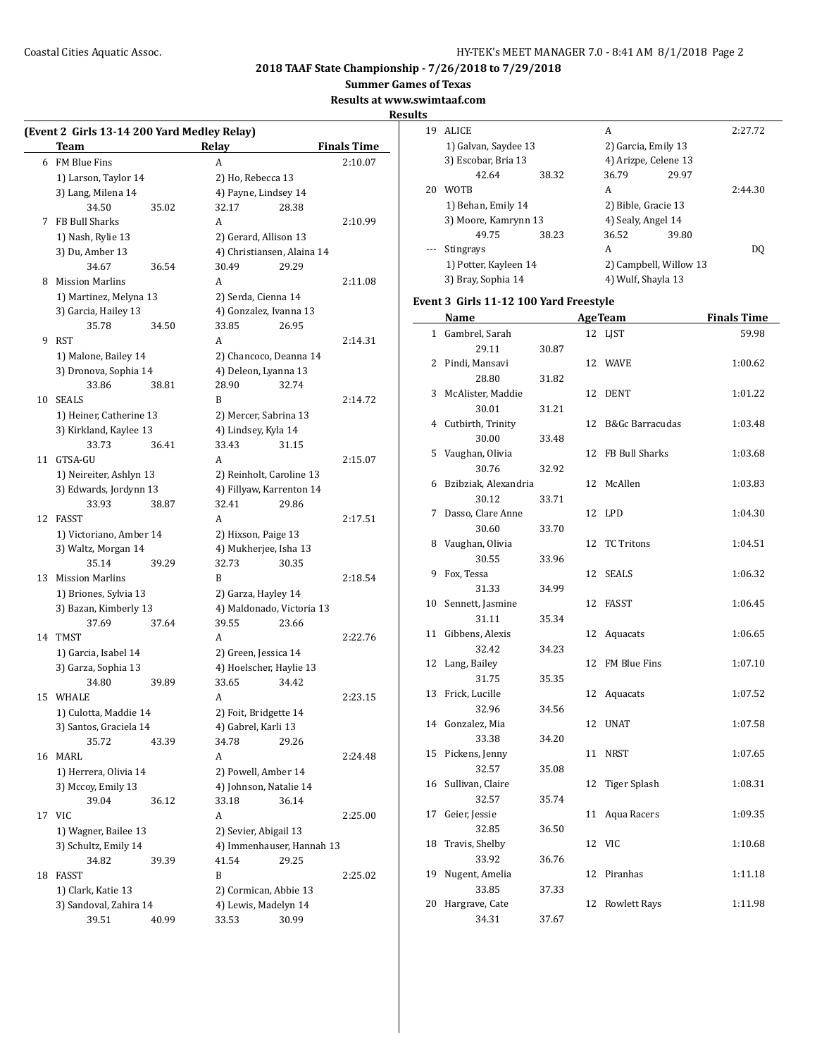$\overline{a}$ 

# **2018 TAAF State Championship - 7/26/2018 to 7/29/2018**

**Summer Games of Texas**

**Results at www.swimtaaf.com**

|    | Team                        |       | Relay                 |                            | <b>Finals Time</b> |
|----|-----------------------------|-------|-----------------------|----------------------------|--------------------|
|    | 6 FM Blue Fins              |       | A                     |                            | 2:10.07            |
|    | 1) Larson, Taylor 14        |       | 2) Ho, Rebecca 13     |                            |                    |
|    | 3) Lang, Milena 14          |       | 4) Payne, Lindsey 14  |                            |                    |
|    | 34.50                       | 35.02 | 32.17                 | 28.38                      |                    |
| 7  | FB Bull Sharks              |       | A                     |                            | 2:10.99            |
|    | 1) Nash, Rylie 13           |       | 2) Gerard, Allison 13 |                            |                    |
|    | 3) Du, Amber 13             |       |                       | 4) Christiansen, Alaina 14 |                    |
|    | 34.67                       | 36.54 | 30.49                 | 29.29                      |                    |
| 8  | <b>Mission Marlins</b>      |       | A                     |                            | 2:11.08            |
|    | 1) Martinez, Melyna 13      |       | 2) Serda, Cienna 14   |                            |                    |
|    | 3) Garcia, Hailey 13        |       |                       | 4) Gonzalez, Ivanna 13     |                    |
|    | 35.78                       | 34.50 | 33.85                 | 26.95                      |                    |
| 9  | RST                         |       | A                     |                            | 2:14.31            |
|    | 1) Malone, Bailey 14        |       |                       | 2) Chancoco, Deanna 14     |                    |
|    | 3) Dronova, Sophia 14       |       | 4) Deleon, Lyanna 13  |                            |                    |
|    | 33.86                       | 38.81 | 28.90                 | 32.74                      |                    |
| 10 | <b>SEALS</b>                |       | B                     |                            | 2:14.72            |
|    | 1) Heiner, Catherine 13     |       |                       | 2) Mercer, Sabrina 13      |                    |
|    | 3) Kirkland, Kaylee 13      |       | 4) Lindsey, Kyla 14   |                            |                    |
|    | 33.73                       | 36.41 | 33.43                 | 31.15                      |                    |
| 11 | GTSA-GU                     |       | A                     |                            | 2:15.07            |
|    | 1) Neireiter, Ashlyn 13     |       |                       | 2) Reinholt, Caroline 13   |                    |
|    | 3) Edwards, Jordynn 13      |       |                       | 4) Fillyaw, Karrenton 14   |                    |
|    | 33.93                       | 38.87 | 32.41                 | 29.86                      |                    |
| 12 | FASST                       |       | A                     |                            | 2:17.51            |
|    | 1) Victoriano, Amber 14     |       | 2) Hixson, Paige 13   |                            |                    |
|    | 3) Waltz, Morgan 14         |       |                       | 4) Mukherjee, Isha 13      |                    |
|    | 35.14                       | 39.29 | 32.73                 | 30.35                      |                    |
| 13 | <b>Mission Marlins</b>      |       | B                     |                            | 2:18.54            |
|    | 1) Briones, Sylvia 13       |       | 2) Garza, Hayley 14   |                            |                    |
|    | 3) Bazan, Kimberly 13       |       |                       | 4) Maldonado, Victoria 13  |                    |
|    | 37.69                       | 37.64 | 39.55                 | 23.66                      |                    |
|    | 14 TMST                     |       | A                     |                            | 2:22.76            |
|    | 1) Garcia, Isabel 14        |       | 2) Green, Jessica 14  |                            |                    |
|    | 3) Garza, Sophia 13         |       |                       | 4) Hoelscher, Haylie 13    |                    |
|    | 34.80                       | 39.89 | 33.65                 | 34.42                      |                    |
| 15 | WHALE                       |       | A                     |                            | 2:23.15            |
|    | 1) Culotta, Maddie 14       |       | 2) Foit, Bridgette 14 |                            |                    |
|    | 3) Santos, Graciela 14      |       | 4) Gabrel, Karli 13   |                            |                    |
|    | 35.72                       | 43.39 | 34.78                 | 29.26                      |                    |
| 16 | MARL                        |       | A                     |                            | 2:24.48            |
|    | 1) Herrera, Olivia 14       |       | 2) Powell, Amber 14   |                            |                    |
|    |                             |       |                       | 4) Johnson, Natalie 14     |                    |
|    | 3) Mccoy, Emily 13<br>39.04 |       | 33.18                 |                            |                    |
|    |                             | 36.12 |                       | 36.14                      |                    |
| 17 | <b>VIC</b>                  |       | A                     |                            | 2:25.00            |
|    | 1) Wagner, Bailee 13        |       | 2) Sevier, Abigail 13 |                            |                    |
|    | 3) Schultz, Emily 14        |       |                       | 4) Immenhauser, Hannah 13  |                    |
|    | 34.82                       | 39.39 | 41.54                 | 29.25                      |                    |
| 18 | FASST                       |       | B                     |                            | 2:25.02            |
|    | 1) Clark, Katie 13          |       |                       | 2) Cormican, Abbie 13      |                    |
|    | 3) Sandoval, Zahira 14      |       |                       | 4) Lewis, Madelyn 14       |                    |
|    | 39.51                       | 40.99 | 33.53                 | 30.99                      |                    |

| <u>iits</u>  |                                        |       |    |                        |                    |
|--------------|----------------------------------------|-------|----|------------------------|--------------------|
| 19           | ALICE                                  |       |    | A                      | 2:27.72            |
|              | 1) Galvan, Saydee 13                   |       |    | 2) Garcia, Emily 13    |                    |
|              | 3) Escobar, Bria 13                    |       |    | 4) Arizpe, Celene 13   |                    |
|              | 42.64                                  | 38.32 |    | 36.79<br>29.97         |                    |
|              | 20 WOTB                                |       |    | A                      | 2:44.30            |
|              | 1) Behan, Emily 14                     |       |    | 2) Bible, Gracie 13    |                    |
|              | 3) Moore, Kamrynn 13                   |       |    | 4) Sealy, Angel 14     |                    |
|              | 49.75                                  | 38.23 |    | 36.52<br>39.80         |                    |
|              |                                        |       |    | A                      |                    |
|              | Stingrays                              |       |    |                        | DQ                 |
|              | 1) Potter, Kayleen 14                  |       |    | 2) Campbell, Willow 13 |                    |
|              | 3) Bray, Sophia 14                     |       |    | 4) Wulf, Shayla 13     |                    |
|              | Event 3 Girls 11-12 100 Yard Freestyle |       |    |                        |                    |
|              | Name                                   |       |    | <b>AgeTeam</b>         | <b>Finals Time</b> |
| $\mathbf{1}$ | Gambrel, Sarah                         |       |    | 12 LJST                | 59.98              |
|              | 29.11                                  | 30.87 |    |                        |                    |
| 2            | Pindi, Mansavi                         |       |    | 12 WAVE                | 1:00.62            |
|              | 28.80                                  | 31.82 |    |                        |                    |
|              |                                        |       |    |                        | 1:01.22            |
| 3            | McAlister, Maddie                      |       |    | 12 DENT                |                    |
|              | 30.01                                  | 31.21 |    |                        |                    |
|              | 4 Cutbirth, Trinity                    |       |    | 12 B&Gc Barracudas     | 1:03.48            |
|              | 30.00                                  | 33.48 |    |                        |                    |
|              | 5 Vaughan, Olivia                      |       | 12 | FB Bull Sharks         | 1:03.68            |
|              | 30.76                                  | 32.92 |    |                        |                    |
| 6            | Bzibziak, Alexandria                   |       | 12 | McAllen                | 1:03.83            |
|              | 30.12                                  | 33.71 |    |                        |                    |
| 7            | Dasso, Clare Anne                      |       |    | 12 LPD                 | 1:04.30            |
|              | 30.60                                  | 33.70 |    |                        |                    |
| 8            | Vaughan, Olivia                        |       | 12 | <b>TC Tritons</b>      | 1:04.51            |
|              | 30.55                                  | 33.96 |    |                        |                    |
| 9            | Fox, Tessa                             |       | 12 | <b>SEALS</b>           | 1:06.32            |
|              | 31.33                                  | 34.99 |    |                        |                    |
| 10           | Sennett, Jasmine                       |       |    | 12 FASST               | 1:06.45            |
|              | 31.11                                  | 35.34 |    |                        |                    |
| 11           | Gibbens, Alexis                        |       |    | 12 Aquacats            | 1:06.65            |
|              | 32.42                                  | 34.23 |    |                        |                    |
| 12           | Lang, Bailey                           |       |    | 12 FM Blue Fins        | 1:07.10            |
|              |                                        |       |    |                        |                    |
|              | 31.75                                  | 35.35 |    |                        |                    |
| 13           | Frick, Lucille                         |       | 12 | Aquacats               | 1:07.52            |
|              | 32.96                                  | 34.56 |    |                        |                    |
|              | 14 Gonzalez, Mia                       |       |    | 12 UNAT                | 1:07.58            |
|              | 33.38                                  | 34.20 |    |                        |                    |
| 15           | Pickens, Jenny                         |       | 11 | <b>NRST</b>            | 1:07.65            |
|              | 32.57                                  | 35.08 |    |                        |                    |
| 16           | Sullivan, Claire                       |       | 12 | <b>Tiger Splash</b>    | 1:08.31            |
|              | 32.57                                  | 35.74 |    |                        |                    |
| 17           | Geier, Jessie                          |       | 11 | Aqua Racers            | 1:09.35            |
|              | 32.85                                  | 36.50 |    |                        |                    |
| 18           | Travis, Shelby                         |       |    | 12 VIC                 | 1:10.68            |
|              | 33.92                                  | 36.76 |    |                        |                    |
| 19           | Nugent, Amelia                         |       | 12 | Piranhas               | 1:11.18            |
|              | 33.85                                  | 37.33 |    |                        |                    |
| 20           | Hargrave, Cate                         |       | 12 | <b>Rowlett Rays</b>    | 1:11.98            |
|              | 34.31                                  |       |    |                        |                    |
|              |                                        | 37.67 |    |                        |                    |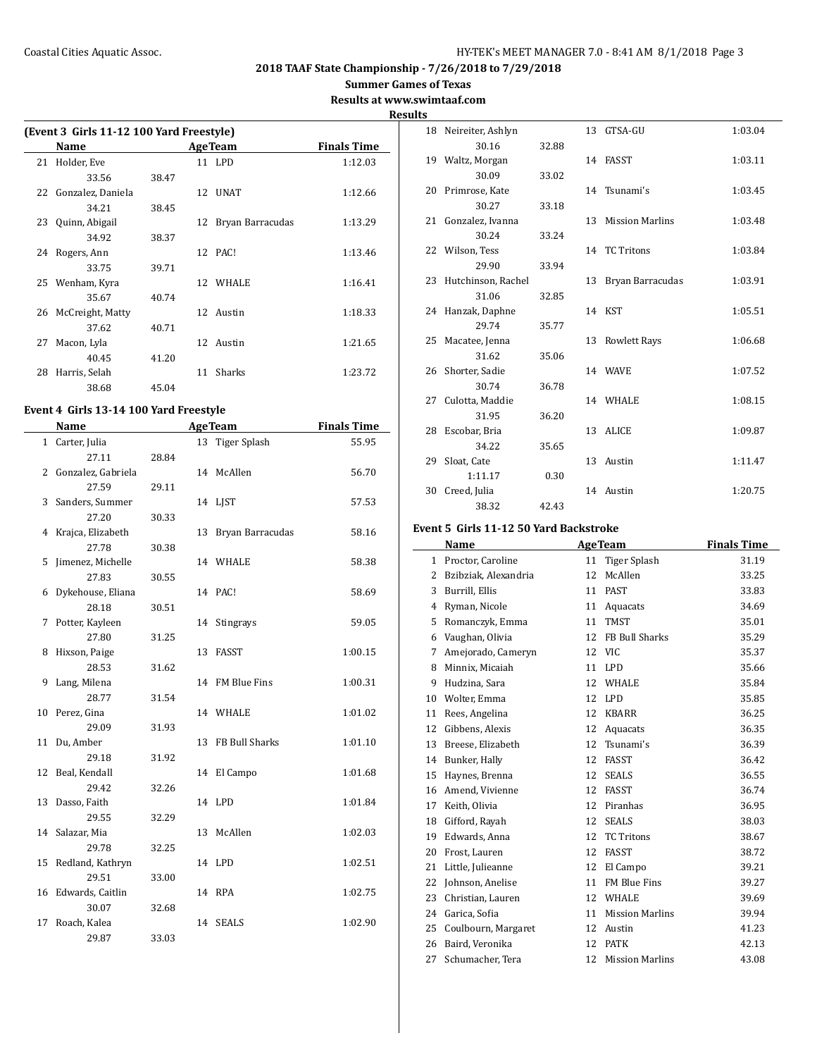**Summer Games of Texas**

**Results at www.swimtaaf.com**

**Results**

 $\overline{a}$ 

|    | (Event 3 Girls 11-12 100 Yard Freestyle) |       |    |                  |                    |  |  |  |
|----|------------------------------------------|-------|----|------------------|--------------------|--|--|--|
|    | Name                                     |       |    | <b>Age Team</b>  | <b>Finals Time</b> |  |  |  |
| 21 | Holder, Eve                              |       |    | 11 LPD           | 1:12.03            |  |  |  |
|    | 33.56                                    | 38.47 |    |                  |                    |  |  |  |
|    | 22 Gonzalez, Daniela                     |       |    | 12 UNAT          | 1:12.66            |  |  |  |
|    | 34.21                                    | 38.45 |    |                  |                    |  |  |  |
| 23 | Quinn, Abigail                           |       | 12 | Bryan Barracudas | 1:13.29            |  |  |  |
|    | 34.92                                    | 38.37 |    |                  |                    |  |  |  |
|    | 24 Rogers, Ann                           |       |    | 12 PAC!          | 1:13.46            |  |  |  |
|    | 33.75                                    | 39.71 |    |                  |                    |  |  |  |
|    | 25 Wenham, Kyra                          |       |    | 12 WHALE         | 1:16.41            |  |  |  |
|    | 35.67                                    | 40.74 |    |                  |                    |  |  |  |
|    | 26 McCreight, Matty                      |       |    | 12 Austin        | 1:18.33            |  |  |  |
|    | 37.62                                    | 40.71 |    |                  |                    |  |  |  |
| 27 | Macon, Lyla                              |       |    | 12 Austin        | 1:21.65            |  |  |  |
|    | 40.45                                    | 41.20 |    |                  |                    |  |  |  |
| 28 | Harris, Selah                            |       | 11 | <b>Sharks</b>    | 1:23.72            |  |  |  |
|    | 38.68                                    | 45.04 |    |                  |                    |  |  |  |

## **Event 4 Girls 13-14 100 Yard Freestyle**

|              | Name                | <b>AgeTeam</b> |    | <b>Finals Time</b> |         |
|--------------|---------------------|----------------|----|--------------------|---------|
| $\mathbf{1}$ | Carter, Julia       |                |    | 13 Tiger Splash    | 55.95   |
|              | 27.11               | 28.84          |    |                    |         |
| 2            | Gonzalez, Gabriela  |                |    | 14 McAllen         | 56.70   |
|              | 27.59               | 29.11          |    |                    |         |
| 3            | Sanders, Summer     |                |    | 14 LIST            | 57.53   |
|              | 27.20               | 30.33          |    |                    |         |
| 4            | Krajca, Elizabeth   |                | 13 | Bryan Barracudas   | 58.16   |
|              | 27.78               | 30.38          |    |                    |         |
| 5            | Jimenez, Michelle   |                |    | 14 WHALE           | 58.38   |
|              | 27.83               | 30.55          |    |                    |         |
| 6            | Dykehouse, Eliana   |                |    | 14 PAC!            | 58.69   |
|              | 28.18               | 30.51          |    |                    |         |
| 7            | Potter, Kayleen     |                |    | 14 Stingrays       | 59.05   |
|              | 27.80               | 31.25          |    |                    |         |
| 8            | Hixson, Paige       |                |    | 13 FASST           | 1:00.15 |
|              | 28.53               | 31.62          |    |                    |         |
| 9            | Lang, Milena        |                |    | 14 FM Blue Fins    | 1:00.31 |
|              | 28.77               | 31.54          |    |                    |         |
|              | 10 Perez, Gina      |                |    | 14 WHALE           | 1:01.02 |
|              | 29.09               | 31.93          |    |                    |         |
| 11           | Du, Amber           |                |    | 13 FB Bull Sharks  | 1:01.10 |
|              | 29.18               | 31.92          |    |                    |         |
|              | 12 Beal, Kendall    |                |    | 14 El Campo        | 1:01.68 |
|              | 29.42               | 32.26          |    |                    |         |
| 13           | Dasso, Faith        |                |    | 14 LPD             | 1:01.84 |
|              | 29.55               | 32.29          |    |                    |         |
|              | 14 Salazar, Mia     |                |    | 13 McAllen         | 1:02.03 |
|              | 29.78               | 32.25          |    |                    |         |
| 15           | Redland, Kathryn    |                |    | 14 LPD             | 1:02.51 |
|              | 29.51               | 33.00          |    |                    |         |
|              | 16 Edwards, Caitlin |                |    | 14 RPA             | 1:02.75 |
|              | 30.07               | 32.68          |    |                    |         |
| 17           | Roach, Kalea        |                |    | 14 SEALS           | 1:02.90 |
|              | 29.87               | 33.03          |    |                    |         |

|    | 18 Neireiter, Ashlyn      |       | 13 GTSA-GU          | 1:03.04 |
|----|---------------------------|-------|---------------------|---------|
|    | 30.16                     | 32.88 |                     |         |
|    | 19 Waltz, Morgan          |       | 14 FASST            | 1:03.11 |
|    | 30.09                     | 33.02 |                     |         |
|    | 20 Primrose, Kate         |       | 14 Tsunami's        | 1:03.45 |
|    | 30.27                     | 33.18 |                     |         |
|    | 21 Gonzalez, Ivanna       |       | 13 Mission Marlins  | 1:03.48 |
|    | 30.24                     | 33.24 |                     |         |
|    | 22 Wilson, Tess           |       | 14 TC Tritons       | 1:03.84 |
|    | 29.90                     | 33.94 |                     |         |
|    | 23 Hutchinson, Rachel     |       | 13 Bryan Barracudas | 1:03.91 |
|    | 31.06                     | 32.85 |                     |         |
|    | 24 Hanzak, Daphne         |       | 14 KST              | 1:05.51 |
|    | 29.74                     | 35.77 |                     |         |
|    | 25 Macatee, Jenna         |       | 13 Rowlett Rays     | 1:06.68 |
|    | 31.62                     | 35.06 |                     |         |
|    | 26 Shorter, Sadie         |       | 14 WAVE             | 1:07.52 |
|    | 30.74                     | 36.78 |                     |         |
| 27 | Culotta, Maddie           |       | 14 WHALE            | 1:08.15 |
|    | 31.95                     | 36.20 | 13 ALICE            |         |
|    | 28 Escobar, Bria<br>34.22 | 35.65 |                     | 1:09.87 |
| 29 | Sloat, Cate               |       | 13 Austin           | 1:11.47 |
|    | 1:11.17                   | 0.30  |                     |         |
| 30 | Creed, Julia              |       | 14 Austin           | 1:20.75 |
|    | 38.32                     | 42.43 |                     |         |
|    |                           |       |                     |         |

# **Event 5 Girls 11-12 50 Yard Backstroke**

|              | Name                 | <b>AgeTeam</b> |                        | <b>Finals Time</b> |
|--------------|----------------------|----------------|------------------------|--------------------|
| $\mathbf{1}$ | Proctor, Caroline    | 11             | <b>Tiger Splash</b>    | 31.19              |
| 2            | Bzibziak, Alexandria | 12             | McAllen                | 33.25              |
| 3            | Burrill, Ellis       | 11             | <b>PAST</b>            | 33.83              |
| 4            | Ryman, Nicole        | 11             | Aquacats               | 34.69              |
| 5            | Romanczyk, Emma      | 11             | <b>TMST</b>            | 35.01              |
| 6            | Vaughan, Olivia      | 12             | FB Bull Sharks         | 35.29              |
| 7            | Amejorado, Cameryn   | 12             | VIC.                   | 35.37              |
| 8            | Minnix, Micaiah      | 11             | LPD                    | 35.66              |
| 9            | Hudzina, Sara        | 12             | WHALE                  | 35.84              |
| 10           | Wolter, Emma         | 12             | <b>LPD</b>             | 35.85              |
| 11           | Rees, Angelina       | 12             | <b>KBARR</b>           | 36.25              |
| 12           | Gibbens, Alexis      | 12             | Aquacats               | 36.35              |
| 13           | Breese, Elizabeth    | 12             | Tsunami's              | 36.39              |
| 14           | Bunker, Hally        | 12             | FASST                  | 36.42              |
| 15           | Haynes, Brenna       | 12             | <b>SEALS</b>           | 36.55              |
| 16           | Amend, Vivienne      | 12             | <b>FASST</b>           | 36.74              |
| 17           | Keith, Olivia        | 12             | Piranhas               | 36.95              |
| 18           | Gifford, Rayah       | 12             | <b>SEALS</b>           | 38.03              |
| 19           | Edwards, Anna        | 12             | <b>TC Tritons</b>      | 38.67              |
| 20           | Frost, Lauren        | 12             | <b>FASST</b>           | 38.72              |
| 21           | Little, Julieanne    | 12             | El Campo               | 39.21              |
| 22           | Johnson, Anelise     | 11             | <b>FM Blue Fins</b>    | 39.27              |
| 23           | Christian, Lauren    | 12             | WHALE                  | 39.69              |
| 24           | Garica, Sofia        | 11             | <b>Mission Marlins</b> | 39.94              |
| 25           | Coulbourn, Margaret  | 12             | Austin                 | 41.23              |
| 26           | Baird, Veronika      | 12             | <b>PATK</b>            | 42.13              |
| 27           | Schumacher, Tera     | 12             | <b>Mission Marlins</b> | 43.08              |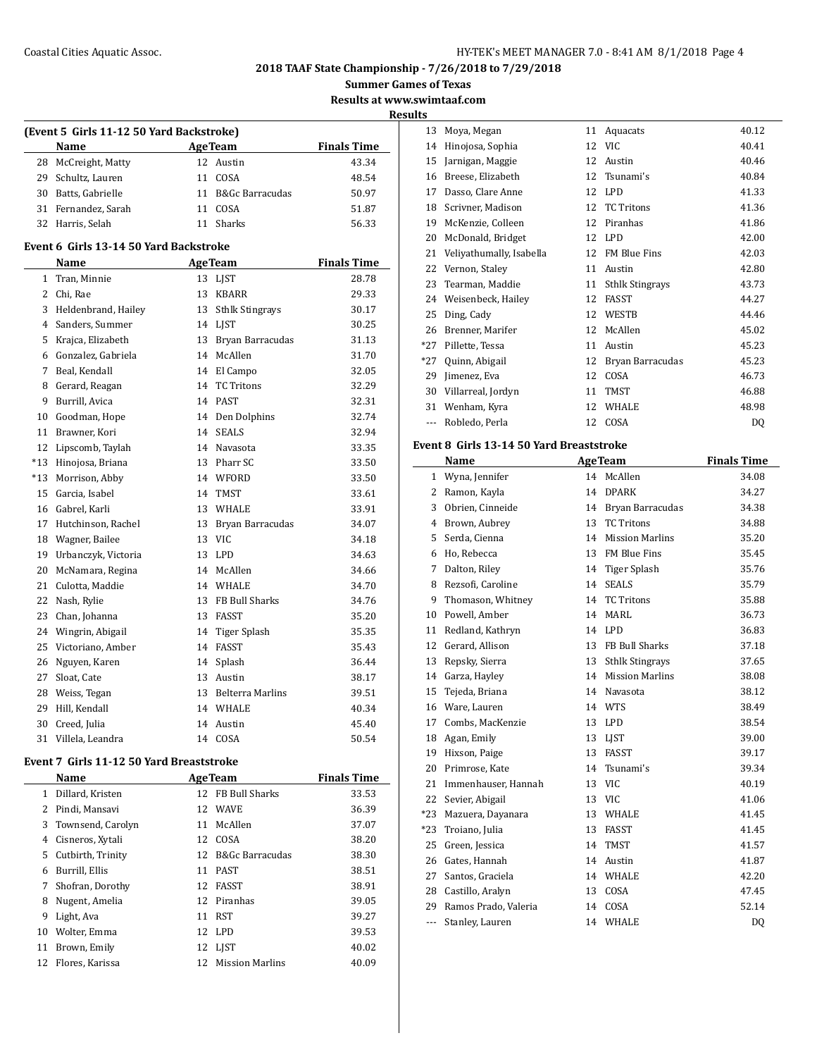#### Coastal Cities Aquatic Assoc. HY-TEK's MEET MANAGER 7.0 - 8:41 AM 8/1/2018 Page 4

**2018 TAAF State Championship - 7/26/2018 to 7/29/2018**

**Summer Games of Texas**

**Results at www.swimtaaf.com**

**Results**

| (Event 5 Girls 11-12 50 Yard Backstroke) |                     |                    |                    |       |  |  |  |
|------------------------------------------|---------------------|--------------------|--------------------|-------|--|--|--|
|                                          | <b>Name</b>         | <b>Finals Time</b> |                    |       |  |  |  |
|                                          | 28 McCreight, Matty |                    | 12 Austin          | 43.34 |  |  |  |
|                                          | 29 Schultz, Lauren  | 11                 | COSA               | 48.54 |  |  |  |
| 30                                       | Batts, Gabrielle    |                    | 11 B&Gc Barracudas | 50.97 |  |  |  |
|                                          | 31 Fernandez, Sarah | 11                 | COSA               | 51.87 |  |  |  |
|                                          | 32 Harris, Selah    |                    | Sharks             | 56.33 |  |  |  |

#### **Event 6 Girls 13-14 50 Yard Backstroke**

 $\overline{a}$ 

|       | <b>Name</b>         |    | <b>AgeTeam</b>          | <b>Finals Time</b> |
|-------|---------------------|----|-------------------------|--------------------|
| 1     | Tran, Minnie        | 13 | LJST                    | 28.78              |
| 2     | Chi, Rae            | 13 | <b>KBARR</b>            | 29.33              |
| 3     | Heldenbrand, Hailey | 13 | <b>Sthlk Stingrays</b>  | 30.17              |
| 4     | Sanders, Summer     | 14 | <b>LIST</b>             | 30.25              |
| 5     | Krajca, Elizabeth   | 13 | Bryan Barracudas        | 31.13              |
| 6     | Gonzalez, Gabriela  | 14 | McAllen                 | 31.70              |
| 7     | Beal. Kendall       | 14 | El Campo                | 32.05              |
| 8     | Gerard, Reagan      | 14 | <b>TC Tritons</b>       | 32.29              |
| 9     | Burrill, Avica      | 14 | <b>PAST</b>             | 32.31              |
| 10    | Goodman, Hope       | 14 | Den Dolphins            | 32.74              |
| 11    | Brawner. Kori       | 14 | <b>SEALS</b>            | 32.94              |
| 12    | Lipscomb, Taylah    | 14 | Navasota                | 33.35              |
| $*13$ | Hinojosa, Briana    | 13 | Pharr SC                | 33.50              |
| $*13$ | Morrison, Abby      | 14 | WFORD                   | 33.50              |
| 15    | Garcia, Isabel      | 14 | <b>TMST</b>             | 33.61              |
| 16    | Gabrel, Karli       | 13 | <b>WHALE</b>            | 33.91              |
| 17    | Hutchinson, Rachel  | 13 | Bryan Barracudas        | 34.07              |
| 18    | Wagner, Bailee      | 13 | <b>VIC</b>              | 34.18              |
| 19    | Urbanczyk, Victoria | 13 | <b>LPD</b>              | 34.63              |
| 20    | McNamara, Regina    | 14 | McAllen                 | 34.66              |
| 21    | Culotta, Maddie     | 14 | WHALE                   | 34.70              |
| 22    | Nash, Rylie         | 13 | <b>FB Bull Sharks</b>   | 34.76              |
| 23    | Chan, Johanna       | 13 | FASST                   | 35.20              |
| 24    | Wingrin, Abigail    | 14 | Tiger Splash            | 35.35              |
| 25    | Victoriano, Amber   | 14 | <b>FASST</b>            | 35.43              |
| 26    | Nguyen, Karen       | 14 | Splash                  | 36.44              |
| 27    | Sloat, Cate         | 13 | Austin                  | 38.17              |
| 28    | Weiss, Tegan        | 13 | <b>Belterra Marlins</b> | 39.51              |
| 29    | Hill, Kendall       | 14 | <b>WHALE</b>            | 40.34              |
| 30    | Creed, Julia        | 14 | Austin                  | 45.40              |
| 31    | Villela, Leandra    | 14 | COSA                    | 50.54              |

# **Event 7 Girls 11-12 50 Yard Breaststroke**

|    | Name              | <b>AgeTeam</b> | <b>Finals Time</b>         |       |
|----|-------------------|----------------|----------------------------|-------|
| 1  | Dillard, Kristen  |                | 12 FB Bull Sharks          | 33.53 |
| 2  | Pindi, Mansavi    |                | 12 WAVE                    | 36.39 |
| 3  | Townsend, Carolyn | 11             | McAllen                    | 37.07 |
| 4  | Cisneros, Xytali  | 12             | COSA                       | 38.20 |
| 5  | Cutbirth, Trinity | 12             | <b>B&amp;Gc Barracudas</b> | 38.30 |
| 6  | Burrill, Ellis    | 11             | <b>PAST</b>                | 38.51 |
| 7  | Shofran, Dorothy  | 12.            | FASST                      | 38.91 |
| 8  | Nugent, Amelia    |                | 12 Piranhas                | 39.05 |
| 9  | Light, Ava        | 11             | RST                        | 39.27 |
| 10 | Wolter, Emma      |                | 12 LPD                     | 39.53 |
| 11 | Brown, Emily      |                | 12 LIST                    | 40.02 |
| 12 | Flores, Karissa   | 12             | <b>Mission Marlins</b>     | 40.09 |

| 13      | Moya, Megan              | 11 | Aquacats               | 40.12 |
|---------|--------------------------|----|------------------------|-------|
| 14      | Hinojosa, Sophia         | 12 | <b>VIC</b>             | 40.41 |
| 15      | Jarnigan, Maggie         | 12 | Austin                 | 40.46 |
| 16      | Breese, Elizabeth        | 12 | Tsunami's              | 40.84 |
| 17      | Dasso, Clare Anne        | 12 | <b>LPD</b>             | 41.33 |
| 18      | Scrivner, Madison        | 12 | <b>TC Tritons</b>      | 41.36 |
| 19      | McKenzie, Colleen        | 12 | Piranhas               | 41.86 |
| 20      | McDonald, Bridget        | 12 | <b>LPD</b>             | 42.00 |
| 21      | Veliyathumally, Isabella | 12 | FM Blue Fins           | 42.03 |
| 22      | Vernon, Staley           | 11 | Austin                 | 42.80 |
| 23      | Tearman, Maddie          | 11 | <b>Sthlk Stingrays</b> | 43.73 |
| 24      | Weisenbeck, Hailey       | 12 | FASST                  | 44.27 |
| 25      | Ding, Cady               | 12 | WESTB                  | 44.46 |
| 26      | Brenner, Marifer         | 12 | McAllen                | 45.02 |
| $*27$   | Pillette, Tessa          | 11 | Austin                 | 45.23 |
| $*27$   | Quinn, Abigail           | 12 | Bryan Barracudas       | 45.23 |
| 29      | Jimenez, Eva             | 12 | COSA                   | 46.73 |
| 30      | Villarreal, Jordyn       | 11 | TMST                   | 46.88 |
| 31      | Wenham, Kyra             | 12 | WHALE                  | 48.98 |
| $- - -$ | Robledo, Perla           | 12 | COSA                   | DQ    |

# **Event 8 Girls 13-14 50 Yard Breaststroke**

|                | Name                 |    | <b>AgeTeam</b>         | <b>Finals Time</b> |
|----------------|----------------------|----|------------------------|--------------------|
| 1              | Wyna, Jennifer       | 14 | McAllen                | 34.08              |
| $\overline{2}$ | Ramon, Kayla         | 14 | <b>DPARK</b>           | 34.27              |
| 3              | Obrien, Cinneide     | 14 | Bryan Barracudas       | 34.38              |
| 4              | Brown, Aubrey        | 13 | <b>TC Tritons</b>      | 34.88              |
| 5              | Serda, Cienna        | 14 | <b>Mission Marlins</b> | 35.20              |
| 6              | Ho, Rebecca          | 13 | FM Blue Fins           | 35.45              |
| 7              | Dalton, Riley        | 14 | Tiger Splash           | 35.76              |
| 8              | Rezsofi, Caroline    | 14 | <b>SEALS</b>           | 35.79              |
| 9              | Thomason, Whitney    | 14 | <b>TC Tritons</b>      | 35.88              |
| 10             | Powell, Amber        | 14 | <b>MARL</b>            | 36.73              |
| 11             | Redland, Kathryn     | 14 | LPD                    | 36.83              |
| 12             | Gerard, Allison      | 13 | FB Bull Sharks         | 37.18              |
| 13             | Repsky, Sierra       | 13 | <b>Sthlk Stingrays</b> | 37.65              |
| 14             | Garza, Hayley        | 14 | <b>Mission Marlins</b> | 38.08              |
| 15             | Tejeda, Briana       | 14 | Navasota               | 38.12              |
| 16             | Ware, Lauren         | 14 | WTS                    | 38.49              |
| 17             | Combs, MacKenzie     | 13 | <b>LPD</b>             | 38.54              |
| 18             | Agan, Emily          | 13 | <b>LIST</b>            | 39.00              |
| 19             | Hixson, Paige        | 13 | <b>FASST</b>           | 39.17              |
| 20             | Primrose, Kate       | 14 | Tsunami's              | 39.34              |
| 21             | Immenhauser, Hannah  | 13 | <b>VIC</b>             | 40.19              |
| 22             | Sevier, Abigail      | 13 | <b>VIC</b>             | 41.06              |
| $*23$          | Mazuera, Dayanara    | 13 | WHALE                  | 41.45              |
| $*23$          | Troiano, Julia       | 13 | <b>FASST</b>           | 41.45              |
| 25             | Green, Jessica       | 14 | <b>TMST</b>            | 41.57              |
| 26             | Gates, Hannah        | 14 | Austin                 | 41.87              |
| 27             | Santos, Graciela     | 14 | <b>WHALE</b>           | 42.20              |
| 28             | Castillo, Aralyn     | 13 | COSA                   | 47.45              |
| 29             | Ramos Prado, Valeria | 14 | COSA                   | 52.14              |
| $- - -$        | Stanley, Lauren      | 14 | WHALE                  | D <sub>0</sub>     |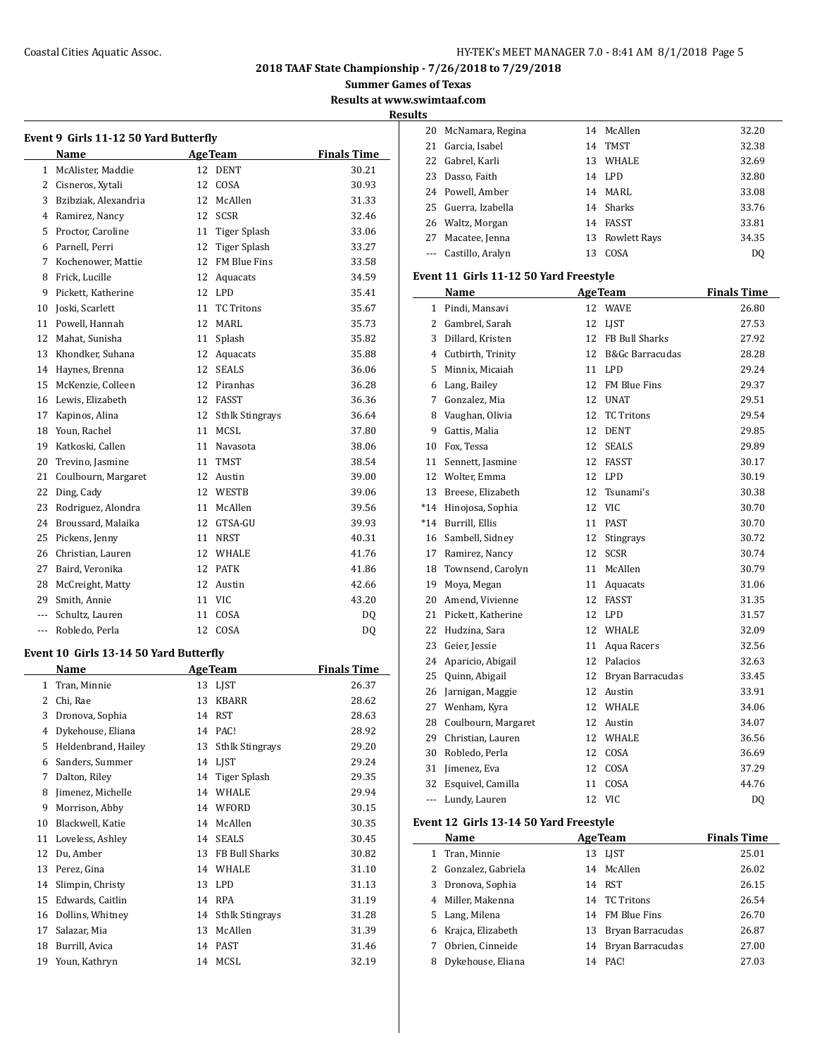#### Coastal Cities Aquatic Assoc. HY-TEK's MEET MANAGER 7.0 - 8:41 AM 8/1/2018 Page 5

**2018 TAAF State Championship - 7/26/2018 to 7/29/2018**

**Summer Games of Texas**

**Results at www.swimtaaf.com**

**Results**

|                | Name                 | <b>Finals Time</b> |                        |                |
|----------------|----------------------|--------------------|------------------------|----------------|
| $\mathbf{1}$   | McAlister, Maddie    |                    | 12 DENT                | 30.21          |
| 2              | Cisneros, Xytali     | 12                 | COSA                   | 30.93          |
| 3              | Bzibziak. Alexandria | 12                 | McAllen                | 31.33          |
| 4              | Ramirez, Nancy       | 12                 | <b>SCSR</b>            | 32.46          |
| 5              | Proctor, Caroline    |                    | 11 Tiger Splash        | 33.06          |
| 6              | Parnell, Perri       | 12                 | Tiger Splash           | 33.27          |
| 7              | Kochenower, Mattie   | 12                 | <b>FM Blue Fins</b>    | 33.58          |
| 8              | Frick, Lucille       | 12                 | Aquacats               | 34.59          |
| 9              | Pickett, Katherine   | 12                 | <b>LPD</b>             | 35.41          |
| 10             | Joski, Scarlett      | 11                 | <b>TC Tritons</b>      | 35.67          |
| 11             | Powell, Hannah       | 12                 | MARI.                  | 35.73          |
| 12             | Mahat, Sunisha       | 11                 | Splash                 | 35.82          |
| 13             | Khondker, Suhana     | 12                 | Aquacats               | 35.88          |
| 14             | Haynes, Brenna       | 12                 | <b>SEALS</b>           | 36.06          |
| 15             | McKenzie, Colleen    | 12                 | Piranhas               | 36.28          |
| 16             | Lewis. Elizabeth     | 12                 | <b>FASST</b>           | 36.36          |
| 17             | Kapinos, Alina       | 12                 | <b>Sthlk Stingrays</b> | 36.64          |
| 18             | Youn, Rachel         | 11                 | MCSL                   | 37.80          |
| 19             | Katkoski, Callen     | 11                 | Navasota               | 38.06          |
| 20             | Trevino, Jasmine     | 11                 | <b>TMST</b>            | 38.54          |
| 21             | Coulbourn, Margaret  | 12                 | Austin                 | 39.00          |
| 22             | Ding, Cady           | 12                 | WESTB                  | 39.06          |
| 23             | Rodriguez, Alondra   | 11                 | McAllen                | 39.56          |
| 24             | Broussard, Malaika   | 12                 | GTSA-GU                | 39.93          |
| 25             | Pickens, Jenny       | 11                 | <b>NRST</b>            | 40.31          |
| 26             | Christian, Lauren    | 12                 | WHALE                  | 41.76          |
| 27             | Baird, Veronika      | 12                 | <b>PATK</b>            | 41.86          |
| 28             | McCreight, Matty     | 12                 | Austin                 | 42.66          |
| 29             | Smith, Annie         | 11                 | <b>VIC</b>             | 43.20          |
| $\overline{a}$ | Schultz, Lauren      | 11                 | COSA                   | DO.            |
| $\overline{a}$ | Robledo, Perla       | 12                 | COSA                   | D <sub>0</sub> |

# **Event 10 Girls 13-14 50 Yard Butterfly**

|    | Name                |    | <b>AgeTeam</b>         | <b>Finals Time</b> |  |  |
|----|---------------------|----|------------------------|--------------------|--|--|
| 1  | Tran, Minnie        | 13 | <b>LIST</b>            | 26.37              |  |  |
| 2  | Chi, Rae            | 13 | <b>KBARR</b>           | 28.62              |  |  |
| 3  | Dronova, Sophia     | 14 | <b>RST</b>             | 28.63              |  |  |
| 4  | Dykehouse, Eliana   | 14 | PAC!                   | 28.92              |  |  |
| 5  | Heldenbrand, Hailey | 13 | <b>Sthlk Stingrays</b> | 29.20              |  |  |
| 6  | Sanders, Summer     | 14 | LIST                   | 29.24              |  |  |
| 7  | Dalton, Riley       | 14 | Tiger Splash           | 29.35              |  |  |
| 8  | Jimenez, Michelle   | 14 | WHALE                  | 29.94              |  |  |
| 9  | Morrison, Abby      | 14 | WFORD                  | 30.15              |  |  |
| 10 | Blackwell, Katie    | 14 | McAllen                | 30.35              |  |  |
| 11 | Loveless, Ashley    | 14 | <b>SEALS</b>           | 30.45              |  |  |
| 12 | Du, Amber           | 13 | FB Bull Sharks         | 30.82              |  |  |
| 13 | Perez, Gina         | 14 | WHALE                  | 31.10              |  |  |
| 14 | Slimpin, Christy    | 13 | <b>LPD</b>             | 31.13              |  |  |
| 15 | Edwards, Caitlin    | 14 | <b>RPA</b>             | 31.19              |  |  |
| 16 | Dollins, Whitney    | 14 | <b>Sthlk Stingrays</b> | 31.28              |  |  |
| 17 | Salazar, Mia        | 13 | McAllen                | 31.39              |  |  |
| 18 | Burrill, Avica      | 14 | <b>PAST</b>            | 31.46              |  |  |
| 19 | Youn, Kathryn       | 14 | MCSL                   | 32.19              |  |  |

| 20 | McNamara, Regina | 14 | McAllen             | 32.20          |
|----|------------------|----|---------------------|----------------|
| 21 | Garcia, Isabel   | 14 | <b>TMST</b>         | 32.38          |
| 22 | Gabrel, Karli    | 13 | <b>WHALE</b>        | 32.69          |
| 23 | Dasso, Faith     | 14 | LPD.                | 32.80          |
| 24 | Powell, Amber    |    | 14 MARL             | 33.08          |
| 25 | Guerra, Izabella | 14 | Sharks              | 33.76          |
| 26 | Waltz, Morgan    | 14 | <b>FASST</b>        | 33.81          |
| 27 | Macatee, Jenna   | 13 | <b>Rowlett Rays</b> | 34.35          |
|    | Castillo, Aralyn | 13 | COSA                | D <sub>0</sub> |
|    |                  |    |                     |                |

## **Event 11 Girls 11-12 50 Yard Freestyle**

|                       | <b>AgeTeam</b><br>Name |    |                     | <b>Finals Time</b> |
|-----------------------|------------------------|----|---------------------|--------------------|
| 1                     | Pindi, Mansavi         | 12 | <b>WAVE</b>         | 26.80              |
| $\mathbf{2}^{\prime}$ | Gambrel, Sarah         | 12 | <b>LIST</b>         | 27.53              |
| 3                     | Dillard, Kristen       | 12 | FB Bull Sharks      | 27.92              |
| 4                     | Cutbirth, Trinity      | 12 | B&Gc Barracudas     | 28.28              |
| 5                     | Minnix, Micaiah        | 11 | <b>LPD</b>          | 29.24              |
| 6                     | Lang, Bailey           | 12 | <b>FM Blue Fins</b> | 29.37              |
| 7                     | Gonzalez, Mia          | 12 | <b>UNAT</b>         | 29.51              |
| 8                     | Vaughan, Olivia        | 12 | <b>TC</b> Tritons   | 29.54              |
| 9                     | Gattis, Malia          | 12 | <b>DENT</b>         | 29.85              |
| 10                    | Fox. Tessa             | 12 | <b>SEALS</b>        | 29.89              |
| 11                    | Sennett, Jasmine       | 12 | <b>FASST</b>        | 30.17              |
| 12                    | Wolter, Emma           | 12 | <b>LPD</b>          | 30.19              |
| 13                    | Breese, Elizabeth      | 12 | Tsunami's           | 30.38              |
| $*14$                 | Hinojosa, Sophia       | 12 | <b>VIC</b>          | 30.70              |
| $*14$                 | Burrill, Ellis         | 11 | <b>PAST</b>         | 30.70              |
| 16                    | Sambell, Sidney        | 12 | Stingrays           | 30.72              |
| 17                    | Ramirez, Nancy         | 12 | <b>SCSR</b>         | 30.74              |
| 18                    | Townsend, Carolyn      | 11 | McAllen             | 30.79              |
| 19                    | Moya, Megan            | 11 | Aquacats            | 31.06              |
| 20                    | Amend, Vivienne        | 12 | <b>FASST</b>        | 31.35              |
| 21                    | Pickett, Katherine     | 12 | <b>LPD</b>          | 31.57              |
| 22                    | Hudzina, Sara          |    | 12 WHALE            | 32.09              |
| 23                    | Geier, Jessie          | 11 | Aqua Racers         | 32.56              |
| 24                    | Aparicio, Abigail      |    | 12 Palacios         | 32.63              |
| 25                    | Quinn, Abigail         | 12 | Bryan Barracudas    | 33.45              |
| 26                    | Jarnigan, Maggie       | 12 | Austin              | 33.91              |
| 27                    | Wenham, Kyra           | 12 | <b>WHALE</b>        | 34.06              |
| 28                    | Coulbourn, Margaret    | 12 | Austin              | 34.07              |
| 29                    | Christian, Lauren      | 12 | WHALE               | 36.56              |
| 30                    | Robledo, Perla         | 12 | COSA                | 36.69              |
| 31                    | Jimenez, Eva           | 12 | COSA                | 37.29              |
| 32                    | Esquivel, Camilla      | 11 | COSA                | 44.76              |
| $\overline{a}$        | Lundy, Lauren          | 12 | <b>VIC</b>          | DQ                 |

## **Event 12 Girls 13-14 50 Yard Freestyle**

|    | Name                 |    | <b>AgeTeam</b>      | <b>Finals Time</b> |
|----|----------------------|----|---------------------|--------------------|
| 1  | Tran, Minnie         |    | 13 LJST             | 25.01              |
|    | 2 Gonzalez, Gabriela |    | 14 McAllen          | 26.02              |
|    | 3 Dronova, Sophia    | 14 | RST                 | 26.15              |
|    | 4 Miller, Makenna    |    | 14 TC Tritons       | 26.54              |
|    | 5 Lang, Milena       |    | 14 FM Blue Fins     | 26.70              |
| 6. | Krajca, Elizabeth    |    | 13 Bryan Barracudas | 26.87              |
| 7  | Obrien, Cinneide     |    | 14 Bryan Barracudas | 27.00              |
|    | Dykehouse, Eliana    | 14 | PAC!                | 27.03              |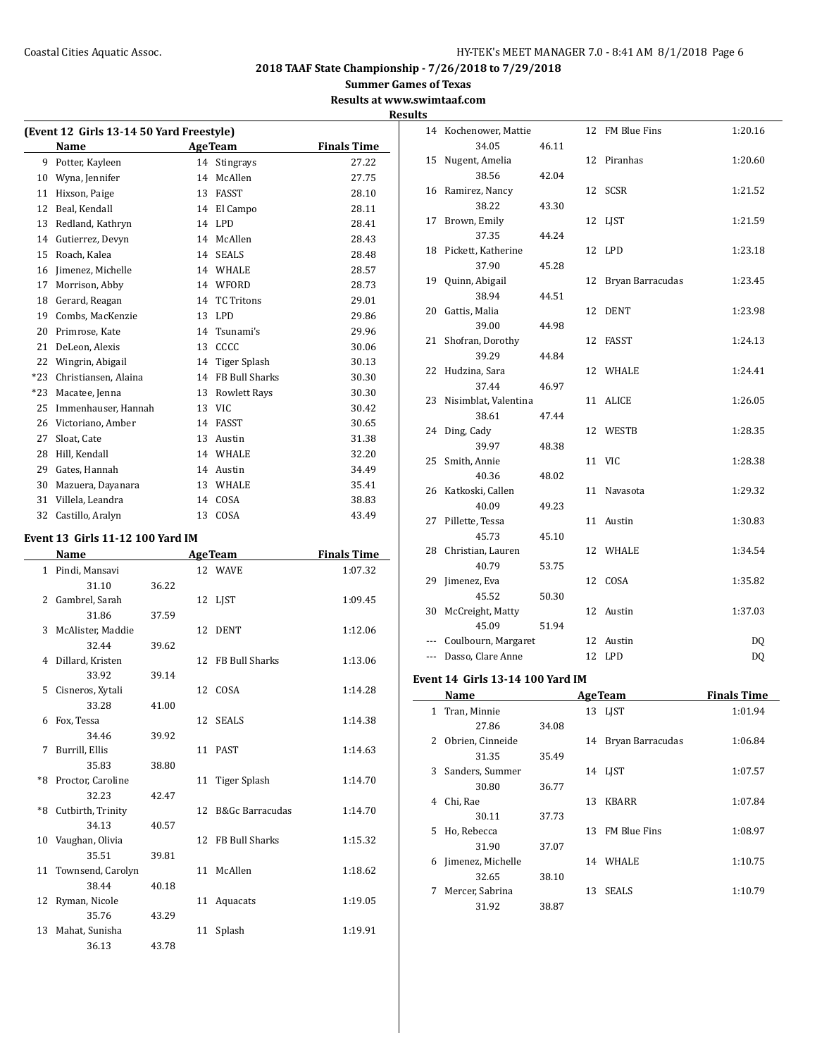**Summer Games of Texas**

## **Results at www.swimtaaf.com Results**

| (Event 12 Girls 13-14 50 Yard Freestyle) |                      |    |                     |                    |  |  |  |  |  |
|------------------------------------------|----------------------|----|---------------------|--------------------|--|--|--|--|--|
|                                          | Name                 |    | <b>AgeTeam</b>      | <b>Finals Time</b> |  |  |  |  |  |
| 9                                        | Potter, Kayleen      | 14 | <b>Stingrays</b>    | 27.22              |  |  |  |  |  |
| 10                                       | Wyna, Jennifer       | 14 | McAllen             | 27.75              |  |  |  |  |  |
| 11                                       | Hixson, Paige        | 13 | <b>FASST</b>        | 28.10              |  |  |  |  |  |
| 12                                       | Beal, Kendall        | 14 | El Campo            | 28.11              |  |  |  |  |  |
| 13                                       | Redland, Kathryn     | 14 | LPD                 | 28.41              |  |  |  |  |  |
| 14                                       | Gutierrez, Devyn     | 14 | McAllen             | 28.43              |  |  |  |  |  |
| 15                                       | Roach, Kalea         | 14 | <b>SEALS</b>        | 28.48              |  |  |  |  |  |
| 16                                       | Jimenez, Michelle    | 14 | WHALE               | 28.57              |  |  |  |  |  |
| 17                                       | Morrison, Abby       | 14 | WFORD               | 28.73              |  |  |  |  |  |
| 18                                       | Gerard, Reagan       | 14 | <b>TC Tritons</b>   | 29.01              |  |  |  |  |  |
| 19                                       | Combs. MacKenzie     | 13 | <b>LPD</b>          | 29.86              |  |  |  |  |  |
| 20                                       | Primrose, Kate       | 14 | Tsunami's           | 29.96              |  |  |  |  |  |
| 21                                       | DeLeon, Alexis       | 13 | CCCC                | 30.06              |  |  |  |  |  |
| 22                                       | Wingrin, Abigail     | 14 | Tiger Splash        | 30.13              |  |  |  |  |  |
| $*23$                                    | Christiansen, Alaina | 14 | FB Bull Sharks      | 30.30              |  |  |  |  |  |
| $*23$                                    | Macatee, Jenna       | 13 | <b>Rowlett Rays</b> | 30.30              |  |  |  |  |  |
| 25                                       | Immenhauser. Hannah  | 13 | <b>VIC</b>          | 30.42              |  |  |  |  |  |
| 26                                       | Victoriano, Amber    | 14 | <b>FASST</b>        | 30.65              |  |  |  |  |  |
| 27                                       | Sloat, Cate          | 13 | Austin              | 31.38              |  |  |  |  |  |
| 28                                       | Hill, Kendall        | 14 | WHALE               | 32.20              |  |  |  |  |  |
| 29                                       | Gates, Hannah        | 14 | Austin              | 34.49              |  |  |  |  |  |
| 30                                       | Mazuera, Dayanara    | 13 | WHALE               | 35.41              |  |  |  |  |  |
| 31                                       | Villela, Leandra     | 14 | COSA                | 38.83              |  |  |  |  |  |
| 32                                       | Castillo, Aralyn     | 13 | COSA                | 43.49              |  |  |  |  |  |

#### **Event 13 Girls 11-12 100 Yard IM**

|    | Name                 |       | <b>AgeTeam</b>     | <b>Finals Time</b> |  |  |
|----|----------------------|-------|--------------------|--------------------|--|--|
|    | 1 Pindi, Mansavi     |       | 12 WAVE            | 1:07.32            |  |  |
|    | 31.10                | 36.22 |                    |                    |  |  |
|    | 2 Gambrel, Sarah     |       | 12 LJST            | 1:09.45            |  |  |
|    | 31.86                | 37.59 |                    |                    |  |  |
|    | 3 McAlister, Maddie  |       | 12 DENT            | 1:12.06            |  |  |
|    | 32.44                | 39.62 |                    |                    |  |  |
|    | 4 Dillard, Kristen   |       | 12 FB Bull Sharks  | 1:13.06            |  |  |
|    | 33.92                | 39.14 |                    |                    |  |  |
| 5. | Cisneros, Xytali     |       | 12 COSA            | 1:14.28            |  |  |
|    | 33.28                | 41.00 |                    |                    |  |  |
| 6  | Fox, Tessa           |       | 12 SEALS           | 1:14.38            |  |  |
|    | 34.46                | 39.92 |                    |                    |  |  |
| 7  | Burrill, Ellis       |       | 11 PAST            | 1:14.63            |  |  |
|    | 35.83                | 38.80 |                    |                    |  |  |
|    | *8 Proctor, Caroline |       | 11 Tiger Splash    | 1:14.70            |  |  |
|    | 32.23                | 42.47 |                    |                    |  |  |
|    | *8 Cutbirth, Trinity |       | 12 B&Gc Barracudas | 1:14.70            |  |  |
|    | 34.13                | 40.57 |                    |                    |  |  |
|    | 10 Vaughan, Olivia   |       | 12 FB Bull Sharks  | 1:15.32            |  |  |
|    | 35.51                | 39.81 |                    |                    |  |  |
|    | 11 Townsend, Carolyn |       | 11 McAllen         | 1:18.62            |  |  |
|    | 38.44                | 40.18 |                    |                    |  |  |
|    | 12 Ryman, Nicole     |       | 11 Aquacats        | 1:19.05            |  |  |
|    | 35.76                | 43.29 |                    |                    |  |  |
|    | 13 Mahat, Sunisha    |       | 11 Splash          | 1:19.91            |  |  |
|    | 36.13                | 43.78 |                    |                    |  |  |

|       | 14 Kochenower, Mattie   |       |    | 12 FM Blue Fins  | 1:20.16 |
|-------|-------------------------|-------|----|------------------|---------|
|       | 34.05                   | 46.11 |    |                  |         |
| 15    | Nugent, Amelia          |       | 12 | Piranhas         | 1:20.60 |
|       | 38.56                   | 42.04 |    |                  |         |
|       | 16 Ramirez, Nancy       |       |    | 12 SCSR          | 1:21.52 |
|       | 38.22                   | 43.30 |    |                  |         |
| 17    | Brown, Emily            |       |    | 12 LJST          | 1:21.59 |
|       | 37.35                   | 44.24 |    |                  |         |
| 18    | Pickett, Katherine      |       | 12 | <b>LPD</b>       | 1:23.18 |
|       | 37.90                   | 45.28 |    |                  |         |
| 19    | Quinn, Abigail          |       | 12 | Bryan Barracudas | 1:23.45 |
|       | 38.94                   | 44.51 |    |                  |         |
| 20    | Gattis, Malia           |       | 12 | DENT             | 1:23.98 |
|       | 39.00                   | 44.98 |    |                  |         |
| 21    | Shofran, Dorothy        |       | 12 | FASST            | 1:24.13 |
|       | 39.29                   | 44.84 |    |                  |         |
|       | 22 Hudzina, Sara        |       |    | 12 WHALE         | 1:24.41 |
|       | 37.44                   | 46.97 |    |                  |         |
|       | 23 Nisimblat, Valentina |       | 11 | ALICE            | 1:26.05 |
|       | 38.61                   | 47.44 |    |                  |         |
| 24    | Ding, Cady              |       |    | 12 WESTB         | 1:28.35 |
|       | 39.97                   | 48.38 |    |                  |         |
| 25    | Smith, Annie            |       |    | 11 VIC           | 1:28.38 |
|       | 40.36                   | 48.02 |    |                  |         |
|       | 26 Katkoski, Callen     |       |    | 11 Navasota      | 1:29.32 |
|       | 40.09                   | 49.23 |    |                  |         |
| 27    | Pillette, Tessa         |       |    | 11 Austin        | 1:30.83 |
|       | 45.73                   | 45.10 |    |                  |         |
| 28    | Christian, Lauren       |       |    | 12 WHALE         | 1:34.54 |
|       | 40.79                   | 53.75 |    |                  |         |
| 29    | Jimenez, Eva            |       |    | 12 COSA          | 1:35.82 |
|       | 45.52                   | 50.30 |    |                  |         |
| 30    | McCreight, Matty        |       | 12 | Austin           | 1:37.03 |
|       | 45.09                   | 51.94 |    |                  |         |
| $---$ | Coulbourn, Margaret     |       | 12 | Austin           | DQ      |
| ---   | Dasso, Clare Anne       |       | 12 | LPD              | DQ      |

#### **Event 14 Girls 13-14 100 Yard IM**

|    | Name              |       | <b>AgeTeam</b> | <b>Finals Time</b>  |         |  |
|----|-------------------|-------|----------------|---------------------|---------|--|
| 1  | Tran, Minnie      |       |                | 13 LIST             | 1:01.94 |  |
|    | 27.86             | 34.08 |                |                     |         |  |
| 2  | Obrien, Cinneide  |       | 14             | Bryan Barracudas    | 1:06.84 |  |
|    | 31.35             | 35.49 |                |                     |         |  |
| 3  | Sanders, Summer   |       |                | 14 LIST             | 1:07.57 |  |
|    | 30.80             | 36.77 |                |                     |         |  |
| 4  | Chi, Rae          |       | 13             | <b>KBARR</b>        | 1:07.84 |  |
|    | 30.11             | 37.73 |                |                     |         |  |
| 5. | Ho, Rebecca       |       | 13             | <b>FM Blue Fins</b> | 1:08.97 |  |
|    | 31.90             | 37.07 |                |                     |         |  |
| 6  | Jimenez, Michelle |       |                | 14 WHALE            | 1:10.75 |  |
|    | 32.65             | 38.10 |                |                     |         |  |
| 7  | Mercer, Sabrina   |       | 13             | <b>SEALS</b>        | 1:10.79 |  |
|    | 31.92             | 38.87 |                |                     |         |  |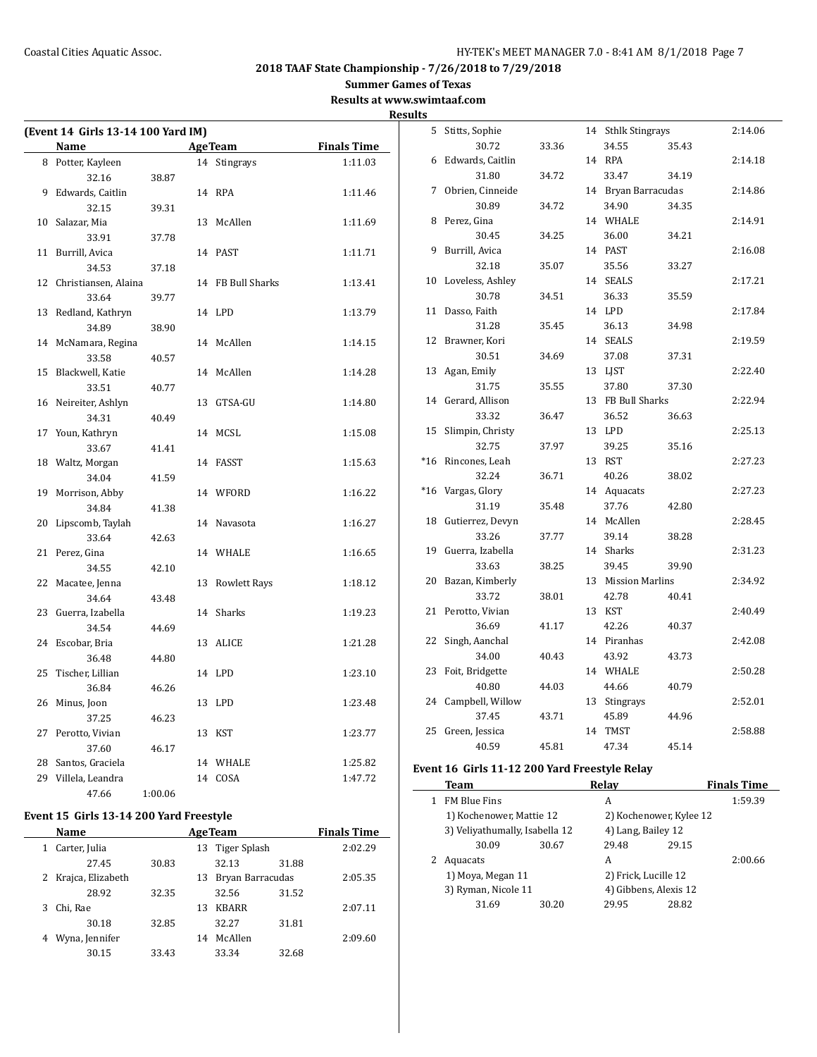**Summer Games of Texas**

**Results at www.swimtaaf.com**

|                                    |         |                   |                    | <b>Results</b> |                                               |       |                     |       |                    |
|------------------------------------|---------|-------------------|--------------------|----------------|-----------------------------------------------|-------|---------------------|-------|--------------------|
| (Event 14 Girls 13-14 100 Yard IM) |         |                   |                    |                | 5 Stitts, Sophie                              |       | 14 Sthlk Stingrays  |       | 2:14.06            |
| Name                               |         | <b>AgeTeam</b>    | <b>Finals Time</b> |                | 30.72                                         | 33.36 | 34.55               | 35.43 |                    |
| 8 Potter, Kayleen                  |         | 14 Stingrays      | 1:11.03            |                | 6 Edwards, Caitlin                            |       | 14 RPA              |       | 2:14.18            |
| 32.16                              | 38.87   |                   |                    |                | 31.80                                         | 34.72 | 33.47               | 34.19 |                    |
| 9 Edwards, Caitlin                 |         | 14 RPA            | 1:11.46            |                | 7 Obrien, Cinneide                            |       | 14 Bryan Barracudas |       | 2:14.86            |
| 32.15                              | 39.31   |                   |                    |                | 30.89                                         | 34.72 | 34.90               | 34.35 |                    |
| 10 Salazar, Mia                    |         | 13 McAllen        | 1:11.69            |                | 8 Perez, Gina                                 |       | 14 WHALE            |       | 2:14.91            |
| 33.91                              | 37.78   |                   |                    |                | 30.45                                         | 34.25 | 36.00               | 34.21 |                    |
| 11 Burrill, Avica                  |         | 14 PAST           | 1:11.71            |                | 9 Burrill, Avica                              |       | 14 PAST             |       | 2:16.08            |
| 34.53                              | 37.18   |                   |                    |                | 32.18                                         | 35.07 | 35.56               | 33.27 |                    |
| 12 Christiansen, Alaina            |         | 14 FB Bull Sharks | 1:13.41            |                | 10 Loveless, Ashley                           |       | 14 SEALS            |       | 2:17.21            |
| 33.64                              | 39.77   |                   |                    |                | 30.78                                         | 34.51 | 36.33               | 35.59 |                    |
| 13 Redland, Kathryn                |         | 14 LPD            | 1:13.79            |                | 11 Dasso, Faith                               |       | 14 LPD              |       | 2:17.84            |
| 34.89                              | 38.90   |                   |                    |                | 31.28                                         | 35.45 | 36.13               | 34.98 |                    |
| 14 McNamara, Regina                |         | 14 McAllen        | 1:14.15            |                | 12 Brawner, Kori                              |       | 14 SEALS            |       | 2:19.59            |
| 33.58                              | 40.57   |                   |                    |                | 30.51                                         | 34.69 | 37.08               | 37.31 |                    |
| 15 Blackwell, Katie                |         | 14 McAllen        | 1:14.28            |                | 13 Agan, Emily                                |       | 13 LJST             |       | 2:22.40            |
| 33.51                              | 40.77   |                   |                    |                | 31.75                                         | 35.55 | 37.80               | 37.30 |                    |
| 16 Neireiter, Ashlyn               |         | 13 GTSA-GU        | 1:14.80            |                | 14 Gerard, Allison                            |       | 13 FB Bull Sharks   |       | 2:22.94            |
| 34.31                              | 40.49   |                   |                    |                | 33.32                                         | 36.47 | 36.52               | 36.63 |                    |
| 17 Youn, Kathryn                   |         | 14 MCSL           | 1:15.08            |                | 15 Slimpin, Christy                           |       | 13 LPD              |       | 2:25.13            |
| 33.67                              | 41.41   |                   |                    |                | 32.75                                         | 37.97 | 39.25               | 35.16 |                    |
| 18 Waltz, Morgan                   |         | 14 FASST          | 1:15.63            |                | *16 Rincones, Leah                            |       | 13 RST              |       | 2:27.23            |
| 34.04                              | 41.59   |                   |                    |                | 32.24                                         | 36.71 | 40.26               | 38.02 |                    |
| 19 Morrison, Abby                  |         | 14 WFORD          | 1:16.22            |                | *16 Vargas, Glory                             |       | 14 Aquacats         |       | 2:27.23            |
| 34.84                              | 41.38   |                   |                    |                | 31.19                                         | 35.48 | 37.76               | 42.80 |                    |
| 20 Lipscomb, Taylah                |         | 14 Navasota       | 1:16.27            |                | 18 Gutierrez, Devyn                           |       | 14 McAllen          |       | 2:28.45            |
| 33.64                              | 42.63   |                   |                    |                | 33.26                                         | 37.77 | 39.14               | 38.28 |                    |
| 21 Perez, Gina                     |         | 14 WHALE          | 1:16.65            |                | 19 Guerra, Izabella                           |       | 14 Sharks           |       | 2:31.23            |
| 34.55                              | 42.10   |                   |                    |                | 33.63                                         | 38.25 | 39.45               | 39.90 |                    |
| 22 Macatee, Jenna                  |         | 13 Rowlett Rays   | 1:18.12            |                | 20 Bazan, Kimberly                            |       | 13 Mission Marlins  |       | 2:34.92            |
| 34.64                              | 43.48   |                   |                    |                | 33.72                                         | 38.01 | 42.78               | 40.41 |                    |
| 23 Guerra, Izabella                |         | 14 Sharks         | 1:19.23            |                | 21 Perotto, Vivian                            |       | 13 KST              |       | 2:40.49            |
| 34.54                              | 44.69   |                   |                    |                | 36.69                                         | 41.17 | 42.26               | 40.37 |                    |
| 24 Escobar, Bria                   |         | 13 ALICE          | 1:21.28            |                | 22 Singh, Aanchal                             |       | 14 Piranhas         |       | 2:42.08            |
| 36.48                              | 44.80   |                   |                    |                | 34.00                                         | 40.43 | 43.92               | 43.73 |                    |
| 25 Tischer, Lillian                |         | 14 LPD            | 1:23.10            |                | 23 Foit, Bridgette                            |       | 14 WHALE            |       | 2:50.28            |
| 36.84                              | 46.26   |                   |                    |                | 40.80                                         | 44.03 | 44.66               | 40.79 |                    |
| 26 Minus, Joon                     |         | 13 LPD            | 1:23.48            |                | 24 Campbell, Willow                           |       | 13 Stingrays        |       | 2:52.01            |
| 37.25                              | 46.23   |                   |                    |                | 37.45                                         | 43.71 | 45.89               | 44.96 |                    |
| 27 Perotto, Vivian                 |         | 13 KST            | 1:23.77            |                | 25 Green, Jessica                             |       | 14 TMST             |       | 2:58.88            |
| 37.60                              | 46.17   |                   |                    |                | 40.59                                         | 45.81 | 47.34               | 45.14 |                    |
| 28 Santos, Graciela                |         | 14 WHALE          | 1:25.82            |                |                                               |       |                     |       |                    |
| 29 Villela, Leandra                |         | 14 COSA           | 1:47.72            |                | Event 16 Girls 11-12 200 Yard Freestyle Relay |       |                     |       |                    |
| 47.66                              | 1:00.06 |                   |                    |                | Team                                          |       | Relay               |       | <b>Finals Time</b> |
|                                    |         |                   |                    |                | 1 FM Blue Fins                                |       | A                   |       | 1:59.39            |

# **Event 15 Girls 13-14 200 Yard Freestyle**

|   | Name                | <b>AgeTeam</b> |    |                  | <b>Finals Time</b> |         |
|---|---------------------|----------------|----|------------------|--------------------|---------|
| 1 | Carter, Julia       |                |    | 13 Tiger Splash  |                    | 2:02.29 |
|   | 27.45               | 30.83          |    | 32.13            | 31.88              |         |
|   | 2 Krajca, Elizabeth |                | 13 | Bryan Barracudas |                    | 2:05.35 |
|   | 28.92               | 32.35          |    | 32.56            | 31.52              |         |
| 3 | Chi, Rae            |                | 13 | <b>KBARR</b>     |                    | 2:07.11 |
|   | 30.18               | 32.85          |    | 32.27            | 31.81              |         |
| 4 | Wyna, Jennifer      |                | 14 | McAllen          |                    | 2:09.60 |
|   | 30.15               | 33.43          |    | 33.34            | 32.68              |         |

|              | Team                           |       | Relav                   |                      | <b>Finals Time</b> |
|--------------|--------------------------------|-------|-------------------------|----------------------|--------------------|
| $\mathbf{1}$ | <b>FM Blue Fins</b>            |       | A                       |                      | 1:59.39            |
|              | 1) Kochenower, Mattie 12       |       | 2) Kochenower, Kylee 12 |                      |                    |
|              | 3) Veliyathumally, Isabella 12 |       | 4) Lang, Bailey 12      |                      |                    |
|              | 30.09                          | 30.67 | 29.48                   | 29.15                |                    |
|              | Aquacats                       |       | А                       |                      | 2:00.66            |
|              | 1) Moya, Megan 11              |       |                         | 2) Frick, Lucille 12 |                    |
|              | 3) Ryman, Nicole 11            |       | 4) Gibbens, Alexis 12   |                      |                    |
|              | 31.69                          | 30.20 | 29.95                   | 28.82                |                    |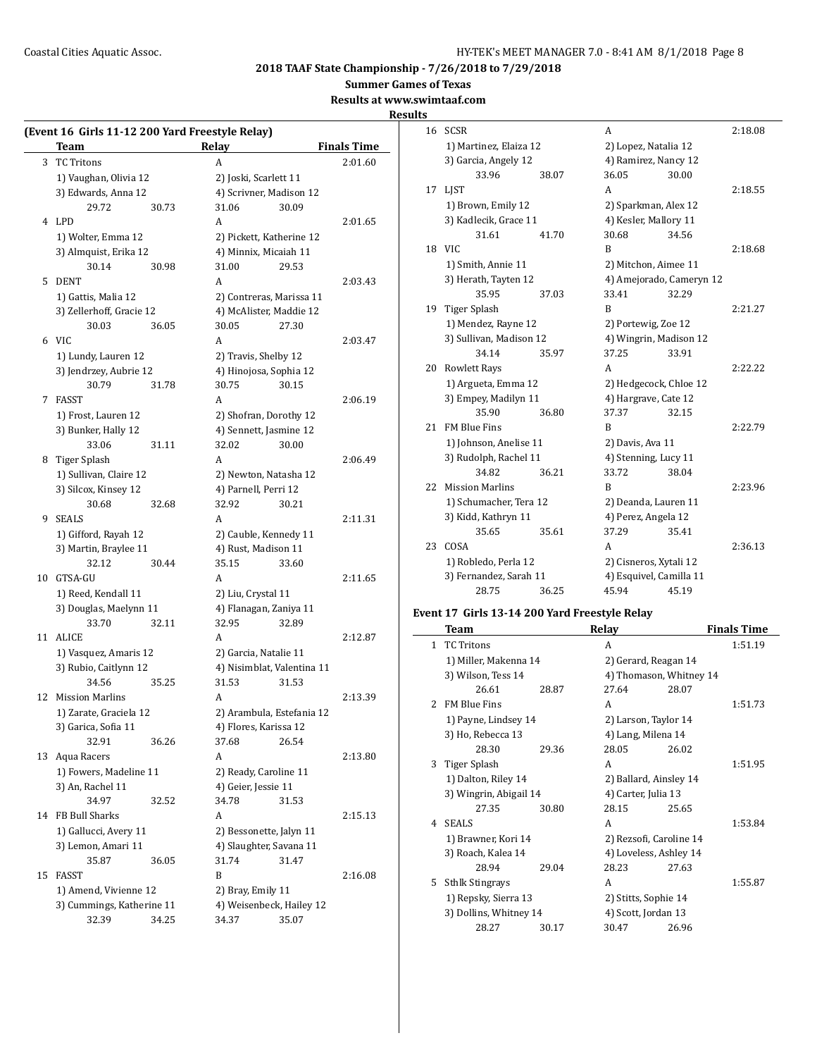**Summer Games of Texas**

**Results at www.swimtaaf.com**

#### **Results**

|    | (Event 16 Girls 11-12 200 Yard Freestyle Relay) |       |                           |                            |                    |  |
|----|-------------------------------------------------|-------|---------------------------|----------------------------|--------------------|--|
|    | Team                                            |       | Relay                     |                            | <b>Finals Time</b> |  |
| 3  | <b>TC Tritons</b>                               |       | A                         |                            | 2:01.60            |  |
|    | 1) Vaughan, Olivia 12                           |       | 2) Joski, Scarlett 11     |                            |                    |  |
|    | 3) Edwards, Anna 12                             |       | 4) Scrivner, Madison 12   |                            |                    |  |
|    | 29.72                                           | 30.73 | 31.06                     | 30.09                      |                    |  |
|    | 4 LPD                                           |       | A                         |                            | 2:01.65            |  |
|    | 1) Wolter, Emma 12                              |       | 2) Pickett, Katherine 12  |                            |                    |  |
|    | 3) Almquist, Erika 12                           |       | 4) Minnix, Micaiah 11     |                            |                    |  |
|    | 30.14                                           | 30.98 | 31.00                     | 29.53                      |                    |  |
| 5  | <b>DENT</b>                                     |       | A                         |                            | 2:03.43            |  |
|    | 1) Gattis, Malia 12                             |       | 2) Contreras, Marissa 11  |                            |                    |  |
|    | 3) Zellerhoff, Gracie 12                        |       | 4) McAlister, Maddie 12   |                            |                    |  |
|    | 30.03                                           | 36.05 | 30.05                     | 27.30                      |                    |  |
|    | 6 VIC                                           |       | A                         |                            | 2:03.47            |  |
|    | 1) Lundy, Lauren 12                             |       | 2) Travis, Shelby 12      |                            |                    |  |
|    | 3) Jendrzey, Aubrie 12                          |       | 4) Hinojosa, Sophia 12    |                            |                    |  |
|    | 30.79                                           | 31.78 | 30.75                     | 30.15                      |                    |  |
|    |                                                 |       |                           |                            |                    |  |
| 7  | FASST                                           |       | A                         |                            | 2:06.19            |  |
|    | 1) Frost, Lauren 12                             |       | 2) Shofran, Dorothy 12    |                            |                    |  |
|    | 3) Bunker, Hally 12                             |       | 4) Sennett, Jasmine 12    |                            |                    |  |
|    | 33.06                                           | 31.11 | 32.02                     | 30.00                      |                    |  |
| 8  | Tiger Splash                                    |       | A                         |                            | 2:06.49            |  |
|    | 1) Sullivan, Claire 12                          |       | 2) Newton, Natasha 12     |                            |                    |  |
|    | 3) Silcox, Kinsey 12                            |       | 4) Parnell, Perri 12      |                            |                    |  |
|    | 30.68                                           | 32.68 | 32.92                     | 30.21                      |                    |  |
| 9  | SEALS                                           |       | A                         |                            | 2:11.31            |  |
|    | 1) Gifford, Rayah 12                            |       | 2) Cauble, Kennedy 11     |                            |                    |  |
|    | 3) Martin, Braylee 11                           |       | 4) Rust, Madison 11       |                            |                    |  |
|    | 32.12                                           | 30.44 | 35.15                     | 33.60                      |                    |  |
|    | 10 GTSA-GU                                      |       | A                         |                            | 2:11.65            |  |
|    | 1) Reed, Kendall 11                             |       | 2) Liu, Crystal 11        |                            |                    |  |
|    | 3) Douglas, Maelynn 11                          |       | 4) Flanagan, Zaniya 11    |                            |                    |  |
|    | 33.70                                           | 32.11 | 32.95                     | 32.89                      |                    |  |
| 11 | ALICE                                           |       | A                         |                            | 2:12.87            |  |
|    | 1) Vasquez, Amaris 12                           |       | 2) Garcia, Natalie 11     |                            |                    |  |
|    | 3) Rubio, Caitlynn 12                           |       |                           | 4) Nisimblat, Valentina 11 |                    |  |
|    | 34.56                                           | 35.25 | 31.53                     | 31.53                      |                    |  |
| 12 | <b>Mission Marlins</b>                          |       | A                         |                            | 2:13.39            |  |
|    | 1) Zarate, Graciela 12                          |       | 2) Arambula, Estefania 12 |                            |                    |  |
|    | 3) Garica, Sofia 11                             |       | 4) Flores, Karissa 12     |                            |                    |  |
|    | 32.91                                           | 36.26 | 37.68                     | 26.54                      |                    |  |
| 13 | Aqua Racers                                     |       | А                         |                            | 2:13.80            |  |
|    | 1) Fowers, Madeline 11                          |       | 2) Ready, Caroline 11     |                            |                    |  |
|    | 3) An, Rachel 11                                |       | 4) Geier, Jessie 11       |                            |                    |  |
|    |                                                 |       |                           |                            |                    |  |
|    | 34.97                                           | 32.52 | 34.78                     | 31.53                      |                    |  |
|    | 14 FB Bull Sharks                               |       | A                         |                            | 2:15.13            |  |
|    | 1) Gallucci, Avery 11                           |       | 2) Bessonette, Jalyn 11   |                            |                    |  |
|    | 3) Lemon, Amari 11                              |       | 4) Slaughter, Savana 11   |                            |                    |  |
|    | 35.87                                           | 36.05 | 31.74                     | 31.47                      |                    |  |
| 15 | <b>FASST</b>                                    |       | B                         |                            | 2:16.08            |  |
|    | 1) Amend, Vivienne 12                           |       | 2) Bray, Emily 11         |                            |                    |  |
|    | 3) Cummings, Katherine 11                       |       | 4) Weisenbeck, Hailey 12  |                            |                    |  |
|    | 32.39                                           | 34.25 | 34.37                     | 35.07                      |                    |  |
|    |                                                 |       |                           |                            |                    |  |

| 16 | <b>SCSR</b>             |       | А                       |                          | 2:18.08 |
|----|-------------------------|-------|-------------------------|--------------------------|---------|
|    | 1) Martinez, Elaiza 12  |       |                         | 2) Lopez, Natalia 12     |         |
|    | 3) Garcia, Angely 12    |       | 4) Ramirez, Nancy 12    |                          |         |
|    | 33.96                   | 38.07 | 36.05                   | 30.00                    |         |
| 17 | <b>LIST</b>             |       | A                       |                          | 2:18.55 |
|    | 1) Brown, Emily 12      |       | 2) Sparkman, Alex 12    |                          |         |
|    | 3) Kadlecik, Grace 11   |       | 4) Kesler, Mallory 11   |                          |         |
|    | 31.61                   | 41.70 | 30.68                   | 34.56                    |         |
| 18 | VIC.                    |       | B                       |                          | 2:18.68 |
|    | 1) Smith, Annie 11      |       | 2) Mitchon, Aimee 11    |                          |         |
|    | 3) Herath, Tayten 12    |       |                         | 4) Amejorado, Cameryn 12 |         |
|    | 35.95                   | 37.03 | 33.41                   | 32.29                    |         |
| 19 | Tiger Splash            |       | B                       |                          | 2:21.27 |
|    | 1) Mendez, Rayne 12     |       | 2) Portewig, Zoe 12     |                          |         |
|    | 3) Sullivan, Madison 12 |       | 4) Wingrin, Madison 12  |                          |         |
|    | 34.14                   | 35.97 | 37.25                   | 33.91                    |         |
| 20 | <b>Rowlett Rays</b>     |       | A                       |                          | 2:22.22 |
|    | 1) Argueta, Emma 12     |       | 2) Hedgecock, Chloe 12  |                          |         |
|    | 3) Empey, Madilyn 11    |       | 4) Hargrave, Cate 12    |                          |         |
|    | 35.90                   | 36.80 | 37.37                   | 32.15                    |         |
| 21 | <b>FM Blue Fins</b>     |       | B                       |                          | 2:22.79 |
|    | 1) Johnson, Anelise 11  |       | 2) Davis, Ava 11        |                          |         |
|    | 3) Rudolph, Rachel 11   |       | 4) Stenning, Lucy 11    |                          |         |
|    | 34.82                   | 36.21 | 33.72                   | 38.04                    |         |
| 22 | <b>Mission Marlins</b>  |       | B                       |                          | 2:23.96 |
|    | 1) Schumacher, Tera 12  |       | 2) Deanda, Lauren 11    |                          |         |
|    | 3) Kidd, Kathryn 11     |       | 4) Perez, Angela 12     |                          |         |
|    | 35.65                   | 35.61 | 37.29                   | 35.41                    |         |
| 23 | COSA                    |       | А                       |                          | 2:36.13 |
|    | 1) Robledo, Perla 12    |       | 2) Cisneros, Xytali 12  |                          |         |
|    | 3) Fernandez, Sarah 11  |       | 4) Esquivel, Camilla 11 |                          |         |
|    | 28.75                   | 36.25 | 45.94                   | 45.19                    |         |
|    |                         |       |                         |                          |         |

# **Event 17 Girls 13-14 200 Yard Freestyle Relay**

|                | <b>Team</b>            |       | Relay                   |       | <b>Finals Time</b> |
|----------------|------------------------|-------|-------------------------|-------|--------------------|
| $\mathbf{1}$   | <b>TC Tritons</b>      |       | A                       |       | 1:51.19            |
|                | 1) Miller, Makenna 14  |       | 2) Gerard, Reagan 14    |       |                    |
|                | 3) Wilson, Tess 14     |       | 4) Thomason, Whitney 14 |       |                    |
|                | 26.61                  | 28.87 | 27.64                   | 28.07 |                    |
| $\overline{2}$ | <b>FM Blue Fins</b>    |       | A                       |       | 1:51.73            |
|                | 1) Payne, Lindsey 14   |       | 2) Larson, Taylor 14    |       |                    |
|                | 3) Ho, Rebecca 13      |       | 4) Lang, Milena 14      |       |                    |
|                | 28.30                  | 29.36 | 28.05                   | 26.02 |                    |
| 3              | Tiger Splash           |       | A                       |       | 1:51.95            |
|                | 1) Dalton, Riley 14    |       | 2) Ballard, Ainsley 14  |       |                    |
|                | 3) Wingrin, Abigail 14 |       | 4) Carter, Julia 13     |       |                    |
|                | 27.35                  | 30.80 | 28.15                   | 25.65 |                    |
| 4              | <b>SEALS</b>           |       | A                       |       | 1:53.84            |
|                | 1) Brawner, Kori 14    |       | 2) Rezsofi, Caroline 14 |       |                    |
|                | 3) Roach, Kalea 14     |       | 4) Loveless, Ashley 14  |       |                    |
|                | 28.94                  | 29.04 | 28.23                   | 27.63 |                    |
| 5.             | <b>Sthlk Stingrays</b> |       | A                       |       | 1:55.87            |
|                | 1) Repsky, Sierra 13   |       | 2) Stitts, Sophie 14    |       |                    |
|                | 3) Dollins, Whitney 14 |       | 4) Scott, Jordan 13     |       |                    |
|                | 28.27                  | 30.17 | 30.47                   | 26.96 |                    |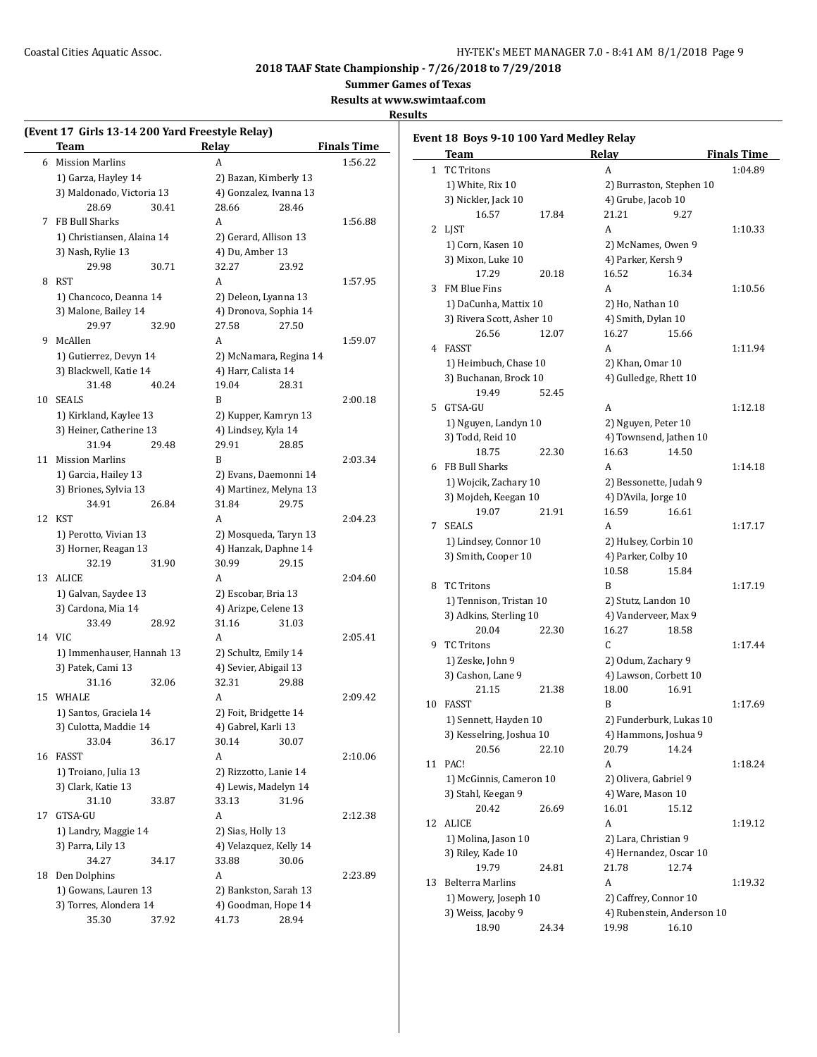**Summer Games of Texas**

**Results at www.swimtaaf.com**

## **Results**

 $\frac{1}{2}$ 

|    | Team                       |       | Relay                 |                        | <b>Finals Time</b> |
|----|----------------------------|-------|-----------------------|------------------------|--------------------|
| 6  | <b>Mission Marlins</b>     |       | A                     |                        | 1:56.22            |
|    | 1) Garza, Hayley 14        |       |                       | 2) Bazan, Kimberly 13  |                    |
|    | 3) Maldonado, Victoria 13  |       |                       | 4) Gonzalez, Ivanna 13 |                    |
|    | 28.69                      | 30.41 | 28.66                 | 28.46                  |                    |
| 7  | FB Bull Sharks             |       | A                     |                        | 1:56.88            |
|    | 1) Christiansen, Alaina 14 |       | 2) Gerard, Allison 13 |                        |                    |
|    | 3) Nash, Rylie 13          |       | 4) Du, Amber 13       |                        |                    |
|    | 29.98                      | 30.71 | 32.27                 | 23.92                  |                    |
| 8  | RST                        |       | A                     |                        | 1:57.95            |
|    | 1) Chancoco, Deanna 14     |       |                       | 2) Deleon, Lyanna 13   |                    |
|    | 3) Malone, Bailey 14       |       |                       | 4) Dronova, Sophia 14  |                    |
|    | 29.97                      | 32.90 | 27.58                 | 27.50                  |                    |
| 9  | McAllen                    |       | A                     |                        | 1:59.07            |
|    |                            |       |                       |                        |                    |
|    | 1) Gutierrez, Devyn 14     |       |                       | 2) McNamara, Regina 14 |                    |
|    | 3) Blackwell, Katie 14     |       | 4) Harr, Calista 14   |                        |                    |
|    | 31.48                      | 40.24 | 19.04                 | 28.31                  |                    |
| 10 | <b>SEALS</b>               |       | B                     |                        | 2:00.18            |
|    | 1) Kirkland, Kaylee 13     |       |                       | 2) Kupper, Kamryn 13   |                    |
|    | 3) Heiner, Catherine 13    |       | 4) Lindsey, Kyla 14   |                        |                    |
|    | 31.94                      | 29.48 | 29.91                 | 28.85                  |                    |
| 11 | <b>Mission Marlins</b>     |       | B                     |                        | 2:03.34            |
|    | 1) Garcia, Hailey 13       |       |                       | 2) Evans, Daemonni 14  |                    |
|    | 3) Briones, Sylvia 13      |       |                       | 4) Martinez, Melyna 13 |                    |
|    | 34.91                      | 26.84 | 31.84                 | 29.75                  |                    |
| 12 | KST                        |       | A                     |                        | 2:04.23            |
|    | 1) Perotto, Vivian 13      |       |                       | 2) Mosqueda, Taryn 13  |                    |
|    | 3) Horner, Reagan 13       |       |                       | 4) Hanzak, Daphne 14   |                    |
|    | 32.19                      | 31.90 | 30.99                 | 29.15                  |                    |
| 13 | ALICE                      |       | A                     |                        | 2:04.60            |
|    | 1) Galvan, Saydee 13       |       | 2) Escobar, Bria 13   |                        |                    |
|    | 3) Cardona, Mia 14         |       | 4) Arizpe, Celene 13  |                        |                    |
|    | 33.49                      | 28.92 | 31.16                 | 31.03                  |                    |
|    | 14 VIC                     |       | A                     |                        | 2:05.41            |
|    | 1) Immenhauser, Hannah 13  |       | 2) Schultz, Emily 14  |                        |                    |
|    | 3) Patek, Cami 13          |       |                       | 4) Sevier, Abigail 13  |                    |
|    | 31.16                      | 32.06 | 32.31                 | 29.88                  |                    |
| 15 | WHALE                      |       | A                     |                        | 2:09.42            |
|    | 1) Santos, Graciela 14     |       | 2) Foit, Bridgette 14 |                        |                    |
|    | 3) Culotta, Maddie 14      |       | 4) Gabrel, Karli 13   |                        |                    |
|    | 33.04                      | 36.17 | 30.14                 | 30.07                  |                    |
| 16 | FASST                      |       | A                     |                        | 2:10.06            |
|    | 1) Troiano, Julia 13       |       | 2) Rizzotto, Lanie 14 |                        |                    |
|    | 3) Clark, Katie 13         |       |                       | 4) Lewis, Madelyn 14   |                    |
|    | 31.10                      | 33.87 | 33.13                 | 31.96                  |                    |
| 17 | GTSA-GU                    |       | A                     |                        | 2:12.38            |
|    |                            |       | 2) Sias, Holly 13     |                        |                    |
|    | 1) Landry, Maggie 14       |       |                       |                        |                    |
|    | 3) Parra, Lily 13          |       |                       | 4) Velazquez, Kelly 14 |                    |
|    | 34.27                      | 34.17 | 33.88                 | 30.06                  |                    |
| 18 | Den Dolphins               |       | A                     |                        | 2:23.89            |
|    | 1) Gowans, Lauren 13       |       |                       | 2) Bankston, Sarah 13  |                    |
|    | 3) Torres, Alondera 14     |       |                       | 4) Goodman, Hope 14    |                    |
|    | 35.30                      | 37.92 | 41.73                 | 28.94                  |                    |

|              | Event 18 Boys 9-10 100 Yard Medley Relay<br>Team |       | Relay                    |                            | <b>Finals Time</b> |
|--------------|--------------------------------------------------|-------|--------------------------|----------------------------|--------------------|
| $\mathbf{1}$ | <b>TC Tritons</b>                                |       | A                        |                            | 1:04.89            |
|              | 1) White, Rix 10                                 |       | 2) Burraston, Stephen 10 |                            |                    |
|              | 3) Nickler, Jack 10                              |       | 4) Grube, Jacob 10       |                            |                    |
|              | 16.57                                            | 17.84 | 21.21                    | 9.27                       |                    |
|              | 2 LJST                                           |       | A                        |                            | 1:10.33            |
|              | 1) Corn, Kasen 10                                |       | 2) McNames, Owen 9       |                            |                    |
|              | 3) Mixon, Luke 10                                |       | 4) Parker, Kersh 9       |                            |                    |
|              | 17.29                                            | 20.18 | 16.52                    | 16.34                      |                    |
| 3            | FM Blue Fins                                     |       | A                        |                            | 1:10.56            |
|              | 1) DaCunha, Mattix 10                            |       | 2) Ho, Nathan 10         |                            |                    |
|              | 3) Rivera Scott, Asher 10                        |       | 4) Smith, Dylan 10       |                            |                    |
|              | 26.56                                            | 12.07 | 16.27                    | 15.66                      |                    |
|              | 4 FASST                                          |       | A                        |                            | 1:11.94            |
|              |                                                  |       |                          |                            |                    |
|              | 1) Heimbuch, Chase 10                            |       | 2) Khan, Omar 10         |                            |                    |
|              | 3) Buchanan, Brock 10                            |       | 4) Gulledge, Rhett 10    |                            |                    |
|              | 19.49                                            | 52.45 |                          |                            |                    |
| 5            | GTSA-GU                                          |       | A                        |                            | 1:12.18            |
|              | 1) Nguyen, Landyn 10                             |       | 2) Nguyen, Peter 10      |                            |                    |
|              | 3) Todd, Reid 10                                 |       | 4) Townsend, Jathen 10   |                            |                    |
|              | 18.75                                            | 22.30 | 16.63                    | 14.50                      |                    |
| 6            | FB Bull Sharks                                   |       | A                        |                            | 1:14.18            |
|              | 1) Wojcik, Zachary 10                            |       | 2) Bessonette, Judah 9   |                            |                    |
|              | 3) Mojdeh, Keegan 10                             |       | 4) D'Avila, Jorge 10     |                            |                    |
|              | 19.07                                            | 21.91 | 16.59                    | 16.61                      |                    |
| 7            | <b>SEALS</b>                                     |       | A                        |                            | 1:17.17            |
|              | 1) Lindsey, Connor 10                            |       | 2) Hulsey, Corbin 10     |                            |                    |
|              | 3) Smith, Cooper 10                              |       | 4) Parker, Colby 10      |                            |                    |
|              |                                                  |       | 10.58                    | 15.84                      |                    |
| 8            | <b>TC Tritons</b>                                |       | B                        |                            | 1:17.19            |
|              | 1) Tennison, Tristan 10                          |       | 2) Stutz, Landon 10      |                            |                    |
|              | 3) Adkins, Sterling 10                           |       | 4) Vanderveer, Max 9     |                            |                    |
|              | 20.04                                            | 22.30 | 16.27                    | 18.58                      |                    |
| 9            | <b>TC Tritons</b>                                |       | C                        |                            | 1:17.44            |
|              | 1) Zeske, John 9                                 |       | 2) Odum, Zachary 9       |                            |                    |
|              | 3) Cashon, Lane 9                                |       | 4) Lawson, Corbett 10    |                            |                    |
|              | 21.15                                            | 21.38 | 18.00                    | 16.91                      |                    |
| 10           | <b>FASST</b>                                     |       | B                        |                            | 1:17.69            |
|              | 1) Sennett, Hayden 10                            |       | 2) Funderburk, Lukas 10  |                            |                    |
|              | 3) Kesselring, Joshua 10                         |       | 4) Hammons, Joshua 9     |                            |                    |
|              | 20.56                                            | 22.10 | 20.79                    | 14.24                      |                    |
| 11           | PAC!                                             |       | A                        |                            | 1:18.24            |
|              | 1) McGinnis, Cameron 10                          |       | 2) Olivera, Gabriel 9    |                            |                    |
|              | 3) Stahl, Keegan 9                               |       | 4) Ware, Mason 10        |                            |                    |
|              | 20.42                                            | 26.69 | 16.01                    | 15.12                      |                    |
| 12           | <b>ALICE</b>                                     |       | A                        |                            | 1:19.12            |
|              | 1) Molina, Jason 10                              |       | 2) Lara, Christian 9     |                            |                    |
|              | 3) Riley, Kade 10                                |       | 4) Hernandez, Oscar 10   |                            |                    |
|              | 19.79                                            | 24.81 | 21.78                    | 12.74                      |                    |
| 13           | <b>Belterra Marlins</b>                          |       | A                        |                            | 1:19.32            |
|              | 1) Mowery, Joseph 10                             |       | 2) Caffrey, Connor 10    |                            |                    |
|              | 3) Weiss, Jacoby 9                               |       |                          | 4) Rubenstein, Anderson 10 |                    |
|              | 18.90                                            | 24.34 | 19.98                    | 16.10                      |                    |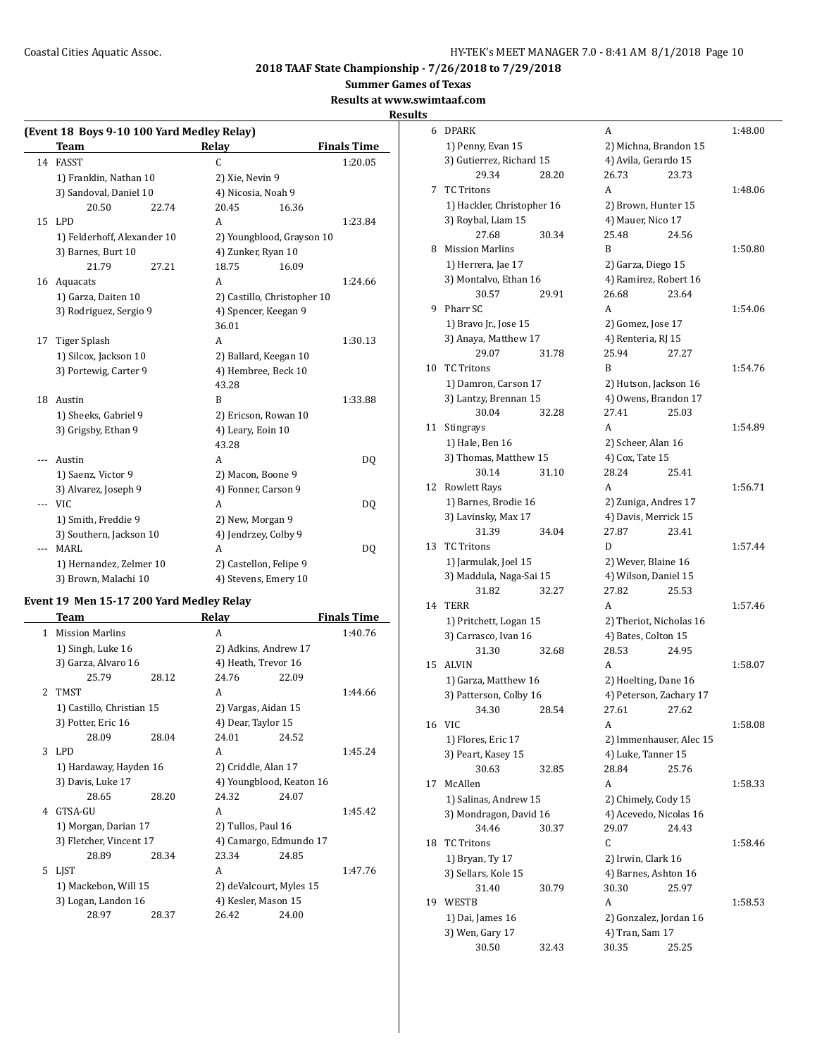**Summer Games of Texas**

## **Results at www.swimtaaf.com**

**Results**

## **(Event 18 Boys 9-10 100 Yard Medley Relay) Team Relay Finals Time** 14 FASST C 1:20.05 1) Franklin, Nathan 10 2) Xie, Nevin 9 3) Sandoval, Daniel 10 4) Nicosia, Noah 9 20.50 22.74 20.45 16.36 15 LPD A 1:23.84 1) Felderhoff, Alexander 10 2) Youngblood, Grayson 10 3) Barnes, Burt 10 4) Zunker, Ryan 10 21.79 27.21 18.75 16.09 16 Aquacats A 1:24.66 1) Garza, Daiten 10 2) Castillo, Christopher 10 3) Rodriguez, Sergio 9 4) Spencer, Keegan 9 36.01 17 Tiger Splash A 1:30.13 1) Silcox, Jackson 10 2) Ballard, Keegan 10 3) Portewig, Carter 9 4) Hembree, Beck 10 43.28 18 Austin B 1:33.88 1) Sheeks, Gabriel 9 2) Ericson, Rowan 10 3) Grigsby, Ethan 9 4) Leary, Eoin 10 43.28 --- Austin A DQ 1) Saenz, Victor 9 2) Macon, Boone 9 3) Alvarez, Joseph 9 4) Fonner, Carson 9 -- VIC A DQ 1) Smith, Freddie 9 2) New, Morgan 9 3) Southern, Jackson 10 4) Jendrzey, Colby 9 -- MARL DQ 1) Hernandez, Zelmer 10 2) Castellon, Felipe 9 3) Brown, Malachi 10 4) Stevens, Emery 10

#### **Event 19 Men 15-17 200 Yard Medley Relay**

|                | Team                      |       | Relay                    |       | <b>Finals Time</b> |
|----------------|---------------------------|-------|--------------------------|-------|--------------------|
| 1              | <b>Mission Marlins</b>    |       | A                        |       | 1:40.76            |
|                | 1) Singh, Luke 16         |       | 2) Adkins, Andrew 17     |       |                    |
|                | 3) Garza, Alvaro 16       |       | 4) Heath, Trevor 16      |       |                    |
|                | 25.79                     | 28.12 | 24.76                    | 22.09 |                    |
| $\overline{2}$ | TMST                      |       | A                        |       | 1:44.66            |
|                | 1) Castillo, Christian 15 |       | 2) Vargas, Aidan 15      |       |                    |
|                | 3) Potter, Eric 16        |       | 4) Dear, Taylor 15       |       |                    |
|                | 28.09                     | 28.04 | 24.01                    | 24.52 |                    |
| 3              | LPD                       |       | A                        |       | 1:45.24            |
|                | 1) Hardaway, Hayden 16    |       | 2) Criddle, Alan 17      |       |                    |
|                | 3) Davis, Luke 17         |       | 4) Youngblood, Keaton 16 |       |                    |
|                | 28.65                     | 28.20 | 24.32                    | 24.07 |                    |
| 4              | GTSA-GU                   |       | A                        |       | 1:45.42            |
|                | 1) Morgan, Darian 17      |       | 2) Tullos, Paul 16       |       |                    |
|                | 3) Fletcher, Vincent 17   |       | 4) Camargo, Edmundo 17   |       |                    |
|                | 28.89                     | 28.34 | 23.34                    | 24.85 |                    |
| 5              | <b>LIST</b>               |       | A                        |       | 1:47.76            |
|                | 1) Mackebon, Will 15      |       | 2) deValcourt, Myles 15  |       |                    |
|                | 3) Logan, Landon 16       |       | 4) Kesler, Mason 15      |       |                    |
|                | 28.97                     | 28.37 | 26.42                    | 24.00 |                    |
|                |                           |       |                          |       |                    |

| 6  | DPARK                      |       | A                       |       | 1:48.00 |
|----|----------------------------|-------|-------------------------|-------|---------|
|    | 1) Penny, Evan 15          |       | 2) Michna, Brandon 15   |       |         |
|    | 3) Gutierrez, Richard 15   |       | 4) Avila, Gerardo 15    |       |         |
|    | 29.34                      | 28.20 | 26.73                   | 23.73 |         |
| 7  | <b>TC Tritons</b>          |       | A                       |       | 1:48.06 |
|    | 1) Hackler, Christopher 16 |       | 2) Brown, Hunter 15     |       |         |
|    | 3) Roybal, Liam 15         |       | 4) Mauer, Nico 17       |       |         |
|    | 27.68                      | 30.34 | 25.48                   | 24.56 |         |
| 8  | <b>Mission Marlins</b>     |       | B                       |       | 1:50.80 |
|    | 1) Herrera, Jae 17         |       | 2) Garza, Diego 15      |       |         |
|    | 3) Montalvo, Ethan 16      |       | 4) Ramirez, Robert 16   |       |         |
|    | 30.57                      | 29.91 | 26.68                   | 23.64 |         |
| 9  | Pharr SC                   |       | A                       |       | 1:54.06 |
|    | 1) Bravo Jr., Jose 15      |       | 2) Gomez, Jose 17       |       |         |
|    | 3) Anaya, Matthew 17       |       | 4) Renteria, RJ 15      |       |         |
|    | 29.07                      | 31.78 | 25.94                   | 27.27 |         |
| 10 | <b>TC Tritons</b>          |       | B                       |       | 1:54.76 |
|    | 1) Damron, Carson 17       |       | 2) Hutson, Jackson 16   |       |         |
|    | 3) Lantzy, Brennan 15      |       | 4) Owens, Brandon 17    |       |         |
|    | 30.04                      | 32.28 | 27.41                   | 25.03 |         |
| 11 | Stingrays                  |       | A                       |       | 1:54.89 |
|    | 1) Hale, Ben 16            |       | 2) Scheer, Alan 16      |       |         |
|    | 3) Thomas, Matthew 15      |       | 4) Cox, Tate 15         |       |         |
|    | 30.14                      | 31.10 | 28.24                   | 25.41 |         |
| 12 | Rowlett Rays               |       | A                       |       | 1:56.71 |
|    | 1) Barnes, Brodie 16       |       | 2) Zuniga, Andres 17    |       |         |
|    | 3) Lavinsky, Max 17        |       | 4) Davis, Merrick 15    |       |         |
|    | 31.39                      | 34.04 | 27.87                   | 23.41 |         |
| 13 | <b>TC Tritons</b>          |       | D                       |       | 1:57.44 |
|    | 1) Jarmulak, Joel 15       |       | 2) Wever, Blaine 16     |       |         |
|    | 3) Maddula, Naga-Sai 15    |       | 4) Wilson, Daniel 15    |       |         |
|    | 31.82                      | 32.27 | 27.82                   | 25.53 |         |
| 14 | <b>TERR</b>                |       | A                       |       | 1:57.46 |
|    | 1) Pritchett, Logan 15     |       | 2) Theriot, Nicholas 16 |       |         |
|    | 3) Carrasco, Ivan 16       |       | 4) Bates, Colton 15     |       |         |
|    | 31.30                      | 32.68 | 28.53                   | 24.95 |         |
| 15 | <b>ALVIN</b>               |       | A                       |       | 1:58.07 |
|    | 1) Garza, Matthew 16       |       | 2) Hoelting, Dane 16    |       |         |
|    | 3) Patterson, Colby 16     |       | 4) Peterson, Zachary 17 |       |         |
|    | 34.30                      | 28.54 | 27.61                   | 27.62 |         |
| 16 | <b>VIC</b>                 |       | A                       |       | 1:58.08 |
|    | 1) Flores, Eric 17         |       | 2) Immenhauser, Alec 15 |       |         |
|    | 3) Peart, Kasey 15         |       | 4) Luke, Tanner 15      |       |         |
|    | 30.63                      | 32.85 | 28.84                   | 25.76 |         |
| 17 | McAllen                    |       | A                       |       | 1:58.33 |
|    | 1) Salinas, Andrew 15      |       | 2) Chimely, Cody 15     |       |         |
|    | 3) Mondragon, David 16     |       | 4) Acevedo, Nicolas 16  |       |         |
|    | 34.46                      | 30.37 | 29.07                   | 24.43 |         |
| 18 | <b>TC Tritons</b>          |       | C                       |       | 1:58.46 |
|    | 1) Bryan, Ty 17            |       | 2) Irwin, Clark 16      |       |         |
|    | 3) Sellars, Kole 15        |       | 4) Barnes, Ashton 16    |       |         |
|    | 31.40                      | 30.79 | 30.30                   | 25.97 |         |
| 19 | <b>WESTB</b>               |       | A                       |       | 1:58.53 |
|    | 1) Dai, James 16           |       | 2) Gonzalez, Jordan 16  |       |         |
|    | 3) Wen, Gary 17            |       | 4) Tran, Sam 17         |       |         |
|    | 30.50                      | 32.43 | 30.35                   | 25.25 |         |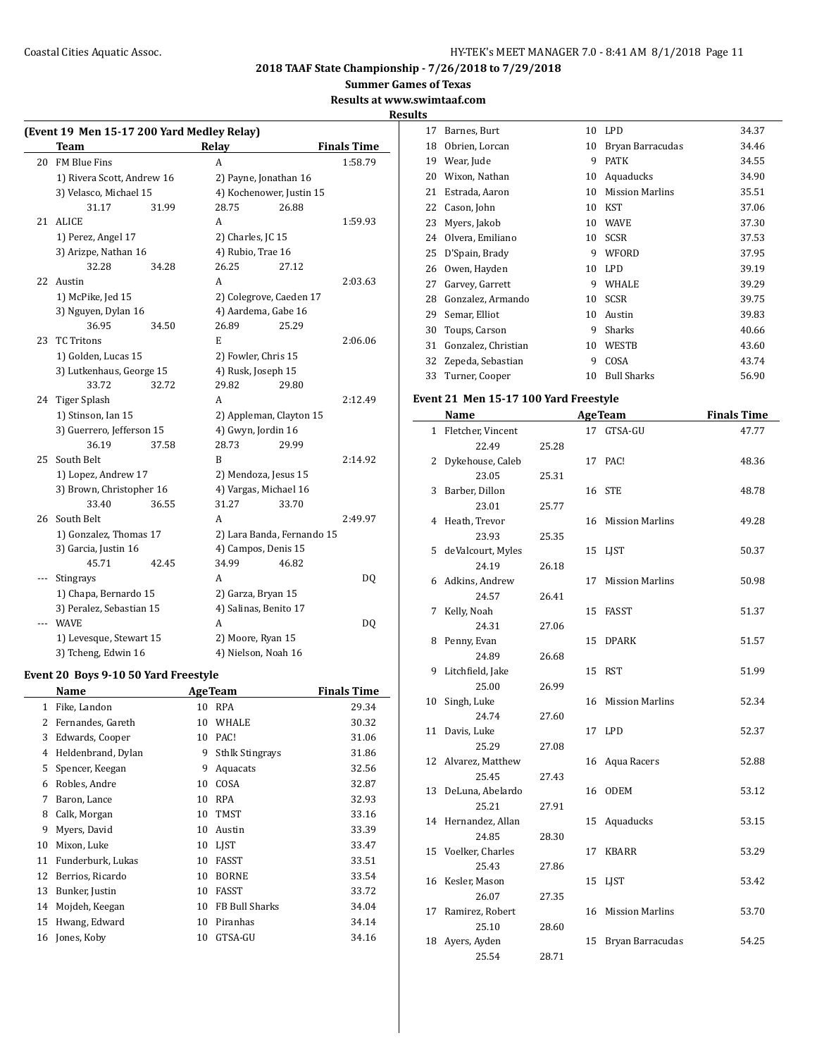**Summer Games of Texas**

#### **Results at www.swimtaaf.com**

**Results**

|     | (Event 19 Men 15-17 200 Yard Medley Relay) |       |                       |                            |                    |
|-----|--------------------------------------------|-------|-----------------------|----------------------------|--------------------|
|     | <b>Team</b>                                |       | Relay                 |                            | <b>Finals Time</b> |
| 20  | <b>FM Blue Fins</b>                        |       | A                     |                            | 1:58.79            |
|     | 1) Rivera Scott, Andrew 16                 |       |                       | 2) Payne, Jonathan 16      |                    |
|     | 3) Velasco, Michael 15                     |       |                       | 4) Kochenower, Justin 15   |                    |
|     | 31.17                                      | 31.99 | 28.75                 | 26.88                      |                    |
| 21  | <b>ALICE</b>                               |       | A                     |                            | 1:59.93            |
|     | 1) Perez, Angel 17                         |       | 2) Charles, JC 15     |                            |                    |
|     | 3) Arizpe, Nathan 16                       |       | 4) Rubio, Trae 16     |                            |                    |
|     | 32.28                                      | 34.28 | 26.25                 | 27.12                      |                    |
| 22  | Austin                                     |       | A                     |                            | 2:03.63            |
|     | 1) McPike, Jed 15                          |       |                       | 2) Colegrove, Caeden 17    |                    |
|     | 3) Nguyen, Dylan 16                        |       |                       | 4) Aardema, Gabe 16        |                    |
|     | 36.95                                      | 34.50 | 26.89                 | 25.29                      |                    |
| 23  | <b>TC Tritons</b>                          |       | E                     |                            | 2:06.06            |
|     | 1) Golden, Lucas 15                        |       |                       | 2) Fowler, Chris 15        |                    |
|     | 3) Lutkenhaus, George 15                   |       | 4) Rusk, Joseph 15    |                            |                    |
|     | 33.72                                      | 32.72 | 29.82                 | 29.80                      |                    |
| 24  | Tiger Splash                               |       | A                     |                            | 2:12.49            |
|     | 1) Stinson, Ian 15                         |       |                       | 2) Appleman, Clayton 15    |                    |
|     | 3) Guerrero, Jefferson 15                  |       | 4) Gwyn, Jordin 16    |                            |                    |
|     | 36.19                                      | 37.58 | 28.73                 | 29.99                      |                    |
| 25  | South Belt                                 |       | B                     |                            | 2:14.92            |
|     | 1) Lopez, Andrew 17                        |       |                       | 2) Mendoza, Jesus 15       |                    |
|     | 3) Brown, Christopher 16                   |       |                       | 4) Vargas, Michael 16      |                    |
|     | 33.40                                      | 36.55 | 31.27                 | 33.70                      |                    |
| 26  | South Belt                                 |       | A                     |                            | 2:49.97            |
|     | 1) Gonzalez, Thomas 17                     |       |                       | 2) Lara Banda, Fernando 15 |                    |
|     | 3) Garcia, Justin 16                       |       | 4) Campos, Denis 15   |                            |                    |
|     | 45.71                                      | 42.45 | 34.99                 | 46.82                      |                    |
| --- | Stingrays                                  |       | А                     |                            | DQ                 |
|     | 1) Chapa, Bernardo 15                      |       | 2) Garza, Bryan 15    |                            |                    |
|     | 3) Peralez, Sebastian 15                   |       | 4) Salinas, Benito 17 |                            |                    |
|     | <b>WAVE</b>                                |       | A                     |                            | DQ                 |
|     | 1) Levesque, Stewart 15                    |       | 2) Moore, Ryan 15     |                            |                    |
|     | 3) Tcheng, Edwin 16                        |       | 4) Nielson, Noah 16   |                            |                    |

# **Event 20 Boys 9-10 50 Yard Freestyle**

|    | Name               |    | <b>AgeTeam</b>         | <b>Finals Time</b> |
|----|--------------------|----|------------------------|--------------------|
| 1  | Fike, Landon       | 10 | <b>RPA</b>             | 29.34              |
| 2  | Fernandes, Gareth  | 10 | <b>WHALE</b>           | 30.32              |
| 3  | Edwards, Cooper    | 10 | PAC!                   | 31.06              |
| 4  | Heldenbrand, Dylan | 9  | <b>Sthlk Stingrays</b> | 31.86              |
| 5  | Spencer, Keegan    | 9  | Aquacats               | 32.56              |
| 6  | Robles, Andre      | 10 | COSA                   | 32.87              |
| 7  | Baron, Lance       | 10 | <b>RPA</b>             | 32.93              |
| 8  | Calk, Morgan       | 10 | <b>TMST</b>            | 33.16              |
| 9  | Myers, David       | 10 | Austin                 | 33.39              |
| 10 | Mixon, Luke        | 10 | LIST                   | 33.47              |
| 11 | Funderburk, Lukas  | 10 | <b>FASST</b>           | 33.51              |
| 12 | Berrios, Ricardo   | 10 | <b>BORNE</b>           | 33.54              |
| 13 | Bunker, Justin     | 10 | <b>FASST</b>           | 33.72              |
| 14 | Mojdeh, Keegan     | 10 | <b>FB Bull Sharks</b>  | 34.04              |
| 15 | Hwang, Edward      | 10 | Piranhas               | 34.14              |
| 16 | Jones, Koby        | 10 | GTSA-GU                | 34.16              |
|    |                    |    |                        |                    |

| 5  |                     |    |                        |       |
|----|---------------------|----|------------------------|-------|
| 17 | Barnes, Burt        | 10 | <b>LPD</b>             | 34.37 |
| 18 | Obrien, Lorcan      | 10 | Bryan Barracudas       | 34.46 |
| 19 | Wear, Jude          | 9  | <b>PATK</b>            | 34.55 |
| 20 | Wixon, Nathan       | 10 | Aquaducks              | 34.90 |
| 21 | Estrada, Aaron      | 10 | <b>Mission Marlins</b> | 35.51 |
| 22 | Cason, John         | 10 | KST                    | 37.06 |
| 23 | Myers, Jakob        | 10 | <b>WAVE</b>            | 37.30 |
| 24 | Olvera, Emiliano    | 10 | <b>SCSR</b>            | 37.53 |
| 25 | D'Spain, Brady      | 9  | WFORD                  | 37.95 |
| 26 | Owen, Hayden        | 10 | <b>LPD</b>             | 39.19 |
| 27 | Garvey, Garrett     | 9  | WHALE                  | 39.29 |
| 28 | Gonzalez, Armando   | 10 | <b>SCSR</b>            | 39.75 |
| 29 | Semar, Elliot       | 10 | Austin                 | 39.83 |
| 30 | Toups, Carson       | 9  | Sharks                 | 40.66 |
| 31 | Gonzalez, Christian | 10 | <b>WESTB</b>           | 43.60 |
| 32 | Zepeda, Sebastian   | 9  | COSA                   | 43.74 |
| 33 | Turner, Cooper      | 10 | <b>Bull Sharks</b>     | 56.90 |
|    |                     |    |                        |       |

## **Event 21 Men 15-17 100 Yard Freestyle**

|              | Name                |       |    | <b>AgeTeam</b>         | <b>Finals Time</b> |
|--------------|---------------------|-------|----|------------------------|--------------------|
| $\mathbf{1}$ | Fletcher, Vincent   |       |    | 17 GTSA-GU             | 47.77              |
|              | 22.49               | 25.28 |    |                        |                    |
| 2            | Dykehouse, Caleb    |       |    | 17 PAC!                | 48.36              |
|              | 23.05               | 25.31 |    |                        |                    |
| 3            | Barber, Dillon      |       |    | 16 STE                 | 48.78              |
|              | 23.01               | 25.77 |    |                        |                    |
|              | 4 Heath, Trevor     |       | 16 | <b>Mission Marlins</b> | 49.28              |
|              | 23.93               | 25.35 |    |                        |                    |
| 5            | deValcourt, Myles   |       |    | 15 LJST                | 50.37              |
|              | 24.19               | 26.18 |    |                        |                    |
|              | 6 Adkins, Andrew    |       | 17 | <b>Mission Marlins</b> | 50.98              |
|              | 24.57               | 26.41 |    |                        |                    |
| 7            | Kelly, Noah         |       | 15 | FASST                  | 51.37              |
|              | 24.31               | 27.06 |    |                        |                    |
| 8            | Penny, Evan         |       | 15 | <b>DPARK</b>           | 51.57              |
|              | 24.89               | 26.68 |    |                        |                    |
| 9            | Litchfield, Jake    |       | 15 | RST                    | 51.99              |
|              | 25.00               | 26.99 |    |                        |                    |
| 10           | Singh, Luke         |       | 16 | <b>Mission Marlins</b> | 52.34              |
|              | 24.74               | 27.60 |    |                        |                    |
| 11           | Davis, Luke         |       |    | 17 LPD                 | 52.37              |
|              | 25.29               | 27.08 |    |                        |                    |
|              | 12 Alvarez, Matthew |       |    | 16 Aqua Racers         | 52.88              |
|              | 25.45               | 27.43 |    |                        |                    |
| 13           | DeLuna, Abelardo    |       | 16 | ODEM                   | 53.12              |
|              | 25.21               | 27.91 |    |                        |                    |
|              | 14 Hernandez, Allan |       | 15 | Aquaducks              | 53.15              |
|              | 24.85               | 28.30 |    |                        |                    |
|              | 15 Voelker, Charles |       | 17 | <b>KBARR</b>           | 53.29              |
|              | 25.43               | 27.86 |    |                        |                    |
|              | 16 Kesler, Mason    |       | 15 | LJST                   | 53.42              |
|              | 26.07               | 27.35 |    |                        |                    |
| 17           | Ramirez, Robert     |       | 16 | <b>Mission Marlins</b> | 53.70              |
|              | 25.10               | 28.60 |    |                        |                    |
| 18           | Ayers, Ayden        |       | 15 | Bryan Barracudas       | 54.25              |
|              | 25.54               | 28.71 |    |                        |                    |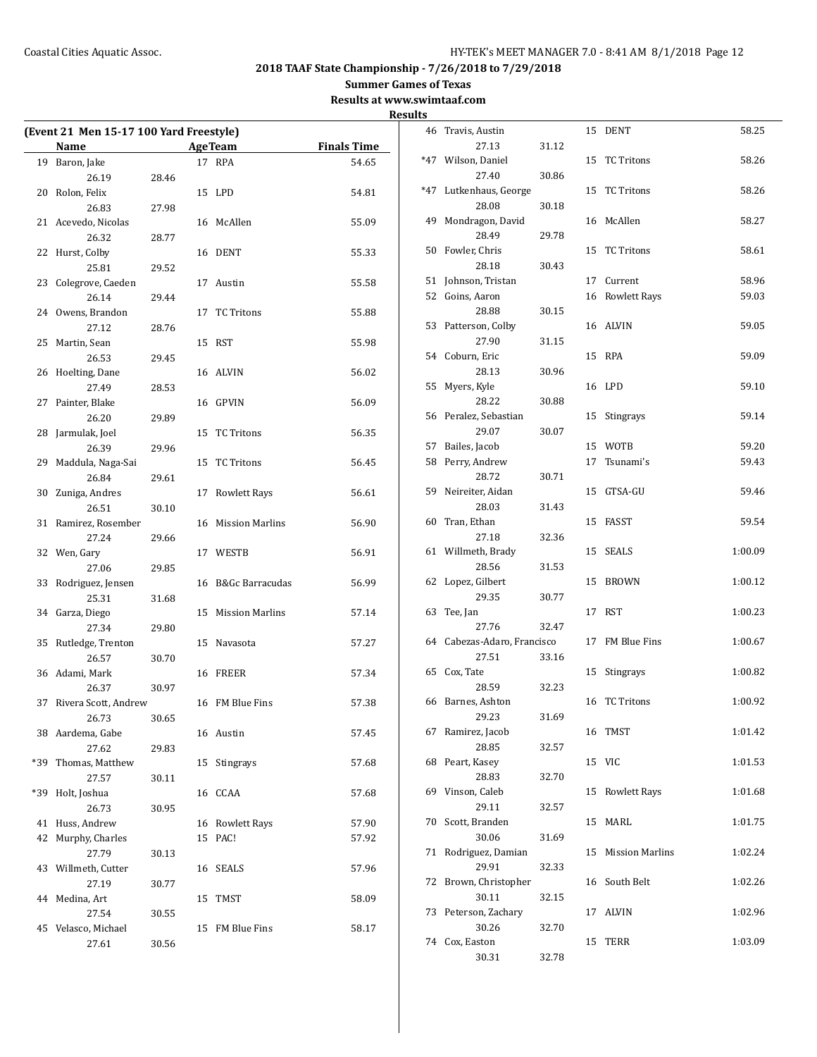**Summer Games of Texas**

**Results at www.swimtaaf.com**

|     | (Event 21 Men 15-17 100 Yard Freestyle)<br>Name |       |    | <b>AgeTeam</b>         | <b>Finals Time</b> |
|-----|-------------------------------------------------|-------|----|------------------------|--------------------|
| 19  | Baron, Jake                                     |       |    | 17 RPA                 | 54.65              |
|     | 26.19                                           | 28.46 |    |                        |                    |
|     | 20 Rolon, Felix                                 |       |    | 15 LPD                 | 54.81              |
|     | 26.83                                           | 27.98 |    |                        |                    |
|     | 21 Acevedo, Nicolas                             |       |    | 16 McAllen             | 55.09              |
|     | 26.32                                           | 28.77 |    |                        |                    |
| 22  | Hurst, Colby                                    |       |    | 16 DENT                | 55.33              |
|     | 25.81                                           | 29.52 |    |                        |                    |
| 23  | Colegrove, Caeden                               |       | 17 | Austin                 | 55.58              |
|     | 26.14                                           | 29.44 |    |                        |                    |
| 24  | Owens, Brandon                                  |       | 17 | <b>TC Tritons</b>      | 55.88              |
|     | 27.12                                           | 28.76 |    |                        |                    |
| 25  | Martin, Sean                                    |       | 15 | RST                    | 55.98              |
|     | 26.53                                           | 29.45 |    |                        |                    |
|     | 26 Hoelting, Dane                               |       | 16 | ALVIN                  | 56.02              |
|     | 27.49                                           | 28.53 |    |                        |                    |
| 27  | Painter, Blake                                  |       | 16 | GPVIN                  | 56.09              |
|     | 26.20                                           | 29.89 |    |                        |                    |
| 28  | Jarmulak, Joel<br>26.39                         |       | 15 | TC Tritons             | 56.35              |
| 29  | Maddula, Naga-Sai                               | 29.96 | 15 | <b>TC Tritons</b>      | 56.45              |
|     | 26.84                                           | 29.61 |    |                        |                    |
| 30  | Zuniga, Andres                                  |       | 17 | <b>Rowlett Rays</b>    | 56.61              |
|     | 26.51                                           | 30.10 |    |                        |                    |
| 31  | Ramirez, Rosember                               |       | 16 | <b>Mission Marlins</b> | 56.90              |
|     | 27.24                                           | 29.66 |    |                        |                    |
| 32  | Wen, Gary                                       |       | 17 | WESTB                  | 56.91              |
|     | 27.06                                           | 29.85 |    |                        |                    |
| 33  | Rodriguez, Jensen                               |       | 16 | B&Gc Barracudas        | 56.99              |
|     | 25.31                                           | 31.68 |    |                        |                    |
| 34  | Garza, Diego                                    |       | 15 | <b>Mission Marlins</b> | 57.14              |
|     | 27.34                                           | 29.80 |    |                        |                    |
| 35  | Rutledge, Trenton                               |       | 15 | Navasota               | 57.27              |
|     | 26.57                                           | 30.70 |    |                        |                    |
|     | 36 Adami, Mark                                  |       |    | 16 FREER               | 57.34              |
|     | 26.37                                           | 30.97 |    |                        |                    |
| 37  | Rivera Scott, Andrew                            |       |    | 16 FM Blue Fins        | 57.38              |
|     | 26.73                                           | 30.65 |    |                        |                    |
|     | 38 Aardema, Gabe                                |       |    | 16 Austin              | 57.45              |
|     | 27.62                                           | 29.83 |    |                        |                    |
| *39 | Thomas, Matthew                                 |       | 15 | Stingrays              | 57.68              |
|     | 27.57                                           | 30.11 |    |                        |                    |
| *39 | Holt, Joshua                                    |       |    | 16 CCAA                | 57.68              |
| 41  | 26.73<br>Huss, Andrew                           | 30.95 | 16 | <b>Rowlett Rays</b>    | 57.90              |
| 42  | Murphy, Charles                                 |       | 15 | PAC!                   | 57.92              |
|     | 27.79                                           | 30.13 |    |                        |                    |
| 43  | Willmeth, Cutter                                |       | 16 | SEALS                  | 57.96              |
|     | 27.19                                           | 30.77 |    |                        |                    |
| 44  | Medina, Art                                     |       | 15 | TMST                   | 58.09              |
|     | 27.54                                           | 30.55 |    |                        |                    |
| 45  | Velasco, Michael                                |       | 15 | FM Blue Fins           | 58.17              |
|     | 27.61                                           | 30.56 |    |                        |                    |

| <b>Results</b> |                             |       |    |                     |         |
|----------------|-----------------------------|-------|----|---------------------|---------|
|                | 46 Travis, Austin           |       |    | 15 DENT             | 58.25   |
|                | 27.13                       | 31.12 |    |                     |         |
|                | *47 Wilson, Daniel          |       |    | 15 TC Tritons       | 58.26   |
|                | 27.40                       | 30.86 |    |                     |         |
|                | *47 Lutkenhaus, George      |       |    | 15 TC Tritons       | 58.26   |
|                | 28.08                       | 30.18 |    |                     |         |
|                | 49 Mondragon, David         |       |    | 16 McAllen          | 58.27   |
|                | 28.49                       | 29.78 |    |                     |         |
|                | 50 Fowler, Chris            |       | 15 | TC Tritons          | 58.61   |
|                | 28.18                       | 30.43 |    |                     |         |
|                | 51 Johnson, Tristan         |       | 17 | Current             | 58.96   |
|                | 52 Goins, Aaron             |       |    | 16 Rowlett Rays     | 59.03   |
|                | 28.88                       | 30.15 |    |                     |         |
|                | 53 Patterson, Colby         |       |    | 16 ALVIN            | 59.05   |
|                | 27.90                       | 31.15 |    |                     |         |
|                | 54 Coburn, Eric             |       |    | 15 RPA              | 59.09   |
|                | 28.13                       | 30.96 |    |                     |         |
|                | 55 Myers, Kyle              |       |    | 16 LPD              | 59.10   |
|                | 28.22                       | 30.88 |    |                     |         |
|                | 56 Peralez, Sebastian       |       |    | 15 Stingrays        | 59.14   |
|                | 29.07                       | 30.07 |    |                     |         |
|                | 57 Bailes, Jacob            |       |    | 15 WOTB             | 59.20   |
|                | 58 Perry, Andrew            |       | 17 | Tsunami's           | 59.43   |
|                | 28.72                       | 30.71 |    |                     |         |
|                | 59 Neireiter, Aidan         |       |    | 15 GTSA-GU          | 59.46   |
|                | 28.03                       | 31.43 |    |                     |         |
|                | 60 Tran, Ethan              |       |    | 15 FASST            | 59.54   |
|                | 27.18                       | 32.36 |    |                     |         |
|                | 61 Willmeth, Brady          |       |    | 15 SEALS            | 1:00.09 |
|                | 28.56                       | 31.53 |    |                     |         |
|                | 62 Lopez, Gilbert           |       |    | 15 BROWN            | 1:00.12 |
|                | 29.35                       | 30.77 |    |                     |         |
|                | 63 Tee, Jan                 |       |    | 17 RST              | 1:00.23 |
|                | 27.76                       | 32.47 |    |                     |         |
|                | 64 Cabezas-Adaro, Francisco |       |    | 17 FM Blue Fins     | 1:00.67 |
|                | 27.51                       | 33.16 |    |                     |         |
|                | 65 Cox, Tate                |       | 15 | Stingrays           | 1:00.82 |
|                | 28.59                       | 32.23 |    |                     |         |
|                | 66 Barnes, Ashton           |       |    | 16 TC Tritons       | 1:00.92 |
|                | 29.23                       | 31.69 |    |                     |         |
|                | 67 Ramirez, Jacob           |       |    | 16 TMST             | 1:01.42 |
|                | 28.85                       | 32.57 |    |                     |         |
|                | 68 Peart, Kasey             |       |    | 15 VIC              | 1:01.53 |
|                | 28.83                       | 32.70 |    |                     |         |
|                | 69 Vinson, Caleb            |       | 15 | <b>Rowlett Rays</b> | 1:01.68 |
|                | 29.11                       | 32.57 |    |                     |         |
|                | 70 Scott, Branden           |       |    | 15 MARL             | 1:01.75 |
|                | 30.06                       | 31.69 |    |                     |         |
|                | 71 Rodriguez, Damian        |       |    | 15 Mission Marlins  | 1:02.24 |
|                | 29.91                       | 32.33 |    |                     |         |
|                | 72 Brown, Christopher       |       |    | 16 South Belt       | 1:02.26 |
|                | 30.11                       | 32.15 |    |                     |         |
|                | 73 Peterson, Zachary        |       |    | 17 ALVIN            | 1:02.96 |
|                | 30.26                       | 32.70 |    |                     |         |
|                | 74 Cox, Easton              |       |    | 15 TERR             | 1:03.09 |
|                | 30.31                       | 32.78 |    |                     |         |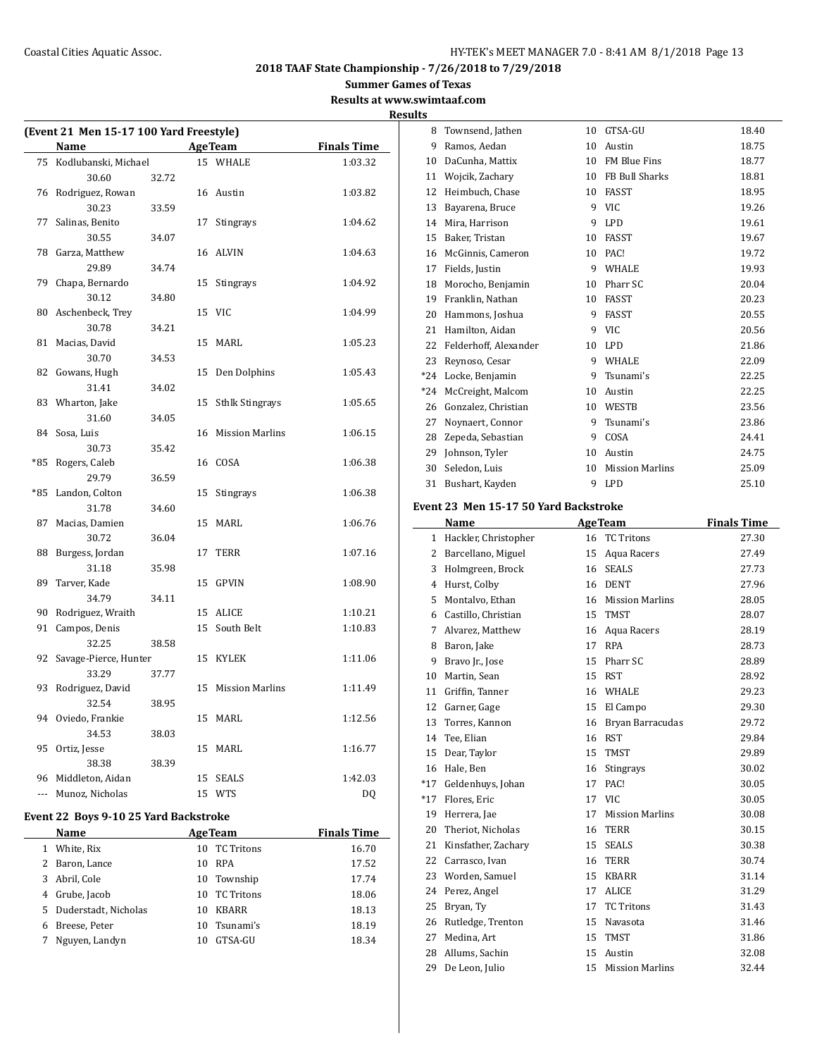**Summer Games of Texas**

**Results at www.swimtaaf.com Results**

| (Event 21 Men 15-17 100 Yard Freestyle) |                       |       |    |                        |                    |
|-----------------------------------------|-----------------------|-------|----|------------------------|--------------------|
|                                         | <b>Name</b>           |       |    | <b>AgeTeam</b>         | <b>Finals Time</b> |
| 75                                      | Kodlubanski, Michael  |       |    | 15 WHALE               | 1:03.32            |
|                                         | 30.60                 | 32.72 |    |                        |                    |
|                                         | 76 Rodriguez, Rowan   |       |    | 16 Austin              | 1:03.82            |
|                                         | 30.23                 | 33.59 |    |                        |                    |
| 77                                      | Salinas, Benito       |       | 17 | <b>Stingrays</b>       | 1:04.62            |
|                                         | 30.55                 | 34.07 |    |                        |                    |
| 78                                      | Garza, Matthew        |       | 16 | <b>ALVIN</b>           | 1:04.63            |
|                                         | 29.89                 | 34.74 |    |                        |                    |
| 79                                      | Chapa, Bernardo       |       | 15 | Stingrays              | 1:04.92            |
|                                         | 30.12                 | 34.80 |    |                        |                    |
| 80                                      | Aschenbeck, Trey      |       |    | 15 VIC                 | 1:04.99            |
|                                         | 30.78                 | 34.21 |    |                        |                    |
| 81                                      | Macias, David         |       | 15 | <b>MARL</b>            | 1:05.23            |
|                                         | 30.70                 | 34.53 |    |                        |                    |
| 82                                      | Gowans, Hugh          |       | 15 | Den Dolphins           | 1:05.43            |
|                                         | 31.41                 | 34.02 |    |                        |                    |
| 83                                      | Wharton, Jake         |       | 15 | <b>Sthlk Stingrays</b> | 1:05.65            |
|                                         | 31.60                 | 34.05 |    |                        |                    |
| 84                                      | Sosa, Luis            |       | 16 | Mission Marlins        | 1:06.15            |
|                                         | 30.73                 | 35.42 |    |                        |                    |
| $*85$                                   | Rogers, Caleb         |       |    | 16 COSA                | 1:06.38            |
|                                         | 29.79                 | 36.59 |    |                        |                    |
| $*85$                                   | Landon, Colton        |       | 15 | Stingrays              | 1:06.38            |
|                                         | 31.78                 | 34.60 |    |                        |                    |
| 87                                      | Macias, Damien        |       | 15 | MARL                   | 1:06.76            |
|                                         | 30.72                 | 36.04 |    |                        |                    |
| 88                                      | Burgess, Jordan       |       | 17 | TERR                   | 1:07.16            |
|                                         | 31.18                 | 35.98 |    |                        |                    |
| 89                                      | Tarver, Kade          |       | 15 | <b>GPVIN</b>           | 1:08.90            |
|                                         | 34.79                 | 34.11 |    |                        |                    |
| 90                                      | Rodriguez, Wraith     |       | 15 | <b>ALICE</b>           | 1:10.21            |
| 91                                      | Campos, Denis         |       | 15 | South Belt             | 1:10.83            |
|                                         | 32.25                 | 38.58 |    |                        |                    |
| 92                                      | Savage-Pierce, Hunter |       | 15 | <b>KYLEK</b>           | 1:11.06            |
|                                         | 33.29                 | 37.77 |    |                        |                    |
| 93                                      | Rodriguez, David      |       |    | 15 Mission Marlins     | 1:11.49            |
|                                         | 32.54                 | 38.95 |    |                        |                    |
| 94                                      | Oviedo, Frankie       |       |    | 15 MARL                | 1:12.56            |
|                                         | 34.53                 | 38.03 |    |                        |                    |
| 95                                      | Ortiz, Jesse          |       | 15 | MARL                   | 1:16.77            |
|                                         | 38.38                 | 38.39 |    |                        |                    |
| 96                                      | Middleton, Aidan      |       | 15 | <b>SEALS</b>           | 1:42.03            |
| ---                                     | Munoz, Nicholas       |       |    | 15 WTS                 | DQ                 |
|                                         |                       |       |    |                        |                    |

# **Event 22 Boys 9-10 25 Yard Backstroke**

| <b>Name</b>    | <b>AgeTeam</b>                                                 | <b>Finals Time</b> |
|----------------|----------------------------------------------------------------|--------------------|
| White, Rix     | <b>TC Tritons</b><br>10                                        | 16.70              |
| Baron, Lance   | <b>RPA</b><br>10                                               | 17.52              |
|                | Township<br>10                                                 | 17.74              |
|                | TC Tritons<br>10                                               | 18.06              |
|                | <b>KBARR</b><br>10                                             | 18.13              |
| Breese, Peter  | Tsunami's<br>10                                                | 18.19              |
| Nguyen, Landyn | GTSA-GU<br>10                                                  | 18.34              |
|                | 2<br>3 Abril, Cole<br>4 Grube, Jacob<br>5 Duderstadt, Nicholas |                    |

| 8     | Townsend, Jathen      | 10 | GTSA-GU                | 18.40 |
|-------|-----------------------|----|------------------------|-------|
| 9     | Ramos, Aedan          | 10 | Austin                 | 18.75 |
| 10    | DaCunha, Mattix       | 10 | <b>FM Blue Fins</b>    | 18.77 |
| 11    | Wojcik, Zachary       | 10 | FB Bull Sharks         | 18.81 |
| 12    | Heimbuch, Chase       | 10 | FASST                  | 18.95 |
| 13    | Bayarena, Bruce       | 9  | <b>VIC</b>             | 19.26 |
| 14    | Mira, Harrison        | 9  | <b>LPD</b>             | 19.61 |
| 15    | Baker, Tristan        | 10 | FASST                  | 19.67 |
| 16    | McGinnis, Cameron     | 10 | PAC!                   | 19.72 |
| 17    | Fields, Justin        | 9  | WHALE                  | 19.93 |
| 18    | Morocho, Benjamin     | 10 | Pharr SC               | 20.04 |
| 19    | Franklin, Nathan      | 10 | FASST                  | 20.23 |
| 20    | Hammons, Joshua       | 9  | <b>FASST</b>           | 20.55 |
| 21    | Hamilton, Aidan       | 9  | <b>VIC</b>             | 20.56 |
| 22    | Felderhoff, Alexander | 10 | <b>LPD</b>             | 21.86 |
| 23    | Reynoso, Cesar        | 9  | WHALE                  | 22.09 |
| $*24$ | Locke, Benjamin       | 9  | Tsunami's              | 22.25 |
| *24   | McCreight, Malcom     | 10 | Austin                 | 22.25 |
| 26    | Gonzalez, Christian   | 10 | WESTB                  | 23.56 |
| 27    | Noynaert, Connor      | 9  | Tsunami's              | 23.86 |
| 28    | Zepeda, Sebastian     | 9  | COSA                   | 24.41 |
| 29    | Johnson, Tyler        | 10 | Austin                 | 24.75 |
| 30    | Seledon, Luis         | 10 | <b>Mission Marlins</b> | 25.09 |
| 31    | Bushart, Kayden       | 9  | <b>LPD</b>             | 25.10 |

# **Event 23 Men 15-17 50 Yard Backstroke**

|              | Name                 |    | <b>AgeTeam</b>         | <b>Finals Time</b> |
|--------------|----------------------|----|------------------------|--------------------|
| $\mathbf{1}$ | Hackler, Christopher | 16 | <b>TC Tritons</b>      | 27.30              |
| 2            | Barcellano, Miguel   | 15 | Aqua Racers            | 27.49              |
| 3            | Holmgreen, Brock     | 16 | <b>SEALS</b>           | 27.73              |
| 4            | Hurst, Colby         | 16 | <b>DENT</b>            | 27.96              |
| 5            | Montalvo, Ethan      | 16 | <b>Mission Marlins</b> | 28.05              |
| 6            | Castillo, Christian  | 15 | <b>TMST</b>            | 28.07              |
| 7            | Alvarez, Matthew     | 16 | Aqua Racers            | 28.19              |
| 8            | Baron, Jake          | 17 | <b>RPA</b>             | 28.73              |
| 9            | Bravo Jr., Jose      | 15 | Pharr SC               | 28.89              |
| 10           | Martin, Sean         | 15 | <b>RST</b>             | 28.92              |
| 11           | Griffin, Tanner      | 16 | <b>WHALE</b>           | 29.23              |
| 12           | Garner, Gage         | 15 | El Campo               | 29.30              |
| 13           | Torres, Kannon       | 16 | Bryan Barracudas       | 29.72              |
| 14           | Tee, Elian           | 16 | <b>RST</b>             | 29.84              |
| 15           | Dear, Taylor         | 15 | <b>TMST</b>            | 29.89              |
| 16           | Hale, Ben            | 16 | Stingrays              | 30.02              |
| $*17$        | Geldenhuys, Johan    | 17 | PAC!                   | 30.05              |
| $*17$        | Flores, Eric         | 17 | <b>VIC</b>             | 30.05              |
| 19           | Herrera, Jae         | 17 | <b>Mission Marlins</b> | 30.08              |
| 20           | Theriot, Nicholas    | 16 | <b>TERR</b>            | 30.15              |
| 21           | Kinsfather, Zachary  | 15 | <b>SEALS</b>           | 30.38              |
| 22           | Carrasco, Ivan       | 16 | <b>TERR</b>            | 30.74              |
| 23           | Worden, Samuel       | 15 | <b>KBARR</b>           | 31.14              |
| 24           | Perez, Angel         | 17 | <b>ALICE</b>           | 31.29              |
| 25           | Bryan, Ty            | 17 | <b>TC Tritons</b>      | 31.43              |
| 26           | Rutledge, Trenton    | 15 | Navasota               | 31.46              |
| 27           | Medina, Art          | 15 | <b>TMST</b>            | 31.86              |
| 28           | Allums, Sachin       | 15 | Austin                 | 32.08              |
| 29           | De Leon, Julio       | 15 | <b>Mission Marlins</b> | 32.44              |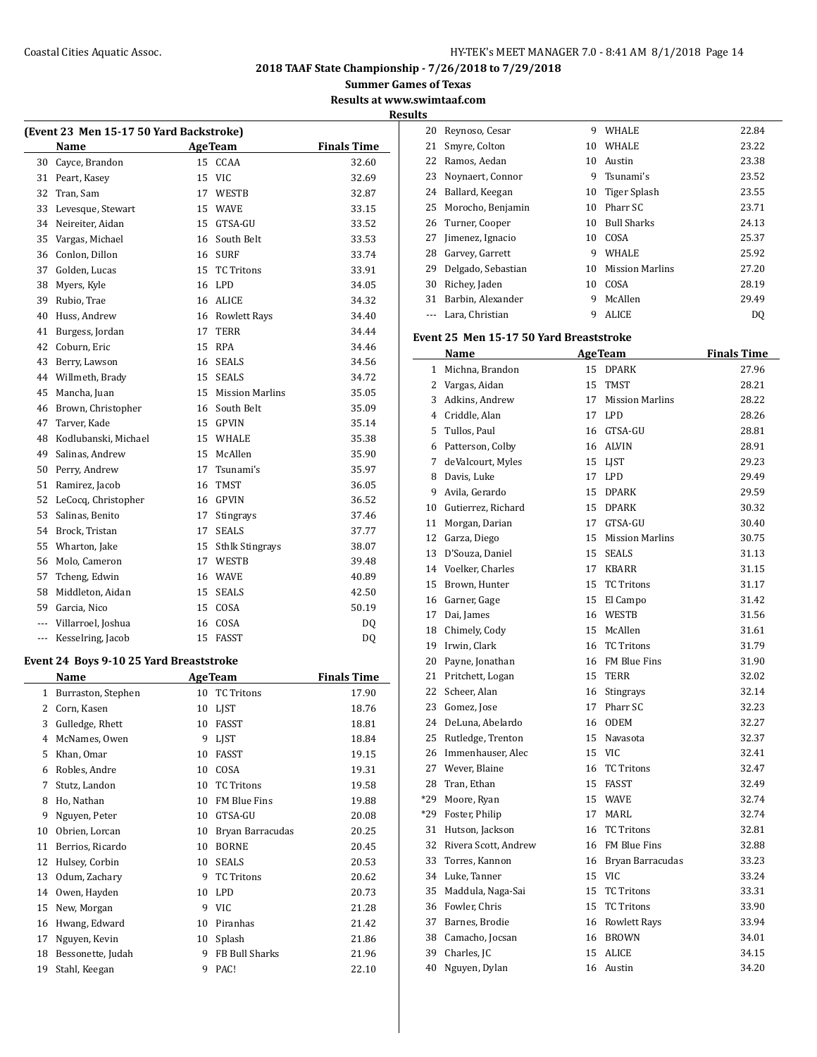**(Event 23 Men 15-17 50 Yard Backstroke) Name Age Team** 30 Cayce, Brandon 15 CCAA

**2018 TAAF State Championship - 7/26/2018 to 7/29/2018**

**Summer Games of Texas**

**Results at www.swimtaaf.com**

|                    | <b>Results</b> |
|--------------------|----------------|
|                    | 2              |
| <b>Finals Time</b> | 2              |
| 32.60              | 7              |
| 32.69              |                |

| 31  | Peart, Kasey         | 15 | <b>VIC</b>             | 32.69 |
|-----|----------------------|----|------------------------|-------|
| 32  | Tran, Sam            | 17 | WESTB                  | 32.87 |
| 33  | Levesque, Stewart    | 15 | <b>WAVE</b>            | 33.15 |
| 34  | Neireiter, Aidan     | 15 | GTSA-GU                | 33.52 |
| 35  | Vargas, Michael      | 16 | South Belt             | 33.53 |
| 36  | Conlon, Dillon       | 16 | <b>SURF</b>            | 33.74 |
| 37  | Golden, Lucas        | 15 | <b>TC Tritons</b>      | 33.91 |
| 38  | Myers, Kyle          | 16 | <b>LPD</b>             | 34.05 |
| 39  | Rubio, Trae          | 16 | <b>ALICE</b>           | 34.32 |
| 40  | Huss, Andrew         | 16 | <b>Rowlett Rays</b>    | 34.40 |
| 41  | Burgess, Jordan      | 17 | <b>TERR</b>            | 34.44 |
| 42  | Coburn, Eric         | 15 | <b>RPA</b>             | 34.46 |
| 43  | Berry, Lawson        | 16 | <b>SEALS</b>           | 34.56 |
| 44  | Willmeth, Brady      | 15 | <b>SEALS</b>           | 34.72 |
| 45  | Mancha, Juan         | 15 | <b>Mission Marlins</b> | 35.05 |
| 46  | Brown, Christopher   | 16 | South Belt             | 35.09 |
| 47  | Tarver, Kade         | 15 | <b>GPVIN</b>           | 35.14 |
| 48  | Kodlubanski, Michael | 15 | WHALE                  | 35.38 |
| 49  | Salinas, Andrew      | 15 | McAllen                | 35.90 |
| 50  | Perry, Andrew        | 17 | Tsunami's              | 35.97 |
| 51  | Ramirez, Jacob       | 16 | TMST                   | 36.05 |
| 52  | LeCocq, Christopher  | 16 | <b>GPVIN</b>           | 36.52 |
| 53  | Salinas, Benito      | 17 | Stingrays              | 37.46 |
| 54  | Brock, Tristan       | 17 | <b>SEALS</b>           | 37.77 |
| 55  | Wharton, Jake        | 15 | <b>Sthlk Stingrays</b> | 38.07 |
| 56  | Molo, Cameron        | 17 | WESTB                  | 39.48 |
| 57  | Tcheng, Edwin        | 16 | <b>WAVE</b>            | 40.89 |
| 58  | Middleton, Aidan     | 15 | <b>SEALS</b>           | 42.50 |
| 59  | Garcia, Nico         | 15 | COSA                   | 50.19 |
| --- | Villarroel, Joshua   | 16 | COSA                   | DQ    |
| --- | Kesselring, Jacob    | 15 | <b>FASST</b>           | DQ    |

#### **Event 24 Boys 9-10 25 Yard Breaststroke**

| Name           |                    |    | <b>AgeTeam</b>      | <b>Finals Time</b> |
|----------------|--------------------|----|---------------------|--------------------|
| 1              | Burraston, Stephen | 10 | <b>TC Tritons</b>   | 17.90              |
| 2              | Corn, Kasen        | 10 | LJST                | 18.76              |
| 3              | Gulledge, Rhett    | 10 | FASST               | 18.81              |
| $\overline{4}$ | McNames, Owen      | 9  | <b>LIST</b>         | 18.84              |
| 5              | Khan, Omar         | 10 | FASST               | 19.15              |
| 6              | Robles, Andre      | 10 | COSA                | 19.31              |
| 7              | Stutz, Landon      | 10 | <b>TC Tritons</b>   | 19.58              |
| 8              | Ho, Nathan         | 10 | <b>FM Blue Fins</b> | 19.88              |
| 9              | Nguyen, Peter      | 10 | GTSA-GU             | 20.08              |
| 10             | Obrien, Lorcan     | 10 | Bryan Barracudas    | 20.25              |
| 11             | Berrios, Ricardo   | 10 | <b>BORNE</b>        | 20.45              |
| 12             | Hulsey, Corbin     | 10 | <b>SEALS</b>        | 20.53              |
| 13             | Odum, Zachary      | 9  | <b>TC Tritons</b>   | 20.62              |
| 14             | Owen, Hayden       | 10 | <b>LPD</b>          | 20.73              |
| 15             | New, Morgan        | 9  | <b>VIC</b>          | 21.28              |
| 16             | Hwang, Edward      | 10 | Piranhas            | 21.42              |
| 17             | Nguyen, Kevin      | 10 | Splash              | 21.86              |
| 18             | Bessonette, Judah  | 9  | FB Bull Sharks      | 21.96              |
| 19             | Stahl, Keegan      | 9  | PAC!                | 22.10              |
|                |                    |    |                     |                    |

| 20 | Reynoso, Cesar     | 9  | <b>WHALE</b>           | 22.84 |
|----|--------------------|----|------------------------|-------|
| 21 | Smyre, Colton      | 10 | <b>WHALE</b>           | 23.22 |
| 22 | Ramos, Aedan       | 10 | Austin                 | 23.38 |
| 23 | Noynaert, Connor   | 9  | Tsunami's              | 23.52 |
| 24 | Ballard, Keegan    |    | 10 Tiger Splash        | 23.55 |
| 25 | Morocho, Benjamin  | 10 | Pharr SC               | 23.71 |
|    | 26 Turner, Cooper  | 10 | <b>Bull Sharks</b>     | 24.13 |
| 27 | Jimenez, Ignacio   | 10 | COSA                   | 25.37 |
| 28 | Garvey, Garrett    | 9  | <b>WHALE</b>           | 25.92 |
| 29 | Delgado, Sebastian | 10 | <b>Mission Marlins</b> | 27.20 |
| 30 | Richey, Jaden      | 10 | COSA                   | 28.19 |
| 31 | Barbin, Alexander  | 9  | McAllen                | 29.49 |
|    | Lara, Christian    | 9  | <b>ALICE</b>           | DQ    |

#### **Event 25 Men 15-17 50 Yard Breaststroke**

|              | Name                  |    | <b>AgeTeam</b>         | <b>Finals Time</b> |
|--------------|-----------------------|----|------------------------|--------------------|
| $\mathbf{1}$ | Michna, Brandon       | 15 | <b>DPARK</b>           | 27.96              |
|              | 2 Vargas, Aidan       | 15 | <b>TMST</b>            | 28.21              |
|              | 3 Adkins. Andrew      | 17 | <b>Mission Marlins</b> | 28.22              |
|              | 4 Criddle, Alan       | 17 | LPD                    | 28.26              |
| 5            | Tullos, Paul          | 16 | GTSA-GU                | 28.81              |
| 6            | Patterson, Colby      | 16 | <b>ALVIN</b>           | 28.91              |
| $7^{\circ}$  | deValcourt, Myles     | 15 | <b>LIST</b>            | 29.23              |
| 8            | Davis, Luke           | 17 | LPD                    | 29.49              |
| 9            | Avila, Gerardo        | 15 | <b>DPARK</b>           | 29.59              |
|              | 10 Gutierrez, Richard | 15 | <b>DPARK</b>           | 30.32              |
| 11           | Morgan, Darian        | 17 | GTSA-GU                | 30.40              |
| 12           | Garza, Diego          | 15 | <b>Mission Marlins</b> | 30.75              |
| 13           | D'Souza, Daniel       | 15 | <b>SEALS</b>           | 31.13              |
|              | 14 Voelker, Charles   | 17 | <b>KBARR</b>           | 31.15              |
| 15           | Brown, Hunter         | 15 | <b>TC Tritons</b>      | 31.17              |
|              | 16 Garner, Gage       | 15 | El Campo               | 31.42              |
| 17           | Dai, James            | 16 | WESTB                  | 31.56              |
| 18           | Chimely, Cody         | 15 | McAllen                | 31.61              |
| 19           | Irwin, Clark          | 16 | <b>TC Tritons</b>      | 31.79              |
| 20           | Payne, Jonathan       | 16 | <b>FM Blue Fins</b>    | 31.90              |
| 21           | Pritchett, Logan      | 15 | <b>TERR</b>            | 32.02              |
| 22           | Scheer, Alan          | 16 | <b>Stingrays</b>       | 32.14              |
| 23           | Gomez, Jose           | 17 | Pharr SC               | 32.23              |
| 24           | DeLuna, Abelardo      | 16 | <b>ODEM</b>            | 32.27              |
|              | 25 Rutledge, Trenton  | 15 | Navasota               | 32.37              |
|              | 26 Immenhauser, Alec  | 15 | <b>VIC</b>             | 32.41              |
|              | 27 Wever, Blaine      | 16 | <b>TC Tritons</b>      | 32.47              |
| 28           | Tran, Ethan           | 15 | <b>FASST</b>           | 32.49              |
| *29          | Moore, Ryan           | 15 | <b>WAVE</b>            | 32.74              |
| *29          | Foster, Philip        | 17 | <b>MARL</b>            | 32.74              |
| 31           | Hutson, Jackson       | 16 | <b>TC Tritons</b>      | 32.81              |
| 32           | Rivera Scott, Andrew  | 16 | <b>FM Blue Fins</b>    | 32.88              |
| 33           | Torres, Kannon        | 16 | Bryan Barracudas       | 33.23              |
|              | 34 Luke, Tanner       | 15 | <b>VIC</b>             | 33.24              |
| 35           | Maddula, Naga-Sai     | 15 | <b>TC Tritons</b>      | 33.31              |
| 36           | Fowler, Chris         | 15 | <b>TC Tritons</b>      | 33.90              |
| 37           | Barnes, Brodie        | 16 | <b>Rowlett Rays</b>    | 33.94              |
| 38           | Camacho, Jocsan       | 16 | <b>BROWN</b>           | 34.01              |
| 39           | Charles, JC           | 15 | <b>ALICE</b>           | 34.15              |
| 40           | Nguyen, Dylan         | 16 | Austin                 | 34.20              |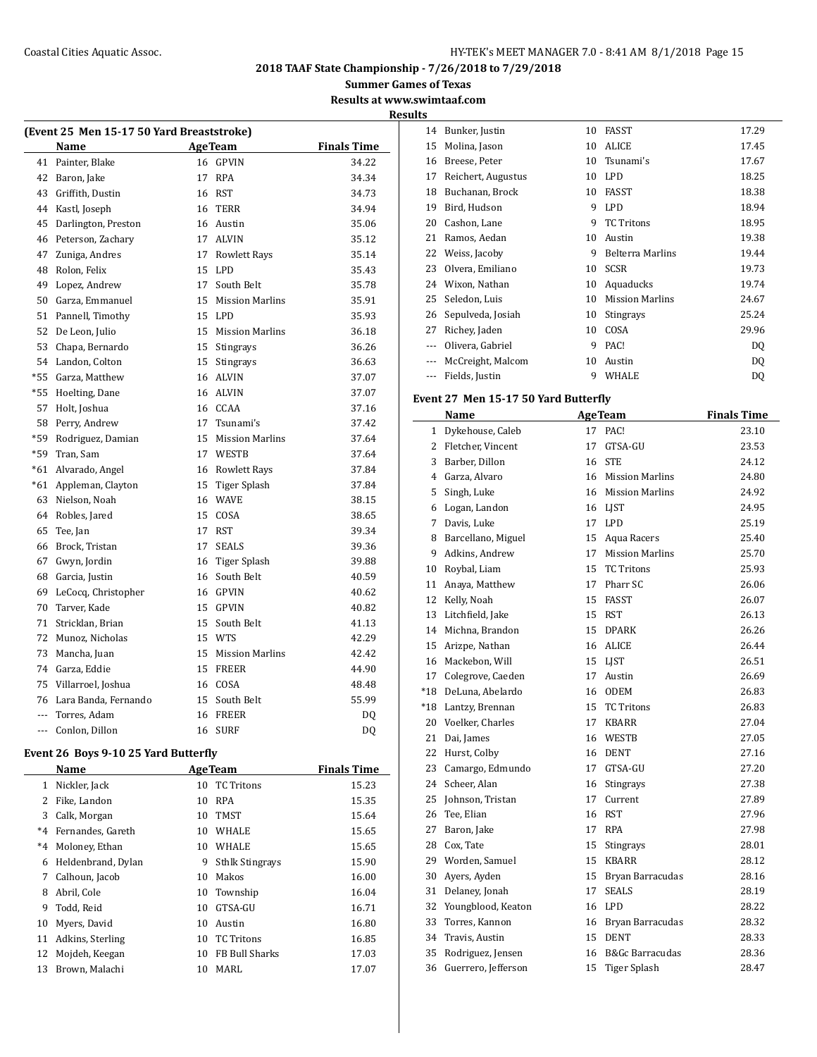## Coastal Cities Aquatic Assoc. The Coastal Cities Aquatic Assoc. The Coastal Cities Aquatic Assoc.

**2018 TAAF State Championship - 7/26/2018 to 7/29/2018**

**Summer Games of Texas**

**Results at www.swimtaaf.com Results**

| (Event 25 Men 15-17 50 Yard Breaststroke) |                      |    |                     |                    |  |  |
|-------------------------------------------|----------------------|----|---------------------|--------------------|--|--|
|                                           | Name                 |    | <b>Age Team</b>     | <b>Finals Time</b> |  |  |
| 41                                        | Painter, Blake       |    | 16 GPVIN            | 34.22              |  |  |
| 42                                        | Baron, Jake          | 17 | RPA                 | 34.34              |  |  |
| 43                                        | Griffith, Dustin     |    | 16 RST              | 34.73              |  |  |
| 44                                        | Kastl, Joseph        |    | 16 TERR             | 34.94              |  |  |
| 45                                        | Darlington, Preston  |    | 16 Austin           | 35.06              |  |  |
| 46                                        | Peterson, Zachary    |    | 17 ALVIN            | 35.12              |  |  |
| 47                                        | Zuniga, Andres       | 17 | <b>Rowlett Rays</b> | 35.14              |  |  |
| 48                                        | Rolon, Felix         |    | 15 LPD              | 35.43              |  |  |
| 49                                        | Lopez, Andrew        |    | 17 South Belt       | 35.78              |  |  |
| 50                                        | Garza, Emmanuel      |    | 15 Mission Marlins  | 35.91              |  |  |
| 51                                        | Pannell, Timothy     |    | 15 LPD              | 35.93              |  |  |
| 52                                        | De Leon, Julio       |    | 15 Mission Marlins  | 36.18              |  |  |
| 53                                        | Chapa, Bernardo      |    | 15 Stingrays        | 36.26              |  |  |
| 54                                        | Landon, Colton       | 15 | Stingrays           | 36.63              |  |  |
| $*55$                                     | Garza, Matthew       |    | 16 ALVIN            | 37.07              |  |  |
| $*55$                                     | Hoelting, Dane       |    | 16 ALVIN            | 37.07              |  |  |
| 57                                        | Holt, Joshua         |    | 16 CCAA             | 37.16              |  |  |
| 58                                        | Perry, Andrew        |    | 17 Tsunami's        | 37.42              |  |  |
| $*59$                                     | Rodriguez, Damian    |    | 15 Mission Marlins  | 37.64              |  |  |
| $*59$                                     | Tran, Sam            |    | 17 WESTB            | 37.64              |  |  |
| $*61$                                     | Alvarado, Angel      |    | 16 Rowlett Rays     | 37.84              |  |  |
| $*61$                                     | Appleman, Clayton    |    | 15 Tiger Splash     | 37.84              |  |  |
| 63                                        | Nielson, Noah        |    | 16 WAVE             | 38.15              |  |  |
| 64                                        | Robles, Jared        |    | 15 COSA             | 38.65              |  |  |
| 65                                        | Tee, Jan             |    | 17 RST              | 39.34              |  |  |
| 66                                        | Brock, Tristan       | 17 | <b>SEALS</b>        | 39.36              |  |  |
| 67                                        | Gwyn, Jordin         |    | 16 Tiger Splash     | 39.88              |  |  |
| 68                                        | Garcia, Justin       | 16 | South Belt          | 40.59              |  |  |
| 69                                        | LeCocq, Christopher  |    | 16 GPVIN            | 40.62              |  |  |
| 70                                        | Tarver, Kade         |    | 15 GPVIN            | 40.82              |  |  |
| 71                                        | Stricklan, Brian     |    | 15 South Belt       | 41.13              |  |  |
| 72                                        | Munoz, Nicholas      |    | 15 WTS              | 42.29              |  |  |
| 73                                        | Mancha, Juan         |    | 15 Mission Marlins  | 42.42              |  |  |
| 74                                        | Garza, Eddie         |    | 15 FREER            | 44.90              |  |  |
| 75                                        | Villarroel, Joshua   |    | 16 COSA             | 48.48              |  |  |
| 76                                        | Lara Banda, Fernando |    | 15 South Belt       | 55.99              |  |  |
| $\overline{a}$                            | Torres. Adam         |    | 16 FREER            | DO.                |  |  |
| $\sim$                                    | Conlon, Dillon       | 16 | <b>SURF</b>         | DO.                |  |  |

## **Event 26 Boys 9-10 25 Yard Butterfly**

 $\frac{1}{2}$ 

|         | Name               |    | <b>AgeTeam</b>         | <b>Finals Time</b> |
|---------|--------------------|----|------------------------|--------------------|
| 1       | Nickler, Jack      | 10 | TC Tritons             | 15.23              |
| 2       | Fike, Landon       | 10 | <b>RPA</b>             | 15.35              |
| 3       | Calk, Morgan       | 10 | <b>TMST</b>            | 15.64              |
| $*_{4}$ | Fernandes, Gareth  | 10 | <b>WHALE</b>           | 15.65              |
| $*_{4}$ | Moloney, Ethan     | 10 | <b>WHALE</b>           | 15.65              |
| 6       | Heldenbrand, Dylan | 9  | <b>Sthlk Stingrays</b> | 15.90              |
| 7       | Calhoun, Jacob     | 10 | Makos                  | 16.00              |
| 8       | Abril, Cole        | 10 | Township               | 16.04              |
| 9       | Todd, Reid         | 10 | GTSA-GU                | 16.71              |
| 10      | Myers, David       | 10 | Austin                 | 16.80              |
| 11      | Adkins, Sterling   | 10 | <b>TC</b> Tritons      | 16.85              |
| 12      | Mojdeh, Keegan     | 10 | FB Bull Sharks         | 17.03              |
| 13      | Brown, Malachi     | 10 | MARL                   | 17.07              |

| æ,       |                    |    |                         |       |
|----------|--------------------|----|-------------------------|-------|
| 14       | Bunker, Justin     | 10 | FASST                   | 17.29 |
| 15       | Molina, Jason      | 10 | <b>ALICE</b>            | 17.45 |
| 16       | Breese, Peter      | 10 | Tsunami's               | 17.67 |
| 17       | Reichert, Augustus | 10 | <b>LPD</b>              | 18.25 |
| 18       | Buchanan, Brock    | 10 | FASST                   | 18.38 |
| 19       | Bird, Hudson       | 9  | <b>LPD</b>              | 18.94 |
| 20       | Cashon, Lane       | 9  | <b>TC Tritons</b>       | 18.95 |
| 21       | Ramos, Aedan       | 10 | Austin                  | 19.38 |
| 22       | Weiss, Jacoby      | 9  | <b>Belterra Marlins</b> | 19.44 |
| 23       | Olvera, Emiliano   | 10 | <b>SCSR</b>             | 19.73 |
| 24       | Wixon, Nathan      | 10 | Aquaducks               | 19.74 |
| 25       | Seledon, Luis      | 10 | <b>Mission Marlins</b>  | 24.67 |
| 26       | Sepulveda, Josiah  | 10 | Stingrays               | 25.24 |
| 27       | Richey, Jaden      | 10 | COSA                    | 29.96 |
|          | Olivera, Gabriel   | 9  | PAC!                    | DQ    |
| $\cdots$ | McCreight, Malcom  | 10 | Austin                  | DQ    |
| $- - -$  | Fields, Justin     | 9  | WHALE                   | DQ    |

# **Event 27 Men 15-17 50 Yard Butterfly**

|                | Name                |    | <b>AgeTeam</b>             | <b>Finals Time</b> |
|----------------|---------------------|----|----------------------------|--------------------|
| $\mathbf{1}$   | Dykehouse, Caleb    | 17 | PAC!                       | 23.10              |
| $\overline{2}$ | Fletcher, Vincent   | 17 | GTSA-GU                    | 23.53              |
| 3              | Barber, Dillon      | 16 | <b>STE</b>                 | 24.12              |
| 4              | Garza, Alvaro       | 16 | <b>Mission Marlins</b>     | 24.80              |
| 5              | Singh, Luke         | 16 | <b>Mission Marlins</b>     | 24.92              |
| 6              | Logan, Landon       | 16 | LJST                       | 24.95              |
| 7              | Davis, Luke         | 17 | <b>LPD</b>                 | 25.19              |
| 8              | Barcellano, Miguel  | 15 | Aqua Racers                | 25.40              |
| 9              | Adkins, Andrew      | 17 | <b>Mission Marlins</b>     | 25.70              |
| 10             | Roybal, Liam        | 15 | <b>TC Tritons</b>          | 25.93              |
| 11             | Anaya, Matthew      | 17 | Pharr SC                   | 26.06              |
| 12             | Kelly, Noah         | 15 | FASST                      | 26.07              |
| 13             | Litchfield, Jake    | 15 | <b>RST</b>                 | 26.13              |
| 14             | Michna, Brandon     | 15 | <b>DPARK</b>               | 26.26              |
| 15             | Arizpe, Nathan      | 16 | ALICE                      | 26.44              |
| 16             | Mackebon, Will      | 15 | <b>LIST</b>                | 26.51              |
| 17             | Colegrove, Caeden   | 17 | Austin                     | 26.69              |
| $*18$          | DeLuna, Abelardo    | 16 | <b>ODEM</b>                | 26.83              |
| $*18$          | Lantzy, Brennan     | 15 | <b>TC Tritons</b>          | 26.83              |
| 20             | Voelker, Charles    | 17 | <b>KBARR</b>               | 27.04              |
| 21             | Dai, James          | 16 | WESTB                      | 27.05              |
| 22             | Hurst, Colby        | 16 | <b>DENT</b>                | 27.16              |
| 23             | Camargo, Edmundo    | 17 | GTSA-GU                    | 27.20              |
| 24             | Scheer, Alan        | 16 | Stingrays                  | 27.38              |
| 25             | Johnson, Tristan    | 17 | Current                    | 27.89              |
| 26             | Tee, Elian          | 16 | <b>RST</b>                 | 27.96              |
| 27             | Baron, Jake         | 17 | <b>RPA</b>                 | 27.98              |
| 28             | Cox, Tate           | 15 | Stingrays                  | 28.01              |
| 29             | Worden, Samuel      | 15 | <b>KBARR</b>               | 28.12              |
| 30             | Ayers, Ayden        | 15 | Bryan Barracudas           | 28.16              |
| 31             | Delaney, Jonah      | 17 | <b>SEALS</b>               | 28.19              |
| 32             | Youngblood, Keaton  | 16 | LPD.                       | 28.22              |
| 33             | Torres, Kannon      | 16 | Bryan Barracudas           | 28.32              |
| 34             | Travis, Austin      | 15 | <b>DENT</b>                | 28.33              |
| 35             | Rodriguez, Jensen   | 16 | <b>B&amp;Gc Barracudas</b> | 28.36              |
| 36             | Guerrero, Jefferson | 15 | <b>Tiger Splash</b>        | 28.47              |
|                |                     |    |                            |                    |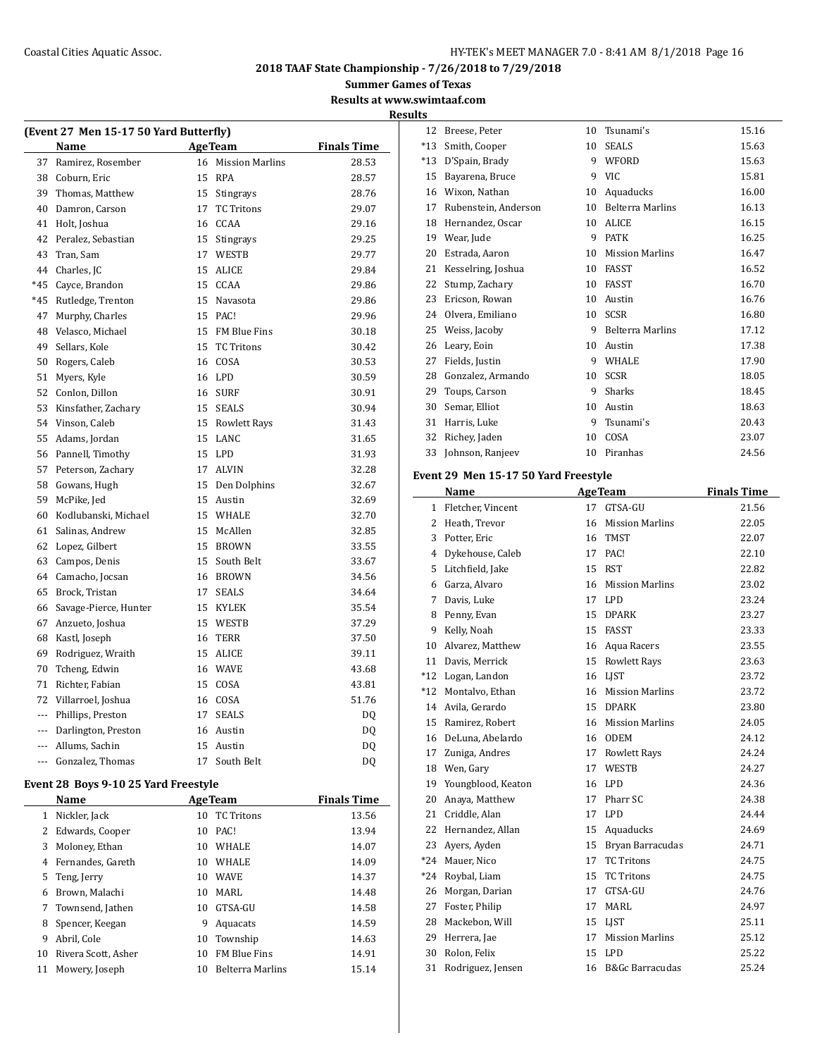## Coastal Cities Aquatic Assoc. The Coastal Cities Aquatic Assoc. The Coastal Cities Aquatic Assoc.

**2018 TAAF State Championship - 7/26/2018 to 7/29/2018**

**Summer Games of Texas**

**Results at www.swimtaaf.com Results**

|                | (Event 27 Men 15-17 50 Yard Butterfly) |    |                    |                    |
|----------------|----------------------------------------|----|--------------------|--------------------|
|                | Name                                   |    | <b>AgeTeam</b>     | <b>Finals Time</b> |
| 37             | Ramirez, Rosember                      |    | 16 Mission Marlins | 28.53              |
| 38             | Coburn, Eric                           | 15 | <b>RPA</b>         | 28.57              |
| 39             | Thomas, Matthew                        |    | 15 Stingrays       | 28.76              |
| 40             | Damron, Carson                         | 17 | <b>TC Tritons</b>  | 29.07              |
| 41             | Holt, Joshua                           |    | 16 CCAA            | 29.16              |
| 42             | Peralez, Sebastian                     |    | 15 Stingrays       | 29.25              |
| 43             | Tran, Sam                              | 17 | WESTB              | 29.77              |
| 44             | Charles, IC                            | 15 | ALICE              | 29.84              |
| $*45$          | Cayce, Brandon                         |    | 15 CCAA            | 29.86              |
| $*45$          | Rutledge, Trenton                      | 15 | Navasota           | 29.86              |
| 47             | Murphy, Charles                        | 15 | PAC!               | 29.96              |
| 48             | Velasco, Michael                       |    | 15 FM Blue Fins    | 30.18              |
| 49             | Sellars, Kole                          |    | 15 TC Tritons      | 30.42              |
| 50             | Rogers, Caleb                          |    | 16 COSA            | 30.53              |
| 51             | Myers, Kyle                            |    | 16 LPD             | 30.59              |
| 52             | Conlon, Dillon                         |    | 16 SURF            | 30.91              |
| 53             | Kinsfather, Zachary                    |    | 15 SEALS           | 30.94              |
| 54             | Vinson, Caleb                          |    | 15 Rowlett Rays    | 31.43              |
| 55             | Adams, Jordan                          |    | 15 LANC            | 31.65              |
| 56             | Pannell, Timothy                       | 15 | LPD                | 31.93              |
| 57             | Peterson, Zachary                      |    | 17 ALVIN           | 32.28              |
| 58             | Gowans, Hugh                           |    | 15 Den Dolphins    | 32.67              |
| 59             | McPike, Jed                            | 15 | Austin             | 32.69              |
| 60             | Kodlubanski, Michael                   | 15 | WHALE              | 32.70              |
| 61             | Salinas, Andrew                        |    | 15 McAllen         | 32.85              |
| 62             | Lopez, Gilbert                         | 15 | <b>BROWN</b>       | 33.55              |
| 63             | Campos, Denis                          | 15 | South Belt         | 33.67              |
| 64             | Camacho, Jocsan                        |    | 16 BROWN           | 34.56              |
| 65             | Brock, Tristan                         | 17 | <b>SEALS</b>       | 34.64              |
| 66             | Savage-Pierce, Hunter                  | 15 | KYLEK              | 35.54              |
| 67             | Anzueto, Joshua                        | 15 | WESTB              | 37.29              |
| 68             | Kastl, Joseph                          | 16 | TERR               | 37.50              |
| 69             | Rodriguez, Wraith                      | 15 | ALICE              | 39.11              |
| 70             | Tcheng, Edwin                          |    | 16 WAVE            | 43.68              |
| 71             | Richter, Fabian                        | 15 | COSA               | 43.81              |
| 72             | Villarroel, Joshua                     |    | 16 COSA            | 51.76              |
| ---            | Phillips, Preston                      | 17 | <b>SEALS</b>       | DQ                 |
| ---            | Darlington, Preston                    |    | 16 Austin          | DQ                 |
| $\overline{a}$ | Allums, Sachin                         |    | 15 Austin          | DQ                 |
| $- - -$        | Gonzalez, Thomas                       | 17 | South Belt         | DQ                 |

# **Event 28 Boys 9-10 25 Yard Freestyle**

| Name                |    |                         | <b>Finals Time</b> |
|---------------------|----|-------------------------|--------------------|
| Nickler, Jack       | 10 | <b>TC Tritons</b>       | 13.56              |
| Edwards, Cooper     | 10 | PAC!                    | 13.94              |
| Moloney, Ethan      | 10 | <b>WHALE</b>            | 14.07              |
| Fernandes, Gareth   | 10 | <b>WHALE</b>            | 14.09              |
| Teng, Jerry         | 10 | <b>WAVE</b>             | 14.37              |
| Brown, Malachi      | 10 | MARI.                   | 14.48              |
| Townsend, Jathen    | 10 | GTSA-GU                 | 14.58              |
| Spencer, Keegan     | 9  | Aquacats                | 14.59              |
| Abril. Cole         | 10 | Township                | 14.63              |
| Rivera Scott, Asher | 10 | <b>FM Blue Fins</b>     | 14.91              |
| Mowery, Joseph      | 10 | <b>Belterra Marlins</b> | 15.14              |
|                     |    |                         | <b>AgeTeam</b>     |

| 12    | Breese, Peter        | 10 | Tsunami's               | 15.16 |
|-------|----------------------|----|-------------------------|-------|
| $*13$ | Smith, Cooper        | 10 | <b>SEALS</b>            | 15.63 |
| $*13$ | D'Spain, Brady       | 9  | WFORD                   | 15.63 |
| 15    | Bayarena, Bruce      | 9  | <b>VIC</b>              | 15.81 |
| 16    | Wixon, Nathan        | 10 | Aquaducks               | 16.00 |
| 17    | Rubenstein, Anderson | 10 | <b>Belterra Marlins</b> | 16.13 |
| 18    | Hernandez, Oscar     | 10 | <b>ALICE</b>            | 16.15 |
| 19    | Wear, Jude           | 9  | <b>PATK</b>             | 16.25 |
| 20    | Estrada, Aaron       | 10 | <b>Mission Marlins</b>  | 16.47 |
| 21    | Kesselring, Joshua   | 10 | <b>FASST</b>            | 16.52 |
| 22    | Stump, Zachary       | 10 | <b>FASST</b>            | 16.70 |
| 23    | Ericson, Rowan       | 10 | Austin                  | 16.76 |
| 24    | Olvera, Emiliano     | 10 | <b>SCSR</b>             | 16.80 |
| 25    | Weiss, Jacoby        | 9  | <b>Belterra Marlins</b> | 17.12 |
| 26    | Leary, Eoin          | 10 | Austin                  | 17.38 |
| 27    | Fields, Justin       | 9  | WHALE                   | 17.90 |
| 28    | Gonzalez, Armando    | 10 | <b>SCSR</b>             | 18.05 |
| 29    | Toups, Carson        | 9  | Sharks                  | 18.45 |
| 30    | Semar, Elliot        | 10 | Austin                  | 18.63 |
| 31    | Harris, Luke         | 9  | Tsunami's               | 20.43 |
| 32    | Richey, Jaden        | 10 | COSA                    | 23.07 |
| 33    | Johnson, Ranjeev     | 10 | Piranhas                | 24.56 |

#### **Event 29 Men 15-17 50 Yard Freestyle**

|              | Name               | <b>AgeTeam</b> |                            | <b>Finals Time</b> |
|--------------|--------------------|----------------|----------------------------|--------------------|
| $\mathbf{1}$ | Fletcher, Vincent  | 17             | GTSA-GU                    | 21.56              |
| 2            | Heath, Trevor      | 16             | <b>Mission Marlins</b>     | 22.05              |
| 3            | Potter, Eric       | 16             | <b>TMST</b>                | 22.07              |
| 4            | Dykehouse, Caleb   | 17             | PAC!                       | 22.10              |
| 5            | Litchfield, Jake   | 15             | <b>RST</b>                 | 22.82              |
| 6            | Garza, Alvaro      | 16             | <b>Mission Marlins</b>     | 23.02              |
| 7            | Davis, Luke        | 17             | LPD                        | 23.24              |
| 8            | Penny, Evan        | 15             | <b>DPARK</b>               | 23.27              |
| 9            | Kelly, Noah        | 15             | <b>FASST</b>               | 23.33              |
| 10           | Alvarez, Matthew   | 16             | Aqua Racers                | 23.55              |
| 11           | Davis, Merrick     | 15             | <b>Rowlett Rays</b>        | 23.63              |
| $*12$        | Logan, Landon      | 16             | <b>LIST</b>                | 23.72              |
| $*12$        | Montalvo, Ethan    | 16             | <b>Mission Marlins</b>     | 23.72              |
| 14           | Avila, Gerardo     | 15             | <b>DPARK</b>               | 23.80              |
| 15           | Ramirez, Robert    | 16             | <b>Mission Marlins</b>     | 24.05              |
| 16           | DeLuna, Abelardo   | 16             | <b>ODEM</b>                | 24.12              |
| 17           | Zuniga, Andres     | 17             | <b>Rowlett Rays</b>        | 24.24              |
| 18           | Wen, Gary          | 17             | WESTB                      | 24.27              |
| 19           | Youngblood, Keaton | 16             | <b>LPD</b>                 | 24.36              |
| 20           | Anaya, Matthew     | 17             | Pharr SC                   | 24.38              |
| 21           | Criddle, Alan      | 17             | LPD                        | 24.44              |
| 22           | Hernandez, Allan   | 15             | Aquaducks                  | 24.69              |
| 23           | Avers, Ayden       | 15             | Bryan Barracudas           | 24.71              |
| $*24$        | Mauer, Nico        | 17             | <b>TC Tritons</b>          | 24.75              |
| $*24$        | Roybal, Liam       | 15             | <b>TC Tritons</b>          | 24.75              |
| 26           | Morgan, Darian     | 17             | GTSA-GU                    | 24.76              |
| 27           | Foster, Philip     | 17             | <b>MARL</b>                | 24.97              |
| 28           | Mackebon, Will     | 15             | <b>LIST</b>                | 25.11              |
| 29           | Herrera, Jae       | 17             | <b>Mission Marlins</b>     | 25.12              |
| 30           | Rolon, Felix       | 15             | LPD                        | 25.22              |
| 31           | Rodriguez, Jensen  | 16             | <b>B&amp;Gc Barracudas</b> | 25.24              |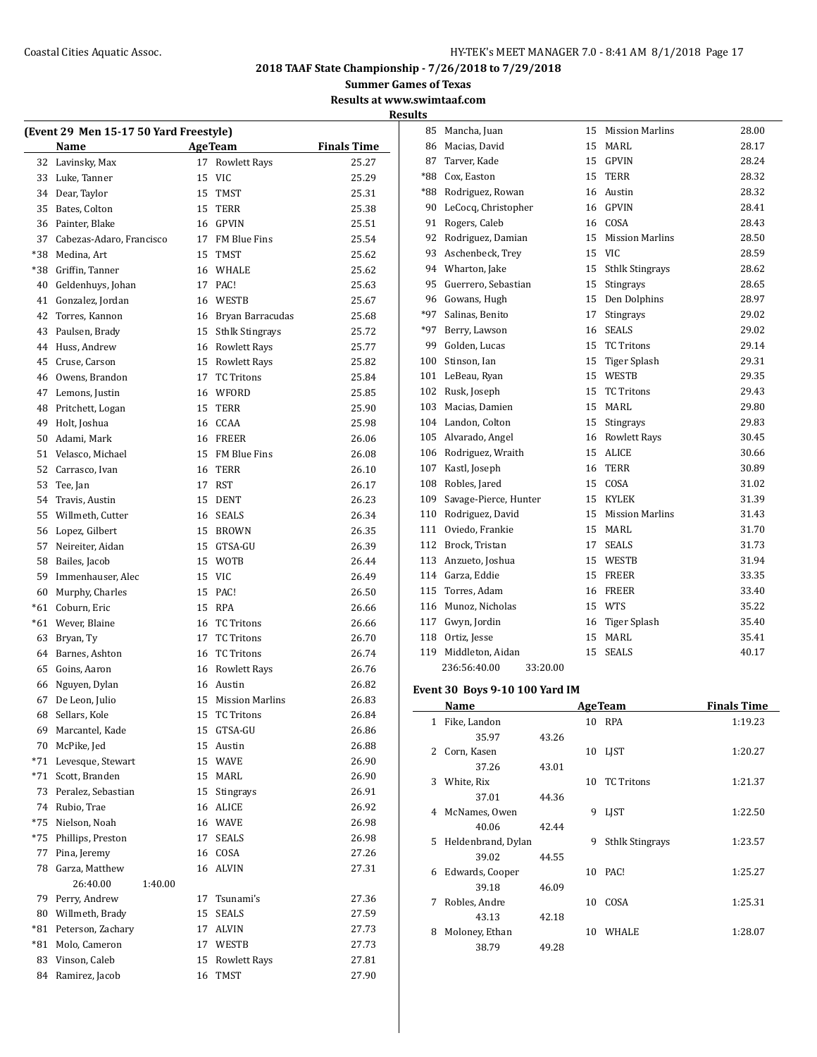**Summer Games of Texas**

**Results at www.swimtaaf.com Results**

|       | (Event 29 Men 15-17 50 Yard Freestyle) |    |                        |                    |  |  |  |  |  |
|-------|----------------------------------------|----|------------------------|--------------------|--|--|--|--|--|
|       | Name                                   |    | <b>AgeTeam</b>         | <b>Finals Time</b> |  |  |  |  |  |
| 32    | Lavinsky, Max                          | 17 | <b>Rowlett Rays</b>    | 25.27              |  |  |  |  |  |
| 33    | Luke, Tanner                           | 15 | VIC                    | 25.29              |  |  |  |  |  |
| 34    | Dear, Taylor                           | 15 | <b>TMST</b>            | 25.31              |  |  |  |  |  |
| 35    | Bates, Colton                          | 15 | <b>TERR</b>            | 25.38              |  |  |  |  |  |
| 36    | Painter, Blake                         | 16 | <b>GPVIN</b>           | 25.51              |  |  |  |  |  |
| 37    | Cabezas-Adaro, Francisco               | 17 | FM Blue Fins           | 25.54              |  |  |  |  |  |
| *38   | Medina. Art                            | 15 | <b>TMST</b>            | 25.62              |  |  |  |  |  |
| *38   | Griffin, Tanner                        | 16 | WHALE                  | 25.62              |  |  |  |  |  |
| 40    | Geldenhuys, Johan                      | 17 | PAC!                   | 25.63              |  |  |  |  |  |
| 41    | Gonzalez, Jordan                       |    | 16 WESTB               | 25.67              |  |  |  |  |  |
| 42    | Torres, Kannon                         |    | 16 Bryan Barracudas    | 25.68              |  |  |  |  |  |
| 43    | Paulsen, Brady                         |    | 15 Sthlk Stingrays     | 25.72              |  |  |  |  |  |
| 44    | Huss, Andrew                           |    | 16 Rowlett Rays        | 25.77              |  |  |  |  |  |
| 45    | Cruse, Carson                          |    | 15 Rowlett Rays        | 25.82              |  |  |  |  |  |
| 46    | Owens, Brandon                         | 17 | <b>TC Tritons</b>      | 25.84              |  |  |  |  |  |
| 47    | Lemons, Justin                         | 16 | WFORD                  | 25.85              |  |  |  |  |  |
| 48    | Pritchett, Logan                       | 15 | TERR                   | 25.90              |  |  |  |  |  |
| 49    | Holt, Joshua                           | 16 | CCAA                   | 25.98              |  |  |  |  |  |
| 50    | Adami, Mark                            |    | 16 FREER               | 26.06              |  |  |  |  |  |
| 51    | Velasco, Michael                       |    | 15 FM Blue Fins        | 26.08              |  |  |  |  |  |
| 52    | Carrasco, Ivan                         |    | 16 TERR                | 26.10              |  |  |  |  |  |
| 53    | Tee, Jan                               | 17 | <b>RST</b>             | 26.17              |  |  |  |  |  |
| 54    | Travis, Austin                         | 15 | <b>DENT</b>            | 26.23              |  |  |  |  |  |
| 55    | Willmeth, Cutter                       |    | 16 SEALS               | 26.34              |  |  |  |  |  |
|       |                                        |    |                        |                    |  |  |  |  |  |
| 56    | Lopez, Gilbert                         |    | 15 BROWN               | 26.35              |  |  |  |  |  |
| 57    | Neireiter, Aidan                       | 15 | GTSA-GU                | 26.39              |  |  |  |  |  |
| 58    | Bailes, Jacob                          | 15 | <b>WOTB</b>            | 26.44              |  |  |  |  |  |
| 59    | Immenhauser, Alec                      | 15 | <b>VIC</b>             | 26.49              |  |  |  |  |  |
| 60    | Murphy, Charles                        | 15 | PAC!                   | 26.50              |  |  |  |  |  |
| $*61$ | Coburn, Eric                           | 15 | <b>RPA</b>             | 26.66              |  |  |  |  |  |
| $*61$ | Wever, Blaine                          | 16 | <b>TC Tritons</b>      | 26.66              |  |  |  |  |  |
| 63    | Bryan, Ty                              | 17 | <b>TC Tritons</b>      | 26.70              |  |  |  |  |  |
| 64    | Barnes, Ashton                         |    | 16 TC Tritons          | 26.74              |  |  |  |  |  |
| 65    | Goins, Aaron                           |    | 16 Rowlett Rays        | 26.76              |  |  |  |  |  |
| 66    | Nguyen, Dylan                          |    | 16 Austin              | 26.82              |  |  |  |  |  |
| 67    | De Leon, Julio                         | 15 | <b>Mission Marlins</b> | 26.83              |  |  |  |  |  |
|       | 68 Sellars, Kole                       |    | 15 TC Tritons          | 26.84              |  |  |  |  |  |
| 69    | Marcantel, Kade                        | 15 | GTSA-GU                | 26.86              |  |  |  |  |  |
| 70    | McPike, Jed                            | 15 | Austin                 | 26.88              |  |  |  |  |  |
| *71   | Levesque, Stewart                      | 15 | WAVE                   | 26.90              |  |  |  |  |  |
| *71   | Scott, Branden                         | 15 | MARL                   | 26.90              |  |  |  |  |  |
| 73    | Peralez, Sebastian                     | 15 | Stingrays              | 26.91              |  |  |  |  |  |
| 74    | Rubio, Trae                            | 16 | ALICE                  | 26.92              |  |  |  |  |  |
| $*75$ | Nielson, Noah                          | 16 | WAVE                   | 26.98              |  |  |  |  |  |
| *75   | Phillips, Preston                      | 17 | SEALS                  | 26.98              |  |  |  |  |  |
| 77    | Pina, Jeremy                           | 16 | COSA                   | 27.26              |  |  |  |  |  |
| 78    | Garza, Matthew                         | 16 | ALVIN                  | 27.31              |  |  |  |  |  |
|       | 26:40.00<br>1:40.00                    |    |                        |                    |  |  |  |  |  |
| 79    | Perry, Andrew                          | 17 | Tsunami's              | 27.36              |  |  |  |  |  |
| 80    | Willmeth, Brady                        | 15 | SEALS                  | 27.59              |  |  |  |  |  |
| *81   | Peterson, Zachary                      | 17 | ALVIN                  | 27.73              |  |  |  |  |  |
| *81   | Molo, Cameron                          | 17 | WESTB                  | 27.73              |  |  |  |  |  |
| 83    | Vinson, Caleb                          | 15 | <b>Rowlett Rays</b>    | 27.81              |  |  |  |  |  |
| 84    | Ramirez, Jacob                         | 16 | TMST                   | 27.90              |  |  |  |  |  |
|       |                                        |    |                        |                    |  |  |  |  |  |

| 85    | Mancha, Juan             | 15 | <b>Mission Marlins</b> | 28.00 |
|-------|--------------------------|----|------------------------|-------|
| 86    | Macias, David            | 15 | MARL                   | 28.17 |
| 87    | Tarver, Kade             | 15 | <b>GPVIN</b>           | 28.24 |
| $*88$ | Cox, Easton              | 15 | <b>TERR</b>            | 28.32 |
| *88   | Rodriguez, Rowan         | 16 | Austin                 | 28.32 |
| 90    | LeCocq, Christopher      | 16 | <b>GPVIN</b>           | 28.41 |
| 91    | Rogers, Caleb            | 16 | COSA                   | 28.43 |
| 92    | Rodriguez, Damian        | 15 | <b>Mission Marlins</b> | 28.50 |
| 93    | Aschenbeck, Trey         | 15 | <b>VIC</b>             | 28.59 |
| 94    | Wharton, Jake            | 15 | <b>Sthlk Stingrays</b> | 28.62 |
| 95    | Guerrero, Sebastian      | 15 | <b>Stingrays</b>       | 28.65 |
| 96    | Gowans, Hugh             | 15 | Den Dolphins           | 28.97 |
| *97   | Salinas, Benito          | 17 | Stingrays              | 29.02 |
| *97   | Berry, Lawson            | 16 | <b>SEALS</b>           | 29.02 |
| 99    | Golden, Lucas            | 15 | <b>TC Tritons</b>      | 29.14 |
| 100   | Stinson, Ian             | 15 | <b>Tiger Splash</b>    | 29.31 |
| 101   | LeBeau, Ryan             | 15 | WESTB                  | 29.35 |
| 102   | Rusk, Joseph             | 15 | <b>TC Tritons</b>      | 29.43 |
| 103   | Macias, Damien           | 15 | MARL                   | 29.80 |
| 104   | Landon, Colton           | 15 | Stingrays              | 29.83 |
| 105   | Alvarado, Angel          | 16 | <b>Rowlett Rays</b>    | 30.45 |
| 106   | Rodriguez, Wraith        | 15 | <b>ALICE</b>           | 30.66 |
| 107   | Kastl, Joseph            | 16 | <b>TERR</b>            | 30.89 |
| 108   | Robles, Jared            | 15 | COSA                   | 31.02 |
| 109   | Savage-Pierce, Hunter    | 15 | <b>KYLEK</b>           | 31.39 |
| 110   | Rodriguez, David         | 15 | <b>Mission Marlins</b> | 31.43 |
| 111   | Oviedo, Frankie          | 15 | MARL                   | 31.70 |
| 112   | Brock, Tristan           | 17 | <b>SEALS</b>           | 31.73 |
| 113   | Anzueto, Joshua          | 15 | WESTB                  | 31.94 |
| 114   | Garza, Eddie             | 15 | FREER                  | 33.35 |
| 115   | Torres, Adam             | 16 | <b>FREER</b>           | 33.40 |
| 116   | Munoz, Nicholas          | 15 | <b>WTS</b>             | 35.22 |
| 117   | Gwyn, Jordin             | 16 | Tiger Splash           | 35.40 |
| 118   | Ortiz, Jesse             | 15 | MARL                   | 35.41 |
| 119   | Middleton, Aidan         | 15 | <b>SEALS</b>           | 40.17 |
|       | 236:56:40.00<br>33:20.00 |    |                        |       |

# **Event 30 Boys 9-10 100 Yard IM**

|    | Name               | <b>AgeTeam</b> |    |                        | <b>Finals Time</b> |
|----|--------------------|----------------|----|------------------------|--------------------|
| 1  | Fike, Landon       |                |    | 10 RPA                 | 1:19.23            |
|    | 35.97              | 43.26          |    |                        |                    |
| 2  | Corn, Kasen        |                | 10 | LIST                   | 1:20.27            |
|    | 37.26              | 43.01          |    |                        |                    |
| 3  | White, Rix         |                | 10 | <b>TC</b> Tritons      | 1:21.37            |
|    | 37.01              | 44.36          |    |                        |                    |
| 4  | McNames, Owen      |                | 9  | <b>LIST</b>            | 1:22.50            |
|    | 40.06              | 42.44          |    |                        |                    |
| 5. | Heldenbrand, Dylan |                | 9  | <b>Sthlk Stingrays</b> | 1:23.57            |
|    | 39.02              | 44.55          |    |                        |                    |
| 6  | Edwards, Cooper    |                | 10 | PAC!                   | 1:25.27            |
|    | 39.18              | 46.09          |    |                        |                    |
| 7  | Robles, Andre      |                | 10 | COSA                   | 1:25.31            |
|    | 43.13              | 42.18          |    |                        |                    |
| 8  | Moloney, Ethan     |                | 10 | WHALE                  | 1:28.07            |
|    | 38.79              | 49.28          |    |                        |                    |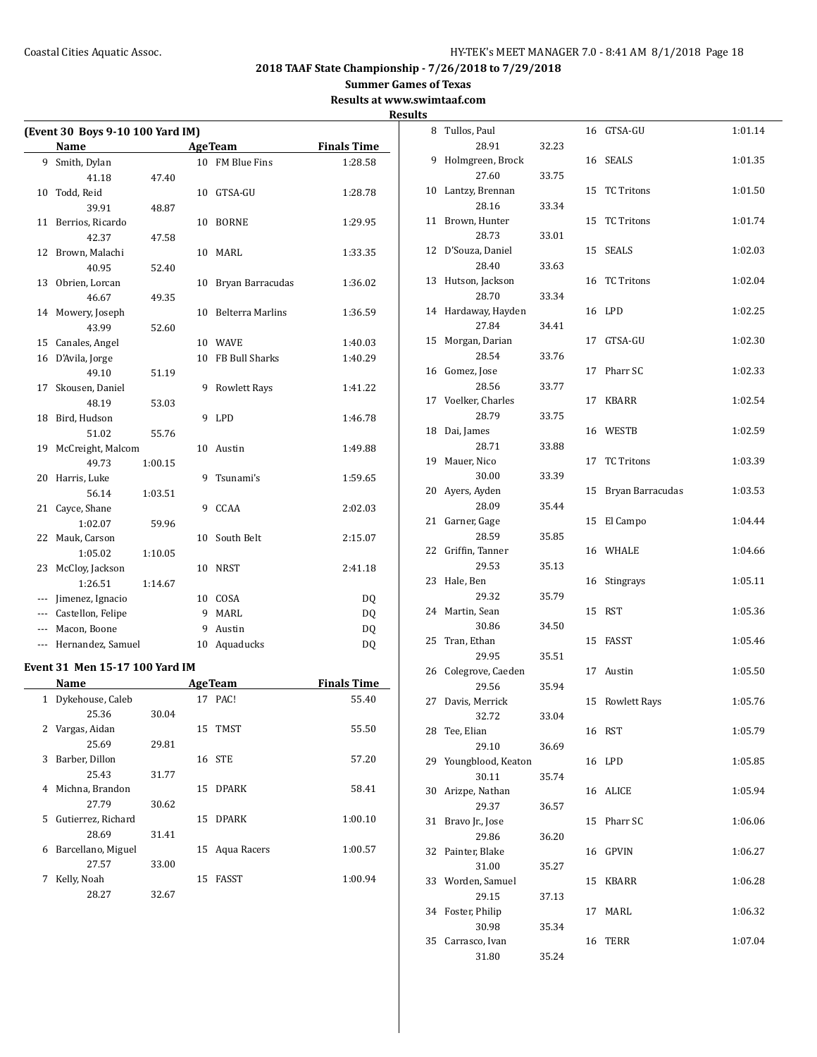**Summer Games of Texas**

**Results at www.swimtaaf.com**

| (Event 30 Boys 9-10 100 Yard IM) |                                |         |    |                         |                    |  |  |
|----------------------------------|--------------------------------|---------|----|-------------------------|--------------------|--|--|
|                                  | Name                           |         |    | <b>AgeTeam</b>          | <b>Finals Time</b> |  |  |
|                                  | 9 Smith, Dylan                 |         |    | 10 FM Blue Fins         | 1:28.58            |  |  |
|                                  | 41.18                          | 47.40   |    |                         |                    |  |  |
| 10                               | Todd, Reid                     |         |    | 10 GTSA-GU              | 1:28.78            |  |  |
|                                  | 39.91                          | 48.87   |    |                         |                    |  |  |
| 11                               | Berrios, Ricardo               |         | 10 | BORNE                   | 1:29.95            |  |  |
|                                  | 42.37                          | 47.58   |    |                         |                    |  |  |
| 12                               | Brown, Malachi                 |         | 10 | MARL                    | 1:33.35            |  |  |
|                                  | 40.95                          | 52.40   |    |                         |                    |  |  |
| 13                               | Obrien, Lorcan                 |         | 10 | Bryan Barracudas        | 1:36.02            |  |  |
|                                  | 46.67                          | 49.35   |    |                         |                    |  |  |
| 14                               | Mowery, Joseph                 |         | 10 | <b>Belterra Marlins</b> | 1:36.59            |  |  |
|                                  | 43.99                          | 52.60   |    |                         |                    |  |  |
| 15                               | Canales, Angel                 |         |    | 10 WAVE                 | 1:40.03            |  |  |
| 16                               | D'Avila, Jorge                 |         | 10 | FB Bull Sharks          | 1:40.29            |  |  |
|                                  | 49.10                          | 51.19   |    |                         |                    |  |  |
| 17                               | Skousen, Daniel                |         | 9  | <b>Rowlett Rays</b>     | 1:41.22            |  |  |
|                                  | 48.19                          | 53.03   |    |                         |                    |  |  |
| 18                               | Bird, Hudson                   |         | 9  | LPD                     | 1:46.78            |  |  |
|                                  | 51.02                          | 55.76   |    |                         |                    |  |  |
| 19                               | McCreight, Malcom              |         | 10 | Austin                  | 1:49.88            |  |  |
|                                  | 49.73                          | 1:00.15 |    |                         |                    |  |  |
| 20                               | Harris, Luke                   |         | 9  | Tsunami's               | 1:59.65            |  |  |
|                                  | 56.14                          | 1:03.51 |    |                         |                    |  |  |
| 21                               | Cayce, Shane                   |         |    | 9 CCAA                  | 2:02.03            |  |  |
|                                  | 1:02.07                        | 59.96   |    |                         |                    |  |  |
| 22                               | Mauk, Carson                   |         | 10 | South Belt              | 2:15.07            |  |  |
|                                  | 1:05.02                        | 1:10.05 |    |                         |                    |  |  |
| 23                               | McCloy, Jackson                |         | 10 | <b>NRST</b>             | 2:41.18            |  |  |
|                                  | 1:26.51                        | 1:14.67 |    |                         |                    |  |  |
| ---                              | Jimenez, Ignacio               |         |    | 10 COSA                 | DQ                 |  |  |
|                                  | --- Castellon, Felipe          |         |    | 9 MARL                  | <b>DQ</b>          |  |  |
| ---                              | Macon, Boone                   |         | 9  | Austin                  | DQ                 |  |  |
| ---                              | Hernandez, Samuel              |         | 10 | Aquaducks               | DQ                 |  |  |
|                                  |                                |         |    |                         |                    |  |  |
|                                  | Event 31 Men 15-17 100 Yard IM |         |    |                         |                    |  |  |
|                                  | Name                           |         |    | <b>AgeTeam</b>          | <b>Finals Time</b> |  |  |
| $\mathbf{1}$                     | Dykehouse, Caleb               |         |    | 17 PAC!                 | 55.40              |  |  |
|                                  | 25.36                          | 30.04   |    |                         |                    |  |  |
| 2                                | Vargas, Aidan                  |         | 15 | TMST                    | 55.50              |  |  |
|                                  | 25.69                          | 29.81   |    |                         |                    |  |  |
| 3                                | Barber, Dillon                 |         | 16 | <b>STE</b>              | 57.20              |  |  |
|                                  | 25.43                          | 31.77   |    |                         |                    |  |  |
| 4                                | Michna, Brandon                |         | 15 | <b>DPARK</b>            | 58.41              |  |  |
|                                  | 27.79                          | 30.62   |    |                         |                    |  |  |
| 5                                | Gutierrez, Richard             |         | 15 | <b>DPARK</b>            | 1:00.10            |  |  |
|                                  | 28.69                          | 31.41   |    |                         |                    |  |  |
| 6                                | Barcellano, Miguel             |         | 15 | Aqua Racers             | 1:00.57            |  |  |
|                                  | 27.57                          | 33.00   |    |                         |                    |  |  |
| 7                                | Kelly, Noah                    |         |    | 15 FASST                | 1:00.94            |  |  |

28.27 32.67

| <b>Results</b> |                              |       |    |                     |         |
|----------------|------------------------------|-------|----|---------------------|---------|
|                | 8 Tullos, Paul               |       |    | 16 GTSA-GU          | 1:01.14 |
|                | 28.91                        | 32.23 |    |                     |         |
| 9              | Holmgreen, Brock             |       |    | 16 SEALS            | 1:01.35 |
|                | 27.60                        | 33.75 |    |                     |         |
|                | 10 Lantzy, Brennan           |       |    | 15 TC Tritons       | 1:01.50 |
|                | 28.16                        | 33.34 |    | 15 TC Tritons       |         |
|                | 11 Brown, Hunter<br>28.73    | 33.01 |    |                     | 1:01.74 |
|                | 12 D'Souza, Daniel           |       |    | 15 SEALS            | 1:02.03 |
|                | 28.40                        | 33.63 |    |                     |         |
|                | 13 Hutson, Jackson           |       |    | 16 TC Tritons       | 1:02.04 |
|                | 28.70                        | 33.34 |    |                     |         |
|                | 14 Hardaway, Hayden          |       |    | 16 LPD              | 1:02.25 |
|                | 27.84                        | 34.41 |    |                     |         |
| 15             | Morgan, Darian               |       | 17 | GTSA-GU             | 1:02.30 |
|                | 28.54                        | 33.76 |    |                     |         |
|                | 16 Gomez, Jose               |       | 17 | Pharr SC            | 1:02.33 |
|                | 28.56<br>17 Voelker, Charles | 33.77 |    | 17 KBARR            | 1:02.54 |
|                | 28.79                        | 33.75 |    |                     |         |
|                | 18 Dai, James                |       |    | 16 WESTB            | 1:02.59 |
|                | 28.71                        | 33.88 |    |                     |         |
|                | 19 Mauer, Nico               |       | 17 | <b>TC Tritons</b>   | 1:03.39 |
|                | 30.00                        | 33.39 |    |                     |         |
|                | 20 Ayers, Ayden              |       | 15 | Bryan Barracudas    | 1:03.53 |
|                | 28.09                        | 35.44 |    |                     |         |
|                | 21 Garner, Gage              |       | 15 | El Campo            | 1:04.44 |
|                | 28.59                        | 35.85 |    |                     |         |
| 22             | Griffin, Tanner<br>29.53     | 35.13 |    | 16 WHALE            | 1:04.66 |
| 23             | Hale, Ben                    |       |    | 16 Stingrays        | 1:05.11 |
|                | 29.32                        | 35.79 |    |                     |         |
|                | 24 Martin, Sean              |       | 15 | RST                 | 1:05.36 |
|                | 30.86                        | 34.50 |    |                     |         |
| 25             | Tran, Ethan                  |       |    | 15 FASST            | 1:05.46 |
|                | 29.95                        | 35.51 |    |                     |         |
|                | 26 Colegrove, Caeden         |       |    | 17 Austin           | 1:05.50 |
|                | 29.56                        | 35.94 |    |                     |         |
| 27             | Davis, Merrick<br>32.72      | 33.04 | 15 | <b>Rowlett Rays</b> | 1:05.76 |
|                | 28 Tee, Elian                |       |    | 16 RST              | 1:05.79 |
|                | 29.10                        | 36.69 |    |                     |         |
| 29             | Youngblood, Keaton           |       |    | 16 LPD              | 1:05.85 |
|                | 30.11                        | 35.74 |    |                     |         |
|                | 30 Arizpe, Nathan            |       |    | 16 ALICE            | 1:05.94 |
|                | 29.37                        | 36.57 |    |                     |         |
|                | 31 Bravo Jr., Jose           |       |    | 15 Pharr SC         | 1:06.06 |
|                | 29.86                        | 36.20 |    |                     |         |
|                | 32 Painter, Blake            |       |    | 16 GPVIN            | 1:06.27 |
|                | 31.00<br>33 Worden, Samuel   | 35.27 |    | 15 KBARR            | 1:06.28 |
|                | 29.15                        | 37.13 |    |                     |         |
|                | 34 Foster, Philip            |       | 17 | MARL                | 1:06.32 |
|                | 30.98                        | 35.34 |    |                     |         |
| 35             | Carrasco, Ivan               |       | 16 | TERR                | 1:07.04 |
|                | 31.80                        | 35.24 |    |                     |         |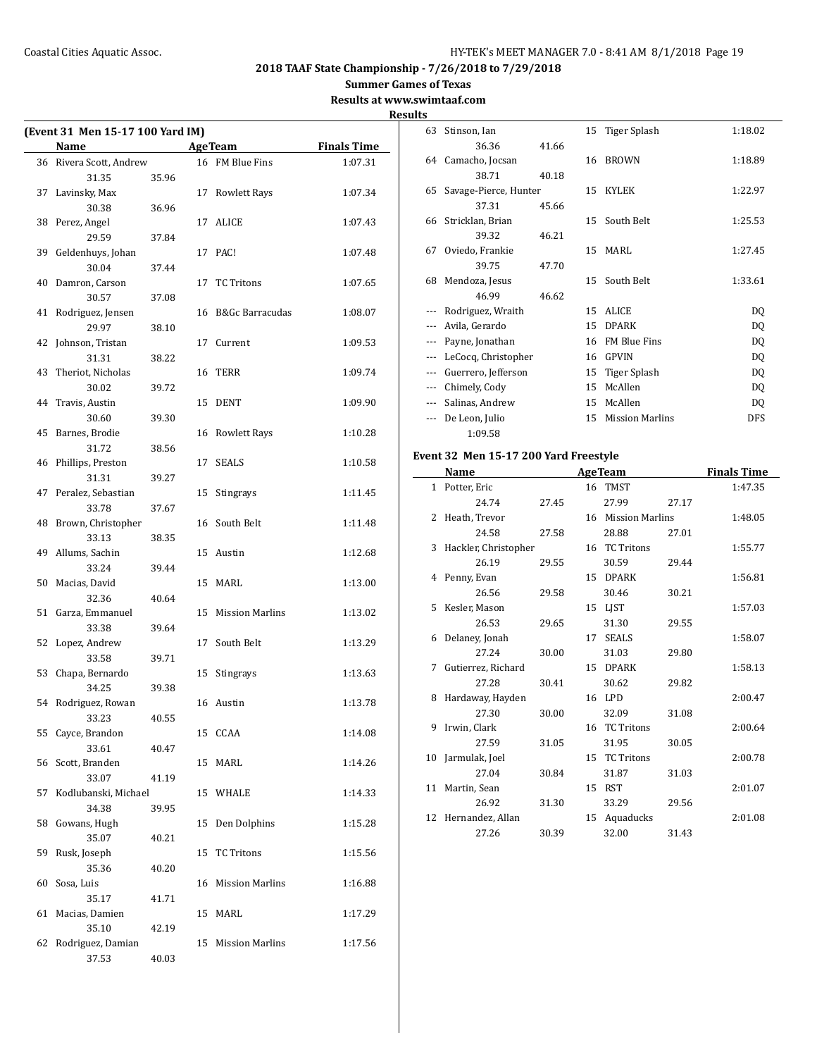**Summer Games of Texas**

**Results at www.swimtaaf.com**

|    |                                  |       |                    |                    | <b>Results</b> |
|----|----------------------------------|-------|--------------------|--------------------|----------------|
|    | (Event 31 Men 15-17 100 Yard IM) |       |                    |                    | 6              |
|    | Name                             |       | <b>AgeTeam</b>     | <b>Finals Time</b> |                |
|    | 36 Rivera Scott, Andrew          |       | 16 FM Blue Fins    | 1:07.31            | 6              |
|    | 31.35                            | 35.96 | 17 Rowlett Rays    |                    | 6              |
|    | 37 Lavinsky, Max<br>30.38        | 36.96 |                    | 1:07.34            |                |
|    | 38 Perez, Angel                  |       | 17 ALICE           | 1:07.43            | 6              |
|    | 29.59                            | 37.84 |                    |                    |                |
|    | 39 Geldenhuys, Johan             |       | 17 PAC!            | 1:07.48            | 6              |
|    | 30.04                            | 37.44 |                    |                    |                |
|    | 40 Damron, Carson                |       | 17 TC Tritons      | 1:07.65            | 6              |
|    | 30.57                            | 37.08 |                    |                    |                |
|    | 41 Rodriguez, Jensen             |       | 16 B&Gc Barracudas | 1:08.07            |                |
|    | 29.97                            | 38.10 |                    |                    |                |
|    | 42 Johnson, Tristan              |       | 17 Current         | 1:09.53            |                |
|    | 31.31                            | 38.22 |                    |                    |                |
|    | 43 Theriot, Nicholas             |       | 16 TERR            | 1:09.74            |                |
|    | 30.02                            | 39.72 |                    |                    |                |
|    | 44 Travis, Austin                |       | 15 DENT            | 1:09.90            |                |
|    | 30.60                            | 39.30 |                    |                    |                |
|    | 45 Barnes, Brodie                |       | 16 Rowlett Rays    | 1:10.28            |                |
|    | 31.72                            | 38.56 |                    |                    |                |
|    | 46 Phillips, Preston             |       | 17 SEALS           | 1:10.58            | Eve            |
|    | 31.31                            | 39.27 |                    |                    |                |
|    | 47 Peralez, Sebastian            |       | 15 Stingrays       | 1:11.45            |                |
|    | 33.78                            | 37.67 |                    |                    |                |
|    | 48 Brown, Christopher            |       | 16 South Belt      | 1:11.48            |                |
|    | 33.13                            | 38.35 |                    |                    |                |
|    | 49 Allums, Sachin                |       | 15 Austin          | 1:12.68            |                |
|    | 33.24                            | 39.44 |                    |                    |                |
|    | 50 Macias, David                 |       | 15 MARL            | 1:13.00            |                |
|    | 32.36                            | 40.64 |                    |                    |                |
|    | 51 Garza, Emmanuel               |       | 15 Mission Marlins | 1:13.02            |                |
|    | 33.38                            | 39.64 |                    |                    |                |
|    | 52 Lopez, Andrew                 |       | 17 South Belt      | 1:13.29            |                |
|    | 33.58                            | 39.71 |                    |                    |                |
|    | 53 Chapa, Bernardo               |       | 15 Stingrays       | 1:13.63            |                |
|    | 34.25                            | 39.38 |                    |                    |                |
|    | 54 Rodriguez, Rowan              |       | 16 Austin          | 1:13.78            |                |
|    | 33.23                            | 40.55 |                    |                    |                |
|    | 55 Cayce, Brandon<br>33.61       | 40.47 | 15 CCAA            | 1:14.08            |                |
|    | 56 Scott, Branden                |       | 15 MARL            | 1:14.26            | 1              |
|    | 33.07                            | 41.19 |                    |                    |                |
| 57 | Kodlubanski, Michael             |       | 15 WHALE           | 1:14.33            | 1              |
|    | 34.38                            | 39.95 |                    |                    |                |
|    | 58 Gowans, Hugh                  |       | 15 Den Dolphins    | 1:15.28            | 1              |
|    | 35.07                            | 40.21 |                    |                    |                |
|    | 59 Rusk, Joseph                  |       | 15 TC Tritons      | 1:15.56            |                |
|    | 35.36                            | 40.20 |                    |                    |                |
|    | 60 Sosa, Luis                    |       | 16 Mission Marlins | 1:16.88            |                |
|    | 35.17                            | 41.71 |                    |                    |                |
|    | 61 Macias, Damien                |       | 15 MARL            | 1:17.29            |                |
|    | 35.10                            | 42.19 |                    |                    |                |
|    | 62 Rodriguez, Damian             |       | 15 Mission Marlins | 1:17.56            |                |
|    | 37.53                            | 40.03 |                    |                    |                |

| 63                       | Stinson, Ian          |       |    | 15 Tiger Splash        | 1:18.02    |
|--------------------------|-----------------------|-------|----|------------------------|------------|
|                          | 36.36                 | 41.66 |    |                        |            |
|                          | 64 Camacho, Jocsan    |       | 16 | <b>BROWN</b>           | 1:18.89    |
|                          | 38.71                 | 40.18 |    |                        |            |
| 65                       | Savage-Pierce, Hunter |       |    | 15 KYLEK               | 1:22.97    |
|                          | 37.31                 | 45.66 |    |                        |            |
| 66                       | Stricklan, Brian      |       |    | 15 South Belt          | 1:25.53    |
|                          | 39.32                 | 46.21 |    |                        |            |
| 67                       | Oviedo, Frankie       |       |    | 15 MARL                | 1:27.45    |
|                          | 39.75                 | 47.70 |    |                        |            |
| 68                       | Mendoza, Jesus        |       |    | 15 South Belt          | 1:33.61    |
|                          | 46.99                 | 46.62 |    |                        |            |
|                          | Rodriguez, Wraith     |       | 15 | <b>ALICE</b>           | DQ         |
|                          | Avila, Gerardo        |       | 15 | <b>DPARK</b>           | DQ         |
|                          | Payne, Jonathan       |       | 16 | <b>FM Blue Fins</b>    | DQ         |
|                          | LeCocq, Christopher   |       | 16 | <b>GPVIN</b>           | DQ         |
| ---                      | Guerrero, Jefferson   |       | 15 | Tiger Splash           | DQ         |
|                          | Chimely, Cody         |       | 15 | McAllen                | DQ         |
| $\overline{\phantom{a}}$ | Salinas, Andrew       |       | 15 | McAllen                | DQ         |
|                          | De Leon, Julio        |       | 15 | <b>Mission Marlins</b> | <b>DFS</b> |
|                          | 1:09.58               |       |    |                        |            |

# **Event 32 Men 15-17 200 Yard Freestyle**

|    | Name                 |       |    | <b>AgeTeam</b>         |       | <b>Finals Time</b> |
|----|----------------------|-------|----|------------------------|-------|--------------------|
|    | 1 Potter, Eric       |       |    | 16 TMST                |       | 1:47.35            |
|    | 24.74                | 27.45 |    | 27.99                  | 27.17 |                    |
| 2  | Heath, Trevor        |       | 16 | <b>Mission Marlins</b> |       | 1:48.05            |
|    | 24.58                | 27.58 |    | 28.88                  | 27.01 |                    |
| 3  | Hackler, Christopher |       |    | 16 TC Tritons          |       | 1:55.77            |
|    | 26.19                | 29.55 |    | 30.59                  | 29.44 |                    |
| 4  | Penny, Evan          |       | 15 | <b>DPARK</b>           |       | 1:56.81            |
|    | 26.56                | 29.58 |    | 30.46                  | 30.21 |                    |
| 5  | Kesler, Mason        |       | 15 | <b>LIST</b>            |       | 1:57.03            |
|    | 26.53                | 29.65 |    | 31.30                  | 29.55 |                    |
| 6  | Delaney, Jonah       |       | 17 | <b>SEALS</b>           |       | 1:58.07            |
|    | 27.24                | 30.00 |    | 31.03                  | 29.80 |                    |
| 7  | Gutierrez, Richard   |       | 15 | <b>DPARK</b>           |       | 1:58.13            |
|    | 27.28                | 30.41 |    | 30.62                  | 29.82 |                    |
| 8  | Hardaway, Hayden     |       |    | 16 LPD                 |       | 2:00.47            |
|    | 27.30                | 30.00 |    | 32.09                  | 31.08 |                    |
| 9  | Irwin, Clark         |       | 16 | <b>TC Tritons</b>      |       | 2:00.64            |
|    | 27.59                | 31.05 |    | 31.95                  | 30.05 |                    |
| 10 | Jarmulak, Joel       |       | 15 | <b>TC Tritons</b>      |       | 2:00.78            |
|    | 27.04                | 30.84 |    | 31.87                  | 31.03 |                    |
| 11 | Martin, Sean         |       | 15 | <b>RST</b>             |       | 2:01.07            |
|    | 26.92                | 31.30 |    | 33.29                  | 29.56 |                    |
| 12 | Hernandez, Allan     |       | 15 | Aquaducks              |       | 2:01.08            |
|    | 27.26                | 30.39 |    | 32.00                  | 31.43 |                    |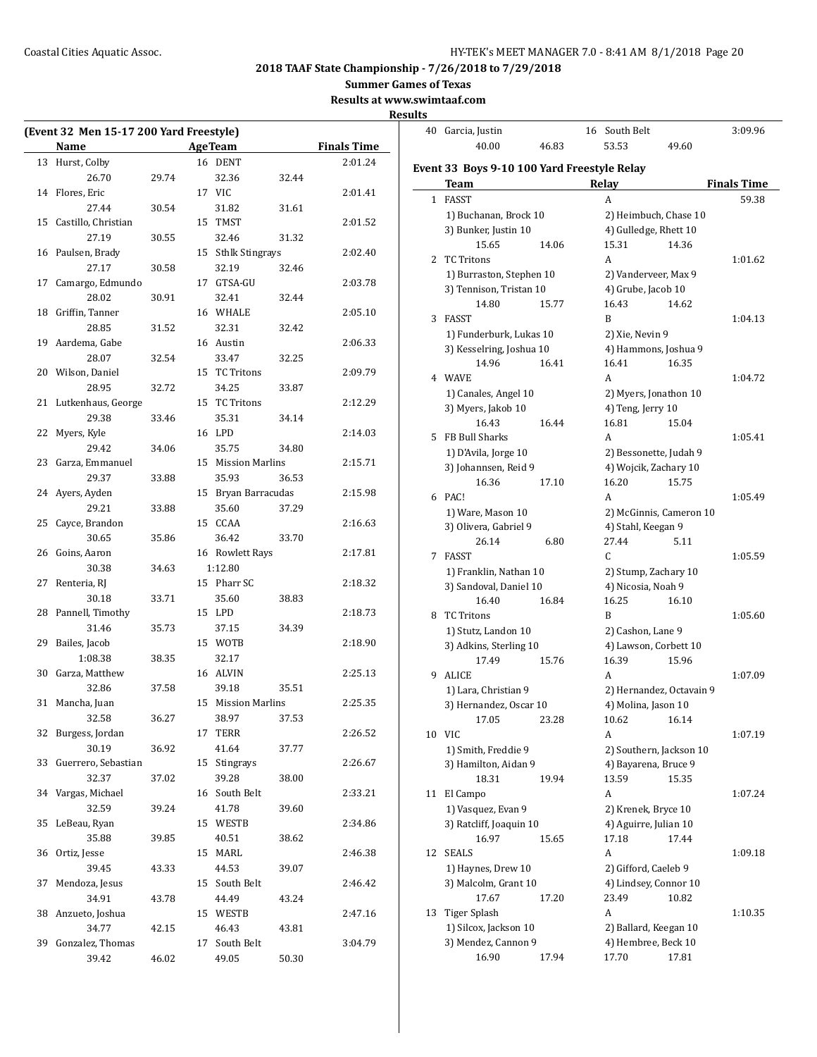**Summer Games of Texas**

**Results at www.swimtaaf.com**

**Results**

 $\overline{\phantom{a}}$ 

|    | (Event 32 Men 15-17 200 Yard Freestyle) |       |    |                     |       |                    |
|----|-----------------------------------------|-------|----|---------------------|-------|--------------------|
|    | <b>Name</b>                             |       |    | <b>AgeTeam</b>      |       | <b>Finals Time</b> |
| 13 | Hurst, Colby                            |       |    | 16 DENT             |       | 2:01.24            |
|    | 26.70                                   | 29.74 |    | 32.36               | 32.44 |                    |
| 14 | Flores, Eric                            |       |    | 17 VIC              |       | 2:01.41            |
|    | 27.44                                   | 30.54 |    | 31.82               | 31.61 |                    |
| 15 | Castillo, Christian                     |       |    | 15 TMST             |       | 2:01.52            |
|    | 27.19                                   | 30.55 |    | 32.46               | 31.32 |                    |
| 16 | Paulsen, Brady                          |       |    | 15 Sthlk Stingrays  |       | 2:02.40            |
|    | 27.17                                   | 30.58 |    | 32.19               | 32.46 |                    |
| 17 | Camargo, Edmundo                        |       |    | 17 GTSA-GU          |       | 2:03.78            |
|    | 28.02                                   | 30.91 |    | 32.41               | 32.44 |                    |
| 18 | Griffin, Tanner                         |       |    | 16 WHALE            |       | 2:05.10            |
|    | 28.85                                   | 31.52 |    | 32.31               | 32.42 |                    |
| 19 | Aardema, Gabe                           |       |    | 16 Austin           |       | 2:06.33            |
|    | 28.07                                   | 32.54 |    | 33.47               | 32.25 |                    |
| 20 | Wilson, Daniel                          |       | 15 | <b>TC Tritons</b>   |       | 2:09.79            |
|    | 28.95                                   | 32.72 |    | 34.25               | 33.87 |                    |
| 21 | Lutkenhaus, George                      |       |    | 15 TC Tritons       |       | 2:12.29            |
|    | 29.38                                   | 33.46 |    | 35.31               | 34.14 |                    |
| 22 | Myers, Kyle                             |       |    | 16 LPD              |       | 2:14.03            |
|    | 29.42                                   | 34.06 |    | 35.75               | 34.80 |                    |
| 23 | Garza, Emmanuel                         |       |    | 15 Mission Marlins  |       | 2:15.71            |
|    | 29.37                                   | 33.88 |    | 35.93               | 36.53 |                    |
| 24 | Ayers, Ayden                            |       |    | 15 Bryan Barracudas |       | 2:15.98            |
|    | 29.21                                   | 33.88 |    | 35.60               | 37.29 |                    |
| 25 | Cayce, Brandon                          |       |    | 15 CCAA             |       | 2:16.63            |
|    | 30.65                                   | 35.86 |    | 36.42               | 33.70 |                    |
| 26 | Goins, Aaron                            |       |    | 16 Rowlett Rays     |       | 2:17.81            |
|    | 30.38                                   | 34.63 |    | 1:12.80             |       |                    |
| 27 | Renteria, RJ                            |       |    | 15 Pharr SC         |       | 2:18.32            |
|    | 30.18                                   | 33.71 |    | 35.60               | 38.83 |                    |
| 28 | Pannell, Timothy                        |       |    | 15 LPD              |       | 2:18.73            |
|    | 31.46                                   | 35.73 |    | 37.15               | 34.39 |                    |
| 29 | Bailes, Jacob                           |       |    | 15 WOTB             |       | 2:18.90            |
|    | 1:08.38                                 | 38.35 |    | 32.17               |       |                    |
| 30 | Garza, Matthew                          |       |    | 16 ALVIN            |       | 2:25.13            |
|    | 32.86                                   | 37.58 |    | 39.18               | 35.51 |                    |
| 31 | Mancha, Juan                            |       |    | 15 Mission Marlins  |       | 2:25.35            |
|    | 32.58                                   | 36.27 |    | 38.97               | 37.53 |                    |
| 32 | Burgess, Jordan                         |       |    | 17 TERR             |       | 2:26.52            |
|    | 30.19                                   | 36.92 |    | 41.64               | 37.77 |                    |
| 33 | Guerrero, Sebastian                     |       |    | 15 Stingrays        |       | 2:26.67            |
|    | 32.37                                   | 37.02 |    | 39.28               | 38.00 |                    |
| 34 | Vargas, Michael                         |       |    | 16 South Belt       |       | 2:33.21            |
|    | 32.59                                   | 39.24 |    | 41.78               | 39.60 |                    |
| 35 | LeBeau, Ryan                            |       |    | 15 WESTB            |       | 2:34.86            |
|    | 35.88                                   | 39.85 |    | 40.51               | 38.62 |                    |
| 36 | Ortiz, Jesse                            |       |    | 15 MARL             |       | 2:46.38            |
|    | 39.45                                   | 43.33 |    | 44.53               | 39.07 |                    |
| 37 | Mendoza, Jesus                          |       |    | 15 South Belt       |       | 2:46.42            |
|    | 34.91                                   | 43.78 |    | 44.49               | 43.24 |                    |
| 38 | Anzueto, Joshua                         |       |    | 15 WESTB            |       | 2:47.16            |
|    | 34.77                                   | 42.15 |    | 46.43               | 43.81 |                    |
| 39 | Gonzalez, Thomas                        |       |    | 17 South Belt       |       | 3:04.79            |
|    | 39.42                                   | 46.02 |    | 49.05               | 50.30 |                    |

| 40 | Garcia, Justin                               |       | 16 | South Belt               |       | 3:09.96            |
|----|----------------------------------------------|-------|----|--------------------------|-------|--------------------|
|    | 40.00                                        | 46.83 |    | 53.53                    | 49.60 |                    |
|    |                                              |       |    |                          |       |                    |
|    | Event 33  Boys 9-10 100 Yard Freestyle Relay |       |    |                          |       |                    |
|    | Team                                         |       |    | Relay                    |       | <b>Finals Time</b> |
| 1  | FASST                                        |       |    | A                        |       | 59.38              |
|    | 1) Buchanan, Brock 10                        |       |    | 2) Heimbuch, Chase 10    |       |                    |
|    | 3) Bunker, Justin 10                         |       |    | 4) Gulledge, Rhett 10    |       |                    |
|    | 15.65                                        | 14.06 |    | 15.31                    | 14.36 |                    |
| 2  | <b>TC Tritons</b>                            |       |    | A                        |       | 1:01.62            |
|    | 1) Burraston, Stephen 10                     |       |    | 2) Vanderveer, Max 9     |       |                    |
|    | 3) Tennison, Tristan 10                      |       |    | 4) Grube, Jacob 10       |       |                    |
|    | 14.80                                        | 15.77 |    | 16.43                    | 14.62 |                    |
| 3  | FASST                                        |       |    | B                        |       | 1:04.13            |
|    | 1) Funderburk, Lukas 10                      |       |    | 2) Xie, Nevin 9          |       |                    |
|    | 3) Kesselring, Joshua 10                     |       |    | 4) Hammons, Joshua 9     |       |                    |
|    | 14.96                                        | 16.41 |    | 16.41                    | 16.35 |                    |
|    | 4 WAVE                                       |       |    | A                        |       | 1:04.72            |
|    | 1) Canales, Angel 10                         |       |    | 2) Myers, Jonathon 10    |       |                    |
|    | 3) Myers, Jakob 10                           |       |    | 4) Teng, Jerry 10        |       |                    |
|    | 16.43                                        | 16.44 |    | 16.81                    | 15.04 |                    |
| 5  | FB Bull Sharks                               |       |    | A                        |       | 1:05.41            |
|    | 1) D'Avila, Jorge 10                         |       |    | 2) Bessonette, Judah 9   |       |                    |
|    | 3) Johannsen, Reid 9                         |       |    | 4) Wojcik, Zachary 10    |       |                    |
|    | 16.36                                        | 17.10 |    | 16.20                    | 15.75 |                    |
| 6  | PAC!                                         |       |    | A                        |       | 1:05.49            |
|    | 1) Ware, Mason 10                            |       |    | 2) McGinnis, Cameron 10  |       |                    |
|    | 3) Olivera, Gabriel 9                        |       |    | 4) Stahl, Keegan 9       |       |                    |
|    | 26.14                                        | 6.80  |    | 27.44                    | 5.11  |                    |
| 7  | FASST                                        |       |    | C.                       |       | 1:05.59            |
|    | 1) Franklin, Nathan 10                       |       |    | 2) Stump, Zachary 10     |       |                    |
|    | 3) Sandoval, Daniel 10                       |       |    | 4) Nicosia, Noah 9       |       |                    |
|    | 16.40                                        | 16.84 |    | 16.25                    | 16.10 |                    |
| 8  | <b>TC Tritons</b>                            |       |    | B                        |       | 1:05.60            |
|    | 1) Stutz, Landon 10                          |       |    | 2) Cashon, Lane 9        |       |                    |
|    | 3) Adkins, Sterling 10                       |       |    | 4) Lawson, Corbett 10    |       |                    |
|    | 17.49                                        | 15.76 |    | 16.39                    | 15.96 |                    |
| 9  | <b>ALICE</b>                                 |       |    | A                        |       | 1:07.09            |
|    | 1) Lara, Christian 9                         |       |    | 2) Hernandez, Octavain 9 |       |                    |
|    | 3) Hernandez, Oscar 10                       |       |    | 4) Molina, Jason 10      |       |                    |
|    | 17.05                                        | 23.28 |    | 10.62                    | 16.14 |                    |
|    | 10 VIC                                       |       |    | A                        |       | 1:07.19            |
|    | 1) Smith, Freddie 9                          |       |    | 2) Southern, Jackson 10  |       |                    |
|    | 3) Hamilton, Aidan 9                         |       |    | 4) Bayarena, Bruce 9     |       |                    |
|    | 18.31                                        | 19.94 |    | 13.59                    | 15.35 |                    |
| 11 | El Campo                                     |       |    | A                        |       | 1:07.24            |
|    | 1) Vasquez, Evan 9                           |       |    | 2) Krenek, Bryce 10      |       |                    |
|    | 3) Ratcliff, Joaquin 10                      |       |    | 4) Aguirre, Julian 10    |       |                    |
|    | 16.97                                        | 15.65 |    | 17.18                    | 17.44 |                    |
| 12 | <b>SEALS</b>                                 |       |    | A                        |       | 1:09.18            |
|    | 1) Haynes, Drew 10                           |       |    | 2) Gifford, Caeleb 9     |       |                    |
|    | 3) Malcolm, Grant 10                         |       |    | 4) Lindsey, Connor 10    |       |                    |
|    | 17.67                                        | 17.20 |    | 23.49                    | 10.82 |                    |
| 13 | Tiger Splash                                 |       |    | A                        |       | 1:10.35            |
|    | 1) Silcox, Jackson 10                        |       |    | 2) Ballard, Keegan 10    |       |                    |
|    | 3) Mendez, Cannon 9                          |       |    | 4) Hembree, Beck 10      |       |                    |
|    | 16.90                                        | 17.94 |    | 17.70                    | 17.81 |                    |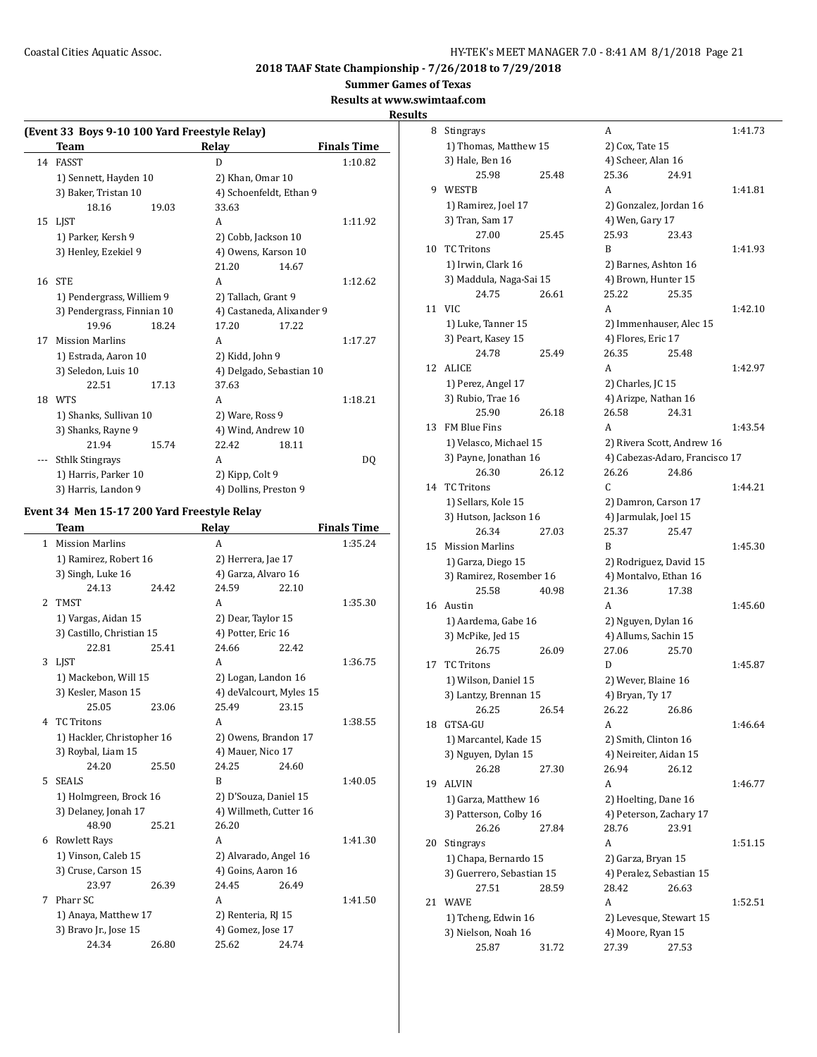**Summer Games of Texas**

**Results at www.swimtaaf.com**

**Results**

|    | (Event 33 Boys 9-10 100 Yard Freestyle Relay) |       |                       |                           |                    |
|----|-----------------------------------------------|-------|-----------------------|---------------------------|--------------------|
|    | Team                                          |       | Relay                 |                           | <b>Finals Time</b> |
|    | 14 FASST                                      |       | D                     |                           | 1:10.82            |
|    | 1) Sennett, Hayden 10                         |       | 2) Khan, Omar 10      |                           |                    |
|    | 3) Baker, Tristan 10                          |       |                       | 4) Schoenfeldt, Ethan 9   |                    |
|    | 18.16                                         | 19.03 | 33.63                 |                           |                    |
| 15 | LIST                                          |       | A                     |                           | 1:11.92            |
|    | 1) Parker, Kersh 9                            |       | 2) Cobb, Jackson 10   |                           |                    |
|    | 3) Henley, Ezekiel 9                          |       | 4) Owens, Karson 10   |                           |                    |
|    |                                               |       | 21.20                 | 14.67                     |                    |
| 16 | <b>STE</b>                                    |       | A                     |                           | 1:12.62            |
|    | 1) Pendergrass, Williem 9                     |       | 2) Tallach, Grant 9   |                           |                    |
|    | 3) Pendergrass, Finnian 10                    |       |                       | 4) Castaneda, Alixander 9 |                    |
|    | 19.96                                         | 18.24 | 17.20                 | 17.22                     |                    |
| 17 | <b>Mission Marlins</b>                        |       | A                     |                           | 1:17.27            |
|    | 1) Estrada, Aaron 10                          |       | 2) Kidd, John 9       |                           |                    |
|    | 3) Seledon, Luis 10                           |       |                       | 4) Delgado, Sebastian 10  |                    |
|    | 22.51                                         | 17.13 | 37.63                 |                           |                    |
|    | 18 WTS                                        |       | A                     |                           | 1:18.21            |
|    | 1) Shanks, Sullivan 10                        |       | 2) Ware, Ross 9       |                           |                    |
|    | 3) Shanks, Rayne 9                            |       | 4) Wind, Andrew 10    |                           |                    |
|    | 21.94                                         | 15.74 | 22.42                 | 18.11                     |                    |
|    | <b>Sthlk Stingrays</b>                        |       | A                     |                           | DQ                 |
|    | 1) Harris, Parker 10                          |       | 2) Kipp, Colt 9       |                           |                    |
|    | 3) Harris, Landon 9                           |       | 4) Dollins, Preston 9 |                           |                    |

# **Event 34 Men 15-17 200 Yard Freestyle Relay**

|   | <b>Team</b>                |       | Relay                   |       | <b>Finals Time</b> |
|---|----------------------------|-------|-------------------------|-------|--------------------|
| 1 | <b>Mission Marlins</b>     |       | A                       |       | 1:35.24            |
|   | 1) Ramirez, Robert 16      |       | 2) Herrera, Jae 17      |       |                    |
|   | 3) Singh, Luke 16          |       | 4) Garza, Alvaro 16     |       |                    |
|   | 24.13                      | 24.42 | 24.59                   | 22.10 |                    |
| 2 | <b>TMST</b>                |       | A                       |       | 1:35.30            |
|   | 1) Vargas, Aidan 15        |       | 2) Dear, Taylor 15      |       |                    |
|   | 3) Castillo, Christian 15  |       | 4) Potter, Eric 16      |       |                    |
|   | 22.81                      | 25.41 | 24.66                   | 22.42 |                    |
|   | 3 LJST                     |       | A                       |       | 1:36.75            |
|   | 1) Mackebon, Will 15       |       | 2) Logan, Landon 16     |       |                    |
|   | 3) Kesler, Mason 15        |       | 4) deValcourt, Myles 15 |       |                    |
|   | 25.05                      | 23.06 | 25.49                   | 23.15 |                    |
|   | 4 TC Tritons               |       | A                       |       | 1:38.55            |
|   | 1) Hackler, Christopher 16 |       | 2) Owens, Brandon 17    |       |                    |
|   | 3) Roybal, Liam 15         |       | 4) Mauer, Nico 17       |       |                    |
|   | 24.20                      | 25.50 | 24.25                   | 24.60 |                    |
| 5 | <b>SEALS</b>               |       | B                       |       | 1:40.05            |
|   | 1) Holmgreen, Brock 16     |       | 2) D'Souza, Daniel 15   |       |                    |
|   | 3) Delaney, Jonah 17       |       | 4) Willmeth, Cutter 16  |       |                    |
|   | 48.90                      | 25.21 | 26.20                   |       |                    |
|   | 6 Rowlett Rays             |       | A                       |       | 1:41.30            |
|   | 1) Vinson, Caleb 15        |       | 2) Alvarado, Angel 16   |       |                    |
|   | 3) Cruse, Carson 15        |       | 4) Goins, Aaron 16      |       |                    |
|   | 23.97                      | 26.39 | 24.45                   | 26.49 |                    |
| 7 | Pharr SC                   |       | A                       |       | 1:41.50            |
|   | 1) Anaya, Matthew 17       |       | 2) Renteria, RJ 15      |       |                    |
|   | 3) Bravo Jr., Jose 15      |       | 4) Gomez, Jose 17       |       |                    |
|   | 24.34                      | 26.80 | 25.62                   | 24.74 |                    |
|   |                            |       |                         |       |                    |

| 8  | Stingrays                 |       | A                        |                                | 1:41.73 |
|----|---------------------------|-------|--------------------------|--------------------------------|---------|
|    | 1) Thomas, Matthew 15     |       | 2) Cox, Tate 15          |                                |         |
|    | 3) Hale, Ben 16           |       | 4) Scheer, Alan 16       |                                |         |
|    | 25.98                     | 25.48 | 25.36                    | 24.91                          |         |
| 9  | WESTB                     |       | A                        |                                | 1:41.81 |
|    | 1) Ramirez, Joel 17       |       | 2) Gonzalez, Jordan 16   |                                |         |
|    | 3) Tran, Sam 17           |       | 4) Wen, Gary 17          |                                |         |
|    | 27.00                     | 25.45 | 25.93                    | 23.43                          |         |
| 10 | <b>TC Tritons</b>         |       | B                        |                                | 1:41.93 |
|    | 1) Irwin, Clark 16        |       | 2) Barnes, Ashton 16     |                                |         |
|    | 3) Maddula, Naga-Sai 15   |       | 4) Brown, Hunter 15      |                                |         |
|    | 24.75                     | 26.61 | 25.22                    | 25.35                          |         |
| 11 | <b>VIC</b>                |       | A                        |                                | 1:42.10 |
|    | 1) Luke, Tanner 15        |       | 2) Immenhauser, Alec 15  |                                |         |
|    | 3) Peart, Kasey 15        |       | 4) Flores, Eric 17       |                                |         |
|    | 24.78                     | 25.49 | 26.35                    | 25.48                          |         |
| 12 | <b>ALICE</b>              |       | A                        |                                | 1:42.97 |
|    | 1) Perez, Angel 17        |       | 2) Charles, JC 15        |                                |         |
|    | 3) Rubio, Trae 16         |       | 4) Arizpe, Nathan 16     |                                |         |
|    | 25.90                     | 26.18 | 26.58                    | 24.31                          |         |
| 13 | FM Blue Fins              |       | A                        |                                | 1:43.54 |
|    | 1) Velasco, Michael 15    |       |                          | 2) Rivera Scott, Andrew 16     |         |
|    | 3) Payne, Jonathan 16     |       |                          | 4) Cabezas-Adaro, Francisco 17 |         |
|    | 26.30                     | 26.12 | 26.26                    | 24.86                          |         |
| 14 | <b>TC Tritons</b>         |       | C.                       |                                | 1:44.21 |
|    | 1) Sellars, Kole 15       |       | 2) Damron, Carson 17     |                                |         |
|    | 3) Hutson, Jackson 16     |       | 4) Jarmulak, Joel 15     |                                |         |
|    | 26.34                     | 27.03 | 25.37                    | 25.47                          |         |
| 15 | <b>Mission Marlins</b>    |       | B                        |                                | 1:45.30 |
|    | 1) Garza, Diego 15        |       | 2) Rodriguez, David 15   |                                |         |
|    | 3) Ramirez, Rosember 16   |       | 4) Montalvo, Ethan 16    |                                |         |
|    | 25.58                     | 40.98 | 21.36                    | 17.38                          |         |
| 16 | Austin                    |       | A                        |                                | 1:45.60 |
|    | 1) Aardema, Gabe 16       |       | 2) Nguyen, Dylan 16      |                                |         |
|    | 3) McPike, Jed 15         |       | 4) Allums, Sachin 15     |                                |         |
|    | 26.75                     | 26.09 | 27.06                    | 25.70                          |         |
| 17 | <b>TC Tritons</b>         |       | D                        |                                | 1:45.87 |
|    | 1) Wilson, Daniel 15      |       | 2) Wever, Blaine 16      |                                |         |
|    | 3) Lantzy, Brennan 15     |       | 4) Bryan, Ty 17          |                                |         |
|    | 26.25                     | 26.54 | 26.22                    | 26.86                          |         |
| 18 | GTSA-GU                   |       | A                        |                                | 1:46.64 |
|    | 1) Marcantel, Kade 15     |       | 2) Smith, Clinton 16     |                                |         |
|    | 3) Nguyen, Dylan 15       |       | 4) Neireiter, Aidan 15   |                                |         |
|    | 26.28                     | 27.30 | 26.94                    | 26.12                          |         |
| 19 | ALVIN                     |       | A                        |                                | 1:46.77 |
|    | 1) Garza, Matthew 16      |       | 2) Hoelting, Dane 16     |                                |         |
|    | 3) Patterson, Colby 16    |       | 4) Peterson, Zachary 17  |                                |         |
|    | 26.26                     | 27.84 | 28.76                    | 23.91                          |         |
| 20 | Stingrays                 |       | A                        |                                | 1:51.15 |
|    | 1) Chapa, Bernardo 15     |       | 2) Garza, Bryan 15       |                                |         |
|    | 3) Guerrero, Sebastian 15 |       | 4) Peralez, Sebastian 15 |                                |         |
|    | 27.51                     | 28.59 | 28.42                    | 26.63                          |         |
| 21 | <b>WAVE</b>               |       | A                        |                                | 1:52.51 |
|    | 1) Tcheng, Edwin 16       |       | 2) Levesque, Stewart 15  |                                |         |
|    | 3) Nielson, Noah 16       |       | 4) Moore, Ryan 15        |                                |         |
|    | 25.87                     | 31.72 | 27.39                    | 27.53                          |         |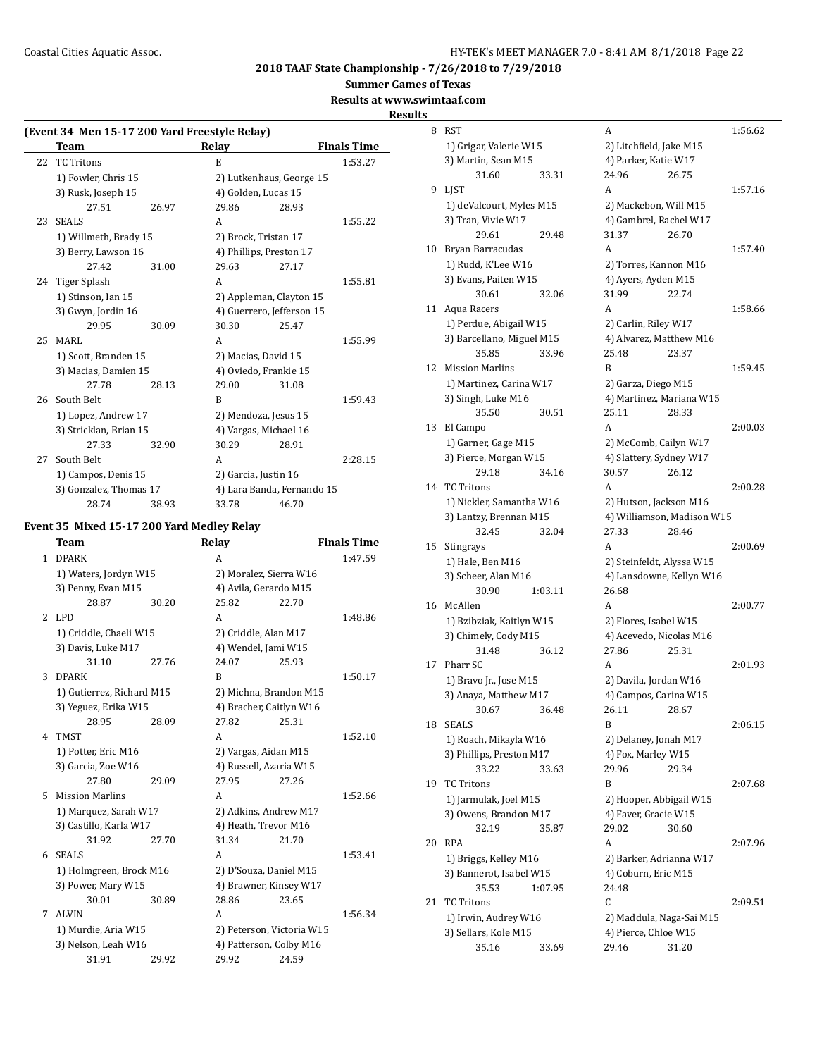**Summer Games of Texas**

**Results at www.swimtaaf.com**

#### **Results**

|    | (Event 34 Men 15-17 200 Yard Freestyle Relay) |       |                            |       |                    |  |  |
|----|-----------------------------------------------|-------|----------------------------|-------|--------------------|--|--|
|    | Team                                          |       | Relay                      |       | <b>Finals Time</b> |  |  |
| 22 | <b>TC Tritons</b>                             |       | E                          |       | 1:53.27            |  |  |
|    | 1) Fowler, Chris 15                           |       | 2) Lutkenhaus, George 15   |       |                    |  |  |
|    | 3) Rusk, Joseph 15                            |       | 4) Golden, Lucas 15        |       |                    |  |  |
|    | 27.51                                         | 26.97 | 29.86                      | 28.93 |                    |  |  |
| 23 | <b>SEALS</b>                                  |       | A                          |       | 1:55.22            |  |  |
|    | 1) Willmeth, Brady 15                         |       | 2) Brock, Tristan 17       |       |                    |  |  |
|    | 3) Berry, Lawson 16                           |       | 4) Phillips, Preston 17    |       |                    |  |  |
|    | 27.42                                         | 31.00 | 29.63                      | 27.17 |                    |  |  |
| 24 | Tiger Splash                                  |       | A                          |       | 1:55.81            |  |  |
|    | 1) Stinson, Ian 15                            |       | 2) Appleman, Clayton 15    |       |                    |  |  |
|    | 3) Gwyn, Jordin 16                            |       | 4) Guerrero, Jefferson 15  |       |                    |  |  |
|    | 29.95                                         | 30.09 | 30.30                      | 25.47 |                    |  |  |
| 25 | MARI.                                         |       | A                          |       | 1:55.99            |  |  |
|    | 1) Scott, Branden 15                          |       | 2) Macias, David 15        |       |                    |  |  |
|    | 3) Macias, Damien 15                          |       | 4) Oviedo, Frankie 15      |       |                    |  |  |
|    | 27.78                                         | 28.13 | 29.00                      | 31.08 |                    |  |  |
|    | 26 South Belt                                 |       | B                          |       | 1:59.43            |  |  |
|    | 1) Lopez, Andrew 17                           |       | 2) Mendoza, Jesus 15       |       |                    |  |  |
|    | 3) Stricklan, Brian 15                        |       | 4) Vargas, Michael 16      |       |                    |  |  |
|    | 27.33                                         | 32.90 | 30.29                      | 28.91 |                    |  |  |
| 27 | South Belt                                    |       | A                          |       | 2:28.15            |  |  |
|    | 1) Campos, Denis 15                           |       | 2) Garcia, Justin 16       |       |                    |  |  |
|    | 3) Gonzalez, Thomas 17                        |       | 4) Lara Banda, Fernando 15 |       |                    |  |  |
|    | 28.74                                         | 38.93 | 33.78                      | 46.70 |                    |  |  |

## **Event 35 Mixed 15-17 200 Yard Medley Relay**

|                          | <b>Team</b>               |       | Relay                     |       | <b>Finals Time</b> |
|--------------------------|---------------------------|-------|---------------------------|-------|--------------------|
| 1                        | <b>DPARK</b>              |       | A                         |       | 1:47.59            |
|                          | 1) Waters, Jordyn W15     |       | 2) Moralez, Sierra W16    |       |                    |
|                          | 3) Penny, Evan M15        |       | 4) Avila, Gerardo M15     |       |                    |
|                          | 28.87                     | 30.20 | 25.82                     | 22.70 |                    |
| $\overline{\mathcal{L}}$ | LPD                       |       | A                         |       | 1:48.86            |
|                          | 1) Criddle, Chaeli W15    |       | 2) Criddle, Alan M17      |       |                    |
|                          | 3) Davis, Luke M17        |       | 4) Wendel, Jami W15       |       |                    |
|                          | 31.10                     | 27.76 | 24.07                     | 25.93 |                    |
| 3                        | <b>DPARK</b>              |       | B                         |       | 1:50.17            |
|                          | 1) Gutierrez, Richard M15 |       | 2) Michna, Brandon M15    |       |                    |
|                          | 3) Yeguez, Erika W15      |       | 4) Bracher, Caitlyn W16   |       |                    |
|                          | 28.95                     | 28.09 | 27.82                     | 25.31 |                    |
| 4                        | <b>TMST</b>               |       | A                         |       | 1:52.10            |
|                          | 1) Potter, Eric M16       |       | 2) Vargas, Aidan M15      |       |                    |
|                          | 3) Garcia, Zoe W16        |       | 4) Russell, Azaria W15    |       |                    |
|                          | 27.80                     | 29.09 | 27.95                     | 27.26 |                    |
| 5                        | <b>Mission Marlins</b>    |       | A                         |       | 1:52.66            |
|                          | 1) Marquez, Sarah W17     |       | 2) Adkins, Andrew M17     |       |                    |
|                          | 3) Castillo, Karla W17    |       | 4) Heath, Trevor M16      |       |                    |
|                          | 31.92                     | 27.70 | 31.34                     | 21.70 |                    |
| 6                        | <b>SEALS</b>              |       | A                         |       | 1:53.41            |
|                          | 1) Holmgreen, Brock M16   |       | 2) D'Souza, Daniel M15    |       |                    |
|                          | 3) Power, Mary W15        |       | 4) Brawner, Kinsey W17    |       |                    |
|                          | 30.01                     | 30.89 | 28.86                     | 23.65 |                    |
| 7                        | <b>ALVIN</b>              |       | A                         |       | 1:56.34            |
|                          | 1) Murdie, Aria W15       |       | 2) Peterson, Victoria W15 |       |                    |
|                          | 3) Nelson, Leah W16       |       | 4) Patterson, Colby M16   |       |                    |
|                          | 31.91                     | 29.92 | 29.92                     | 24.59 |                    |

| 8  | <b>RST</b>                  | А                          | 1:56.62 |
|----|-----------------------------|----------------------------|---------|
|    | 1) Grigar, Valerie W15      | 2) Litchfield, Jake M15    |         |
|    | 3) Martin, Sean M15         | 4) Parker, Katie W17       |         |
|    | 31.60<br>33.31              | 24.96<br>26.75             |         |
| 9  | <b>LIST</b>                 | A                          | 1:57.16 |
|    | 1) deValcourt, Myles M15    | 2) Mackebon, Will M15      |         |
|    | 3) Tran, Vivie W17          | 4) Gambrel, Rachel W17     |         |
|    | 29.61<br>29.48              | 31.37<br>26.70             |         |
| 10 | Bryan Barracudas            | A                          | 1:57.40 |
|    | 1) Rudd, K'Lee W16          | 2) Torres, Kannon M16      |         |
|    | 3) Evans, Paiten W15        | 4) Ayers, Ayden M15        |         |
|    | 30.61<br>32.06              | 31.99<br>22.74             |         |
| 11 | Aqua Racers                 | A                          | 1:58.66 |
|    | 1) Perdue, Abigail W15      | 2) Carlin, Riley W17       |         |
|    | 3) Barcellano, Miguel M15   | 4) Alvarez, Matthew M16    |         |
|    | 35.85<br>33.96              | 25.48<br>23.37             |         |
| 12 | <b>Mission Marlins</b>      | B                          | 1:59.45 |
|    | 1) Martinez, Carina W17     | 2) Garza, Diego M15        |         |
|    | 3) Singh, Luke M16          | 4) Martinez, Mariana W15   |         |
|    | 35.50<br>30.51              | 28.33<br>25.11             |         |
| 13 | El Campo                    | A                          | 2:00.03 |
|    | 1) Garner, Gage M15         | 2) McComb, Cailyn W17      |         |
|    | 3) Pierce, Morgan W15       | 4) Slattery, Sydney W17    |         |
|    | 29.18<br>34.16              | 30.57<br>26.12             |         |
| 14 | <b>TC Tritons</b>           | A                          | 2:00.28 |
|    | 1) Nickler, Samantha W16    | 2) Hutson, Jackson M16     |         |
|    | 3) Lantzy, Brennan M15      | 4) Williamson, Madison W15 |         |
|    | 32.45<br>32.04              | 27.33<br>28.46             |         |
|    |                             | A                          | 2:00.69 |
| 15 | Stingrays                   |                            |         |
|    | 1) Hale, Ben M16            | 2) Steinfeldt, Alyssa W15  |         |
|    | 3) Scheer, Alan M16         | 4) Lansdowne, Kellyn W16   |         |
|    | 30.90<br>1:03.11<br>McAllen | 26.68<br>A                 |         |
| 16 |                             |                            | 2:00.77 |
|    | 1) Bzibziak, Kaitlyn W15    | 2) Flores, Isabel W15      |         |
|    | 3) Chimely, Cody M15        | 4) Acevedo, Nicolas M16    |         |
|    | 31.48<br>36.12              | 27.86<br>25.31             |         |
| 17 | Pharr SC                    | A                          | 2:01.93 |
|    | 1) Bravo Jr., Jose M15      | 2) Davila, Jordan W16      |         |
|    | 3) Anaya, Matthew M17       | 4) Campos, Carina W15      |         |
|    | 30.67<br>36.48              | 26.11<br>28.67             |         |
| 18 | <b>SEALS</b>                | B                          | 2:06.15 |
|    | 1) Roach, Mikayla W16       | 2) Delaney, Jonah M17      |         |
|    | 3) Phillips, Preston M17    | 4) Fox, Marley W15         |         |
|    | 33.22<br>33.63              | 29.96<br>29.34             |         |
| 19 | <b>TC Tritons</b>           | B                          | 2:07.68 |
|    | 1) Jarmulak, Joel M15       | 2) Hooper, Abbigail W15    |         |
|    | 3) Owens, Brandon M17       | 4) Faver, Gracie W15       |         |
|    | 32.19<br>35.87              | 29.02<br>30.60             |         |
| 20 | <b>RPA</b>                  | A                          | 2:07.96 |
|    | 1) Briggs, Kelley M16       | 2) Barker, Adrianna W17    |         |
|    | 3) Bannerot, Isabel W15     | 4) Coburn, Eric M15        |         |
|    | 35.53<br>1:07.95            | 24.48                      |         |
| 21 | <b>TC Tritons</b>           | C                          | 2:09.51 |
|    | 1) Irwin, Audrey W16        | 2) Maddula, Naga-Sai M15   |         |
|    | 3) Sellars, Kole M15        | 4) Pierce, Chloe W15       |         |
|    | 35.16<br>33.69              | 29.46<br>31.20             |         |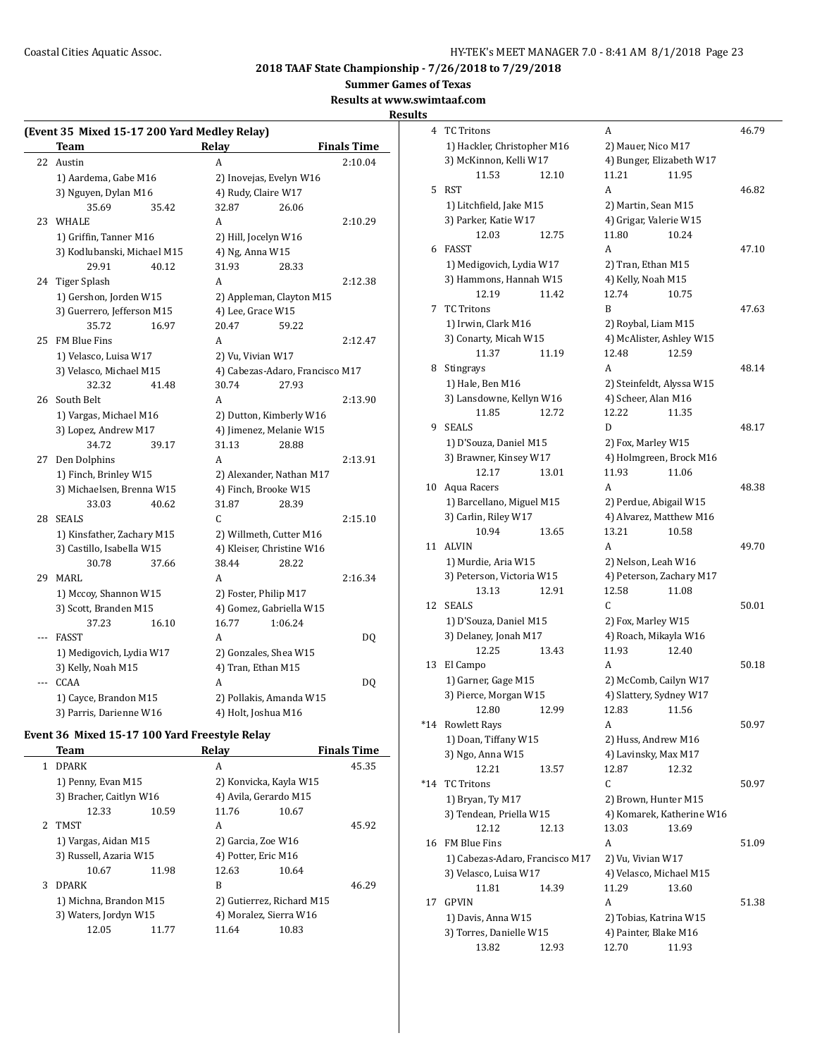**Summer Games of Texas**

## **Results at www.swimtaaf.com**

**Results**

|     | (Event 35 Mixed 15-17 200 Yard Medley Relay) |                                 |                    |
|-----|----------------------------------------------|---------------------------------|--------------------|
|     | Team                                         | Relay                           | <b>Finals Time</b> |
| 22  | Austin                                       | A                               | 2:10.04            |
|     | 1) Aardema, Gabe M16                         | 2) Inovejas, Evelyn W16         |                    |
|     | 3) Nguyen, Dylan M16                         | 4) Rudy, Claire W17             |                    |
|     | 35.69<br>35.42                               | 26.06<br>32.87                  |                    |
| 23  | WHALE                                        | A                               | 2:10.29            |
|     | 1) Griffin, Tanner M16                       | 2) Hill, Jocelyn W16            |                    |
|     | 3) Kodlubanski, Michael M15                  | 4) Ng, Anna W15                 |                    |
|     | 29.91<br>40.12                               | 31.93<br>28.33                  |                    |
|     | 24 Tiger Splash                              | A                               | 2:12.38            |
|     | 1) Gershon, Jorden W15                       | 2) Appleman, Clayton M15        |                    |
|     | 3) Guerrero, Jefferson M15                   | 4) Lee, Grace W15               |                    |
|     | 35.72<br>16.97                               | 20.47<br>59.22                  |                    |
| 25  | FM Blue Fins                                 | A                               | 2:12.47            |
|     | 1) Velasco, Luisa W17                        | 2) Vu, Vivian W17               |                    |
|     | 3) Velasco, Michael M15                      | 4) Cabezas-Adaro, Francisco M17 |                    |
|     | 32.32<br>41.48                               | 30.74<br>27.93                  |                    |
|     | 26 South Belt                                | A                               | 2:13.90            |
|     | 1) Vargas, Michael M16                       | 2) Dutton, Kimberly W16         |                    |
|     | 3) Lopez, Andrew M17                         | 4) Jimenez, Melanie W15         |                    |
|     | 34.72<br>39.17                               | 31.13<br>28.88                  |                    |
| 27  | Den Dolphins                                 | A                               | 2:13.91            |
|     | 1) Finch, Brinley W15                        | 2) Alexander, Nathan M17        |                    |
|     | 3) Michaelsen, Brenna W15                    | 4) Finch, Brooke W15            |                    |
|     | 33.03<br>40.62                               | 31.87<br>28.39                  |                    |
| 28  | <b>SEALS</b>                                 | $\mathsf{C}$                    | 2:15.10            |
|     | 1) Kinsfather, Zachary M15                   | 2) Willmeth, Cutter M16         |                    |
|     | 3) Castillo, Isabella W15                    | 4) Kleiser, Christine W16       |                    |
|     | 30.78<br>37.66                               | 38.44<br>28.22                  |                    |
| 29  | <b>MARL</b>                                  | A                               | 2:16.34            |
|     | 1) Mccoy, Shannon W15                        | 2) Foster, Philip M17           |                    |
|     | 3) Scott, Branden M15                        | 4) Gomez, Gabriella W15         |                    |
|     | 37.23<br>16.10                               | 16.77<br>1:06.24                |                    |
| --- | <b>FASST</b>                                 | A                               | DQ                 |
|     | 1) Medigovich, Lydia W17                     | 2) Gonzales, Shea W15           |                    |
|     | 3) Kelly, Noah M15                           | 4) Tran, Ethan M15              |                    |
| --- | CCAA                                         | A                               | DQ                 |
|     | 1) Cayce, Brandon M15                        | 2) Pollakis, Amanda W15         |                    |
|     | 3) Parris, Darienne W16                      | 4) Holt, Joshua M16             |                    |

# **Event 36 Mixed 15-17 100 Yard Freestyle Relay**

|    | Team                    |       | Relay                     |       | <b>Finals Time</b> |
|----|-------------------------|-------|---------------------------|-------|--------------------|
| 1  | <b>DPARK</b>            |       | A                         |       | 45.35              |
|    | 1) Penny, Evan M15      |       | 2) Konvicka, Kayla W15    |       |                    |
|    | 3) Bracher, Caitlyn W16 |       | 4) Avila, Gerardo M15     |       |                    |
|    | 12.33                   | 10.59 | 11.76                     | 10.67 |                    |
| 2. | TMST                    |       | A                         |       | 45.92              |
|    | 1) Vargas, Aidan M15    |       | 2) Garcia, Zoe W16        |       |                    |
|    | 3) Russell, Azaria W15  |       | 4) Potter, Eric M16       |       |                    |
|    | 10.67                   | 11.98 | 12.63                     | 10.64 |                    |
| 3  | <b>DPARK</b>            |       | B                         |       | 46.29              |
|    | 1) Michna, Brandon M15  |       | 2) Gutierrez, Richard M15 |       |                    |
|    | 3) Waters, Jordyn W15   |       | 4) Moralez, Sierra W16    |       |                    |
|    | 12.05                   | 11.77 | 11.64                     | 10.83 |                    |
|    |                         |       |                           |       |                    |

| S     |                                                   |       |                                                   |                           |       |
|-------|---------------------------------------------------|-------|---------------------------------------------------|---------------------------|-------|
| 4     | <b>TC Tritons</b>                                 |       | А                                                 |                           | 46.79 |
|       | 1) Hackler, Christopher M16                       |       | 2) Mauer, Nico M17                                |                           |       |
|       | 3) McKinnon, Kelli W17                            |       | 4) Bunger, Elizabeth W17                          |                           |       |
|       | 11.53                                             | 12.10 | 11.21                                             | 11.95                     |       |
| 5     | <b>RST</b>                                        |       | A                                                 |                           | 46.82 |
|       | 1) Litchfield, Jake M15                           |       | 2) Martin, Sean M15                               |                           |       |
|       | 3) Parker, Katie W17                              |       | 4) Grigar, Valerie W15                            |                           |       |
|       | 12.03                                             | 12.75 | 11.80                                             | 10.24                     |       |
| 6     | <b>FASST</b>                                      |       | A                                                 |                           | 47.10 |
|       | 1) Medigovich, Lydia W17                          |       | 2) Tran, Ethan M15                                |                           |       |
|       | 3) Hammons, Hannah W15                            |       | 4) Kelly, Noah M15                                |                           |       |
|       | 12.19                                             | 11.42 | 12.74                                             | 10.75                     |       |
| 7     | <b>TC Tritons</b>                                 |       | B                                                 |                           | 47.63 |
|       | 1) Irwin, Clark M16                               |       | 2) Roybal, Liam M15                               |                           |       |
|       | 3) Conarty, Micah W15                             |       | 4) McAlister, Ashley W15                          |                           |       |
|       | 11.37                                             | 11.19 | 12.48                                             | 12.59                     |       |
| 8     | Stingrays                                         |       | A                                                 |                           | 48.14 |
|       | 1) Hale, Ben M16                                  |       | 2) Steinfeldt, Alyssa W15                         |                           |       |
|       | 3) Lansdowne, Kellyn W16                          |       | 4) Scheer, Alan M16                               |                           |       |
|       | 11.85                                             | 12.72 | 12.22                                             | 11.35                     |       |
| 9     | <b>SEALS</b>                                      |       | D                                                 |                           | 48.17 |
|       | 1) D'Souza, Daniel M15                            |       | 2) Fox, Marley W15                                |                           |       |
|       | 3) Brawner, Kinsey W17                            |       | 4) Holmgreen, Brock M16                           |                           |       |
| 10    | 12.17<br>Aqua Racers                              | 13.01 | 11.93<br>A                                        | 11.06                     | 48.38 |
|       |                                                   |       |                                                   |                           |       |
|       | 1) Barcellano, Miguel M15<br>3) Carlin, Riley W17 |       | 2) Perdue, Abigail W15<br>4) Alvarez, Matthew M16 |                           |       |
|       | 10.94                                             | 13.65 | 13.21                                             | 10.58                     |       |
| 11    | ALVIN                                             |       | A                                                 |                           | 49.70 |
|       | 1) Murdie, Aria W15                               |       | 2) Nelson, Leah W16                               |                           |       |
|       | 3) Peterson, Victoria W15                         |       | 4) Peterson, Zachary M17                          |                           |       |
|       | 13.13                                             | 12.91 | 12.58                                             | 11.08                     |       |
| 12    | <b>SEALS</b>                                      |       | C                                                 |                           | 50.01 |
|       | 1) D'Souza, Daniel M15                            |       | 2) Fox, Marley W15                                |                           |       |
|       | 3) Delaney, Jonah M17                             |       | 4) Roach, Mikayla W16                             |                           |       |
|       | 12.25                                             | 13.43 | 11.93                                             | 12.40                     |       |
| 13    | El Campo                                          |       | A                                                 |                           | 50.18 |
|       | 1) Garner, Gage M15                               |       | 2) McComb, Cailyn W17                             |                           |       |
|       | 3) Pierce, Morgan W15                             |       | 4) Slattery, Sydney W17                           |                           |       |
|       | 12.80                                             | 12.99 | 12.83 11.56                                       |                           |       |
| $*14$ | Rowlett Rays                                      |       | A                                                 |                           | 50.97 |
|       | 1) Doan, Tiffany W15                              |       | 2) Huss, Andrew M16                               |                           |       |
|       | 3) Ngo, Anna W15                                  |       | 4) Lavinsky, Max M17                              |                           |       |
|       | 12.21                                             | 13.57 | 12.87                                             | 12.32                     |       |
| *14   | <b>TC Tritons</b>                                 |       | С                                                 |                           | 50.97 |
|       | 1) Bryan, Ty M17                                  |       | 2) Brown, Hunter M15                              |                           |       |
|       | 3) Tendean, Priella W15                           |       |                                                   | 4) Komarek, Katherine W16 |       |
|       | 12.12                                             | 12.13 | 13.03                                             | 13.69                     |       |
| 16    | FM Blue Fins                                      |       | A                                                 |                           | 51.09 |
|       | 1) Cabezas-Adaro, Francisco M17                   |       | 2) Vu, Vivian W17                                 |                           |       |
|       | 3) Velasco, Luisa W17                             |       | 4) Velasco, Michael M15                           |                           |       |
|       | 11.81                                             | 14.39 | 11.29                                             | 13.60                     |       |
| 17    | <b>GPVIN</b>                                      |       | A                                                 |                           | 51.38 |
|       | 1) Davis, Anna W15                                |       | 2) Tobias, Katrina W15                            |                           |       |
|       | 3) Torres, Danielle W15                           |       | 4) Painter, Blake M16                             |                           |       |
|       | 13.82                                             | 12.93 | 12.70                                             | 11.93                     |       |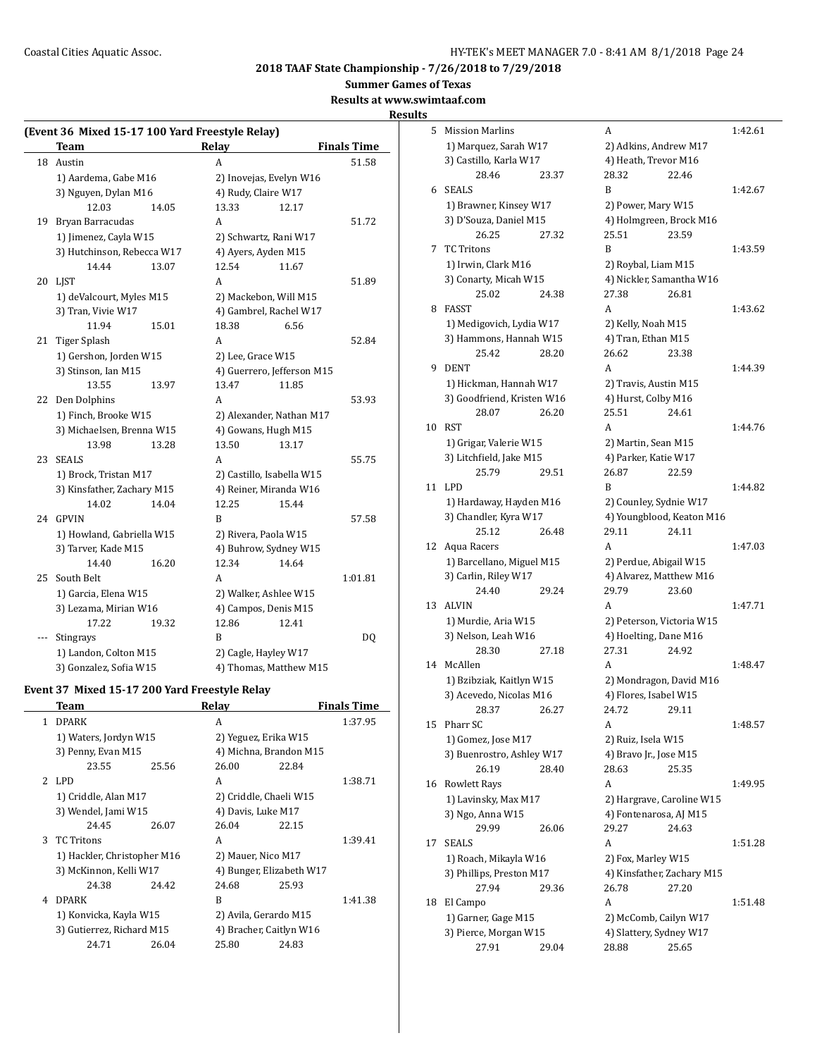**Summer Games of Texas**

**Results at www.swimtaaf.com**

#### **Results**

| (Event 36 Mixed 15-17 100 Yard Freestyle Relay) |                            |       |                     |                            |                    |  |
|-------------------------------------------------|----------------------------|-------|---------------------|----------------------------|--------------------|--|
|                                                 | Team                       |       | Relay               |                            | <b>Finals Time</b> |  |
| 18                                              | Austin                     |       | A                   |                            | 51.58              |  |
|                                                 | 1) Aardema, Gabe M16       |       |                     | 2) Inovejas, Evelyn W16    |                    |  |
|                                                 | 3) Nguyen, Dylan M16       |       | 4) Rudy, Claire W17 |                            |                    |  |
|                                                 | 12.03                      | 14.05 | 13.33               | 12.17                      |                    |  |
| 19                                              | Bryan Barracudas           |       | A                   |                            | 51.72              |  |
|                                                 | 1) Jimenez, Cayla W15      |       |                     | 2) Schwartz, Rani W17      |                    |  |
|                                                 | 3) Hutchinson, Rebecca W17 |       |                     | 4) Ayers, Ayden M15        |                    |  |
|                                                 | 14.44                      | 13.07 | 12.54               | 11.67                      |                    |  |
| 20                                              | <b>LIST</b>                |       | A                   |                            | 51.89              |  |
|                                                 | 1) deValcourt, Myles M15   |       |                     | 2) Mackebon, Will M15      |                    |  |
|                                                 | 3) Tran, Vivie W17         |       |                     | 4) Gambrel, Rachel W17     |                    |  |
|                                                 | 11.94                      | 15.01 | 18.38               | 6.56                       |                    |  |
| 21                                              | Tiger Splash               |       | A                   |                            | 52.84              |  |
|                                                 | 1) Gershon, Jorden W15     |       | 2) Lee, Grace W15   |                            |                    |  |
|                                                 | 3) Stinson, Ian M15        |       |                     | 4) Guerrero, Jefferson M15 |                    |  |
|                                                 | 13.55                      | 13.97 | 13.47               | 11.85                      |                    |  |
| 22                                              | Den Dolphins               |       | A                   |                            | 53.93              |  |
|                                                 | 1) Finch, Brooke W15       |       |                     | 2) Alexander, Nathan M17   |                    |  |
|                                                 | 3) Michaelsen, Brenna W15  |       |                     | 4) Gowans, Hugh M15        |                    |  |
|                                                 | 13.98                      | 13.28 | 13.50               | 13.17                      |                    |  |
| 23                                              | <b>SEALS</b>               |       | A                   |                            | 55.75              |  |
|                                                 | 1) Brock, Tristan M17      |       |                     | 2) Castillo, Isabella W15  |                    |  |
|                                                 | 3) Kinsfather, Zachary M15 |       |                     | 4) Reiner, Miranda W16     |                    |  |
|                                                 | 14.02                      | 14.04 | 12.25               | 15.44                      |                    |  |
| 24                                              | <b>GPVIN</b>               |       | B                   |                            | 57.58              |  |
|                                                 | 1) Howland, Gabriella W15  |       |                     | 2) Rivera, Paola W15       |                    |  |
|                                                 | 3) Tarver, Kade M15        |       |                     | 4) Buhrow, Sydney W15      |                    |  |
|                                                 | 14.40                      | 16.20 | 12.34               | 14.64                      |                    |  |
| 25                                              | South Belt                 |       | A                   |                            | 1:01.81            |  |
|                                                 | 1) Garcia, Elena W15       |       |                     | 2) Walker, Ashlee W15      |                    |  |
|                                                 | 3) Lezama, Mirian W16      |       |                     | 4) Campos, Denis M15       |                    |  |
|                                                 | 17.22                      | 19.32 | 12.86               | 12.41                      |                    |  |
|                                                 | Stingrays                  |       | B                   |                            | DQ                 |  |
|                                                 | 1) Landon, Colton M15      |       |                     | 2) Cagle, Hayley W17       |                    |  |
|                                                 | 3) Gonzalez, Sofia W15     |       |                     | 4) Thomas, Matthew M15     |                    |  |

# **Event 37 Mixed 15-17 200 Yard Freestyle Relay**

|   | Team                        |       | Relay                    |       | <b>Finals Time</b> |
|---|-----------------------------|-------|--------------------------|-------|--------------------|
| 1 | <b>DPARK</b>                |       | A                        |       | 1:37.95            |
|   | 1) Waters, Jordyn W15       |       | 2) Yeguez, Erika W15     |       |                    |
|   | 3) Penny, Evan M15          |       | 4) Michna, Brandon M15   |       |                    |
|   | 23.55                       | 25.56 | 26.00                    | 22.84 |                    |
|   | 2 LPD                       |       | A                        |       | 1:38.71            |
|   | 1) Criddle, Alan M17        |       | 2) Criddle, Chaeli W15   |       |                    |
|   | 3) Wendel, Jami W15         |       | 4) Davis, Luke M17       |       |                    |
|   | 24.45                       | 26.07 | 26.04                    | 22.15 |                    |
| 3 | <b>TC Tritons</b>           |       | A                        |       | 1:39.41            |
|   | 1) Hackler, Christopher M16 |       | 2) Mauer, Nico M17       |       |                    |
|   | 3) McKinnon, Kelli W17      |       | 4) Bunger, Elizabeth W17 |       |                    |
|   | 24.38                       | 24.42 | 24.68                    | 25.93 |                    |
| 4 | <b>DPARK</b>                |       | R                        |       | 1:41.38            |
|   | 1) Konvicka, Kayla W15      |       | 2) Avila, Gerardo M15    |       |                    |
|   | 3) Gutierrez, Richard M15   |       | 4) Bracher, Caitlyn W16  |       |                    |
|   | 24.71                       | 26.04 | 25.80                    | 24.83 |                    |
|   |                             |       |                          |       |                    |

| 5  | <b>Mission Marlins</b>     |       | A                                                |                           | 1:42.61 |
|----|----------------------------|-------|--------------------------------------------------|---------------------------|---------|
|    | 1) Marquez, Sarah W17      |       | 2) Adkins, Andrew M17                            |                           |         |
|    | 3) Castillo, Karla W17     |       | 4) Heath, Trevor M16                             |                           |         |
|    | 28.46                      | 23.37 | 28.32                                            | 22.46                     |         |
| 6  | <b>SEALS</b>               |       | B                                                |                           | 1:42.67 |
|    | 1) Brawner, Kinsey W17     |       | 2) Power, Mary W15                               |                           |         |
|    | 3) D'Souza, Daniel M15     |       | 4) Holmgreen, Brock M16                          |                           |         |
|    | 26.25                      | 27.32 | 25.51                                            | 23.59                     |         |
| 7  | <b>TC Tritons</b>          |       | B                                                |                           | 1:43.59 |
|    | 1) Irwin, Clark M16        |       | 2) Roybal, Liam M15                              |                           |         |
|    | 3) Conarty, Micah W15      |       | 4) Nickler, Samantha W16                         |                           |         |
|    | 25.02                      | 24.38 | 27.38                                            | 26.81                     |         |
| 8  | FASST                      |       | A                                                |                           | 1:43.62 |
|    | 1) Medigovich, Lydia W17   |       | 2) Kelly, Noah M15                               |                           |         |
|    | 3) Hammons, Hannah W15     |       | 4) Tran, Ethan M15                               |                           |         |
|    | 25.42                      | 28.20 | 26.62                                            | 23.38                     |         |
| 9  | <b>DENT</b>                |       | A                                                |                           | 1:44.39 |
|    | 1) Hickman, Hannah W17     |       | 2) Travis, Austin M15                            |                           |         |
|    | 3) Goodfriend, Kristen W16 |       | 4) Hurst, Colby M16                              |                           |         |
|    | 28.07                      | 26.20 | 25.51                                            | 24.61                     |         |
| 10 | <b>RST</b>                 |       | A                                                |                           | 1:44.76 |
|    | 1) Grigar, Valerie W15     |       | 2) Martin, Sean M15                              |                           |         |
|    | 3) Litchfield, Jake M15    |       | 4) Parker, Katie W17                             |                           |         |
|    | 25.79                      | 29.51 | 26.87                                            | 22.59                     |         |
| 11 | LPD.                       |       | B                                                |                           | 1:44.82 |
|    | 1) Hardaway, Hayden M16    |       | 2) Counley, Sydnie W17                           |                           |         |
|    | 3) Chandler, Kyra W17      |       |                                                  | 4) Youngblood, Keaton M16 |         |
|    | 25.12                      | 26.48 | 29.11                                            | 24.11                     |         |
| 12 | Aqua Racers                |       | A                                                |                           | 1:47.03 |
|    | 1) Barcellano, Miguel M15  |       | 2) Perdue, Abigail W15                           |                           |         |
|    | 3) Carlin, Riley W17       |       | 4) Alvarez, Matthew M16                          |                           |         |
|    | 24.40                      | 29.24 | 29.79                                            | 23.60                     |         |
| 13 | ALVIN                      |       | A                                                |                           | 1:47.71 |
|    | 1) Murdie, Aria W15        |       | 2) Peterson, Victoria W15                        |                           |         |
|    | 3) Nelson, Leah W16        |       | 4) Hoelting, Dane M16                            |                           |         |
|    | 28.30                      | 27.18 | 27.31                                            | 24.92                     |         |
| 14 | McAllen                    |       | A                                                |                           | 1:48.47 |
|    |                            |       |                                                  |                           |         |
|    | 1) Bzibziak, Kaitlyn W15   |       | 2) Mondragon, David M16<br>4) Flores, Isabel W15 |                           |         |
|    | 3) Acevedo, Nicolas M16    |       |                                                  |                           |         |
|    | 28.37<br>Pharr SC          | 26.27 | 24.72                                            | 29.11                     |         |
| 15 |                            |       | A                                                |                           | 1:48.57 |
|    | 1) Gomez, Jose M17         |       | 2) Ruiz, Isela W15                               |                           |         |
|    | 3) Buenrostro, Ashley W17  |       | 4) Bravo Jr., Jose M15                           |                           |         |
|    | 26.19                      | 28.40 | 28.63                                            | 25.35                     |         |
| 16 | Rowlett Rays               |       | A                                                |                           | 1:49.95 |
|    | 1) Lavinsky, Max M17       |       | 2) Hargrave, Caroline W15                        |                           |         |
|    | 3) Ngo, Anna W15           |       | 4) Fontenarosa, AJ M15                           |                           |         |
|    | 29.99                      | 26.06 | 29.27                                            | 24.63                     |         |
| 17 | <b>SEALS</b>               |       | A                                                |                           | 1:51.28 |
|    | 1) Roach, Mikayla W16      |       | 2) Fox, Marley W15                               |                           |         |
|    | 3) Phillips, Preston M17   |       | 4) Kinsfather, Zachary M15                       |                           |         |
|    | 27.94                      | 29.36 | 26.78                                            | 27.20                     |         |
| 18 | El Campo                   |       | A                                                |                           | 1:51.48 |
|    | 1) Garner, Gage M15        |       | 2) McComb, Cailyn W17                            |                           |         |
|    | 3) Pierce, Morgan W15      |       | 4) Slattery, Sydney W17                          |                           |         |
|    | 27.91                      | 29.04 | 28.88                                            | 25.65                     |         |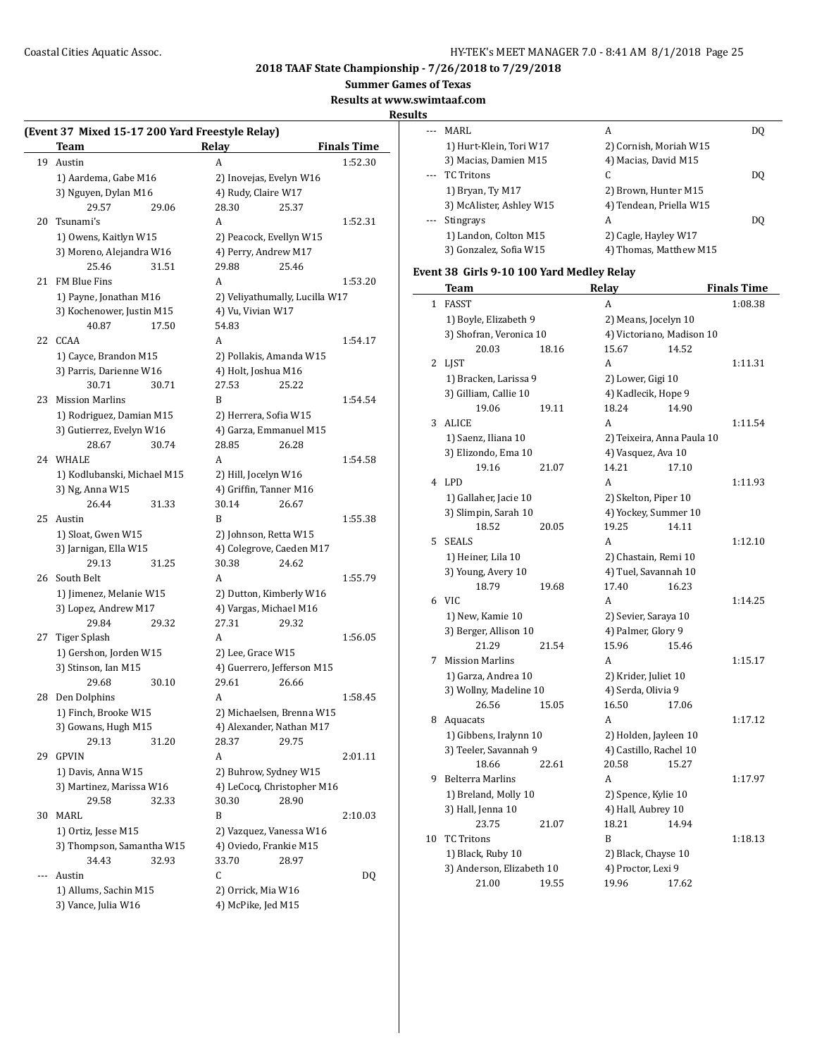**Summer Games of Texas**

#### **Results at www.swimtaaf.com**

**Results**

|    | Team                        | Relay                   | <b>Finals Time</b>             |  |
|----|-----------------------------|-------------------------|--------------------------------|--|
| 19 | Austin                      | A                       | 1:52.30                        |  |
|    | 1) Aardema, Gabe M16        | 2) Inovejas, Evelyn W16 |                                |  |
|    | 3) Nguyen, Dylan M16        | 4) Rudy, Claire W17     |                                |  |
|    | 29.57<br>29.06              | 28.30                   | 25.37                          |  |
| 20 | Tsunami's                   | A                       | 1:52.31                        |  |
|    | 1) Owens, Kaitlyn W15       | 2) Peacock, Evellyn W15 |                                |  |
|    | 3) Moreno, Alejandra W16    | 4) Perry, Andrew M17    |                                |  |
|    | 25.46<br>31.51              | 29.88                   | 25.46                          |  |
| 21 | FM Blue Fins                | A                       | 1:53.20                        |  |
|    | 1) Payne, Jonathan M16      |                         | 2) Veliyathumally, Lucilla W17 |  |
|    | 3) Kochenower, Justin M15   | 4) Vu, Vivian W17       |                                |  |
|    | 40.87<br>17.50              | 54.83                   |                                |  |
| 22 | CCAA                        | A                       | 1:54.17                        |  |
|    | 1) Cayce, Brandon M15       | 2) Pollakis, Amanda W15 |                                |  |
|    | 3) Parris, Darienne W16     | 4) Holt, Joshua M16     |                                |  |
|    | 30.71<br>30.71              | 27.53                   | 25.22                          |  |
|    | <b>Mission Marlins</b>      |                         | 1:54.54                        |  |
| 23 |                             | B                       |                                |  |
|    | 1) Rodriguez, Damian M15    | 2) Herrera, Sofia W15   |                                |  |
|    | 3) Gutierrez, Evelyn W16    | 4) Garza, Emmanuel M15  |                                |  |
|    | 28.67<br>30.74              | 28.85                   | 26.28                          |  |
| 24 | WHALE                       | A                       | 1:54.58                        |  |
|    | 1) Kodlubanski, Michael M15 | 2) Hill, Jocelyn W16    |                                |  |
|    | 3) Ng, Anna W15             | 4) Griffin, Tanner M16  |                                |  |
|    | 26.44<br>31.33              | 30.14                   | 26.67                          |  |
| 25 | Austin                      | B                       | 1:55.38                        |  |
|    | 1) Sloat, Gwen W15          | 2) Johnson, Retta W15   |                                |  |
|    | 3) Jarnigan, Ella W15       |                         | 4) Colegrove, Caeden M17       |  |
|    | 29.13<br>31.25              | 30.38                   | 24.62                          |  |
| 26 | South Belt                  | A                       | 1:55.79                        |  |
|    | 1) Jimenez, Melanie W15     | 2) Dutton, Kimberly W16 |                                |  |
|    | 3) Lopez, Andrew M17        | 4) Vargas, Michael M16  |                                |  |
|    | 29.84<br>29.32              | 27.31                   | 29.32                          |  |
| 27 | <b>Tiger Splash</b>         | A                       | 1:56.05                        |  |
|    | 1) Gershon, Jorden W15      | 2) Lee, Grace W15       |                                |  |
|    | 3) Stinson, Ian M15         |                         | 4) Guerrero, Jefferson M15     |  |
|    | 29.68<br>30.10              | 29.61                   | 26.66                          |  |
| 28 | Den Dolphins                | A                       | 1:58.45                        |  |
|    | 1) Finch, Brooke W15        |                         | 2) Michaelsen, Brenna W15      |  |
|    | 3) Gowans, Hugh M15         |                         | 4) Alexander, Nathan M17       |  |
|    | 29.13<br>31.20              | 28.37                   | 29.75                          |  |
| 29 | <b>GPVIN</b>                | A                       | 2:01.11                        |  |
|    | 1) Davis, Anna W15          | 2) Buhrow, Sydney W15   |                                |  |
|    | 3) Martinez, Marissa W16    |                         | 4) LeCocq, Christopher M16     |  |
|    | 29.58                       | 30.30                   |                                |  |
|    | 32.33                       |                         | 28.90                          |  |
| 30 | MARL                        | B                       | 2:10.03                        |  |
|    | 1) Ortiz, Jesse M15         | 2) Vazquez, Vanessa W16 |                                |  |
|    | 3) Thompson, Samantha W15   | 4) Oviedo, Frankie M15  |                                |  |
|    | 34.43<br>32.93              | 33.70                   | 28.97                          |  |
|    | Austin                      | С                       | DQ                             |  |

1) Allums, Sachin M15 2) Orrick, Mia W16 3) Vance, Julia W16 4) McPike, Jed M15

| MARI.                    | A                       | DO. |
|--------------------------|-------------------------|-----|
| 1) Hurt-Klein, Tori W17  | 2) Cornish, Moriah W15  |     |
| 3) Macias, Damien M15    | 4) Macias, David M15    |     |
| TC Tritons               | C                       | DO. |
| 1) Bryan, Ty M17         | 2) Brown, Hunter M15    |     |
| 3) McAlister, Ashley W15 | 4) Tendean, Priella W15 |     |
| Stingrays                | A                       | DO. |
| 1) Landon, Colton M15    | 2) Cagle, Hayley W17    |     |
| 3) Gonzalez, Sofia W15   | 4) Thomas, Matthew M15  |     |

# **Event 38 Girls 9-10 100 Yard Medley Relay**

|    | Team                      |       | <b>Relay</b>               |       | <b>Finals Time</b> |
|----|---------------------------|-------|----------------------------|-------|--------------------|
| 1  | <b>FASST</b>              |       | A                          |       | 1:08.38            |
|    | 1) Boyle, Elizabeth 9     |       | 2) Means, Jocelyn 10       |       |                    |
|    | 3) Shofran, Veronica 10   |       | 4) Victoriano, Madison 10  |       |                    |
|    | 20.03                     | 18.16 | 15.67                      | 14.52 |                    |
| 2  | <b>LIST</b>               |       | A                          |       | 1:11.31            |
|    | 1) Bracken, Larissa 9     |       | 2) Lower, Gigi 10          |       |                    |
|    | 3) Gilliam, Callie 10     |       | 4) Kadlecik, Hope 9        |       |                    |
|    | 19.06                     | 19.11 | 18.24                      | 14.90 |                    |
| 3  | <b>ALICE</b>              |       | A                          |       | 1:11.54            |
|    | 1) Saenz, Iliana 10       |       | 2) Teixeira, Anna Paula 10 |       |                    |
|    | 3) Elizondo, Ema 10       |       | 4) Vasquez, Ava 10         |       |                    |
|    | 19.16                     | 21.07 | 14.21                      | 17.10 |                    |
| 4  | LPD                       |       | A                          |       | 1:11.93            |
|    | 1) Gallaher, Jacie 10     |       | 2) Skelton, Piper 10       |       |                    |
|    | 3) Slimpin, Sarah 10      |       | 4) Yockey, Summer 10       |       |                    |
|    | 18.52                     | 20.05 | 19.25                      | 14.11 |                    |
| 5  | <b>SEALS</b>              |       | A                          |       | 1:12.10            |
|    | 1) Heiner, Lila 10        |       | 2) Chastain, Remi 10       |       |                    |
|    | 3) Young, Avery 10        |       | 4) Tuel, Savannah 10       |       |                    |
|    | 18.79                     | 19.68 | 17.40                      | 16.23 |                    |
| 6  | <b>VIC</b>                |       | A                          |       | 1:14.25            |
|    | 1) New, Kamie 10          |       | 2) Sevier, Saraya 10       |       |                    |
|    | 3) Berger, Allison 10     |       | 4) Palmer, Glory 9         |       |                    |
|    | 21.29                     | 21.54 | 15.96                      | 15.46 |                    |
| 7  | <b>Mission Marlins</b>    |       | A                          |       | 1:15.17            |
|    | 1) Garza, Andrea 10       |       | 2) Krider, Juliet 10       |       |                    |
|    | 3) Wollny, Madeline 10    |       | 4) Serda, Olivia 9         |       |                    |
|    | 26.56                     | 15.05 | 16.50                      | 17.06 |                    |
| 8  | Aquacats                  |       | A                          |       | 1:17.12            |
|    | 1) Gibbens, Iralynn 10    |       | 2) Holden, Jayleen 10      |       |                    |
|    | 3) Teeler, Savannah 9     |       | 4) Castillo, Rachel 10     |       |                    |
|    | 18.66                     | 22.61 | 20.58                      | 15.27 |                    |
| 9  | <b>Belterra Marlins</b>   |       | A                          |       | 1:17.97            |
|    | 1) Breland, Molly 10      |       | 2) Spence, Kylie 10        |       |                    |
|    | 3) Hall, Jenna 10         |       | 4) Hall, Aubrey 10         |       |                    |
|    | 23.75                     | 21.07 | 18.21                      | 14.94 |                    |
| 10 | <b>TC Tritons</b>         |       | B                          |       | 1:18.13            |
|    | 1) Black, Ruby 10         |       | 2) Black, Chayse 10        |       |                    |
|    | 3) Anderson, Elizabeth 10 |       | 4) Proctor, Lexi 9         |       |                    |
|    | 21.00                     | 19.55 | 19.96                      | 17.62 |                    |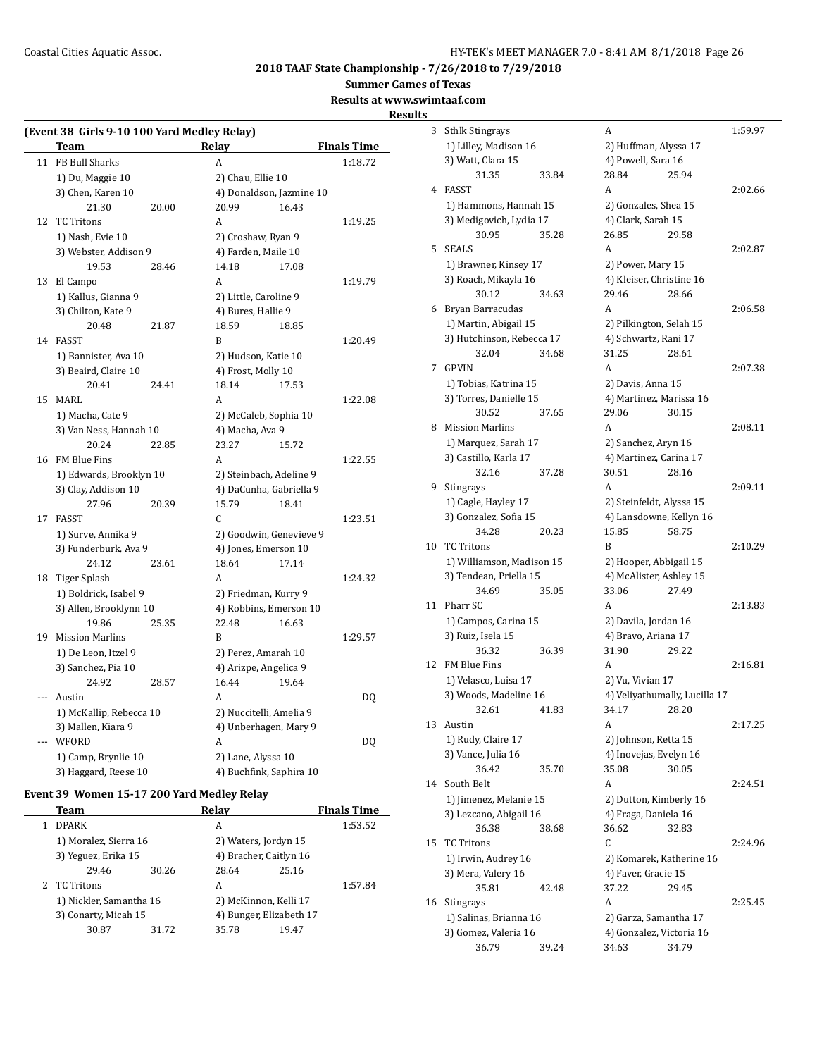**Summer Games of Texas**

**Results at www.swimtaaf.com**

#### **Results**

|     | (Event 38 Girls 9-10 100 Yard Medley Relay) |       |                       |                          |                    |
|-----|---------------------------------------------|-------|-----------------------|--------------------------|--------------------|
|     | Team                                        |       | Relay                 |                          | <b>Finals Time</b> |
| 11  | FB Bull Sharks                              |       | A                     |                          | 1:18.72            |
|     | 1) Du, Maggie 10                            |       | 2) Chau, Ellie 10     |                          |                    |
|     | 3) Chen, Karen 10                           |       |                       | 4) Donaldson, Jazmine 10 |                    |
|     | 21.30                                       | 20.00 | 20.99                 | 16.43                    |                    |
| 12  | <b>TC Tritons</b>                           |       | A                     |                          | 1:19.25            |
|     | 1) Nash, Evie 10                            |       | 2) Croshaw, Ryan 9    |                          |                    |
|     | 3) Webster, Addison 9                       |       | 4) Farden, Maile 10   |                          |                    |
|     | 19.53                                       | 28.46 | 14.18                 | 17.08                    |                    |
| 13  | El Campo                                    |       | A                     |                          | 1:19.79            |
|     | 1) Kallus, Gianna 9                         |       | 2) Little, Caroline 9 |                          |                    |
|     | 3) Chilton, Kate 9                          |       | 4) Bures, Hallie 9    |                          |                    |
|     | 20.48                                       | 21.87 | 18.59                 | 18.85                    |                    |
| 14  | FASST                                       |       | B                     |                          | 1:20.49            |
|     | 1) Bannister, Ava 10                        |       | 2) Hudson, Katie 10   |                          |                    |
|     | 3) Beaird, Claire 10                        |       | 4) Frost, Molly 10    |                          |                    |
|     | 20.41                                       | 24.41 | 18.14                 | 17.53                    |                    |
| 15  | <b>MARL</b>                                 |       | A                     |                          | 1:22.08            |
|     | 1) Macha, Cate 9                            |       |                       | 2) McCaleb, Sophia 10    |                    |
|     | 3) Van Ness, Hannah 10                      |       | 4) Macha, Ava 9       |                          |                    |
|     | 20.24                                       | 22.85 | 23.27                 | 15.72                    |                    |
| 16  | FM Blue Fins                                |       | A                     |                          | 1:22.55            |
|     | 1) Edwards, Brooklyn 10                     |       |                       | 2) Steinbach, Adeline 9  |                    |
|     | 3) Clay, Addison 10                         |       |                       | 4) DaCunha, Gabriella 9  |                    |
|     | 27.96                                       | 20.39 | 15.79                 | 18.41                    |                    |
| 17  | <b>FASST</b>                                |       | C.                    |                          | 1:23.51            |
|     | 1) Surve, Annika 9                          |       |                       | 2) Goodwin, Genevieve 9  |                    |
|     | 3) Funderburk, Ava 9                        |       |                       | 4) Jones, Emerson 10     |                    |
|     | 24.12                                       | 23.61 | 18.64                 | 17.14                    |                    |
| 18  | Tiger Splash                                |       | A                     |                          | 1:24.32            |
|     | 1) Boldrick, Isabel 9                       |       |                       | 2) Friedman, Kurry 9     |                    |
|     | 3) Allen, Brooklynn 10                      |       |                       | 4) Robbins, Emerson 10   |                    |
|     | 19.86                                       | 25.35 | 22.48                 | 16.63                    |                    |
|     | 19 Mission Marlins                          |       | B                     |                          | 1:29.57            |
|     | 1) De Leon, Itzel 9                         |       | 2) Perez, Amarah 10   |                          |                    |
|     | 3) Sanchez, Pia 10                          |       | 4) Arizpe, Angelica 9 |                          |                    |
|     | 24.92                                       | 28.57 | 16.44                 | 19.64                    |                    |
| --- | Austin                                      |       | A                     |                          | DQ                 |
|     | 1) McKallip, Rebecca 10                     |       |                       | 2) Nuccitelli, Amelia 9  |                    |
|     | 3) Mallen, Kiara 9                          |       |                       | 4) Unberhagen, Mary 9    |                    |
|     | WFORD                                       |       | A                     |                          | DQ                 |
|     | 1) Camp, Brynlie 10                         |       | 2) Lane, Alyssa 10    |                          |                    |
|     | 3) Haggard, Reese 10                        |       |                       | 4) Buchfink, Saphira 10  |                    |
|     |                                             |       |                       |                          |                    |

## **Event 39 Women 15-17 200 Yard Medley Relay**

|  | Team                                            |       | Relay                                            |       | <b>Finals Time</b> |
|--|-------------------------------------------------|-------|--------------------------------------------------|-------|--------------------|
|  | <b>DPARK</b>                                    |       | А                                                |       | 1:53.52            |
|  | 1) Moralez, Sierra 16                           |       | 2) Waters, Jordyn 15                             |       |                    |
|  | 3) Yeguez, Erika 15                             |       | 4) Bracher, Caitlyn 16                           |       |                    |
|  | 29.46                                           | 30.26 | 28.64                                            | 25.16 |                    |
|  | 2 TC Tritons                                    |       | A                                                |       | 1:57.84            |
|  | 1) Nickler, Samantha 16<br>3) Conarty, Micah 15 |       | 2) McKinnon, Kelli 17<br>4) Bunger, Elizabeth 17 |       |                    |
|  |                                                 |       |                                                  |       |                    |
|  | 30.87                                           | 31.72 | 35.78                                            | 19.47 |                    |
|  |                                                 |       |                                                  |       |                    |

| 3  | <b>Sthlk Stingrays</b>                   |       | A                               |                               | 1:59.97 |
|----|------------------------------------------|-------|---------------------------------|-------------------------------|---------|
|    | 1) Lilley, Madison 16                    |       | 2) Huffman, Alyssa 17           |                               |         |
|    | 3) Watt, Clara 15                        |       | 4) Powell, Sara 16              |                               |         |
|    | 31.35                                    | 33.84 | 28.84                           | 25.94                         |         |
| 4  | FASST                                    |       | A                               |                               | 2:02.66 |
|    | 1) Hammons, Hannah 15                    |       | 2) Gonzales, Shea 15            |                               |         |
|    | 3) Medigovich, Lydia 17                  |       | 4) Clark, Sarah 15              |                               |         |
|    | 30.95                                    | 35.28 | 26.85                           | 29.58                         |         |
| 5  | <b>SEALS</b>                             |       | A                               |                               | 2:02.87 |
|    | 1) Brawner, Kinsey 17                    |       | 2) Power, Mary 15               |                               |         |
|    | 3) Roach, Mikayla 16                     |       | 4) Kleiser, Christine 16        |                               |         |
|    | 30.12                                    | 34.63 | 29.46                           | 28.66                         |         |
|    | 6 Bryan Barracudas                       |       | A                               |                               | 2:06.58 |
|    | 1) Martin, Abigail 15                    |       | 2) Pilkington, Selah 15         |                               |         |
|    | 3) Hutchinson, Rebecca 17                |       | 4) Schwartz, Rani 17            |                               |         |
|    | 32.04                                    | 34.68 | 31.25                           | 28.61                         |         |
| 7  | <b>GPVIN</b>                             |       | A                               |                               | 2:07.38 |
|    | 1) Tobias, Katrina 15                    |       | 2) Davis, Anna 15               |                               |         |
|    | 3) Torres, Danielle 15                   |       | 4) Martinez, Marissa 16         |                               |         |
|    | 30.52                                    | 37.65 | 29.06                           | 30.15                         |         |
| 8  | <b>Mission Marlins</b>                   |       | A                               |                               | 2:08.11 |
|    | 1) Marquez, Sarah 17                     |       | 2) Sanchez, Aryn 16             |                               |         |
|    | 3) Castillo, Karla 17                    |       | 4) Martinez, Carina 17          |                               |         |
|    | 32.16                                    | 37.28 | 30.51                           | 28.16                         |         |
| 9  | Stingrays                                |       | A                               |                               | 2:09.11 |
|    | 1) Cagle, Hayley 17                      |       | 2) Steinfeldt, Alyssa 15        |                               |         |
|    | 3) Gonzalez, Sofia 15                    |       | 4) Lansdowne, Kellyn 16         |                               |         |
|    | 34.28                                    | 20.23 | 15.85                           | 58.75                         |         |
| 10 | <b>TC Tritons</b>                        |       | B                               |                               | 2:10.29 |
|    | 1) Williamson, Madison 15                |       | 2) Hooper, Abbigail 15          |                               |         |
|    | 3) Tendean, Priella 15                   |       | 4) McAlister, Ashley 15         |                               |         |
|    | 34.69                                    | 35.05 | 33.06                           | 27.49                         |         |
| 11 | Pharr SC                                 |       | A                               |                               | 2:13.83 |
|    | 1) Campos, Carina 15                     |       | 2) Davila, Jordan 16            |                               |         |
|    | 3) Ruiz, Isela 15                        |       | 4) Bravo, Ariana 17             |                               |         |
|    | 36.32                                    | 36.39 | 31.90                           | 29.22                         |         |
| 12 | FM Blue Fins                             |       | A                               |                               | 2:16.81 |
|    | 1) Velasco, Luisa 17                     |       | 2) Vu, Vivian 17                |                               |         |
|    | 3) Woods, Madeline 16                    |       |                                 | 4) Veliyathumally, Lucilla 17 |         |
|    | 32.61                                    | 41.83 | 34.17                           | 28.20                         |         |
| 13 | Austin                                   |       | A                               |                               | 2:17.25 |
|    | 1) Rudy, Claire 17<br>3) Vance, Julia 16 |       | 2) Johnson, Retta 15            |                               |         |
|    | 36.42                                    | 35.70 | 4) Inovejas, Evelyn 16<br>35.08 | 30.05                         |         |
| 14 | South Belt                               |       | A                               |                               | 2:24.51 |
|    | 1) Jimenez, Melanie 15                   |       | 2) Dutton, Kimberly 16          |                               |         |
|    | 3) Lezcano, Abigail 16                   |       | 4) Fraga, Daniela 16            |                               |         |
|    | 36.38                                    | 38.68 | 36.62                           | 32.83                         |         |
| 15 | <b>TC Tritons</b>                        |       | C                               |                               | 2:24.96 |
|    | 1) Irwin, Audrey 16                      |       | 2) Komarek, Katherine 16        |                               |         |
|    | 3) Mera, Valery 16                       |       | 4) Faver, Gracie 15             |                               |         |
|    | 35.81                                    | 42.48 | 37.22                           | 29.45                         |         |
| 16 | Stingrays                                |       | A                               |                               | 2:25.45 |
|    | 1) Salinas, Brianna 16                   |       | 2) Garza, Samantha 17           |                               |         |
|    | 3) Gomez, Valeria 16                     |       | 4) Gonzalez, Victoria 16        |                               |         |
|    | 36.79                                    | 39.24 | 34.63                           | 34.79                         |         |
|    |                                          |       |                                 |                               |         |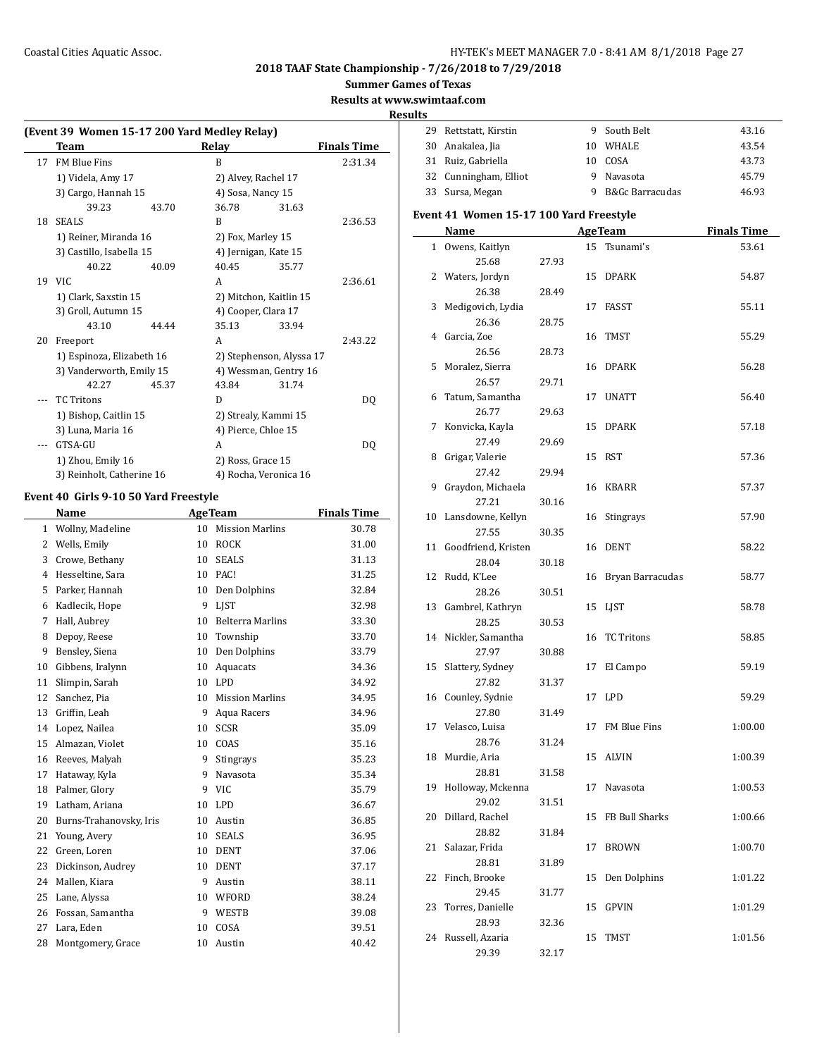**Summer Games of Texas**

**Results at www.swimtaaf.com**

**Results**

|    | (Event 39 Women 15-17 200 Yard Medley Relay) |       |                      |                          |                    |
|----|----------------------------------------------|-------|----------------------|--------------------------|--------------------|
|    | Team                                         |       | Relay                |                          | <b>Finals Time</b> |
| 17 | FM Blue Fins                                 |       | B                    |                          | 2:31.34            |
|    | 1) Videla, Amy 17                            |       | 2) Alvey, Rachel 17  |                          |                    |
|    | 3) Cargo, Hannah 15                          |       | 4) Sosa, Nancy 15    |                          |                    |
|    | 39.23                                        | 43.70 | 36.78                | 31.63                    |                    |
| 18 | <b>SEALS</b>                                 |       | R                    |                          | 2:36.53            |
|    | 1) Reiner, Miranda 16                        |       | 2) Fox, Marley 15    |                          |                    |
|    | 3) Castillo, Isabella 15                     |       | 4) Jernigan, Kate 15 |                          |                    |
|    | 40.22                                        | 40.09 | 40.45                | 35.77                    |                    |
|    | 19 VIC                                       |       | A                    |                          | 2:36.61            |
|    | 1) Clark, Saxstin 15                         |       |                      | 2) Mitchon, Kaitlin 15   |                    |
|    | 3) Groll, Autumn 15                          |       | 4) Cooper, Clara 17  |                          |                    |
|    | 43.10                                        | 44.44 | 35.13                | 33.94                    |                    |
| 20 | Freeport                                     |       | A                    |                          | 2:43.22            |
|    | 1) Espinoza, Elizabeth 16                    |       |                      | 2) Stephenson, Alyssa 17 |                    |
|    | 3) Vanderworth, Emily 15                     |       |                      | 4) Wessman, Gentry 16    |                    |
|    | 42.27                                        | 45.37 | 43.84                | 31.74                    |                    |
|    | <b>TC</b> Tritons                            |       | D                    |                          | DO.                |
|    | 1) Bishop, Caitlin 15                        |       |                      | 2) Strealy, Kammi 15     |                    |
|    | 3) Luna, Maria 16                            |       | 4) Pierce, Chloe 15  |                          |                    |
|    | GTSA-GU                                      |       | A                    |                          | DQ                 |
|    | 1) Zhou, Emily 16                            |       | 2) Ross, Grace 15    |                          |                    |
|    | 3) Reinholt, Catherine 16                    |       |                      | 4) Rocha, Veronica 16    |                    |
|    |                                              |       |                      |                          |                    |

#### **Event 40 Girls 9-10 50 Yard Freestyle**

|                | <b>Name</b>             |    | <b>AgeTeam</b>          | <b>Finals Time</b> |
|----------------|-------------------------|----|-------------------------|--------------------|
| 1              | Wollny, Madeline        | 10 | <b>Mission Marlins</b>  | 30.78              |
| 2              | Wells, Emily            | 10 | <b>ROCK</b>             | 31.00              |
| 3              | Crowe, Bethany          | 10 | <b>SEALS</b>            | 31.13              |
| $\overline{4}$ | Hesseltine, Sara        | 10 | PAC!                    | 31.25              |
| 5              | Parker, Hannah          | 10 | Den Dolphins            | 32.84              |
| 6              | Kadlecik, Hope          | 9  | <b>LIST</b>             | 32.98              |
| 7              | Hall, Aubrey            | 10 | <b>Belterra Marlins</b> | 33.30              |
| 8              | Depoy, Reese            | 10 | Township                | 33.70              |
| 9              | Bensley, Siena          | 10 | Den Dolphins            | 33.79              |
| 10             | Gibbens, Iralynn        | 10 | Aquacats                | 34.36              |
| 11             | Slimpin, Sarah          | 10 | LPD                     | 34.92              |
| 12             | Sanchez, Pia            | 10 | <b>Mission Marlins</b>  | 34.95              |
| 13             | Griffin, Leah           | 9  | Aqua Racers             | 34.96              |
| 14             | Lopez, Nailea           | 10 | <b>SCSR</b>             | 35.09              |
| 15             | Almazan. Violet         | 10 | COAS                    | 35.16              |
| 16             | Reeves, Malyah          | 9  | Stingrays               | 35.23              |
| 17             | Hataway, Kyla           | 9  | Navasota                | 35.34              |
| 18             | Palmer, Glory           | 9  | <b>VIC</b>              | 35.79              |
| 19             | Latham, Ariana          | 10 | <b>LPD</b>              | 36.67              |
| 20             | Burns-Trahanovsky, Iris | 10 | Austin                  | 36.85              |
| 21             | Young, Avery            | 10 | <b>SEALS</b>            | 36.95              |
| 22             | Green, Loren            | 10 | <b>DENT</b>             | 37.06              |
| 23             | Dickinson, Audrey       | 10 | <b>DENT</b>             | 37.17              |
| 24             | Mallen, Kiara           | 9  | Austin                  | 38.11              |
| 25             | Lane, Alyssa            | 10 | WFORD                   | 38.24              |
| 26             | Fossan, Samantha        | 9  | WESTB                   | 39.08              |
| 27             | Lara, Eden              | 10 | COSA                    | 39.51              |
| 28             | Montgomery, Grace       | 10 | Austin                  | 40.42              |
|                |                         |    |                         |                    |

| 1 L.J          |                                         |       |    |                            |                    |
|----------------|-----------------------------------------|-------|----|----------------------------|--------------------|
| 29             | Rettstatt, Kirstin                      |       | 9  | South Belt                 | 43.16              |
| 30             | Anakalea, Jia                           |       |    | 10 WHALE                   | 43.54              |
| 31             | Ruiz, Gabriella                         |       |    | 10 COSA                    | 43.73              |
| 32             | Cunningham, Elliot                      |       |    | 9 Navasota                 | 45.79              |
| 33             | Sursa, Megan                            |       | 9  | <b>B&amp;Gc Barracudas</b> | 46.93              |
|                |                                         |       |    |                            |                    |
|                | Event 41 Women 15-17 100 Yard Freestyle |       |    |                            |                    |
|                | Name                                    |       |    | <b>AgeTeam</b>             | <b>Finals Time</b> |
| $\mathbf{1}$   | Owens, Kaitlyn                          |       | 15 | Tsunami's                  | 53.61              |
|                | 25.68                                   | 27.93 |    |                            |                    |
| $\overline{2}$ | Waters, Jordyn                          |       | 15 | <b>DPARK</b>               | 54.87              |
|                | 26.38                                   | 28.49 |    |                            |                    |
| 3              | Medigovich, Lydia                       |       | 17 | FASST                      | 55.11              |
|                | 26.36                                   | 28.75 |    |                            |                    |
| 4              | Garcia, Zoe                             |       | 16 | TMST                       | 55.29              |
|                | 26.56                                   | 28.73 |    |                            |                    |
| 5              | Moralez, Sierra                         |       | 16 | <b>DPARK</b>               | 56.28              |
|                | 26.57                                   | 29.71 |    |                            |                    |
| 6              | Tatum, Samantha                         |       | 17 | <b>UNATT</b>               | 56.40              |
|                | 26.77                                   | 29.63 |    |                            |                    |
| 7              | Konvicka, Kayla                         |       | 15 | <b>DPARK</b>               | 57.18              |
|                | 27.49                                   | 29.69 |    |                            |                    |
| 8              | Grigar, Valerie                         |       | 15 | <b>RST</b>                 | 57.36              |
|                | 27.42                                   | 29.94 |    |                            |                    |
| 9              | Graydon, Michaela                       |       | 16 | KBARR                      | 57.37              |
|                | 27.21                                   | 30.16 |    |                            |                    |
| 10             | Lansdowne, Kellyn                       |       | 16 | <b>Stingrays</b>           | 57.90              |
|                | 27.55                                   | 30.35 |    |                            |                    |
| 11             | Goodfriend, Kristen                     |       | 16 | <b>DENT</b>                | 58.22              |
|                | 28.04                                   | 30.18 |    |                            |                    |
| 12             | Rudd, K'Lee                             |       | 16 | Bryan Barracudas           | 58.77              |
|                | 28.26                                   | 30.51 |    |                            |                    |
| 13             | Gambrel, Kathryn                        |       | 15 | LJST                       | 58.78              |
|                | 28.25                                   | 30.53 |    |                            |                    |
| 14             | Nickler, Samantha                       |       | 16 | <b>TC Tritons</b>          | 58.85              |
|                | 27.97                                   | 30.88 |    |                            |                    |
| 15             | Slattery, Sydney                        |       | 17 | El Campo                   | 59.19              |
|                | 27.82                                   | 31.37 |    |                            |                    |
| 16             | Counley, Sydnie                         |       | 17 | LPD                        | 59.29              |
|                | 27.80                                   | 31.49 |    |                            |                    |
| 17             | Velasco, Luisa                          |       | 17 | FM Blue Fins               | 1:00.00            |
|                | 28.76                                   | 31.24 |    |                            |                    |
| 18             | Murdie, Aria                            |       | 15 | <b>ALVIN</b>               | 1:00.39            |
|                | 28.81                                   | 31.58 |    |                            |                    |

19 Holloway, Mckenna 17 Navasota 1:00.53

20 Dillard, Rachel 15 FB Bull Sharks 1:00.66

21 Salazar, Frida 17 BROWN 1:00.70

22 Finch, Brooke 15 Den Dolphins 1:01.22

23 Torres, Danielle 15 GPVIN 1:01.29

24 Russell, Azaria 15 TMST 1:01.56

29.02 31.51

28.82 31.84

28.81 31.89

29.45 31.77

28.93 32.36

29.39 32.17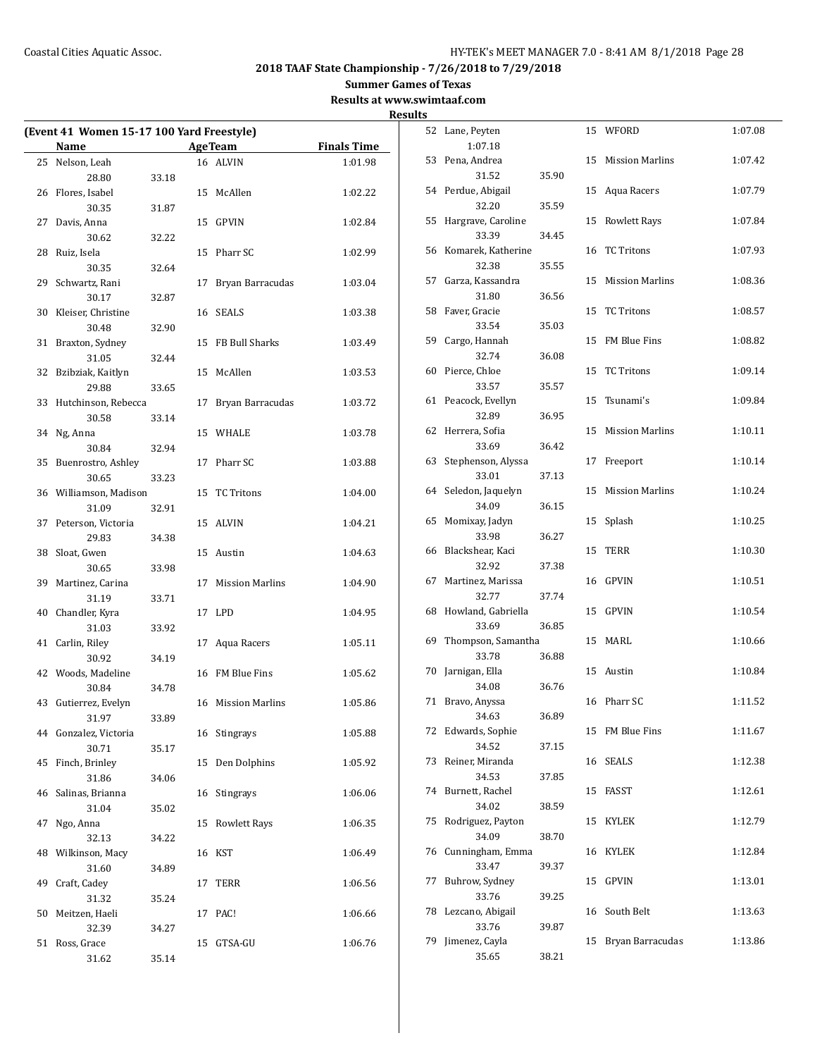**Summer Games of Texas**

**Results at www.swimtaaf.com**

|    |                                                          |       |    |                     |                    | <b>Results</b> |
|----|----------------------------------------------------------|-------|----|---------------------|--------------------|----------------|
|    | (Event 41 Women 15-17 100 Yard Freestyle)<br><b>Name</b> |       |    | <b>Age Team</b>     | <b>Finals Time</b> | 5              |
|    | 25 Nelson, Leah                                          |       |    | 16 ALVIN            | 1:01.98            | 5              |
|    | 28.80                                                    | 33.18 |    |                     |                    |                |
|    | 26 Flores, Isabel                                        |       |    | 15 McAllen          | 1:02.22            | 5              |
|    | 30.35                                                    | 31.87 |    |                     |                    |                |
|    | 27 Davis, Anna                                           |       |    | 15 GPVIN            | 1:02.84            | 5              |
|    | 30.62                                                    | 32.22 |    |                     |                    |                |
|    | 28 Ruiz, Isela                                           |       |    | 15 Pharr SC         | 1:02.99            | 5              |
|    | 30.35                                                    | 32.64 |    |                     |                    |                |
|    | 29 Schwartz, Rani                                        |       |    | 17 Bryan Barracudas | 1:03.04            | 5              |
|    | 30.17                                                    | 32.87 |    |                     |                    |                |
|    | 30 Kleiser, Christine                                    |       |    | 16 SEALS            | 1:03.38            | 5              |
|    | 30.48                                                    | 32.90 |    |                     |                    |                |
|    | 31 Braxton, Sydney                                       |       |    | 15 FB Bull Sharks   | 1:03.49            | 5              |
|    | 31.05                                                    | 32.44 |    |                     |                    |                |
|    | 32 Bzibziak, Kaitlyn                                     |       |    | 15 McAllen          | 1:03.53            | 6              |
|    | 29.88                                                    | 33.65 |    |                     |                    |                |
|    | 33 Hutchinson, Rebecca                                   |       |    | 17 Bryan Barracudas | 1:03.72            | 6              |
|    | 30.58                                                    | 33.14 |    |                     |                    |                |
|    | 34 Ng, Anna                                              |       |    | 15 WHALE            | 1:03.78            | 6              |
|    | 30.84                                                    | 32.94 |    |                     |                    |                |
|    | 35 Buenrostro, Ashley                                    |       |    | 17 Pharr SC         | 1:03.88            | 6              |
|    | 30.65                                                    | 33.23 |    |                     |                    |                |
|    | 36 Williamson, Madison                                   |       |    | 15 TC Tritons       | 1:04.00            | 6              |
|    | 31.09                                                    | 32.91 |    |                     |                    |                |
|    | 37 Peterson, Victoria                                    |       |    | 15 ALVIN            | 1:04.21            | 6              |
|    | 29.83                                                    | 34.38 |    |                     |                    |                |
|    | 38 Sloat, Gwen                                           |       |    | 15 Austin           | 1:04.63            | 6              |
|    | 30.65                                                    | 33.98 |    |                     |                    |                |
|    | 39 Martinez, Carina                                      |       |    | 17 Mission Marlins  | 1:04.90            | 6              |
|    | 31.19                                                    | 33.71 |    |                     |                    |                |
|    | 40 Chandler, Kyra                                        |       |    | 17 LPD              | 1:04.95            | 6              |
|    | 31.03                                                    | 33.92 |    |                     |                    | 6              |
|    | 41 Carlin, Riley                                         |       |    | 17 Aqua Racers      | 1:05.11            |                |
|    | 30.92                                                    | 34.19 |    |                     |                    | 7              |
|    | 42 Woods, Madeline                                       |       |    | 16 FM Blue Fins     | 1:05.62            |                |
|    | 30.84<br>43 Gutierrez, Evelyn                            | 34.78 |    |                     | 1:05.86            | 7              |
|    | 31.97                                                    | 33.89 |    | 16 Mission Marlins  |                    |                |
|    | 44 Gonzalez, Victoria                                    |       |    | 16 Stingrays        | 1:05.88            | 7              |
|    | 30.71                                                    | 35.17 |    |                     |                    |                |
|    | 45 Finch, Brinley                                        |       |    | 15 Den Dolphins     | 1:05.92            | 7              |
|    | 31.86                                                    | 34.06 |    |                     |                    |                |
|    | 46 Salinas, Brianna                                      |       |    | 16 Stingrays        | 1:06.06            | 7              |
|    | 31.04                                                    | 35.02 |    |                     |                    |                |
| 47 | Ngo, Anna                                                |       | 15 | <b>Rowlett Rays</b> | 1:06.35            | 7              |
|    | 32.13                                                    | 34.22 |    |                     |                    |                |
|    | 48 Wilkinson, Macy                                       |       |    | 16 KST              | 1:06.49            | 7              |
|    | 31.60                                                    | 34.89 |    |                     |                    |                |
|    | 49 Craft, Cadey                                          |       | 17 | TERR                | 1:06.56            | 7              |
|    | 31.32                                                    | 35.24 |    |                     |                    |                |
| 50 | Meitzen, Haeli                                           |       |    | 17 PAC!             | 1:06.66            | 7              |
|    | 32.39                                                    | 34.27 |    |                     |                    |                |
|    | 51 Ross, Grace                                           |       | 15 | GTSA-GU             | 1:06.76            | 7              |
|    | 31.62                                                    | 35.14 |    |                     |                    |                |

|    | 52 Lane, Peyten     |       | 15 | WFORD                  | 1:07.08 |
|----|---------------------|-------|----|------------------------|---------|
|    | 1:07.18             |       |    |                        |         |
| 53 | Pena, Andrea        |       | 15 | <b>Mission Marlins</b> | 1:07.42 |
|    | 31.52               | 35.90 |    |                        |         |
|    | 54 Perdue, Abigail  |       | 15 | Aqua Racers            | 1:07.79 |
|    | 32.20               | 35.59 |    |                        |         |
| 55 | Hargrave, Caroline  |       | 15 | <b>Rowlett Rays</b>    | 1:07.84 |
|    | 33.39               | 34.45 |    |                        |         |
| 56 | Komarek, Katherine  |       | 16 | <b>TC Tritons</b>      | 1:07.93 |
|    | 32.38               | 35.55 |    | <b>Mission Marlins</b> |         |
| 57 | Garza, Kassandra    |       | 15 |                        | 1:08.36 |
|    | 31.80               | 36.56 |    |                        |         |
| 58 | Faver, Gracie       |       | 15 | <b>TC Tritons</b>      | 1:08.57 |
|    | 33.54               | 35.03 |    | FM Blue Fins           |         |
| 59 | Cargo, Hannah       |       | 15 |                        | 1:08.82 |
|    | 32.74               | 36.08 |    |                        |         |
| 60 | Pierce, Chloe       |       | 15 | <b>TC Tritons</b>      | 1:09.14 |
|    | 33.57               | 35.57 |    |                        |         |
| 61 | Peacock, Evellyn    |       | 15 | Tsunami's              | 1:09.84 |
|    | 32.89               | 36.95 |    |                        |         |
| 62 | Herrera, Sofia      |       | 15 | <b>Mission Marlins</b> | 1:10.11 |
|    | 33.69               | 36.42 |    |                        |         |
| 63 | Stephenson, Alyssa  |       | 17 | Freeport               | 1:10.14 |
|    | 33.01               | 37.13 |    |                        |         |
| 64 | Seledon, Jaquelyn   |       | 15 | <b>Mission Marlins</b> | 1:10.24 |
|    | 34.09               | 36.15 |    |                        |         |
| 65 | Momixay, Jadyn      |       | 15 | Splash                 | 1:10.25 |
|    | 33.98               | 36.27 |    |                        |         |
| 66 | Blackshear, Kaci    |       | 15 | TERR                   | 1:10.30 |
|    | 32.92               | 37.38 |    |                        |         |
| 67 | Martinez, Marissa   |       | 16 | <b>GPVIN</b>           | 1:10.51 |
|    | 32.77               | 37.74 |    |                        |         |
| 68 | Howland, Gabriella  |       | 15 | GPVIN                  | 1:10.54 |
|    | 33.69               | 36.85 |    |                        |         |
| 69 | Thompson, Samantha  |       | 15 | MARL                   | 1:10.66 |
|    | 33.78               | 36.88 |    |                        |         |
| 70 | Jarnigan, Ella      |       | 15 | Austin                 | 1:10.84 |
|    | 34.08               | 36.76 |    |                        |         |
| 71 | Bravo, Anyssa       |       |    | 16 Pharr SC            | 1:11.52 |
|    | 34.63               | 36.89 |    |                        |         |
|    | 72 Edwards, Sophie  |       | 15 | FM Blue Fins           | 1:11.67 |
|    | 34.52               | 37.15 |    |                        |         |
| 73 | Reiner, Miranda     |       | 16 | <b>SEALS</b>           | 1:12.38 |
|    | 34.53               | 37.85 |    |                        |         |
| 74 | Burnett, Rachel     |       | 15 | FASST                  | 1:12.61 |
|    | 34.02               | 38.59 |    |                        |         |
| 75 | Rodriguez, Payton   |       | 15 | <b>KYLEK</b>           | 1:12.79 |
|    | 34.09               | 38.70 |    |                        |         |
| 76 | Cunningham, Emma    |       | 16 | <b>KYLEK</b>           | 1:12.84 |
|    | 33.47               | 39.37 |    |                        |         |
| 77 | Buhrow, Sydney      |       | 15 | <b>GPVIN</b>           | 1:13.01 |
|    | 33.76               | 39.25 |    |                        |         |
|    | 78 Lezcano, Abigail |       | 16 | South Belt             | 1:13.63 |
|    | 33.76               | 39.87 |    |                        |         |
| 79 | Jimenez, Cayla      |       | 15 | Bryan Barracudas       | 1:13.86 |
|    | 35.65               | 38.21 |    |                        |         |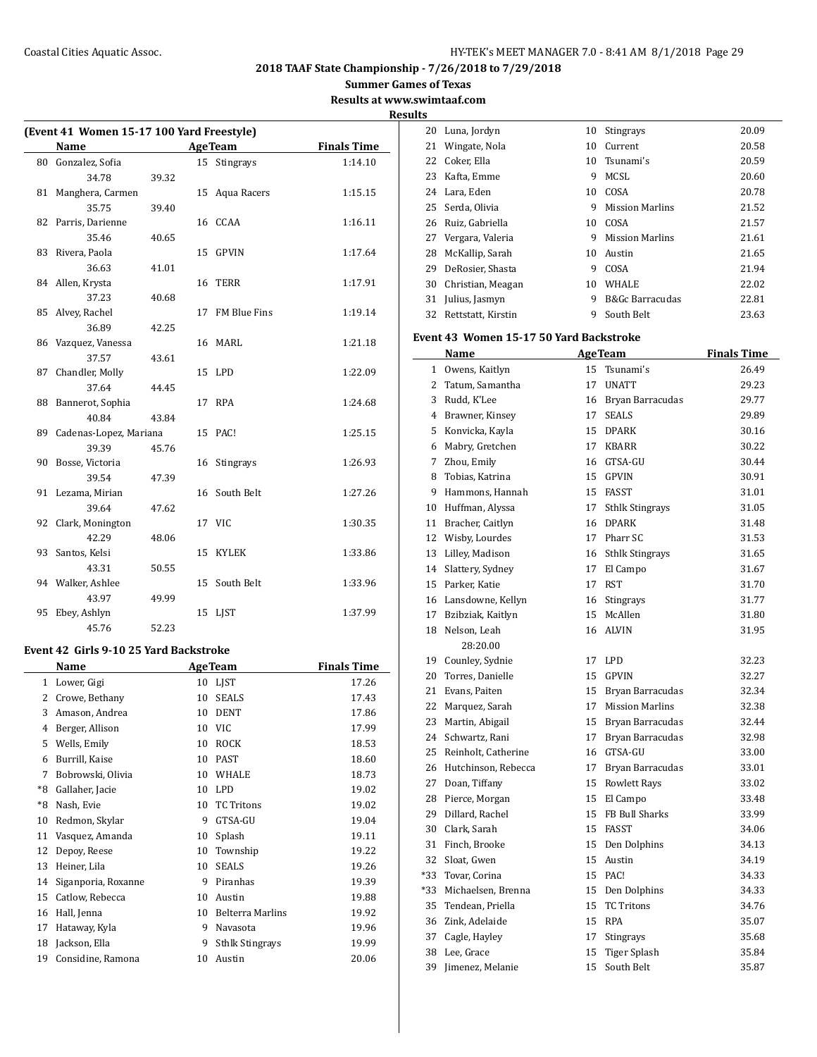**Summer Games of Texas**

**Results at www.swimtaaf.com**

| (Event 41 Women 15-17 100 Yard Freestyle) |                           |       |    |                 |                    |  |  |
|-------------------------------------------|---------------------------|-------|----|-----------------|--------------------|--|--|
|                                           | Name                      |       |    | <b>AgeTeam</b>  | <b>Finals Time</b> |  |  |
| 80                                        | Gonzalez, Sofia           |       |    | 15 Stingrays    | 1:14.10            |  |  |
|                                           | 34.78                     | 39.32 |    |                 |                    |  |  |
| 81                                        | Manghera, Carmen          |       | 15 | Aqua Racers     | 1:15.15            |  |  |
|                                           | 35.75                     | 39.40 |    |                 |                    |  |  |
|                                           | 82 Parris, Darienne       |       |    | 16 CCAA         | 1:16.11            |  |  |
|                                           | 35.46                     | 40.65 |    |                 |                    |  |  |
|                                           | 83 Rivera, Paola          |       | 15 | GPVIN           | 1:17.64            |  |  |
|                                           | 36.63                     | 41.01 |    |                 |                    |  |  |
|                                           | 84 Allen, Krysta          |       | 16 | <b>TERR</b>     | 1:17.91            |  |  |
|                                           | 37.23                     | 40.68 |    |                 |                    |  |  |
| 85                                        | Alvey, Rachel             |       |    | 17 FM Blue Fins | 1:19.14            |  |  |
|                                           | 36.89                     | 42.25 |    |                 |                    |  |  |
|                                           | 86 Vazquez, Vanessa       |       |    | 16 MARL         | 1:21.18            |  |  |
|                                           | 37.57                     | 43.61 |    |                 |                    |  |  |
| 87                                        | Chandler, Molly           |       |    | 15 LPD          | 1:22.09            |  |  |
|                                           | 37.64                     | 44.45 |    |                 |                    |  |  |
| 88                                        | Bannerot, Sophia          |       |    | 17 RPA          | 1:24.68            |  |  |
|                                           | 40.84                     | 43.84 |    |                 |                    |  |  |
|                                           | 89 Cadenas-Lopez, Mariana |       |    | 15 PAC!         | 1:25.15            |  |  |
|                                           | 39.39                     | 45.76 |    |                 |                    |  |  |
| 90                                        | Bosse, Victoria           |       | 16 | Stingrays       | 1:26.93            |  |  |
|                                           | 39.54                     | 47.39 |    |                 |                    |  |  |
|                                           | 91 Lezama, Mirian         |       |    | 16 South Belt   | 1:27.26            |  |  |
|                                           | 39.64                     | 47.62 |    |                 |                    |  |  |
|                                           | 92 Clark, Monington       |       |    | 17 VIC          | 1:30.35            |  |  |
|                                           | 42.29                     | 48.06 |    |                 |                    |  |  |
|                                           | 93 Santos, Kelsi          |       | 15 | <b>KYLEK</b>    | 1:33.86            |  |  |
|                                           | 43.31                     | 50.55 |    |                 |                    |  |  |
|                                           | 94 Walker, Ashlee         |       |    | 15 South Belt   | 1:33.96            |  |  |
|                                           | 43.97                     | 49.99 |    |                 |                    |  |  |
| 95                                        | Ebey, Ashlyn              |       | 15 | LIST            | 1:37.99            |  |  |
|                                           | 45.76                     | 52.23 |    |                 |                    |  |  |

# **Event 42 Girls 9-10 25 Yard Backstroke**

| Name |                     |    | <b>AgeTeam</b>          | <b>Finals Time</b> |  |  |
|------|---------------------|----|-------------------------|--------------------|--|--|
| 1    | Lower, Gigi         | 10 | <b>LIST</b>             | 17.26              |  |  |
| 2    | Crowe, Bethany      | 10 | <b>SEALS</b>            | 17.43              |  |  |
| 3    | Amason, Andrea      | 10 | <b>DENT</b>             | 17.86              |  |  |
| 4    | Berger, Allison     | 10 | VIC                     | 17.99              |  |  |
| 5    | Wells, Emily        | 10 | <b>ROCK</b>             | 18.53              |  |  |
| 6    | Burrill, Kaise      | 10 | <b>PAST</b>             | 18.60              |  |  |
| 7    | Bobrowski, Olivia   | 10 | <b>WHALE</b>            | 18.73              |  |  |
| *8   | Gallaher, Jacie     | 10 | <b>LPD</b>              | 19.02              |  |  |
| *8   | Nash, Evie          | 10 | <b>TC Tritons</b>       | 19.02              |  |  |
| 10   | Redmon, Skylar      | 9  | GTSA-GU                 | 19.04              |  |  |
| 11   | Vasquez, Amanda     | 10 | Splash                  | 19.11              |  |  |
| 12   | Depoy, Reese        | 10 | Township                | 19.22              |  |  |
| 13   | Heiner, Lila        | 10 | <b>SEALS</b>            | 19.26              |  |  |
| 14   | Siganporia, Roxanne | 9  | Piranhas                | 19.39              |  |  |
| 15   | Catlow, Rebecca     | 10 | Austin                  | 19.88              |  |  |
| 16   | Hall, Jenna         | 10 | <b>Belterra Marlins</b> | 19.92              |  |  |
| 17   | Hataway, Kyla       | 9  | Navasota                | 19.96              |  |  |
| 18   | Jackson, Ella       | 9  | <b>Sthlk Stingrays</b>  | 19.99              |  |  |
| 19   | Considine, Ramona   | 10 | Austin                  | 20.06              |  |  |
|      |                     |    |                         |                    |  |  |

| <b>Results</b> |                     |    |                        |       |
|----------------|---------------------|----|------------------------|-------|
| 20             | Luna, Jordyn        | 10 | <b>Stingrays</b>       | 20.09 |
|                | 21 Wingate, Nola    | 10 | Current                | 20.58 |
|                | 22 Coker, Ella      |    | 10 Tsunami's           | 20.59 |
| 23             | Kafta, Emme         | 9  | MCSL                   | 20.60 |
|                | 24 Lara, Eden       | 10 | COSA                   | 20.78 |
|                | 25 Serda, Olivia    | 9  | <b>Mission Marlins</b> | 21.52 |
|                | 26 Ruiz, Gabriella  | 10 | COSA                   | 21.57 |
|                | 27 Vergara, Valeria | 9  | <b>Mission Marlins</b> | 21.61 |
| 28             | McKallip, Sarah     | 10 | Austin                 | 21.65 |
| 29             | DeRosier, Shasta    | 9  | COSA                   | 21.94 |
| 30             | Christian, Meagan   | 10 | <b>WHALE</b>           | 22.02 |
|                | 31 Julius, Jasmyn   | 9  | B&Gc Barracudas        | 22.81 |
| 32             | Rettstatt, Kirstin  | 9  | South Belt             | 23.63 |

#### **Event 43 Women 15-17 50 Yard Backstroke**

|              | Name                 |    | <b>AgeTeam</b>         | <b>Finals Time</b> |
|--------------|----------------------|----|------------------------|--------------------|
| $\mathbf{1}$ | Owens, Kaitlyn       | 15 | Tsunami's              | 26.49              |
| 2            | Tatum, Samantha      | 17 | <b>UNATT</b>           | 29.23              |
| 3            | Rudd, K'Lee          | 16 | Bryan Barracudas       | 29.77              |
|              | 4 Brawner, Kinsey    | 17 | <b>SEALS</b>           | 29.89              |
| 5            | Konvicka, Kayla      | 15 | <b>DPARK</b>           | 30.16              |
| 6            | Mabry, Gretchen      | 17 | <b>KBARR</b>           | 30.22              |
| 7            | Zhou, Emily          | 16 | GTSA-GU                | 30.44              |
| 8            | Tobias, Katrina      | 15 | <b>GPVIN</b>           | 30.91              |
| 9            | Hammons, Hannah      | 15 | FASST                  | 31.01              |
|              | 10 Huffman, Alyssa   | 17 | <b>Sthlk Stingrays</b> | 31.05              |
| 11           | Bracher, Caitlyn     | 16 | <b>DPARK</b>           | 31.48              |
|              | 12 Wisby, Lourdes    | 17 | Pharr SC               | 31.53              |
|              | 13 Lilley, Madison   | 16 | <b>Sthlk Stingrays</b> | 31.65              |
|              | 14 Slattery, Sydney  | 17 | El Campo               | 31.67              |
|              | 15 Parker, Katie     | 17 | <b>RST</b>             | 31.70              |
|              | 16 Lansdowne, Kellyn | 16 | Stingrays              | 31.77              |
|              | 17 Bzibziak, Kaitlyn | 15 | McAllen                | 31.80              |
| 18           | Nelson, Leah         | 16 | <b>ALVIN</b>           | 31.95              |
|              | 28:20.00             |    |                        |                    |
|              | 19 Counley, Sydnie   | 17 | <b>LPD</b>             | 32.23              |
| 20           | Torres, Danielle     | 15 | <b>GPVIN</b>           | 32.27              |
| 21           | Evans, Paiten        | 15 | Bryan Barracudas       | 32.34              |
|              | 22 Marquez, Sarah    | 17 | <b>Mission Marlins</b> | 32.38              |
|              | 23 Martin, Abigail   | 15 | Bryan Barracudas       | 32.44              |
|              | 24 Schwartz, Rani    | 17 | Bryan Barracudas       | 32.98              |
| 25           | Reinholt, Catherine  | 16 | GTSA-GU                | 33.00              |
| 26           | Hutchinson, Rebecca  | 17 | Bryan Barracudas       | 33.01              |
|              | 27 Doan, Tiffany     | 15 | Rowlett Rays           | 33.02              |
| 28           | Pierce, Morgan       | 15 | El Campo               | 33.48              |
| 29           | Dillard, Rachel      | 15 | FB Bull Sharks         | 33.99              |
|              | 30 Clark, Sarah      | 15 | <b>FASST</b>           | 34.06              |
| 31           | Finch, Brooke        | 15 | Den Dolphins           | 34.13              |
| 32           | Sloat, Gwen          | 15 | Austin                 | 34.19              |
| *33          | Tovar, Corina        | 15 | PAC!                   | 34.33              |
| *33          | Michaelsen, Brenna   | 15 | Den Dolphins           | 34.33              |
| 35           | Tendean, Priella     | 15 | <b>TC Tritons</b>      | 34.76              |
| 36           | Zink, Adelaide       | 15 | <b>RPA</b>             | 35.07              |
| 37           | Cagle, Hayley        | 17 | Stingrays              | 35.68              |
| 38           | Lee, Grace           | 15 | Tiger Splash           | 35.84              |
| 39           | Jimenez, Melanie     | 15 | South Belt             | 35.87              |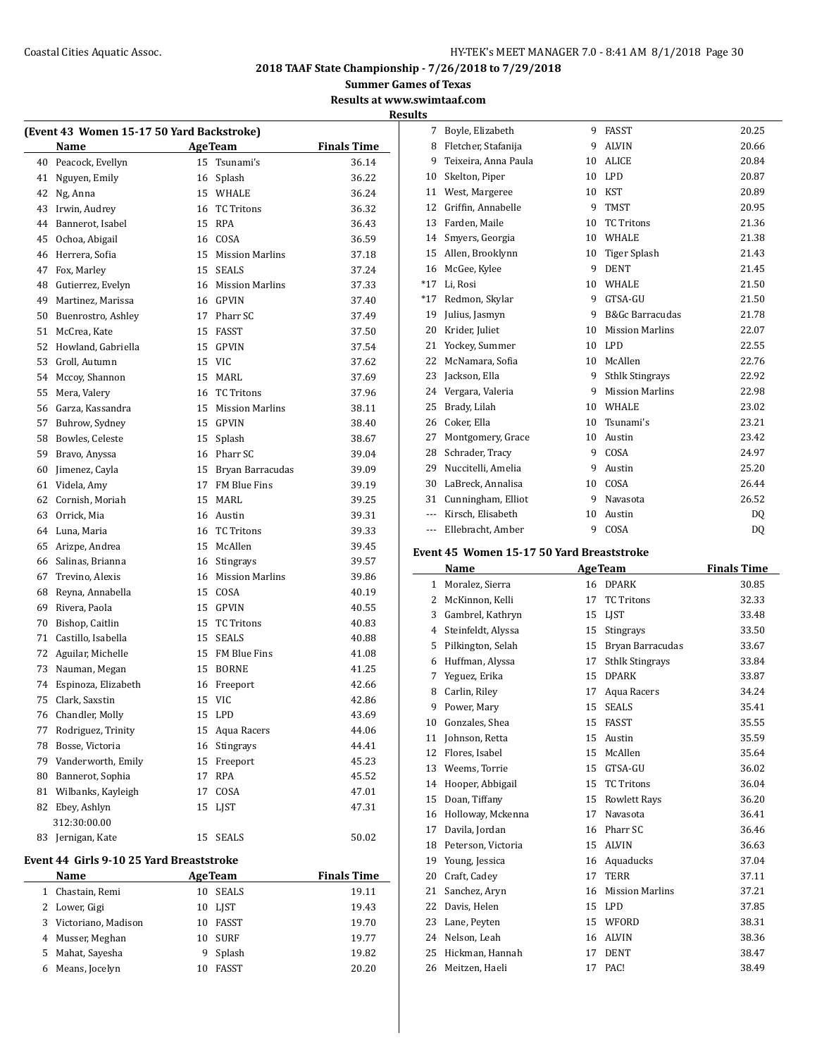**Summer Games of Texas**

**Results at www.swimtaaf.com Results**

| (Event 43 Women 15-17 50 Yard Backstroke) |                                          |    |                       |                    |  |  |
|-------------------------------------------|------------------------------------------|----|-----------------------|--------------------|--|--|
|                                           | Name                                     |    | <b>Age Team</b>       | <b>Finals Time</b> |  |  |
| 40                                        | Peacock, Evellyn                         | 15 | Tsunami's             | 36.14              |  |  |
| 41                                        | Nguyen, Emily                            |    | 16 Splash             | 36.22              |  |  |
| 42                                        | Ng, Anna                                 |    | 15 WHALE              | 36.24              |  |  |
| 43                                        | Irwin, Audrey                            |    | 16 TC Tritons         | 36.32              |  |  |
| 44                                        | Bannerot, Isabel                         |    | 15 RPA                | 36.43              |  |  |
| 45                                        | Ochoa, Abigail                           |    | 16 COSA               | 36.59              |  |  |
| 46                                        | Herrera, Sofia                           |    | 15 Mission Marlins    | 37.18              |  |  |
| 47                                        | Fox, Marley                              |    | 15 SEALS              | 37.24              |  |  |
| 48                                        | Gutierrez, Evelyn                        |    | 16 Mission Marlins    | 37.33              |  |  |
| 49                                        | Martinez, Marissa                        |    | 16 GPVIN              | 37.40              |  |  |
| 50                                        | Buenrostro, Ashley                       |    | 17 Pharr SC           | 37.49              |  |  |
| 51                                        | McCrea, Kate                             |    | 15 FASST              | 37.50              |  |  |
| 52                                        | Howland, Gabriella                       |    | 15 GPVIN              | 37.54              |  |  |
| 53                                        | Groll, Autumn                            |    | 15 VIC                | 37.62              |  |  |
| 54                                        | Mccoy, Shannon                           |    | 15 MARL               | 37.69              |  |  |
| 55                                        | Mera, Valery                             |    | 16 TC Tritons         | 37.96              |  |  |
| 56                                        | Garza, Kassandra                         |    | 15 Mission Marlins    | 38.11              |  |  |
| 57                                        | Buhrow, Sydney                           |    | 15 GPVIN              | 38.40              |  |  |
| 58                                        | Bowles, Celeste                          |    | 15 Splash             | 38.67              |  |  |
| 59                                        | Bravo, Anyssa                            |    | 16 Pharr SC           | 39.04              |  |  |
| 60                                        | Jimenez, Cayla                           |    | 15 Bryan Barracudas   | 39.09              |  |  |
| 61                                        | Videla, Amy                              |    | 17 FM Blue Fins       | 39.19              |  |  |
| 62                                        | Cornish, Moriah                          |    | 15 MARL               | 39.25              |  |  |
| 63                                        | Orrick, Mia                              |    | 16 Austin             | 39.31              |  |  |
| 64                                        | Luna, Maria                              |    | 16 TC Tritons         | 39.33              |  |  |
| 65                                        | Arizpe, Andrea                           |    | 15 McAllen            | 39.45              |  |  |
| 66                                        | Salinas, Brianna                         |    | 16 Stingrays          | 39.57              |  |  |
| 67                                        | Trevino, Alexis                          |    | 16 Mission Marlins    | 39.86              |  |  |
| 68                                        | Reyna, Annabella                         |    | 15 COSA               | 40.19              |  |  |
| 69                                        | Rivera, Paola                            |    | 15 GPVIN              | 40.55              |  |  |
| 70                                        | Bishop, Caitlin                          |    | 15 TC Tritons         | 40.83              |  |  |
| 71                                        | Castillo, Isabella                       |    | 15 SEALS              | 40.88              |  |  |
| 72                                        | Aguilar, Michelle                        |    | 15 FM Blue Fins       | 41.08              |  |  |
| 73                                        | Nauman, Megan                            |    | 15 BORNE              | 41.25              |  |  |
| 74                                        | Espinoza, Elizabeth                      |    | 16 Freeport           | 42.66              |  |  |
| 75                                        | Clark, Saxstin                           |    | 15 VIC                | 42.86              |  |  |
| 76                                        | Chandler, Molly                          | 15 | <b>LPD</b>            | 43.69              |  |  |
| 77                                        |                                          | 15 |                       |                    |  |  |
| 78                                        | Rodriguez, Trinity<br>Bosse, Victoria    | 16 | Aqua Racers           | 44.06              |  |  |
| 79                                        |                                          | 15 | Stingrays<br>Freeport | 44.41              |  |  |
| 80                                        | Vanderworth, Emily<br>Bannerot, Sophia   | 17 | <b>RPA</b>            | 45.23<br>45.52     |  |  |
| 81                                        | Wilbanks, Kayleigh                       |    | COSA                  |                    |  |  |
|                                           |                                          | 17 | <b>LIST</b>           | 47.01              |  |  |
| 82                                        | Ebey, Ashlyn                             | 15 |                       | 47.31              |  |  |
| 83                                        | 312:30:00.00<br>Jernigan, Kate           | 15 | <b>SEALS</b>          | 50.02              |  |  |
|                                           | Event 44 Girls 9-10 25 Yard Breaststroke |    |                       |                    |  |  |
|                                           | Name                                     |    | <b>Age Team</b>       | <b>Finals Time</b> |  |  |
| 1                                         | Chastain, Remi                           | 10 | SEALS                 | 19.11              |  |  |
| 2                                         | Lower, Gigi                              | 10 | LJST                  | 19.43              |  |  |
| 3                                         | Victoriano, Madison                      | 10 | FASST                 | 19.70              |  |  |
| 4                                         | Musser, Meghan                           | 10 | SURF                  | 19.77              |  |  |
| 5                                         | Mahat, Sayesha                           | 9  | Splash                | 19.82              |  |  |
| 6                                         | Means, Jocelyn                           | 10 | <b>FASST</b>          | 20.20              |  |  |
|                                           |                                          |    |                       |                    |  |  |

| 7     | Boyle, Elizabeth     | 9  | <b>FASST</b>               | 20.25 |
|-------|----------------------|----|----------------------------|-------|
| 8     | Fletcher, Stafanija  | 9  | <b>ALVIN</b>               | 20.66 |
| 9     | Teixeira, Anna Paula | 10 | <b>ALICE</b>               | 20.84 |
| 10    | Skelton, Piper       | 10 | <b>LPD</b>                 | 20.87 |
| 11    | West, Margeree       | 10 | <b>KST</b>                 | 20.89 |
| 12    | Griffin, Annabelle   | 9  | <b>TMST</b>                | 20.95 |
| 13    | Farden, Maile        | 10 | <b>TC Tritons</b>          | 21.36 |
| 14    | Smyers, Georgia      | 10 | WHALE                      | 21.38 |
| 15    | Allen, Brooklynn     | 10 | Tiger Splash               | 21.43 |
| 16    | McGee, Kylee         | 9  | <b>DENT</b>                | 21.45 |
| $*17$ | Li, Rosi             | 10 | WHALE                      | 21.50 |
| $*17$ | Redmon, Skylar       | 9  | GTSA-GU                    | 21.50 |
| 19    | Julius, Jasmyn       | 9  | <b>B&amp;Gc Barracudas</b> | 21.78 |
| 20    | Krider, Juliet       | 10 | <b>Mission Marlins</b>     | 22.07 |
| 21    | Yockey, Summer       | 10 | <b>LPD</b>                 | 22.55 |
| 22    | McNamara, Sofia      | 10 | McAllen                    | 22.76 |
| 23    | Jackson, Ella        | 9  | <b>Sthlk Stingrays</b>     | 22.92 |
| 24    | Vergara, Valeria     | 9  | <b>Mission Marlins</b>     | 22.98 |
| 25    | Brady, Lilah         | 10 | WHALE                      | 23.02 |
| 26    | Coker, Ella          | 10 | Tsunami's                  | 23.21 |
| 27    | Montgomery, Grace    | 10 | Austin                     | 23.42 |
| 28    | Schrader, Tracy      | 9  | COSA                       | 24.97 |
| 29    | Nuccitelli, Amelia   | 9  | Austin                     | 25.20 |
| 30    | LaBreck, Annalisa    | 10 | COSA                       | 26.44 |
| 31    | Cunningham, Elliot   | 9  | Navasota                   | 26.52 |
| ---   | Kirsch, Elisabeth    | 10 | Austin                     | DO.   |
| ---   | Ellebracht, Amber    | 9  | COSA                       | DQ    |

# **Event 45 Women 15-17 50 Yard Breaststroke**

|    | Name               | <b>AgeTeam</b> |                        | <b>Finals Time</b> |
|----|--------------------|----------------|------------------------|--------------------|
| 1  | Moralez, Sierra    | 16             | <b>DPARK</b>           | 30.85              |
| 2  | McKinnon, Kelli    | 17             | <b>TC Tritons</b>      | 32.33              |
| 3  | Gambrel, Kathryn   | 15             | <b>LIST</b>            | 33.48              |
| 4  | Steinfeldt, Alyssa | 15             | <b>Stingrays</b>       | 33.50              |
| 5  | Pilkington, Selah  | 15             | Bryan Barracudas       | 33.67              |
| 6  | Huffman, Alyssa    | 17             | <b>Sthlk Stingrays</b> | 33.84              |
| 7  | Yeguez, Erika      | 15             | <b>DPARK</b>           | 33.87              |
| 8  | Carlin, Riley      | 17             | Aqua Racers            | 34.24              |
| 9  | Power, Mary        | 15             | <b>SEALS</b>           | 35.41              |
| 10 | Gonzales, Shea     | 15             | FASST                  | 35.55              |
| 11 | Johnson, Retta     | 15             | Austin                 | 35.59              |
| 12 | Flores, Isabel     | 15             | McAllen                | 35.64              |
| 13 | Weems, Torrie      | 15             | GTSA-GU                | 36.02              |
| 14 | Hooper, Abbigail   | 15             | <b>TC Tritons</b>      | 36.04              |
| 15 | Doan, Tiffany      | 15             | <b>Rowlett Rays</b>    | 36.20              |
| 16 | Holloway, Mckenna  | 17             | Navasota               | 36.41              |
| 17 | Davila, Jordan     | 16             | Pharr SC               | 36.46              |
| 18 | Peterson, Victoria | 15             | <b>ALVIN</b>           | 36.63              |
| 19 | Young, Jessica     | 16             | Aquaducks              | 37.04              |
| 20 | Craft, Cadey       | 17             | <b>TERR</b>            | 37.11              |
| 21 | Sanchez, Aryn      | 16             | <b>Mission Marlins</b> | 37.21              |
| 22 | Davis, Helen       | 15             | <b>LPD</b>             | 37.85              |
| 23 | Lane, Peyten       | 15             | WFORD                  | 38.31              |
| 24 | Nelson, Leah       | 16             | <b>ALVIN</b>           | 38.36              |
| 25 | Hickman, Hannah    | 17             | <b>DENT</b>            | 38.47              |
| 26 | Meitzen, Haeli     | 17             | PAC!                   | 38.49              |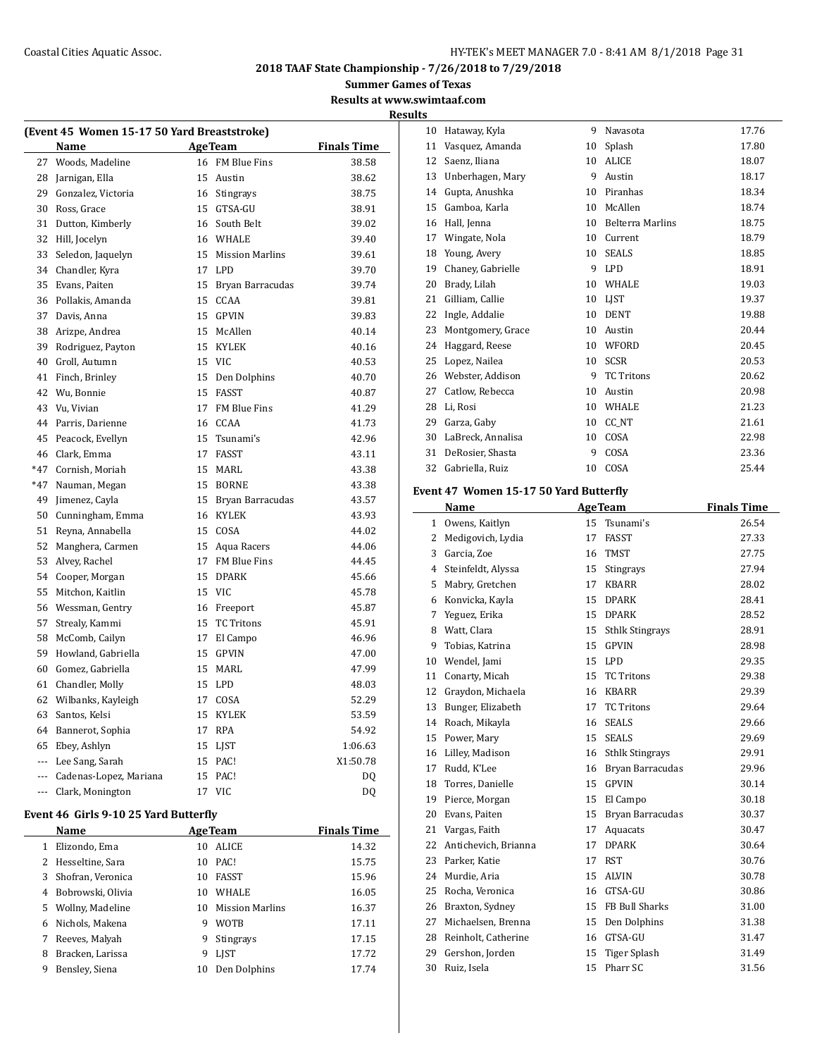## Coastal Cities Aquatic Assoc. The Coastal Cities Aquatic Assoc. The HY-TEK's MEET MANAGER 7.0 - 8:41 AM 8/1/2018 Page 31

**2018 TAAF State Championship - 7/26/2018 to 7/29/2018**

**Summer Games of Texas**

**Results at www.swimtaaf.com Results**

|       | (Event 45 Women 15-17 50 Yard Breaststroke) |    |                     |                    |  |  |  |
|-------|---------------------------------------------|----|---------------------|--------------------|--|--|--|
|       | Name                                        |    | <b>AgeTeam</b>      | <b>Finals Time</b> |  |  |  |
| 27    | Woods, Madeline                             |    | 16 FM Blue Fins     | 38.58              |  |  |  |
| 28    | Jarnigan, Ella                              |    | 15 Austin           | 38.62              |  |  |  |
| 29    | Gonzalez, Victoria                          |    | 16 Stingrays        | 38.75              |  |  |  |
| 30    | Ross, Grace                                 |    | 15 GTSA-GU          | 38.91              |  |  |  |
| 31    | Dutton, Kimberly                            |    | 16 South Belt       | 39.02              |  |  |  |
| 32    | Hill, Jocelyn                               |    | 16 WHALE            | 39.40              |  |  |  |
| 33    | Seledon, Jaquelyn                           |    | 15 Mission Marlins  | 39.61              |  |  |  |
| 34    | Chandler, Kyra                              |    | 17 LPD              | 39.70              |  |  |  |
| 35    | Evans, Paiten                               |    | 15 Bryan Barracudas | 39.74              |  |  |  |
| 36    | Pollakis, Amanda                            |    | 15 CCAA             | 39.81              |  |  |  |
| 37    | Davis, Anna                                 |    | 15 GPVIN            | 39.83              |  |  |  |
| 38    | Arizpe, Andrea                              |    | 15 McAllen          | 40.14              |  |  |  |
| 39    | Rodriguez, Payton                           |    | 15 KYLEK            | 40.16              |  |  |  |
| 40    | Groll, Autumn                               |    | 15 VIC              | 40.53              |  |  |  |
| 41    | Finch, Brinley                              |    | 15 Den Dolphins     | 40.70              |  |  |  |
| 42    | Wu, Bonnie                                  |    | 15 FASST            | 40.87              |  |  |  |
| 43    | Vu, Vivian                                  |    | 17 FM Blue Fins     | 41.29              |  |  |  |
| 44    | Parris, Darienne                            |    | 16 CCAA             | 41.73              |  |  |  |
| 45    | Peacock, Evellyn                            | 15 | Tsunami's           | 42.96              |  |  |  |
| 46    | Clark, Emma                                 |    | 17 FASST            | 43.11              |  |  |  |
| $*47$ | Cornish, Moriah                             |    | 15 MARL             | 43.38              |  |  |  |
| $*47$ | Nauman, Megan                               |    | 15 BORNE            | 43.38              |  |  |  |
| 49    | Jimenez, Cayla                              | 15 | Bryan Barracudas    | 43.57              |  |  |  |
| 50    | Cunningham, Emma                            |    | 16 KYLEK            | 43.93              |  |  |  |
| 51    | Reyna, Annabella                            |    | 15 COSA             | 44.02              |  |  |  |
| 52    | Manghera, Carmen                            |    | 15 Aqua Racers      | 44.06              |  |  |  |
| 53    | Alvey, Rachel                               |    | 17 FM Blue Fins     | 44.45              |  |  |  |
| 54    | Cooper, Morgan                              |    | 15 DPARK            | 45.66              |  |  |  |
| 55    | Mitchon, Kaitlin                            |    | 15 VIC              | 45.78              |  |  |  |
| 56    | Wessman, Gentry                             |    | 16 Freeport         | 45.87              |  |  |  |
| 57    | Strealy, Kammi                              |    | 15 TC Tritons       | 45.91              |  |  |  |
| 58    | McComb, Cailyn                              |    | 17 El Campo         | 46.96              |  |  |  |
| 59    | Howland, Gabriella                          |    | 15 GPVIN            | 47.00              |  |  |  |
| 60    | Gomez, Gabriella                            |    | 15 MARL             | 47.99              |  |  |  |
| 61    | Chandler, Molly                             |    | 15 LPD              | 48.03              |  |  |  |
| 62    | Wilbanks, Kayleigh                          |    | 17 COSA             | 52.29              |  |  |  |
| 63    | Santos, Kelsi                               |    | 15 KYLEK            | 53.59              |  |  |  |
| 64    | Bannerot, Sophia                            |    | 17 RPA              | 54.92              |  |  |  |
| 65    | Ebey, Ashlyn                                |    | 15 LJST             | 1:06.63            |  |  |  |
| ---   | Lee Sang, Sarah                             |    | 15 PAC!             | X1:50.78           |  |  |  |
| ---   | Cadenas-Lopez, Mariana                      |    | 15 PAC!             | DO.                |  |  |  |
|       | --- Clark, Monington                        |    | 17 VIC              | DQ                 |  |  |  |

# **Event 46 Girls 9-10 25 Yard Butterfly**

|   | Name                |    | <b>AgeTeam</b>         | <b>Finals Time</b> |
|---|---------------------|----|------------------------|--------------------|
| 1 | Elizondo, Ema       | 10 | <b>ALICE</b>           | 14.32              |
|   | 2 Hesseltine, Sara  | 10 | PAC!                   | 15.75              |
|   | 3 Shofran, Veronica | 10 | <b>FASST</b>           | 15.96              |
| 4 | Bobrowski, Olivia   | 10 | <b>WHALE</b>           | 16.05              |
|   | 5 Wollny, Madeline  | 10 | <b>Mission Marlins</b> | 16.37              |
| 6 | Nichols, Makena     | 9  | <b>WOTB</b>            | 17.11              |
| 7 | Reeves, Malyah      | 9  | <b>Stingrays</b>       | 17.15              |
| 8 | Bracken, Larissa    | 9  | <b>LIST</b>            | 17.72              |
| 9 | Bensley, Siena      | 10 | Den Dolphins           | 17.74              |
|   |                     |    |                        |                    |

| 10 | Hataway, Kyla     | 9  | Navasota                | 17.76 |
|----|-------------------|----|-------------------------|-------|
| 11 | Vasquez, Amanda   | 10 | Splash                  | 17.80 |
| 12 | Saenz, Iliana     | 10 | <b>ALICE</b>            | 18.07 |
| 13 | Unberhagen, Mary  | 9  | Austin                  | 18.17 |
| 14 | Gupta, Anushka    | 10 | Piranhas                | 18.34 |
| 15 | Gamboa, Karla     | 10 | McAllen                 | 18.74 |
| 16 | Hall, Jenna       | 10 | <b>Belterra Marlins</b> | 18.75 |
| 17 | Wingate, Nola     | 10 | Current                 | 18.79 |
| 18 | Young, Avery      | 10 | <b>SEALS</b>            | 18.85 |
| 19 | Chaney, Gabrielle | 9  | <b>LPD</b>              | 18.91 |
| 20 | Brady, Lilah      | 10 | <b>WHALE</b>            | 19.03 |
| 21 | Gilliam, Callie   | 10 | LIST                    | 19.37 |
| 22 | Ingle, Addalie    | 10 | <b>DENT</b>             | 19.88 |
| 23 | Montgomery, Grace | 10 | Austin                  | 20.44 |
| 24 | Haggard, Reese    | 10 | WFORD                   | 20.45 |
| 25 | Lopez, Nailea     | 10 | <b>SCSR</b>             | 20.53 |
| 26 | Webster, Addison  | 9  | <b>TC Tritons</b>       | 20.62 |
| 27 | Catlow, Rebecca   | 10 | Austin                  | 20.98 |
| 28 | Li, Rosi          | 10 | WHALE                   | 21.23 |
| 29 | Garza, Gaby       | 10 | CC_NT                   | 21.61 |
| 30 | LaBreck, Annalisa | 10 | COSA                    | 22.98 |
| 31 | DeRosier, Shasta  | 9  | COSA                    | 23.36 |
| 32 | Gabriella, Ruiz   | 10 | COSA                    | 25.44 |

## **Event 47 Women 15-17 50 Yard Butterfly**

|    | Name                 |    | <b>AgeTeam</b>         | <b>Finals Time</b> |
|----|----------------------|----|------------------------|--------------------|
| 1  | Owens, Kaitlyn       | 15 | Tsunami's              | 26.54              |
| 2  | Medigovich, Lydia    | 17 | <b>FASST</b>           | 27.33              |
| 3  | Garcia, Zoe          | 16 | <b>TMST</b>            | 27.75              |
| 4  | Steinfeldt, Alyssa   | 15 | Stingrays              | 27.94              |
| 5  | Mabry, Gretchen      | 17 | <b>KBARR</b>           | 28.02              |
| 6  | Konvicka, Kayla      | 15 | <b>DPARK</b>           | 28.41              |
| 7  | Yeguez, Erika        | 15 | <b>DPARK</b>           | 28.52              |
| 8  | Watt, Clara          | 15 | <b>Sthlk Stingrays</b> | 28.91              |
| 9  | Tobias, Katrina      | 15 | <b>GPVIN</b>           | 28.98              |
| 10 | Wendel, Jami         | 15 | <b>LPD</b>             | 29.35              |
| 11 | Conarty, Micah       | 15 | <b>TC Tritons</b>      | 29.38              |
| 12 | Graydon, Michaela    | 16 | <b>KBARR</b>           | 29.39              |
| 13 | Bunger, Elizabeth    | 17 | <b>TC Tritons</b>      | 29.64              |
| 14 | Roach, Mikayla       | 16 | <b>SEALS</b>           | 29.66              |
| 15 | Power, Mary          | 15 | <b>SEALS</b>           | 29.69              |
| 16 | Lilley, Madison      | 16 | <b>Sthlk Stingrays</b> | 29.91              |
| 17 | Rudd, K'Lee          | 16 | Bryan Barracudas       | 29.96              |
| 18 | Torres, Danielle     | 15 | <b>GPVIN</b>           | 30.14              |
| 19 | Pierce, Morgan       | 15 | El Campo               | 30.18              |
| 20 | Evans. Paiten        | 15 | Bryan Barracudas       | 30.37              |
| 21 | Vargas, Faith        | 17 | Aquacats               | 30.47              |
| 22 | Antichevich, Brianna | 17 | <b>DPARK</b>           | 30.64              |
| 23 | Parker, Katie        | 17 | <b>RST</b>             | 30.76              |
| 24 | Murdie, Aria         | 15 | <b>ALVIN</b>           | 30.78              |
| 25 | Rocha, Veronica      | 16 | GTSA-GU                | 30.86              |
| 26 | Braxton, Sydney      | 15 | FB Bull Sharks         | 31.00              |
| 27 | Michaelsen, Brenna   | 15 | Den Dolphins           | 31.38              |
| 28 | Reinholt, Catherine  | 16 | GTSA-GU                | 31.47              |
| 29 | Gershon, Jorden      | 15 | <b>Tiger Splash</b>    | 31.49              |
| 30 | Ruiz, Isela          | 15 | Pharr SC               | 31.56              |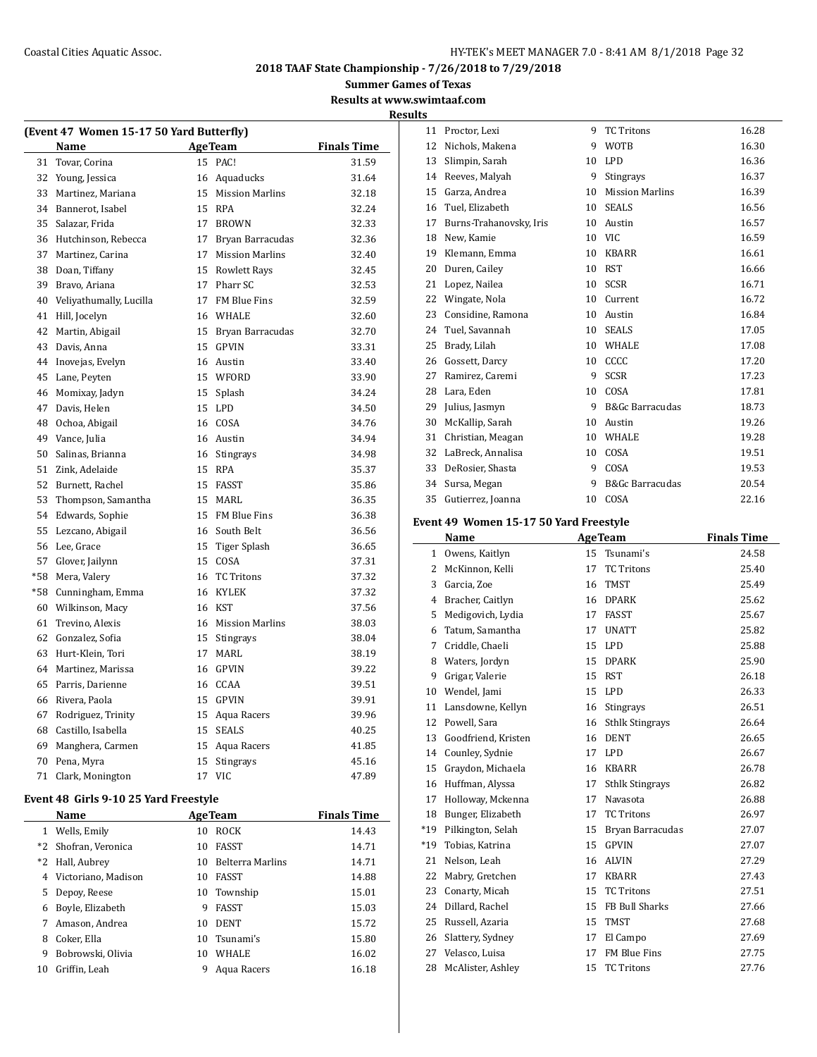## Coastal Cities Aquatic Assoc. **Exercise 20 and Secure 20 and Secure 20 and Secure 20 and Secure 20 and Secure 20 and Secure 20 and Secure 20 and Secure 20 and Secure 20 and Secure 20 and Secure 20 and Secure 20 and Secure**

**2018 TAAF State Championship - 7/26/2018 to 7/29/2018**

**Summer Games of Texas**

#### **Results at www.swimtaaf.com**

**Results**

| (Event 47 Women 15-17 50 Yard Butterfly) |                         |                    |                     |       |  |  |
|------------------------------------------|-------------------------|--------------------|---------------------|-------|--|--|
|                                          | Name                    | <b>Finals Time</b> |                     |       |  |  |
| 31                                       | Tovar, Corina           | 15                 | PAC!                | 31.59 |  |  |
| 32                                       | Young, Jessica          |                    | 16 Aquaducks        | 31.64 |  |  |
| 33                                       | Martinez, Mariana       |                    | 15 Mission Marlins  | 32.18 |  |  |
| 34                                       | Bannerot, Isabel        |                    | 15 RPA              | 32.24 |  |  |
| 35                                       | Salazar, Frida          |                    | 17 BROWN            | 32.33 |  |  |
| 36                                       | Hutchinson, Rebecca     |                    | 17 Bryan Barracudas | 32.36 |  |  |
| 37                                       | Martinez, Carina        |                    | 17 Mission Marlins  | 32.40 |  |  |
| 38                                       | Doan, Tiffany           |                    | 15 Rowlett Rays     | 32.45 |  |  |
| 39                                       | Bravo, Ariana           |                    | 17 Pharr SC         | 32.53 |  |  |
| 40                                       | Veliyathumally, Lucilla |                    | 17 FM Blue Fins     | 32.59 |  |  |
| 41                                       | Hill, Jocelyn           |                    | 16 WHALE            | 32.60 |  |  |
| 42                                       | Martin, Abigail         |                    | 15 Bryan Barracudas | 32.70 |  |  |
| 43                                       | Davis, Anna             |                    | 15 GPVIN            | 33.31 |  |  |
| 44                                       | Inovejas, Evelyn        |                    | 16 Austin           | 33.40 |  |  |
| 45                                       | Lane, Peyten            |                    | 15 WFORD            | 33.90 |  |  |
| 46                                       | Momixay, Jadyn          |                    | 15 Splash           | 34.24 |  |  |
| 47                                       | Davis, Helen            |                    | 15 LPD              | 34.50 |  |  |
| 48                                       | Ochoa, Abigail          |                    | 16 COSA             | 34.76 |  |  |
| 49                                       | Vance, Julia            |                    | 16 Austin           | 34.94 |  |  |
| 50                                       | Salinas, Brianna        |                    | 16 Stingrays        | 34.98 |  |  |
| 51                                       | Zink, Adelaide          |                    | 15 RPA              | 35.37 |  |  |
| 52                                       | Burnett, Rachel         |                    | 15 FASST            | 35.86 |  |  |
| 53                                       | Thompson, Samantha      |                    | 15 MARL             | 36.35 |  |  |
| 54                                       | Edwards, Sophie         |                    | 15 FM Blue Fins     | 36.38 |  |  |
| 55                                       | Lezcano, Abigail        |                    | 16 South Belt       | 36.56 |  |  |
| 56                                       | Lee, Grace              |                    | 15 Tiger Splash     | 36.65 |  |  |
| 57                                       | Glover, Jailynn         |                    | 15 COSA             | 37.31 |  |  |
| $*58$                                    | Mera, Valery            | 16                 | <b>TC Tritons</b>   | 37.32 |  |  |
| $*58$                                    | Cunningham, Emma        |                    | 16 KYLEK            | 37.32 |  |  |
| 60                                       | Wilkinson, Macy         |                    | 16 KST              | 37.56 |  |  |
| 61                                       | Trevino, Alexis         |                    | 16 Mission Marlins  | 38.03 |  |  |
| 62                                       | Gonzalez, Sofia         |                    | 15 Stingrays        | 38.04 |  |  |
| 63                                       | Hurt-Klein, Tori        | 17                 | MARL                | 38.19 |  |  |
| 64                                       | Martinez. Marissa       |                    | 16 GPVIN            | 39.22 |  |  |
| 65                                       | Parris, Darienne        |                    | 16 CCAA             | 39.51 |  |  |
| 66                                       | Rivera, Paola           |                    | 15 GPVIN            | 39.91 |  |  |
| 67                                       | Rodriguez, Trinity      |                    | 15 Aqua Racers      | 39.96 |  |  |
| 68                                       | Castillo, Isabella      |                    | 15 SEALS            | 40.25 |  |  |
| 69                                       | Manghera, Carmen        |                    | 15 Aqua Racers      | 41.85 |  |  |
| 70                                       | Pena, Myra              | 15                 | Stingrays           | 45.16 |  |  |
| 71                                       | Clark, Monington        | 17                 | <b>VIC</b>          | 47.89 |  |  |

## **Event 48 Girls 9-10 25 Yard Freestyle**

| Name |                      |    | <b>AgeTeam</b>          | <b>Finals Time</b> |
|------|----------------------|----|-------------------------|--------------------|
| 1    | Wells, Emily         | 10 | <b>ROCK</b>             | 14.43              |
|      | *2 Shofran, Veronica | 10 | <b>FASST</b>            | 14.71              |
|      | *2 Hall, Aubrey      | 10 | <b>Belterra Marlins</b> | 14.71              |
| 4    | Victoriano, Madison  | 10 | <b>FASST</b>            | 14.88              |
| 5.   | Depoy, Reese         | 10 | Township                | 15.01              |
| 6    | Boyle, Elizabeth     | 9  | <b>FASST</b>            | 15.03              |
| 7    | Amason, Andrea       | 10 | <b>DENT</b>             | 15.72              |
| 8    | Coker, Ella          | 10 | Tsunami's               | 15.80              |
| 9    | Bobrowski, Olivia    | 10 | <b>WHALE</b>            | 16.02              |
| 10   | Griffin, Leah        | 9  | Agua Racers             | 16.18              |

| 11 | Proctor, Lexi           | 9  | <b>TC Tritons</b>          | 16.28 |
|----|-------------------------|----|----------------------------|-------|
| 12 | Nichols, Makena         | 9  | <b>WOTB</b>                | 16.30 |
| 13 | Slimpin, Sarah          | 10 | <b>LPD</b>                 | 16.36 |
| 14 | Reeves, Malyah          | 9  | Stingrays                  | 16.37 |
| 15 | Garza, Andrea           | 10 | <b>Mission Marlins</b>     | 16.39 |
| 16 | Tuel, Elizabeth         | 10 | <b>SEALS</b>               | 16.56 |
| 17 | Burns-Trahanovsky, Iris | 10 | Austin                     | 16.57 |
| 18 | New, Kamie              | 10 | <b>VIC</b>                 | 16.59 |
| 19 | Klemann, Emma           | 10 | <b>KBARR</b>               | 16.61 |
| 20 | Duren, Cailey           | 10 | <b>RST</b>                 | 16.66 |
| 21 | Lopez, Nailea           | 10 | <b>SCSR</b>                | 16.71 |
| 22 | Wingate, Nola           | 10 | Current                    | 16.72 |
| 23 | Considine, Ramona       | 10 | Austin                     | 16.84 |
| 24 | Tuel, Savannah          | 10 | <b>SEALS</b>               | 17.05 |
| 25 | Brady, Lilah            | 10 | WHALE                      | 17.08 |
| 26 | Gossett, Darcy          | 10 | CCCC                       | 17.20 |
| 27 | Ramirez, Caremi         | 9  | SCSR                       | 17.23 |
| 28 | Lara, Eden              | 10 | COSA                       | 17.81 |
| 29 | Julius, Jasmyn          | 9  | <b>B&amp;Gc Barracudas</b> | 18.73 |
| 30 | McKallip, Sarah         | 10 | Austin                     | 19.26 |
| 31 | Christian, Meagan       | 10 | WHALE                      | 19.28 |
| 32 | LaBreck, Annalisa       | 10 | COSA                       | 19.51 |
| 33 | DeRosier, Shasta        | 9  | COSA                       | 19.53 |
| 34 | Sursa, Megan            | 9  | <b>B&amp;Gc Barracudas</b> | 20.54 |
| 35 | Gutierrez, Joanna       | 10 | COSA                       | 22.16 |

# **Event 49 Women 15-17 50 Yard Freestyle**

|                | Name                |    | <b>AgeTeam</b>         | <b>Finals Time</b> |
|----------------|---------------------|----|------------------------|--------------------|
| $\mathbf{1}$   | Owens, Kaitlyn      | 15 | Tsunami's              | 24.58              |
| 2              | McKinnon, Kelli     | 17 | <b>TC Tritons</b>      | 25.40              |
| 3              | Garcia, Zoe         | 16 | <b>TMST</b>            | 25.49              |
| $\overline{4}$ | Bracher, Caitlyn    | 16 | <b>DPARK</b>           | 25.62              |
| 5              | Medigovich, Lydia   | 17 | <b>FASST</b>           | 25.67              |
| 6              | Tatum, Samantha     | 17 | <b>UNATT</b>           | 25.82              |
| 7              | Criddle, Chaeli     | 15 | <b>LPD</b>             | 25.88              |
| 8              | Waters, Jordyn      | 15 | <b>DPARK</b>           | 25.90              |
| 9              | Grigar, Valerie     | 15 | <b>RST</b>             | 26.18              |
| 10             | Wendel, Jami        | 15 | LPD.                   | 26.33              |
| 11             | Lansdowne, Kellyn   | 16 | Stingrays              | 26.51              |
| 12             | Powell, Sara        | 16 | <b>Sthlk Stingrays</b> | 26.64              |
| 13             | Goodfriend, Kristen | 16 | <b>DENT</b>            | 26.65              |
| 14             | Counley, Sydnie     | 17 | LPD.                   | 26.67              |
| 15             | Graydon, Michaela   | 16 | <b>KBARR</b>           | 26.78              |
| 16             | Huffman, Alyssa     | 17 | <b>Sthlk Stingrays</b> | 26.82              |
| 17             | Holloway, Mckenna   | 17 | Navasota               | 26.88              |
| 18             | Bunger, Elizabeth   | 17 | <b>TC Tritons</b>      | 26.97              |
| $*19$          | Pilkington, Selah   | 15 | Bryan Barracudas       | 27.07              |
| $*19$          | Tobias, Katrina     | 15 | <b>GPVIN</b>           | 27.07              |
| 21             | Nelson, Leah        | 16 | <b>ALVIN</b>           | 27.29              |
| 22             | Mabry, Gretchen     | 17 | <b>KBARR</b>           | 27.43              |
| 23             | Conarty, Micah      | 15 | <b>TC Tritons</b>      | 27.51              |
| 24             | Dillard. Rachel     | 15 | FB Bull Sharks         | 27.66              |
| 25             | Russell, Azaria     | 15 | <b>TMST</b>            | 27.68              |
| 26             | Slattery, Sydney    | 17 | El Campo               | 27.69              |
| 27             | Velasco, Luisa      | 17 | <b>FM Blue Fins</b>    | 27.75              |
| 28             | McAlister, Ashley   | 15 | <b>TC Tritons</b>      | 27.76              |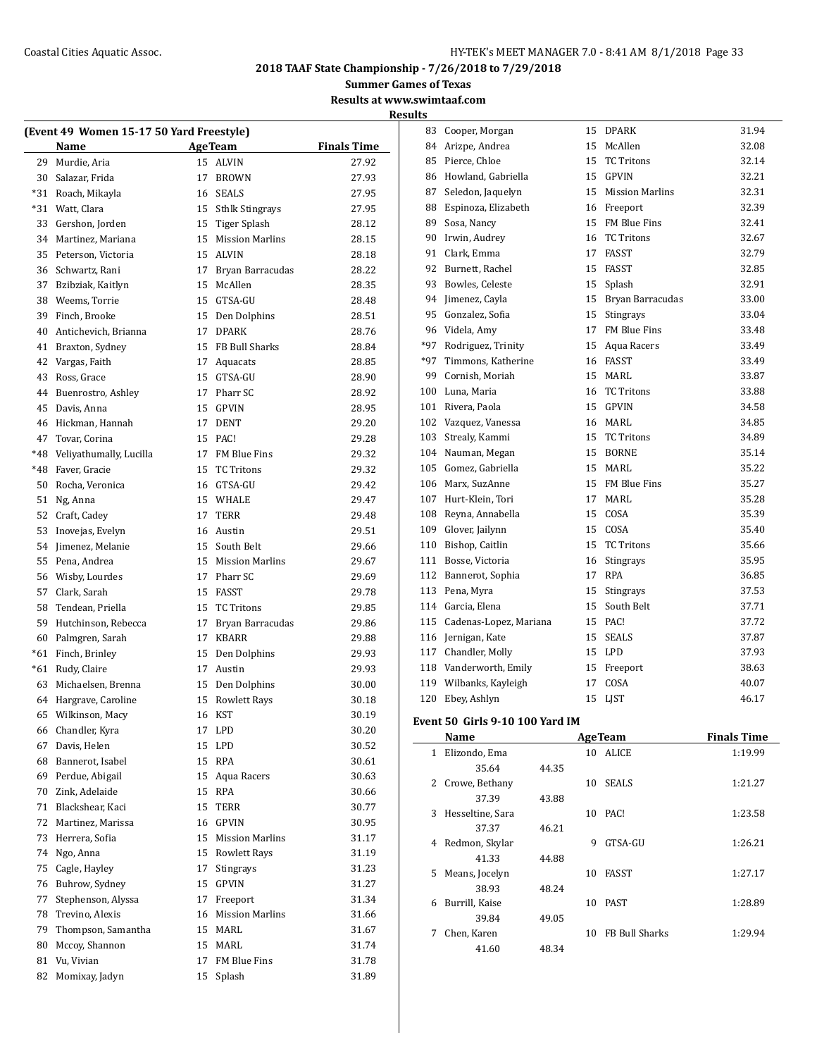**Summer Games of Texas**

**Results at www.swimtaaf.com Results**

| (Event 49 Women 15-17 50 Yard Freestyle) |                         |    |                        |                    |  |  |
|------------------------------------------|-------------------------|----|------------------------|--------------------|--|--|
|                                          | Name                    |    | <b>Age Team</b>        | <b>Finals Time</b> |  |  |
| 29                                       | Murdie, Aria            | 15 | <b>ALVIN</b>           | 27.92              |  |  |
| 30                                       | Salazar, Frida          | 17 | <b>BROWN</b>           | 27.93              |  |  |
| $*31$                                    | Roach, Mikayla          |    | 16 SEALS               | 27.95              |  |  |
| $*31$                                    | Watt, Clara             |    | 15 Sthlk Stingrays     | 27.95              |  |  |
| 33                                       | Gershon, Jorden         |    | 15 Tiger Splash        | 28.12              |  |  |
| 34                                       | Martinez, Mariana       |    | 15 Mission Marlins     | 28.15              |  |  |
| 35                                       | Peterson, Victoria      |    | 15 ALVIN               | 28.18              |  |  |
| 36                                       | Schwartz, Rani          |    | 17 Bryan Barracudas    | 28.22              |  |  |
| 37                                       | Bzibziak, Kaitlyn       | 15 | McAllen                | 28.35              |  |  |
| 38                                       | Weems. Torrie           |    | 15 GTSA-GU             | 28.48              |  |  |
| 39                                       | Finch, Brooke           | 15 | Den Dolphins           | 28.51              |  |  |
| 40                                       | Antichevich, Brianna    | 17 | <b>DPARK</b>           | 28.76              |  |  |
| 41                                       | Braxton, Sydney         |    | 15 FB Bull Sharks      | 28.84              |  |  |
| 42                                       | Vargas, Faith           |    | 17 Aquacats            | 28.85              |  |  |
| 43                                       | Ross, Grace             |    | 15 GTSA-GU             | 28.90              |  |  |
| 44                                       | Buenrostro, Ashley      |    | 17 Pharr SC            | 28.92              |  |  |
| 45                                       | Davis, Anna             |    | 15 GPVIN               | 28.95              |  |  |
| 46                                       | Hickman, Hannah         |    | 17 DENT                | 29.20              |  |  |
| 47                                       | Tovar, Corina           |    | 15 PAC!                | 29.28              |  |  |
| *48                                      | Veliyathumally, Lucilla |    | 17 FM Blue Fins        | 29.32              |  |  |
| $*48$                                    | Faver, Gracie           |    | 15 TC Tritons          | 29.32              |  |  |
| 50                                       | Rocha, Veronica         |    | 16 GTSA-GU             | 29.42              |  |  |
| 51                                       | Ng, Anna                |    | 15 WHALE               | 29.47              |  |  |
| 52                                       | Craft, Cadey            | 17 | <b>TERR</b>            | 29.48              |  |  |
| 53                                       | Inovejas, Evelyn        |    | 16 Austin              | 29.51              |  |  |
| 54                                       | Jimenez, Melanie        | 15 | South Belt             | 29.66              |  |  |
| 55                                       | Pena, Andrea            |    | 15 Mission Marlins     | 29.67              |  |  |
| 56                                       | Wisby, Lourdes          |    | 17 Pharr SC            | 29.69              |  |  |
| 57                                       | Clark, Sarah            |    | 15 FASST               | 29.78              |  |  |
| 58                                       | Tendean, Priella        |    | 15 TC Tritons          | 29.85              |  |  |
| 59                                       | Hutchinson, Rebecca     | 17 | Bryan Barracudas       | 29.86              |  |  |
| 60                                       | Palmgren, Sarah         | 17 | <b>KBARR</b>           | 29.88              |  |  |
| $*61$                                    | Finch, Brinley          |    | 15 Den Dolphins        | 29.93              |  |  |
| $*61$                                    | Rudy, Claire            |    | 17 Austin              | 29.93              |  |  |
| 63                                       | Michaelsen, Brenna      |    | 15 Den Dolphins        | 30.00              |  |  |
| 64                                       | Hargrave, Caroline      |    | 15 Rowlett Rays        | 30.18              |  |  |
| 65                                       | Wilkinson, Macy         |    | 16 KST                 | 30.19              |  |  |
| 66                                       | Chandler, Kyra          | 17 | <b>LPD</b>             | 30.20              |  |  |
| 67                                       | Davis, Helen            | 15 | LPD                    | 30.52              |  |  |
| 68                                       | Bannerot, Isabel        | 15 | <b>RPA</b>             | 30.61              |  |  |
| 69                                       | Perdue, Abigail         | 15 | Aqua Racers            | 30.63              |  |  |
| 70                                       | Zink, Adelaide          | 15 | <b>RPA</b>             | 30.66              |  |  |
| 71                                       | Blackshear, Kaci        | 15 | <b>TERR</b>            | 30.77              |  |  |
| 72                                       | Martinez, Marissa       | 16 | <b>GPVIN</b>           | 30.95              |  |  |
| 73                                       | Herrera, Sofia          | 15 | <b>Mission Marlins</b> | 31.17              |  |  |
| 74                                       | Ngo, Anna               | 15 | <b>Rowlett Rays</b>    | 31.19              |  |  |
| 75                                       | Cagle, Hayley           | 17 | <b>Stingrays</b>       | 31.23              |  |  |
| 76                                       | Buhrow, Sydney          | 15 | GPVIN                  | 31.27              |  |  |
| 77                                       | Stephenson, Alyssa      | 17 | Freeport               | 31.34              |  |  |
| 78                                       | Trevino, Alexis         | 16 | <b>Mission Marlins</b> | 31.66              |  |  |
| 79                                       | Thompson, Samantha      | 15 | MARL                   | 31.67              |  |  |
| 80                                       | Mccoy, Shannon          | 15 | MARL                   | 31.74              |  |  |
| 81                                       | Vu, Vivian              | 17 | FM Blue Fins           | 31.78              |  |  |
| 82                                       | Momixay, Jadyn          | 15 | Splash                 | 31.89              |  |  |
|                                          |                         |    |                        |                    |  |  |

| 83    | Cooper, Morgan         | 15 | <b>DPARK</b>           | 31.94 |
|-------|------------------------|----|------------------------|-------|
| 84    | Arizpe, Andrea         | 15 | McAllen                | 32.08 |
| 85    | Pierce, Chloe          | 15 | <b>TC Tritons</b>      | 32.14 |
| 86    | Howland, Gabriella     | 15 | <b>GPVIN</b>           | 32.21 |
| 87    | Seledon, Jaquelyn      | 15 | <b>Mission Marlins</b> | 32.31 |
| 88    | Espinoza, Elizabeth    | 16 | Freeport               | 32.39 |
| 89    | Sosa, Nancy            | 15 | FM Blue Fins           | 32.41 |
| 90    | Irwin, Audrey          | 16 | <b>TC Tritons</b>      | 32.67 |
| 91    | Clark, Emma            | 17 | FASST                  | 32.79 |
| 92    | Burnett, Rachel        | 15 | <b>FASST</b>           | 32.85 |
| 93    | Bowles, Celeste        | 15 | Splash                 | 32.91 |
| 94    | Jimenez, Cayla         | 15 | Bryan Barracudas       | 33.00 |
| 95    | Gonzalez, Sofia        | 15 | Stingrays              | 33.04 |
| 96    | Videla, Amy            | 17 | FM Blue Fins           | 33.48 |
| $*97$ | Rodriguez, Trinity     | 15 | Agua Racers            | 33.49 |
| $*97$ | Timmons, Katherine     | 16 | <b>FASST</b>           | 33.49 |
| 99    | Cornish, Moriah        | 15 | MARL                   | 33.87 |
| 100   | Luna, Maria            | 16 | <b>TC Tritons</b>      | 33.88 |
| 101   | Rivera, Paola          | 15 | <b>GPVIN</b>           | 34.58 |
| 102   | Vazquez, Vanessa       | 16 | <b>MARL</b>            | 34.85 |
| 103   | Strealy, Kammi         | 15 | <b>TC Tritons</b>      | 34.89 |
| 104   | Nauman, Megan          | 15 | <b>BORNE</b>           | 35.14 |
| 105   | Gomez, Gabriella       | 15 | MARI.                  | 35.22 |
| 106   | Marx, SuzAnne          | 15 | FM Blue Fins           | 35.27 |
| 107   | Hurt-Klein, Tori       | 17 | <b>MARL</b>            | 35.28 |
| 108   | Reyna, Annabella       | 15 | COSA                   | 35.39 |
| 109   | Glover, Jailynn        | 15 | COSA                   | 35.40 |
| 110   | Bishop, Caitlin        | 15 | <b>TC Tritons</b>      | 35.66 |
| 111   | Bosse, Victoria        | 16 | Stingrays              | 35.95 |
| 112   | Bannerot, Sophia       | 17 | RPA                    | 36.85 |
| 113   | Pena, Myra             | 15 | Stingrays              | 37.53 |
| 114   | Garcia, Elena          | 15 | South Belt             | 37.71 |
| 115   | Cadenas-Lopez, Mariana | 15 | PAC!                   | 37.72 |
| 116   | Jernigan, Kate         | 15 | <b>SEALS</b>           | 37.87 |
| 117   | Chandler, Molly        | 15 | <b>LPD</b>             | 37.93 |
| 118   | Vanderworth, Emily     | 15 | Freeport               | 38.63 |
| 119   | Wilbanks, Kayleigh     | 17 | COSA                   | 40.07 |
| 120   | Ebey, Ashlyn           | 15 | LJST                   | 46.17 |

## **Event 50 Girls 9-10 100 Yard IM**

|    | Name             |       |    | <b>AgeTeam</b>        | <b>Finals Time</b> |
|----|------------------|-------|----|-----------------------|--------------------|
| 1  | Elizondo, Ema    |       | 10 | ALICE                 | 1:19.99            |
|    | 35.64            | 44.35 |    |                       |                    |
| 2  | Crowe, Bethany   |       | 10 | <b>SEALS</b>          | 1:21.27            |
|    | 37.39            | 43.88 |    |                       |                    |
| 3  | Hesseltine, Sara |       | 10 | PAC!                  | 1:23.58            |
|    | 37.37            | 46.21 |    |                       |                    |
| 4  | Redmon, Skylar   |       | 9  | GTSA-GU               | 1:26.21            |
|    | 41.33            | 44.88 |    |                       |                    |
| 5. | Means, Jocelyn   |       | 10 | <b>FASST</b>          | 1:27.17            |
|    | 38.93            | 48.24 |    |                       |                    |
| 6  | Burrill, Kaise   |       | 10 | <b>PAST</b>           | 1:28.89            |
|    | 39.84            | 49.05 |    |                       |                    |
| 7  | Chen, Karen      |       | 10 | <b>FB Bull Sharks</b> | 1:29.94            |
|    | 41.60            | 48.34 |    |                       |                    |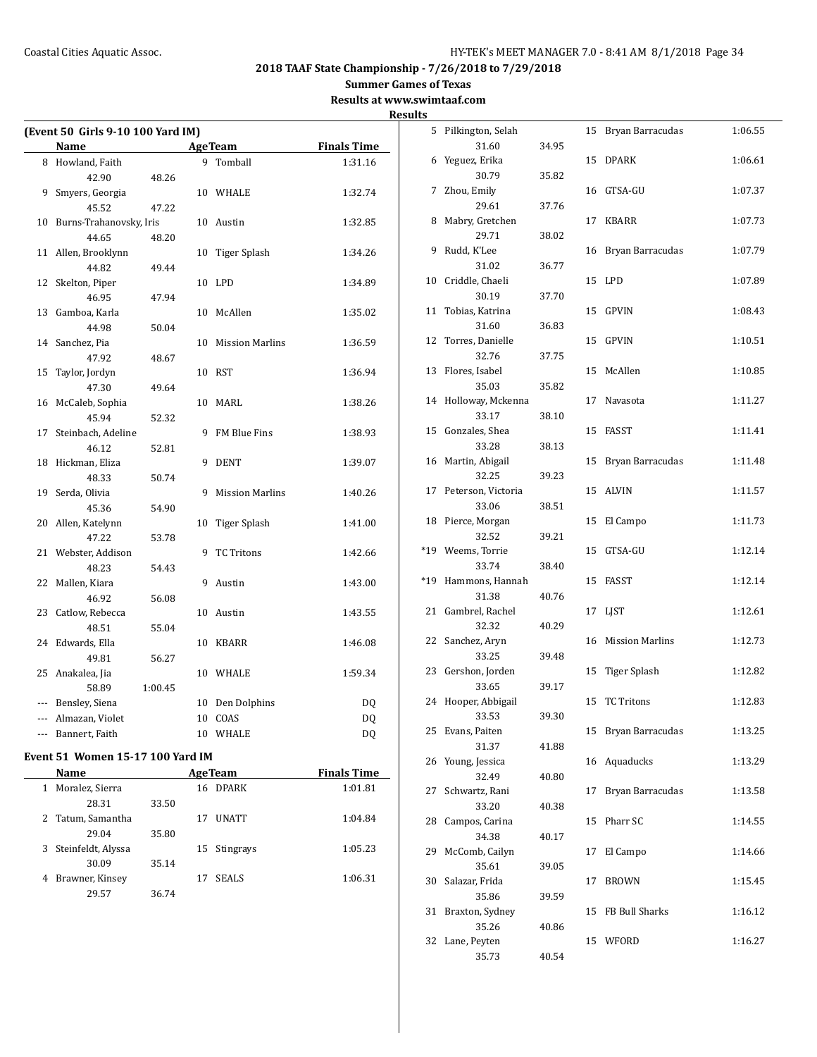# **Summer Games of Texas**

**Results at www.swimtaaf.com**

|                          |                                   |         |              |                                                     |                    | <b>Results</b> |
|--------------------------|-----------------------------------|---------|--------------|-----------------------------------------------------|--------------------|----------------|
|                          | (Event 50 Girls 9-10 100 Yard IM) |         |              |                                                     |                    |                |
|                          | Name                              |         |              | <b>AgeTeam</b><br><u> 1990 - Jan Barnett, franc</u> | <b>Finals Time</b> |                |
|                          | 8 Howland, Faith                  |         |              | 9 Tomball                                           | 1:31.16            |                |
|                          | 42.90                             | 48.26   |              |                                                     |                    |                |
|                          | 9 Smyers, Georgia                 |         |              | 10 WHALE                                            | 1:32.74            |                |
|                          | 45.52                             | 47.22   |              |                                                     |                    |                |
|                          | 10 Burns-Trahanovsky, Iris        |         |              | 10 Austin                                           | 1:32.85            |                |
|                          | 44.65                             | 48.20   |              |                                                     |                    |                |
|                          | 11 Allen, Brooklynn               |         |              | 10 Tiger Splash                                     | 1:34.26            |                |
|                          | 44.82                             | 49.44   |              |                                                     |                    |                |
| 12                       | Skelton, Piper                    |         |              | 10 LPD                                              | 1:34.89            | 1(             |
|                          | 46.95                             | 47.94   |              |                                                     |                    |                |
|                          | 13 Gamboa, Karla                  |         |              | 10 McAllen                                          | 1:35.02            | 11             |
|                          | 44.98                             | 50.04   |              |                                                     |                    |                |
| 14                       | Sanchez, Pia                      |         |              | 10 Mission Marlins                                  | 1:36.59            | 12             |
|                          | 47.92                             | 48.67   |              |                                                     |                    |                |
| 15                       | Taylor, Jordyn                    |         |              | 10 RST                                              | 1:36.94            | 13             |
|                          | 47.30                             | 49.64   |              |                                                     |                    |                |
|                          | 16 McCaleb, Sophia                |         |              | 10 MARL                                             | 1:38.26            | 14             |
|                          | 45.94                             | 52.32   |              |                                                     |                    |                |
| 17                       | Steinbach, Adeline                |         |              | 9 FM Blue Fins                                      | 1:38.93            | 15             |
|                          | 46.12                             | 52.81   |              |                                                     |                    |                |
|                          | 18 Hickman, Eliza                 |         |              | 9 DENT                                              | 1:39.07            | 16             |
|                          | 48.33                             | 50.74   |              |                                                     |                    |                |
|                          | 19 Serda, Olivia                  |         | 9            | <b>Mission Marlins</b>                              | 1:40.26            | $1^{\circ}$    |
|                          | 45.36                             | 54.90   |              |                                                     |                    |                |
| 20                       | Allen, Katelynn                   |         | 10           | Tiger Splash                                        | 1:41.00            | 18             |
|                          | 47.22                             | 53.78   |              |                                                     |                    |                |
|                          | 21 Webster, Addison               |         | 9            | <b>TC Tritons</b>                                   | 1:42.66            | $*19$          |
|                          | 48.23                             | 54.43   |              |                                                     |                    |                |
| 22                       | Mallen, Kiara                     |         |              | 9 Austin                                            | 1:43.00            | $*19$          |
|                          | 46.92                             | 56.08   |              |                                                     |                    |                |
|                          | 23 Catlow, Rebecca                |         |              | 10 Austin                                           | 1:43.55            | 21             |
|                          | 48.51                             | 55.04   |              |                                                     |                    |                |
|                          | 24 Edwards, Ella                  |         |              | 10 KBARR                                            | 1:46.08            | 22             |
|                          | 49.81                             | 56.27   |              |                                                     |                    |                |
|                          | 25 Anakalea, Jia                  |         |              | 10 WHALE                                            | 1:59.34            | 2:             |
|                          | 58.89                             | 1:00.45 |              |                                                     |                    |                |
|                          | --- Bensley, Siena                |         |              | 10 Den Dolphins                                     | DQ                 | 24             |
|                          | --- Almazan, Violet               |         |              | 10 COAS                                             | DQ                 |                |
| $\overline{\phantom{a}}$ | Bannert, Faith                    |         |              | 10 WHALE                                            | DQ                 | 2!             |
|                          |                                   |         |              |                                                     |                    |                |
|                          | $= 4 \times 1$                    |         | $\mathbf{r}$ |                                                     |                    |                |

# **Event 51 Women 15-17 100 Yard IM**

| Name                    |       | <b>AgeTeam</b>     | <b>Finals Time</b> |
|-------------------------|-------|--------------------|--------------------|
| Moralez, Sierra         |       | <b>DPARK</b><br>16 | 1:01.81            |
| 28.31                   | 33.50 |                    |                    |
| Tatum, Samantha         |       | <b>UNATT</b><br>17 | 1:04.84            |
| 29.04                   | 35.80 |                    |                    |
| Steinfeldt, Alyssa<br>3 |       | 15 Stingrays       | 1:05.23            |
| 30.09                   | 35.14 |                    |                    |
| Brawner, Kinsey<br>4    |       | <b>SEALS</b><br>17 | 1:06.31            |
| 29.57                   | 36.74 |                    |                    |

| 5     | Pilkington, Selah  |       | 15 | Bryan Barracudas       | 1:06.55 |
|-------|--------------------|-------|----|------------------------|---------|
|       | 31.60              | 34.95 |    |                        |         |
| 6     | Yeguez, Erika      |       | 15 | <b>DPARK</b>           | 1:06.61 |
|       | 30.79              | 35.82 |    |                        |         |
| 7     | Zhou, Emily        |       | 16 | GTSA-GU                | 1:07.37 |
|       | 29.61              | 37.76 |    |                        |         |
| 8     | Mabry, Gretchen    |       | 17 | KBARR                  | 1:07.73 |
|       | 29.71              | 38.02 |    |                        |         |
| 9     | Rudd, K'Lee        |       | 16 | Bryan Barracudas       | 1:07.79 |
|       | 31.02              | 36.77 |    |                        |         |
| 10    | Criddle, Chaeli    |       | 15 | LPD                    | 1:07.89 |
|       | 30.19              | 37.70 |    |                        |         |
| 11    | Tobias, Katrina    |       | 15 | GPVIN                  | 1:08.43 |
|       | 31.60              | 36.83 |    |                        |         |
| 12    | Torres, Danielle   |       | 15 | GPVIN                  | 1:10.51 |
|       | 32.76              | 37.75 |    |                        |         |
| 13    | Flores, Isabel     |       | 15 | McAllen                | 1:10.85 |
|       | 35.03              | 35.82 |    |                        |         |
| 14    | Holloway, Mckenna  |       | 17 | Navasota               | 1:11.27 |
|       | 33.17              | 38.10 |    |                        |         |
| 15    | Gonzales, Shea     |       | 15 | FASST                  | 1:11.41 |
|       | 33.28              | 38.13 |    |                        |         |
|       |                    |       |    | Bryan Barracudas       | 1:11.48 |
| 16    | Martin, Abigail    |       | 15 |                        |         |
|       | 32.25              | 39.23 |    |                        |         |
| 17    | Peterson, Victoria |       | 15 | <b>ALVIN</b>           | 1:11.57 |
|       | 33.06              | 38.51 |    |                        |         |
| 18    | Pierce, Morgan     |       | 15 | El Campo               | 1:11.73 |
|       | 32.52              | 39.21 |    |                        |         |
|       |                    |       |    |                        |         |
| *19   | Weems, Torrie      |       | 15 | GTSA-GU                | 1:12.14 |
|       | 33.74              | 38.40 |    |                        |         |
| $*19$ | Hammons, Hannah    |       | 15 | FASST                  | 1:12.14 |
|       | 31.38              | 40.76 |    |                        |         |
| 21    | Gambrel, Rachel    |       | 17 | LJST                   | 1:12.61 |
|       | 32.32              | 40.29 |    |                        |         |
| 22    | Sanchez, Aryn      |       | 16 | <b>Mission Marlins</b> | 1:12.73 |
|       | 33.25              | 39.48 |    |                        |         |
| 23    | Gershon, Jorden    |       | 15 | Tiger Splash           | 1:12.82 |
|       | 33.65              | 39.17 |    |                        |         |
| 24    | Hooper, Abbigail   |       | 15 | <b>TC Tritons</b>      | 1:12.83 |
|       | 33.53              | 39.30 |    |                        |         |
| 25    | Evans, Paiten      |       | 15 | Bryan Barracudas       | 1:13.25 |
|       | 31.37              | 41.88 |    |                        |         |
| 26    | Young, Jessica     |       | 16 | Aquaducks              | 1:13.29 |
|       | 32.49              | 40.80 |    |                        |         |
| 27    | Schwartz, Rani     |       | 17 | Bryan Barracudas       | 1:13.58 |
|       | 33.20              | 40.38 |    |                        |         |
| 28    | Campos, Carina     |       | 15 | Pharr SC               | 1:14.55 |
|       | 34.38              | 40.17 |    |                        |         |
| 29    | McComb, Cailyn     |       | 17 | El Campo               | 1:14.66 |
|       | 35.61              | 39.05 |    |                        |         |
| 30    | Salazar, Frida     |       | 17 | <b>BROWN</b>           | 1:15.45 |
|       | 35.86              | 39.59 |    |                        |         |
| 31    | Braxton, Sydney    |       | 15 | FB Bull Sharks         | 1:16.12 |
|       | 35.26              | 40.86 |    |                        |         |
| 32    | Lane, Peyten       |       | 15 | WFORD                  | 1:16.27 |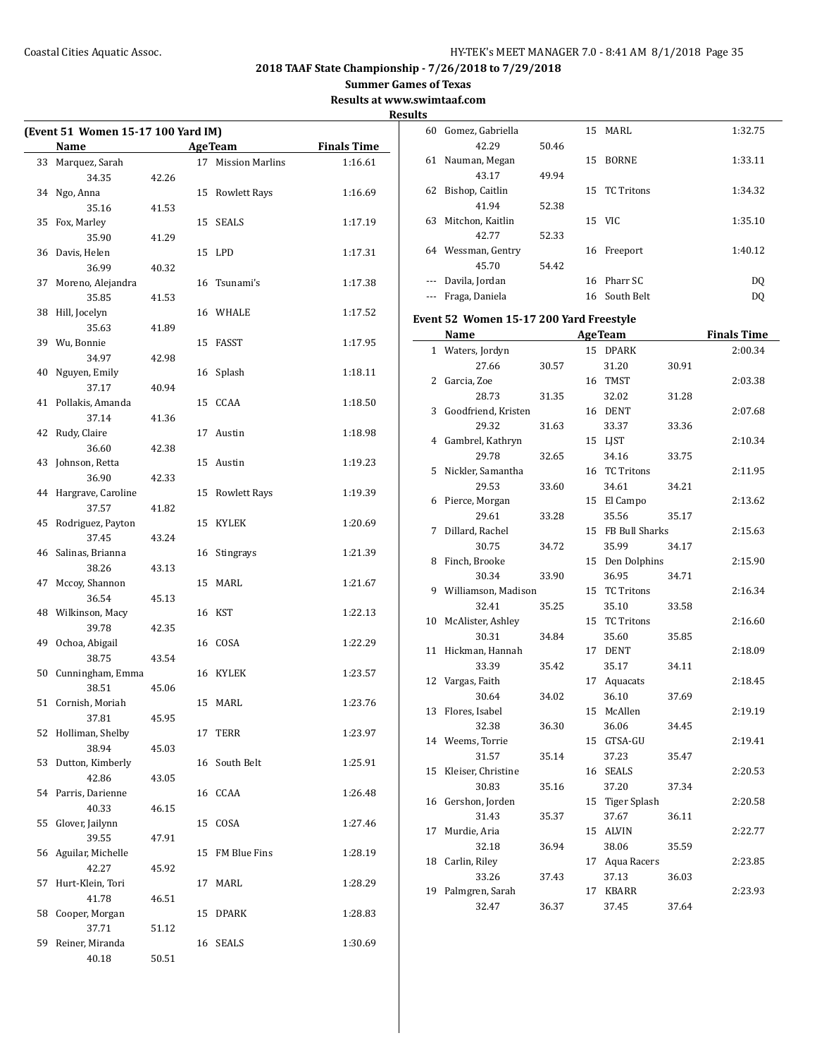$\overline{\phantom{0}}$ 

# **2018 TAAF State Championship - 7/26/2018 to 7/29/2018**

**Summer Games of Texas**

**Results at www.swimtaaf.com**

| (Event 51 Women 15-17 100 Yard IM) |       |                    |                              | 6            |
|------------------------------------|-------|--------------------|------------------------------|--------------|
| Name<br><b>Example 2</b> Age Team  |       |                    | <b>Example 2</b> Finals Time |              |
| 33 Marquez, Sarah                  |       | 17 Mission Marlins | 1:16.61                      | 6            |
| 34.35                              | 42.26 |                    |                              |              |
| 34 Ngo, Anna                       |       | 15 Rowlett Rays    | 1:16.69                      | 6            |
| 35.16                              | 41.53 |                    |                              |              |
| 35 Fox, Marley                     |       | 15 SEALS           | 1:17.19                      | 6            |
| 35.90                              | 41.29 |                    |                              |              |
| 36 Davis, Helen                    |       | 15 LPD             | 1:17.31                      | 6            |
| 36.99                              | 40.32 |                    |                              |              |
| 37 Moreno, Alejandra               |       | 16 Tsunami's       | 1:17.38                      |              |
| 35.85                              | 41.53 |                    |                              |              |
| 38 Hill, Jocelyn                   |       | 16 WHALE           | 1:17.52                      | Eve          |
| 35.63                              | 41.89 |                    |                              |              |
| 39 Wu, Bonnie                      |       | 15 FASST           | 1:17.95                      |              |
| 34.97                              | 42.98 |                    |                              |              |
| 40 Nguyen, Emily                   |       | 16 Splash          | 1:18.11                      |              |
| 37.17                              | 40.94 |                    |                              |              |
| 41 Pollakis, Amanda                |       | 15 CCAA            | 1:18.50                      |              |
| 37.14                              | 41.36 |                    |                              |              |
| 42 Rudy, Claire                    |       | 17 Austin          | 1:18.98                      |              |
| 36.60                              | 42.38 |                    |                              |              |
| 43 Johnson, Retta                  |       | 15 Austin          | 1:19.23                      |              |
| 36.90                              | 42.33 |                    |                              |              |
| 44 Hargrave, Caroline              |       | 15 Rowlett Rays    | 1:19.39                      |              |
| 37.57                              | 41.82 |                    |                              |              |
| 45 Rodriguez, Payton               |       | 15 KYLEK           | 1:20.69                      |              |
| 37.45                              | 43.24 |                    |                              |              |
| 46 Salinas, Brianna                |       | 16 Stingrays       | 1:21.39                      |              |
| 38.26                              | 43.13 |                    |                              |              |
| 47 Mccoy, Shannon                  |       | 15 MARL            | 1:21.67                      |              |
| 36.54                              | 45.13 |                    |                              |              |
| 48 Wilkinson, Macy                 |       | 16 KST             | 1:22.13                      | 1            |
| 39.78                              | 42.35 |                    |                              |              |
| 49 Ochoa, Abigail                  |       | 16 COSA            | 1:22.29                      | 1            |
| 38.75                              | 43.54 |                    |                              |              |
| 50 Cunningham, Emma                |       | 16 KYLEK           | 1:23.57                      | 1            |
| 38.51                              | 45.06 |                    |                              |              |
| 51 Cornish, Moriah                 |       | 15 MARL            | 1:23.76                      | $\mathbf{1}$ |
| 37.81                              | 45.95 |                    |                              |              |
| 52 Holliman, Shelby                |       | 17 TERR            | 1:23.97                      | $\mathbf{1}$ |
| 38.94                              | 45.03 |                    |                              |              |
| 53 Dutton, Kimberly                |       | 16 South Belt      | 1:25.91                      | 1            |
| 42.86                              | 43.05 |                    |                              |              |
| 54 Parris, Darienne                |       | 16 CCAA            | 1:26.48                      | $\mathbf{1}$ |
| 40.33                              | 46.15 |                    |                              |              |
| 55 Glover, Jailynn                 |       | 15 COSA            | 1:27.46                      | 1            |
| 39.55                              | 47.91 |                    |                              |              |
| 56 Aguilar, Michelle               |       | 15 FM Blue Fins    | 1:28.19                      | $\mathbf{1}$ |
| 42.27                              | 45.92 |                    |                              |              |
| 57 Hurt-Klein, Tori                |       | 17 MARL            | 1:28.29                      | 1            |
| 41.78                              | 46.51 |                    |                              |              |
| 58 Cooper, Morgan                  |       | 15 DPARK           | 1:28.83                      |              |
| 37.71                              | 51.12 |                    |                              |              |
| 59 Reiner, Miranda                 |       | 16 SEALS           | 1:30.69                      |              |
| 40.18                              | 50.51 |                    |                              |              |

| 60                  | Gomez, Gabriella |       | 15 | MARI.             | 1:32.75 |
|---------------------|------------------|-------|----|-------------------|---------|
|                     | 42.29            | 50.46 |    |                   |         |
| 61                  | Nauman, Megan    |       | 15 | <b>BORNE</b>      | 1:33.11 |
|                     | 43.17            | 49.94 |    |                   |         |
| 62                  | Bishop, Caitlin  |       | 15 | <b>TC</b> Tritons | 1:34.32 |
|                     | 41.94            | 52.38 |    |                   |         |
| 63                  | Mitchon, Kaitlin |       |    | 15 VIC            | 1:35.10 |
|                     | 42.77            | 52.33 |    |                   |         |
| 64                  | Wessman, Gentry  |       | 16 | Freeport          | 1:40.12 |
|                     | 45.70            | 54.42 |    |                   |         |
|                     | Davila, Jordan   |       |    | 16 Pharr SC       | DQ      |
| $\qquad \qquad - -$ | Fraga, Daniela   |       | 16 | South Belt        | DO      |

## **Event 52 Women 15-17 200 Yard Freestyle**

|              | Name                |       |    | <b>AgeTeam</b>      |       | <b>Finals Time</b> |
|--------------|---------------------|-------|----|---------------------|-------|--------------------|
| $\mathbf{1}$ | Waters, Jordyn      |       |    | 15 DPARK            |       | 2:00.34            |
|              | 27.66               | 30.57 |    | 31.20               | 30.91 |                    |
| 2            | Garcia, Zoe         |       | 16 | <b>TMST</b>         |       | 2:03.38            |
|              | 28.73               | 31.35 |    | 32.02               | 31.28 |                    |
| 3            | Goodfriend, Kristen |       |    | 16 DENT             |       | 2:07.68            |
|              | 29.32               | 31.63 |    | 33.37               | 33.36 |                    |
| 4            | Gambrel, Kathryn    |       | 15 | LJST                |       | 2:10.34            |
|              | 29.78               | 32.65 |    | 34.16               | 33.75 |                    |
| 5            | Nickler, Samantha   |       | 16 | <b>TC Tritons</b>   |       | 2:11.95            |
|              | 29.53               | 33.60 |    | 34.61               | 34.21 |                    |
| 6            | Pierce, Morgan      |       |    | 15 El Campo         |       | 2:13.62            |
|              | 29.61               | 33.28 |    | 35.56               | 35.17 |                    |
| 7            | Dillard, Rachel     |       | 15 | FB Bull Sharks      |       | 2:15.63            |
|              | 30.75               | 34.72 |    | 35.99               | 34.17 |                    |
| 8            | Finch, Brooke       |       | 15 | Den Dolphins        |       | 2:15.90            |
|              | 30.34               | 33.90 |    | 36.95               | 34.71 |                    |
| 9            | Williamson, Madison |       | 15 | <b>TC Tritons</b>   |       | 2:16.34            |
|              | 32.41               | 35.25 |    | 35.10               | 33.58 |                    |
| 10           | McAlister, Ashley   |       | 15 | <b>TC Tritons</b>   |       | 2:16.60            |
|              | 30.31               | 34.84 |    | 35.60               | 35.85 |                    |
| 11           | Hickman, Hannah     |       | 17 | <b>DENT</b>         |       | 2:18.09            |
|              | 33.39               | 35.42 |    | 35.17               | 34.11 |                    |
| 12           | Vargas, Faith       |       | 17 | Aquacats            |       | 2:18.45            |
|              | 30.64               | 34.02 |    | 36.10               | 37.69 |                    |
| 13           | Flores, Isabel      |       | 15 | McAllen             |       | 2:19.19            |
|              | 32.38               | 36.30 |    | 36.06               | 34.45 |                    |
|              | 14 Weems, Torrie    |       | 15 | GTSA-GU             |       | 2:19.41            |
|              | 31.57               | 35.14 |    | 37.23               | 35.47 |                    |
| 15           | Kleiser, Christine  |       |    | 16 SEALS            |       | 2:20.53            |
|              | 30.83               | 35.16 |    | 37.20               | 37.34 |                    |
|              | 16 Gershon, Jorden  |       | 15 | <b>Tiger Splash</b> |       | 2:20.58            |
|              | 31.43               | 35.37 |    | 37.67               | 36.11 |                    |
| 17           | Murdie, Aria        |       | 15 | <b>ALVIN</b>        |       | 2:22.77            |
|              | 32.18               | 36.94 |    | 38.06               | 35.59 |                    |
| 18           | Carlin, Riley       |       | 17 | Aqua Racers         |       | 2:23.85            |
|              | 33.26               | 37.43 |    | 37.13               | 36.03 |                    |
| 19           | Palmgren, Sarah     |       | 17 | <b>KBARR</b>        |       | 2:23.93            |
|              | 32.47               | 36.37 |    | 37.45               | 37.64 |                    |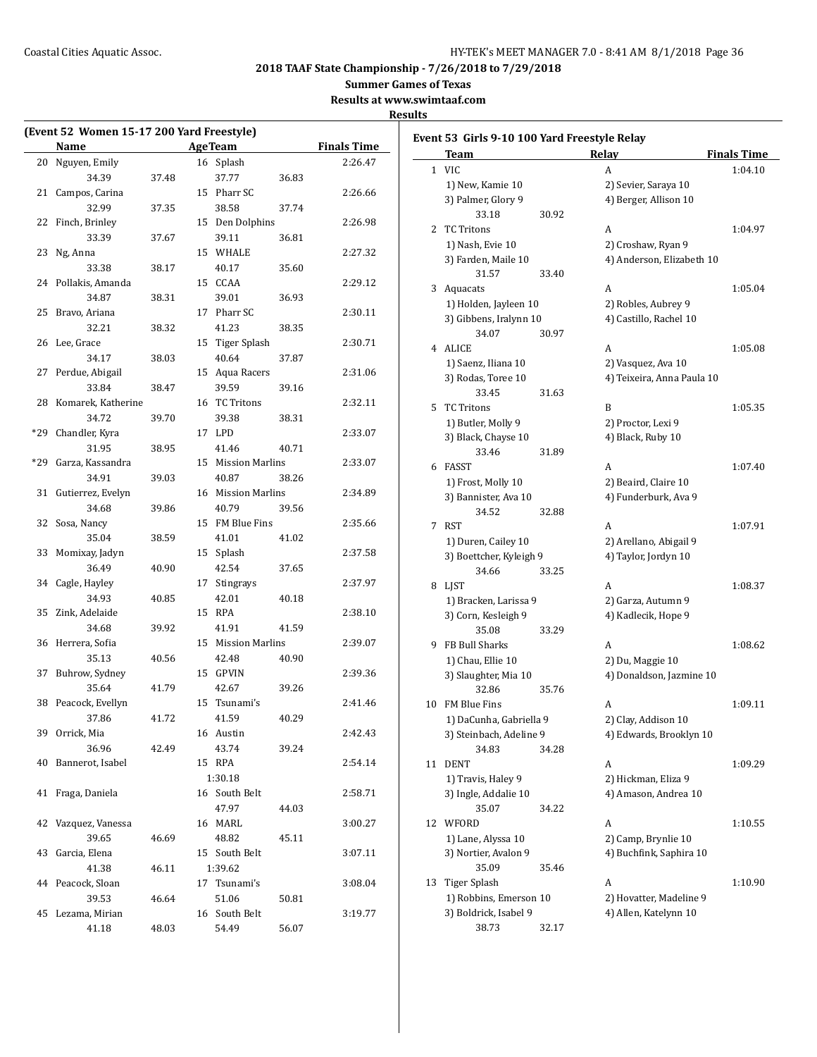**Summer Games of Texas**

**Results at www.swimtaaf.com**

|       | (Event 52 Women 15-17 200 Yard Freestyle)<br>Name |       | <b>AgeTeam</b>     |       | <b>Finals Time</b> |
|-------|---------------------------------------------------|-------|--------------------|-------|--------------------|
| 20    | Nguyen, Emily                                     |       | 16 Splash          |       | 2:26.47            |
|       | 34.39                                             |       | 37.77              |       |                    |
| 21    |                                                   | 37.48 | 15 Pharr SC        | 36.83 | 2:26.66            |
|       | Campos, Carina                                    |       |                    |       |                    |
|       | 32.99                                             | 37.35 | 38.58              | 37.74 |                    |
| 22    | Finch, Brinley                                    |       | 15 Den Dolphins    |       | 2:26.98            |
|       | 33.39                                             | 37.67 | 39.11              | 36.81 |                    |
| 23    | Ng, Anna                                          |       | 15 WHALE           |       | 2:27.32            |
|       | 33.38                                             | 38.17 | 40.17<br>15 CCAA   | 35.60 |                    |
| 24    | Pollakis, Amanda                                  |       |                    |       | 2:29.12            |
|       | 34.87                                             | 38.31 | 39.01              | 36.93 |                    |
| 25    | Bravo, Ariana                                     |       | 17 Pharr SC        |       | 2:30.11            |
|       | 32.21                                             | 38.32 | 41.23              | 38.35 |                    |
| 26    | Lee, Grace                                        |       | 15 Tiger Splash    |       | 2:30.71            |
|       | 34.17                                             | 38.03 | 40.64              | 37.87 |                    |
| 27    | Perdue, Abigail                                   |       | 15 Aqua Racers     |       | 2:31.06            |
|       | 33.84                                             | 38.47 | 39.59              | 39.16 |                    |
| 28    | Komarek, Katherine                                |       | 16 TC Tritons      |       | 2:32.11            |
|       | 34.72                                             | 39.70 | 39.38              | 38.31 |                    |
| $*29$ | Chandler, Kyra                                    |       | 17 LPD             |       | 2:33.07            |
|       | 31.95                                             | 38.95 | 41.46              | 40.71 |                    |
| $*29$ | Garza, Kassandra                                  |       | 15 Mission Marlins |       | 2:33.07            |
|       | 34.91                                             | 39.03 | 40.87              | 38.26 |                    |
| 31    | Gutierrez, Evelyn                                 |       | 16 Mission Marlins |       | 2:34.89            |
|       | 34.68                                             | 39.86 | 40.79              | 39.56 |                    |
| 32    | Sosa, Nancy                                       |       | 15 FM Blue Fins    |       | 2:35.66            |
|       | 35.04                                             | 38.59 | 41.01              | 41.02 |                    |
| 33    | Momixay, Jadyn                                    |       | 15 Splash          |       | 2:37.58            |
|       | 36.49                                             | 40.90 | 42.54              | 37.65 |                    |
| 34    | Cagle, Hayley                                     |       | 17 Stingrays       |       | 2:37.97            |
|       | 34.93                                             | 40.85 | 42.01              | 40.18 |                    |
| 35    | Zink, Adelaide                                    |       | 15 RPA             |       | 2:38.10            |
|       | 34.68                                             | 39.92 | 41.91              | 41.59 |                    |
| 36    | Herrera, Sofia                                    |       | 15 Mission Marlins |       | 2:39.07            |
|       | 35.13                                             | 40.56 | 42.48              | 40.90 |                    |
| 37    | Buhrow, Sydney                                    |       | 15 GPVIN           |       | 2:39.36            |
|       | 35.64                                             | 41.79 | 42.67              | 39.26 |                    |
| 38    | Peacock, Evellyn                                  |       | 15 Tsunami's       |       | 2:41.46            |
|       | 37.86                                             | 41.72 | 41.59              | 40.29 |                    |
| 39    | Orrick, Mia                                       |       | 16 Austin          |       | 2:42.43            |
|       | 36.96                                             | 42.49 | 43.74              | 39.24 |                    |
| 40    | Bannerot, Isabel                                  |       | 15 RPA             |       | 2:54.14            |
|       |                                                   |       | 1:30.18            |       |                    |
| 41    | Fraga, Daniela                                    |       | 16 South Belt      |       | 2:58.71            |
|       |                                                   |       | 47.97              | 44.03 |                    |
| 42    | Vazquez, Vanessa                                  |       | 16 MARL            |       | 3:00.27            |
|       | 39.65                                             | 46.69 | 48.82              | 45.11 |                    |
| 43    | Garcia, Elena                                     |       | 15 South Belt      |       | 3:07.11            |
|       | 41.38                                             | 46.11 | 1:39.62            |       |                    |
| 44    | Peacock, Sloan                                    |       | 17 Tsunami's       |       | 3:08.04            |
|       | 39.53                                             | 46.64 | 51.06              | 50.81 |                    |
| 45    | Lezama, Mirian                                    |       | 16 South Belt      |       | 3:19.77            |
|       | 41.18                                             | 48.03 | 54.49              | 56.07 |                    |
|       |                                                   |       |                    |       |                    |

|    | Event 53  Girls 9-10 100 Yard Freestyle Relay<br>Team |       | Relay                      | <b>Finals Time</b> |
|----|-------------------------------------------------------|-------|----------------------------|--------------------|
|    | 1 VIC                                                 |       | A                          | 1:04.10            |
|    | 1) New, Kamie 10                                      |       | 2) Sevier, Saraya 10       |                    |
|    | 3) Palmer, Glory 9                                    |       | 4) Berger, Allison 10      |                    |
|    | 33.18                                                 | 30.92 |                            |                    |
| 2  | <b>TC Tritons</b>                                     |       | A                          | 1:04.97            |
|    | 1) Nash, Evie 10                                      |       | 2) Croshaw, Ryan 9         |                    |
|    | 3) Farden, Maile 10                                   |       | 4) Anderson, Elizabeth 10  |                    |
|    | 31.57                                                 | 33.40 |                            |                    |
|    |                                                       |       | A                          | 1:05.04            |
| 3  | Aquacats                                              |       |                            |                    |
|    | 1) Holden, Jayleen 10                                 |       | 2) Robles, Aubrey 9        |                    |
|    | 3) Gibbens, Iralynn 10                                |       | 4) Castillo, Rachel 10     |                    |
|    | 34.07                                                 | 30.97 |                            |                    |
|    | 4 ALICE                                               |       | A                          | 1:05.08            |
|    | 1) Saenz, Iliana 10                                   |       | 2) Vasquez, Ava 10         |                    |
|    | 3) Rodas, Toree 10                                    |       | 4) Teixeira, Anna Paula 10 |                    |
|    | 33.45                                                 | 31.63 |                            |                    |
| 5  | <b>TC Tritons</b>                                     |       | B                          | 1:05.35            |
|    | 1) Butler, Molly 9                                    |       | 2) Proctor, Lexi 9         |                    |
|    | 3) Black, Chayse 10                                   |       | 4) Black, Ruby 10          |                    |
|    | 33.46                                                 | 31.89 |                            |                    |
| 6  | FASST                                                 |       | A                          | 1:07.40            |
|    | 1) Frost, Molly 10                                    |       | 2) Beaird, Claire 10       |                    |
|    | 3) Bannister, Ava 10                                  |       | 4) Funderburk, Ava 9       |                    |
|    | 34.52                                                 | 32.88 |                            |                    |
| 7  | <b>RST</b>                                            |       | A                          | 1:07.91            |
|    | 1) Duren, Cailey 10                                   |       | 2) Arellano, Abigail 9     |                    |
|    | 3) Boettcher, Kyleigh 9                               |       | 4) Taylor, Jordyn 10       |                    |
|    | 34.66                                                 | 33.25 |                            |                    |
| 8  | LJST                                                  |       | A                          | 1:08.37            |
|    | 1) Bracken, Larissa 9                                 |       | 2) Garza, Autumn 9         |                    |
|    | 3) Corn, Kesleigh 9                                   |       | 4) Kadlecik, Hope 9        |                    |
|    | 35.08                                                 | 33.29 |                            |                    |
| 9  | FB Bull Sharks                                        |       | A                          | 1:08.62            |
|    | 1) Chau, Ellie 10                                     |       | 2) Du, Maggie 10           |                    |
|    | 3) Slaughter, Mia 10                                  |       | 4) Donaldson, Jazmine 10   |                    |
|    | 32.86                                                 | 35.76 |                            |                    |
| 10 | <b>FM Blue Fins</b>                                   |       | A                          | 1:09.11            |
|    | 1) DaCunha, Gabriella 9                               |       | 2) Clay, Addison 10        |                    |
|    | 3) Steinbach, Adeline 9                               |       | 4) Edwards, Brooklyn 10    |                    |
|    | 34.83                                                 | 34.28 |                            |                    |
| 11 | <b>DENT</b>                                           |       | A                          | 1:09.29            |
|    | 1) Travis, Haley 9                                    |       | 2) Hickman, Eliza 9        |                    |
|    | 3) Ingle, Addalie 10                                  |       | 4) Amason, Andrea 10       |                    |
|    |                                                       | 34.22 |                            |                    |
|    | 35.07                                                 |       |                            |                    |
| 12 | WFORD                                                 |       | A                          | 1:10.55            |
|    | 1) Lane, Alyssa 10                                    |       | 2) Camp, Brynlie 10        |                    |
|    | 3) Nortier, Avalon 9                                  |       | 4) Buchfink, Saphira 10    |                    |
|    | 35.09                                                 | 35.46 |                            |                    |
| 13 | Tiger Splash                                          |       | A                          | 1:10.90            |
|    | 1) Robbins, Emerson 10                                |       | 2) Hovatter, Madeline 9    |                    |
|    | 3) Boldrick, Isabel 9                                 |       | 4) Allen, Katelynn 10      |                    |
|    | 38.73                                                 | 32.17 |                            |                    |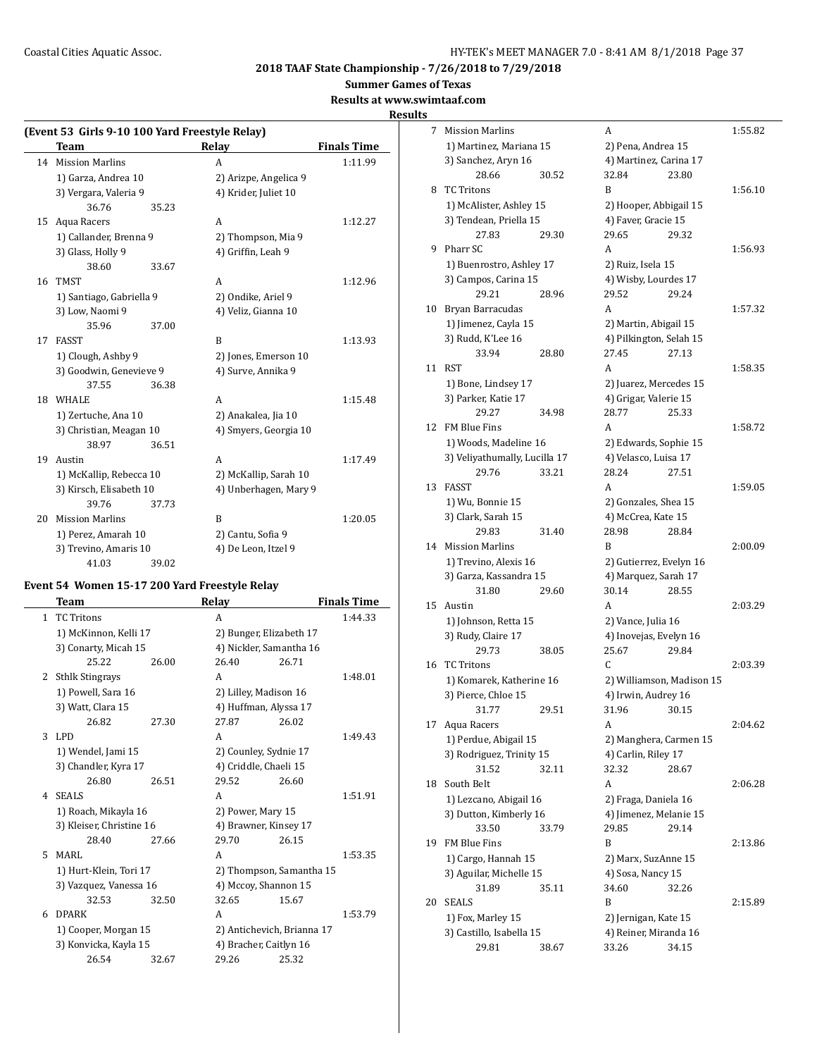**Summer Games of Texas**

**Results at www.swimtaaf.com**

# **Results**

| (Event 53 Girls 9-10 100 Yard Freestyle Relay) |                          |       |                       |                    |  |  |
|------------------------------------------------|--------------------------|-------|-----------------------|--------------------|--|--|
|                                                | Team                     |       | Relay                 | <b>Finals Time</b> |  |  |
|                                                | 14 Mission Marlins       |       | А                     | 1:11.99            |  |  |
|                                                | 1) Garza, Andrea 10      |       | 2) Arizpe, Angelica 9 |                    |  |  |
|                                                | 3) Vergara, Valeria 9    |       | 4) Krider, Juliet 10  |                    |  |  |
|                                                | 36.76                    | 35.23 |                       |                    |  |  |
| 15                                             | Aqua Racers              |       | А                     | 1:12.27            |  |  |
|                                                | 1) Callander, Brenna 9   |       | 2) Thompson, Mia 9    |                    |  |  |
|                                                | 3) Glass, Holly 9        |       | 4) Griffin, Leah 9    |                    |  |  |
|                                                | 38.60                    | 33.67 |                       |                    |  |  |
| 16                                             | <b>TMST</b>              |       | A                     | 1:12.96            |  |  |
|                                                | 1) Santiago, Gabriella 9 |       | 2) Ondike, Ariel 9    |                    |  |  |
|                                                | 3) Low, Naomi 9          |       | 4) Veliz, Gianna 10   |                    |  |  |
|                                                | 35.96                    | 37.00 |                       |                    |  |  |
| 17                                             | <b>FASST</b>             |       | B                     | 1:13.93            |  |  |
|                                                | 1) Clough, Ashby 9       |       | 2) Jones, Emerson 10  |                    |  |  |
|                                                | 3) Goodwin, Genevieve 9  |       | 4) Surve, Annika 9    |                    |  |  |
|                                                | 37.55                    | 36.38 |                       |                    |  |  |
| 18                                             | <b>WHALE</b>             |       | A                     | 1:15.48            |  |  |
|                                                | 1) Zertuche, Ana 10      |       | 2) Anakalea, Jia 10   |                    |  |  |
|                                                | 3) Christian, Meagan 10  |       | 4) Smyers, Georgia 10 |                    |  |  |
|                                                | 38.97                    | 36.51 |                       |                    |  |  |
| 19                                             | Austin                   |       | А                     | 1:17.49            |  |  |
|                                                | 1) McKallip, Rebecca 10  |       | 2) McKallip, Sarah 10 |                    |  |  |
|                                                | 3) Kirsch, Elisabeth 10  |       | 4) Unberhagen, Mary 9 |                    |  |  |
|                                                | 39.76                    | 37.73 |                       |                    |  |  |
| 20                                             | <b>Mission Marlins</b>   |       | B                     | 1:20.05            |  |  |
|                                                | 1) Perez, Amarah 10      |       | 2) Cantu, Sofia 9     |                    |  |  |
|                                                | 3) Trevino, Amaris 10    |       | 4) De Leon, Itzel 9   |                    |  |  |
|                                                | 41.03                    | 39.02 |                       |                    |  |  |

# **Event 54 Women 15-17 200 Yard Freestyle Relay**

|   | Team                     |       | <b>Relay</b>               |                          | <b>Finals Time</b> |
|---|--------------------------|-------|----------------------------|--------------------------|--------------------|
| 1 | <b>TC Tritons</b>        |       | A                          |                          | 1:44.33            |
|   | 1) McKinnon, Kelli 17    |       | 2) Bunger, Elizabeth 17    |                          |                    |
|   | 3) Conarty, Micah 15     |       | 4) Nickler, Samantha 16    |                          |                    |
|   | 25.22                    | 26.00 | 26.40                      | 26.71                    |                    |
| 2 | <b>Sthlk Stingrays</b>   |       | A                          |                          | 1:48.01            |
|   | 1) Powell, Sara 16       |       | 2) Lilley, Madison 16      |                          |                    |
|   | 3) Watt, Clara 15        |       | 4) Huffman, Alyssa 17      |                          |                    |
|   | 26.82                    | 27.30 | 27.87                      | 26.02                    |                    |
| 3 | LPD                      |       | A                          |                          | 1:49.43            |
|   | 1) Wendel, Jami 15       |       | 2) Counley, Sydnie 17      |                          |                    |
|   | 3) Chandler, Kyra 17     |       | 4) Criddle, Chaeli 15      |                          |                    |
|   | 26.80                    | 26.51 | 29.52                      | 26.60                    |                    |
| 4 | <b>SEALS</b>             |       | A                          |                          | 1:51.91            |
|   | 1) Roach, Mikayla 16     |       | 2) Power, Mary 15          |                          |                    |
|   | 3) Kleiser, Christine 16 |       | 4) Brawner, Kinsey 17      |                          |                    |
|   | 28.40                    | 27.66 | 29.70                      | 26.15                    |                    |
| 5 | MARI.                    |       | A                          |                          | 1:53.35            |
|   | 1) Hurt-Klein, Tori 17   |       |                            | 2) Thompson, Samantha 15 |                    |
|   | 3) Vazquez, Vanessa 16   |       | 4) Mccoy, Shannon 15       |                          |                    |
|   | 32.53                    | 32.50 | 32.65                      | 15.67                    |                    |
| 6 | <b>DPARK</b>             |       | A                          |                          | 1:53.79            |
|   | 1) Cooper, Morgan 15     |       | 2) Antichevich, Brianna 17 |                          |                    |
|   | 3) Konvicka, Kayla 15    |       | 4) Bracher, Caitlyn 16     |                          |                    |
|   | 26.54                    | 32.67 | 29.26                      | 25.32                    |                    |

| 7  | <b>Mission Marlins</b>        |       | A                       |                           | 1:55.82 |
|----|-------------------------------|-------|-------------------------|---------------------------|---------|
|    | 1) Martinez, Mariana 15       |       | 2) Pena, Andrea 15      |                           |         |
|    | 3) Sanchez, Aryn 16           |       | 4) Martinez, Carina 17  |                           |         |
|    | 28.66                         | 30.52 | 32.84                   | 23.80                     |         |
| 8  | <b>TC Tritons</b>             |       | B                       |                           | 1:56.10 |
|    | 1) McAlister, Ashley 15       |       | 2) Hooper, Abbigail 15  |                           |         |
|    | 3) Tendean, Priella 15        |       | 4) Faver, Gracie 15     |                           |         |
|    | 27.83                         | 29.30 | 29.65                   | 29.32                     |         |
| 9  | Pharr SC                      |       | A                       |                           | 1:56.93 |
|    | 1) Buenrostro, Ashley 17      |       | 2) Ruiz, Isela 15       |                           |         |
|    | 3) Campos, Carina 15          |       | 4) Wisby, Lourdes 17    |                           |         |
|    | 29.21                         | 28.96 | 29.52                   | 29.24                     |         |
| 10 | Bryan Barracudas              |       | A                       |                           | 1:57.32 |
|    | 1) Jimenez, Cayla 15          |       | 2) Martin, Abigail 15   |                           |         |
|    | 3) Rudd, K'Lee 16             |       | 4) Pilkington, Selah 15 |                           |         |
|    | 33.94                         | 28.80 | 27.45                   | 27.13                     |         |
| 11 | <b>RST</b>                    |       | A                       |                           | 1:58.35 |
|    | 1) Bone, Lindsey 17           |       | 2) Juarez, Mercedes 15  |                           |         |
|    | 3) Parker, Katie 17           |       | 4) Grigar, Valerie 15   |                           |         |
|    | 29.27                         | 34.98 | 28.77                   | 25.33                     |         |
| 12 | FM Blue Fins                  |       | A                       |                           | 1:58.72 |
|    | 1) Woods, Madeline 16         |       | 2) Edwards, Sophie 15   |                           |         |
|    | 3) Veliyathumally, Lucilla 17 |       | 4) Velasco, Luisa 17    |                           |         |
|    | 29.76                         | 33.21 | 28.24                   | 27.51                     |         |
| 13 | <b>FASST</b>                  |       | A                       |                           | 1:59.05 |
|    | 1) Wu, Bonnie 15              |       | 2) Gonzales, Shea 15    |                           |         |
|    | 3) Clark, Sarah 15            |       | 4) McCrea, Kate 15      |                           |         |
|    | 29.83                         | 31.40 | 28.98                   | 28.84                     |         |
| 14 | <b>Mission Marlins</b>        |       | B                       |                           | 2:00.09 |
|    | 1) Trevino, Alexis 16         |       | 2) Gutierrez, Evelyn 16 |                           |         |
|    | 3) Garza, Kassandra 15        |       | 4) Marquez, Sarah 17    |                           |         |
|    | 31.80                         | 29.60 | 30.14                   | 28.55                     |         |
| 15 | Austin                        |       | A                       |                           | 2:03.29 |
|    | 1) Johnson, Retta 15          |       | 2) Vance, Julia 16      |                           |         |
|    | 3) Rudy, Claire 17            |       | 4) Inovejas, Evelyn 16  |                           |         |
|    | 29.73                         | 38.05 | 25.67                   | 29.84                     |         |
| 16 | <b>TC</b> Tritons             |       | C.                      |                           | 2:03.39 |
|    | 1) Komarek, Katherine 16      |       |                         | 2) Williamson, Madison 15 |         |
|    | 3) Pierce, Chloe 15           |       | 4) Irwin, Audrey 16     |                           |         |
|    | 31.77                         | 29.51 | 31.96                   | 30.15                     |         |
| 17 | Aqua Racers                   |       | A                       |                           | 2:04.62 |
|    | 1) Perdue, Abigail 15         |       | 2) Manghera, Carmen 15  |                           |         |
|    | 3) Rodriguez, Trinity 15      |       | 4) Carlin, Riley 17     |                           |         |
|    | 31.52                         | 32.11 | 32.32                   | 28.67                     |         |
| 18 | South Belt                    |       | A                       |                           | 2:06.28 |
|    | 1) Lezcano, Abigail 16        |       | 2) Fraga, Daniela 16    |                           |         |
|    | 3) Dutton, Kimberly 16        |       | 4) Jimenez, Melanie 15  |                           |         |
|    | 33.50                         | 33.79 | 29.85                   | 29.14                     |         |
| 19 | FM Blue Fins                  |       | B                       |                           | 2:13.86 |
|    | 1) Cargo, Hannah 15           |       | 2) Marx, SuzAnne 15     |                           |         |
|    | 3) Aguilar, Michelle 15       |       | 4) Sosa, Nancy 15       |                           |         |
|    | 31.89                         | 35.11 | 34.60                   | 32.26                     |         |
| 20 | <b>SEALS</b>                  |       | B                       |                           | 2:15.89 |
|    | 1) Fox, Marley 15             |       | 2) Jernigan, Kate 15    |                           |         |
|    | 3) Castillo, Isabella 15      |       | 4) Reiner, Miranda 16   |                           |         |
|    | 29.81                         | 38.67 | 33.26                   | 34.15                     |         |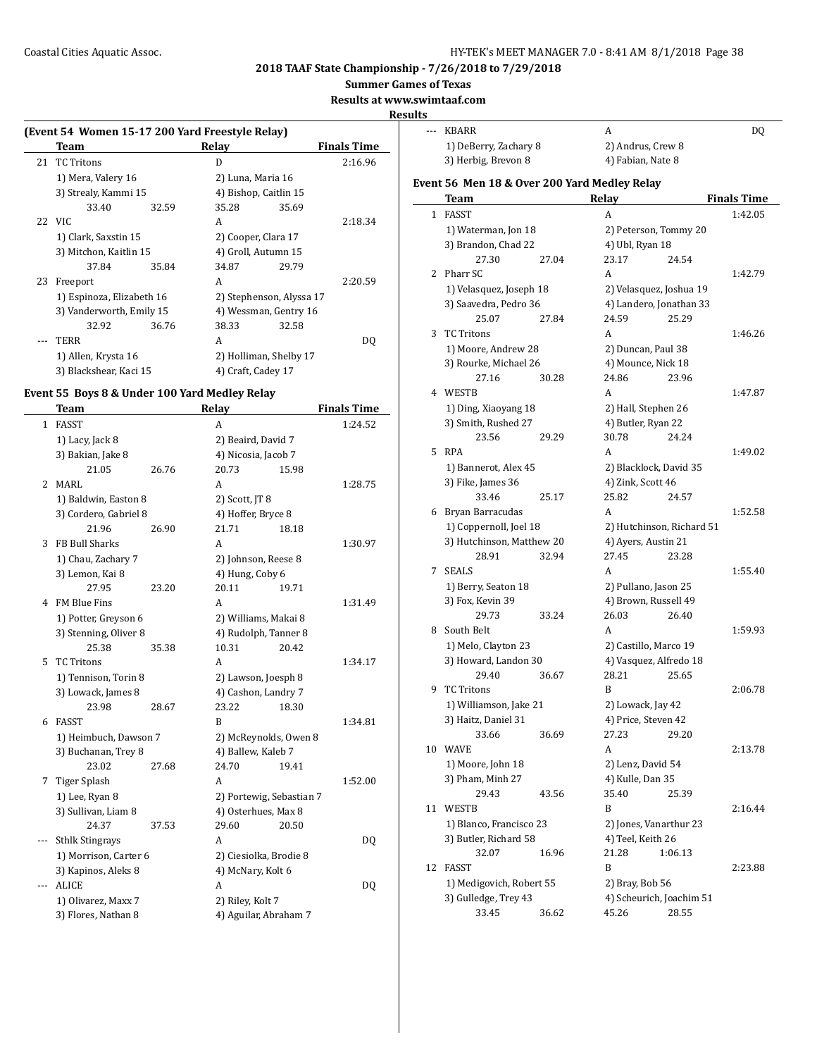**Summer Games of Texas**

**Results at www.swimtaaf.com**

**Resul** 

 $\sim$ 

| (Event 54 Women 15-17 200 Yard Freestyle Relay) |                           |       |                          |                     |                    |  |  |
|-------------------------------------------------|---------------------------|-------|--------------------------|---------------------|--------------------|--|--|
|                                                 | Team                      |       | Relav                    |                     | <b>Finals Time</b> |  |  |
| 21                                              | <b>TC Tritons</b>         |       | D                        |                     | 2:16.96            |  |  |
|                                                 | 1) Mera, Valery 16        |       | 2) Luna, Maria 16        |                     |                    |  |  |
|                                                 | 3) Strealy, Kammi 15      |       | 4) Bishop, Caitlin 15    |                     |                    |  |  |
|                                                 | 33.40                     | 32.59 | 35.28                    | 35.69               |                    |  |  |
|                                                 | 22 VIC                    |       | A                        |                     | 2:18.34            |  |  |
|                                                 | 1) Clark, Saxstin 15      |       | 2) Cooper, Clara 17      |                     |                    |  |  |
|                                                 | 3) Mitchon, Kaitlin 15    |       |                          | 4) Groll, Autumn 15 |                    |  |  |
|                                                 | 37.84                     | 35.84 | 34.87                    | 29.79               |                    |  |  |
| 23                                              | Freeport                  |       | A                        |                     | 2:20.59            |  |  |
|                                                 | 1) Espinoza, Elizabeth 16 |       | 2) Stephenson, Alyssa 17 |                     |                    |  |  |
|                                                 | 3) Vanderworth, Emily 15  |       | 4) Wessman, Gentry 16    |                     |                    |  |  |
|                                                 | 32.92                     | 36.76 | 38.33                    | 32.58               |                    |  |  |
|                                                 | <b>TERR</b>               |       | A                        |                     | DQ                 |  |  |
|                                                 | 1) Allen, Krysta 16       |       | 2) Holliman, Shelby 17   |                     |                    |  |  |
|                                                 | 3) Blackshear, Kaci 15    |       | 4) Craft, Cadey 17       |                     |                    |  |  |

## **Event 55 Boys 8 & Under 100 Yard Medley Relay**

|              | Team                   |       | Relay                    |       | <b>Finals Time</b> |
|--------------|------------------------|-------|--------------------------|-------|--------------------|
| $\mathbf{1}$ | <b>FASST</b>           |       | A                        |       | 1:24.52            |
|              | 1) Lacy, Jack 8        |       | 2) Beaird, David 7       |       |                    |
|              | 3) Bakian, Jake 8      |       | 4) Nicosia, Jacob 7      |       |                    |
|              | 21.05                  | 26.76 | 20.73                    | 15.98 |                    |
| 2            | <b>MARL</b>            |       | A                        |       | 1:28.75            |
|              | 1) Baldwin, Easton 8   |       | 2) Scott, JT 8           |       |                    |
|              | 3) Cordero, Gabriel 8  |       | 4) Hoffer, Bryce 8       |       |                    |
|              | 21.96                  | 26.90 | 21.71                    | 18.18 |                    |
| 3            | FB Bull Sharks         |       | A                        |       | 1:30.97            |
|              | 1) Chau, Zachary 7     |       | 2) Johnson, Reese 8      |       |                    |
|              | 3) Lemon, Kai 8        |       | 4) Hung, Coby 6          |       |                    |
|              | 27.95                  | 23.20 | 20.11                    | 19.71 |                    |
| 4            | FM Blue Fins           |       | A                        |       | 1:31.49            |
|              | 1) Potter, Greyson 6   |       | 2) Williams, Makai 8     |       |                    |
|              | 3) Stenning, Oliver 8  |       | 4) Rudolph, Tanner 8     |       |                    |
|              | 25.38                  | 35.38 | 10.31                    | 20.42 |                    |
| 5            | <b>TC Tritons</b>      |       | A                        |       | 1:34.17            |
|              | 1) Tennison, Torin 8   |       | 2) Lawson, Joesph 8      |       |                    |
|              | 3) Lowack, James 8     |       | 4) Cashon, Landry 7      |       |                    |
|              | 23.98                  | 28.67 | 23.22                    | 18.30 |                    |
| 6            | <b>FASST</b>           |       | B                        |       | 1:34.81            |
|              | 1) Heimbuch, Dawson 7  |       | 2) McReynolds, Owen 8    |       |                    |
|              | 3) Buchanan, Trey 8    |       | 4) Ballew, Kaleb 7       |       |                    |
|              | 23.02                  | 27.68 | 24.70                    | 19.41 |                    |
| 7            | <b>Tiger Splash</b>    |       | A                        |       | 1:52.00            |
|              | 1) Lee, Ryan 8         |       | 2) Portewig, Sebastian 7 |       |                    |
|              | 3) Sullivan, Liam 8    |       | 4) Osterhues, Max 8      |       |                    |
|              | 24.37                  | 37.53 | 29.60                    | 20.50 |                    |
| ---          | <b>Sthlk Stingrays</b> |       | A                        |       | DQ                 |
|              | 1) Morrison, Carter 6  |       | 2) Ciesiolka, Brodie 8   |       |                    |
|              | 3) Kapinos, Aleks 8    |       | 4) McNary, Kolt 6        |       |                    |
| ---          | ALICE                  |       | A                        |       | D <sub>0</sub>     |
|              | 1) Olivarez, Maxx 7    |       | 2) Riley, Kolt 7         |       |                    |
|              | 3) Flores, Nathan 8    |       | 4) Aguilar, Abraham 7    |       |                    |

| lts            |                                                      |       |                               |                                 |                    |
|----------------|------------------------------------------------------|-------|-------------------------------|---------------------------------|--------------------|
| $\overline{a}$ | <b>KBARR</b>                                         |       | A                             |                                 | DQ                 |
|                | 1) DeBerry, Zachary 8                                |       | 2) Andrus, Crew 8             |                                 |                    |
|                | 3) Herbig, Brevon 8                                  |       | 4) Fabian, Nate 8             |                                 |                    |
|                |                                                      |       |                               |                                 |                    |
|                | Event 56 Men 18 & Over 200 Yard Medley Relay<br>Team |       | Relay                         |                                 | <b>Finals Time</b> |
|                | 1 FASST                                              |       | A                             |                                 | 1:42.05            |
|                | 1) Waterman, Jon 18                                  |       |                               | 2) Peterson, Tommy 20           |                    |
|                | 3) Brandon, Chad 22                                  |       | 4) Ubl, Ryan 18               |                                 |                    |
|                | 27.30                                                | 27.04 | 23.17                         | 24.54                           |                    |
| 2              | Pharr SC                                             |       | A                             |                                 | 1:42.79            |
|                | 1) Velasquez, Joseph 18                              |       |                               | 2) Velasquez, Joshua 19         |                    |
|                | 3) Saavedra, Pedro 36                                |       |                               | 4) Landero, Jonathan 33         |                    |
|                | 25.07                                                | 27.84 | 24.59                         | 25.29                           |                    |
| 3              | <b>TC Tritons</b>                                    |       | A                             |                                 | 1:46.26            |
|                | 1) Moore, Andrew 28                                  |       | 2) Duncan, Paul 38            |                                 |                    |
|                | 3) Rourke, Michael 26                                |       | 4) Mounce, Nick 18            |                                 |                    |
|                | 27.16                                                | 30.28 | 24.86                         | 23.96                           |                    |
|                | 4 WESTB                                              |       | A                             |                                 | 1:47.87            |
|                | 1) Ding, Xiaoyang 18                                 |       | 2) Hall, Stephen 26           |                                 |                    |
|                | 3) Smith, Rushed 27                                  |       | 4) Butler, Ryan 22            |                                 |                    |
|                | 23.56                                                | 29.29 | 30.78                         | 24.24                           |                    |
| 5              | RPA                                                  |       | A                             |                                 | 1:49.02            |
|                | 1) Bannerot, Alex 45                                 |       |                               |                                 |                    |
|                | 3) Fike, James 36                                    |       | 4) Zink, Scott 46             | 2) Blacklock, David 35          |                    |
|                | 33.46                                                | 25.17 | 25.82                         | 24.57                           |                    |
|                | 6 Bryan Barracudas                                   |       | A                             |                                 | 1:52.58            |
|                | 1) Coppernoll, Joel 18                               |       |                               | 2) Hutchinson, Richard 51       |                    |
|                | 3) Hutchinson, Matthew 20                            |       | 4) Ayers, Austin 21           |                                 |                    |
|                | 28.91                                                | 32.94 | 27.45                         | 23.28                           |                    |
| 7              | <b>SEALS</b>                                         |       | A                             |                                 | 1:55.40            |
|                |                                                      |       |                               |                                 |                    |
|                | 1) Berry, Seaton 18                                  |       | 2) Pullano, Jason 25          |                                 |                    |
|                | 3) Fox, Kevin 39<br>29.73                            | 33.24 | 4) Brown, Russell 49<br>26.03 | 26.40                           |                    |
| 8              | South Belt                                           |       | A                             |                                 |                    |
|                |                                                      |       |                               |                                 | 1:59.93            |
|                | 1) Melo, Clayton 23                                  |       | 2) Castillo, Marco 19         |                                 |                    |
|                | 3) Howard, Landon 30<br>29.40                        | 36.67 | 28.21                         | 4) Vasquez, Alfredo 18<br>25.65 |                    |
| 9              | <b>TC Tritons</b>                                    |       | B                             |                                 | 2:06.78            |
|                |                                                      |       |                               |                                 |                    |
|                | 1) Williamson, Jake 21                               |       | 2) Lowack, Jay 42             |                                 |                    |
|                | 3) Haitz, Daniel 31<br>33.66                         |       | 4) Price, Steven 42           |                                 |                    |
|                |                                                      | 36.69 | 27.23                         | 29.20                           |                    |
|                | 10 WAVE                                              |       | A                             |                                 | 2:13.78            |
|                | 1) Moore, John 18                                    |       | 2) Lenz, David 54             |                                 |                    |
|                | 3) Pham, Minh 27                                     |       | 4) Kulle, Dan 35              |                                 |                    |
|                | 29.43                                                | 43.56 | 35.40                         | 25.39                           |                    |
| 11             | WESTB                                                |       | B                             |                                 | 2:16.44            |
|                | 1) Blanco, Francisco 23                              |       |                               | 2) Jones, Vanarthur 23          |                    |
|                | 3) Butler, Richard 58                                |       | 4) Teel, Keith 26             |                                 |                    |
|                | 32.07                                                | 16.96 | 21.28                         | 1:06.13                         |                    |
| 12             | FASST                                                |       | B                             |                                 | 2:23.88            |
|                | 1) Medigovich, Robert 55                             |       | 2) Bray, Bob 56               |                                 |                    |
|                | 3) Gulledge, Trey 43                                 |       |                               | 4) Scheurich, Joachim 51        |                    |
|                | 33.45                                                | 36.62 | 45.26                         | 28.55                           |                    |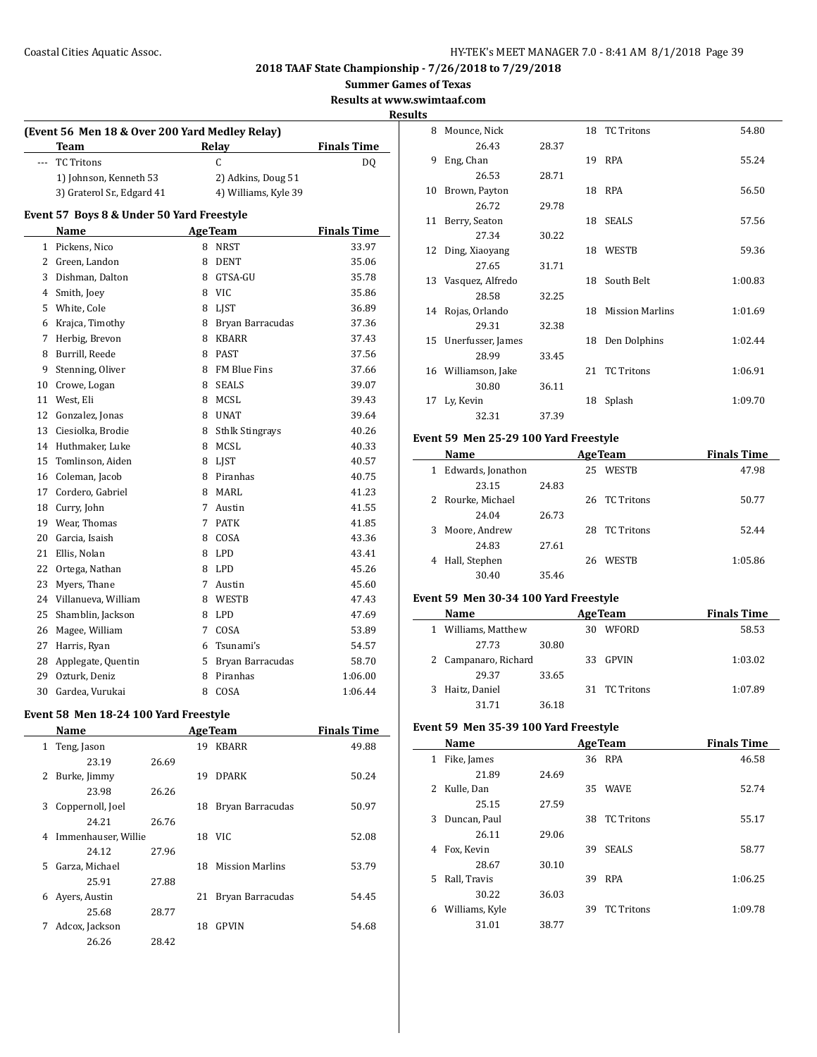**Summer Games of Texas**

**Results at www.swimtaaf.com**

**Results**

| (Event 56 Men 18 & Over 200 Yard Medley Relay) |                                           |   |                        |                    |  |  |
|------------------------------------------------|-------------------------------------------|---|------------------------|--------------------|--|--|
|                                                | Team                                      |   | Relay                  | <b>Finals Time</b> |  |  |
| $\sim$                                         | <b>TC Tritons</b>                         |   | $\mathsf{C}$           | DQ                 |  |  |
|                                                | 1) Johnson, Kenneth 53                    |   | 2) Adkins, Doug 51     |                    |  |  |
|                                                | 3) Graterol Sr., Edgard 41                |   | 4) Williams, Kyle 39   |                    |  |  |
|                                                | Event 57 Boys 8 & Under 50 Yard Freestyle |   |                        |                    |  |  |
|                                                | Name                                      |   | <b>AgeTeam</b>         | <b>Finals Time</b> |  |  |
| $\mathbf{1}$                                   | Pickens, Nico                             | 8 | <b>NRST</b>            | 33.97              |  |  |
| $\overline{2}$                                 | Green, Landon                             | 8 | <b>DENT</b>            | 35.06              |  |  |
| 3                                              | Dishman, Dalton                           | 8 | GTSA-GU                | 35.78              |  |  |
| 4                                              | Smith, Joey                               | 8 | VIC                    | 35.86              |  |  |
| 5                                              | White, Cole                               | 8 | <b>LIST</b>            | 36.89              |  |  |
| 6                                              | Krajca, Timothy                           | 8 | Bryan Barracudas       | 37.36              |  |  |
| 7                                              | Herbig, Brevon                            | 8 | <b>KBARR</b>           | 37.43              |  |  |
| 8                                              | Burrill, Reede                            | 8 | <b>PAST</b>            | 37.56              |  |  |
| 9                                              | Stenning, Oliver                          | 8 | FM Blue Fins           | 37.66              |  |  |
| 10                                             | Crowe, Logan                              | 8 | <b>SEALS</b>           | 39.07              |  |  |
| 11                                             | West, Eli                                 | 8 | MCSL                   | 39.43              |  |  |
| 12                                             | Gonzalez, Jonas                           | 8 | <b>UNAT</b>            | 39.64              |  |  |
| 13                                             | Ciesiolka, Brodie                         | 8 | <b>Sthlk Stingrays</b> | 40.26              |  |  |
| 14                                             | Huthmaker, Luke                           | 8 | MCSL                   | 40.33              |  |  |
| 15                                             | Tomlinson, Aiden                          | 8 | LJST                   | 40.57              |  |  |
| 16                                             | Coleman, Jacob                            | 8 | Piranhas               | 40.75              |  |  |
| 17                                             | Cordero, Gabriel                          | 8 | <b>MARL</b>            | 41.23              |  |  |
| 18                                             | Curry, John                               | 7 | Austin                 | 41.55              |  |  |
| 19                                             | Wear, Thomas                              | 7 | <b>PATK</b>            | 41.85              |  |  |
| 20                                             | Garcia, Isaish                            | 8 | COSA                   | 43.36              |  |  |
| 21                                             | Ellis, Nolan                              | 8 | <b>LPD</b>             | 43.41              |  |  |
| 22                                             | Ortega, Nathan                            | 8 | LPD                    | 45.26              |  |  |
| 23                                             | Myers, Thane                              | 7 | Austin                 | 45.60              |  |  |
| 24                                             | Villanueva, William                       | 8 | WESTB                  | 47.43              |  |  |
| 25                                             | Shamblin, Jackson                         | 8 | LPD                    | 47.69              |  |  |
| 26                                             | Magee, William                            | 7 | COSA                   | 53.89              |  |  |
| 27                                             | Harris, Ryan                              | 6 | Tsunami's              | 54.57              |  |  |
| 28                                             | Applegate, Quentin                        | 5 | Bryan Barracudas       | 58.70              |  |  |
| 29                                             | Ozturk, Deniz                             | 8 | Piranhas               | 1:06.00            |  |  |
| 30                                             | Gardea, Vurukai                           | 8 | COSA                   | 1:06.44            |  |  |
|                                                |                                           |   |                        |                    |  |  |

# **Event 58 Men 18-24 100 Yard Freestyle**

|    | Name                |       |    | <b>AgeTeam</b>         | <b>Finals Time</b> |
|----|---------------------|-------|----|------------------------|--------------------|
| 1  | Teng, Jason         |       | 19 | <b>KBARR</b>           | 49.88              |
|    | 23.19               | 26.69 |    |                        |                    |
| 2  | Burke, Jimmy        |       | 19 | <b>DPARK</b>           | 50.24              |
|    | 23.98               | 26.26 |    |                        |                    |
| 3  | Coppernoll, Joel    |       | 18 | Bryan Barracudas       | 50.97              |
|    | 24.21               | 26.76 |    |                        |                    |
| 4  | Immenhauser, Willie |       | 18 | VIC.                   | 52.08              |
|    | 24.12               | 27.96 |    |                        |                    |
| 5. | Garza, Michael      |       | 18 | <b>Mission Marlins</b> | 53.79              |
|    | 25.91               | 27.88 |    |                        |                    |
| 6  | Ayers, Austin       |       | 21 | Bryan Barracudas       | 54.45              |
|    | 25.68               | 28.77 |    |                        |                    |
| 7  | Adcox, Jackson      |       | 18 | <b>GPVIN</b>           | 54.68              |
|    | 26.26               | 28.42 |    |                        |                    |

| 8  | Mounce, Nick        |       |    | 18 TC Tritons          | 54.80   |
|----|---------------------|-------|----|------------------------|---------|
|    | 26.43               | 28.37 |    |                        |         |
| 9  | Eng, Chan           |       |    | 19 RPA                 | 55.24   |
|    | 26.53               | 28.71 |    |                        |         |
| 10 | Brown, Payton       |       |    | 18 RPA                 | 56.50   |
|    | 26.72               | 29.78 |    |                        |         |
| 11 | Berry, Seaton       |       |    | 18 SEALS               | 57.56   |
|    | 27.34               | 30.22 |    |                        |         |
| 12 | Ding, Xiaoyang      |       | 18 | WESTB                  | 59.36   |
|    | 27.65               | 31.71 |    |                        |         |
| 13 | Vasquez, Alfredo    |       |    | 18 South Belt          | 1:00.83 |
|    | 28.58               | 32.25 |    |                        |         |
|    | 14 Rojas, Orlando   |       | 18 | <b>Mission Marlins</b> | 1:01.69 |
|    | 29.31               | 32.38 |    |                        |         |
| 15 | Unerfusser, James   |       | 18 | Den Dolphins           | 1:02.44 |
|    | 28.99               | 33.45 |    |                        |         |
|    | 16 Williamson, Jake |       | 21 | <b>TC Tritons</b>      | 1:06.91 |
|    | 30.80               | 36.11 |    |                        |         |
| 17 | Ly, Kevin           |       | 18 | Splash                 | 1:09.70 |
|    | 32.31               | 37.39 |    |                        |         |

## **Event 59 Men 25-29 100 Yard Freestyle**

|              | Name              | <b>AgeTeam</b> |    |               | <b>Finals Time</b> |
|--------------|-------------------|----------------|----|---------------|--------------------|
| $\mathbf{1}$ | Edwards, Jonathon |                | 25 | <b>WESTB</b>  | 47.98              |
|              | 23.15             | 24.83          |    |               |                    |
|              | 2 Rourke, Michael |                |    | 26 TC Tritons | 50.77              |
|              | 24.04             | 26.73          |    |               |                    |
| 3            | Moore, Andrew     |                | 28 | TC Tritons    | 52.44              |
|              | 24.83             | 27.61          |    |               |                    |
| 4            | Hall, Stephen     |                | 26 | <b>WESTB</b>  | 1:05.86            |
|              | 30.40             | 35.46          |    |               |                    |
|              |                   |                |    |               |                    |

#### **Event 59 Men 30-34 100 Yard Freestyle**

| Name                 | <b>AgeTeam</b> |    |               | <b>Finals Time</b> |  |
|----------------------|----------------|----|---------------|--------------------|--|
| 1 Williams, Matthew  |                | 30 | WFORD         | 58.53              |  |
| 27.73                | 30.80          |    |               |                    |  |
| 2 Campanaro, Richard |                |    | 33 GPVIN      | 1:03.02            |  |
| 29.37                | 33.65          |    |               |                    |  |
| 3 Haitz, Daniel      |                |    | 31 TC Tritons | 1:07.89            |  |
| 31.71                | 36.18          |    |               |                    |  |

## **Event 59 Men 35-39 100 Yard Freestyle**

|              | Name           | <b>AgeTeam</b> |    |                   | <b>Finals Time</b> |
|--------------|----------------|----------------|----|-------------------|--------------------|
| $\mathbf{1}$ | Fike, James    |                |    | 36 RPA            | 46.58              |
|              | 21.89          | 24.69          |    |                   |                    |
| 2            | Kulle, Dan     |                | 35 | <b>WAVE</b>       | 52.74              |
|              | 25.15          | 27.59          |    |                   |                    |
| 3            | Duncan, Paul   |                | 38 | <b>TC</b> Tritons | 55.17              |
|              | 26.11          | 29.06          |    |                   |                    |
| 4            | Fox, Kevin     |                | 39 | <b>SEALS</b>      | 58.77              |
|              | 28.67          | 30.10          |    |                   |                    |
| 5.           | Rall, Travis   |                | 39 | <b>RPA</b>        | 1:06.25            |
|              | 30.22          | 36.03          |    |                   |                    |
| 6            | Williams, Kyle |                | 39 | <b>TC</b> Tritons | 1:09.78            |
|              | 31.01          | 38.77          |    |                   |                    |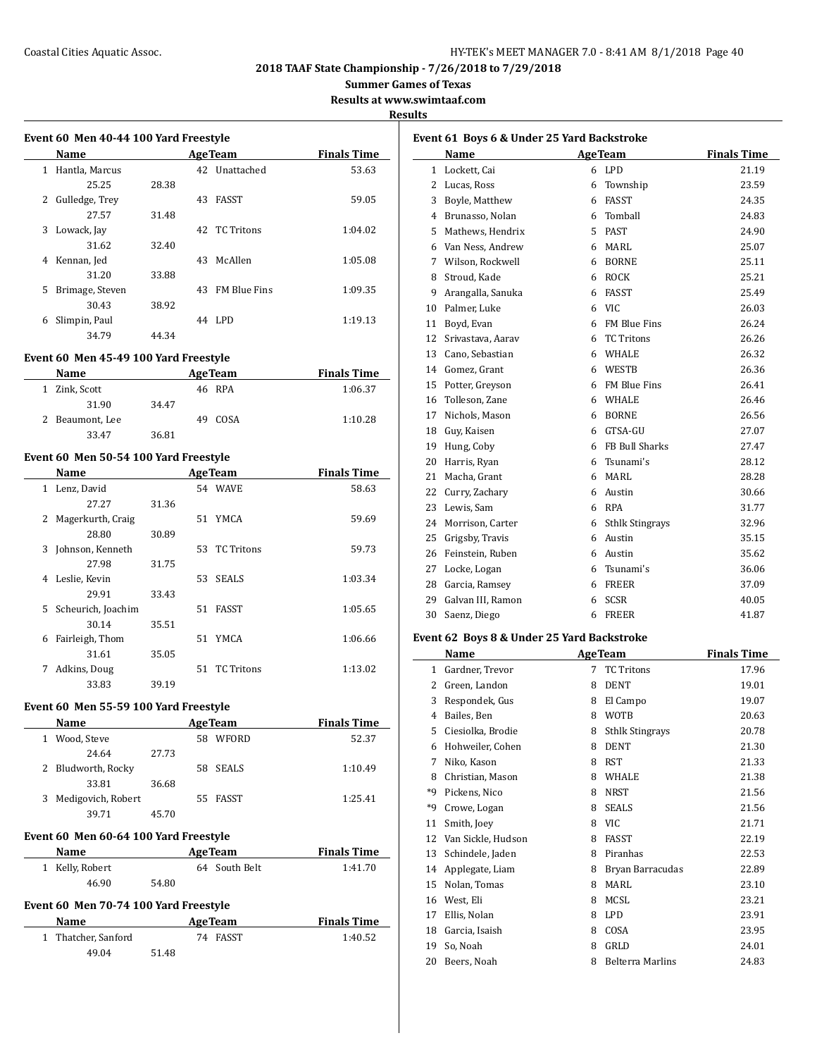## Coastal Cities Aquatic Assoc. The Coastal Cities Aquatic Assoc. The Mass of the Magnus HY-TEK's MEET MANAGER 7.0 - 8:41 AM 8/1/2018 Page 40

**2018 TAAF State Championship - 7/26/2018 to 7/29/2018**

**Summer Games of Texas**

**Results at www.swimtaaf.com**

#### **Results**

 $\sim$ 

| Event 60 Men 40-44 100 Yard Freestyle |                 |       |     |                     |                    |
|---------------------------------------|-----------------|-------|-----|---------------------|--------------------|
|                                       | Name            |       |     | <b>Age Team</b>     | <b>Finals Time</b> |
| 1                                     | Hantla, Marcus  |       |     | 42 Unattached       | 53.63              |
|                                       | 25.25           | 28.38 |     |                     |                    |
| 2                                     | Gulledge, Trey  |       | 43  | FASST               | 59.05              |
|                                       | 27.57           | 31.48 |     |                     |                    |
| 3                                     | Lowack, Jay     |       |     | 42 TC Tritons       | 1:04.02            |
|                                       | 31.62           | 32.40 |     |                     |                    |
| 4                                     | Kennan, Jed     |       | 43  | McAllen             | 1:05.08            |
|                                       | 31.20           | 33.88 |     |                     |                    |
| 5                                     | Brimage, Steven |       | 43. | <b>FM Blue Fins</b> | 1:09.35            |
|                                       | 30.43           | 38.92 |     |                     |                    |
| 6                                     | Slimpin, Paul   |       |     | 44 LPD              | 1:19.13            |
|                                       | 34.79           | 44.34 |     |                     |                    |

## **Event 60 Men 45-49 100 Yard Freestyle**

| <b>Name</b>     |       | <b>Age Team</b> | <b>Finals Time</b> |
|-----------------|-------|-----------------|--------------------|
| 1 Zink, Scott   |       | 46 RPA          | 1:06.37            |
| 31.90           | 34.47 |                 |                    |
| 2 Beaumont, Lee |       | COSA<br>49.     | 1:10.28            |
| 33.47           | 36.81 |                 |                    |

#### **Event 60 Men 50-54 100 Yard Freestyle**

|              | Name               |       |    | <b>AgeTeam</b> | <b>Finals Time</b> |
|--------------|--------------------|-------|----|----------------|--------------------|
| $\mathbf{1}$ | Lenz, David        |       |    | 54 WAVE        | 58.63              |
|              | 27.27              | 31.36 |    |                |                    |
| 2            | Magerkurth, Craig  |       |    | 51 YMCA        | 59.69              |
|              | 28.80              | 30.89 |    |                |                    |
| 3            | Johnson, Kenneth   |       |    | 53 TC Tritons  | 59.73              |
|              | 27.98              | 31.75 |    |                |                    |
| 4            | Leslie, Kevin      |       |    | 53 SEALS       | 1:03.34            |
|              | 29.91              | 33.43 |    |                |                    |
| 5.           | Scheurich, Joachim |       | 51 | <b>FASST</b>   | 1:05.65            |
|              | 30.14              | 35.51 |    |                |                    |
| 6            | Fairleigh, Thom    |       | 51 | YMCA           | 1:06.66            |
|              | 31.61              | 35.05 |    |                |                    |
| 7            | Adkins, Doug       |       | 51 | TC Tritons     | 1:13.02            |
|              | 33.83              | 39.19 |    |                |                    |

#### **Event 60 Men 55-59 100 Yard Freestyle**

| Name                                      | <b>AgeTeam</b> |    |          | <b>Finals Time</b> |  |  |
|-------------------------------------------|----------------|----|----------|--------------------|--|--|
| Wood, Steve<br>1                          |                | 58 | WFORD    | 52.37              |  |  |
| 24.64                                     | 27.73          |    |          |                    |  |  |
| 2 Bludworth, Rocky                        |                |    | 58 SEALS | 1:10.49            |  |  |
| 33.81                                     | 36.68          |    |          |                    |  |  |
| Medigovich, Robert<br>3                   |                |    | 55 FASST | 1:25.41            |  |  |
| 39.71                                     | 45.70          |    |          |                    |  |  |
| <b>B</b> <i>LEG ME CO CA 400 W</i> IB (I) |                |    |          |                    |  |  |

# **Event 60 Men 60-64 100 Yard Freestyle**

| Name            | <b>Age Team</b> | <b>Finals Time</b> |
|-----------------|-----------------|--------------------|
| 1 Kelly, Robert | 64 South Belt   | 1:41.70            |
| 46.90           | 54.80           |                    |

#### **Event 60 Men 70-74 100 Yard Freestyle**

| Name                |       | <b>Age Team</b> | <b>Finals Time</b> |
|---------------------|-------|-----------------|--------------------|
| 1 Thatcher, Sanford |       | 74 FASST        | 1:40.52            |
| 49.04               | 51.48 |                 |                    |

| Event 61 Boys 6 & Under 25 Yard Backstroke |                   |   |                        |                    |  |
|--------------------------------------------|-------------------|---|------------------------|--------------------|--|
|                                            | Name              |   | <b>AgeTeam</b>         | <b>Finals Time</b> |  |
| 1                                          | Lockett, Cai      |   | 6 LPD                  | 21.19              |  |
| 2                                          | Lucas, Ross       | 6 | Township               | 23.59              |  |
| 3                                          | Boyle, Matthew    | 6 | FASST                  | 24.35              |  |
| 4                                          | Brunasso, Nolan   | 6 | Tomball                | 24.83              |  |
| 5                                          | Mathews, Hendrix  |   | 5 PAST                 | 24.90              |  |
| 6                                          | Van Ness, Andrew  | 6 | MARI.                  | 25.07              |  |
| 7                                          | Wilson, Rockwell  | 6 | <b>BORNE</b>           | 25.11              |  |
| 8                                          | Stroud, Kade      | 6 | <b>ROCK</b>            | 25.21              |  |
| 9                                          | Arangalla, Sanuka | 6 | <b>FASST</b>           | 25.49              |  |
| 10                                         | Palmer, Luke      | 6 | VIC                    | 26.03              |  |
| 11                                         | Boyd, Evan        |   | 6 FM Blue Fins         | 26.24              |  |
| 12                                         | Srivastava, Aarav | 6 | <b>TC Tritons</b>      | 26.26              |  |
| 13                                         | Cano, Sebastian   | 6 | WHALE                  | 26.32              |  |
| 14                                         | Gomez, Grant      | 6 | <b>WESTB</b>           | 26.36              |  |
| 15                                         | Potter, Greyson   | 6 | FM Blue Fins           | 26.41              |  |
| 16                                         | Tolleson, Zane    | 6 | <b>WHALE</b>           | 26.46              |  |
| 17                                         | Nichols, Mason    | 6 | <b>BORNE</b>           | 26.56              |  |
| 18                                         | Guy, Kaisen       | 6 | GTSA-GU                | 27.07              |  |
| 19                                         | Hung, Coby        |   | 6 FB Bull Sharks       | 27.47              |  |
| 20                                         | Harris, Ryan      | 6 | Tsunami's              | 28.12              |  |
| 21                                         | Macha, Grant      | 6 | MARI.                  | 28.28              |  |
| 22                                         | Curry, Zachary    | 6 | Austin                 | 30.66              |  |
| 23                                         | Lewis, Sam        | 6 | RPA                    | 31.77              |  |
| 24                                         | Morrison, Carter  | 6 | <b>Sthlk Stingrays</b> | 32.96              |  |
| 25                                         | Grigsby, Travis   | 6 | Austin                 | 35.15              |  |
| 26                                         | Feinstein, Ruben  | 6 | Austin                 | 35.62              |  |
| 27                                         | Locke, Logan      | 6 | Tsunami's              | 36.06              |  |
| 28                                         | Garcia, Ramsey    |   | 6 FREER                | 37.09              |  |
| 29                                         | Galvan III, Ramon | 6 | <b>SCSR</b>            | 40.05              |  |
| 30                                         | Saenz, Diego      | 6 | <b>FREER</b>           | 41.87              |  |

#### **Event 62 Boys 8 & Under 25 Yard Backstroke**

|    | Name               |   | <b>AgeTeam</b>         | <b>Finals Time</b> |
|----|--------------------|---|------------------------|--------------------|
| 1  | Gardner, Trevor    | 7 | <b>TC Tritons</b>      | 17.96              |
| 2  | Green, Landon      | 8 | <b>DENT</b>            | 19.01              |
| 3  | Respondek, Gus     | 8 | El Campo               | 19.07              |
| 4  | Bailes, Ben        | 8 | <b>WOTB</b>            | 20.63              |
| 5  | Ciesiolka, Brodie  | 8 | <b>Sthlk Stingrays</b> | 20.78              |
| 6  | Hohweiler, Cohen   | 8 | <b>DENT</b>            | 21.30              |
| 7  | Niko, Kason        | 8 | <b>RST</b>             | 21.33              |
| 8  | Christian, Mason   | 8 | WHALE                  | 21.38              |
| *9 | Pickens, Nico      | 8 | <b>NRST</b>            | 21.56              |
| *9 | Crowe, Logan       | 8 | <b>SEALS</b>           | 21.56              |
| 11 | Smith, Joey        | 8 | <b>VIC</b>             | 21.71              |
| 12 | Van Sickle, Hudson | 8 | FASST                  | 22.19              |
| 13 | Schindele, Jaden   | 8 | Piranhas               | 22.53              |
| 14 | Applegate, Liam    | 8 | Bryan Barracudas       | 22.89              |
| 15 | Nolan, Tomas       | 8 | MARL                   | 23.10              |
| 16 | West, Eli          | 8 | MCSL                   | 23.21              |
| 17 | Ellis, Nolan       | 8 | <b>LPD</b>             | 23.91              |
| 18 | Garcia, Isaish     | 8 | COSA                   | 23.95              |
| 19 | So, Noah           | 8 | GRLD                   | 24.01              |
| 20 | Beers, Noah        | 8 | Belterra Marlins       | 24.83              |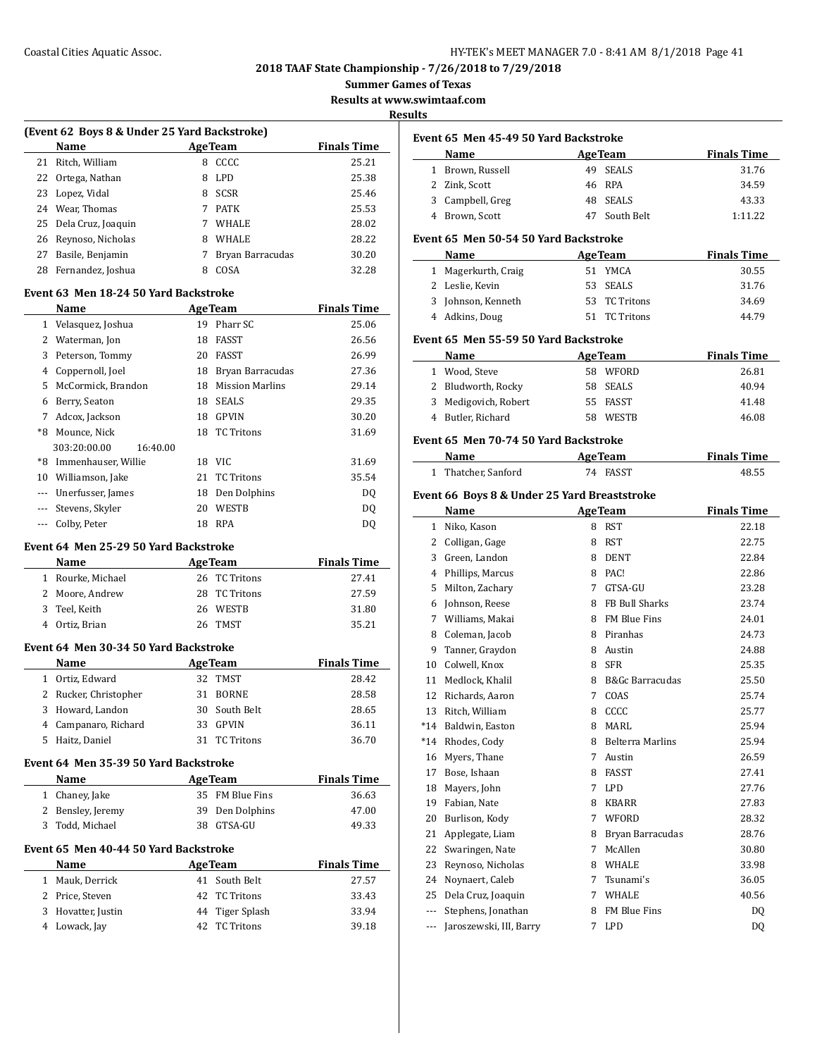**Summer Games of Texas**

**Results at www.swimtaaf.com**

#### **Results**

| (Event 62 Boys 8 & Under 25 Yard Backstroke) |                       |   |                  |                    |  |
|----------------------------------------------|-----------------------|---|------------------|--------------------|--|
|                                              | Name                  |   | <b>AgeTeam</b>   | <b>Finals Time</b> |  |
| 21                                           | Ritch, William        | 8 | CCCC.            | 25.21              |  |
|                                              | 22 Ortega, Nathan     | 8 | LPD              | 25.38              |  |
|                                              | 23 Lopez, Vidal       | 8 | <b>SCSR</b>      | 25.46              |  |
| 24                                           | Wear, Thomas          |   | <b>PATK</b>      | 25.53              |  |
|                                              | 25 Dela Cruz, Joaquin |   | <b>WHALE</b>     | 28.02              |  |
| 26                                           | Reynoso, Nicholas     | 8 | <b>WHALE</b>     | 28.22              |  |
| 27                                           | Basile, Benjamin      |   | Bryan Barracudas | 30.20              |  |
| 28                                           | Fernandez, Joshua     | 8 | COSA             | 32.28              |  |
|                                              |                       |   |                  |                    |  |

#### **Event 63 Men 18-24 50 Yard Backstroke**

|       | Name                     |    | <b>AgeTeam</b>         | <b>Finals Time</b> |
|-------|--------------------------|----|------------------------|--------------------|
| 1     | Velasquez, Joshua        | 19 | Pharr SC               | 25.06              |
| 2     | Waterman, Jon            | 18 | <b>FASST</b>           | 26.56              |
| 3     | Peterson, Tommy          | 20 | FASST                  | 26.99              |
| 4     | Coppernoll, Joel         | 18 | Bryan Barracudas       | 27.36              |
| 5     | McCormick, Brandon       | 18 | <b>Mission Marlins</b> | 29.14              |
| 6     | Berry, Seaton            | 18 | <b>SEALS</b>           | 29.35              |
| 7     | Adcox, Jackson           | 18 | <b>GPVIN</b>           | 30.20              |
| *8    | Mounce, Nick             | 18 | <b>TC Tritons</b>      | 31.69              |
|       | 303:20:00.00<br>16:40.00 |    |                        |                    |
| *8    | Immenhauser, Willie      | 18 | VIC.                   | 31.69              |
| 10    | Williamson, Jake         | 21 | <b>TC Tritons</b>      | 35.54              |
|       | Unerfusser, James        | 18 | Den Dolphins           | DQ                 |
| $---$ | Stevens, Skyler          | 20 | WESTB                  | DQ                 |
|       | Colby, Peter             | 18 | <b>RPA</b>             | DO.                |

#### **Event 64 Men 25-29 50 Yard Backstroke**

| <b>Name</b>       | <b>AgeTeam</b> | <b>Finals Time</b> |
|-------------------|----------------|--------------------|
| 1 Rourke, Michael | 26 TC Tritons  | 27.41              |
| 2 Moore, Andrew   | 28 TC Tritons  | 27.59              |
| 3 Teel, Keith     | 26 WESTB       | 31.80              |
| 4 Ortiz, Brian    | 26 TMST        | 35.21              |

#### **Event 64 Men 30-34 50 Yard Backstroke**

| <b>Name</b>           |     | <b>AgeTeam</b> | <b>Finals Time</b> |
|-----------------------|-----|----------------|--------------------|
| 1 Ortiz, Edward       |     | 32 TMST        | 28.42              |
| 2 Rucker, Christopher |     | 31 BORNE       | 28.58              |
| 3 Howard, Landon      |     | 30 South Belt  | 28.65              |
| 4 Campanaro, Richard  |     | 33 GPVIN       | 36.11              |
| 5 Haitz, Daniel       | 31. | TC Tritons     | 36.70              |

#### **Event 64 Men 35-39 50 Yard Backstroke**

| <b>Name</b>       | <b>Age Team</b> | <b>Finals Time</b> |
|-------------------|-----------------|--------------------|
| 1 Chaney, Jake    | 35 FM Blue Fins | 36.63              |
| 2 Bensley, Jeremy | 39 Den Dolphins | 47.00              |
| 3 Todd, Michael   | 38 GTSA-GU      | 49.33              |

#### **Event 65 Men 40-44 50 Yard Backstroke**

|   | <b>Name</b>        | <b>AgeTeam</b>  | <b>Finals Time</b> |
|---|--------------------|-----------------|--------------------|
| 1 | Mauk, Derrick      | 41 South Belt   | 27.57              |
|   | 2 Price, Steven    | 42 TC Tritons   | 33.43              |
|   | 3 Hovatter, Justin | 44 Tiger Splash | 33.94              |
|   | 4 Lowack, Jay      | 42 TC Tritons   | 39.18              |

| Event 65 Men 45-49 50 Yard Backstroke |                                              |                |                            |                    |  |
|---------------------------------------|----------------------------------------------|----------------|----------------------------|--------------------|--|
|                                       | Name                                         |                | <b>AgeTeam</b>             | <b>Finals Time</b> |  |
|                                       | 1 Brown, Russell                             |                | 49 SEALS                   | 31.76              |  |
|                                       | 2 Zink, Scott                                |                | 46 RPA                     | 34.59              |  |
|                                       | 3 Campbell, Greg                             |                | 48 SEALS                   | 43.33              |  |
|                                       | 4 Brown, Scott                               |                | 47 South Belt              | 1:11.22            |  |
|                                       |                                              |                |                            |                    |  |
|                                       | Event 65 Men 50-54 50 Yard Backstroke        |                |                            |                    |  |
|                                       | Name                                         | <b>AgeTeam</b> |                            | <b>Finals Time</b> |  |
|                                       | 1 Magerkurth, Craig                          |                | 51 YMCA                    | 30.55              |  |
|                                       | 2 Leslie, Kevin                              |                | 53 SEALS                   | 31.76              |  |
|                                       | 3 Johnson, Kenneth                           |                | 53 TC Tritons              | 34.69              |  |
|                                       | 4 Adkins, Doug                               |                | 51 TC Tritons              | 44.79              |  |
|                                       | Event 65 Men 55-59 50 Yard Backstroke        |                |                            |                    |  |
|                                       | Name                                         |                |                            | <b>Finals Time</b> |  |
|                                       |                                              |                | <b>AgeTeam</b><br>58 WFORD | 26.81              |  |
|                                       | 1 Wood, Steve                                |                |                            |                    |  |
|                                       | 2 Bludworth, Rocky                           |                | 58 SEALS                   | 40.94              |  |
|                                       | 3 Medigovich, Robert                         |                | 55 FASST                   | 41.48              |  |
|                                       | 4 Butler, Richard                            |                | 58 WESTB                   | 46.08              |  |
|                                       | Event 65 Men 70-74 50 Yard Backstroke        |                |                            |                    |  |
|                                       | Name                                         | <b>AgeTeam</b> |                            | <b>Finals Time</b> |  |
|                                       | 1 Thatcher, Sanford                          |                | 74 FASST                   | 48.55              |  |
|                                       | Event 66 Boys 8 & Under 25 Yard Breaststroke |                |                            |                    |  |
|                                       |                                              |                |                            | <b>Finals Time</b> |  |
|                                       | Name                                         |                | AgeTeam<br>8 RST           | 22.18              |  |
|                                       | 1 Niko, Kason                                |                |                            |                    |  |
|                                       | 2 Colligan, Gage                             |                | 8 RST                      | 22.75              |  |
|                                       | 3 Green, Landon                              |                | 8 DENT                     | 22.84              |  |
|                                       | 4 Phillips, Marcus                           |                | 8 PAC!                     | 22.86              |  |
|                                       | 5 Milton, Zachary                            |                | 7 GTSA-GU                  | 23.28              |  |
|                                       | 6 Johnson, Reese                             |                | 8 FB Bull Sharks           | 23.74              |  |
|                                       | 7 Williams, Makai                            |                | 8 FM Blue Fins             | 24.01              |  |
|                                       | 8 Coleman, Jacob                             |                | 8 Piranhas                 | 24.73              |  |
|                                       | 9 Tanner, Graydon                            |                | 8 Austin                   | 24.88              |  |
|                                       | 10 Colwell, Knox                             |                | 8 SFR                      | 25.35              |  |
|                                       | 11 Medlock, Khalil                           |                | 8 B&Gc Barracudas          | 25.50              |  |
|                                       | 12 Richards, Aaron                           |                | 7 COAS                     | 25.74              |  |
| 13                                    | Ritch, William                               |                | 8 CCCC                     | 25.77              |  |
| *14                                   | Baldwin, Easton                              | 8              | MARL                       | 25.94              |  |
| *14                                   | Rhodes, Cody                                 | 8              | <b>Belterra Marlins</b>    | 25.94              |  |
| 16                                    | Myers, Thane                                 | 7              | Austin                     | 26.59              |  |
| 17                                    | Bose, Ishaan                                 | 8              | <b>FASST</b>               | 27.41              |  |
| 18                                    | Mayers, John                                 | 7              | LPD                        | 27.76              |  |
| 19                                    | Fabian, Nate                                 | 8              | KBARR                      | 27.83              |  |
| 20                                    | Burlison, Kody                               | 7              | WFORD                      | 28.32              |  |
| 21                                    | Applegate, Liam                              | 8              | Bryan Barracudas           | 28.76              |  |
| 22                                    | Swaringen, Nate                              | 7              | McAllen                    | 30.80              |  |
| 23                                    | Reynoso, Nicholas                            | 8              | WHALE                      | 33.98              |  |
| 24                                    | Noynaert, Caleb                              | 7              | Tsunami's                  | 36.05              |  |
| 25                                    | Dela Cruz, Joaquin                           | 7              | WHALE                      | 40.56              |  |
| ---                                   | Stephens, Jonathan                           | 8              | FM Blue Fins               | DQ                 |  |
| ---                                   | Jaroszewski, III, Barry                      | 7              | LPD                        | DQ                 |  |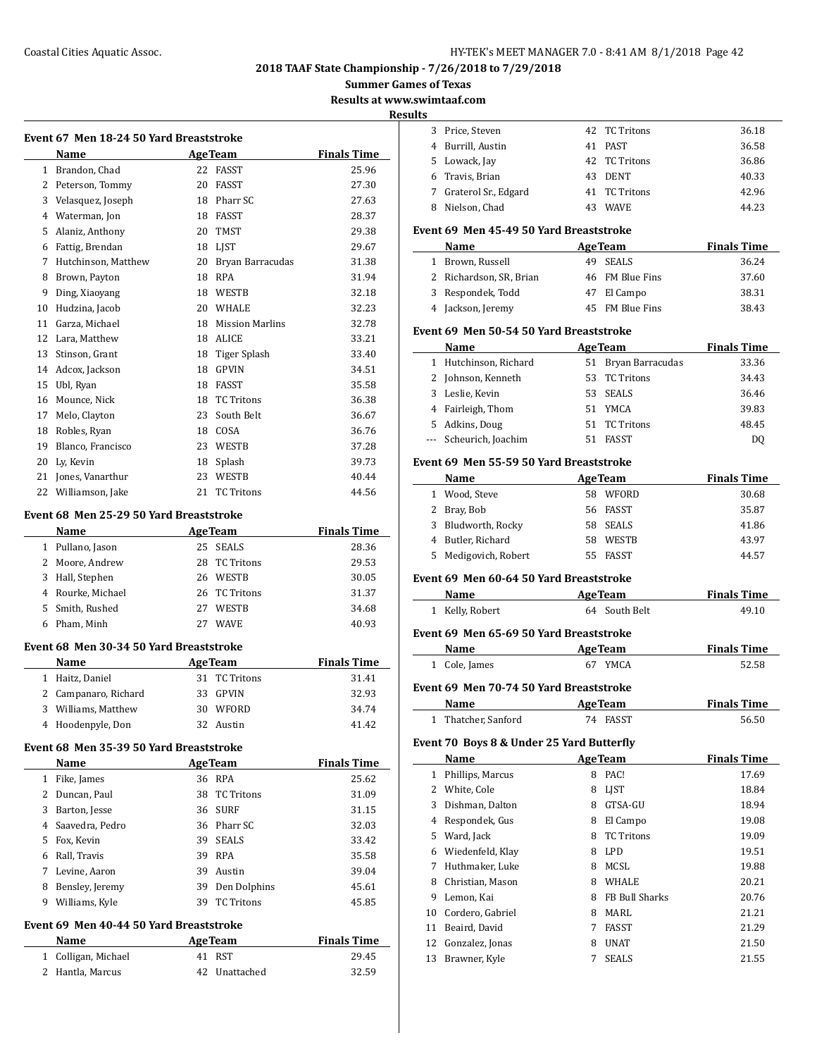#### Coastal Cities Aquatic Assoc. HY-TEK's MEET MANAGER 7.0 - 8:41 AM 8/1/2018 Page 42

**2018 TAAF State Championship - 7/26/2018 to 7/29/2018**

**Summer Games of Texas**

**Results at www.swimtaaf.com**

#### **Results**

|              | Event 67 Men 18-24 50 Yard Breaststroke |    |                        |                    |  |  |  |
|--------------|-----------------------------------------|----|------------------------|--------------------|--|--|--|
|              | Name                                    |    | <b>AgeTeam</b>         | <b>Finals Time</b> |  |  |  |
| $\mathbf{1}$ | Brandon, Chad                           | 22 | FASST                  | 25.96              |  |  |  |
| 2            | Peterson, Tommy                         | 20 | <b>FASST</b>           | 27.30              |  |  |  |
| 3            | Velasquez, Joseph                       | 18 | Pharr SC               | 27.63              |  |  |  |
| 4            | Waterman, Jon                           | 18 | <b>FASST</b>           | 28.37              |  |  |  |
| 5            | Alaniz, Anthony                         | 20 | <b>TMST</b>            | 29.38              |  |  |  |
| 6            | Fattig, Brendan                         | 18 | <b>LIST</b>            | 29.67              |  |  |  |
| 7            | Hutchinson, Matthew                     | 20 | Bryan Barracudas       | 31.38              |  |  |  |
| 8            | Brown, Payton                           | 18 | <b>RPA</b>             | 31.94              |  |  |  |
| 9            | Ding, Xiaoyang                          | 18 | WESTB                  | 32.18              |  |  |  |
| 10           | Hudzina, Jacob                          | 20 | <b>WHALE</b>           | 32.23              |  |  |  |
| 11           | Garza, Michael                          | 18 | <b>Mission Marlins</b> | 32.78              |  |  |  |
| 12           | Lara, Matthew                           | 18 | <b>ALICE</b>           | 33.21              |  |  |  |
| 13           | Stinson, Grant                          | 18 | Tiger Splash           | 33.40              |  |  |  |
| 14           | Adcox, Jackson                          | 18 | <b>GPVIN</b>           | 34.51              |  |  |  |
| 15           | Ubl, Ryan                               | 18 | <b>FASST</b>           | 35.58              |  |  |  |
| 16           | Mounce, Nick                            | 18 | <b>TC Tritons</b>      | 36.38              |  |  |  |
| 17           | Melo, Clayton                           | 23 | South Belt             | 36.67              |  |  |  |
| 18           | Robles, Ryan                            | 18 | COSA                   | 36.76              |  |  |  |
| 19           | Blanco, Francisco                       | 23 | WESTB                  | 37.28              |  |  |  |
| 20           | Ly, Kevin                               | 18 | Splash                 | 39.73              |  |  |  |
| 21           | Jones, Vanarthur                        | 23 | WESTB                  | 40.44              |  |  |  |
| 22           | Williamson, Jake                        | 21 | <b>TC Tritons</b>      | 44.56              |  |  |  |
|              |                                         |    |                        |                    |  |  |  |

#### **Event 68 Men 25-29 50 Yard Breaststroke**

|   | Name              |    | <b>AgeTeam</b> | <b>Finals Time</b> |
|---|-------------------|----|----------------|--------------------|
|   | 1 Pullano, Jason  |    | 25 SEALS       | 28.36              |
|   | 2 Moore, Andrew   |    | 28 TC Tritons  | 29.53              |
|   | 3 Hall, Stephen   |    | 26 WESTB       | 30.05              |
|   | 4 Rourke, Michael |    | 26 TC Tritons  | 31.37              |
|   | 5 Smith, Rushed   | 27 | <b>WESTB</b>   | 34.68              |
| h | Pham, Minh        | 27 | <b>WAVE</b>    | 40.93              |
|   |                   |    |                |                    |

## **Event 68 Men 30-34 50 Yard Breaststroke**

| <b>Name</b>          | <b>AgeTeam</b> | <b>Finals Time</b> |
|----------------------|----------------|--------------------|
| 1 Haitz, Daniel      | 31 TC Tritons  | 31.41              |
| 2 Campanaro, Richard | 33 GPVIN       | 32.93              |
| 3 Williams, Matthew  | 30 WFORD       | 34.74              |
| 4 Hoodenpyle, Don    | 32 Austin      | 41.42              |

#### **Event 68 Men 35-39 50 Yard Breaststroke**

 $\overline{a}$ 

|    | Name            | <b>AgeTeam</b> | <b>Finals Time</b> |       |
|----|-----------------|----------------|--------------------|-------|
|    | Fike, James     |                | 36 RPA             | 25.62 |
|    | Duncan, Paul    | 38             | <b>TC Tritons</b>  | 31.09 |
| 3  | Barton, Jesse   |                | 36 SURF            | 31.15 |
|    | Saavedra, Pedro |                | 36 Pharr SC        | 32.03 |
| 5. | Fox, Kevin      | 39             | <b>SEALS</b>       | 33.42 |
| 6  | Rall, Travis    | 39             | <b>RPA</b>         | 35.58 |
|    | Levine, Aaron   | 39             | Austin             | 39.04 |
| 8  | Bensley, Jeremy | 39             | Den Dolphins       | 45.61 |
| 9  | Williams, Kyle  | 39             | <b>TC Tritons</b>  | 45.85 |

# **Event 69 Men 40-44 50 Yard Breaststroke**

| Name                | <b>Age Team</b> | <b>Finals Time</b> |
|---------------------|-----------------|--------------------|
| 1 Colligan, Michael | 41 RST          | 29.45              |
| 2 Hantla, Marcus    | 42 Unattached   | 32.59              |

| <u>iits</u>  |                                           |    |                     |                    |
|--------------|-------------------------------------------|----|---------------------|--------------------|
|              | 3 Price, Steven                           |    | 42 TC Tritons       | 36.18              |
|              | 4 Burrill, Austin                         |    | 41 PAST             | 36.58              |
|              | 5 Lowack, Jay                             |    | 42 TC Tritons       | 36.86              |
|              | 6 Travis, Brian                           |    | 43 DENT             | 40.33              |
|              | 7 Graterol Sr., Edgard                    |    | 41 TC Tritons       | 42.96              |
|              | 8 Nielson, Chad                           |    | 43 WAVE             | 44.23              |
|              |                                           |    |                     |                    |
|              | Event 69 Men 45-49 50 Yard Breaststroke   |    |                     |                    |
|              | Name                                      |    | <b>AgeTeam</b>      | <b>Finals Time</b> |
|              | 1 Brown, Russell                          | 49 | <b>SEALS</b>        | 36.24              |
|              | 2 Richardson, SR, Brian                   |    | 46 FM Blue Fins     | 37.60              |
|              | 3 Respondek, Todd                         |    | 47 El Campo         | 38.31              |
|              | 4 Jackson, Jeremy                         |    | 45 FM Blue Fins     | 38.43              |
|              | Event 69 Men 50-54 50 Yard Breaststroke   |    |                     |                    |
|              | Name                                      |    | <b>AgeTeam</b>      | <b>Finals Time</b> |
|              | 1 Hutchinson, Richard                     |    | 51 Bryan Barracudas | 33.36              |
|              | 2 Johnson, Kenneth                        |    | 53 TC Tritons       | 34.43              |
|              | 3 Leslie, Kevin                           |    | 53 SEALS            | 36.46              |
|              | 4 Fairleigh, Thom                         |    | 51 YMCA             | 39.83              |
|              | 5 Adkins, Doug                            |    | 51 TC Tritons       | 48.45              |
|              | --- Scheurich, Joachim                    |    | 51 FASST            | DQ                 |
|              |                                           |    |                     |                    |
|              | Event 69 Men 55-59 50 Yard Breaststroke   |    |                     |                    |
|              | Name                                      |    | <b>AgeTeam</b>      | <b>Finals Time</b> |
|              | 1 Wood, Steve                             |    | 58 WFORD            | 30.68              |
|              | 2 Bray, Bob                               |    | 56 FASST            | 35.87              |
|              | 3 Bludworth, Rocky                        |    | 58 SEALS            | 41.86              |
|              | 4 Butler, Richard                         |    | 58 WESTB            | 43.97              |
|              | 5 Medigovich, Robert                      |    | 55 FASST            | 44.57              |
|              | Event 69 Men 60-64 50 Yard Breaststroke   |    |                     |                    |
|              | Name                                      |    | <b>AgeTeam</b>      | <b>Finals Time</b> |
|              | 1 Kelly, Robert                           |    | 64 South Belt       | 49.10              |
|              | Event 69 Men 65-69 50 Yard Breaststroke   |    |                     |                    |
|              | Name                                      |    | <b>AgeTeam</b>      | <b>Finals Time</b> |
|              | 1 Cole, James                             |    | 67 YMCA             | 52.58              |
|              |                                           |    |                     |                    |
|              | Event 69 Men 70-74 50 Yard Breaststroke   |    |                     |                    |
|              | Name                                      |    | <b>AgeTeam</b>      | <b>Finals Time</b> |
| 1            | Thatcher, Sanford                         | 74 | FASST               | 56.50              |
|              | Event 70 Boys 8 & Under 25 Yard Butterfly |    |                     |                    |
|              | Name                                      |    | <b>AgeTeam</b>      | <b>Finals Time</b> |
| $\mathbf{1}$ | Phillips, Marcus                          |    | 8 PAC!              | 17.69              |
|              | 2 White, Cole                             | 8  | LJST                | 18.84              |
|              | 3 Dishman, Dalton                         | 8  | GTSA-GU             | 18.94              |
|              | 4 Respondek, Gus                          |    | 8 El Campo          | 19.08              |
|              | 5 Ward, Jack                              |    | 8 TC Tritons        | 19.09              |
|              | 6 Wiedenfeld, Klay                        |    | 8 LPD               | 19.51              |
| 7            | Huthmaker, Luke                           |    | 8 MCSL              | 19.88              |
|              | 8 Christian, Mason                        |    | 8 WHALE             | 20.21              |
|              | 9 Lemon, Kai                              |    | 8 FB Bull Sharks    | 20.76              |
| 10           | Cordero, Gabriel                          |    | 8 MARL              | 21.21              |
| 11           | Beaird, David                             | 7  | FASST               | 21.29              |
| 12           | Gonzalez, Jonas                           | 8  | UNAT                | 21.50              |
| 13           | Brawner, Kyle                             | 7  | <b>SEALS</b>        | 21.55              |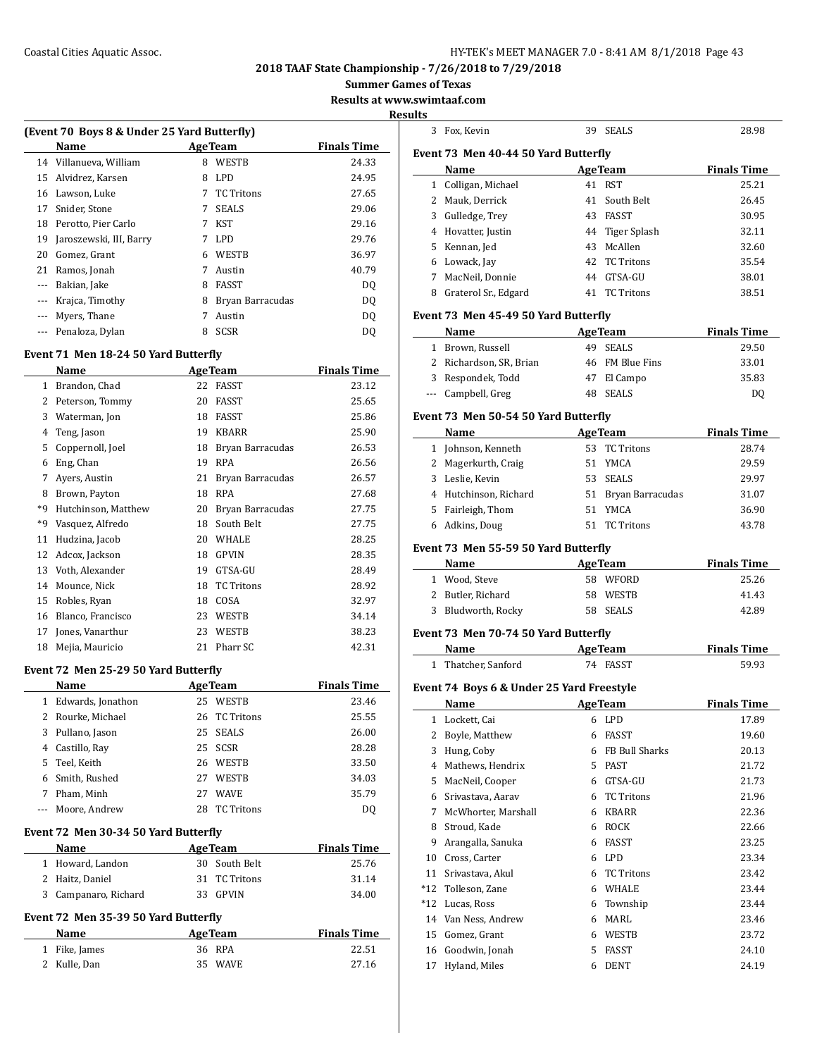#### Coastal Cities Aquatic Assoc. HY-TEK's MEET MANAGER 7.0 - 8:41 AM 8/1/2018 Page 43

## **2018 TAAF State Championship - 7/26/2018 to 7/29/2018**

**Summer Games of Texas**

**Results at www.swimtaaf.com**

#### **Results**

| (Event 70 Boys 8 & Under 25 Yard Butterfly) |                         |                    |                   |       |  |  |  |
|---------------------------------------------|-------------------------|--------------------|-------------------|-------|--|--|--|
|                                             | Name                    | <b>Finals Time</b> |                   |       |  |  |  |
|                                             | 14 Villanueva, William  | 8                  | <b>WESTB</b>      | 24.33 |  |  |  |
| 15                                          | Alvidrez, Karsen        | 8                  | LPD.              | 24.95 |  |  |  |
| 16                                          | Lawson, Luke            |                    | <b>TC</b> Tritons | 27.65 |  |  |  |
| 17                                          | Snider, Stone           | 7                  | <b>SEALS</b>      | 29.06 |  |  |  |
| 18                                          | Perotto. Pier Carlo     | 7                  | KST               | 29.16 |  |  |  |
| 19                                          | Jaroszewski, III, Barry |                    | LPD.              | 29.76 |  |  |  |
| 20                                          | Gomez, Grant            | 6                  | <b>WESTB</b>      | 36.97 |  |  |  |
| 21                                          | Ramos, Jonah            |                    | Austin            | 40.79 |  |  |  |
| $---$                                       | Bakian, Jake            | 8                  | <b>FASST</b>      | DO.   |  |  |  |
| $---$                                       | Krajca, Timothy         | 8                  | Bryan Barracudas  | DO.   |  |  |  |
| $- - -$                                     | Myers, Thane            |                    | Austin            | DO.   |  |  |  |
|                                             | Penaloza, Dylan         | 8                  | SCSR              | DO    |  |  |  |
|                                             |                         |                    |                   |       |  |  |  |

## **Event 71 Men 18-24 50 Yard Butterfly**

|    | Name                | <b>AgeTeam</b> |                   | <b>Finals Time</b> |
|----|---------------------|----------------|-------------------|--------------------|
| 1  | Brandon, Chad       | 22             | <b>FASST</b>      | 23.12              |
| 2  | Peterson, Tommy     | 20             | <b>FASST</b>      | 25.65              |
| 3  | Waterman, Jon       | 18             | <b>FASST</b>      | 25.86              |
| 4  | Teng, Jason         | 19             | <b>KBARR</b>      | 25.90              |
| 5  | Coppernoll, Joel    | 18             | Bryan Barracudas  | 26.53              |
| 6  | Eng, Chan           | 19             | <b>RPA</b>        | 26.56              |
| 7  | Ayers, Austin       | 21             | Bryan Barracudas  | 26.57              |
| 8  | Brown, Payton       | 18             | <b>RPA</b>        | 27.68              |
| *9 | Hutchinson, Matthew | 20             | Bryan Barracudas  | 27.75              |
| *9 | Vasquez, Alfredo    | 18             | South Belt        | 27.75              |
| 11 | Hudzina, Jacob      | 20             | <b>WHALE</b>      | 28.25              |
| 12 | Adcox, Jackson      | 18             | <b>GPVIN</b>      | 28.35              |
| 13 | Voth, Alexander     | 19             | GTSA-GU           | 28.49              |
| 14 | Mounce, Nick        | 18             | <b>TC Tritons</b> | 28.92              |
| 15 | Robles, Ryan        | 18             | COSA              | 32.97              |
| 16 | Blanco, Francisco   | 23             | WESTB             | 34.14              |
| 17 | Jones, Vanarthur    | 23             | WESTB             | 38.23              |
| 18 | Mejia, Mauricio     | 21             | Pharr SC          | 42.31              |

#### **Event 72 Men 25-29 50 Yard Butterfly**

|   | Name              |    | <b>AgeTeam</b>    | <b>Finals Time</b> |
|---|-------------------|----|-------------------|--------------------|
| 1 | Edwards, Jonathon | 25 | <b>WESTB</b>      | 23.46              |
| 2 | Rourke, Michael   | 26 | TC Tritons        | 25.55              |
| 3 | Pullano, Jason    | 25 | SEALS             | 26.00              |
| 4 | Castillo, Ray     |    | 25 SCSR           | 28.28              |
| 5 | Teel, Keith       | 26 | <b>WESTB</b>      | 33.50              |
| 6 | Smith, Rushed     | 27 | <b>WESTB</b>      | 34.03              |
| 7 | Pham, Minh        | 27 | <b>WAVE</b>       | 35.79              |
|   | Moore, Andrew     | 28 | <b>TC</b> Tritons | DO                 |

#### **Event 72 Men 30-34 50 Yard Butterfly**

| Name                 | <b>Age Team</b> | <b>Finals Time</b> |
|----------------------|-----------------|--------------------|
| 1 Howard, Landon     | 30 South Belt   | 25.76              |
| 2 Haitz, Daniel      | 31 TC Tritons   | 31.14              |
| 3 Campanaro, Richard | 33 GPVIN        | 34.00              |

# **Event 72 Men 35-39 50 Yard Butterfly**

| Name          | <b>Age Team</b> | <b>Finals Time</b> |
|---------------|-----------------|--------------------|
| 1 Fike, James | 36 RPA          | 22.51              |
| 2 Kulle, Dan  | 35 WAVE         | 27.16              |

| 3        | Fox, Kevin                                 |        | 39 SEALS             | 28.98              |
|----------|--------------------------------------------|--------|----------------------|--------------------|
|          | Event 73 Men 40-44 50 Yard Butterfly       |        |                      |                    |
|          | Name                                       |        | <b>AgeTeam</b>       | <b>Finals Time</b> |
|          | 1 Colligan, Michael                        |        | 41 RST               | 25.21              |
|          | 2 Mauk, Derrick                            | 41     | South Belt           | 26.45              |
|          | 3 Gulledge, Trey                           |        | 43 FASST             | 30.95              |
|          | 4 Hovatter, Justin                         |        | 44 Tiger Splash      | 32.11              |
|          | 5 Kennan, Jed                              |        | 43 McAllen           | 32.60              |
|          | 6 Lowack, Jay                              | 42     | <b>TC Tritons</b>    | 35.54              |
|          | 7 MacNeil, Donnie                          |        | 44 GTSA-GU           | 38.01              |
|          | 8 Graterol Sr., Edgard                     |        | 41 TC Tritons        | 38.51              |
|          |                                            |        |                      |                    |
|          | Event 73 Men 45-49 50 Yard Butterfly       |        |                      |                    |
|          | Name                                       |        | <b>AgeTeam</b>       | <b>Finals Time</b> |
|          | 1 Brown, Russell                           |        | 49 SEALS             | 29.50              |
|          | 2 Richardson, SR, Brian                    |        | 46 FM Blue Fins      | 33.01              |
|          | 3 Respondek, Todd                          |        | 47 El Campo          | 35.83              |
|          | --- Campbell, Greg                         |        | 48 SEALS             | DQ                 |
|          | Event 73 Men 50-54 50 Yard Butterfly       |        |                      |                    |
|          | Name                                       |        | <b>AgeTeam</b>       | <b>Finals Time</b> |
|          | 1 Johnson, Kenneth                         |        | 53 TC Tritons        | 28.74              |
|          | 2 Magerkurth, Craig                        |        | 51 YMCA              | 29.59              |
|          | 3 Leslie, Kevin                            |        | 53 SEALS             | 29.97              |
|          | 4 Hutchinson, Richard                      |        | 51 Bryan Barracudas  | 31.07              |
|          | 5 Fairleigh, Thom                          |        | 51 YMCA              | 36.90              |
| 6        | Adkins, Doug                               |        | 51 TC Tritons        | 43.78              |
|          |                                            |        |                      |                    |
|          | Event 73 Men 55-59 50 Yard Butterfly       |        |                      |                    |
|          |                                            |        |                      |                    |
|          | Name                                       |        | <b>AgeTeam</b>       | <b>Finals Time</b> |
|          | 1 Wood, Steve                              |        | 58 WFORD             | 25.26              |
|          | 2 Butler, Richard                          |        | 58 WESTB             | 41.43              |
|          | 3 Bludworth, Rocky                         |        | 58 SEALS             | 42.89              |
|          | Event 73 Men 70-74 50 Yard Butterfly       |        |                      |                    |
|          | <b>Name</b>                                |        | <b>AgeTeam</b>       | <b>Finals Time</b> |
|          | 1 Thatcher, Sanford                        |        | 74 FASST             | 59.93              |
|          |                                            |        |                      |                    |
|          | Event 74 Boys 6 & Under 25 Yard Freestyle  |        |                      |                    |
|          | Name                                       |        | <b>AgeTeam</b>       | <b>Finals Time</b> |
|          | 1 Lockett, Cai<br>and the state of the LPD |        |                      | 17.89              |
| 2        | Boyle, Matthew                             | 6      | FASST                | 19.60              |
| 3        | Hung, Coby                                 | 6      | FB Bull Sharks       | 20.13              |
| 4        | Mathews, Hendrix                           |        | 5 PAST               | 21.72              |
| 5        | MacNeil, Cooper                            |        | 6 GTSA-GU            | 21.73              |
| 6        | Srivastava, Aarav                          | 6      | <b>TC Tritons</b>    | 21.96              |
| 7        | McWhorter, Marshall                        |        | 6 KBARR              | 22.36              |
| 8        | Stroud, Kade                               |        | 6 ROCK               | 22.66              |
| 9        | Arangalla, Sanuka                          |        | 6 FASST              | 23.25              |
| 10       | Cross, Carter                              |        | 6 LPD                | 23.34              |
| 11       | Srivastava, Akul                           |        | 6 TC Tritons         | 23.42              |
| *12      | Tolleson, Zane                             |        | 6 WHALE              | 23.44              |
| *12      | Lucas, Ross                                | 6      | Township             | 23.44              |
|          | 14 Van Ness, Andrew                        | 6      | MARL                 | 23.46              |
| 15       | Gomez, Grant                               | 6      | WESTB                | 23.72              |
| 16<br>17 | Goodwin, Jonah<br>Hyland, Miles            | 5<br>6 | FASST<br><b>DENT</b> | 24.10<br>24.19     |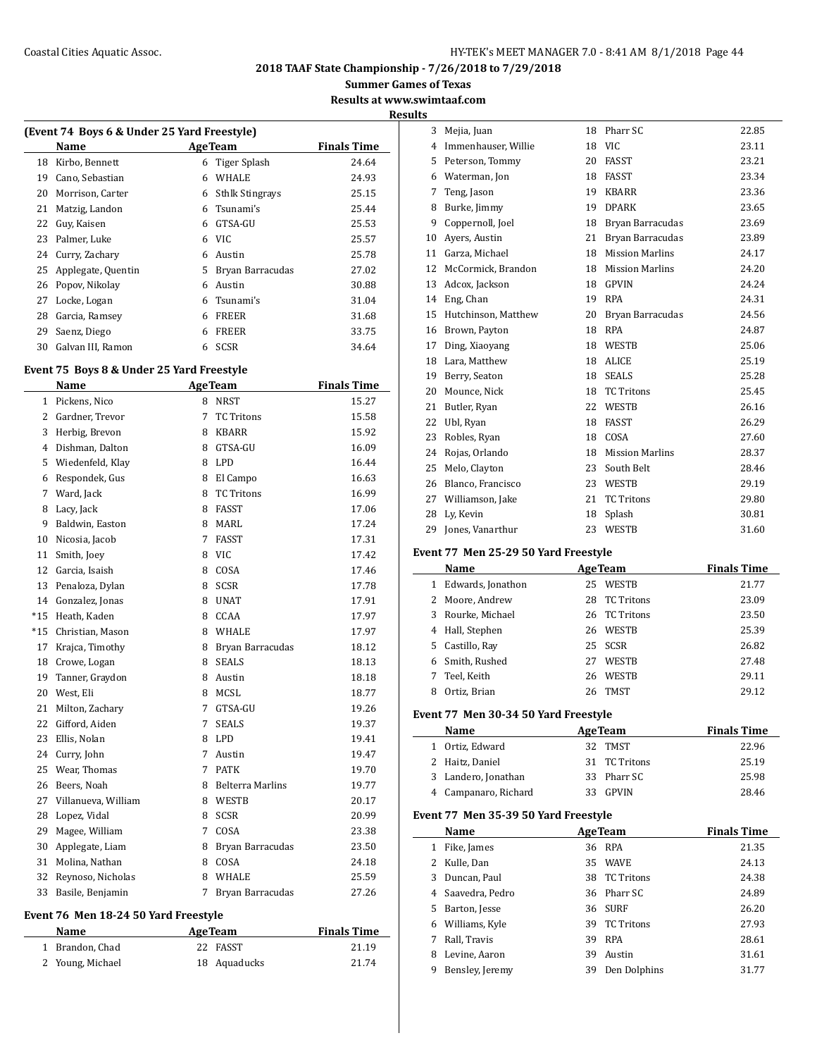## Coastal Cities Aquatic Assoc. The Coastal Cities Aquatic Assoc. The Magnonic Management of the HY-TEK's MEET MANAGER 7.0 - 8:41 AM 8/1/2018 Page 44

**2018 TAAF State Championship - 7/26/2018 to 7/29/2018**

**Summer Games of Texas**

**Results at www.swimtaaf.com**

| (Event 74 Boys 6 & Under 25 Yard Freestyle) |                    |                    |                        |       |  |  |  |
|---------------------------------------------|--------------------|--------------------|------------------------|-------|--|--|--|
|                                             | Name               | <b>Finals Time</b> |                        |       |  |  |  |
| 18                                          | Kirbo, Bennett     | 6                  | Tiger Splash           | 24.64 |  |  |  |
| 19                                          | Cano, Sebastian    | 6                  | <b>WHALE</b>           | 24.93 |  |  |  |
| 20                                          | Morrison, Carter   | 6                  | <b>Sthlk Stingrays</b> | 25.15 |  |  |  |
| 21                                          | Matzig, Landon     | 6                  | Tsunami's              | 25.44 |  |  |  |
| 22                                          | Guy, Kaisen        | 6                  | GTSA-GU                | 25.53 |  |  |  |
| 23                                          | Palmer, Luke       | 6                  | VIC.                   | 25.57 |  |  |  |
| 24                                          | Curry, Zachary     | 6                  | Austin                 | 25.78 |  |  |  |
| 25                                          | Applegate, Quentin | 5                  | Bryan Barracudas       | 27.02 |  |  |  |
| 26                                          | Popov, Nikolay     | 6                  | Austin                 | 30.88 |  |  |  |
| 27                                          | Locke, Logan       | 6                  | Tsunami's              | 31.04 |  |  |  |
| 28                                          | Garcia, Ramsey     | 6                  | <b>FREER</b>           | 31.68 |  |  |  |
| 29                                          | Saenz, Diego       | 6                  | <b>FREER</b>           | 33.75 |  |  |  |
| 30                                          | Galvan III, Ramon  | 6                  | SCSR                   | 34.64 |  |  |  |

#### **Event 75 Boys 8 & Under 25 Yard Freestyle**

|       | <b>Name</b>         | <b>AgeTeam</b> |                         | <b>Finals Time</b> |
|-------|---------------------|----------------|-------------------------|--------------------|
| 1     | Pickens, Nico       | 8              | <b>NRST</b>             | 15.27              |
| 2     | Gardner, Trevor     | 7              | <b>TC Tritons</b>       | 15.58              |
| 3     | Herbig, Brevon      | 8              | <b>KBARR</b>            | 15.92              |
| 4     | Dishman, Dalton     | 8              | GTSA-GU                 | 16.09              |
| 5     | Wiedenfeld, Klay    | 8              | <b>LPD</b>              | 16.44              |
| 6     | Respondek, Gus      | 8              | El Campo                | 16.63              |
| 7     | Ward, Jack          | 8              | <b>TC Tritons</b>       | 16.99              |
| 8     | Lacy, Jack          | 8              | <b>FASST</b>            | 17.06              |
| 9     | Baldwin, Easton     | 8              | <b>MARL</b>             | 17.24              |
| 10    | Nicosia, Jacob      | 7              | <b>FASST</b>            | 17.31              |
| 11    | Smith, Joey         | 8              | <b>VIC</b>              | 17.42              |
| 12    | Garcia, Isaish      | 8              | COSA                    | 17.46              |
| 13    | Penaloza, Dylan     | 8              | <b>SCSR</b>             | 17.78              |
| 14    | Gonzalez, Jonas     | 8              | <b>UNAT</b>             | 17.91              |
| $*15$ | Heath, Kaden        | 8              | CCAA                    | 17.97              |
| $*15$ | Christian, Mason    | 8              | <b>WHALE</b>            | 17.97              |
| 17    | Krajca, Timothy     | 8              | Bryan Barracudas        | 18.12              |
| 18    | Crowe, Logan        | 8              | <b>SEALS</b>            | 18.13              |
| 19    | Tanner, Graydon     | 8              | Austin                  | 18.18              |
| 20    | West, Eli           | 8              | <b>MCSL</b>             | 18.77              |
| 21    | Milton, Zachary     | 7              | GTSA-GU                 | 19.26              |
| 22    | Gifford, Aiden      | 7              | <b>SEALS</b>            | 19.37              |
| 23    | Ellis, Nolan        | 8              | <b>LPD</b>              | 19.41              |
| 24    | Curry, John         | 7              | Austin                  | 19.47              |
| 25    | Wear, Thomas        | 7              | <b>PATK</b>             | 19.70              |
| 26    | Beers, Noah         | 8              | <b>Belterra Marlins</b> | 19.77              |
| 27    | Villanueva, William | 8              | WESTB                   | 20.17              |
| 28    | Lopez, Vidal        | 8              | <b>SCSR</b>             | 20.99              |
| 29    | Magee, William      | 7              | COSA                    | 23.38              |
| 30    | Applegate, Liam     | 8              | Bryan Barracudas        | 23.50              |
| 31    | Molina, Nathan      | 8              | COSA                    | 24.18              |
| 32    | Reynoso, Nicholas   | 8              | <b>WHALE</b>            | 25.59              |
| 33    | Basile, Benjamin    | 7              | Bryan Barracudas        | 27.26              |

#### **Event 76 Men 18-24 50 Yard Freestyle**

| Name             | <b>AgeTeam</b> | <b>Finals Time</b> |
|------------------|----------------|--------------------|
| 1 Brandon, Chad  | 22 FASST       | 21.19              |
| 2 Young, Michael | 18 Aquaducks   | 21.74              |

| <b>Results</b> |                     |    |                        |       |  |  |  |
|----------------|---------------------|----|------------------------|-------|--|--|--|
| 3              | Mejia, Juan         |    | 18 Pharr SC            | 22.85 |  |  |  |
| 4              | Immenhauser, Willie | 18 | VIC.                   | 23.11 |  |  |  |
| 5.             | Peterson, Tommy     | 20 | FASST                  | 23.21 |  |  |  |
| 6              | Waterman, Jon       | 18 | FASST                  | 23.34 |  |  |  |
| 7              | Teng, Jason         | 19 | <b>KBARR</b>           | 23.36 |  |  |  |
| 8              | Burke, Jimmy        | 19 | <b>DPARK</b>           | 23.65 |  |  |  |
| 9              | Coppernoll, Joel    | 18 | Bryan Barracudas       | 23.69 |  |  |  |
| 10             | Avers, Austin       | 21 | Bryan Barracudas       | 23.89 |  |  |  |
| 11             | Garza, Michael      | 18 | <b>Mission Marlins</b> | 24.17 |  |  |  |
| 12             | McCormick, Brandon  | 18 | <b>Mission Marlins</b> | 24.20 |  |  |  |
| 13             | Adcox, Jackson      | 18 | GPVIN                  | 24.24 |  |  |  |
| 14             | Eng, Chan           | 19 | <b>RPA</b>             | 24.31 |  |  |  |
| 15             | Hutchinson, Matthew | 20 | Bryan Barracudas       | 24.56 |  |  |  |
| 16             | Brown, Payton       | 18 | <b>RPA</b>             | 24.87 |  |  |  |
| 17             | Ding, Xiaoyang      | 18 | WESTB                  | 25.06 |  |  |  |
| 18             | Lara. Matthew       | 18 | <b>ALICE</b>           | 25.19 |  |  |  |
| 19             | Berry, Seaton       | 18 | <b>SEALS</b>           | 25.28 |  |  |  |
| 20             | Mounce, Nick        | 18 | <b>TC</b> Tritons      | 25.45 |  |  |  |
| 21             | Butler, Ryan        | 22 | WESTB                  | 26.16 |  |  |  |
| 22             | Ubl, Ryan           | 18 | <b>FASST</b>           | 26.29 |  |  |  |
| 23             | Robles, Ryan        | 18 | COSA                   | 27.60 |  |  |  |
| 24             | Rojas, Orlando      | 18 | <b>Mission Marlins</b> | 28.37 |  |  |  |
| 25             | Melo, Clayton       | 23 | South Belt             | 28.46 |  |  |  |
| 26             | Blanco, Francisco   | 23 | WESTB                  | 29.19 |  |  |  |
| 27             | Williamson, Jake    | 21 | <b>TC Tritons</b>      | 29.80 |  |  |  |
| 28             | Ly, Kevin           | 18 | Splash                 | 30.81 |  |  |  |
| 29             | Jones, Vanarthur    | 23 | WESTB                  | 31.60 |  |  |  |
|                |                     |    |                        |       |  |  |  |

#### **Event 77 Men 25-29 50 Yard Freestyle**

|              | Name              |    | <b>AgeTeam</b> | <b>Finals Time</b> |
|--------------|-------------------|----|----------------|--------------------|
| $\mathbf{1}$ | Edwards, Jonathon | 25 | <b>WESTB</b>   | 21.77              |
|              | 2 Moore, Andrew   | 28 | TC Tritons     | 23.09              |
| 3            | Rourke, Michael   | 26 | TC Tritons     | 23.50              |
|              | 4 Hall, Stephen   | 26 | WESTB          | 25.39              |
| 5.           | Castillo, Ray     |    | 25 SCSR        | 26.82              |
|              | Smith, Rushed     | 27 | <b>WESTB</b>   | 27.48              |
| 7            | Teel, Keith       | 26 | <b>WESTB</b>   | 29.11              |
|              | Ortiz, Brian      | 26 | <b>TMST</b>    | 29.12              |

#### **Event 77 Men 30-34 50 Yard Freestyle**

| Name                 | <b>AgeTeam</b> | <b>Finals Time</b> |
|----------------------|----------------|--------------------|
| 1 Ortiz, Edward      | 32 TMST        | 22.96              |
| 2 Haitz, Daniel      | 31 TC Tritons  | 25.19              |
| 3 Landero, Jonathan  | 33 Pharr SC    | 25.98              |
| 4 Campanaro, Richard | 33 GPVIN       | 28.46              |

## **Event 77 Men 35-39 50 Yard Freestyle**

|    | Name            |    | <b>AgeTeam</b>    | <b>Finals Time</b> |
|----|-----------------|----|-------------------|--------------------|
| 1  | Fike, James     |    | 36 RPA            | 21.35              |
| 2  | Kulle, Dan      | 35 | <b>WAVE</b>       | 24.13              |
| 3  | Duncan, Paul    | 38 | <b>TC Tritons</b> | 24.38              |
| 4  | Saavedra, Pedro |    | 36 Pharr SC       | 24.89              |
| 5. | Barton, Jesse   |    | 36 SURF           | 26.20              |
| 6  | Williams, Kyle  | 39 | <b>TC Tritons</b> | 27.93              |
|    | Rall, Travis    | 39 | <b>RPA</b>        | 28.61              |
| 8  | Levine, Aaron   | 39 | Austin            | 31.61              |
| 9  | Bensley, Jeremy | 39 | Den Dolphins      | 31.77              |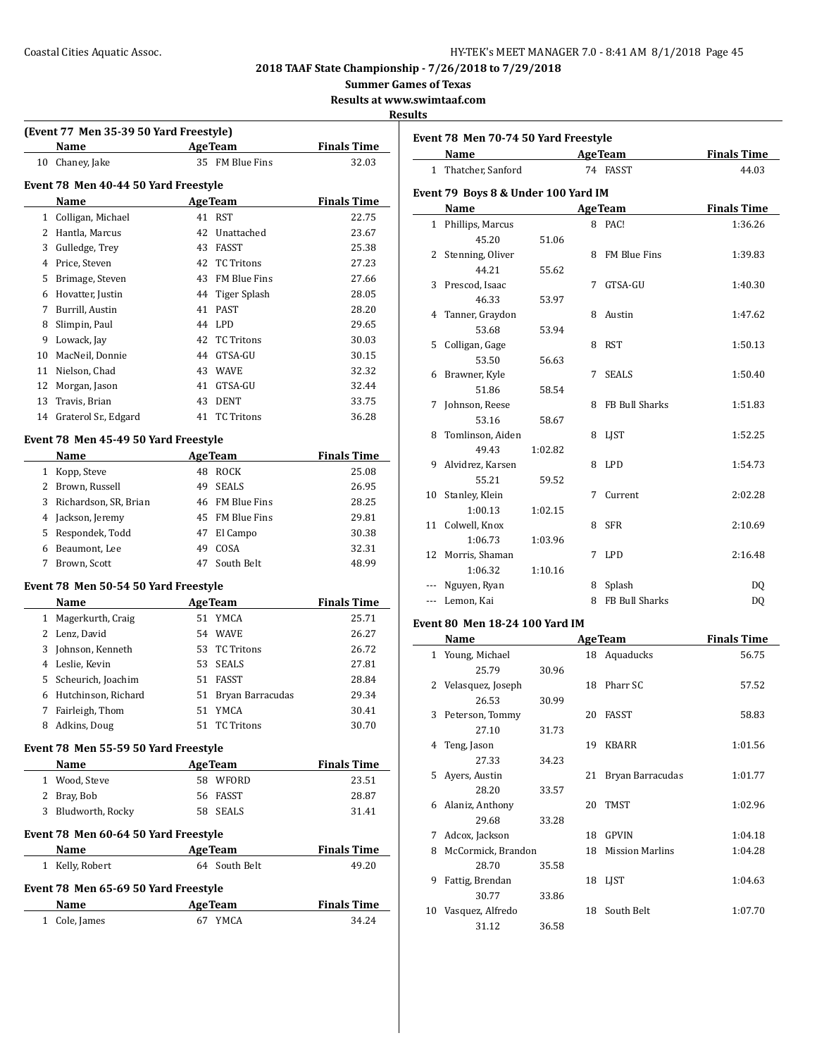**Name Age Team Finals Time** 

**Event 78 Men 70-74 50 Yard Freestyle**

**2018 TAAF State Championship - 7/26/2018 to 7/29/2018**

**Summer Games of Texas**

**Results at www.swimtaaf.com**

## **Results**

|              | (Event 77 Men 35-39 50 Yard Freestyle) |                 |                  |                    |
|--------------|----------------------------------------|-----------------|------------------|--------------------|
|              | Name                                   |                 | <b>Age Team</b>  | <b>Finals Time</b> |
|              | 10 Chaney, Jake                        |                 | 35 FM Blue Fins  | 32.03              |
|              | Event 78 Men 40-44 50 Yard Freestyle   |                 |                  |                    |
|              | Name                                   |                 | <b>AgeTeam</b>   | <b>Finals Time</b> |
| $\mathbf{1}$ | Colligan, Michael                      | 41              | <b>RST</b>       | 22.75              |
| 2            | Hantla, Marcus                         | 42              | Unattached       | 23.67              |
| 3            | Gulledge, Trey                         | 43              | FASST            | 25.38              |
|              | 4 Price, Steven                        |                 | 42 TC Tritons    | 27.23              |
|              | 5 Brimage, Steven                      |                 | 43 FM Blue Fins  | 27.66              |
|              | 6 Hovatter, Justin                     |                 | 44 Tiger Splash  | 28.05              |
|              | 7 Burrill, Austin                      |                 | 41 PAST          | 28.20              |
| 8            | Slimpin, Paul                          |                 | 44 LPD           | 29.65              |
| 9            | Lowack, Jay                            |                 | 42 TC Tritons    | 30.03              |
| 10           | MacNeil, Donnie                        |                 | 44 GTSA-GU       | 30.15              |
| 11           | Nielson, Chad                          |                 | 43 WAVE          | 32.32              |
| 12           | Morgan, Jason                          |                 | 41 GTSA-GU       | 32.44              |
| 13           | Travis, Brian                          | 43              | <b>DENT</b>      | 33.75              |
|              | 14 Graterol Sr., Edgard                |                 | 41 TC Tritons    | 36.28              |
|              |                                        |                 |                  |                    |
|              | Event 78 Men 45-49 50 Yard Freestyle   |                 |                  |                    |
|              | Name                                   |                 | <b>Age Team</b>  | <b>Finals Time</b> |
|              | 1 Kopp, Steve                          |                 | 48 ROCK          | 25.08              |
|              | 2 Brown, Russell                       |                 | 49 SEALS         | 26.95              |
| 3            | Richardson, SR, Brian                  |                 | 46 FM Blue Fins  | 28.25              |
| 4            | Jackson, Jeremy                        |                 | 45 FM Blue Fins  | 29.81              |
| 5            | Respondek, Todd                        |                 | 47 El Campo      | 30.38              |
|              | 6 Beaumont, Lee                        |                 | 49 COSA          | 32.31              |
| 7            | Brown, Scott                           | 47              | South Belt       | 48.99              |
|              | Event 78 Men 50-54 50 Yard Freestyle   |                 |                  |                    |
|              | Name                                   |                 | <b>AgeTeam</b>   | <b>Finals Time</b> |
|              | 1 Magerkurth, Craig                    |                 | 51 YMCA          | 25.71              |
|              | 2 Lenz, David                          |                 | 54 WAVE          | 26.27              |
| 3            | Johnson, Kenneth                       |                 | 53 TC Tritons    | 26.72              |
|              | 4 Leslie, Kevin                        |                 | 53 SEALS         | 27.81              |
| 5            | Scheurich, Joachim                     |                 | 51 FASST         | 28.84              |
| 6            | Hutchinson, Richard                    | 51              | Bryan Barracudas | 29.34              |
| 7            | Fairleigh, Thom                        | 51              | YMCA             | 30.41              |
| 8            | Adkins, Doug                           |                 | 51 TC Tritons    | 30.70              |
|              | Event 78 Men 55-59 50 Yard Freestyle   |                 |                  |                    |
|              | Name                                   |                 | <b>AgeTeam</b>   | <b>Finals Time</b> |
|              | 1 Wood, Steve                          |                 | 58 WFORD         | 23.51              |
|              | 2 Bray, Bob                            |                 | 56 FASST         | 28.87              |
|              | 3 Bludworth, Rocky                     |                 | 58 SEALS         | 31.41              |
|              |                                        |                 |                  |                    |
|              | Event 78 Men 60-64 50 Yard Freestyle   |                 |                  |                    |
|              | Name                                   |                 | <b>AgeTeam</b>   | <b>Finals Time</b> |
|              | 1 Kelly, Robert                        |                 | 64 South Belt    | 49.20              |
|              | Event 78 Men 65-69 50 Yard Freestyle   |                 |                  |                    |
|              |                                        |                 |                  | <b>Finals Time</b> |
|              | Name                                   | <b>Age Team</b> |                  |                    |

| $\mathbf{1}$ | Thatcher, Sanford                   |         |   | 74 FASST              | 44.03              |
|--------------|-------------------------------------|---------|---|-----------------------|--------------------|
|              | Event 79 Boys 8 & Under 100 Yard IM |         |   |                       |                    |
|              | Name                                |         |   | <b>AgeTeam</b>        | <b>Finals Time</b> |
|              | 1 Phillips, Marcus                  |         |   | 8 PAC!                | 1:36.26            |
|              | 45.20                               | 51.06   |   |                       |                    |
|              | 2 Stenning, Oliver                  |         |   | 8 FM Blue Fins        | 1:39.83            |
|              | 44.21                               | 55.62   |   |                       |                    |
|              | 3 Prescod, Isaac                    |         |   | 7 GTSA-GU             | 1:40.30            |
|              | 46.33                               | 53.97   |   |                       |                    |
|              | 4 Tanner, Graydon                   |         |   | 8 Austin              | 1:47.62            |
|              | 53.68                               | 53.94   |   |                       |                    |
|              | 5 Colligan, Gage                    |         |   | 8 RST                 | 1:50.13            |
|              | 53.50                               | 56.63   |   |                       |                    |
|              | 6 Brawner, Kyle                     |         |   | 7 SEALS               | 1:50.40            |
|              | 51.86                               | 58.54   |   |                       |                    |
| 7            | Johnson, Reese                      |         |   | 8 FB Bull Sharks      | 1:51.83            |
|              | 53.16                               | 58.67   |   |                       |                    |
|              | 8 Tomlinson, Aiden                  |         |   | 8 LJST                | 1:52.25            |
|              | 49.43                               | 1:02.82 |   |                       |                    |
|              | 9 Alvidrez, Karsen                  |         |   | 8 LPD                 | 1:54.73            |
|              | 55.21                               | 59.52   |   |                       |                    |
|              | 10 Stanley, Klein                   |         |   | 7 Current             | 2:02.28            |
|              | 1:00.13                             | 1:02.15 |   |                       |                    |
|              | 11 Colwell, Knox                    |         |   | 8 SFR                 | 2:10.69            |
|              | 1:06.73                             | 1:03.96 |   |                       |                    |
| 12           | Morris, Shaman                      |         |   | 7 LPD                 | 2:16.48            |
|              | 1:06.32                             | 1:10.16 |   |                       |                    |
|              | Nguyen, Ryan                        |         |   | 8 Splash              | D <sub>0</sub>     |
|              | Lemon, Kai                          |         | 8 | <b>FB Bull Sharks</b> | DQ                 |
|              |                                     |         |   |                       |                    |

## **Event 80 Men 18-24 100 Yard IM**

|    | Name               |       |    | <b>AgeTeam</b>         | <b>Finals Time</b> |
|----|--------------------|-------|----|------------------------|--------------------|
|    | 1 Young, Michael   |       |    | 18 Aquaducks           | 56.75              |
|    | 25.79              | 30.96 |    |                        |                    |
| 2  | Velasquez, Joseph  |       | 18 | Pharr SC               | 57.52              |
|    | 26.53              | 30.99 |    |                        |                    |
| 3  | Peterson, Tommy    |       | 20 | FASST                  | 58.83              |
|    | 27.10              | 31.73 |    |                        |                    |
| 4  | Teng, Jason        |       | 19 | <b>KBARR</b>           | 1:01.56            |
|    | 27.33              | 34.23 |    |                        |                    |
| 5. | Ayers, Austin      |       | 21 | Bryan Barracudas       | 1:01.77            |
|    | 28.20              | 33.57 |    |                        |                    |
| 6  | Alaniz, Anthony    |       | 20 | <b>TMST</b>            | 1:02.96            |
|    | 29.68              | 33.28 |    |                        |                    |
| 7  | Adcox, Jackson     |       | 18 | <b>GPVIN</b>           | 1:04.18            |
| 8  | McCormick, Brandon |       | 18 | <b>Mission Marlins</b> | 1:04.28            |
|    | 28.70              | 35.58 |    |                        |                    |
| 9  | Fattig, Brendan    |       | 18 | <b>LIST</b>            | 1:04.63            |
|    | 30.77              | 33.86 |    |                        |                    |
| 10 | Vasquez, Alfredo   |       | 18 | South Belt             | 1:07.70            |
|    | 31.12              | 36.58 |    |                        |                    |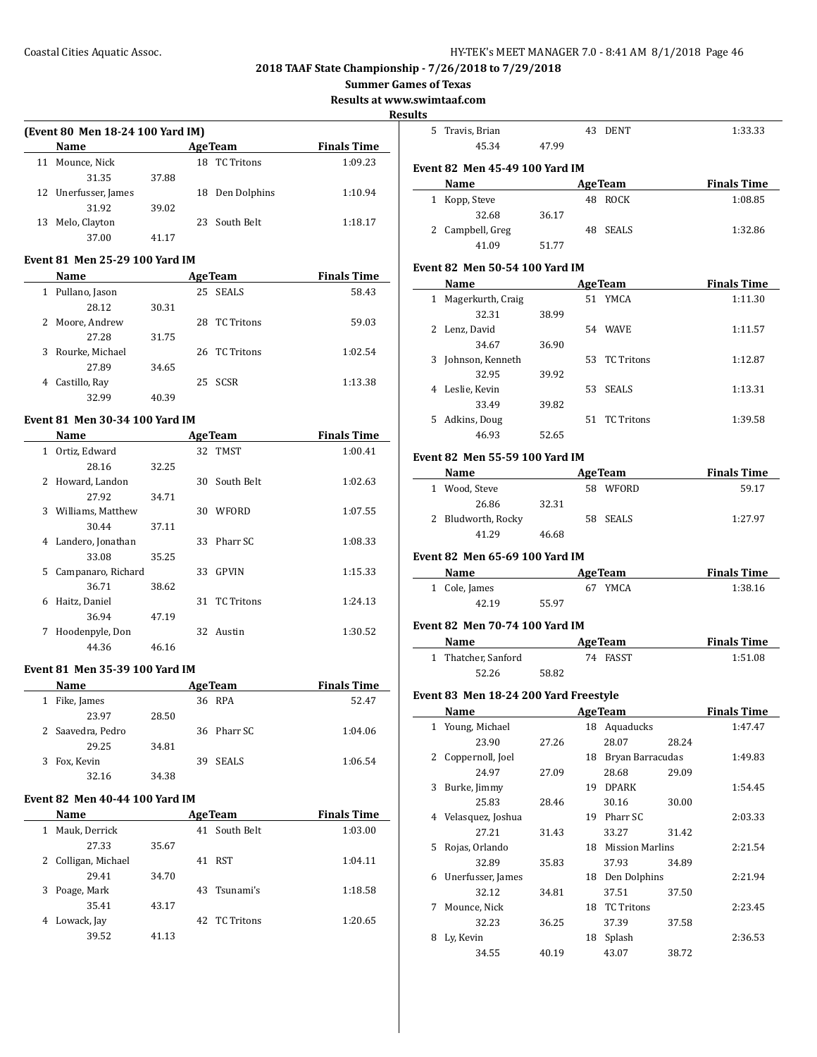**Summer Games of Texas**

**Results at www.swimtaaf.com**

**Resul** 

| (Event 80 Men 18-24 100 Yard IM) |                      |       |    |                   |                    |  |  |
|----------------------------------|----------------------|-------|----|-------------------|--------------------|--|--|
|                                  | Name                 |       |    | <b>AgeTeam</b>    | <b>Finals Time</b> |  |  |
|                                  | 11 Mounce, Nick      |       | 18 | <b>TC</b> Tritons | 1:09.23            |  |  |
|                                  | 31.35                | 37.88 |    |                   |                    |  |  |
|                                  | 12 Unerfusser, James |       |    | 18 Den Dolphins   | 1:10.94            |  |  |
|                                  | 31.92                | 39.02 |    |                   |                    |  |  |
| 13                               | Melo, Clayton        |       |    | 23 South Belt     | 1:18.17            |  |  |
|                                  | 37.00                | 41 17 |    |                   |                    |  |  |
|                                  |                      |       |    |                   |                    |  |  |

#### **Event 81 Men 25-29 100 Yard IM**

| Name                |       | <b>AgeTeam</b>     | <b>Finals Time</b> |
|---------------------|-------|--------------------|--------------------|
| Pullano, Jason<br>1 |       | <b>SEALS</b><br>25 | 58.43              |
| 28.12               | 30.31 |                    |                    |
| 2 Moore, Andrew     |       | TC Tritons<br>28.  | 59.03              |
| 27.28               | 31.75 |                    |                    |
| 3 Rourke, Michael   |       | 26 TC Tritons      | 1:02.54            |
| 27.89               | 34.65 |                    |                    |
| Castillo, Ray<br>4  |       | 25 SCSR            | 1:13.38            |
| 32.99               | 40.39 |                    |                    |

#### **Event 81 Men 30-34 100 Yard IM**

|              | Name               |       |     | <b>AgeTeam</b> | <b>Finals Time</b> |
|--------------|--------------------|-------|-----|----------------|--------------------|
| $\mathbf{1}$ | Ortiz, Edward      |       |     | 32 TMST        | 1:00.41            |
|              | 28.16              | 32.25 |     |                |                    |
| 2            | Howard, Landon     |       | 30- | South Belt     | 1:02.63            |
|              | 27.92              | 34.71 |     |                |                    |
| 3            | Williams, Matthew  |       | 30  | WFORD          | 1:07.55            |
|              | 30.44              | 37.11 |     |                |                    |
| 4            | Landero, Jonathan  |       | 33. | Pharr SC       | 1:08.33            |
|              | 33.08              | 35.25 |     |                |                    |
| 5            | Campanaro, Richard |       | 33  | <b>GPVIN</b>   | 1:15.33            |
|              | 36.71              | 38.62 |     |                |                    |
| 6            | Haitz, Daniel      |       |     | 31 TC Tritons  | 1:24.13            |
|              | 36.94              | 47.19 |     |                |                    |
| 7            | Hoodenpyle, Don    |       |     | 32 Austin      | 1:30.52            |
|              | 44.36              | 46.16 |     |                |                    |

#### **Event 81 Men 35-39 100 Yard IM**

|    | <b>Name</b>       |       | <b>AgeTeam</b> | <b>Finals Time</b> |
|----|-------------------|-------|----------------|--------------------|
|    | Fike, James       |       | 36 RPA         | 52.47              |
|    | 23.97             | 28.50 |                |                    |
|    | 2 Saavedra, Pedro |       | 36 Pharr SC    | 1:04.06            |
|    | 29.25             | 34.81 |                |                    |
| 3. | Fox, Kevin        |       | 39 SEALS       | 1:06.54            |
|    | 32.16             | 34.38 |                |                    |

#### **Event 82 Men 40-44 100 Yard IM**

| <b>Name</b>         | <b>AgeTeam</b> |               | <b>Finals Time</b> |
|---------------------|----------------|---------------|--------------------|
| Mauk, Derrick<br>1  |                | 41 South Belt | 1:03.00            |
| 27.33               | 35.67          |               |                    |
| 2 Colligan, Michael |                | 41 RST        | 1:04.11            |
| 29.41               | 34.70          |               |                    |
| 3 Poage, Mark       |                | 43 Tsunami's  | 1:18.58            |
| 35.41               | 43.17          |               |                    |
| Lowack, Jay<br>4    |                | 42 TC Tritons | 1:20.65            |
| 39.52               | 41.13          |               |                    |

| ults: |                                                                                                                                                                                                                               |       |                                |                                                                                                                                                                            |
|-------|-------------------------------------------------------------------------------------------------------------------------------------------------------------------------------------------------------------------------------|-------|--------------------------------|----------------------------------------------------------------------------------------------------------------------------------------------------------------------------|
|       | 5 Travis, Brian<br>45.34                                                                                                                                                                                                      | 47.99 | 43 DENT                        | 1:33.33                                                                                                                                                                    |
|       | <b>Event 82 Men 45-49 100 Yard IM</b>                                                                                                                                                                                         |       |                                |                                                                                                                                                                            |
|       | Name                                                                                                                                                                                                                          |       | <b>AgeTeam</b>                 | <b>Finals Time</b>                                                                                                                                                         |
|       | 1 Kopp, Steve                                                                                                                                                                                                                 |       | 48 ROCK                        | 1:08.85                                                                                                                                                                    |
|       | 32.68                                                                                                                                                                                                                         | 36.17 |                                |                                                                                                                                                                            |
|       | 2 Campbell, Greg                                                                                                                                                                                                              |       | 48 SEALS                       | 1:32.86                                                                                                                                                                    |
|       | 41.09                                                                                                                                                                                                                         | 51.77 |                                |                                                                                                                                                                            |
|       |                                                                                                                                                                                                                               |       |                                |                                                                                                                                                                            |
|       | <b>Event 82 Men 50-54 100 Yard IM</b>                                                                                                                                                                                         |       |                                |                                                                                                                                                                            |
|       | Name                                                                                                                                                                                                                          |       | <b>AgeTeam</b>                 | <b>Finals Time</b>                                                                                                                                                         |
|       | 1 Magerkurth, Craig                                                                                                                                                                                                           |       | 51 YMCA                        | 1:11.30                                                                                                                                                                    |
|       | 32.31                                                                                                                                                                                                                         | 38.99 |                                |                                                                                                                                                                            |
|       | 2 Lenz, David                                                                                                                                                                                                                 |       | 54 WAVE                        | 1:11.57                                                                                                                                                                    |
|       | 34.67                                                                                                                                                                                                                         | 36.90 |                                |                                                                                                                                                                            |
|       | 3 Johnson, Kenneth                                                                                                                                                                                                            |       | 53 TC Tritons                  | 1:12.87                                                                                                                                                                    |
|       | 32.95                                                                                                                                                                                                                         | 39.92 |                                |                                                                                                                                                                            |
|       | 4 Leslie, Kevin                                                                                                                                                                                                               |       | 53 SEALS                       | 1:13.31                                                                                                                                                                    |
|       | 33.49<br>5 Adkins, Doug                                                                                                                                                                                                       | 39.82 |                                |                                                                                                                                                                            |
|       |                                                                                                                                                                                                                               |       | 51 TC Tritons                  | 1:39.58                                                                                                                                                                    |
|       | 46.93                                                                                                                                                                                                                         | 52.65 |                                |                                                                                                                                                                            |
|       | <b>Event 82 Men 55-59 100 Yard IM</b>                                                                                                                                                                                         |       |                                |                                                                                                                                                                            |
|       | Name and the same state of the state of the state of the state of the state of the state of the state of the state of the state of the state of the state of the state of the state of the state of the state of the state of |       | <b>AgeTeam</b>                 | <b>Finals Time</b>                                                                                                                                                         |
|       | 1 Wood, Steve                                                                                                                                                                                                                 |       | 58 WFORD                       | 59.17                                                                                                                                                                      |
|       | 26.86                                                                                                                                                                                                                         | 32.31 |                                |                                                                                                                                                                            |
|       |                                                                                                                                                                                                                               |       |                                |                                                                                                                                                                            |
|       | 2 Bludworth, Rocky<br>41.29<br><b>Event 82 Men 65-69 100 Yard IM</b>                                                                                                                                                          | 46.68 | 58 SEALS                       |                                                                                                                                                                            |
|       | Name AgeTeam                                                                                                                                                                                                                  |       |                                |                                                                                                                                                                            |
|       | 1 Cole, James                                                                                                                                                                                                                 |       | 67 YMCA                        |                                                                                                                                                                            |
|       | 42.19                                                                                                                                                                                                                         | 55.97 |                                |                                                                                                                                                                            |
|       | <b>Event 82 Men 70-74 100 Yard IM</b>                                                                                                                                                                                         |       |                                |                                                                                                                                                                            |
|       | Name <u>__________</u>                                                                                                                                                                                                        |       | <b>AgeTeam</b>                 |                                                                                                                                                                            |
|       | 1 Thatcher, Sanford                                                                                                                                                                                                           |       | 74 FASST                       |                                                                                                                                                                            |
|       | 52.26                                                                                                                                                                                                                         | 58.82 |                                |                                                                                                                                                                            |
|       |                                                                                                                                                                                                                               |       |                                |                                                                                                                                                                            |
|       | Event 83 Men 18-24 200 Yard Freestyle                                                                                                                                                                                         |       |                                |                                                                                                                                                                            |
| 1     | <b>Name</b>                                                                                                                                                                                                                   |       | <b>AgeTeam</b><br>18 Aquaducks |                                                                                                                                                                            |
|       | Young, Michael<br>23.90                                                                                                                                                                                                       | 27.26 | 28.07                          | 28.24                                                                                                                                                                      |
| 2     |                                                                                                                                                                                                                               |       | 18 Bryan Barracudas            |                                                                                                                                                                            |
|       | Coppernoll, Joel<br>24.97                                                                                                                                                                                                     | 27.09 | 28.68                          | 29.09                                                                                                                                                                      |
| 3     | Burke, Jimmy                                                                                                                                                                                                                  |       |                                |                                                                                                                                                                            |
|       | 25.83                                                                                                                                                                                                                         | 28.46 | 19 DPARK<br>30.16              | 30.00                                                                                                                                                                      |
| 4     |                                                                                                                                                                                                                               |       | 19 Pharr SC                    |                                                                                                                                                                            |
|       | Velasquez, Joshua<br>27.21                                                                                                                                                                                                    | 31.43 | 33.27                          | 31.42                                                                                                                                                                      |
| 5     | Rojas, Orlando                                                                                                                                                                                                                |       | 18 Mission Marlins             |                                                                                                                                                                            |
|       | 32.89                                                                                                                                                                                                                         | 35.83 | 37.93                          | 34.89                                                                                                                                                                      |
| 6     | Unerfusser, James                                                                                                                                                                                                             |       | 18 Den Dolphins                |                                                                                                                                                                            |
|       | 32.12                                                                                                                                                                                                                         | 34.81 | 37.51                          | 1:27.97<br><b>Finals Time</b><br>1:38.16<br><b>Finals Time</b><br>1:51.08<br><b>Finals Time</b><br>1:47.47<br>1:49.83<br>1:54.45<br>2:03.33<br>2:21.54<br>2:21.94<br>37.50 |
| 7     | Mounce, Nick                                                                                                                                                                                                                  |       | 18 TC Tritons                  |                                                                                                                                                                            |
|       | 32.23                                                                                                                                                                                                                         | 36.25 | 37.39                          | 37.58                                                                                                                                                                      |
| 8     | Ly, Kevin                                                                                                                                                                                                                     |       | 18 Splash                      | 2:23.45<br>2:36.53                                                                                                                                                         |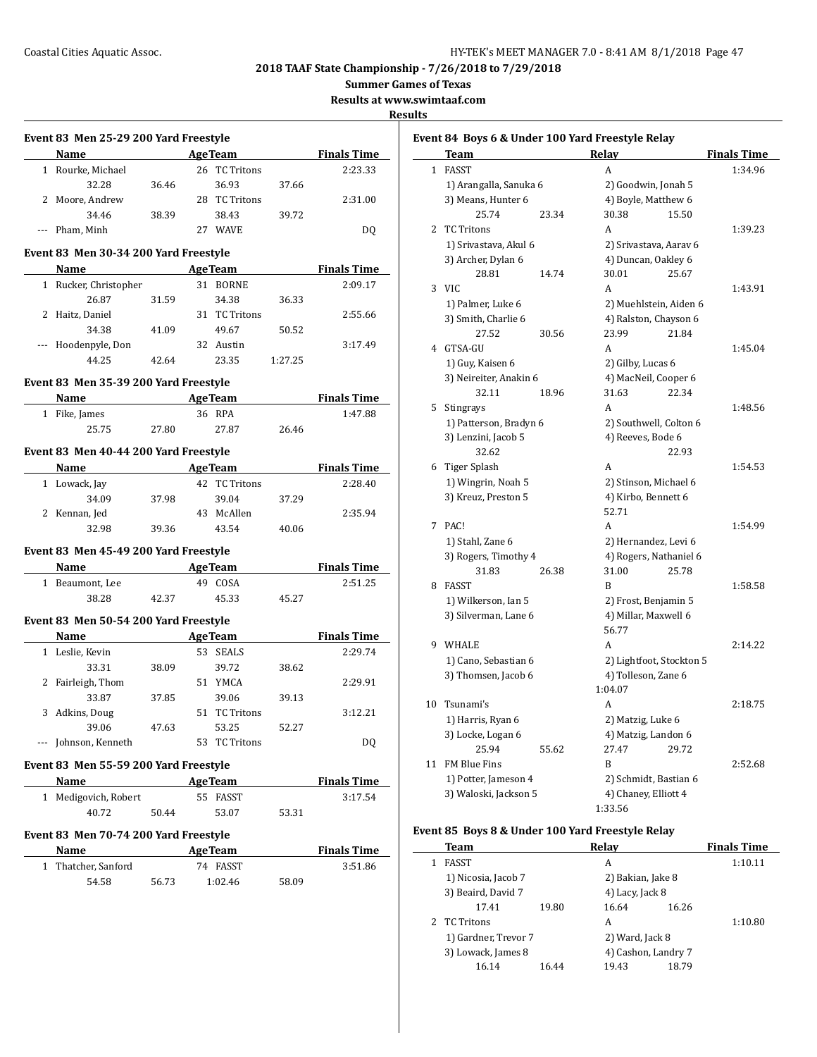**Summer Games of Texas**

**Results at www.swimtaaf.com**

**Results**

|          | Name                                                              |       |                        |       | <b>Example 2 Age Team Property Property Property Property Property Property Property Property Property Property Property Property Property Property Property Property Property Property Pr</b>            |
|----------|-------------------------------------------------------------------|-------|------------------------|-------|-----------------------------------------------------------------------------------------------------------------------------------------------------------------------------------------------------------|
|          | 1 Rourke, Michael                                                 |       | 26 TC Tritons          |       | 2:23.33                                                                                                                                                                                                   |
|          | 32.28                                                             | 36.46 | 36.93                  | 37.66 |                                                                                                                                                                                                           |
|          | 2 Moore, Andrew                                                   |       | 28 TC Tritons          |       | 2:31.00                                                                                                                                                                                                   |
|          | 34.46                                                             | 38.39 | 38.43                  | 39.72 |                                                                                                                                                                                                           |
|          | --- Pham, Minh                                                    |       | 27 WAVE                |       | DQ                                                                                                                                                                                                        |
|          | Event 83 Men 30-34 200 Yard Freestyle                             |       |                        |       |                                                                                                                                                                                                           |
|          | Name AgeTeam Finals Time                                          |       |                        |       |                                                                                                                                                                                                           |
|          | 1 Rucker, Christopher                                             |       | 31 BORNE               |       | 2:09.17                                                                                                                                                                                                   |
|          | 26.87                                                             | 31.59 | 34.38                  | 36.33 |                                                                                                                                                                                                           |
|          | 2 Haitz, Daniel                                                   |       | 31 TC Tritons          |       | 2:55.66                                                                                                                                                                                                   |
|          | 34.38                                                             | 41.09 | 49.67                  | 50.52 |                                                                                                                                                                                                           |
|          | --- Hoodenpyle, Don                                               |       | 32 Austin              |       | 3:17.49                                                                                                                                                                                                   |
|          | 44.25                                                             | 42.64 | 23.35 1:27.25          |       |                                                                                                                                                                                                           |
|          | Event 83 Men 35-39 200 Yard Freestyle                             |       |                        |       |                                                                                                                                                                                                           |
|          | Name AgeTeam Finals Time                                          |       |                        |       |                                                                                                                                                                                                           |
|          | 1 Fike, James                                                     |       | 36 RPA                 |       | 1:47.88                                                                                                                                                                                                   |
|          | 25.75                                                             | 27.80 | 27.87                  | 26.46 |                                                                                                                                                                                                           |
|          | Event 83 Men 40-44 200 Yard Freestyle                             |       |                        |       |                                                                                                                                                                                                           |
|          | Name AgeTeam Finals Time                                          |       |                        |       |                                                                                                                                                                                                           |
|          | 1 Lowack, Jay                                                     |       | 42 TC Tritons          |       | 2:28.40                                                                                                                                                                                                   |
|          | 34.09 37.98                                                       |       | 39.04                  | 37.29 |                                                                                                                                                                                                           |
|          |                                                                   |       |                        |       |                                                                                                                                                                                                           |
|          | 2 Kennan, Jed                                                     |       | 43 McAllen             |       | 2:35.94                                                                                                                                                                                                   |
|          | 32.98                                                             | 39.36 | 43.54                  | 40.06 |                                                                                                                                                                                                           |
|          |                                                                   |       |                        |       |                                                                                                                                                                                                           |
|          | Event 83 Men 45-49 200 Yard Freestyle<br>Name AgeTeam Finals Time |       |                        |       |                                                                                                                                                                                                           |
|          | 1 Beaumont, Lee                                                   |       | 49 COSA                |       | 2:51.25                                                                                                                                                                                                   |
|          | 38.28                                                             | 42.37 | 45.33                  | 45.27 |                                                                                                                                                                                                           |
|          | Event 83 Men 50-54 200 Yard Freestyle                             |       |                        |       |                                                                                                                                                                                                           |
|          |                                                                   |       |                        |       |                                                                                                                                                                                                           |
|          | <b>Name</b>                                                       |       | 53 SEALS               |       | <b>Example 2 Age Team Property Property Property Property Property Property Property Property Property Property Property Property Property Property Property Property Property Property Pr</b><br>2:29.74 |
|          | 1 Leslie, Kevin<br>33.31                                          | 38.09 | 39.72                  | 38.62 |                                                                                                                                                                                                           |
|          |                                                                   |       | 51 YMCA                |       | 2:29.91                                                                                                                                                                                                   |
|          | 2 Fairleigh, Thom<br>33.87                                        |       | 39.06                  | 39.13 |                                                                                                                                                                                                           |
|          |                                                                   | 37.85 |                        |       | 3:12.21                                                                                                                                                                                                   |
| 3        | Adkins, Doug                                                      |       | 51 TC Tritons          |       |                                                                                                                                                                                                           |
| $\cdots$ | 39.06<br>Johnson, Kenneth                                         | 47.63 | 53.25<br>53 TC Tritons | 52.27 | DQ                                                                                                                                                                                                        |
|          |                                                                   |       |                        |       |                                                                                                                                                                                                           |
|          | Event 83 Men 55-59 200 Yard Freestyle<br>Name                     |       | <b>AgeTeam</b>         |       |                                                                                                                                                                                                           |
|          |                                                                   |       |                        |       | <b>Finals Time</b><br>3:17.54                                                                                                                                                                             |
|          | 1 Medigovich, Robert<br>40.72                                     | 50.44 | 55 FASST<br>53.07      | 53.31 |                                                                                                                                                                                                           |
|          | Event 83 Men 70-74 200 Yard Freestyle                             |       |                        |       |                                                                                                                                                                                                           |
|          | Name                                                              |       | <b>AgeTeam</b>         |       | <b>Finals Time</b>                                                                                                                                                                                        |
|          | 1 Thatcher, Sanford                                               |       | 74 FASST               |       | 3:51.86                                                                                                                                                                                                   |

|                | Team                   |       | Relay                |                          | <b>Finals Time</b> |
|----------------|------------------------|-------|----------------------|--------------------------|--------------------|
| $\mathbf{1}$   | FASST                  |       | A                    |                          | 1:34.96            |
|                | 1) Arangalla, Sanuka 6 |       |                      | 2) Goodwin, Jonah 5      |                    |
|                | 3) Means, Hunter 6     |       |                      | 4) Boyle, Matthew 6      |                    |
|                | 25.74                  | 23.34 | 30.38                | 15.50                    |                    |
| $\overline{2}$ | <b>TC Tritons</b>      |       | A                    |                          | 1:39.23            |
|                | 1) Srivastava, Akul 6  |       |                      | 2) Srivastava, Aarav 6   |                    |
|                | 3) Archer, Dylan 6     |       |                      | 4) Duncan, Oakley 6      |                    |
|                | 28.81                  | 14.74 | 30.01                | 25.67                    |                    |
|                | $3$ VIC                |       | A                    |                          | 1:43.91            |
|                | 1) Palmer, Luke 6      |       |                      | 2) Muehlstein, Aiden 6   |                    |
|                | 3) Smith, Charlie 6    |       |                      | 4) Ralston, Chayson 6    |                    |
|                | 27.52                  | 30.56 | 23.99                | 21.84                    |                    |
| 4              | GTSA-GU                |       | A                    |                          | 1:45.04            |
|                | 1) Guy, Kaisen 6       |       | 2) Gilby, Lucas 6    |                          |                    |
|                | 3) Neireiter, Anakin 6 |       |                      | 4) MacNeil, Cooper 6     |                    |
|                | 32.11                  | 18.96 | 31.63                | 22.34                    |                    |
| 5              | Stingrays              |       | A                    |                          | 1:48.56            |
|                | 1) Patterson, Bradyn 6 |       |                      | 2) Southwell, Colton 6   |                    |
|                | 3) Lenzini, Jacob 5    |       | 4) Reeves, Bode 6    |                          |                    |
|                | 32.62                  |       |                      | 22.93                    |                    |
|                | 6 Tiger Splash         |       | A                    |                          | 1:54.53            |
|                | 1) Wingrin, Noah 5     |       |                      | 2) Stinson, Michael 6    |                    |
|                | 3) Kreuz, Preston 5    |       | 4) Kirbo, Bennett 6  |                          |                    |
|                |                        |       | 52.71                |                          |                    |
|                | 7 PAC!                 |       | A                    |                          | 1:54.99            |
|                | 1) Stahl, Zane 6       |       |                      | 2) Hernandez, Levi 6     |                    |
|                | 3) Rogers, Timothy 4   |       |                      | 4) Rogers, Nathaniel 6   |                    |
|                | 31.83                  | 26.38 | 31.00                | 25.78                    |                    |
|                | 8 FASST                |       | B                    |                          | 1:58.58            |
|                | 1) Wilkerson, Ian 5    |       |                      | 2) Frost, Benjamin 5     |                    |
|                | 3) Silverman, Lane 6   |       |                      | 4) Millar, Maxwell 6     |                    |
|                |                        |       | 56.77                |                          |                    |
|                | 9 WHALE                |       | A                    |                          | 2:14.22            |
|                |                        |       |                      |                          |                    |
|                | 1) Cano, Sebastian 6   |       |                      | 2) Lightfoot, Stockton 5 |                    |
|                | 3) Thomsen, Jacob 6    |       | 4) Tolleson, Zane 6  |                          |                    |
|                |                        |       | 1:04.07              |                          |                    |
| 10             | Tsunami's              |       | A                    |                          | 2:18.75            |
|                | 1) Harris, Ryan 6      |       | 2) Matzig, Luke 6    |                          |                    |
|                | 3) Locke, Logan 6      |       |                      | 4) Matzig, Landon 6      |                    |
|                | 25.94                  | 55.62 | 27.47                | 29.72                    |                    |
| 11             | FM Blue Fins           |       | B                    |                          | 2:52.68            |
|                | 1) Potter, Jameson 4   |       |                      | 2) Schmidt, Bastian 6    |                    |
|                | 3) Waloski, Jackson 5  |       | 4) Chaney, Elliott 4 |                          |                    |
|                |                        |       | 1:33.56              |                          |                    |

# **Event 85 Boys 8 & Under 100 Yard Freestyle Relay**

| Team                 |       | Relav               |       | <b>Finals Time</b> |
|----------------------|-------|---------------------|-------|--------------------|
| <b>FASST</b>         |       | A                   |       | 1:10.11            |
| 1) Nicosia, Jacob 7  |       | 2) Bakian, Jake 8   |       |                    |
| 3) Beaird, David 7   |       | 4) Lacy, Jack 8     |       |                    |
| 17.41                | 19.80 | 16.64               | 16.26 |                    |
| 2 TC Tritons         |       | A                   |       | 1:10.80            |
| 1) Gardner, Trevor 7 |       | 2) Ward, Jack 8     |       |                    |
| 3) Lowack, James 8   |       | 4) Cashon, Landry 7 |       |                    |
| 16.14                | 16.44 | 19.43               | 18.79 |                    |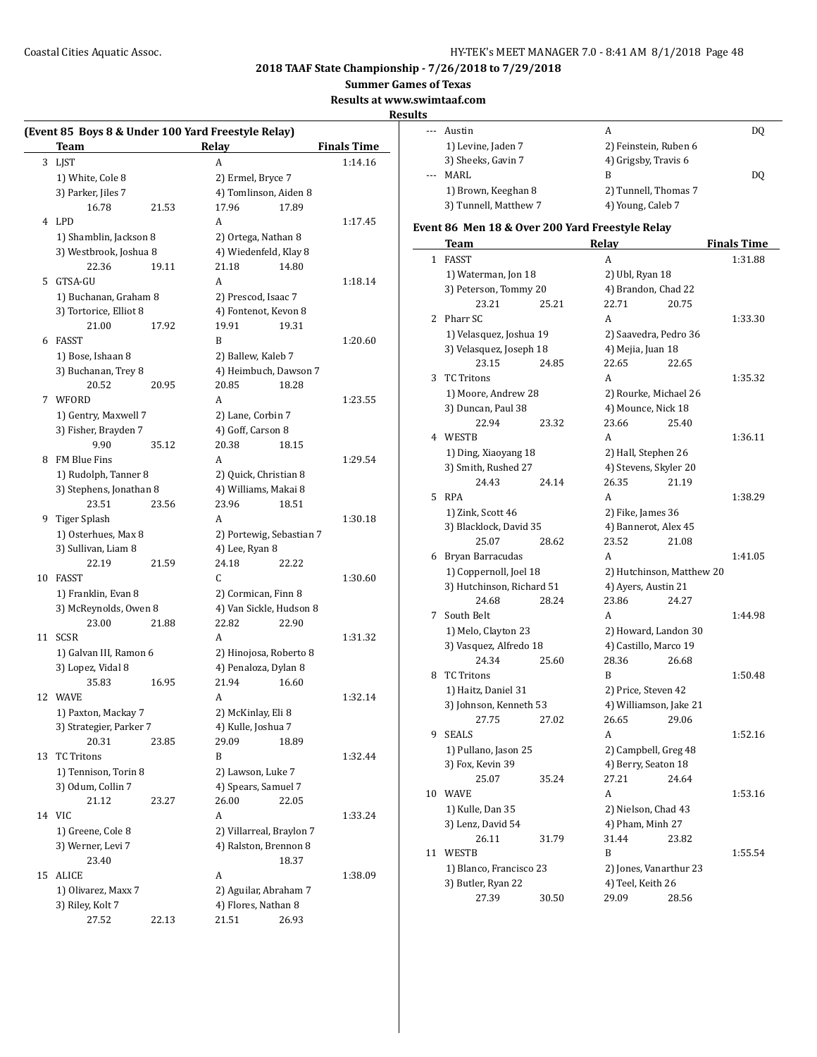**Summer Games of Texas**

**Results at www.swimtaaf.com**

#### **Results**

 $\overline{\phantom{a}}$ 

| (Event 85 Boys 8 & Under 100 Yard Freestyle Relay) |                                  |       |                             |       |                    |  |
|----------------------------------------------------|----------------------------------|-------|-----------------------------|-------|--------------------|--|
|                                                    | Team                             |       | Relay                       |       | <b>Finals Time</b> |  |
| 3                                                  | LJST                             |       | A                           |       | 1:14.16            |  |
|                                                    | 1) White, Cole 8                 |       | 2) Ermel, Bryce 7           |       |                    |  |
|                                                    | 3) Parker, Jiles 7               |       | 4) Tomlinson, Aiden 8       |       |                    |  |
|                                                    | 16.78                            | 21.53 | 17.96                       | 17.89 |                    |  |
|                                                    | 4 LPD                            |       | A                           |       | 1:17.45            |  |
|                                                    | 1) Shamblin, Jackson 8           |       | 2) Ortega, Nathan 8         |       |                    |  |
|                                                    | 3) Westbrook, Joshua 8           |       | 4) Wiedenfeld, Klay 8       |       |                    |  |
|                                                    | 22.36                            | 19.11 | 21.18                       | 14.80 |                    |  |
| 5                                                  | GTSA-GU                          |       | A                           |       | 1:18.14            |  |
|                                                    | 1) Buchanan, Graham 8            |       | 2) Prescod, Isaac 7         |       |                    |  |
|                                                    | 3) Tortorice, Elliot 8           |       | 4) Fontenot, Kevon 8        |       |                    |  |
|                                                    | 21.00                            | 17.92 | 19.91                       | 19.31 |                    |  |
| 6                                                  | FASST                            |       | B                           |       | 1:20.60            |  |
|                                                    | 1) Bose, Ishaan 8                |       | 2) Ballew, Kaleb 7          |       |                    |  |
|                                                    | 3) Buchanan, Trey 8              |       | 4) Heimbuch, Dawson 7       |       |                    |  |
|                                                    | 20.52                            | 20.95 | 20.85                       | 18.28 |                    |  |
| 7                                                  | WFORD                            |       | A                           |       | 1:23.55            |  |
|                                                    | 1) Gentry, Maxwell 7             |       | 2) Lane, Corbin 7           |       |                    |  |
|                                                    | 3) Fisher, Brayden 7             |       | 4) Goff, Carson 8           |       |                    |  |
|                                                    | 9.90                             | 35.12 | 20.38                       | 18.15 |                    |  |
|                                                    | 8 FM Blue Fins                   |       | A                           |       | 1:29.54            |  |
|                                                    | 1) Rudolph, Tanner 8             |       | 2) Quick, Christian 8       |       |                    |  |
|                                                    | 3) Stephens, Jonathan 8          |       | 4) Williams, Makai 8        |       |                    |  |
|                                                    | 23.51                            | 23.56 | 23.96                       | 18.51 |                    |  |
| 9                                                  | Tiger Splash                     |       | A                           |       | 1:30.18            |  |
|                                                    | 1) Osterhues, Max 8              |       | 2) Portewig, Sebastian 7    |       |                    |  |
|                                                    | 3) Sullivan, Liam 8              |       | 4) Lee, Ryan 8              |       |                    |  |
|                                                    | 22.19                            | 21.59 | 24.18                       | 22.22 |                    |  |
| 10                                                 | FASST                            |       | C                           |       | 1:30.60            |  |
|                                                    | 1) Franklin, Evan 8              |       | 2) Cormican, Finn 8         |       |                    |  |
|                                                    | 3) McReynolds, Owen 8            |       | 4) Van Sickle, Hudson 8     |       |                    |  |
|                                                    | 23.00                            | 21.88 | 22.82                       | 22.90 |                    |  |
| 11                                                 | <b>SCSR</b>                      |       | A                           |       | 1:31.32            |  |
|                                                    | 1) Galvan III, Ramon 6           |       | 2) Hinojosa, Roberto 8      |       |                    |  |
|                                                    | 3) Lopez, Vidal 8                |       | 4) Penaloza, Dylan 8        |       |                    |  |
|                                                    | 35.83                            | 16.95 | 21.94                       | 16.60 |                    |  |
| 12                                                 | WAVE                             |       | A                           |       | 1:32.14            |  |
|                                                    |                                  |       |                             |       |                    |  |
|                                                    | 1) Paxton, Mackay 7              |       | 2) McKinlay, Eli 8          |       |                    |  |
|                                                    | 3) Strategier, Parker 7<br>20.31 |       | 4) Kulle, Joshua 7<br>29.09 | 18.89 |                    |  |
|                                                    |                                  | 23.85 |                             |       |                    |  |
| 13                                                 | <b>TC Tritons</b>                |       | B                           |       | 1:32.44            |  |
|                                                    | 1) Tennison, Torin 8             |       | 2) Lawson, Luke 7           |       |                    |  |
|                                                    | 3) Odum, Collin 7                |       | 4) Spears, Samuel 7         |       |                    |  |
|                                                    | 21.12                            | 23.27 | 26.00                       | 22.05 |                    |  |
|                                                    | 14 VIC                           |       | A                           |       | 1:33.24            |  |
|                                                    | 1) Greene, Cole 8                |       | 2) Villarreal, Braylon 7    |       |                    |  |
|                                                    | 3) Werner, Levi 7                |       | 4) Ralston, Brennon 8       |       |                    |  |
|                                                    | 23.40                            |       |                             | 18.37 |                    |  |
| 15                                                 | <b>ALICE</b>                     |       | A                           |       | 1:38.09            |  |
|                                                    | 1) Olivarez, Maxx 7              |       | 2) Aguilar, Abraham 7       |       |                    |  |
|                                                    | 3) Riley, Kolt 7                 |       | 4) Flores, Nathan 8         |       |                    |  |
|                                                    | 27.52                            | 22.13 | 21.51                       | 26.93 |                    |  |

| --- | Austin                | А                     | DO  |
|-----|-----------------------|-----------------------|-----|
|     | 1) Levine, Jaden 7    | 2) Feinstein, Ruben 6 |     |
|     | 3) Sheeks, Gavin 7    | 4) Grigsby, Travis 6  |     |
| $-$ | MARI.                 | в                     | DO. |
|     | 1) Brown, Keeghan 8   | 2) Tunnell, Thomas 7  |     |
|     | 3) Tunnell, Matthew 7 | 4) Young, Caleb 7     |     |

# **Event 86 Men 18 & Over 200 Yard Freestyle Relay**

|              | Team                      |       | Turu Freestyle Relay<br><u>Relay</u> |       | <u>Finals Time</u> |
|--------------|---------------------------|-------|--------------------------------------|-------|--------------------|
| $\mathbf{1}$ | <b>FASST</b>              |       | А                                    |       | 1:31.88            |
|              | 1) Waterman, Jon 18       |       | 2) Ubl, Ryan 18                      |       |                    |
|              | 3) Peterson, Tommy 20     |       | 4) Brandon, Chad 22                  |       |                    |
|              | 23.21                     | 25.21 | 22.71                                | 20.75 |                    |
| 2            | Pharr SC                  |       | A                                    |       | 1:33.30            |
|              | 1) Velasquez, Joshua 19   |       | 2) Saavedra, Pedro 36                |       |                    |
|              | 3) Velasquez, Joseph 18   |       | 4) Mejia, Juan 18                    |       |                    |
|              | 23.15                     | 24.85 | 22.65                                | 22.65 |                    |
| 3            | <b>TC Tritons</b>         |       | A                                    |       | 1:35.32            |
|              | 1) Moore, Andrew 28       |       | 2) Rourke, Michael 26                |       |                    |
|              | 3) Duncan, Paul 38        |       | 4) Mounce, Nick 18                   |       |                    |
|              | 22.94                     | 23.32 | 23.66                                | 25.40 |                    |
| 4            | WESTB                     |       | A                                    |       | 1:36.11            |
|              | 1) Ding, Xiaoyang 18      |       | 2) Hall, Stephen 26                  |       |                    |
|              | 3) Smith, Rushed 27       |       | 4) Stevens, Skyler 20                |       |                    |
|              | 24.43                     | 24.14 | 26.35                                | 21.19 |                    |
| 5            | <b>RPA</b>                |       | A                                    |       | 1:38.29            |
|              | 1) Zink, Scott 46         |       | 2) Fike, James 36                    |       |                    |
|              | 3) Blacklock, David 35    |       | 4) Bannerot, Alex 45                 |       |                    |
|              | 25.07                     | 28.62 | 23.52                                | 21.08 |                    |
| 6            | Bryan Barracudas          |       | A                                    |       | 1:41.05            |
|              | 1) Coppernoll, Joel 18    |       | 2) Hutchinson, Matthew 20            |       |                    |
|              | 3) Hutchinson, Richard 51 |       | 4) Ayers, Austin 21                  |       |                    |
|              | 24.68                     | 28.24 | 23.86                                | 24.27 |                    |
| 7            | South Belt                |       | A                                    |       | 1:44.98            |
|              | 1) Melo, Clayton 23       |       | 2) Howard, Landon 30                 |       |                    |
|              | 3) Vasquez, Alfredo 18    |       | 4) Castillo, Marco 19                |       |                    |
|              | 24.34                     | 25.60 | 28.36                                | 26.68 |                    |
| 8            | <b>TC Tritons</b>         |       | B                                    |       | 1:50.48            |
|              | 1) Haitz, Daniel 31       |       | 2) Price, Steven 42                  |       |                    |
|              | 3) Johnson, Kenneth 53    |       | 4) Williamson, Jake 21               |       |                    |
|              | 27.75                     | 27.02 | 26.65                                | 29.06 |                    |
| 9            | <b>SEALS</b>              |       | A                                    |       | 1:52.16            |
|              | 1) Pullano, Jason 25      |       | 2) Campbell, Greg 48                 |       |                    |
|              | 3) Fox, Kevin 39          |       | 4) Berry, Seaton 18                  |       |                    |
|              | 25.07                     | 35.24 | 27.21                                | 24.64 |                    |
| 10           | <b>WAVE</b>               |       | A                                    |       | 1:53.16            |
|              | 1) Kulle, Dan 35          |       | 2) Nielson, Chad 43                  |       |                    |
|              | 3) Lenz, David 54         |       | 4) Pham, Minh 27                     |       |                    |
|              | 26.11                     | 31.79 | 31.44                                | 23.82 |                    |
| 11           | <b>WESTB</b>              |       | B                                    |       | 1:55.54            |
|              | 1) Blanco, Francisco 23   |       | 2) Jones, Vanarthur 23               |       |                    |
|              | 3) Butler, Ryan 22        |       | 4) Teel, Keith 26                    |       |                    |
|              | 27.39                     | 30.50 | 29.09                                | 28.56 |                    |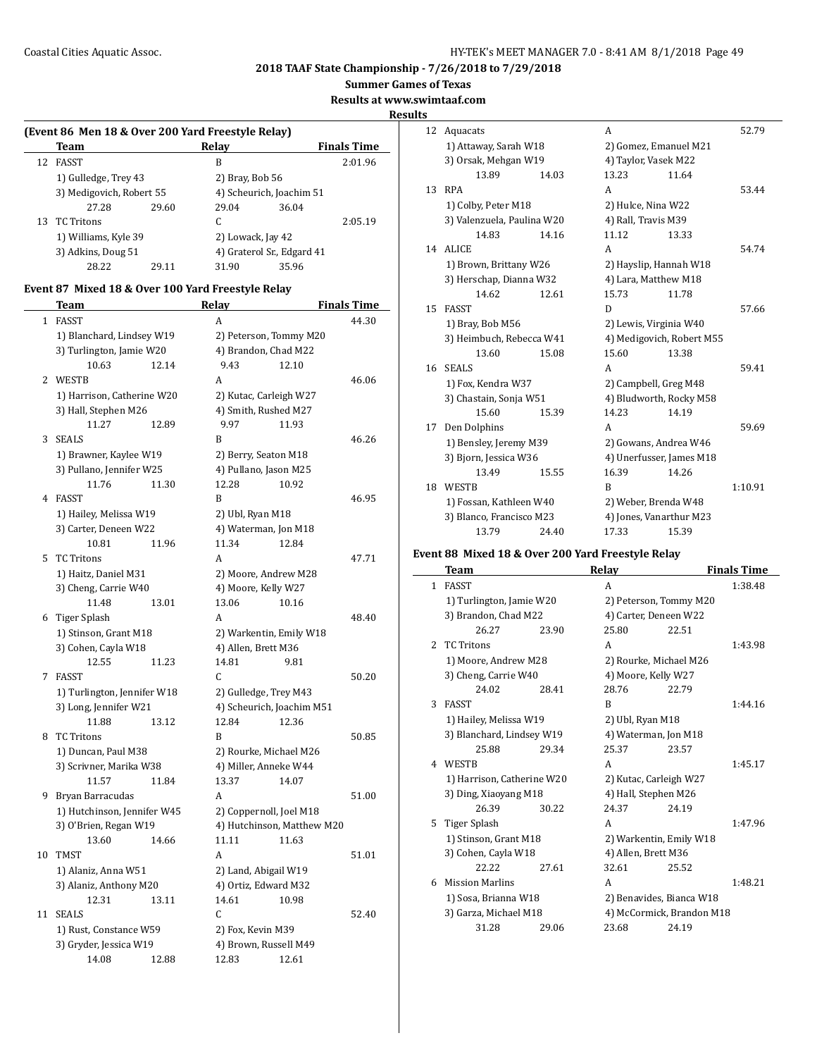$\overline{a}$ 

**2018 TAAF State Championship - 7/26/2018 to 7/29/2018**

**Summer Games of Texas**

**Results at www.swimtaaf.com**

#### **Results**

| (Event 86 Men 18 & Over 200 Yard Freestyle Relay) |                                            |       |                          |                            |                    |  |  |
|---------------------------------------------------|--------------------------------------------|-------|--------------------------|----------------------------|--------------------|--|--|
|                                                   | Team                                       |       | Relav                    |                            | <b>Finals Time</b> |  |  |
| 12                                                | <b>FASST</b>                               |       | B                        |                            | 2:01.96            |  |  |
|                                                   | 1) Gulledge, Trey 43                       |       |                          | 2) Bray, Bob 56            |                    |  |  |
|                                                   | 3) Medigovich, Robert 55                   |       | 4) Scheurich, Joachim 51 |                            |                    |  |  |
|                                                   | 27.28                                      | 29.60 | 29.04                    | 36.04                      |                    |  |  |
|                                                   | 13 TC Tritons                              |       | C.                       |                            | 2:05.19            |  |  |
|                                                   | 1) Williams, Kyle 39<br>3) Adkins, Doug 51 |       |                          | 2) Lowack, Jay 42          |                    |  |  |
|                                                   |                                            |       |                          | 4) Graterol Sr., Edgard 41 |                    |  |  |
|                                                   | 28.22                                      | 29.11 | 31.90                    | 35.96                      |                    |  |  |

## **Event 87 Mixed 18 & Over 100 Yard Freestyle Relay**

|                | Team                        | <b>Relay</b>               | <u>Finals Time</u> |
|----------------|-----------------------------|----------------------------|--------------------|
| $\mathbf{1}$   | <b>FASST</b>                | A                          | 44.30              |
|                | 1) Blanchard, Lindsey W19   | 2) Peterson, Tommy M20     |                    |
|                | 3) Turlington, Jamie W20    | 4) Brandon, Chad M22       |                    |
|                | 10.63<br>12.14              | 9.43<br>12.10              |                    |
| $\overline{2}$ | <b>WESTB</b>                | A                          | 46.06              |
|                | 1) Harrison, Catherine W20  | 2) Kutac, Carleigh W27     |                    |
|                | 3) Hall, Stephen M26        | 4) Smith, Rushed M27       |                    |
|                | 11.27<br>12.89              | 9.97<br>11.93              |                    |
| 3              | <b>SEALS</b>                | B                          | 46.26              |
|                | 1) Brawner, Kaylee W19      | 2) Berry, Seaton M18       |                    |
|                | 3) Pullano, Jennifer W25    | 4) Pullano, Jason M25      |                    |
|                | 11.76<br>11.30              | 12.28<br>10.92             |                    |
| 4              | FASST                       | R                          | 46.95              |
|                | 1) Hailey, Melissa W19      | 2) Ubl, Ryan M18           |                    |
|                | 3) Carter, Deneen W22       | 4) Waterman, Jon M18       |                    |
|                | 10.81<br>11.96              | 11.34<br>12.84             |                    |
| 5              | <b>TC Tritons</b>           | A                          | 47.71              |
|                | 1) Haitz, Daniel M31        | 2) Moore, Andrew M28       |                    |
|                | 3) Cheng, Carrie W40        | 4) Moore, Kelly W27        |                    |
|                | 11.48<br>13.01              | 13.06<br>10.16             |                    |
|                | 6 Tiger Splash              | A                          | 48.40              |
|                | 1) Stinson, Grant M18       | 2) Warkentin, Emily W18    |                    |
|                | 3) Cohen, Cayla W18         | 4) Allen, Brett M36        |                    |
|                | 12.55<br>11.23              | 14.81<br>9.81              |                    |
| 7              | <b>FASST</b>                | C.                         | 50.20              |
|                | 1) Turlington, Jennifer W18 | 2) Gulledge, Trey M43      |                    |
|                | 3) Long, Jennifer W21       | 4) Scheurich, Joachim M51  |                    |
|                | 11.88<br>13.12              | 12.84<br>12.36             |                    |
| 8              | <b>TC Tritons</b>           | R                          | 50.85              |
|                | 1) Duncan, Paul M38         | 2) Rourke, Michael M26     |                    |
|                | 3) Scrivner, Marika W38     | 4) Miller, Anneke W44      |                    |
|                | 11.57<br>11.84              | 13.37<br>14.07             |                    |
| 9              | Bryan Barracudas            | A                          | 51.00              |
|                | 1) Hutchinson, Jennifer W45 | 2) Coppernoll, Joel M18    |                    |
|                | 3) O'Brien, Regan W19       | 4) Hutchinson, Matthew M20 |                    |
|                | 13.60<br>14.66              | 11.11<br>11.63             |                    |
| 10             | <b>TMST</b>                 | A                          | 51.01              |
|                | 1) Alaniz, Anna W51         | 2) Land, Abigail W19       |                    |
|                | 3) Alaniz, Anthony M20      | 4) Ortiz, Edward M32       |                    |
|                | 12.31<br>13.11              | 14.61<br>10.98             |                    |
| 11             | <b>SEALS</b>                | C                          | 52.40              |
|                | 1) Rust, Constance W59      | 2) Fox, Kevin M39          |                    |
|                | 3) Gryder, Jessica W19      | 4) Brown, Russell M49      |                    |
|                | 14.08<br>12.88              | 12.83<br>12.61             |                    |

| 12 | Aquacats                   | A                     | 52.79                     |       |         |
|----|----------------------------|-----------------------|---------------------------|-------|---------|
|    | 1) Attaway, Sarah W18      | 2) Gomez, Emanuel M21 |                           |       |         |
|    | 3) Orsak, Mehgan W19       |                       | 4) Taylor, Vasek M22      |       |         |
|    | 13.89                      | 14.03                 | 13.23                     | 11.64 |         |
| 13 | <b>RPA</b>                 |                       | A                         |       | 53.44   |
|    | 1) Colby, Peter M18        |                       | 2) Hulce, Nina W22        |       |         |
|    | 3) Valenzuela, Paulina W20 |                       | 4) Rall, Travis M39       |       |         |
|    | 14.83                      | 14.16                 | 11.12                     | 13.33 |         |
| 14 | <b>ALICE</b>               |                       | A                         |       | 54.74   |
|    | 1) Brown, Brittany W26     |                       | 2) Hayslip, Hannah W18    |       |         |
|    | 3) Herschap, Dianna W32    |                       | 4) Lara, Matthew M18      |       |         |
|    | 14.62                      | 12.61                 | 15.73                     | 11.78 |         |
| 15 | <b>FASST</b>               |                       | D                         |       | 57.66   |
|    | 1) Bray, Bob M56           |                       | 2) Lewis, Virginia W40    |       |         |
|    | 3) Heimbuch, Rebecca W41   |                       | 4) Medigovich, Robert M55 |       |         |
|    | 13.60                      | 15.08                 | 15.60                     | 13.38 |         |
| 16 | <b>SEALS</b>               |                       | A                         |       | 59.41   |
|    | 1) Fox, Kendra W37         |                       | 2) Campbell, Greg M48     |       |         |
|    | 3) Chastain, Sonja W51     |                       | 4) Bludworth, Rocky M58   |       |         |
|    | 15.60                      | 15.39                 | 14.23                     | 14.19 |         |
| 17 | Den Dolphins               |                       | A                         |       | 59.69   |
|    | 1) Bensley, Jeremy M39     |                       | 2) Gowans, Andrea W46     |       |         |
|    | 3) Bjorn, Jessica W36      |                       | 4) Unerfusser, James M18  |       |         |
|    | 13.49                      | 15.55                 | 16.39                     | 14.26 |         |
| 18 | WESTB                      |                       | B                         |       | 1:10.91 |
|    | 1) Fossan, Kathleen W40    |                       | 2) Weber, Brenda W48      |       |         |
|    | 3) Blanco, Francisco M23   |                       | 4) Jones, Vanarthur M23   |       |         |
|    | 13.79                      | 24.40                 | 17.33                     | 15.39 |         |

## **Event 88 Mixed 18 & Over 200 Yard Freestyle Relay**

|              | Team                       |       | Relay                    |                           | <b>Finals Time</b> |
|--------------|----------------------------|-------|--------------------------|---------------------------|--------------------|
| $\mathbf{1}$ | <b>FASST</b>               |       | A                        |                           | 1:38.48            |
|              | 1) Turlington, Jamie W20   |       | 2) Peterson, Tommy M20   |                           |                    |
|              | 3) Brandon, Chad M22       |       | 4) Carter, Deneen W22    |                           |                    |
|              | 26.27                      | 23.90 | 25.80                    | 22.51                     |                    |
| 2            | <b>TC</b> Tritons          |       | A                        |                           | 1:43.98            |
|              | 1) Moore, Andrew M28       |       | 2) Rourke, Michael M26   |                           |                    |
|              | 3) Cheng, Carrie W40       |       | 4) Moore, Kelly W27      |                           |                    |
|              | 24.02                      | 28.41 | 28.76                    | 22.79                     |                    |
| 3            | <b>FASST</b>               |       | B                        |                           | 1:44.16            |
|              | 1) Hailey, Melissa W19     |       | 2) Ubl, Ryan M18         |                           |                    |
|              | 3) Blanchard, Lindsey W19  |       | 4) Waterman, Jon M18     |                           |                    |
|              | 25.88                      | 29.34 | 25.37                    | 23.57                     |                    |
| 4            | <b>WESTB</b>               |       | A                        |                           | 1:45.17            |
|              | 1) Harrison, Catherine W20 |       | 2) Kutac, Carleigh W27   |                           |                    |
|              | 3) Ding, Xiaoyang M18      |       | 4) Hall, Stephen M26     |                           |                    |
|              | 26.39                      | 30.22 | 24.37                    | 24.19                     |                    |
| 5.           | Tiger Splash               |       | A                        |                           | 1:47.96            |
|              | 1) Stinson, Grant M18      |       | 2) Warkentin, Emily W18  |                           |                    |
|              | 3) Cohen, Cayla W18        |       | 4) Allen, Brett M36      |                           |                    |
|              | 22.22                      | 27.61 | 32.61                    | 25.52                     |                    |
| 6            | <b>Mission Marlins</b>     |       | A                        |                           | 1:48.21            |
|              | 1) Sosa, Brianna W18       |       | 2) Benavides, Bianca W18 |                           |                    |
|              | 3) Garza, Michael M18      |       |                          | 4) McCormick, Brandon M18 |                    |
|              | 31.28                      | 29.06 | 23.68                    | 24.19                     |                    |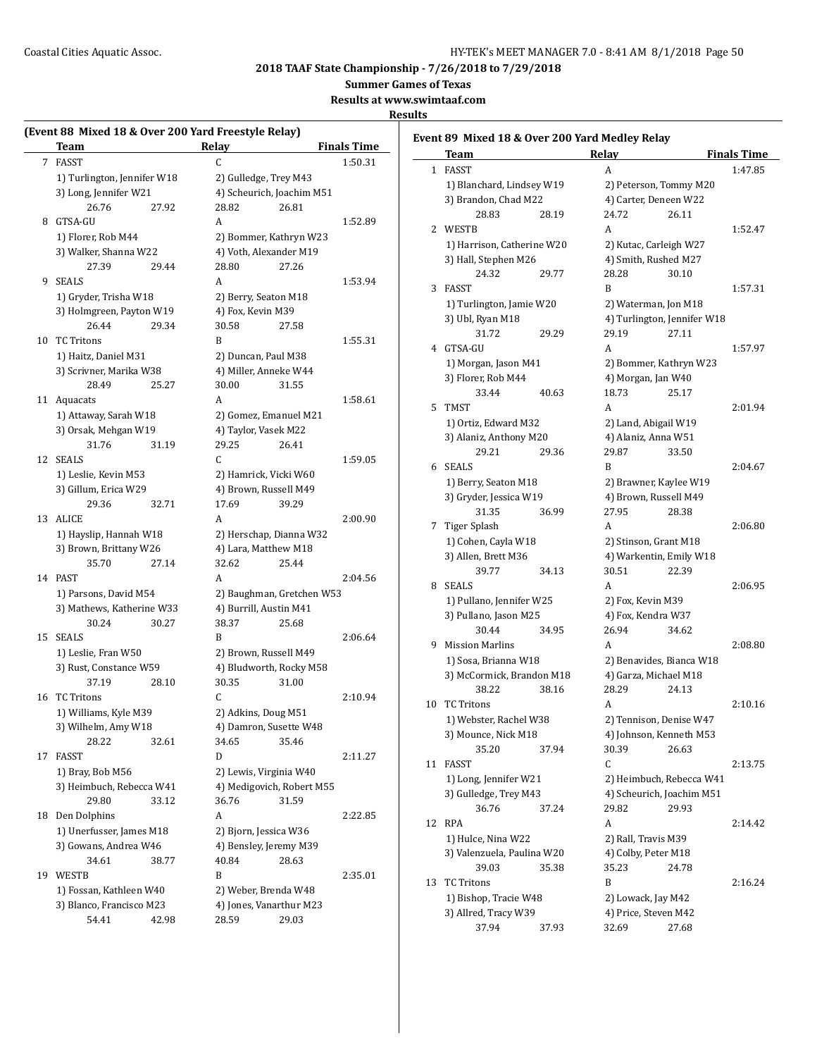**Summer Games of Texas**

**Results at www.swimtaaf.com**

|    | Team                        |       | Relay             |                           | <b>Finals Time</b> |
|----|-----------------------------|-------|-------------------|---------------------------|--------------------|
| 7  | FASST                       |       | C                 |                           | 1:50.31            |
|    | 1) Turlington, Jennifer W18 |       |                   | 2) Gulledge, Trey M43     |                    |
|    | 3) Long, Jennifer W21       |       |                   | 4) Scheurich, Joachim M51 |                    |
|    | 26.76                       | 27.92 | 28.82             | 26.81                     |                    |
| 8  | GTSA-GU                     |       | A                 |                           | 1:52.89            |
|    | 1) Florer, Rob M44          |       |                   | 2) Bommer, Kathryn W23    |                    |
|    | 3) Walker, Shanna W22       |       |                   | 4) Voth, Alexander M19    |                    |
|    | 27.39                       | 29.44 | 28.80             | 27.26                     |                    |
| 9. | <b>SEALS</b>                |       | A                 |                           | 1:53.94            |
|    | 1) Gryder, Trisha W18       |       |                   | 2) Berry, Seaton M18      |                    |
|    | 3) Holmgreen, Payton W19    |       | 4) Fox, Kevin M39 |                           |                    |
|    | 26.44                       | 29.34 | 30.58             | 27.58                     |                    |
| 10 | <b>TC Tritons</b>           |       | B                 |                           | 1:55.31            |
|    | 1) Haitz, Daniel M31        |       |                   | 2) Duncan, Paul M38       |                    |
|    | 3) Scrivner, Marika W38     |       |                   | 4) Miller, Anneke W44     |                    |
|    |                             | 25.27 |                   |                           |                    |
|    | 28.49                       |       | 30.00             | 31.55                     |                    |
| 11 | Aquacats                    |       | A                 |                           | 1:58.61            |
|    | 1) Attaway, Sarah W18       |       |                   | 2) Gomez, Emanuel M21     |                    |
|    | 3) Orsak, Mehgan W19        |       |                   | 4) Taylor, Vasek M22      |                    |
|    | 31.76                       | 31.19 | 29.25             | 26.41                     |                    |
| 12 | <b>SEALS</b>                |       | C.                |                           | 1:59.05            |
|    | 1) Leslie, Kevin M53        |       |                   | 2) Hamrick, Vicki W60     |                    |
|    | 3) Gillum, Erica W29        |       |                   | 4) Brown, Russell M49     |                    |
|    | 29.36                       | 32.71 | 17.69             | 39.29                     |                    |
| 13 | <b>ALICE</b>                |       | A                 |                           | 2:00.90            |
|    | 1) Hayslip, Hannah W18      |       |                   | 2) Herschap, Dianna W32   |                    |
|    | 3) Brown, Brittany W26      |       |                   | 4) Lara, Matthew M18      |                    |
|    | 35.70                       | 27.14 | 32.62             | 25.44                     |                    |
| 14 | <b>PAST</b>                 |       | A                 |                           | 2:04.56            |
|    | 1) Parsons, David M54       |       |                   | 2) Baughman, Gretchen W53 |                    |
|    | 3) Mathews, Katherine W33   |       |                   | 4) Burrill, Austin M41    |                    |
|    | 30.24                       | 30.27 | 38.37             | 25.68                     |                    |
| 15 | <b>SEALS</b>                |       | B                 |                           | 2:06.64            |
|    | 1) Leslie, Fran W50         |       |                   | 2) Brown, Russell M49     |                    |
|    | 3) Rust, Constance W59      |       |                   | 4) Bludworth, Rocky M58   |                    |
|    | 37.19                       | 28.10 | 30.35             | 31.00                     |                    |
| 16 | <b>TC Tritons</b>           |       | C                 |                           | 2:10.94            |
|    | 1) Williams, Kyle M39       |       |                   | 2) Adkins, Doug M51       |                    |
|    | 3) Wilhelm, Amy W18         |       |                   | 4) Damron, Susette W48    |                    |
|    | 28.22                       | 32.61 | 34.65             | 35.46                     |                    |
| 17 | <b>FASST</b>                |       | D                 |                           | 2:11.27            |
|    | 1) Bray, Bob M56            |       |                   | 2) Lewis, Virginia W40    |                    |
|    | 3) Heimbuch, Rebecca W41    |       |                   | 4) Medigovich, Robert M55 |                    |
|    | 29.80                       | 33.12 | 36.76             | 31.59                     |                    |
| 18 | Den Dolphins                |       | A                 |                           | 2:22.85            |
|    | 1) Unerfusser, James M18    |       |                   | 2) Bjorn, Jessica W36     |                    |
|    | 3) Gowans, Andrea W46       |       |                   | 4) Bensley, Jeremy M39    |                    |
|    |                             |       |                   |                           |                    |
|    | 34.61                       | 38.77 | 40.84             | 28.63                     |                    |
| 19 | WESTB                       |       | B                 |                           | 2:35.01            |
|    | 1) Fossan, Kathleen W40     |       |                   | 2) Weber, Brenda W48      |                    |
|    | 3) Blanco, Francisco M23    |       |                   | 4) Jones, Vanarthur M23   |                    |
|    | 54.41                       | 42.98 | 28.59             | 29.03                     |                    |

|    | Team                       |       | Relay                |                             | <b>Finals Time</b> |
|----|----------------------------|-------|----------------------|-----------------------------|--------------------|
|    | 1 FASST                    |       | A                    |                             | 1:47.85            |
|    | 1) Blanchard, Lindsey W19  |       |                      | 2) Peterson, Tommy M20      |                    |
|    | 3) Brandon, Chad M22       |       |                      | 4) Carter, Deneen W22       |                    |
|    | 28.83                      | 28.19 | 24.72                | 26.11                       |                    |
|    | 2 WESTB                    |       | A                    |                             | 1:52.47            |
|    | 1) Harrison, Catherine W20 |       |                      | 2) Kutac, Carleigh W27      |                    |
|    | 3) Hall, Stephen M26       |       |                      | 4) Smith, Rushed M27        |                    |
|    | 24.32                      | 29.77 | 28.28                | 30.10                       |                    |
| 3  | <b>FASST</b>               |       | B                    |                             | 1:57.31            |
|    | 1) Turlington, Jamie W20   |       |                      | 2) Waterman, Jon M18        |                    |
|    | 3) Ubl, Ryan M18           |       |                      | 4) Turlington, Jennifer W18 |                    |
|    | 31.72                      | 29.29 | 29.19                | 27.11                       |                    |
| 4  | GTSA-GU                    |       | A                    |                             | 1:57.97            |
|    |                            |       |                      |                             |                    |
|    | 1) Morgan, Jason M41       |       |                      | 2) Bommer, Kathryn W23      |                    |
|    | 3) Florer, Rob M44         |       | 4) Morgan, Jan W40   |                             |                    |
|    | 33.44                      | 40.63 | 18.73                | 25.17                       |                    |
| 5  | <b>TMST</b>                |       | A                    |                             | 2:01.94            |
|    | 1) Ortiz, Edward M32       |       |                      | 2) Land, Abigail W19        |                    |
|    | 3) Alaniz, Anthony M20     |       | 4) Alaniz, Anna W51  |                             |                    |
|    | 29.21                      | 29.36 | 29.87                | 33.50                       |                    |
| 6  | SEALS                      |       | B                    |                             | 2:04.67            |
|    | 1) Berry, Seaton M18       |       |                      | 2) Brawner, Kaylee W19      |                    |
|    | 3) Gryder, Jessica W19     |       |                      | 4) Brown, Russell M49       |                    |
|    | 31.35                      | 36.99 | 27.95                | 28.38                       |                    |
| 7  | Tiger Splash               |       | A                    |                             | 2:06.80            |
|    | 1) Cohen, Cayla W18        |       |                      | 2) Stinson, Grant M18       |                    |
|    | 3) Allen, Brett M36        |       |                      | 4) Warkentin, Emily W18     |                    |
|    | 39.77                      | 34.13 | 30.51                | 22.39                       |                    |
| 8  | <b>SEALS</b>               |       | A                    |                             | 2:06.95            |
|    | 1) Pullano, Jennifer W25   |       | 2) Fox, Kevin M39    |                             |                    |
|    | 3) Pullano, Jason M25      |       | 4) Fox, Kendra W37   |                             |                    |
|    | 30.44                      | 34.95 | 26.94                | 34.62                       |                    |
| 9  | <b>Mission Marlins</b>     |       | A                    |                             | 2:08.80            |
|    | 1) Sosa, Brianna W18       |       |                      | 2) Benavides, Bianca W18    |                    |
|    | 3) McCormick, Brandon M18  |       |                      | 4) Garza, Michael M18       |                    |
|    | 38.22                      | 38.16 | 28.29                | 24.13                       |                    |
| 10 | <b>TC Tritons</b>          |       | A                    |                             | 2:10.16            |
|    | 1) Webster, Rachel W38     |       |                      | 2) Tennison, Denise W47     |                    |
|    | 3) Mounce, Nick M18        |       |                      | 4) Johnson, Kenneth M53     |                    |
|    | 35.20                      | 37.94 | 30.39                | 26.63                       |                    |
|    | <b>FASST</b>               |       | C                    |                             |                    |
| 11 |                            |       |                      |                             | 2:13.75            |
|    | 1) Long, Jennifer W21      |       |                      | 2) Heimbuch, Rebecca W41    |                    |
|    | 3) Gulledge, Trey M43      |       |                      | 4) Scheurich, Joachim M51   |                    |
|    | 36.76                      | 37.24 | 29.82                | 29.93                       |                    |
| 12 | <b>RPA</b>                 |       | A                    |                             | 2:14.42            |
|    | 1) Hulce, Nina W22         |       | 2) Rall, Travis M39  |                             |                    |
|    | 3) Valenzuela, Paulina W20 |       | 4) Colby, Peter M18  |                             |                    |
|    | 39.03                      | 35.38 | 35.23                | 24.78                       |                    |
| 13 | <b>TC Tritons</b>          |       | B                    |                             | 2:16.24            |
|    | 1) Bishop, Tracie W48      |       | 2) Lowack, Jay M42   |                             |                    |
|    | 3) Allred, Tracy W39       |       | 4) Price, Steven M42 |                             |                    |
|    | 37.94                      | 37.93 | 32.69                | 27.68                       |                    |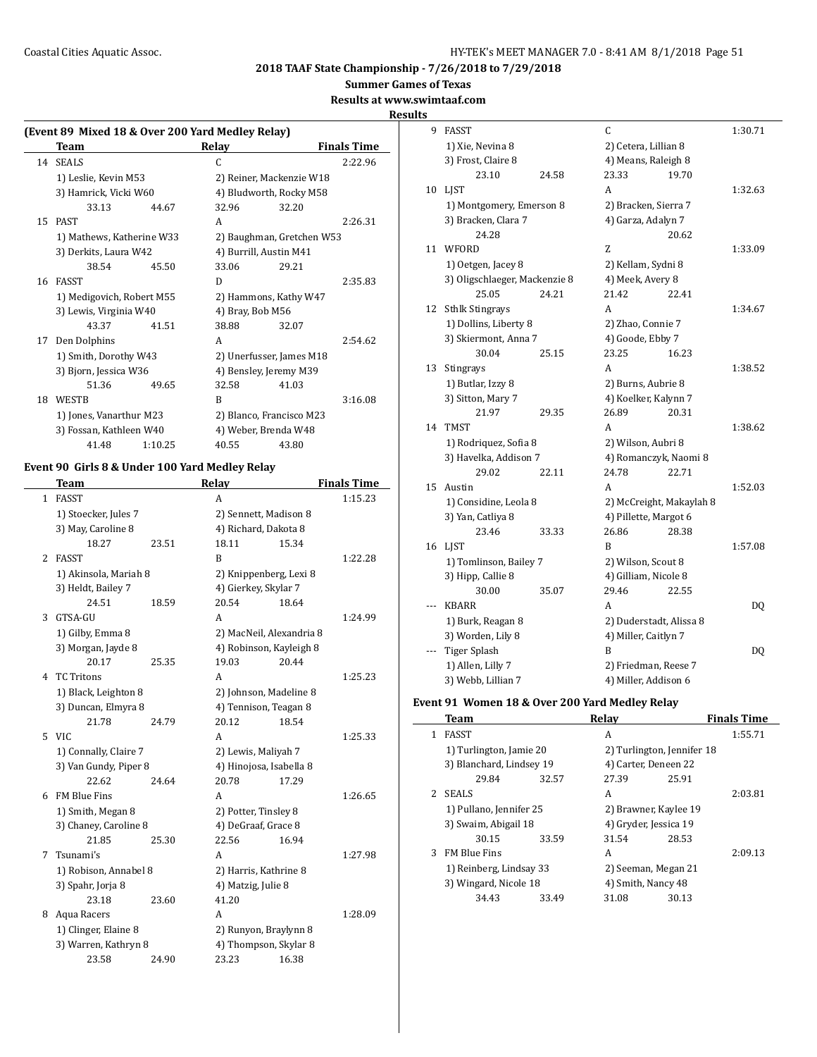**Summer Games of Texas**

## **Results at www.swimtaaf.com**

**Result** 

## **(Event 89 Mixed 18 & Over 200 Yard Medley Relay) Team Relay Finals Time** 14 SEALS C 2:22.96 1) Leslie, Kevin M53 2) Reiner, Mackenzie W18 3) Hamrick, Vicki W60 4) Bludworth, Rocky M58 33.13 44.67 32.96 32.20 15 PAST A 2:26.31 1) Mathews, Katherine W33 2) Baughman, Gretchen W53 3) Derkits, Laura W42 4) Burrill, Austin M41 38.54 45.50 33.06 29.21 16 FASST D 2:35.83 1) Medigovich, Robert M55 2) Hammons, Kathy W47 3) Lewis, Virginia W40 4) Bray, Bob M56 43.37 41.51 38.88 32.07 17 Den Dolphins A 2:54.62 1) Smith, Dorothy W43 2) Unerfusser, James M18 3) Bjorn, Jessica W36 4) Bensley, Jeremy M39 51.36 49.65 32.58 41.03 18 WESTB B 3:16.08 1) Jones, Vanarthur M23 2) Blanco, Francisco M23 3) Fossan, Kathleen W40 4) Weber, Brenda W48 41.48 1:10.25 40.55 43.80

#### **Event 90 Girls 8 & Under 100 Yard Medley Relay**

 $\overline{\phantom{0}}$ 

|    | <b>Team</b>           |       | Relay                    |       | <b>Finals Time</b> |
|----|-----------------------|-------|--------------------------|-------|--------------------|
| 1  | <b>FASST</b>          |       | A                        |       | 1:15.23            |
|    | 1) Stoecker, Jules 7  |       | 2) Sennett, Madison 8    |       |                    |
|    | 3) May, Caroline 8    |       | 4) Richard, Dakota 8     |       |                    |
|    | 18.27                 | 23.51 | 18.11                    | 15.34 |                    |
| 2  | <b>FASST</b>          |       | B                        |       | 1:22.28            |
|    | 1) Akinsola, Mariah 8 |       | 2) Knippenberg, Lexi 8   |       |                    |
|    | 3) Heldt, Bailey 7    |       | 4) Gierkey, Skylar 7     |       |                    |
|    | 24.51                 | 18.59 | 20.54                    | 18.64 |                    |
| 3  | GTSA-GU               |       | A                        |       | 1:24.99            |
|    | 1) Gilby, Emma 8      |       | 2) MacNeil, Alexandria 8 |       |                    |
|    | 3) Morgan, Jayde 8    |       | 4) Robinson, Kayleigh 8  |       |                    |
|    | 20.17                 | 25.35 | 19.03                    | 20.44 |                    |
| 4  | <b>TC Tritons</b>     |       | A                        |       | 1:25.23            |
|    | 1) Black, Leighton 8  |       | 2) Johnson, Madeline 8   |       |                    |
|    | 3) Duncan, Elmyra 8   |       | 4) Tennison, Teagan 8    |       |                    |
|    | 21.78                 | 24.79 | 20.12                    | 18.54 |                    |
| 5. | <b>VIC</b>            |       | A                        |       | 1:25.33            |
|    | 1) Connally, Claire 7 |       | 2) Lewis, Maliyah 7      |       |                    |
|    | 3) Van Gundy, Piper 8 |       | 4) Hinojosa, Isabella 8  |       |                    |
|    | 22.62                 | 24.64 | 20.78                    | 17.29 |                    |
| 6  | <b>FM Blue Fins</b>   |       | А                        |       | 1:26.65            |
|    | 1) Smith, Megan 8     |       | 2) Potter, Tinsley 8     |       |                    |
|    | 3) Chaney, Caroline 8 |       | 4) DeGraaf, Grace 8      |       |                    |
|    | 21.85                 | 25.30 | 22.56                    | 16.94 |                    |
| 7  | Tsunami's             |       | A                        |       | 1:27.98            |
|    | 1) Robison, Annabel 8 |       | 2) Harris, Kathrine 8    |       |                    |
|    | 3) Spahr, Jorja 8     |       | 4) Matzig, Julie 8       |       |                    |
|    | 23.18                 | 23.60 | 41.20                    |       |                    |
| 8  | Aqua Racers           |       | A                        |       | 1:28.09            |
|    | 1) Clinger, Elaine 8  |       | 2) Runyon, Braylynn 8    |       |                    |
|    | 3) Warren, Kathryn 8  |       | 4) Thompson, Skylar 8    |       |                    |
|    | 23.58                 | 24.90 | 23.23                    | 16.38 |                    |

| .s  |                               |       |                       |                          |         |
|-----|-------------------------------|-------|-----------------------|--------------------------|---------|
| 9   | <b>FASST</b>                  |       | C                     |                          | 1:30.71 |
|     | 1) Xie, Nevina 8              |       | 2) Cetera, Lillian 8  |                          |         |
|     | 3) Frost, Claire 8            |       | 4) Means, Raleigh 8   |                          |         |
|     | 23.10                         | 24.58 | 23.33                 | 19.70                    |         |
| 10  | <b>LIST</b>                   |       | A                     |                          | 1:32.63 |
|     | 1) Montgomery, Emerson 8      |       | 2) Bracken, Sierra 7  |                          |         |
|     | 3) Bracken, Clara 7           |       | 4) Garza, Adalyn 7    |                          |         |
|     | 24.28                         |       |                       | 20.62                    |         |
| 11  | WFORD                         |       | Z                     |                          | 1:33.09 |
|     | 1) Oetgen, Jacey 8            |       | 2) Kellam, Sydni 8    |                          |         |
|     | 3) Oligschlaeger, Mackenzie 8 |       | 4) Meek, Avery 8      |                          |         |
|     | 25.05                         | 24.21 | 21.42                 | 22.41                    |         |
| 12  | <b>Sthlk Stingrays</b>        |       | A                     |                          | 1:34.67 |
|     | 1) Dollins, Liberty 8         |       | 2) Zhao, Connie 7     |                          |         |
|     | 3) Skiermont, Anna 7          |       | 4) Goode, Ebby 7      |                          |         |
|     | 30.04                         | 25.15 | 23.25                 | 16.23                    |         |
| 13  | Stingrays                     |       | A                     |                          | 1:38.52 |
|     | 1) Butlar, Izzy 8             |       | 2) Burns, Aubrie 8    |                          |         |
|     | 3) Sitton, Mary 7             |       | 4) Koelker, Kalynn 7  |                          |         |
|     | 21.97                         | 29.35 | 26.89                 | 20.31                    |         |
| 14  | <b>TMST</b>                   |       | A                     |                          | 1:38.62 |
|     | 1) Rodriquez, Sofia 8         |       | 2) Wilson, Aubri 8    |                          |         |
|     | 3) Havelka, Addison 7         |       |                       | 4) Romanczyk, Naomi 8    |         |
|     | 29.02                         | 22.11 | 24.78                 | 22.71                    |         |
| 15  | Austin                        |       | A                     |                          | 1:52.03 |
|     | 1) Considine, Leola 8         |       |                       | 2) McCreight, Makaylah 8 |         |
|     | 3) Yan, Catliya 8             |       | 4) Pillette, Margot 6 |                          |         |
|     | 23.46                         | 33.33 | 26.86                 | 28.38                    |         |
| 16  | LIST                          |       | B                     |                          | 1:57.08 |
|     | 1) Tomlinson, Bailey 7        |       | 2) Wilson, Scout 8    |                          |         |
|     | 3) Hipp, Callie 8             |       | 4) Gilliam, Nicole 8  |                          |         |
|     | 30.00                         | 35.07 | 29.46                 | 22.55                    |         |
| --- | <b>KBARR</b>                  |       | A                     |                          | DQ      |
|     | 1) Burk, Reagan 8             |       |                       | 2) Duderstadt, Alissa 8  |         |
|     | 3) Worden, Lily 8             |       | 4) Miller, Caitlyn 7  |                          |         |
|     | <b>Tiger Splash</b>           |       | B                     |                          | DQ      |
|     | 1) Allen, Lilly 7             |       |                       | 2) Friedman, Reese 7     |         |
|     | 3) Webb, Lillian 7            |       | 4) Miller, Addison 6  |                          |         |

#### **Event 91 Women 18 & Over 200 Yard Medley Relay**

|   | Team                     |       | Relay                      |       | <b>Finals Time</b> |
|---|--------------------------|-------|----------------------------|-------|--------------------|
| 1 | <b>FASST</b>             |       | A                          |       | 1:55.71            |
|   | 1) Turlington, Jamie 20  |       | 2) Turlington, Jennifer 18 |       |                    |
|   | 3) Blanchard, Lindsey 19 |       | 4) Carter, Deneen 22       |       |                    |
|   | 29.84                    | 32.57 | 27.39                      | 25.91 |                    |
| 2 | <b>SEALS</b>             |       | A                          |       | 2:03.81            |
|   | 1) Pullano, Jennifer 25  |       | 2) Brawner, Kaylee 19      |       |                    |
|   | 3) Swaim, Abigail 18     |       | 4) Gryder, Jessica 19      |       |                    |
|   | 30.15                    | 33.59 | 31.54                      | 28.53 |                    |
| 3 | <b>FM Blue Fins</b>      |       | A                          |       | 2:09.13            |
|   | 1) Reinberg, Lindsay 33  |       | 2) Seeman, Megan 21        |       |                    |
|   | 3) Wingard, Nicole 18    |       | 4) Smith, Nancy 48         |       |                    |
|   | 34.43                    | 33.49 | 31.08                      | 30.13 |                    |
|   |                          |       |                            |       |                    |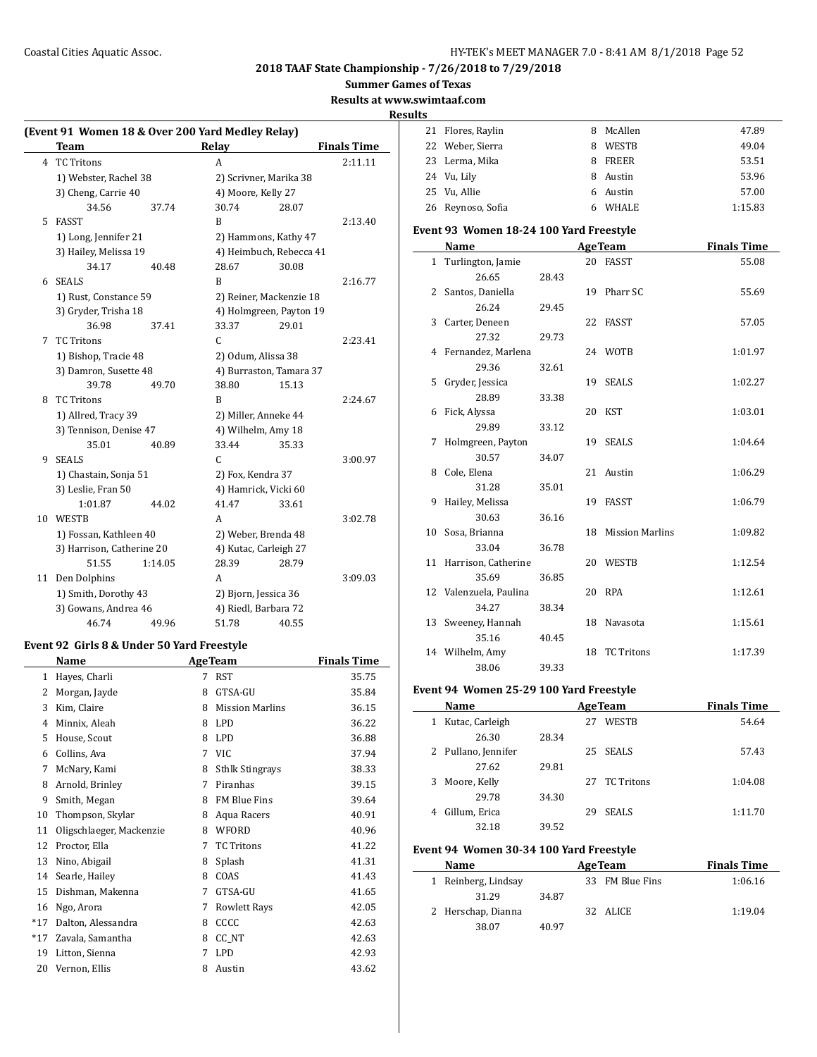**Summer Games of Texas**

# **Results at www.swimtaaf.com**

**Results**

|    | (Event 91 Women 18 & Over 200 Yard Medley Relay) |         |                       |                         |                    |
|----|--------------------------------------------------|---------|-----------------------|-------------------------|--------------------|
|    | <b>Team</b>                                      |         | Relay                 |                         | <b>Finals Time</b> |
| 4  | <b>TC Tritons</b>                                |         | A                     |                         | 2:11.11            |
|    | 1) Webster, Rachel 38                            |         |                       | 2) Scrivner, Marika 38  |                    |
|    | 3) Cheng, Carrie 40                              |         | 4) Moore, Kelly 27    |                         |                    |
|    | 34.56                                            | 37.74   | 30.74                 | 28.07                   |                    |
| 5  | <b>FASST</b>                                     |         | B                     |                         | 2:13.40            |
|    | 1) Long, Jennifer 21                             |         |                       | 2) Hammons, Kathy 47    |                    |
|    | 3) Hailey, Melissa 19                            |         |                       | 4) Heimbuch, Rebecca 41 |                    |
|    | 34.17                                            | 40.48   | 28.67                 | 30.08                   |                    |
| 6  | <b>SEALS</b>                                     |         | B                     |                         | 2:16.77            |
|    | 1) Rust, Constance 59                            |         |                       | 2) Reiner, Mackenzie 18 |                    |
|    | 3) Gryder, Trisha 18                             |         |                       | 4) Holmgreen, Payton 19 |                    |
|    | 36.98                                            | 37.41   | 33.37                 | 29.01                   |                    |
| 7  | <b>TC</b> Tritons                                |         | C                     |                         | 2:23.41            |
|    | 1) Bishop, Tracie 48                             |         | 2) Odum, Alissa 38    |                         |                    |
|    | 3) Damron, Susette 48                            |         |                       | 4) Burraston, Tamara 37 |                    |
|    | 39.78                                            | 49.70   | 38.80                 | 15.13                   |                    |
| 8  | <b>TC Tritons</b>                                |         | B                     |                         | 2:24.67            |
|    | 1) Allred, Tracy 39                              |         | 2) Miller, Anneke 44  |                         |                    |
|    | 3) Tennison, Denise 47                           |         | 4) Wilhelm, Amy 18    |                         |                    |
|    | 35.01                                            | 40.89   | 33.44                 | 35.33                   |                    |
| 9  | <b>SEALS</b>                                     |         | C                     |                         | 3:00.97            |
|    | 1) Chastain, Sonja 51                            |         | 2) Fox, Kendra 37     |                         |                    |
|    | 3) Leslie, Fran 50                               |         | 4) Hamrick, Vicki 60  |                         |                    |
|    | 1:01.87                                          | 44.02   | 41.47                 | 33.61                   |                    |
| 10 | <b>WESTB</b>                                     |         | A                     |                         | 3:02.78            |
|    | 1) Fossan, Kathleen 40                           |         | 2) Weber, Brenda 48   |                         |                    |
|    | 3) Harrison, Catherine 20                        |         | 4) Kutac, Carleigh 27 |                         |                    |
|    | 51.55                                            | 1:14.05 | 28.39                 | 28.79                   |                    |
| 11 | Den Dolphins                                     |         | A                     |                         | 3:09.03            |
|    | 1) Smith, Dorothy 43                             |         | 2) Bjorn, Jessica 36  |                         |                    |
|    | 3) Gowans, Andrea 46                             |         | 4) Riedl, Barbara 72  |                         |                    |
|    | 46.74                                            | 49.96   | 51.78                 | 40.55                   |                    |

## **Event 92 Girls 8 & Under 50 Yard Freestyle**

|       | Name                     |   | <b>AgeTeam</b>         | <b>Finals Time</b> |
|-------|--------------------------|---|------------------------|--------------------|
| 1     | Hayes, Charli            | 7 | <b>RST</b>             | 35.75              |
| 2     | Morgan, Jayde            | 8 | GTSA-GU                | 35.84              |
| 3     | Kim, Claire              | 8 | <b>Mission Marlins</b> | 36.15              |
| 4     | Minnix, Aleah            | 8 | <b>LPD</b>             | 36.22              |
| 5     | House, Scout             | 8 | <b>LPD</b>             | 36.88              |
| 6     | Collins, Ava             | 7 | VIC                    | 37.94              |
| 7     | McNary, Kami             | 8 | <b>Sthlk Stingrays</b> | 38.33              |
| 8     | Arnold, Brinley          | 7 | Piranhas               | 39.15              |
| 9     | Smith, Megan             | 8 | <b>FM Blue Fins</b>    | 39.64              |
| 10    | Thompson, Skylar         | 8 | Aqua Racers            | 40.91              |
| 11    | Oligschlaeger, Mackenzie | 8 | <b>WFORD</b>           | 40.96              |
| 12    | Proctor, Ella            | 7 | <b>TC Tritons</b>      | 41.22              |
| 13    | Nino, Abigail            | 8 | Splash                 | 41.31              |
| 14    | Searle, Hailey           | 8 | COAS                   | 41.43              |
| 15    | Dishman, Makenna         | 7 | GTSA-GU                | 41.65              |
| 16    | Ngo, Arora               | 7 | <b>Rowlett Rays</b>    | 42.05              |
| $*17$ | Dalton, Alessandra       | 8 | CCCC                   | 42.63              |
| $*17$ | Zavala, Samantha         | 8 | CC_NT                  | 42.63              |
| 19    | Litton, Sienna           | 7 | <b>LPD</b>             | 42.93              |
| 20    | Vernon, Ellis            | 8 | Austin                 | 43.62              |
|       |                          |   |                        |                    |

| د. |                   |    |              |         |
|----|-------------------|----|--------------|---------|
|    | 21 Flores, Raylin | 8  | McAllen      | 47.89   |
|    | 22 Weber, Sierra  | 8  | WESTB        | 49.04   |
|    | 23 Lerma, Mika    | 8  | <b>FREER</b> | 53.51   |
|    | 24 Vu, Lily       | 8  | Austin       | 53.96   |
|    | 25 Vu, Allie      | 6. | Austin       | 57.00   |
|    | 26 Reynoso, Sofia | 6  | <b>WHALE</b> | 1:15.83 |
|    |                   |    |              |         |

## **Event 93 Women 18-24 100 Yard Freestyle**

|              | Name                            |       |    | <b>AgeTeam</b>     | <b>Finals Time</b> |
|--------------|---------------------------------|-------|----|--------------------|--------------------|
| $\mathbf{1}$ | Turlington, Jamie               |       |    | 20 FASST           | 55.08              |
|              | 26.65                           | 28.43 |    |                    |                    |
|              | 2 Santos, Daniella              |       |    | 19 Pharr SC        | 55.69              |
|              | 26.24                           | 29.45 |    |                    |                    |
|              | 3 Carter, Deneen                |       |    | 22 FASST           | 57.05              |
|              | 27.32                           | 29.73 |    |                    |                    |
|              | 4 Fernandez, Marlena            |       |    | 24 WOTB            | 1:01.97            |
|              | 29.36                           | 32.61 |    |                    |                    |
|              | 5 Gryder, Jessica               |       |    | 19 SEALS           | 1:02.27            |
|              | 28.89                           | 33.38 |    |                    |                    |
|              | 6 Fick, Alyssa                  |       |    | 20 KST             | 1:03.01            |
|              | 29.89                           | 33.12 |    |                    |                    |
| 7            | Holmgreen, Payton               |       |    | 19 SEALS           | 1:04.64            |
|              | 30.57                           | 34.07 |    |                    |                    |
|              | 8 Cole, Elena                   |       |    | 21 Austin          | 1:06.29            |
|              | 31.28                           | 35.01 |    |                    |                    |
| 9            | Hailey, Melissa                 |       |    | 19 FASST           | 1:06.79            |
|              | 30.63                           | 36.16 |    |                    |                    |
|              | 10 Sosa, Brianna                |       |    | 18 Mission Marlins | 1:09.82            |
|              | 33.04                           | 36.78 |    |                    |                    |
|              | 11 Harrison, Catherine<br>35.69 | 36.85 |    | 20 WESTB           | 1:12.54            |
|              | 12 Valenzuela, Paulina          |       |    | 20 RPA             | 1:12.61            |
|              | 34.27                           | 38.34 |    |                    |                    |
|              | 13 Sweeney, Hannah              |       |    | 18 Navasota        | 1:15.61            |
|              | 35.16                           | 40.45 |    |                    |                    |
|              | 14 Wilhelm, Amy                 |       | 18 | <b>TC Tritons</b>  | 1:17.39            |
|              | 38.06                           | 39.33 |    |                    |                    |

## **Event 94 Women 25-29 100 Yard Freestyle**

|   | Name                |       |    | <b>AgeTeam</b> | <b>Finals Time</b> |
|---|---------------------|-------|----|----------------|--------------------|
| 1 | Kutac, Carleigh     |       | 27 | <b>WESTB</b>   | 54.64              |
|   | 26.30               | 28.34 |    |                |                    |
|   | 2 Pullano, Jennifer |       |    | 25 SEALS       | 57.43              |
|   | 27.62               | 29.81 |    |                |                    |
| 3 | Moore, Kelly        |       |    | 27 TC Tritons  | 1:04.08            |
|   | 29.78               | 34.30 |    |                |                    |
| 4 | Gillum, Erica       |       | 29 | <b>SEALS</b>   | 1:11.70            |
|   | 32.18               | 39.52 |    |                |                    |

## **Event 94 Women 30-34 100 Yard Freestyle**

| Name                |       | <b>AgeTeam</b>  | <b>Finals Time</b> |
|---------------------|-------|-----------------|--------------------|
| 1 Reinberg, Lindsay |       | 33 FM Blue Fins | 1:06.16            |
| 31.29               | 34.87 |                 |                    |
| 2 Herschap, Dianna  |       | 32 ALICE        | 1:19.04            |
| 38.07               | 40.97 |                 |                    |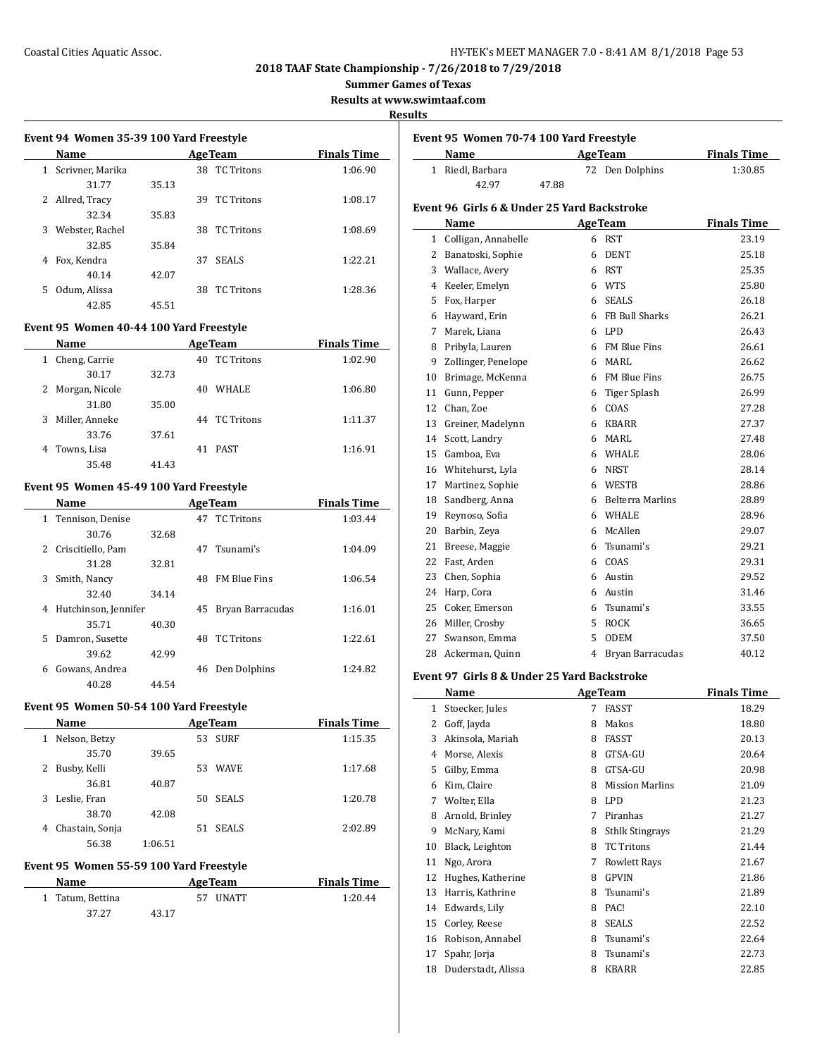#### Coastal Cities Aquatic Assoc. HY-TEK's MEET MANAGER 7.0 - 8:41 AM 8/1/2018 Page 53

**2018 TAAF State Championship - 7/26/2018 to 7/29/2018**

**Summer Games of Texas**

**Results at www.swimtaaf.com**

**Results**

|   | Name             |       |     | <b>AgeTeam</b>    | <b>Finals Time</b> |
|---|------------------|-------|-----|-------------------|--------------------|
| 1 | Scrivner, Marika |       | 38  | <b>TC Tritons</b> | 1:06.90            |
|   | 31.77            | 35.13 |     |                   |                    |
| 2 | Allred, Tracy    |       | 39. | <b>TC</b> Tritons | 1:08.17            |
|   | 32.34            | 35.83 |     |                   |                    |
| 3 | Webster, Rachel  |       | 38  | <b>TC</b> Tritons | 1:08.69            |
|   | 32.85            | 35.84 |     |                   |                    |
| 4 | Fox, Kendra      |       | 37  | <b>SEALS</b>      | 1:22.21            |
|   | 40.14            | 42.07 |     |                   |                    |
| 5 | Odum, Alissa     |       | 38  | <b>TC</b> Tritons | 1:28.36            |
|   | 42.85            | 45.51 |     |                   |                    |

#### **Event 95 Women 40-44 100 Yard Freestyle**

|   | Name             |       | <b>Age Team</b>         | <b>Finals Time</b> |
|---|------------------|-------|-------------------------|--------------------|
| 1 | Cheng, Carrie    |       | <b>TC Tritons</b><br>40 | 1:02.90            |
|   | 30.17            | 32.73 |                         |                    |
|   | 2 Morgan, Nicole |       | <b>WHALE</b><br>40      | 1:06.80            |
|   | 31.80            | 35.00 |                         |                    |
| 3 | Miller, Anneke   |       | TC Tritons<br>44        | 1:11.37            |
|   | 33.76            | 37.61 |                         |                    |
| 4 | Towns, Lisa      |       | PAST<br>41              | 1:16.91            |
|   | 35.48            | 41.43 |                         |                    |

#### **Event 95 Women 45-49 100 Yard Freestyle**

|    | <b>Name</b>          |       |    | <b>AgeTeam</b>      | <b>Finals Time</b> |
|----|----------------------|-------|----|---------------------|--------------------|
|    | 1 Tennison, Denise   |       | 47 | <b>TC</b> Tritons   | 1:03.44            |
|    | 30.76                | 32.68 |    |                     |                    |
|    | 2 Criscitiello, Pam  |       |    | 47 Tsunami's        | 1:04.09            |
|    | 31.28                | 32.81 |    |                     |                    |
| 3  | Smith, Nancy         |       | 48 | <b>FM Blue Fins</b> | 1:06.54            |
|    | 32.40                | 34.14 |    |                     |                    |
| 4  | Hutchinson, Jennifer |       | 45 | Bryan Barracudas    | 1:16.01            |
|    | 35.71                | 40.30 |    |                     |                    |
| 5. | Damron, Susette      |       | 48 | <b>TC</b> Tritons   | 1:22.61            |
|    | 39.62                | 42.99 |    |                     |                    |
| 6  | Gowans, Andrea       |       | 46 | Den Dolphins        | 1:24.82            |
|    | 40.28                | 44.54 |    |                     |                    |

#### **Event 95 Women 50-54 100 Yard Freestyle**

|              | <b>Name</b>     |         |     | <b>Age Team</b> | <b>Finals Time</b> |
|--------------|-----------------|---------|-----|-----------------|--------------------|
| 1            | Nelson, Betzy   |         | 53  | <b>SURF</b>     | 1:15.35            |
|              | 35.70           | 39.65   |     |                 |                    |
| $\mathbf{2}$ | Busby, Kelli    |         | 53  | <b>WAVE</b>     | 1:17.68            |
|              | 36.81           | 40.87   |     |                 |                    |
| 3            | Leslie, Fran    |         | 50. | <b>SEALS</b>    | 1:20.78            |
|              | 38.70           | 42.08   |     |                 |                    |
| 4            | Chastain, Sonja |         | 51. | <b>SEALS</b>    | 2:02.89            |
|              | 56.38           | 1:06.51 |     |                 |                    |

#### **Event 95 Women 55-59 100 Yard Freestyle**

| Name             |       | <b>AgeTeam</b> | <b>Finals Time</b> |
|------------------|-------|----------------|--------------------|
| 1 Tatum. Bettina |       | 57 UNATT       | 1:20.44            |
| 37.27            | 43.17 |                |                    |

|    | Name           |       | <b>AgeTeam</b>  | <b>Finals Time</b> |
|----|----------------|-------|-----------------|--------------------|
| 1. | Riedl, Barbara |       | 72 Den Dolphins | 1:30.85            |
|    | 42.97          | 47.88 |                 |                    |

## **Name Age Team Finals Time** 1 Colligan, Annabelle 6 RST 23.19 2 Banatoski, Sophie 6 DENT 25.18 3 Wallace, Avery 6 RST 25.35 4 Keeler, Emelyn 6 WTS 25.80 5 Fox, Harper 6 SEALS 26.18 6 Hayward, Erin 6 FB Bull Sharks 26.21 7 Marek, Liana 6 LPD 26.43 8 Pribyla, Lauren 6 FM Blue Fins 26.61 9 Zollinger, Penelope 6 MARL 26.62 10 Brimage, McKenna 6 FM Blue Fins 26.75 11 Gunn, Pepper 6 Tiger Splash 26.99 12 Chan, Zoe 6 COAS 27.28 13 Greiner, Madelynn 6 KBARR 27.37 14 Scott, Landry 6 MARL 27.48 15 Gamboa, Eva 6 WHALE 28.06 16 Whitehurst, Lyla 6 NRST 28.14 17 Martinez, Sophie 6 WESTB 28.86 18 Sandberg, Anna 6 Belterra Marlins 28.89 19 Reynoso, Sofia 6 WHALE 28.96 20 Barbin, Zeya 6 McAllen 29.07 21 Breese, Maggie 6 Tsunami's 29.21 22 Fast, Arden 6 COAS 29.31 23 Chen, Sophia 6 Austin 29.52 24 Harp, Cora 6 Austin 31.46 25 Coker, Emerson 6 Tsunami's 33.55

26 Miller, Crosby 5 ROCK 36.65 27 Swanson, Emma 5 ODEM 37.50 28 Ackerman, Quinn 4 Bryan Barracudas 40.12

# **Event 97 Girls 8 & Under 25 Yard Backstroke**

|    | Name               |   | <b>AgeTeam</b>         | Finals Time |
|----|--------------------|---|------------------------|-------------|
| 1  | Stoecker, Jules    | 7 | FASST                  | 18.29       |
| 2  | Goff, Jayda        | 8 | Makos                  | 18.80       |
| 3  | Akinsola, Mariah   | 8 | FASST                  | 20.13       |
| 4  | Morse, Alexis      | 8 | GTSA-GU                | 20.64       |
| 5  | Gilby, Emma        | 8 | GTSA-GU                | 20.98       |
| 6  | Kim, Claire        | 8 | <b>Mission Marlins</b> | 21.09       |
| 7  | Wolter, Ella       | 8 | LPD.                   | 21.23       |
| 8  | Arnold, Brinley    | 7 | Piranhas               | 21.27       |
| 9  | McNary, Kami       | 8 | <b>Sthlk Stingrays</b> | 21.29       |
| 10 | Black, Leighton    | 8 | <b>TC Tritons</b>      | 21.44       |
| 11 | Ngo, Arora         | 7 | <b>Rowlett Rays</b>    | 21.67       |
| 12 | Hughes, Katherine  | 8 | <b>GPVIN</b>           | 21.86       |
| 13 | Harris, Kathrine   | 8 | Tsunami's              | 21.89       |
| 14 | Edwards, Lily      | 8 | PAC!                   | 22.10       |
| 15 | Corley, Reese      | 8 | <b>SEALS</b>           | 22.52       |
| 16 | Robison, Annabel   | 8 | Tsunami's              | 22.64       |
| 17 | Spahr, Jorja       | 8 | Tsunami's              | 22.73       |
| 18 | Duderstadt, Alissa | 8 | <b>KBARR</b>           | 22.85       |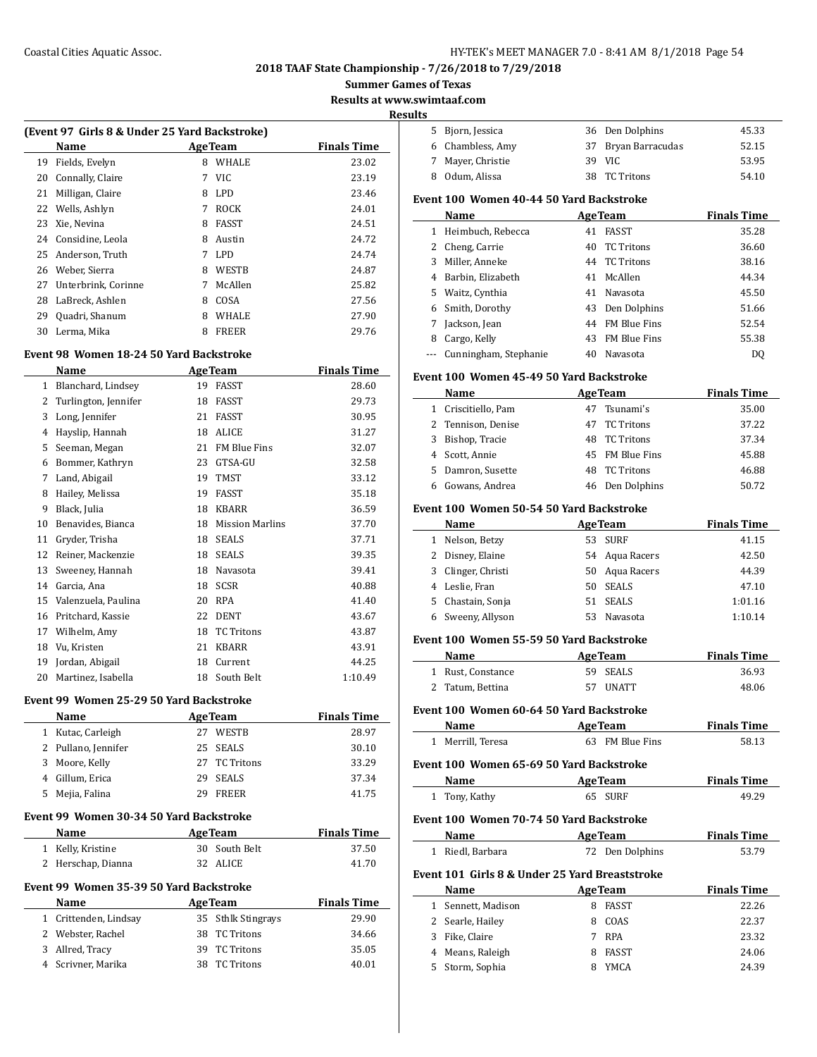#### Coastal Cities Aquatic Assoc. HY-TEK's MEET MANAGER 7.0 - 8:41 AM 8/1/2018 Page 54

**2018 TAAF State Championship - 7/26/2018 to 7/29/2018**

**Summer Games of Texas**

**Results at www.swig** 

**Resu** 

|    | (Event 97 Girls 8 & Under 25 Yard Backstroke) |    |                 |                    |
|----|-----------------------------------------------|----|-----------------|--------------------|
|    | Name                                          |    | <b>Age Team</b> | <b>Finals Time</b> |
| 19 | Fields, Evelyn                                | 8  | WHALE           | 23.02              |
| 20 | Connally, Claire                              | 7  | <b>VIC</b>      | 23.19              |
| 21 | Milligan, Claire                              | 8  | LPD.            | 23.46              |
| 22 | Wells, Ashlyn                                 | 7  | <b>ROCK</b>     | 24.01              |
| 23 | Xie, Nevina                                   | 8  | FASST           | 24.51              |
| 24 | Considine, Leola                              | 8  | Austin          | 24.72              |
| 25 | Anderson, Truth                               | 7  | <b>LPD</b>      | 24.74              |
| 26 | Weber, Sierra                                 | 8  | WESTB           | 24.87              |
| 27 | Unterbrink, Corinne                           | 7  | McAllen         | 25.82              |
| 28 | LaBreck, Ashlen                               | 8  | COSA            | 27.56              |
| 29 | Quadri, Shanum                                | 8  | <b>WHALE</b>    | 27.90              |
| 30 | Lerma, Mika                                   | 8  | <b>FREER</b>    | 29.76              |
|    | Event 98 Women 18-24 50 Yard Backstroke       |    |                 |                    |
|    | Name                                          |    | <b>Age Team</b> | <b>Finals Time</b> |
| 1  | Blanchard, Lindsey                            | 19 | <b>FASST</b>    | 28.60              |

| Ŧ. | Diditulidi u, Lillusev | 17 | 1 GGATI                | 20.OU   |
|----|------------------------|----|------------------------|---------|
| 2  | Turlington, Jennifer   | 18 | <b>FASST</b>           | 29.73   |
| 3  | Long, Jennifer         | 21 | <b>FASST</b>           | 30.95   |
| 4  | Hayslip, Hannah        | 18 | ALICE                  | 31.27   |
| 5  | Seeman, Megan          | 21 | FM Blue Fins           | 32.07   |
| 6  | Bommer, Kathryn        | 23 | GTSA-GU                | 32.58   |
| 7  | Land, Abigail          | 19 | <b>TMST</b>            | 33.12   |
| 8  | Hailey, Melissa        | 19 | <b>FASST</b>           | 35.18   |
| 9  | Black, Julia           | 18 | <b>KBARR</b>           | 36.59   |
| 10 | Benavides, Bianca      | 18 | <b>Mission Marlins</b> | 37.70   |
| 11 | Gryder, Trisha         | 18 | <b>SEALS</b>           | 37.71   |
| 12 | Reiner, Mackenzie      | 18 | <b>SEALS</b>           | 39.35   |
| 13 | Sweeney, Hannah        | 18 | Navasota               | 39.41   |
| 14 | Garcia, Ana            | 18 | <b>SCSR</b>            | 40.88   |
| 15 | Valenzuela, Paulina    | 20 | <b>RPA</b>             | 41.40   |
| 16 | Pritchard, Kassie      | 22 | <b>DENT</b>            | 43.67   |
| 17 | Wilhelm, Amy           | 18 | <b>TC Tritons</b>      | 43.87   |
| 18 | Vu, Kristen            | 21 | <b>KBARR</b>           | 43.91   |
| 19 | Jordan, Abigail        | 18 | Current                | 44.25   |
| 20 | Martinez, Isabella     | 18 | South Belt             | 1:10.49 |

#### **Event 99 Women 25-29 50 Yard Backstroke**

|   | Name                                            |    | <b>AgeTeam</b>         | <b>Finals Time</b> |
|---|-------------------------------------------------|----|------------------------|--------------------|
| 1 | Kutac, Carleigh                                 | 27 | <b>WESTB</b>           | 28.97              |
| 2 | Pullano, Jennifer                               | 25 | <b>SEALS</b>           | 30.10              |
| 3 | Moore, Kelly                                    | 27 | <b>TC Tritons</b>      | 33.29              |
| 4 | Gillum, Erica                                   | 29 | <b>SEALS</b>           | 37.34              |
| 5 | Mejia, Falina                                   | 29 | <b>FREER</b>           | 41.75              |
|   | Event 99 Women 30-34 50 Yard Backstroke<br>Name |    | <b>Age Team</b>        | <b>Finals Time</b> |
| 1 | Kelly, Kristine                                 |    | 30 South Belt          | 37.50              |
| 2 | Herschap, Dianna                                | 32 | ALICE                  | 41.70              |
|   | Event 99 Women 35-39 50 Yard Backstroke<br>Name |    | <b>Age Team</b>        | <b>Finals Time</b> |
| 1 | Crittenden, Lindsay                             | 35 | <b>Sthlk Stingrays</b> | 29.90              |
| 2 | Webster, Rachel                                 | 38 | <b>TC Tritons</b>      | 34.66              |

 Allred, Tracy 39 TC Tritons 35.05 Scrivner, Marika 38 TC Tritons 40.01

|                       | swimtaaf.com                                   |    |                   |                    |
|-----------------------|------------------------------------------------|----|-------------------|--------------------|
| ılts                  |                                                |    |                   |                    |
|                       | 5 Bjorn, Jessica                               |    | 36 Den Dolphins   | 45.33              |
|                       | 6 Chambless, Amy                               | 37 | Bryan Barracudas  | 52.15              |
|                       | 7 Mayer, Christie                              |    | 39 VIC            | 53.95              |
|                       | 8 Odum, Alissa                                 |    | 38 TC Tritons     | 54.10              |
|                       | Event 100 Women 40-44 50 Yard Backstroke       |    |                   |                    |
|                       |                                                |    |                   |                    |
|                       | Name                                           |    | <b>AgeTeam</b>    | <b>Finals Time</b> |
|                       | 1 Heimbuch, Rebecca                            | 41 | FASST             | 35.28              |
|                       | 2 Cheng, Carrie                                |    | 40 TC Tritons     | 36.60              |
| 3                     | Miller, Anneke                                 |    | 44 TC Tritons     | 38.16              |
|                       | 4 Barbin, Elizabeth                            |    | 41 McAllen        | 44.34              |
|                       | 5 Waitz, Cynthia                               |    | 41 Navasota       | 45.50              |
| 6                     | Smith, Dorothy                                 |    | 43 Den Dolphins   | 51.66              |
| 7                     | Jackson, Jean                                  |    | 44 FM Blue Fins   | 52.54              |
| 8                     | Cargo, Kelly                                   |    | 43 FM Blue Fins   | 55.38              |
| ---                   | Cunningham, Stephanie                          | 40 | Navasota          | DQ                 |
|                       | Event 100 Women 45-49 50 Yard Backstroke       |    |                   |                    |
|                       | Name                                           |    | <b>AgeTeam</b>    | <b>Finals Time</b> |
|                       | 1 Criscitiello, Pam                            |    | 47 Tsunami's      | 35.00              |
| $\mathbf{2}^{\prime}$ | Tennison, Denise                               | 47 | <b>TC Tritons</b> | 37.22              |
| 3                     | Bishop, Tracie                                 |    | 48 TC Tritons     | 37.34              |
|                       | 4 Scott, Annie                                 |    | 45 FM Blue Fins   | 45.88              |
| 5                     | Damron, Susette                                | 48 | <b>TC Tritons</b> | 46.88              |
|                       | 6 Gowans, Andrea                               | 46 | Den Dolphins      | 50.72              |
|                       |                                                |    |                   |                    |
|                       | Event 100 Women 50-54 50 Yard Backstroke       |    |                   |                    |
|                       | Name                                           |    | <b>AgeTeam</b>    | <b>Finals Time</b> |
|                       | 1 Nelson, Betzy                                | 53 | <b>SURF</b>       | 41.15              |
| 2                     | Disney, Elaine                                 |    | 54 Aqua Racers    | 42.50              |
| 3                     | Clinger, Christi                               |    | 50 Aqua Racers    | 44.39              |
|                       | 4 Leslie, Fran                                 |    | 50 SEALS          | 47.10              |
| 5                     | Chastain, Sonja                                |    | 51 SEALS          | 1:01.16            |
|                       | 6 Sweeny, Allyson                              |    | 53 Navasota       | 1:10.14            |
|                       | Event 100 Women 55-59 50 Yard Backstroke       |    |                   |                    |
|                       | Name                                           |    | <b>AgeTeam</b>    | <b>Finals Time</b> |
|                       | 1 Rust, Constance                              | 59 | <b>SEALS</b>      | 36.93              |
| $\mathbf{2}^{\prime}$ | Tatum, Bettina                                 | 57 | <b>UNATT</b>      | 48.06              |
|                       | Event 100 Women 60-64 50 Yard Backstroke       |    |                   |                    |
|                       | Name                                           |    | <b>AgeTeam</b>    | <b>Finals Time</b> |
| $\mathbf{1}$          | Merrill, Teresa                                |    | 63 FM Blue Fins   | 58.13              |
|                       |                                                |    |                   |                    |
|                       | Event 100  Women 65-69 50 Yard Backstroke      |    |                   |                    |
|                       | Name                                           |    | <b>AgeTeam</b>    | <b>Finals Time</b> |
| $1\,$                 | Tony, Kathy                                    |    | 65 SURF           | 49.29              |
|                       | Event 100 Women 70-74 50 Yard Backstroke       |    |                   |                    |
|                       | Name                                           |    | <b>AgeTeam</b>    | <b>Finals Time</b> |
|                       | 1 Riedl, Barbara                               |    | 72 Den Dolphins   | 53.79              |
|                       | Event 101 Girls 8 & Under 25 Yard Breaststroke |    |                   |                    |
|                       | Name                                           |    | <b>AgeTeam</b>    | <b>Finals Time</b> |
|                       | 1 Sennett, Madison                             |    | 8 FASST           | 22.26              |
|                       | 2 Searle, Hailey                               |    | 8 COAS            | 22.37              |
| 3                     | Fike, Claire                                   |    | 7 RPA             | 23.32              |
|                       | 4 Means, Raleigh                               |    | 8 FASST           | 24.06              |
|                       | 5 Storm, Sophia                                |    | 8 YMCA            | 24.39              |
|                       |                                                |    |                   |                    |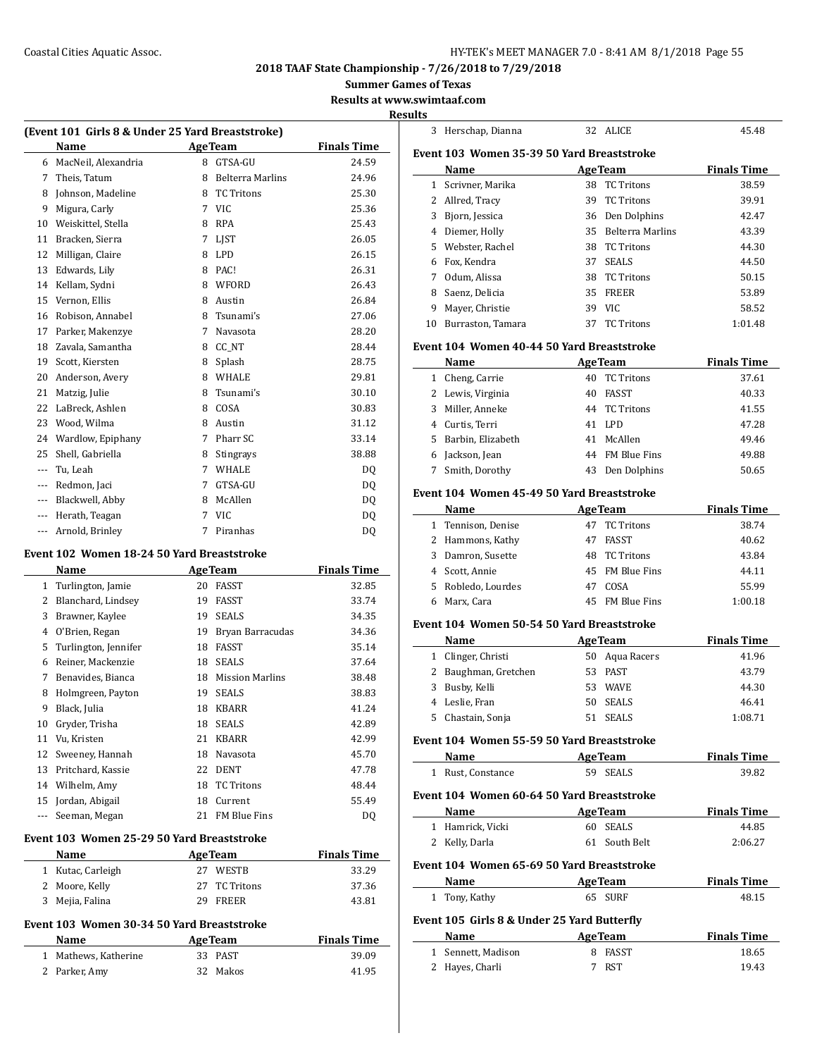## Coastal Cities Aquatic Assoc. **Exercise 20 and Secure 20 and Secure 20 and Secure 20 and Secure 20 and Secure 20 and Secure 20 and Secure 20 and Secure 20 and Secure 20 and Secure 20 and Secure 20 and Secure 20 and Secure**

## **2018 TAAF State Championship - 7/26/2018 to 7/29/2018**

**Summer Games of Texas**

**Results at www.swimtaaf.com**

#### **Results**

|               | (Event 101 Girls 8 & Under 25 Yard Breaststroke) |    |                         |                    |
|---------------|--------------------------------------------------|----|-------------------------|--------------------|
|               | Name                                             |    | <b>AgeTeam</b>          | <b>Finals Time</b> |
| 6             | MacNeil. Alexandria                              | 8  | GTSA-GU                 | 24.59              |
| 7             | Theis, Tatum                                     | 8  | <b>Belterra Marlins</b> | 24.96              |
| 8             | Johnson, Madeline                                | 8  | <b>TC Tritons</b>       | 25.30              |
| 9             | Migura, Carly                                    | 7  | <b>VIC</b>              | 25.36              |
| 10            | Weiskittel, Stella                               | 8  | <b>RPA</b>              | 25.43              |
| 11            | Bracken, Sierra                                  | 7  | LJST                    | 26.05              |
| 12            | Milligan, Claire                                 | 8  | LPD                     | 26.15              |
| 13            | Edwards, Lily                                    | 8  | PAC!                    | 26.31              |
|               | 14 Kellam, Sydni                                 | 8  | WFORD                   | 26.43              |
| 15            | Vernon, Ellis                                    | 8  | Austin                  | 26.84              |
|               | 16 Robison, Annabel                              | 8  | Tsunami's               | 27.06              |
|               | 17 Parker, Makenzye                              | 7  | Navasota                | 28.20              |
| 18            | Zavala, Samantha                                 | 8  | CC_NT                   | 28.44              |
| 19            | Scott, Kiersten                                  | 8  | Splash                  | 28.75              |
| 20            | Anderson, Avery                                  | 8  | WHALE                   | 29.81              |
| 21            | Matzig, Julie                                    | 8  | Tsunami's               | 30.10              |
| 22            | LaBreck, Ashlen                                  | 8  | COSA                    | 30.83              |
| 23            | Wood, Wilma                                      | 8  | Austin                  | 31.12              |
| 24            | Wardlow, Epiphany                                | 7  | Pharr SC                | 33.14              |
| 25            | Shell, Gabriella                                 | 8  | Stingrays               | 38.88              |
| $---$         | Tu, Leah                                         | 7  | WHALE                   | DQ                 |
| $\cdots$      | Redmon, Jaci                                     | 7  | GTSA-GU                 | DQ                 |
|               | --- Blackwell, Abby                              | 8  | McAllen                 | DQ                 |
|               | --- Herath, Teagan                               | 7  | <b>VIC</b>              | DQ                 |
| ---           | Arnold, Brinley                                  | 7  | Piranhas                | DQ                 |
|               | Event 102  Women 18-24 50 Yard Breaststroke      |    |                         |                    |
|               | Name                                             |    | <b>Age Team</b>         | <b>Finals Time</b> |
| 1             | Turlington, Jamie                                | 20 | FASST                   | 32.85              |
| $\mathbf{2}$  | Blanchard, Lindsey                               | 19 | FASST                   | 33.74              |
| 3             | Brawner, Kaylee                                  | 19 | <b>SEALS</b>            | 34.35              |
|               | 4 O'Brien, Regan                                 | 19 | Bryan Barracudas        | 34.36              |
| 5             | Turlington, Jennifer                             | 18 | FASST                   | 35.14              |
| 6             | Reiner, Mackenzie                                | 18 | <b>SEALS</b>            | 37.64              |
| 7             | Benavides, Bianca                                | 18 | <b>Mission Marlins</b>  | 38.48              |
| 8             | Holmgreen, Payton                                | 19 | SEALS                   | 38.83              |
| 9             | Black, Julia                                     | 18 | KBARR                   | 41.24              |
| 10            | Gryder, Trisha                                   | 18 | SEALS                   | 42.89              |
| 11            | Vu, Kristen                                      | 21 | <b>KBARR</b>            | 42.99              |
| 12            | Sweeney, Hannah                                  | 18 | Navasota                | 45.70              |
| 13            | Pritchard, Kassie                                | 22 | DENT                    | 47.78              |
|               | 14 Wilhelm, Amy                                  | 18 | <b>TC Tritons</b>       | 48.44              |
|               | 15 Jordan, Abigail                               | 18 | Current                 | 55.49              |
| $\frac{1}{2}$ | Seeman, Megan                                    |    | 21 FM Blue Fins         | DQ                 |
|               | Event 103 Women 25-29 50 Yard Breaststroke       |    |                         |                    |
|               | Name                                             |    | <b>AgeTeam</b>          | <b>Finals Time</b> |
|               | 1 Kutac, Carleigh                                |    | 27 WESTB                | 33.29              |
|               | 2 Moore, Kelly                                   | 27 | <b>TC Tritons</b>       | 37.36              |
|               | 3 Mejia, Falina                                  | 29 | FREER                   | 43.81              |
|               | Event 103 Women 30-34 50 Yard Breaststroke       |    |                         |                    |
|               | Name                                             |    | <b>AgeTeam</b>          | <b>Finals Time</b> |
|               |                                                  |    |                         |                    |

 Mathews, Katherine 33 PAST 39.09 Parker, Amy 32 Makos 41.95

| 3 | Herschap, Dianna                                                                                                                                                                                                               |    | 32 ALICE            | 45.48              |
|---|--------------------------------------------------------------------------------------------------------------------------------------------------------------------------------------------------------------------------------|----|---------------------|--------------------|
|   | Event 103 Women 35-39 50 Yard Breaststroke                                                                                                                                                                                     |    |                     |                    |
|   | Name                                                                                                                                                                                                                           |    | <b>AgeTeam</b>      | <b>Finals Time</b> |
|   | 1 Scrivner, Marika                                                                                                                                                                                                             |    | 38 TC Tritons       | 38.59              |
|   | 2 Allred, Tracy                                                                                                                                                                                                                |    | 39 TC Tritons       | 39.91              |
|   | 3 Bjorn, Jessica                                                                                                                                                                                                               |    | 36 Den Dolphins     | 42.47              |
|   | 4 Diemer, Holly                                                                                                                                                                                                                |    | 35 Belterra Marlins | 43.39              |
|   | 5 Webster, Rachel                                                                                                                                                                                                              | 38 | <b>TC Tritons</b>   | 44.30              |
|   | 6 Fox, Kendra                                                                                                                                                                                                                  |    | 37 SEALS            | 44.50              |
|   | 7 Odum, Alissa                                                                                                                                                                                                                 |    | 38 TC Tritons       | 50.15              |
|   | 8 Saenz, Delicia                                                                                                                                                                                                               |    | 35 FREER            | 53.89              |
|   | 9 Mayer, Christie                                                                                                                                                                                                              |    | 39 VIC              | 58.52              |
|   | 10 Burraston, Tamara                                                                                                                                                                                                           | 37 | <b>TC Tritons</b>   | 1:01.48            |
|   |                                                                                                                                                                                                                                |    |                     |                    |
|   | Event 104 Women 40-44 50 Yard Breaststroke                                                                                                                                                                                     |    |                     |                    |
|   | Name                                                                                                                                                                                                                           |    | <b>AgeTeam</b>      | <b>Finals Time</b> |
|   | 1 Cheng, Carrie                                                                                                                                                                                                                |    | 40 TC Tritons       | 37.61              |
|   | 2 Lewis, Virginia                                                                                                                                                                                                              |    | 40 FASST            | 40.33              |
|   | 3 Miller, Anneke                                                                                                                                                                                                               |    | 44 TC Tritons       | 41.55              |
|   | 4 Curtis, Terri                                                                                                                                                                                                                |    | 41 LPD              | 47.28              |
|   | 5 Barbin, Elizabeth                                                                                                                                                                                                            |    | 41 McAllen          | 49.46              |
|   | 6 Jackson, Jean                                                                                                                                                                                                                |    | 44 FM Blue Fins     | 49.88              |
| 7 | Smith, Dorothy                                                                                                                                                                                                                 |    | 43 Den Dolphins     | 50.65              |
|   | Event 104 Women 45-49 50 Yard Breaststroke                                                                                                                                                                                     |    |                     |                    |
|   | Name                                                                                                                                                                                                                           |    | <b>AgeTeam</b>      | <b>Finals Time</b> |
|   | 1 Tennison, Denise                                                                                                                                                                                                             |    | 47 TC Tritons       | 38.74              |
|   | 2 Hammons, Kathy                                                                                                                                                                                                               |    | 47 FASST            | 40.62              |
|   | 3 Damron, Susette                                                                                                                                                                                                              |    | 48 TC Tritons       | 43.84              |
|   | 4 Scott, Annie                                                                                                                                                                                                                 |    | 45 FM Blue Fins     | 44.11              |
|   | 5 Robledo, Lourdes                                                                                                                                                                                                             |    | 47 COSA             | 55.99              |
|   | 6 Marx, Cara                                                                                                                                                                                                                   |    | 45 FM Blue Fins     | 1:00.18            |
|   | Event 104 Women 50-54 50 Yard Breaststroke                                                                                                                                                                                     |    |                     |                    |
|   | <b>Name</b>                                                                                                                                                                                                                    |    | <b>AgeTeam</b>      | <b>Finals Time</b> |
|   | 1 Clinger, Christi                                                                                                                                                                                                             |    | 50 Aqua Racers      | 41.96              |
|   | 2 Baughman, Gretchen                                                                                                                                                                                                           |    | 53 PAST             | 43.79              |
|   | 3 Busby, Kelli                                                                                                                                                                                                                 |    | 53 WAVE             | 44.30              |
|   | 4 Leslie, Fran                                                                                                                                                                                                                 |    | 50 SEALS            | 46.41              |
| 5 |                                                                                                                                                                                                                                | 51 | <b>SEALS</b>        | 1:08.71            |
|   | Chastain, Sonja                                                                                                                                                                                                                |    |                     |                    |
|   | Event 104 Women 55-59 50 Yard Breaststroke                                                                                                                                                                                     |    |                     |                    |
|   | Name and the state of the state of the state of the state of the state of the state of the state of the state of the state of the state of the state of the state of the state of the state of the state of the state of the s |    | <b>AgeTeam</b>      | <b>Finals Time</b> |
|   | 1 Rust, Constance                                                                                                                                                                                                              |    | 59 SEALS            | 39.82              |
|   | Event 104 Women 60-64 50 Yard Breaststroke                                                                                                                                                                                     |    |                     |                    |
|   | Name and the state of the state of the state of the state of the state of the state of the state of the state of the state of the state of the state of the state of the state of the state of the state of the state of the s |    | <b>AgeTeam</b>      | <b>Finals Time</b> |
|   | 1 Hamrick, Vicki                                                                                                                                                                                                               |    | 60 SEALS            | 44.85              |
|   | 2 Kelly, Darla                                                                                                                                                                                                                 |    | 61 South Belt       | 2:06.27            |
|   | Event 104 Women 65-69 50 Yard Breaststroke                                                                                                                                                                                     |    |                     |                    |
|   |                                                                                                                                                                                                                                |    |                     |                    |
|   |                                                                                                                                                                                                                                |    |                     |                    |
|   | Name AgeTeam                                                                                                                                                                                                                   |    |                     | <b>Finals Time</b> |
|   | 1 Tony, Kathy                                                                                                                                                                                                                  |    | 65 SURF             | 48.15              |
|   | Event 105 Girls 8 & Under 25 Yard Butterfly                                                                                                                                                                                    |    |                     |                    |
|   | Name<br><u> 1990 - Johann Barbara, p</u> ersonal                                                                                                                                                                               |    | <b>AgeTeam</b>      | <b>Finals Time</b> |
|   | 1 Sennett, Madison<br>2 Hayes, Charli                                                                                                                                                                                          |    | 8 FASST<br>7 RST    | 18.65              |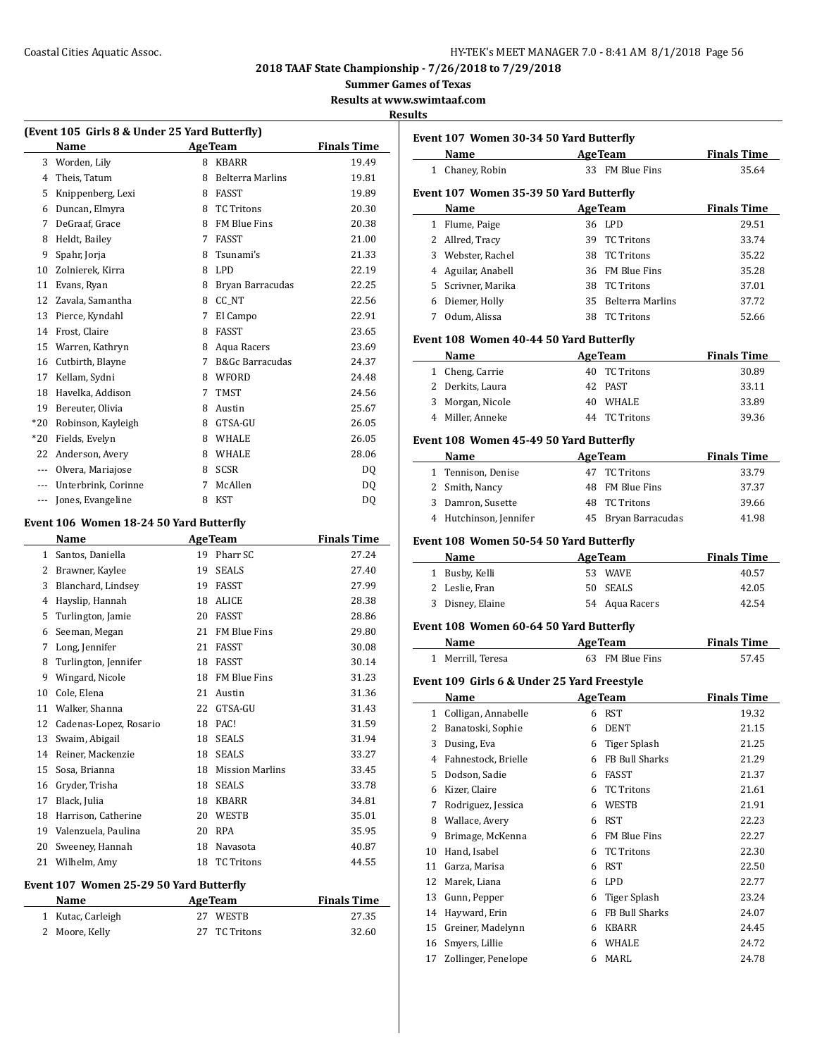# Coastal Cities Aquatic Assoc. **Exercise 20 and Secure 20 and Secure 20 and Secure 20 and Secure 20 and Secure 20 and Secure 20 and Secure 20 and Secure 20 and Secure 20 and Secure 20 and Secure 20 and Secure 20 and Secure**

**2018 TAAF State Championship - 7/26/2018 to 7/29/2018**

**Summer Games of Texas**

**Results at www.swimtaaf.com**

## **Results**

 $\overline{\phantom{0}}$ 

|                | (Event 105 Girls 8 & Under 25 Yard Butterfly) |    |                            |                    |
|----------------|-----------------------------------------------|----|----------------------------|--------------------|
|                | Name                                          |    | <b>AgeTeam</b>             | <b>Finals Time</b> |
| 3              | Worden, Lily                                  | 8  | <b>KBARR</b>               | 19.49              |
| $\overline{4}$ | Theis, Tatum                                  | 8  | <b>Belterra Marlins</b>    | 19.81              |
| 5              | Knippenberg, Lexi                             | 8  | <b>FASST</b>               | 19.89              |
| 6              | Duncan, Elmyra                                | 8  | <b>TC Tritons</b>          | 20.30              |
| 7              | DeGraaf, Grace                                | 8  | <b>FM Blue Fins</b>        | 20.38              |
| 8              | Heldt, Bailey                                 | 7  | <b>FASST</b>               | 21.00              |
| 9              | Spahr, Jorja                                  | 8  | Tsunami's                  | 21.33              |
| 10             | Zolnierek, Kirra                              | 8  | LPD                        | 22.19              |
| 11             | Evans, Ryan                                   | 8  | Bryan Barracudas           | 22.25              |
| 12             | Zavala, Samantha                              | 8  | CC NT                      | 22.56              |
| 13             | Pierce, Kyndahl                               | 7  | El Campo                   | 22.91              |
| 14             | Frost, Claire                                 | 8  | <b>FASST</b>               | 23.65              |
| 15             | Warren, Kathryn                               | 8  | Aqua Racers                | 23.69              |
| 16             | Cutbirth, Blayne                              | 7  | <b>B&amp;Gc Barracudas</b> | 24.37              |
| 17             | Kellam, Sydni                                 | 8  | WFORD                      | 24.48              |
| 18             | Havelka, Addison                              | 7  | <b>TMST</b>                | 24.56              |
| 19             | Bereuter, Olivia                              | 8  | Austin                     | 25.67              |
| $*20$          | Robinson, Kayleigh                            | 8  | GTSA-GU                    | 26.05              |
| *20            | Fields, Evelyn                                | 8  | WHALE                      | 26.05              |
| 22             | Anderson, Avery                               | 8  | WHALE                      | 28.06              |
|                | --- Olvera, Mariajose                         | 8  | <b>SCSR</b>                | DQ                 |
|                | --- Unterbrink, Corinne                       | 7  | McAllen                    | DQ                 |
| ---            | Jones, Evangeline                             | 8  | <b>KST</b>                 | DQ                 |
|                | Event 106 Women 18-24 50 Yard Butterfly       |    |                            |                    |
|                | Name                                          |    | <b>AgeTeam</b>             | <b>Finals Time</b> |
| $\mathbf{1}$   | Santos, Daniella                              | 19 | Pharr SC                   | 27.24              |
| 2              | Brawner, Kaylee                               | 19 | <b>SEALS</b>               | 27.40              |
| 3              | Blanchard, Lindsey                            | 19 | FASST                      | 27.99              |
| 4              | Hayslip, Hannah                               | 18 | ALICE                      | 28.38              |
| 5              | Turlington, Jamie                             | 20 | <b>FASST</b>               | 28.86              |
| 6              | Seeman, Megan                                 | 21 | FM Blue Fins               | 29.80              |
| 7              | Long, Jennifer                                | 21 | <b>FASST</b>               | 30.08              |
| 8              | Turlington, Jennifer                          | 18 | <b>FASST</b>               | 30.14              |
| 9              | Wingard, Nicole                               | 18 | <b>FM Blue Fins</b>        | 31.23              |
|                |                                               |    |                            |                    |

|    | $1.00$ , $0.1$ $\rho$ , $1.00$ , $0.00$ , $0.00$ |    |                        |       |
|----|--------------------------------------------------|----|------------------------|-------|
| 5  | Turlington, Jamie                                | 20 | FASST                  | 28.86 |
| 6  | Seeman, Megan                                    | 21 | <b>FM Blue Fins</b>    | 29.80 |
| 7  | Long, Jennifer                                   | 21 | <b>FASST</b>           | 30.08 |
| 8  | Turlington, Jennifer                             | 18 | <b>FASST</b>           | 30.14 |
| 9  | Wingard, Nicole                                  | 18 | <b>FM Blue Fins</b>    | 31.23 |
| 10 | Cole, Elena                                      | 21 | Austin                 | 31.36 |
| 11 | Walker, Shanna                                   | 22 | GTSA-GU                | 31.43 |
| 12 | Cadenas-Lopez, Rosario                           | 18 | PAC!                   | 31.59 |
| 13 | Swaim, Abigail                                   | 18 | <b>SEALS</b>           | 31.94 |
| 14 | Reiner, Mackenzie                                | 18 | <b>SEALS</b>           | 33.27 |
| 15 | Sosa, Brianna                                    | 18 | <b>Mission Marlins</b> | 33.45 |
| 16 | Gryder, Trisha                                   | 18 | <b>SEALS</b>           | 33.78 |
| 17 | Black, Julia                                     | 18 | <b>KBARR</b>           | 34.81 |
| 18 | Harrison, Catherine                              | 20 | WESTB                  | 35.01 |
| 19 | Valenzuela, Paulina                              | 20 | <b>RPA</b>             | 35.95 |
| 20 | Sweeney, Hannah                                  | 18 | Navasota               | 40.87 |
| 21 | Wilhelm, Amy                                     | 18 | <b>TC Tritons</b>      | 44.55 |

## **Event 107 Women 25-29 50 Yard Butterfly**

| Name              | <b>AgeTeam</b> | <b>Finals Time</b> |
|-------------------|----------------|--------------------|
| 1 Kutac, Carleigh | 27 WESTB       | 27.35              |
| 2 Moore, Kelly    | 27 TC Tritons  | 32.60              |

|          | Event 107 Women 30-34 50 Yard Butterfly                                                                                                                                                                                        |   |                                  |                    |
|----------|--------------------------------------------------------------------------------------------------------------------------------------------------------------------------------------------------------------------------------|---|----------------------------------|--------------------|
|          | Name and the state of the state of the state of the state of the state of the state of the state of the state of the state of the state of the state of the state of the state of the state of the state of the state of the s |   | <b>AgeTeam</b>                   | <b>Finals Time</b> |
|          | 1 Chaney, Robin                                                                                                                                                                                                                |   | 33 FM Blue Fins                  | 35.64              |
|          | Event 107 Women 35-39 50 Yard Butterfly                                                                                                                                                                                        |   |                                  |                    |
|          | Name                                                                                                                                                                                                                           |   | <b>AgeTeam</b>                   | <b>Finals Time</b> |
|          | 1 Flume, Paige                                                                                                                                                                                                                 |   | 36 LPD                           | 29.51              |
|          | 2 Allred, Tracy                                                                                                                                                                                                                |   | 39 TC Tritons                    | 33.74              |
|          | 3 Webster, Rachel                                                                                                                                                                                                              |   | 38 TC Tritons                    | 35.22              |
|          | 4 Aguilar, Anabell                                                                                                                                                                                                             |   | 36 FM Blue Fins                  | 35.28              |
|          | 5 Scrivner, Marika                                                                                                                                                                                                             |   | 38 TC Tritons                    | 37.01              |
|          | 6 Diemer, Holly                                                                                                                                                                                                                |   | 35 Belterra Marlins              | 37.72              |
|          | 7 Odum, Alissa                                                                                                                                                                                                                 |   | 38 TC Tritons                    | 52.66              |
|          | Event 108 Women 40-44 50 Yard Butterfly                                                                                                                                                                                        |   |                                  |                    |
|          | Name AgeTeam                                                                                                                                                                                                                   |   |                                  | <b>Finals Time</b> |
|          | 1 Cheng, Carrie                                                                                                                                                                                                                |   | 40 TC Tritons                    | 30.89              |
|          | 2 Derkits, Laura                                                                                                                                                                                                               |   | 42 PAST                          | 33.11              |
|          | 3 Morgan, Nicole                                                                                                                                                                                                               |   | 40 WHALE                         | 33.89              |
|          | 4 Miller. Anneke                                                                                                                                                                                                               |   | 44 TC Tritons                    | 39.36              |
|          | Event 108 Women 45-49 50 Yard Butterfly                                                                                                                                                                                        |   |                                  |                    |
|          | Name                                                                                                                                                                                                                           |   | <b>AgeTeam</b>                   | <b>Finals Time</b> |
|          | 1 Tennison, Denise                                                                                                                                                                                                             |   | 47 TC Tritons                    | 33.79              |
|          | 2 Smith, Nancy                                                                                                                                                                                                                 |   | 48 FM Blue Fins                  | 37.37              |
|          | 3 Damron, Susette                                                                                                                                                                                                              |   | 48 TC Tritons                    | 39.66              |
|          | 4 Hutchinson, Jennifer                                                                                                                                                                                                         |   | 45 Bryan Barracudas              | 41.98              |
|          |                                                                                                                                                                                                                                |   |                                  |                    |
|          | Event 108 Women 50-54 50 Yard Butterfly                                                                                                                                                                                        |   |                                  |                    |
|          | Name                                                                                                                                                                                                                           |   | <b>AgeTeam</b>                   | <b>Finals Time</b> |
|          |                                                                                                                                                                                                                                |   | 53 WAVE                          |                    |
|          | 1 Busby, Kelli                                                                                                                                                                                                                 |   |                                  | 40.57              |
|          | 2 Leslie, Fran                                                                                                                                                                                                                 |   | 50 SEALS                         | 42.05              |
|          | 3 Disney, Elaine                                                                                                                                                                                                               |   | 54 Aqua Racers                   | 42.54              |
|          | Event 108 Women 60-64 50 Yard Butterfly                                                                                                                                                                                        |   |                                  |                    |
|          | Name AgeTeam                                                                                                                                                                                                                   |   |                                  | <b>Finals Time</b> |
|          | 1 Merrill, Teresa                                                                                                                                                                                                              |   | 63 FM Blue Fins                  | 57.45              |
|          | Event 109 Girls 6 & Under 25 Yard Freestyle                                                                                                                                                                                    |   |                                  |                    |
|          | Name                                                                                                                                                                                                                           |   | <b>AgeTeam</b>                   | <b>Finals Time</b> |
|          | 1 Colligan, Annabelle                                                                                                                                                                                                          |   | 6 RST                            | 19.32              |
| 2        |                                                                                                                                                                                                                                | 6 | DENT                             |                    |
| 3        | Banatoski, Sophie                                                                                                                                                                                                              | 6 |                                  | 21.15<br>21.25     |
| 4        | Dusing, Eva<br>Fahnestock, Brielle                                                                                                                                                                                             |   | Tiger Splash<br>6 FB Bull Sharks | 21.29              |
|          |                                                                                                                                                                                                                                |   | 6 FASST                          |                    |
|          | 5 Dodson, Sadie                                                                                                                                                                                                                |   | 6 TC Tritons                     | 21.37<br>21.61     |
| 7        | 6 Kizer, Claire                                                                                                                                                                                                                |   | 6 WESTB                          |                    |
|          | Rodriguez, Jessica                                                                                                                                                                                                             |   |                                  | 21.91              |
| 8<br>9   | Wallace, Avery                                                                                                                                                                                                                 |   | 6 RST<br>6 FM Blue Fins          | 22.23<br>22.27     |
| 10       | Brimage, McKenna<br>Hand, Isabel                                                                                                                                                                                               | 6 | <b>TC Tritons</b>                | 22.30              |
| 11       | Garza, Marisa                                                                                                                                                                                                                  |   | 6 RST                            | 22.50              |
| 12       | Marek, Liana                                                                                                                                                                                                                   |   | 6 LPD                            | 22.77              |
| 13       | Gunn, Pepper                                                                                                                                                                                                                   | 6 | <b>Tiger Splash</b>              | 23.24              |
| 14       |                                                                                                                                                                                                                                | 6 | FB Bull Sharks                   |                    |
|          | Hayward, Erin                                                                                                                                                                                                                  |   | 6 KBARR                          | 24.07              |
| 15<br>16 | Greiner, Madelynn<br>Smyers, Lillie                                                                                                                                                                                            |   | 6 WHALE                          | 24.45<br>24.72     |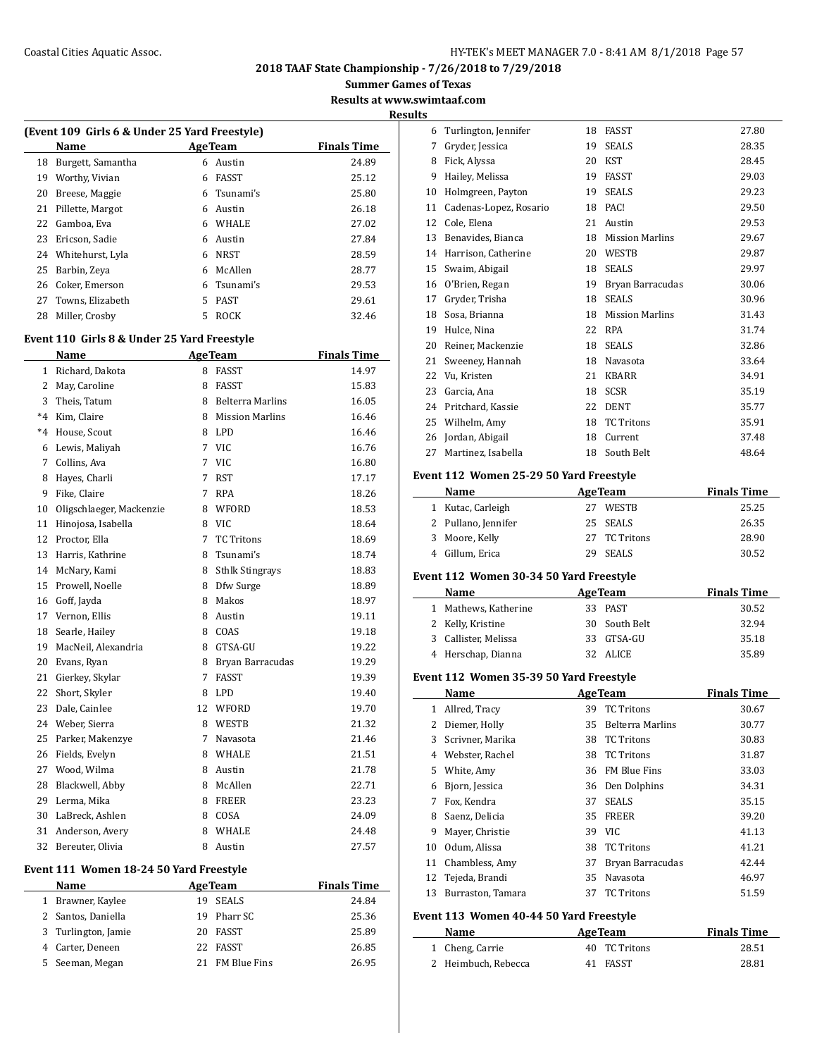## Coastal Cities Aquatic Assoc. The Coastal Cities Aquatic Assoc. The Mass of the Magnus HY-TEK's MEET MANAGER 7.0 - 8:41 AM 8/1/2018 Page 57

**2018 TAAF State Championship - 7/26/2018 to 7/29/2018**

**Summer Games of Texas**

**Results at www.swimtaaf.com**

**Results**

 $\overline{\phantom{a}}$ 

|    | (Event 109 Girls 6 & Under 25 Yard Freestyle) |    |                 |                    |  |  |
|----|-----------------------------------------------|----|-----------------|--------------------|--|--|
|    | Name                                          |    | <b>Age Team</b> | <b>Finals Time</b> |  |  |
| 18 | Burgett, Samantha                             | 6  | Austin          | 24.89              |  |  |
| 19 | Worthy, Vivian                                | 6  | FASST           | 25.12              |  |  |
| 20 | Breese, Maggie                                | 6  | Tsunami's       | 25.80              |  |  |
| 21 | Pillette, Margot                              | 6  | Austin          | 26.18              |  |  |
| 22 | Gamboa. Eva                                   | 6  | <b>WHALE</b>    | 27.02              |  |  |
| 23 | Ericson, Sadie                                | 6  | Austin          | 27.84              |  |  |
| 24 | Whitehurst, Lyla                              | 6  | <b>NRST</b>     | 28.59              |  |  |
| 25 | Barbin, Zeva                                  | 6  | McAllen         | 28.77              |  |  |
| 26 | Coker, Emerson                                | 6  | Tsunami's       | 29.53              |  |  |
| 27 | Towns, Elizabeth                              | 5. | <b>PAST</b>     | 29.61              |  |  |
| 28 | Miller, Crosby                                | 5  | <b>ROCK</b>     | 32.46              |  |  |

#### **Event 110 Girls 8 & Under 25 Yard Freestyle**

|         | Name                     |    | <b>AgeTeam</b>          | <b>Finals Time</b> |
|---------|--------------------------|----|-------------------------|--------------------|
| 1       | Richard, Dakota          | 8  | <b>FASST</b>            | 14.97              |
| 2       | May, Caroline            | 8  | <b>FASST</b>            | 15.83              |
| 3       | Theis, Tatum             | 8  | <b>Belterra Marlins</b> | 16.05              |
| $*4$    | Kim, Claire              | 8  | <b>Mission Marlins</b>  | 16.46              |
| $*_{4}$ | House, Scout             | 8  | LPD                     | 16.46              |
| 6       | Lewis, Maliyah           | 7  | <b>VIC</b>              | 16.76              |
| 7       | Collins, Ava             | 7  | <b>VIC</b>              | 16.80              |
| 8       | Hayes, Charli            | 7  | RST                     | 17.17              |
| 9       | Fike, Claire             | 7  | <b>RPA</b>              | 18.26              |
| 10      | Oligschlaeger, Mackenzie | 8  | WFORD                   | 18.53              |
| 11      | Hinojosa, Isabella       | 8  | <b>VIC</b>              | 18.64              |
| 12      | Proctor, Ella            | 7  | <b>TC Tritons</b>       | 18.69              |
| 13      | Harris, Kathrine         | 8  | Tsunami's               | 18.74              |
| 14      | McNary, Kami             | 8  | <b>Sthlk Stingrays</b>  | 18.83              |
| 15      | Prowell, Noelle          | 8  | Dfw Surge               | 18.89              |
| 16      | Goff, Jayda              | 8  | Makos                   | 18.97              |
| 17      | Vernon, Ellis            | 8  | Austin                  | 19.11              |
| 18      | Searle, Hailey           | 8  | COAS                    | 19.18              |
| 19      | MacNeil, Alexandria      | 8  | GTSA-GU                 | 19.22              |
| 20      | Evans, Ryan              | 8  | Bryan Barracudas        | 19.29              |
| 21      | Gierkey, Skylar          | 7  | <b>FASST</b>            | 19.39              |
| 22      | Short, Skyler            | 8  | <b>LPD</b>              | 19.40              |
| 23      | Dale, Cainlee            | 12 | WFORD                   | 19.70              |
| 24      | Weber, Sierra            | 8  | WESTB                   | 21.32              |
| 25      | Parker, Makenzye         | 7  | Navasota                | 21.46              |
| 26      | Fields, Evelyn           | 8  | WHALE                   | 21.51              |
| 27      | Wood, Wilma              | 8  | Austin                  | 21.78              |
| 28      | Blackwell, Abby          | 8  | McAllen                 | 22.71              |
| 29      | Lerma, Mika              | 8  | <b>FREER</b>            | 23.23              |
| 30      | LaBreck, Ashlen          | 8  | COSA                    | 24.09              |
| 31      | Anderson, Avery          | 8  | <b>WHALE</b>            | 24.48              |
| 32      | Bereuter, Olivia         | 8  | Austin                  | 27.57              |

#### **Event 111 Women 18-24 50 Yard Freestyle**

|    | Name                | <b>AgeTeam</b>  | <b>Finals Time</b> |
|----|---------------------|-----------------|--------------------|
| 1  | Brawner, Kaylee     | 19 SEALS        | 24.84              |
|    | 2 Santos, Daniella  | 19 Pharr SC     | 25.36              |
|    | 3 Turlington, Jamie | 20 FASST        | 25.89              |
|    | 4 Carter, Deneen    | 22 FASST        | 26.85              |
| 5. | Seeman, Megan       | 21 FM Blue Fins | 26.95              |

| 6  | Turlington, Jennifer   | 18 | <b>FASST</b>           | 27.80 |
|----|------------------------|----|------------------------|-------|
| 7  | Gryder, Jessica        | 19 | <b>SEALS</b>           | 28.35 |
| 8  | Fick, Alyssa           | 20 | <b>KST</b>             | 28.45 |
| 9  | Hailey, Melissa        | 19 | <b>FASST</b>           | 29.03 |
| 10 | Holmgreen, Payton      | 19 | <b>SEALS</b>           | 29.23 |
| 11 | Cadenas-Lopez, Rosario | 18 | PAC!                   | 29.50 |
| 12 | Cole, Elena            | 21 | Austin                 | 29.53 |
| 13 | Benavides, Bianca      | 18 | <b>Mission Marlins</b> | 29.67 |
| 14 | Harrison, Catherine    | 20 | WESTB                  | 29.87 |
| 15 | Swaim, Abigail         | 18 | <b>SEALS</b>           | 29.97 |
| 16 | O'Brien, Regan         | 19 | Bryan Barracudas       | 30.06 |
| 17 | Gryder, Trisha         | 18 | <b>SEALS</b>           | 30.96 |
| 18 | Sosa, Brianna          | 18 | <b>Mission Marlins</b> | 31.43 |
| 19 | Hulce, Nina            | 22 | <b>RPA</b>             | 31.74 |
| 20 | Reiner, Mackenzie      | 18 | <b>SEALS</b>           | 32.86 |
| 21 | Sweeney, Hannah        | 18 | Navasota               | 33.64 |
| 22 | Vu, Kristen            | 21 | <b>KBARR</b>           | 34.91 |
| 23 | Garcia, Ana            | 18 | <b>SCSR</b>            | 35.19 |
| 24 | Pritchard, Kassie      | 22 | <b>DENT</b>            | 35.77 |
| 25 | Wilhelm, Amy           | 18 | <b>TC Tritons</b>      | 35.91 |
| 26 | Jordan, Abigail        | 18 | Current                | 37.48 |
| 27 | Martinez, Isabella     | 18 | South Belt             | 48.64 |

#### **Event 112 Women 25-29 50 Yard Freestyle**

| Name                |    | <b>AgeTeam</b> | <b>Finals Time</b> |
|---------------------|----|----------------|--------------------|
| 1 Kutac, Carleigh   | 27 | <b>WESTB</b>   | 25.25              |
| 2 Pullano, Jennifer |    | 25 SEALS       | 26.35              |
| 3 Moore, Kelly      |    | 27 TC Tritons  | 28.90              |
| Gillum, Erica       |    | <b>SEALS</b>   | 30.52              |

#### **Event 112 Women 30-34 50 Yard Freestyle**

| Name                 | <b>AgeTeam</b> | <b>Finals Time</b> |
|----------------------|----------------|--------------------|
| 1 Mathews, Katherine | 33 PAST        | 30.52              |
| 2 Kelly, Kristine    | 30 South Belt  | 32.94              |
| 3 Callister, Melissa | 33 GTSA-GU     | 35.18              |
| 4 Herschap, Dianna   | 32 ALICE       | 35.89              |

#### **Event 112 Women 35-39 50 Yard Freestyle**

|    | Name              |    | <b>AgeTeam</b>          | <b>Finals Time</b> |
|----|-------------------|----|-------------------------|--------------------|
| 1  | Allred, Tracy     | 39 | <b>TC</b> Tritons       | 30.67              |
|    | Diemer, Holly     | 35 | <b>Belterra Marlins</b> | 30.77              |
| 3  | Scrivner, Marika  | 38 | <b>TC</b> Tritons       | 30.83              |
| 4  | Webster, Rachel   | 38 | <b>TC</b> Tritons       | 31.87              |
| 5. | White, Amy        | 36 | <b>FM Blue Fins</b>     | 33.03              |
| 6  | Bjorn, Jessica    | 36 | Den Dolphins            | 34.31              |
| 7  | Fox, Kendra       | 37 | <b>SEALS</b>            | 35.15              |
| 8  | Saenz, Delicia    | 35 | <b>FREER</b>            | 39.20              |
| 9  | Mayer, Christie   | 39 | VIC.                    | 41.13              |
| 10 | Odum, Alissa      | 38 | <b>TC Tritons</b>       | 41.21              |
| 11 | Chambless, Amy    | 37 | Bryan Barracudas        | 42.44              |
| 12 | Tejeda, Brandi    | 35 | Navasota                | 46.97              |
| 13 | Burraston, Tamara | 37 | <b>TC</b> Tritons       | 51.59              |
|    |                   |    |                         |                    |

#### **Event 113 Women 40-44 50 Yard Freestyle**

| Name                | <b>AgeTeam</b> | <b>Finals Time</b> |
|---------------------|----------------|--------------------|
| 1 Cheng, Carrie     | 40 TC Tritons  | 28.51              |
| 2 Heimbuch, Rebecca | 41 FASST       | 28.81              |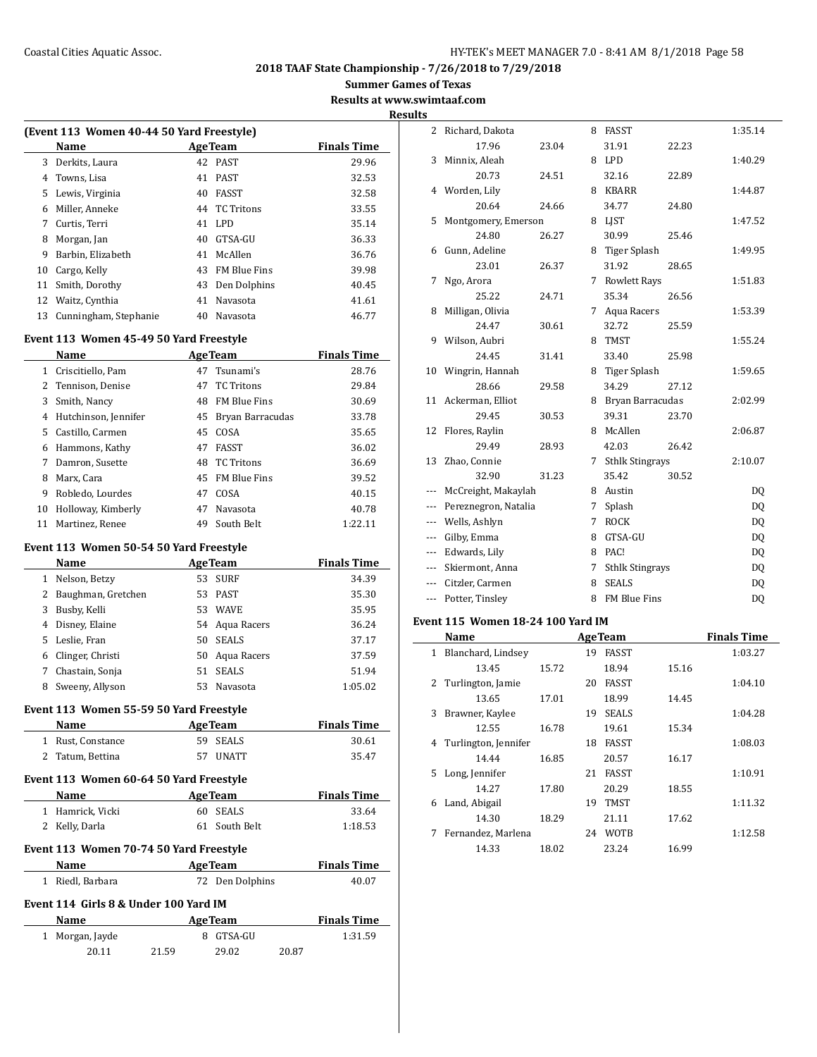**Summer Games of Texas**

**Results at www.swimtaaf.com**

| (Event 113 Women 40-44 50 Yard Freestyle) |                       |                    |                     |       |  |  |  |
|-------------------------------------------|-----------------------|--------------------|---------------------|-------|--|--|--|
|                                           | Name                  | <b>Finals Time</b> |                     |       |  |  |  |
| 3                                         | Derkits, Laura        |                    | 42 PAST             | 29.96 |  |  |  |
| 4                                         | Towns, Lisa           | 41                 | PAST                | 32.53 |  |  |  |
| 5.                                        | Lewis, Virginia       | 40                 | <b>FASST</b>        | 32.58 |  |  |  |
| 6                                         | Miller, Anneke        | 44                 | <b>TC Tritons</b>   | 33.55 |  |  |  |
| 7                                         | Curtis, Terri         | 41                 | LPD.                | 35.14 |  |  |  |
| 8                                         | Morgan, Jan           | 40                 | GTSA-GU             | 36.33 |  |  |  |
| 9                                         | Barbin, Elizabeth     | 41                 | McAllen             | 36.76 |  |  |  |
| 10                                        | Cargo, Kelly          | 43                 | <b>FM Blue Fins</b> | 39.98 |  |  |  |
| 11                                        | Smith, Dorothy        | 43                 | Den Dolphins        | 40.45 |  |  |  |
| 12                                        | Waitz, Cynthia        | 41                 | Navasota            | 41.61 |  |  |  |
| 13                                        | Cunningham, Stephanie | 40                 | Navasota            | 46.77 |  |  |  |
|                                           |                       |                    |                     |       |  |  |  |

#### **Event 113 Women 45-49 50 Yard Freestyle**

|    | Name                 |    | <b>AgeTeam</b>      | <b>Finals Time</b> |
|----|----------------------|----|---------------------|--------------------|
| 1  | Criscitiello, Pam    | 47 | Tsunami's           | 28.76              |
|    | 2 Tennison, Denise   | 47 | <b>TC</b> Tritons   | 29.84              |
| 3  | Smith, Nancy         | 48 | <b>FM Blue Fins</b> | 30.69              |
| 4  | Hutchinson, Jennifer | 45 | Bryan Barracudas    | 33.78              |
|    | 5 Castillo, Carmen   | 45 | COSA                | 35.65              |
| 6  | Hammons, Kathy       | 47 | FASST               | 36.02              |
| 7  | Damron, Susette      | 48 | TC Tritons          | 36.69              |
| 8  | Marx, Cara           |    | 45 FM Blue Fins     | 39.52              |
| 9  | Robledo, Lourdes     | 47 | COSA                | 40.15              |
| 10 | Holloway, Kimberly   | 47 | Navasota            | 40.78              |
| 11 | Martinez, Renee      | 49 | South Belt          | 1:22.11            |

## **Event 113 Women 50-54 50 Yard Freestyle**

|    | Name                 |    | <b>AgeTeam</b> | <b>Finals Time</b> |
|----|----------------------|----|----------------|--------------------|
| 1  | Nelson, Betzy        |    | 53 SURF        | 34.39              |
|    | 2 Baughman, Gretchen | 53 | PAST           | 35.30              |
| 3  | Busby, Kelli         | 53 | <b>WAVE</b>    | 35.95              |
|    | 4 Disney, Elaine     |    | 54 Agua Racers | 36.24              |
| 5. | Leslie, Fran         | 50 | <b>SEALS</b>   | 37.17              |
| 6  | Clinger, Christi     | 50 | Aqua Racers    | 37.59              |
|    | Chastain, Sonja      | 51 | <b>SEALS</b>   | 51.94              |
| 8  | Sweeny, Allyson      | 53 | Navasota       | 1:05.02            |

## **Event 113 Women 55-59 50 Yard Freestyle**

| Name                                    | <b>Age Team</b> | <b>Finals Time</b> |  |  |  |  |
|-----------------------------------------|-----------------|--------------------|--|--|--|--|
| 1 Rust, Constance                       | 59 SEALS        | 30.61              |  |  |  |  |
| 2 Tatum, Bettina                        | 57 IINATT       | 35.47              |  |  |  |  |
| Event 113 Women 60-64 50 Yard Freestyle |                 |                    |  |  |  |  |

| Name                                    | <b>Finals Time</b> |         |  |  |  |  |
|-----------------------------------------|--------------------|---------|--|--|--|--|
| 1 Hamrick, Vicki                        | 60 SEALS           | 33.64   |  |  |  |  |
| 2 Kelly, Darla                          | 61 South Belt      | 1:18.53 |  |  |  |  |
| Event 113 Women 70-74 50 Yard Freestyle |                    |         |  |  |  |  |

| Name                                  | <b>AgeTeam</b>  | <b>Finals Time</b> |  |  |  |  |
|---------------------------------------|-----------------|--------------------|--|--|--|--|
| 1 Riedl, Barbara                      | 72 Den Dolphins | 40.07              |  |  |  |  |
| Event 114 Girls 8 & Under 100 Yard IM |                 |                    |  |  |  |  |
| Name                                  | <b>AgeTeam</b>  | <b>Finals Time</b> |  |  |  |  |

| Name            | Age ream |           |       | rinais lime |  |
|-----------------|----------|-----------|-------|-------------|--|
| 1 Morgan, Jayde |          | 8 GTSA-GU |       | 1:31.59     |  |
| 20.11           | 21.59    | 29.02     | 20.87 |             |  |

| <b>Results</b> |                         |       |   |                        |       |           |
|----------------|-------------------------|-------|---|------------------------|-------|-----------|
|                | 2 Richard, Dakota       |       |   | 8 FASST                |       | 1:35.14   |
|                | 17.96                   | 23.04 |   | 31.91                  | 22.23 |           |
|                | 3 Minnix, Aleah         |       |   | 8 LPD                  |       | 1:40.29   |
|                | 20.73                   | 24.51 |   | 32.16                  | 22.89 |           |
|                | 4 Worden, Lily          |       |   | 8 KBARR                |       | 1:44.87   |
|                | 20.64                   | 24.66 |   | 34.77                  | 24.80 |           |
|                | 5 Montgomery, Emerson   |       |   | 8 LJST                 |       | 1:47.52   |
|                | 24.80                   | 26.27 |   | 30.99                  | 25.46 |           |
|                | 6 Gunn, Adeline         |       |   | 8 Tiger Splash         |       | 1:49.95   |
|                | 23.01                   | 26.37 |   | 31.92                  | 28.65 |           |
|                | 7 Ngo, Arora            |       |   | 7 Rowlett Rays         |       | 1:51.83   |
|                | 25.22                   | 24.71 |   | 35.34                  | 26.56 |           |
|                | 8 Milligan, Olivia      |       |   | 7 Aqua Racers          |       | 1:53.39   |
|                | 24.47                   | 30.61 |   | 32.72                  | 25.59 |           |
|                | 9 Wilson, Aubri         |       |   | 8 TMST                 |       | 1:55.24   |
|                | 24.45                   | 31.41 |   | 33.40                  | 25.98 |           |
|                | 10 Wingrin, Hannah      |       |   | 8 Tiger Splash         |       | 1:59.65   |
|                | 28.66                   | 29.58 |   | 34.29                  | 27.12 |           |
|                | 11 Ackerman, Elliot     |       |   | 8 Bryan Barracudas     |       | 2:02.99   |
|                | 29.45                   | 30.53 |   | 39.31                  | 23.70 |           |
|                | 12 Flores, Raylin       |       |   | 8 McAllen              |       | 2:06.87   |
|                | 29.49                   | 28.93 |   | 42.03                  | 26.42 |           |
| 13             | Zhao, Connie            |       |   | 7 Sthlk Stingrays      |       | 2:10.07   |
|                | 32.90                   | 31.23 |   | 35.42                  | 30.52 |           |
|                | --- McCreight, Makaylah |       |   | 8 Austin               |       | DQ        |
| $---$          | Pereznegron, Natalia    |       | 7 | Splash                 |       | DQ        |
| $---$          | Wells, Ashlyn           |       | 7 | <b>ROCK</b>            |       | DQ        |
|                | --- Gilby, Emma         |       | 8 | GTSA-GU                |       | DQ        |
| $---$          | Edwards, Lily           |       | 8 | PAC!                   |       | <b>DQ</b> |
| ---            | Skiermont, Anna         |       | 7 | <b>Sthlk Stingrays</b> |       | DQ        |
|                | --- Citzler, Carmen     |       | 8 | <b>SEALS</b>           |       | DQ        |
| ---            | Potter, Tinsley         |       | 8 | FM Blue Fins           |       | DQ        |

#### **Event 115 Women 18-24 100 Yard IM**

|    | Name                 | <b>AgeTeam</b> |    |              |       | <b>Finals Time</b> |
|----|----------------------|----------------|----|--------------|-------|--------------------|
| 1  | Blanchard, Lindsey   |                | 19 | FASST        |       | 1:03.27            |
|    | 13.45                | 15.72          |    | 18.94        | 15.16 |                    |
| 2  | Turlington, Jamie    |                | 20 | FASST        |       | 1:04.10            |
|    | 13.65                | 17.01          |    | 18.99        | 14.45 |                    |
| 3  | Brawner, Kaylee      |                | 19 | <b>SEALS</b> |       | 1:04.28            |
|    | 12.55                | 16.78          |    | 19.61        | 15.34 |                    |
| 4  | Turlington, Jennifer |                | 18 | <b>FASST</b> |       | 1:08.03            |
|    | 14.44                | 16.85          |    | 20.57        | 16.17 |                    |
| 5. | Long, Jennifer       |                | 21 | FASST        |       | 1:10.91            |
|    | 14.27                | 17.80          |    | 20.29        | 18.55 |                    |
| 6  | Land, Abigail        |                | 19 | TMST         |       | 1:11.32            |
|    | 14.30                | 18.29          |    | 21.11        | 17.62 |                    |
| 7  | Fernandez, Marlena   |                | 24 | <b>WOTB</b>  |       | 1:12.58            |
|    | 14.33                | 18.02          |    | 23.24        | 16.99 |                    |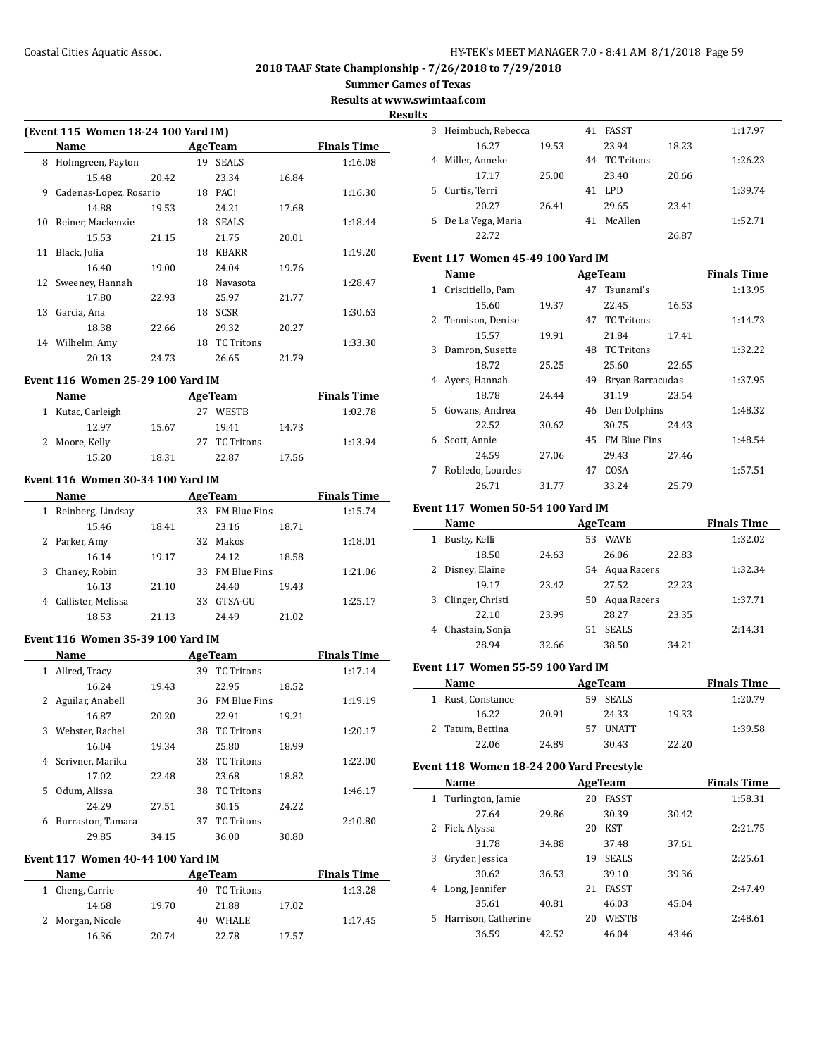**Summer Games of Texas**

**Results at www.swimtaaf.com**

**Results**

 $\overline{\phantom{0}}$ 

| (Event 115 Women 18-24 100 Yard IM) |                        |       |    |                   |       |                    |  |
|-------------------------------------|------------------------|-------|----|-------------------|-------|--------------------|--|
|                                     | Name                   |       |    | <b>Age Team</b>   |       | <b>Finals Time</b> |  |
| 8                                   | Holmgreen, Payton      |       | 19 | <b>SEALS</b>      |       | 1:16.08            |  |
|                                     | 15.48                  | 20.42 |    | 23.34             | 16.84 |                    |  |
| 9                                   | Cadenas-Lopez, Rosario |       | 18 | PAC!              |       | 1:16.30            |  |
|                                     | 14.88                  | 19.53 |    | 24.21             | 17.68 |                    |  |
| 10                                  | Reiner, Mackenzie      |       | 18 | <b>SEALS</b>      |       | 1:18.44            |  |
|                                     | 15.53                  | 21.15 |    | 21.75             | 20.01 |                    |  |
| 11                                  | Black, Julia           |       | 18 | <b>KBARR</b>      |       | 1:19.20            |  |
|                                     | 16.40                  | 19.00 |    | 24.04             | 19.76 |                    |  |
| 12                                  | Sweeney, Hannah        |       | 18 | Navasota          |       | 1:28.47            |  |
|                                     | 17.80                  | 22.93 |    | 25.97             | 21.77 |                    |  |
| 13                                  | Garcia, Ana            |       | 18 | <b>SCSR</b>       |       | 1:30.63            |  |
|                                     | 18.38                  | 22.66 |    | 29.32             | 20.27 |                    |  |
| 14                                  | Wilhelm, Amy           |       | 18 | <b>TC</b> Tritons |       | 1:33.30            |  |
|                                     | 20.13                  | 24.73 |    | 26.65             | 21.79 |                    |  |

#### **Event 116 Women 25-29 100 Yard IM**

| <b>Name</b>       |       | <b>AgeTeam</b> | <b>Finals Time</b> |         |
|-------------------|-------|----------------|--------------------|---------|
| 1 Kutac, Carleigh |       | <b>WESTB</b>   |                    | 1:02.78 |
| 12.97             | 15.67 | 19.41          | 14.73              |         |
| 2 Moore, Kelly    |       | 27 TC Tritons  |                    | 1:13.94 |
| 15.20             | 18.31 | 22.87          | 17.56              |         |

#### **Event 116 Women 30-34 100 Yard IM**

| Name                   |       | <b>AgeTeam</b> | <b>Finals Time</b>  |       |         |
|------------------------|-------|----------------|---------------------|-------|---------|
| Reinberg, Lindsay<br>1 |       |                | 33 FM Blue Fins     |       | 1:15.74 |
| 15.46                  | 18.41 |                | 23.16               | 18.71 |         |
| 2 Parker, Amy          |       | 32.            | Makos               |       | 1:18.01 |
| 16.14                  | 19.17 |                | 24.12               | 18.58 |         |
| Chaney, Robin<br>3     |       | 33.            | <b>FM Blue Fins</b> |       | 1:21.06 |
| 16.13                  | 21.10 |                | 24.40               | 19.43 |         |
| Callister, Melissa     |       | 33             | GTSA-GU             |       | 1:25.17 |
| 18.53                  | 21.13 |                | 24.49               | 21.02 |         |

## **Event 116 Women 35-39 100 Yard IM**

|   | Name              |       |     | <b>AgeTeam</b>      |       | <b>Finals Time</b> |
|---|-------------------|-------|-----|---------------------|-------|--------------------|
| 1 | Allred, Tracy     |       | 39  | <b>TC</b> Tritons   |       | 1:17.14            |
|   | 16.24             | 19.43 |     | 22.95               | 18.52 |                    |
| 2 | Aguilar, Anabell  |       | 36. | <b>FM Blue Fins</b> |       | 1:19.19            |
|   | 16.87             | 20.20 |     | 22.91               | 19.21 |                    |
| 3 | Webster, Rachel   |       | 38  | <b>TC Tritons</b>   |       | 1:20.17            |
|   | 16.04             | 19.34 |     | 25.80               | 18.99 |                    |
| 4 | Scrivner, Marika  |       | 38  | <b>TC Tritons</b>   |       | 1:22.00            |
|   | 17.02             | 22.48 |     | 23.68               | 18.82 |                    |
| 5 | Odum, Alissa      |       | 38  | <b>TC</b> Tritons   |       | 1:46.17            |
|   | 24.29             | 27.51 |     | 30.15               | 24.22 |                    |
| 6 | Burraston, Tamara |       | 37  | <b>TC</b> Tritons   |       | 2:10.80            |
|   | 29.85             | 34.15 |     | 36.00               | 30.80 |                    |

# **Event 117 Women 40-44 100 Yard IM**

| Name             | <b>AgeTeam</b> |               |       | <b>Finals Time</b> |
|------------------|----------------|---------------|-------|--------------------|
| 1 Cheng, Carrie  |                | 40 TC Tritons |       | 1:13.28            |
| 14.68            | 19.70          | 21.88         | 17.02 |                    |
| 2 Morgan, Nicole | 40             | WHALE         |       | 1:17.45            |
| 16.36            | 20.74          | 22.78         | 17.57 |                    |

| 3  | Heimbuch, Rebecca |       | 41 | <b>FASST</b>  |       | 1:17.97 |
|----|-------------------|-------|----|---------------|-------|---------|
|    | 16.27             | 19.53 |    | 23.94         | 18.23 |         |
| 4  | Miller, Anneke    |       |    | 44 TC Tritons |       | 1:26.23 |
|    | 17.17             | 25.00 |    | 23.40         | 20.66 |         |
| 5. | Curtis, Terri     |       | 41 | LPD.          |       | 1:39.74 |
|    | 20.27             | 26.41 |    | 29.65         | 23.41 |         |
| 6  | De La Vega, Maria |       | 41 | McAllen       |       | 1:52.71 |
|    | 22.72             |       |    |               | 26.87 |         |

#### **Event 117 Women 45-49 100 Yard IM**

|    | Name               |       |    | <b>AgeTeam</b>      |       | <b>Finals Time</b> |
|----|--------------------|-------|----|---------------------|-------|--------------------|
| 1  | Criscitiello, Pam  |       |    | 47 Tsunami's        |       | 1:13.95            |
|    | 15.60              | 19.37 |    | 22.45               | 16.53 |                    |
|    | 2 Tennison, Denise |       | 47 | TC Tritons          |       | 1:14.73            |
|    | 15.57              | 19.91 |    | 21.84               | 17.41 |                    |
| 3  | Damron, Susette    |       | 48 | <b>TC</b> Tritons   |       | 1:32.22            |
|    | 18.72              | 25.25 |    | 25.60               | 22.65 |                    |
| 4  | Ayers, Hannah      |       | 49 | Bryan Barracudas    |       | 1:37.95            |
|    | 18.78              | 24.44 |    | 31.19               | 23.54 |                    |
| 5. | Gowans, Andrea     |       |    | 46 Den Dolphins     |       | 1:48.32            |
|    | 22.52              | 30.62 |    | 30.75               | 24.43 |                    |
| 6  | Scott, Annie       |       | 45 | <b>FM Blue Fins</b> |       | 1:48.54            |
|    | 24.59              | 27.06 |    | 29.43               | 27.46 |                    |
| 7  | Robledo, Lourdes   |       | 47 | COSA                |       | 1:57.51            |
|    | 26.71              | 31.77 |    | 33.24               | 25.79 |                    |

#### **Event 117 Women 50-54 100 Yard IM**

|   | Name             | <b>AgeTeam</b> |    |                |       | <b>Finals Time</b> |
|---|------------------|----------------|----|----------------|-------|--------------------|
| 1 | Busby, Kelli     |                | 53 | <b>WAVE</b>    |       | 1:32.02            |
|   | 18.50            | 24.63          |    | 26.06          | 22.83 |                    |
|   | 2 Disney, Elaine |                |    | 54 Agua Racers |       | 1:32.34            |
|   | 19.17            | 23.42          |    | 27.52          | 22.23 |                    |
| 3 | Clinger, Christi |                | 50 | Aqua Racers    |       | 1:37.71            |
|   | 22.10            | 23.99          |    | 28.27          | 23.35 |                    |
| 4 | Chastain, Sonja  |                | 51 | <b>SEALS</b>   |       | 2:14.31            |
|   | 28.94            | 32.66          |    | 38.50          | 34.21 |                    |

#### **Event 117 Women 55-59 100 Yard IM**

| Name              |       | <b>AgeTeam</b>      |       | <b>Finals Time</b> |
|-------------------|-------|---------------------|-------|--------------------|
| 1 Rust, Constance |       | <b>SEALS</b><br>59. |       | 1:20.79            |
| 16.22             | 20.91 | 24.33               | 19.33 |                    |
| 2 Tatum, Bettina  |       | <b>UNATT</b>        |       | 1:39.58            |
| 22.06             | 24.89 | 30.43               | 22.20 |                    |

#### **Event 118 Women 18-24 200 Yard Freestyle**

| Name                      |       |    | <b>AgeTeam</b> |       | <b>Finals Time</b> |
|---------------------------|-------|----|----------------|-------|--------------------|
| 1 Turlington, Jamie       |       | 20 | <b>FASST</b>   |       | 1:58.31            |
| 27.64                     | 29.86 |    | 30.39          | 30.42 |                    |
| Fick, Alyssa<br>2         |       | 20 | <b>KST</b>     |       | 2:21.75            |
| 31.78                     | 34.88 |    | 37.48          | 37.61 |                    |
| Gryder, Jessica<br>3      |       | 19 | <b>SEALS</b>   |       | 2:25.61            |
| 30.62                     | 36.53 |    | 39.10          | 39.36 |                    |
| Long, Jennifer<br>4       |       | 21 | <b>FASST</b>   |       | 2:47.49            |
| 35.61                     | 40.81 |    | 46.03          | 45.04 |                    |
| Harrison, Catherine<br>5. |       | 20 | <b>WESTB</b>   |       | 2:48.61            |
| 36.59                     | 42.52 |    | 46.04          | 43.46 |                    |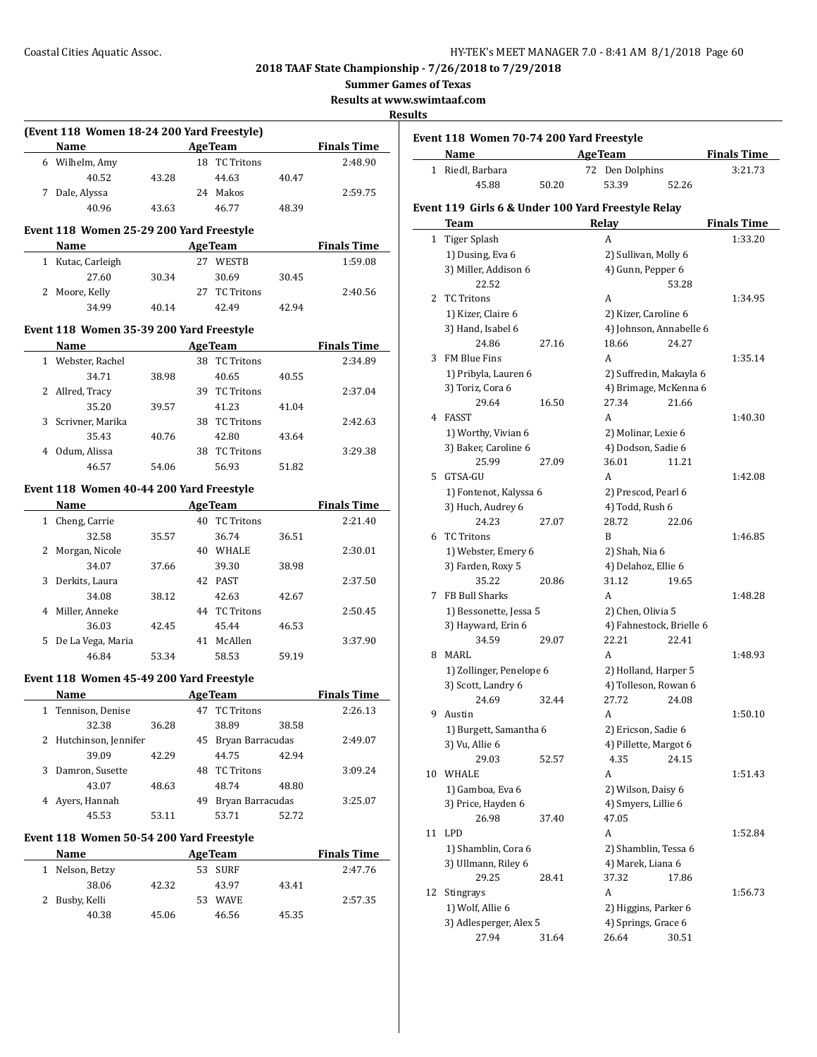**Summer Games of Texas**

**Results at www.swimtaaf.com**

#### **Results**

| (Event 118 Women 18-24 200 Yard Freestyle) |              |       |    |                |       |                    |  |
|--------------------------------------------|--------------|-------|----|----------------|-------|--------------------|--|
|                                            | <b>Name</b>  |       |    | <b>AgeTeam</b> |       | <b>Finals Time</b> |  |
| 6                                          | Wilhelm, Amy |       |    | 18 TC Tritons  |       | 2:48.90            |  |
|                                            | 40.52        | 43.28 |    | 44.63          | 40.47 |                    |  |
|                                            | Dale, Alyssa |       | 24 | Makos          |       | 2:59.75            |  |
|                                            | 40.96        | 43.63 |    | 46.77          | 48.39 |                    |  |
|                                            |              |       |    |                |       |                    |  |

#### **Event 118 Women 25-29 200 Yard Freestyle**

| <b>Name</b>       |       | <b>AgeTeam</b>     |       | <b>Finals Time</b> |
|-------------------|-------|--------------------|-------|--------------------|
| 1 Kutac, Carleigh |       | <b>WESTB</b><br>27 |       | 1:59.08            |
| 27.60             | 30.34 | 30.69              | 30.45 |                    |
| 2 Moore, Kelly    |       | 27 TC Tritons      |       | 2:40.56            |
| 34.99             | 40.14 | 42.49              | 42.94 |                    |

## **Event 118 Women 35-39 200 Yard Freestyle**

| Name               |       | <b>AgeTeam</b>          |       | <b>Finals Time</b> |
|--------------------|-------|-------------------------|-------|--------------------|
| 1 Webster, Rachel  |       | <b>TC</b> Tritons<br>38 |       | 2:34.89            |
| 34.71              | 38.98 | 40.65                   | 40.55 |                    |
| 2 Allred, Tracy    |       | TC Tritons<br>39        |       | 2:37.04            |
| 35.20              | 39.57 | 41.23                   | 41.04 |                    |
| 3 Scrivner, Marika |       | TC Tritons<br>38        |       | 2:42.63            |
| 35.43              | 40.76 | 42.80                   | 43.64 |                    |
| Odum, Alissa       |       | <b>TC</b> Tritons<br>38 |       | 3:29.38            |
| 46.57              | 54.06 | 56.93                   | 51.82 |                    |

#### **Event 118 Women 40-44 200 Yard Freestyle**

| <b>Name</b> |                   | <b>AgeTeam</b> |    |                   |       | <b>Finals Time</b> |
|-------------|-------------------|----------------|----|-------------------|-------|--------------------|
| 1           | Cheng, Carrie     |                | 40 | <b>TC</b> Tritons |       | 2:21.40            |
|             | 32.58             | 35.57          |    | 36.74             | 36.51 |                    |
| 2           | Morgan, Nicole    |                | 40 | <b>WHALE</b>      |       | 2:30.01            |
|             | 34.07             | 37.66          |    | 39.30             | 38.98 |                    |
| 3           | Derkits, Laura    |                | 42 | PAST              |       | 2:37.50            |
|             | 34.08             | 38.12          |    | 42.63             | 42.67 |                    |
| 4           | Miller, Anneke    |                | 44 | <b>TC Tritons</b> |       | 2:50.45            |
|             | 36.03             | 42.45          |    | 45.44             | 46.53 |                    |
| 5.          | De La Vega, Maria |                | 41 | McAllen           |       | 3:37.90            |
|             | 46.84             | 53.34          |    | 58.53             | 59.19 |                    |

#### **Event 118 Women 45-49 200 Yard Freestyle**

|    | Name                   |       |    | <b>Age Team</b>     |       | <b>Finals Time</b> |
|----|------------------------|-------|----|---------------------|-------|--------------------|
|    | 1 Tennison, Denise     |       | 47 | TC Tritons          |       | 2:26.13            |
|    | 32.38                  | 36.28 |    | 38.89               | 38.58 |                    |
|    | 2 Hutchinson, Jennifer |       |    | 45 Bryan Barracudas |       | 2:49.07            |
|    | 39.09                  | 42.29 |    | 44.75               | 42.94 |                    |
| 3. | Damron, Susette        |       | 48 | TC Tritons          |       | 3:09.24            |
|    | 43.07                  | 48.63 |    | 48.74               | 48.80 |                    |
|    | Ayers, Hannah          |       | 49 | Bryan Barracudas    |       | 3:25.07            |
|    | 45.53                  | 53.11 |    | 53.71               | 52.72 |                    |

# **Event 118 Women 50-54 200 Yard Freestyle**

 $\overline{a}$ 

| <b>Name</b>    | <b>AgeTeam</b> |                   | <b>Finals Time</b> |         |
|----------------|----------------|-------------------|--------------------|---------|
| Nelson, Betzy  |                | 53 SURF           |                    | 2:47.76 |
| 38.06          | 42.32          | 43.97             | 43.41              |         |
| 2 Busby, Kelli |                | <b>WAVE</b><br>53 |                    | 2:57.35 |
| 40.38          | 45.06          | 46.56             | 45.35              |         |

|  |  |  | Event 118 Women 70-74 200 Yard Freestyle |
|--|--|--|------------------------------------------|
|--|--|--|------------------------------------------|

| Name             | <b>AgeTeam</b> |                 | <b>Finals Time</b> |
|------------------|----------------|-----------------|--------------------|
| 1 Riedl. Barbara |                | 72 Den Dolphins | 3:21.73            |
| 45.88            | 50.20          | 53.39           | 52.26              |

#### **Event 119 Girls 6 & Under 100 Yard Freestyle Relay**

|    | <b>Team</b>              |       | Relay                    |       | <b>Finals Time</b> |
|----|--------------------------|-------|--------------------------|-------|--------------------|
| 1  | <b>Tiger Splash</b>      |       | A                        |       | 1:33.20            |
|    | 1) Dusing, Eva 6         |       | 2) Sullivan, Molly 6     |       |                    |
|    | 3) Miller, Addison 6     |       | 4) Gunn, Pepper 6        |       |                    |
|    | 22.52                    |       |                          | 53.28 |                    |
| 2  | <b>TC Tritons</b>        |       | A                        |       | 1:34.95            |
|    | 1) Kizer, Claire 6       |       | 2) Kizer, Caroline 6     |       |                    |
|    | 3) Hand, Isabel 6        |       | 4) Johnson, Annabelle 6  |       |                    |
|    | 24.86                    | 27.16 | 18.66                    | 24.27 |                    |
| 3  | FM Blue Fins             |       | A                        |       | 1:35.14            |
|    | 1) Pribyla, Lauren 6     |       | 2) Suffredin, Makayla 6  |       |                    |
|    | 3) Toriz, Cora 6         |       | 4) Brimage, McKenna 6    |       |                    |
|    | 29.64                    | 16.50 | 27.34                    | 21.66 |                    |
| 4  | FASST                    |       | A                        |       | 1:40.30            |
|    | 1) Worthy, Vivian 6      |       | 2) Molinar, Lexie 6      |       |                    |
|    | 3) Baker, Caroline 6     |       | 4) Dodson, Sadie 6       |       |                    |
|    | 25.99                    | 27.09 | 36.01                    | 11.21 |                    |
| 5  | GTSA-GU                  |       | A                        |       | 1:42.08            |
|    | 1) Fontenot, Kalyssa 6   |       | 2) Prescod, Pearl 6      |       |                    |
|    | 3) Huch, Audrey 6        |       | 4) Todd, Rush 6          |       |                    |
|    | 24.23                    | 27.07 | 28.72                    | 22.06 |                    |
| 6  | <b>TC Tritons</b>        |       | B                        |       | 1:46.85            |
|    | 1) Webster, Emery 6      |       | 2) Shah, Nia 6           |       |                    |
|    | 3) Farden, Roxy 5        |       | 4) Delahoz, Ellie 6      |       |                    |
|    | 35.22                    | 20.86 | 31.12                    | 19.65 |                    |
| 7  | FB Bull Sharks           |       | A                        |       | 1:48.28            |
|    | 1) Bessonette, Jessa 5   |       | 2) Chen, Olivia 5        |       |                    |
|    | 3) Hayward, Erin 6       |       | 4) Fahnestock, Brielle 6 |       |                    |
|    | 34.59                    | 29.07 | 22.21                    | 22.41 |                    |
| 8  | MARL                     |       | A                        |       | 1:48.93            |
|    | 1) Zollinger, Penelope 6 |       | 2) Holland, Harper 5     |       |                    |
|    | 3) Scott, Landry 6       |       | 4) Tolleson, Rowan 6     |       |                    |
|    | 24.69                    | 32.44 | 27.72                    | 24.08 |                    |
| 9  | Austin                   |       | A                        |       | 1:50.10            |
|    | 1) Burgett, Samantha 6   |       | 2) Ericson, Sadie 6      |       |                    |
|    | 3) Vu, Allie 6           |       | 4) Pillette, Margot 6    |       |                    |
|    | 29.03                    | 52.57 | 4.35                     | 24.15 |                    |
| 10 | WHALE                    |       | A                        |       | 1:51.43            |
|    | 1) Gamboa, Eva 6         |       | 2) Wilson, Daisy 6       |       |                    |
|    | 3) Price, Hayden 6       |       | 4) Smyers, Lillie 6      |       |                    |
|    | 26.98                    | 37.40 | 47.05                    |       |                    |
| 11 | <b>LPD</b>               |       | A                        |       | 1:52.84            |
|    | 1) Shamblin, Cora 6      |       | 2) Shamblin, Tessa 6     |       |                    |
|    | 3) Ullmann, Riley 6      |       | 4) Marek, Liana 6        |       |                    |
|    | 29.25                    | 28.41 | 37.32                    | 17.86 |                    |
| 12 | Stingrays                |       | A                        |       | 1:56.73            |
|    | 1) Wolf, Allie 6         |       | 2) Higgins, Parker 6     |       |                    |
|    | 3) Adlesperger, Alex 5   |       | 4) Springs, Grace 6      |       |                    |
|    | 27.94                    | 31.64 | 26.64                    | 30.51 |                    |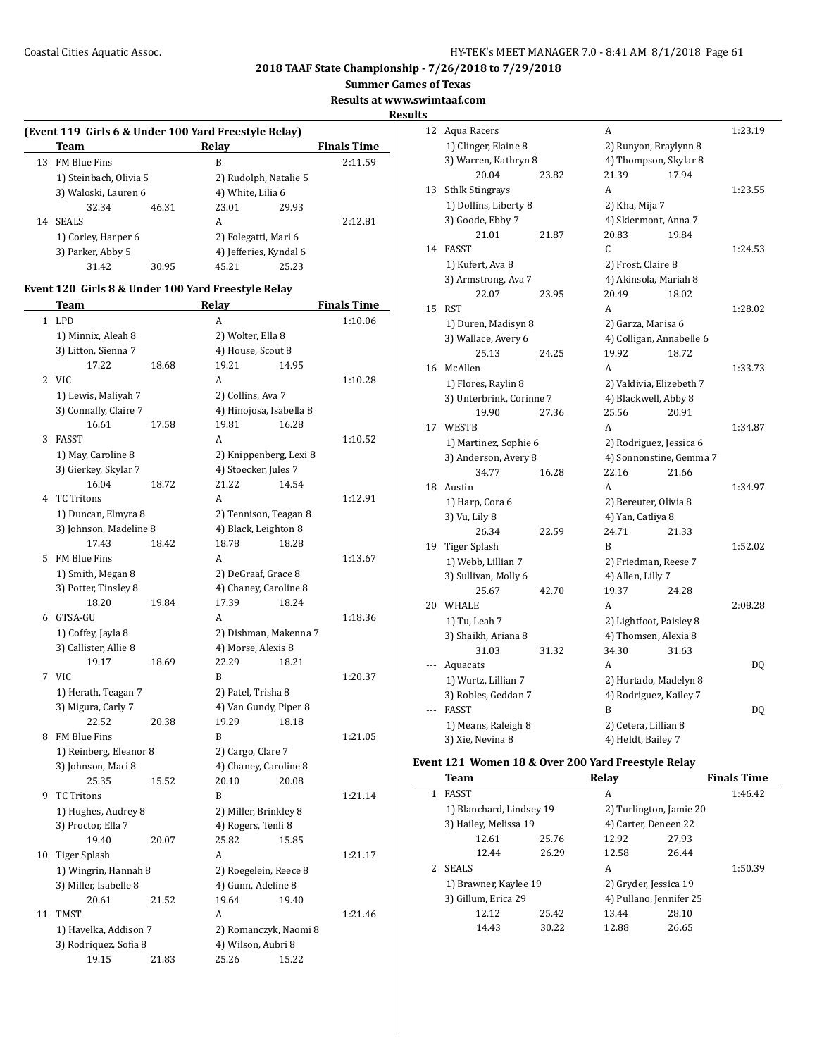**Summer Games of Texas**

**Results at www.swimtaaf.com**

## **Results**

|    | Team                   |       | Relav                  |                       | <b>Finals Time</b> |  |
|----|------------------------|-------|------------------------|-----------------------|--------------------|--|
| 13 | <b>FM Blue Fins</b>    |       | B                      |                       |                    |  |
|    | 1) Steinbach, Olivia 5 |       |                        | 2) Rudolph, Natalie 5 |                    |  |
|    | 3) Waloski, Lauren 6   |       | 4) White, Lilia 6      |                       |                    |  |
|    | 32.34                  | 46.31 | 23.01                  | 29.93                 |                    |  |
| 14 | <b>SEALS</b>           |       | A                      |                       | 2:12.81            |  |
|    | 1) Corley, Harper 6    |       | 2) Folegatti, Mari 6   |                       |                    |  |
|    | 3) Parker, Abby 5      |       | 4) Jefferies, Kyndal 6 |                       |                    |  |
|    | 31.42                  | 30.95 | 45.21                  | 25.23                 |                    |  |

#### **Event 120 Girls 8 & Under 100 Yard Freestyle Relay**

|              | Team                   |       | <b>Relay</b>            |       | <b>Finals Time</b> |
|--------------|------------------------|-------|-------------------------|-------|--------------------|
| $\mathbf{1}$ | <b>LPD</b>             |       | A                       |       | 1:10.06            |
|              | 1) Minnix, Aleah 8     |       | 2) Wolter, Ella 8       |       |                    |
|              | 3) Litton, Sienna 7    |       | 4) House, Scout 8       |       |                    |
|              | 17.22                  | 18.68 | 19.21                   | 14.95 |                    |
|              | 2 VIC                  |       | A                       |       | 1:10.28            |
|              | 1) Lewis, Maliyah 7    |       | 2) Collins, Ava 7       |       |                    |
|              | 3) Connally, Claire 7  |       | 4) Hinojosa, Isabella 8 |       |                    |
|              | 16.61                  | 17.58 | 19.81                   | 16.28 |                    |
| 3            | <b>FASST</b>           |       | A                       |       | 1:10.52            |
|              | 1) May, Caroline 8     |       | 2) Knippenberg, Lexi 8  |       |                    |
|              | 3) Gierkey, Skylar 7   |       | 4) Stoecker, Jules 7    |       |                    |
|              | 16.04                  | 18.72 | 21.22                   | 14.54 |                    |
| 4            | <b>TC Tritons</b>      |       | A                       |       | 1:12.91            |
|              | 1) Duncan, Elmyra 8    |       | 2) Tennison, Teagan 8   |       |                    |
|              | 3) Johnson, Madeline 8 |       | 4) Black, Leighton 8    |       |                    |
|              | 17.43                  | 18.42 | 18.78                   | 18.28 |                    |
| 5            | FM Blue Fins           |       | A                       |       | 1:13.67            |
|              | 1) Smith, Megan 8      |       | 2) DeGraaf, Grace 8     |       |                    |
|              | 3) Potter, Tinsley 8   |       | 4) Chaney, Caroline 8   |       |                    |
|              | 18.20                  | 19.84 | 17.39                   | 18.24 |                    |
| 6            | GTSA-GU                |       | A                       |       | 1:18.36            |
|              | 1) Coffey, Jayla 8     |       | 2) Dishman, Makenna 7   |       |                    |
|              | 3) Callister, Allie 8  |       | 4) Morse, Alexis 8      |       |                    |
|              | 19.17                  | 18.69 | 22.29                   | 18.21 |                    |
| 7            | <b>VIC</b>             |       | B                       |       | 1:20.37            |
|              | 1) Herath, Teagan 7    |       | 2) Patel, Trisha 8      |       |                    |
|              | 3) Migura, Carly 7     |       | 4) Van Gundy, Piper 8   |       |                    |
|              | 22.52                  | 20.38 | 19.29                   | 18.18 |                    |
|              | 8 FM Blue Fins         |       | B                       |       | 1:21.05            |
|              | 1) Reinberg, Eleanor 8 |       | 2) Cargo, Clare 7       |       |                    |
|              | 3) Johnson, Maci 8     |       | 4) Chaney, Caroline 8   |       |                    |
|              | 25.35                  | 15.52 | 20.10                   | 20.08 |                    |
| 9            | <b>TC Tritons</b>      |       | B                       |       | 1:21.14            |
|              | 1) Hughes, Audrey 8    |       | 2) Miller, Brinkley 8   |       |                    |
|              | 3) Proctor, Ella 7     |       | 4) Rogers, Tenli 8      |       |                    |
|              | 19.40                  | 20.07 | 25.82                   | 15.85 |                    |
| 10           | Tiger Splash           |       | A                       |       | 1:21.17            |
|              | 1) Wingrin, Hannah 8   |       | 2) Roegelein, Reece 8   |       |                    |
|              | 3) Miller, Isabelle 8  |       | 4) Gunn, Adeline 8      |       |                    |
|              | 20.61                  | 21.52 | 19.64                   | 19.40 |                    |
| 11           | <b>TMST</b>            |       | A                       |       | 1:21.46            |
|              | 1) Havelka, Addison 7  |       | 2) Romanczyk, Naomi 8   |       |                    |
|              | 3) Rodriquez, Sofia 8  |       | 4) Wilson, Aubri 8      |       |                    |
|              | 19.15                  | 21.83 | 25.26                   | 15.22 |                    |

| 12  | Aqua Racers              |       | A                        |       | 1:23.19 |
|-----|--------------------------|-------|--------------------------|-------|---------|
|     | 1) Clinger, Elaine 8     |       | 2) Runyon, Braylynn 8    |       |         |
|     | 3) Warren, Kathryn 8     |       | 4) Thompson, Skylar 8    |       |         |
|     | 20.04                    | 23.82 | 21.39                    | 17.94 |         |
| 13  | <b>Sthlk Stingrays</b>   |       | A                        |       | 1:23.55 |
|     | 1) Dollins, Liberty 8    |       | 2) Kha, Mija 7           |       |         |
|     | 3) Goode, Ebby 7         |       | 4) Skiermont, Anna 7     |       |         |
|     | 21.01                    | 21.87 | 20.83                    | 19.84 |         |
| 14  | <b>FASST</b>             |       | C                        |       | 1:24.53 |
|     | 1) Kufert, Ava 8         |       | 2) Frost, Claire 8       |       |         |
|     | 3) Armstrong, Ava 7      |       | 4) Akinsola, Mariah 8    |       |         |
|     | 22.07                    | 23.95 | 20.49                    | 18.02 |         |
| 15  | <b>RST</b>               |       | A                        |       | 1:28.02 |
|     | 1) Duren, Madisyn 8      |       | 2) Garza, Marisa 6       |       |         |
|     | 3) Wallace, Avery 6      |       | 4) Colligan, Annabelle 6 |       |         |
|     | 25.13                    | 24.25 | 19.92                    | 18.72 |         |
| 16  | McAllen                  |       | A                        |       | 1:33.73 |
|     | 1) Flores, Raylin 8      |       | 2) Valdivia, Elizebeth 7 |       |         |
|     | 3) Unterbrink, Corinne 7 |       | 4) Blackwell, Abby 8     |       |         |
|     | 19.90                    | 27.36 | 25.56                    | 20.91 |         |
| 17  | <b>WESTB</b>             |       | A                        |       | 1:34.87 |
|     | 1) Martinez, Sophie 6    |       | 2) Rodriguez, Jessica 6  |       |         |
|     | 3) Anderson, Avery 8     |       | 4) Sonnonstine, Gemma 7  |       |         |
|     | 34.77                    | 16.28 | 22.16                    | 21.66 |         |
| 18  | Austin                   |       | A                        |       | 1:34.97 |
|     | 1) Harp, Cora 6          |       | 2) Bereuter, Olivia 8    |       |         |
|     | 3) Vu, Lily 8            |       | 4) Yan, Catliya 8        |       |         |
|     | 26.34                    | 22.59 | 24.71                    | 21.33 |         |
| 19  | <b>Tiger Splash</b>      |       | B                        |       | 1:52.02 |
|     | 1) Webb, Lillian 7       |       | 2) Friedman, Reese 7     |       |         |
|     | 3) Sullivan, Molly 6     |       | 4) Allen, Lilly 7        |       |         |
|     | 25.67                    | 42.70 | 19.37                    | 24.28 |         |
| 20  | WHALE                    |       | A                        |       | 2:08.28 |
|     | 1) Tu, Leah 7            |       | 2) Lightfoot, Paisley 8  |       |         |
|     | 3) Shaikh, Ariana 8      |       | 4) Thomsen, Alexia 8     |       |         |
|     | 31.03                    | 31.32 | 34.30                    | 31.63 |         |
|     | Aquacats                 |       | A                        |       | DQ      |
|     | 1) Wurtz, Lillian 7      |       | 2) Hurtado, Madelyn 8    |       |         |
|     | 3) Robles, Geddan 7      |       | 4) Rodriguez, Kailey 7   |       |         |
| --- |                          |       | B                        |       | DQ      |
|     | <b>FASST</b>             |       |                          |       |         |
|     | 1) Means, Raleigh 8      |       | 2) Cetera, Lillian 8     |       |         |

## **Event 121 Women 18 & Over 200 Yard Freestyle Relay**

|   | Team                     |       | Relay                   |       | <b>Finals Time</b> |
|---|--------------------------|-------|-------------------------|-------|--------------------|
| 1 | <b>FASST</b>             |       | A                       |       | 1:46.42            |
|   | 1) Blanchard, Lindsey 19 |       | 2) Turlington, Jamie 20 |       |                    |
|   | 3) Hailey, Melissa 19    |       | 4) Carter, Deneen 22    |       |                    |
|   | 12.61                    | 25.76 | 12.92                   | 27.93 |                    |
|   | 12.44                    | 26.29 | 12.58                   | 26.44 |                    |
|   | <b>SEALS</b>             |       | A                       |       | 1:50.39            |
|   | 1) Brawner, Kaylee 19    |       | 2) Gryder, Jessica 19   |       |                    |
|   | 3) Gillum, Erica 29      |       | 4) Pullano, Jennifer 25 |       |                    |
|   | 12.12                    | 25.42 | 13.44                   | 28.10 |                    |
|   | 14.43                    | 30.22 | 12.88                   | 26.65 |                    |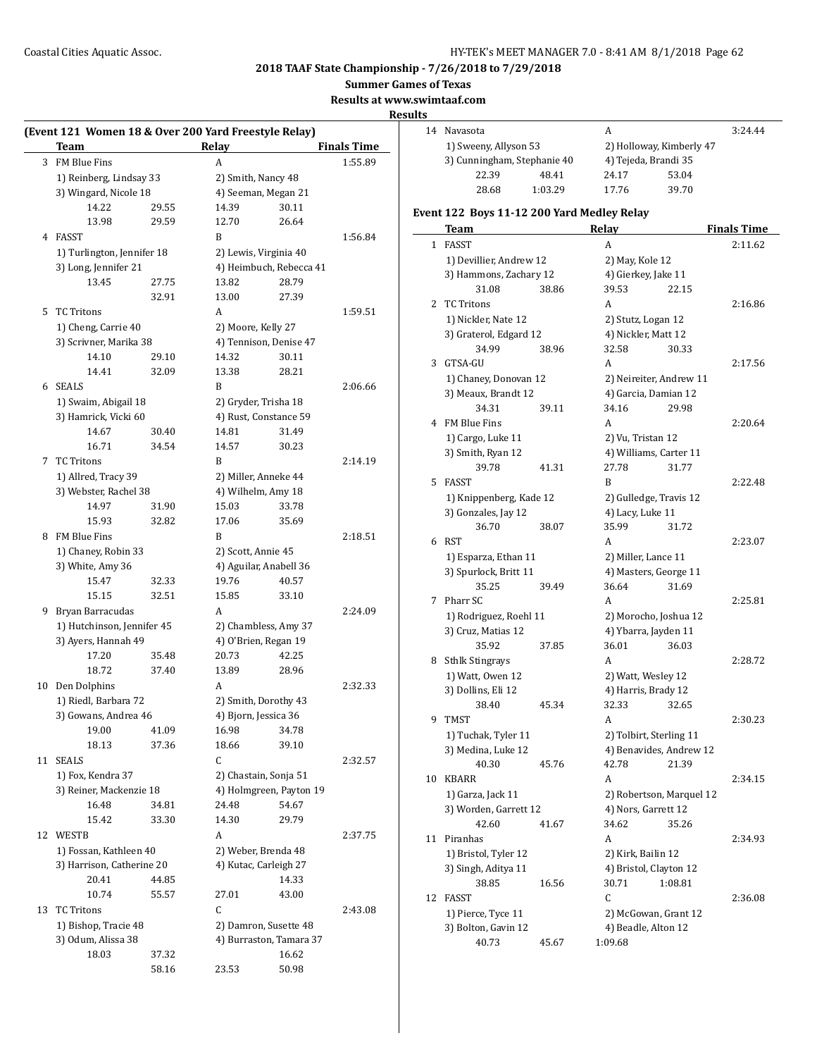**Summer Games of Texas**

**Results at www.swimtaaf.com**

## **Results**

|    | (Event 121 Women 18 & Over 200 Yard Freestyle Relay) |       |                         |                         |                    |
|----|------------------------------------------------------|-------|-------------------------|-------------------------|--------------------|
|    | Team                                                 |       | Relay                   |                         | <b>Finals Time</b> |
|    | 3 FM Blue Fins                                       |       | A                       |                         | 1:55.89            |
|    | 1) Reinberg, Lindsay 33                              |       | 2) Smith, Nancy 48      |                         |                    |
|    | 3) Wingard, Nicole 18                                |       | 4) Seeman, Megan 21     |                         |                    |
|    | 14.22                                                | 29.55 | 14.39                   | 30.11                   |                    |
|    | 13.98                                                | 29.59 | 12.70                   | 26.64                   |                    |
| 4  | FASST                                                |       | B                       |                         | 1:56.84            |
|    | 1) Turlington, Jennifer 18                           |       | 2) Lewis, Virginia 40   |                         |                    |
|    | 3) Long, Jennifer 21                                 |       |                         | 4) Heimbuch, Rebecca 41 |                    |
|    | 13.45                                                | 27.75 | 13.82                   | 28.79                   |                    |
|    |                                                      | 32.91 | 13.00                   | 27.39                   |                    |
| 5. | TC Tritons                                           |       | A                       |                         | 1:59.51            |
|    | 1) Cheng, Carrie 40                                  |       | 2) Moore, Kelly 27      |                         |                    |
|    | 3) Scrivner, Marika 38                               |       | 4) Tennison, Denise 47  |                         |                    |
|    | 14.10                                                | 29.10 | 14.32                   | 30.11                   |                    |
|    | 14.41                                                | 32.09 | 13.38                   | 28.21                   |                    |
|    | 6 SEALS                                              |       | B                       |                         | 2:06.66            |
|    | 1) Swaim, Abigail 18                                 |       | 2) Gryder, Trisha 18    |                         |                    |
|    | 3) Hamrick, Vicki 60                                 |       | 4) Rust, Constance 59   |                         |                    |
|    | 14.67                                                | 30.40 | 14.81                   | 31.49                   |                    |
|    | 16.71                                                | 34.54 | 14.57                   | 30.23                   |                    |
| 7  | <b>TC Tritons</b>                                    |       | B                       |                         | 2:14.19            |
|    | 1) Allred, Tracy 39                                  |       | 2) Miller, Anneke 44    |                         |                    |
|    | 3) Webster, Rachel 38                                |       | 4) Wilhelm, Amy 18      |                         |                    |
|    | 14.97                                                | 31.90 | 15.03                   | 33.78                   |                    |
|    | 15.93                                                | 32.82 | 17.06                   | 35.69                   |                    |
|    | 8 FM Blue Fins                                       |       | B                       |                         | 2:18.51            |
|    | 1) Chaney, Robin 33                                  |       | 2) Scott, Annie 45      |                         |                    |
|    | 3) White, Amy 36                                     |       | 4) Aguilar, Anabell 36  |                         |                    |
|    | 15.47                                                | 32.33 | 19.76                   | 40.57                   |                    |
|    | 15.15                                                | 32.51 | 15.85                   | 33.10                   |                    |
| 9  | Bryan Barracudas                                     |       | A                       |                         | 2:24.09            |
|    | 1) Hutchinson, Jennifer 45                           |       | 2) Chambless, Amy 37    |                         |                    |
|    | 3) Ayers, Hannah 49                                  |       | 4) O'Brien, Regan 19    |                         |                    |
|    | 17.20                                                | 35.48 | 20.73                   | 42.25                   |                    |
|    | 18.72                                                | 37.40 | 13.89                   | 28.96                   |                    |
| 10 | Den Dolphins                                         |       | A                       |                         | 2:32.33            |
|    | 1) Riedl, Barbara 72                                 |       | 2) Smith, Dorothy 43    |                         |                    |
|    | 3) Gowans, Andrea 46                                 |       | 4) Bjorn, Jessica 36    |                         |                    |
|    | 19.00                                                | 41.09 | 16.98                   | 34.78                   |                    |
|    | 18.13                                                | 37.36 | 18.66                   | 39.10                   |                    |
| 11 | <b>SEALS</b>                                         |       | C                       |                         | 2:32.57            |
|    | 1) Fox, Kendra 37                                    |       | 2) Chastain, Sonja 51   |                         |                    |
|    | 3) Reiner, Mackenzie 18                              |       | 4) Holmgreen, Payton 19 |                         |                    |
|    | 16.48                                                | 34.81 | 24.48                   | 54.67                   |                    |
|    | 15.42                                                | 33.30 | 14.30                   | 29.79                   |                    |
| 12 | WESTB                                                |       | A                       |                         | 2:37.75            |
|    | 1) Fossan, Kathleen 40                               |       | 2) Weber, Brenda 48     |                         |                    |
|    | 3) Harrison, Catherine 20                            |       | 4) Kutac, Carleigh 27   |                         |                    |
|    | 20.41                                                | 44.85 |                         | 14.33                   |                    |
|    | 10.74                                                | 55.57 | 27.01                   | 43.00                   |                    |
| 13 | <b>TC Tritons</b>                                    |       | C                       |                         | 2:43.08            |
|    | 1) Bishop, Tracie 48                                 |       | 2) Damron, Susette 48   |                         |                    |
|    | 3) Odum, Alissa 38                                   |       | 4) Burraston, Tamara 37 |                         |                    |
|    | 18.03                                                | 37.32 |                         | 16.62                   |                    |
|    |                                                      | 58.16 | 23.53                   | 50.98                   |                    |
|    |                                                      |       |                         |                         |                    |

| 14 | Navasota              |                             | А     |                          | 3:24.44 |
|----|-----------------------|-----------------------------|-------|--------------------------|---------|
|    | 1) Sweeny, Allyson 53 |                             |       | 2) Holloway, Kimberly 47 |         |
|    |                       | 3) Cunningham, Stephanie 40 |       | 4) Tejeda, Brandi 35     |         |
|    | 22.39                 | 48.41                       | 24.17 | 53.04                    |         |
|    | 28.68                 | 1:03.29                     | 17.76 | 39.70                    |         |
|    |                       |                             |       |                          |         |

# **Event 122 Boys 11-12 200 Yard Medley Relay**

|    | Team                        |       | <b>Relay</b>         |                                   | <b>Finals Time</b> |
|----|-----------------------------|-------|----------------------|-----------------------------------|--------------------|
| 1  | <b>FASST</b>                |       | A                    |                                   | 2:11.62            |
|    | 1) Devillier, Andrew 12     |       | 2) May, Kole 12      |                                   |                    |
|    | 3) Hammons, Zachary 12      |       | 4) Gierkey, Jake 11  |                                   |                    |
|    | 31.08                       | 38.86 | 39.53                | 22.15                             |                    |
| 2  | <b>TC Tritons</b>           |       | A                    |                                   | 2:16.86            |
|    | 1) Nickler, Nate 12         |       | 2) Stutz, Logan 12   |                                   |                    |
|    | 3) Graterol, Edgard 12      |       | 4) Nickler, Matt 12  |                                   |                    |
|    | 34.99                       | 38.96 | 32.58                | 30.33                             |                    |
| 3  | GTSA-GU                     |       | A                    |                                   | 2:17.56            |
|    | 1) Chaney, Donovan 12       |       |                      | 2) Neireiter, Andrew 11           |                    |
|    | 3) Meaux, Brandt 12         |       | 4) Garcia, Damian 12 |                                   |                    |
|    | 34.31                       | 39.11 | 34.16                | 29.98                             |                    |
|    | 4 FM Blue Fins              |       | A                    |                                   | 2:20.64            |
|    | 1) Cargo, Luke 11           |       | 2) Vu, Tristan 12    |                                   |                    |
|    | 3) Smith, Ryan 12           |       |                      | 4) Williams, Carter 11            |                    |
|    | 39.78                       | 41.31 | 27.78                | 31.77                             |                    |
| 5  | <b>FASST</b>                |       | B                    |                                   | 2:22.48            |
|    | 1) Knippenberg, Kade 12     |       |                      | 2) Gulledge, Travis 12            |                    |
|    | 3) Gonzales, Jay 12         |       | 4) Lacy, Luke 11     |                                   |                    |
|    | 36.70                       | 38.07 | 35.99                | 31.72                             |                    |
| 6  | <b>RST</b>                  |       | A                    |                                   | 2:23.07            |
|    | 1) Esparza, Ethan 11        |       | 2) Miller, Lance 11  |                                   |                    |
|    | 3) Spurlock, Britt 11       |       |                      | 4) Masters, George 11             |                    |
|    | 35.25                       | 39.49 | 36.64                | 31.69                             |                    |
| 7  | Pharr SC                    |       | A                    |                                   | 2:25.81            |
|    | 1) Rodriguez, Roehl 11      |       |                      | 2) Morocho, Joshua 12             |                    |
|    | 3) Cruz, Matias 12          |       | 4) Ybarra, Jayden 11 |                                   |                    |
|    | 35.92                       | 37.85 | 36.01                | 36.03                             |                    |
| 8  | <b>Sthlk Stingrays</b>      |       | A                    |                                   | 2:28.72            |
|    | 1) Watt, Owen 12            |       | 2) Watt, Wesley 12   |                                   |                    |
|    | 3) Dollins, Eli 12          |       | 4) Harris, Brady 12  |                                   |                    |
|    | 38.40                       | 45.34 | 32.33                | 32.65                             |                    |
| 9  | <b>TMST</b>                 |       | A                    |                                   | 2:30.23            |
|    | 1) Tuchak, Tyler 11         |       |                      | 2) Tolbirt, Sterling 11           |                    |
|    | 3) Medina, Luke 12          |       |                      | 4) Benavides, Andrew 12           |                    |
|    | 40.30                       | 45.76 | 42.78                | 21.39                             |                    |
| 10 | <b>KBARR</b>                |       | A                    |                                   | 2:34.15            |
|    | 1) Garza, Jack 11           |       |                      | 2) Robertson, Marquel 12          |                    |
|    | 3) Worden, Garrett 12       |       | 4) Nors, Garrett 12  |                                   |                    |
|    | 42.60                       | 41.67 | 34.62                | 35.26                             |                    |
| 11 | Piranhas                    |       | A                    |                                   | 2:34.93            |
|    | 1) Bristol, Tyler 12        |       | 2) Kirk, Bailin 12   |                                   |                    |
|    | 3) Singh, Aditya 11         |       |                      | 4) Bristol, Clayton 12<br>1:08.81 |                    |
| 12 | 38.85                       | 16.56 | 30.71<br>С           |                                   |                    |
|    | FASST<br>1) Pierce, Tyce 11 |       |                      |                                   | 2:36.08            |
|    | 3) Bolton, Gavin 12         |       | 4) Beadle, Alton 12  | 2) McGowan, Grant 12              |                    |
|    | 40.73                       | 45.67 | 1:09.68              |                                   |                    |
|    |                             |       |                      |                                   |                    |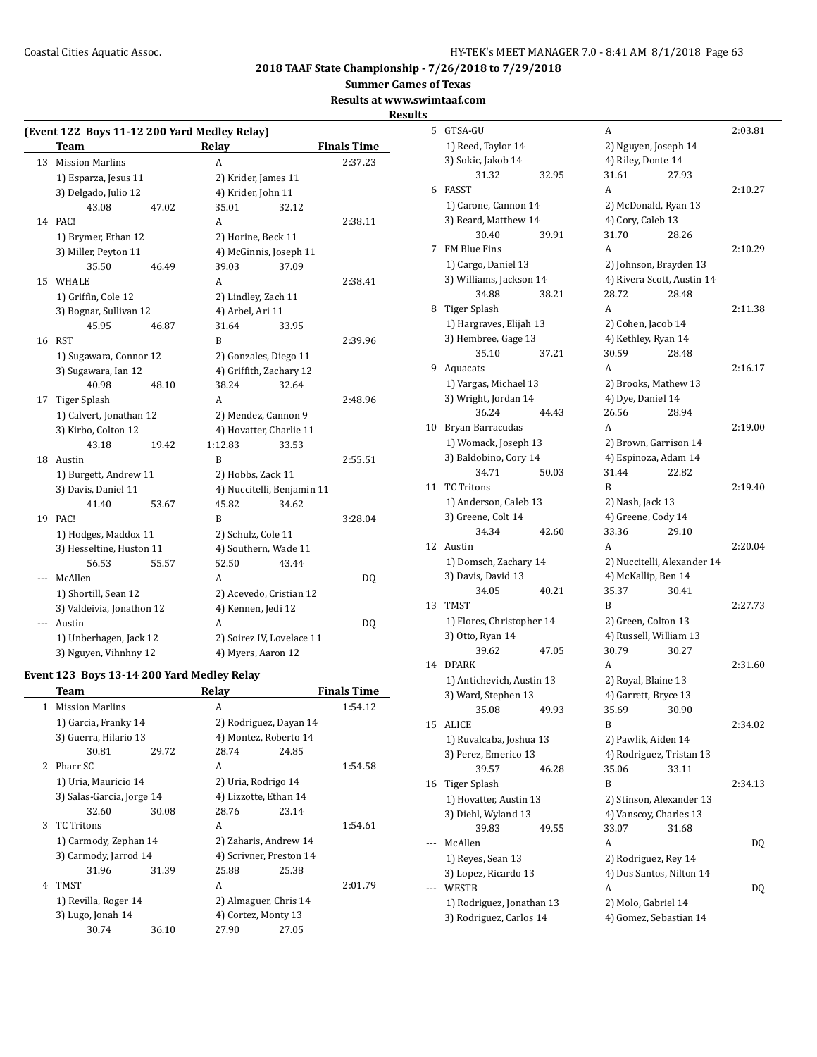$\overline{a}$ 

**2018 TAAF State Championship - 7/26/2018 to 7/29/2018**

**Summer Games of Texas**

**Results at www.swimtaaf.com**

## **Results**

| (Event 122 Boys 11-12 200 Yard Medley Relay) |                           |       |                            |       |                    |  |
|----------------------------------------------|---------------------------|-------|----------------------------|-------|--------------------|--|
|                                              | <b>Team</b>               |       | Relay                      |       | <b>Finals Time</b> |  |
| 13                                           | <b>Mission Marlins</b>    |       | A                          |       | 2:37.23            |  |
|                                              | 1) Esparza, Jesus 11      |       | 2) Krider, James 11        |       |                    |  |
|                                              | 3) Delgado, Julio 12      |       | 4) Krider, John 11         |       |                    |  |
|                                              | 43.08                     | 47.02 | 35.01                      | 32.12 |                    |  |
|                                              | 14 PAC!                   |       | A                          |       | 2:38.11            |  |
|                                              | 1) Brymer, Ethan 12       |       | 2) Horine, Beck 11         |       |                    |  |
|                                              | 3) Miller, Peyton 11      |       | 4) McGinnis, Joseph 11     |       |                    |  |
|                                              | 35.50                     | 46.49 | 39.03                      | 37.09 |                    |  |
| 15                                           | WHALE                     |       | A                          |       | 2:38.41            |  |
|                                              | 1) Griffin, Cole 12       |       | 2) Lindley, Zach 11        |       |                    |  |
|                                              | 3) Bognar, Sullivan 12    |       | 4) Arbel, Ari 11           |       |                    |  |
|                                              | 45.95                     | 46.87 | 31.64                      | 33.95 |                    |  |
| 16                                           | RST                       |       | B                          |       | 2:39.96            |  |
|                                              | 1) Sugawara, Connor 12    |       | 2) Gonzales, Diego 11      |       |                    |  |
|                                              | 3) Sugawara, Ian 12       |       | 4) Griffith, Zachary 12    |       |                    |  |
|                                              | 40.98                     | 48.10 | 38.24                      | 32.64 |                    |  |
| 17                                           | Tiger Splash              |       | A                          |       | 2:48.96            |  |
|                                              | 1) Calvert, Jonathan 12   |       | 2) Mendez, Cannon 9        |       |                    |  |
|                                              | 3) Kirbo, Colton 12       |       | 4) Hovatter, Charlie 11    |       |                    |  |
|                                              | 43.18                     | 19.42 | 1:12.83                    | 33.53 |                    |  |
| 18                                           | Austin                    |       | B                          |       | 2:55.51            |  |
|                                              | 1) Burgett, Andrew 11     |       | 2) Hobbs, Zack 11          |       |                    |  |
|                                              | 3) Davis, Daniel 11       |       | 4) Nuccitelli, Benjamin 11 |       |                    |  |
|                                              | 41.40                     | 53.67 | 45.82                      | 34.62 |                    |  |
| 19                                           | PAC!                      |       | B                          |       | 3:28.04            |  |
|                                              | 1) Hodges, Maddox 11      |       | 2) Schulz, Cole 11         |       |                    |  |
|                                              | 3) Hesseltine, Huston 11  |       | 4) Southern, Wade 11       |       |                    |  |
|                                              | 56.53                     | 55.57 | 52.50                      | 43.44 |                    |  |
| ---                                          | McAllen                   |       | A                          |       | DQ                 |  |
|                                              | 1) Shortill, Sean 12      |       | 2) Acevedo, Cristian 12    |       |                    |  |
|                                              | 3) Valdeivia, Jonathon 12 |       | 4) Kennen, Jedi 12         |       |                    |  |
| ---                                          | Austin                    |       | A                          |       | DQ                 |  |
|                                              | 1) Unberhagen, Jack 12    |       | 2) Soirez IV, Lovelace 11  |       |                    |  |
|                                              | 3) Nguyen, Vihnhny 12     |       | 4) Myers, Aaron 12         |       |                    |  |

# **Event 123 Boys 13-14 200 Yard Medley Relay**

|   | Team                      |       | Relay                   |       | <b>Finals Time</b> |
|---|---------------------------|-------|-------------------------|-------|--------------------|
| 1 | <b>Mission Marlins</b>    |       | A                       |       | 1:54.12            |
|   | 1) Garcia, Franky 14      |       | 2) Rodriguez, Dayan 14  |       |                    |
|   | 3) Guerra, Hilario 13     |       | 4) Montez, Roberto 14   |       |                    |
|   | 30.81                     | 29.72 | 28.74                   | 24.85 |                    |
|   | 2 Pharr SC                |       | A                       |       | 1:54.58            |
|   | 1) Uria, Mauricio 14      |       | 2) Uria, Rodrigo 14     |       |                    |
|   | 3) Salas-Garcia, Jorge 14 |       | 4) Lizzotte, Ethan 14   |       |                    |
|   | 32.60                     | 30.08 | 28.76                   | 23.14 |                    |
| 3 | <b>TC Tritons</b>         |       | A                       |       | 1:54.61            |
|   | 1) Carmody, Zephan 14     |       | 2) Zaharis, Andrew 14   |       |                    |
|   | 3) Carmody, Jarrod 14     |       | 4) Scrivner, Preston 14 |       |                    |
|   | 31.96                     | 31.39 | 25.88                   | 25.38 |                    |
| 4 | TMST                      |       | A                       |       | 2:01.79            |
|   | 1) Revilla, Roger 14      |       | 2) Almaguer, Chris 14   |       |                    |
|   | 3) Lugo, Jonah 14         |       | 4) Cortez, Monty 13     |       |                    |
|   | 30.74                     | 36.10 | 27.90                   | 27.05 |                    |
|   |                           |       |                         |       |                    |

| 5  | GTSA-GU                   |       | A                           |       | 2:03.81 |
|----|---------------------------|-------|-----------------------------|-------|---------|
|    | 1) Reed, Taylor 14        |       | 2) Nguyen, Joseph 14        |       |         |
|    | 3) Sokic, Jakob 14        |       | 4) Riley, Donte 14          |       |         |
|    | 31.32                     | 32.95 | 31.61                       | 27.93 |         |
| 6  | <b>FASST</b>              |       | A                           |       | 2:10.27 |
|    | 1) Carone, Cannon 14      |       | 2) McDonald, Ryan 13        |       |         |
|    | 3) Beard, Matthew 14      |       | 4) Cory, Caleb 13           |       |         |
|    | 30.40                     | 39.91 | 31.70                       | 28.26 |         |
| 7  | <b>FM Blue Fins</b>       |       | A                           |       | 2:10.29 |
|    | 1) Cargo, Daniel 13       |       | 2) Johnson, Brayden 13      |       |         |
|    | 3) Williams, Jackson 14   |       | 4) Rivera Scott, Austin 14  |       |         |
|    | 34.88                     | 38.21 | 28.72                       | 28.48 |         |
| 8  | Tiger Splash              |       | A                           |       | 2:11.38 |
|    | 1) Hargraves, Elijah 13   |       | 2) Cohen, Jacob 14          |       |         |
|    | 3) Hembree, Gage 13       |       | 4) Kethley, Ryan 14         |       |         |
|    | 35.10                     | 37.21 | 30.59                       | 28.48 |         |
| 9. | Aquacats                  |       | A                           |       | 2:16.17 |
|    | 1) Vargas, Michael 13     |       | 2) Brooks, Mathew 13        |       |         |
|    | 3) Wright, Jordan 14      |       | 4) Dye, Daniel 14           |       |         |
|    | 36.24                     | 44.43 | 26.56                       | 28.94 |         |
| 10 | Bryan Barracudas          |       | A                           |       | 2:19.00 |
|    | 1) Womack, Joseph 13      |       | 2) Brown, Garrison 14       |       |         |
|    | 3) Baldobino, Cory 14     |       | 4) Espinoza, Adam 14        |       |         |
|    | 34.71                     | 50.03 | 31.44                       | 22.82 |         |
| 11 | <b>TC Tritons</b>         |       | B                           |       | 2:19.40 |
|    | 1) Anderson, Caleb 13     |       | 2) Nash, Jack 13            |       |         |
|    | 3) Greene, Colt 14        |       | 4) Greene, Cody 14          |       |         |
|    | 34.34                     | 42.60 | 33.36                       | 29.10 |         |
| 12 | Austin                    |       | A                           |       | 2:20.04 |
|    | 1) Domsch, Zachary 14     |       | 2) Nuccitelli, Alexander 14 |       |         |
|    | 3) Davis, David 13        |       | 4) McKallip, Ben 14         |       |         |
|    | 34.05                     | 40.21 | 35.37                       | 30.41 |         |
| 13 | TMST                      |       | B                           |       | 2:27.73 |
|    | 1) Flores, Christopher 14 |       | 2) Green, Colton 13         |       |         |
|    | 3) Otto, Ryan 14          |       | 4) Russell, William 13      |       |         |
|    | 39.62                     | 47.05 | 30.79                       | 30.27 |         |
| 14 | <b>DPARK</b>              |       | A                           |       | 2:31.60 |
|    | 1) Antichevich, Austin 13 |       | 2) Royal, Blaine 13         |       |         |
|    | 3) Ward, Stephen 13       |       | 4) Garrett, Bryce 13        |       |         |
|    | 35.08                     | 49.93 | 35.69                       | 30.90 |         |
| 15 | ALICE                     |       | B                           |       | 2:34.02 |
|    | 1) Ruvalcaba, Joshua 13   |       | 2) Pawlik, Aiden 14         |       |         |
|    | 3) Perez, Emerico 13      |       | 4) Rodriguez, Tristan 13    |       |         |
|    | 39.57                     | 46.28 | 35.06                       | 33.11 |         |
| 16 | Tiger Splash              |       | B                           |       | 2:34.13 |
|    | 1) Hovatter, Austin 13    |       | 2) Stinson, Alexander 13    |       |         |
|    | 3) Diehl, Wyland 13       |       | 4) Vanscoy, Charles 13      |       |         |
|    | 39.83                     | 49.55 | 33.07                       | 31.68 |         |
|    | McAllen                   |       | A                           |       | DQ      |
|    | 1) Reyes, Sean 13         |       | 2) Rodriguez, Rey 14        |       |         |
|    | 3) Lopez, Ricardo 13      |       | 4) Dos Santos, Nilton 14    |       |         |
|    | <b>WESTB</b>              |       | А                           |       | DQ      |
|    | 1) Rodriguez, Jonathan 13 |       | 2) Molo, Gabriel 14         |       |         |
|    | 3) Rodriguez, Carlos 14   |       | 4) Gomez, Sebastian 14      |       |         |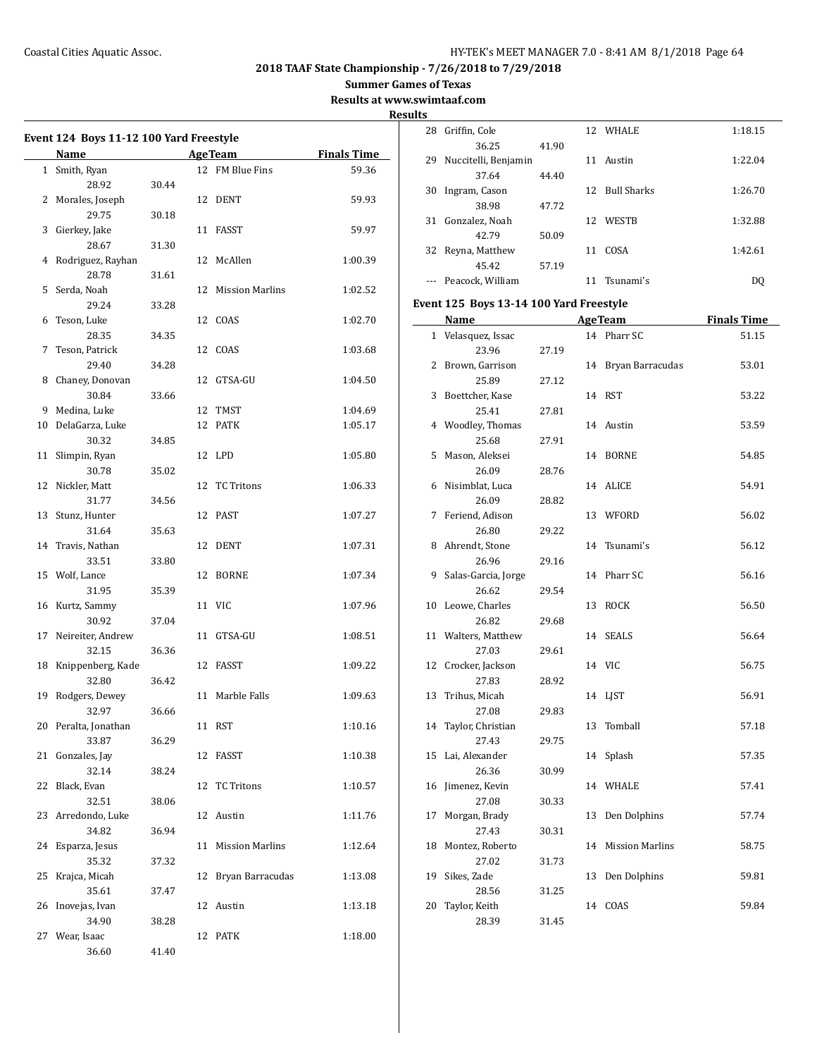**2018 TAAF State Championship - 7/26/2018 to 7/29/2018**

**Summer Games of Texas**

**Results at www.swimtaaf.com**

|                                         |                   |       |    |                 |                    | Result |  |
|-----------------------------------------|-------------------|-------|----|-----------------|--------------------|--------|--|
| Event 124 Boys 11-12 100 Yard Freestyle |                   |       |    |                 |                    |        |  |
|                                         | Name              |       |    | <b>AgeTeam</b>  | <b>Finals Time</b> |        |  |
| 1                                       | Smith, Ryan       |       |    | 12 FM Blue Fins | 59.36              |        |  |
|                                         | 28.92             | 30.44 |    |                 |                    |        |  |
|                                         | 2 Morales, Joseph |       |    | 12 DENT         | 59.93              |        |  |
|                                         | 29.75             | 30.18 |    |                 |                    |        |  |
| 3                                       | Gierkey, Jake     |       | 11 | FASST           | 59.97              |        |  |
|                                         | 28.67             | 31.30 |    |                 |                    |        |  |

|    | 29.75             | 30.18 |    |                        |         |
|----|-------------------|-------|----|------------------------|---------|
| 3  | Gierkey, Jake     |       |    | 11 FASST               | 59.97   |
|    | 28.67             | 31.30 |    |                        |         |
| 4  | Rodriguez, Rayhan |       | 12 | McAllen                | 1:00.39 |
|    | 28.78             | 31.61 |    |                        |         |
| 5  | Serda, Noah       |       | 12 | <b>Mission Marlins</b> | 1:02.52 |
|    | 29.24             | 33.28 |    |                        |         |
| 6  | Teson, Luke       |       | 12 | COAS                   | 1:02.70 |
|    | 28.35             | 34.35 |    |                        |         |
| 7  | Teson, Patrick    |       | 12 | COAS                   | 1:03.68 |
|    | 29.40             | 34.28 |    |                        |         |
| 8  | Chaney, Donovan   |       | 12 | GTSA-GU                | 1:04.50 |
|    | 30.84             | 33.66 |    |                        |         |
| 9  | Medina, Luke      |       | 12 | TMST                   | 1:04.69 |
| 10 | DelaGarza, Luke   |       | 12 | PATK                   | 1:05.17 |
|    | 30.32             | 34.85 |    |                        |         |
| 11 | Slimpin, Ryan     |       | 12 | LPD                    | 1:05.80 |
|    | 30.78             | 35.02 |    |                        |         |
| 12 | Nickler, Matt     |       | 12 | <b>TC Tritons</b>      | 1:06.33 |
|    | 31.77             | 34.56 |    |                        |         |
| 13 | Stunz, Hunter     |       | 12 | PAST                   | 1:07.27 |
|    | 31.64             | 35.63 |    |                        |         |
| 14 | Travis, Nathan    |       | 12 | DENT                   | 1:07.31 |
|    | 33.51             | 33.80 |    |                        |         |
| 15 | Wolf, Lance       |       | 12 | <b>BORNE</b>           | 1:07.34 |
|    | 31.95             | 35.39 |    |                        |         |
| 16 | Kurtz, Sammy      |       | 11 | <b>VIC</b>             | 1:07.96 |
|    | 30.92             | 37.04 |    |                        |         |
| 17 | Neireiter, Andrew |       | 11 | GTSA-GU                | 1:08.51 |
|    | 32.15             | 36.36 |    |                        |         |
| 18 | Knippenberg, Kade |       | 12 | FASST                  | 1:09.22 |
|    | 32.80             | 36.42 |    |                        |         |
| 19 | Rodgers, Dewey    |       | 11 | Marble Falls           | 1:09.63 |
|    | 32.97             | 36.66 |    |                        |         |
| 20 | Peralta, Jonathan |       | 11 | RST                    | 1:10.16 |
|    | 33.87             | 36.29 |    |                        |         |
| 21 | Gonzales, Jay     |       | 12 | FASST                  | 1:10.38 |
|    | 32.14             | 38.24 |    |                        |         |
| 22 | Black, Evan       |       | 12 | <b>TC Tritons</b>      | 1:10.57 |
|    | 32.51             | 38.06 |    |                        |         |
| 23 | Arredondo, Luke   |       | 12 | Austin                 | 1:11.76 |
|    | 34.82             | 36.94 |    |                        |         |
| 24 | Esparza, Jesus    |       | 11 | <b>Mission Marlins</b> | 1:12.64 |
|    | 35.32             | 37.32 |    |                        |         |
| 25 | Krajca, Micah     |       | 12 | Bryan Barracudas       | 1:13.08 |
|    | 35.61             | 37.47 |    |                        |         |
| 26 | Inovejas, Ivan    |       | 12 | Austin                 | 1:13.18 |
|    | 34.90             | 38.28 |    |                        |         |
| 27 | Wear, Isaac       |       | 12 | <b>PATK</b>            | 1:18.00 |
|    | 36.60             | 41.40 |    |                        |         |

| ts |                      |       |    |                |         |
|----|----------------------|-------|----|----------------|---------|
| 28 | Griffin, Cole        |       |    | 12 WHALE       | 1:18.15 |
|    | 36.25                | 41.90 |    |                |         |
| 29 | Nuccitelli, Benjamin |       | 11 | Austin         | 1:22.04 |
|    | 37.64                | 44.40 |    |                |         |
| 30 | Ingram, Cason        |       |    | 12 Bull Sharks | 1:26.70 |
|    | 38.98                | 47.72 |    |                |         |
| 31 | Gonzalez, Noah       |       |    | 12 WESTB       | 1:32.88 |
|    | 42.79                | 50.09 |    |                |         |
| 32 | Reyna, Matthew       |       | 11 | COSA           | 1:42.61 |
|    | 45.42                | 57.19 |    |                |         |
|    | Peacock, William     |       | 11 | Tsunami's      | DO      |
|    |                      |       |    |                |         |

## **Event 125 Boys 13-14 100 Yard Freestyle**

|    | Name and the same state of the same state of the same state of the same state of the same state of the same state of the same state of the same state of the same state of the same state of the same state of the same state |       |    | <b>AgeTeam</b>         | <b>Finals Time</b> |
|----|-------------------------------------------------------------------------------------------------------------------------------------------------------------------------------------------------------------------------------|-------|----|------------------------|--------------------|
| 1  | Velasquez, Issac                                                                                                                                                                                                              |       |    | 14 Pharr SC            | 51.15              |
|    | 23.96                                                                                                                                                                                                                         | 27.19 |    |                        |                    |
| 2  | Brown, Garrison                                                                                                                                                                                                               |       | 14 | Bryan Barracudas       | 53.01              |
|    | 25.89                                                                                                                                                                                                                         | 27.12 |    |                        |                    |
| 3  | Boettcher, Kase                                                                                                                                                                                                               |       | 14 | <b>RST</b>             | 53.22              |
|    | 25.41                                                                                                                                                                                                                         | 27.81 |    |                        |                    |
| 4  | Woodley, Thomas                                                                                                                                                                                                               |       |    | 14 Austin              | 53.59              |
|    | 25.68                                                                                                                                                                                                                         | 27.91 |    |                        |                    |
| 5  | Mason, Aleksei                                                                                                                                                                                                                |       | 14 | <b>BORNE</b>           | 54.85              |
|    | 26.09                                                                                                                                                                                                                         | 28.76 |    |                        |                    |
| 6  | Nisimblat, Luca                                                                                                                                                                                                               |       | 14 | <b>ALICE</b>           | 54.91              |
|    | 26.09                                                                                                                                                                                                                         | 28.82 |    |                        |                    |
| 7  | Feriend, Adison                                                                                                                                                                                                               |       | 13 | WFORD                  | 56.02              |
|    | 26.80                                                                                                                                                                                                                         | 29.22 |    |                        |                    |
| 8  | Ahrendt, Stone                                                                                                                                                                                                                |       | 14 | Tsunami's              | 56.12              |
|    | 26.96                                                                                                                                                                                                                         | 29.16 |    |                        |                    |
| 9  | Salas-Garcia, Jorge                                                                                                                                                                                                           |       | 14 | Pharr SC               | 56.16              |
|    | 26.62                                                                                                                                                                                                                         | 29.54 |    |                        |                    |
| 10 | Leowe, Charles                                                                                                                                                                                                                |       | 13 | <b>ROCK</b>            | 56.50              |
|    | 26.82                                                                                                                                                                                                                         | 29.68 |    |                        |                    |
| 11 | Walters, Matthew                                                                                                                                                                                                              |       | 14 | <b>SEALS</b>           | 56.64              |
|    | 27.03                                                                                                                                                                                                                         | 29.61 |    |                        |                    |
| 12 | Crocker, Jackson                                                                                                                                                                                                              |       |    | 14 VIC                 | 56.75              |
|    | 27.83                                                                                                                                                                                                                         | 28.92 |    |                        |                    |
| 13 | Trihus, Micah                                                                                                                                                                                                                 |       |    | 14 LJST                | 56.91              |
|    | 27.08                                                                                                                                                                                                                         | 29.83 |    |                        |                    |
| 14 | Taylor, Christian                                                                                                                                                                                                             |       | 13 | Tomball                | 57.18              |
|    | 27.43                                                                                                                                                                                                                         | 29.75 |    |                        |                    |
| 15 | Lai, Alexander                                                                                                                                                                                                                |       | 14 | Splash                 | 57.35              |
|    | 26.36                                                                                                                                                                                                                         | 30.99 |    |                        |                    |
| 16 | Jimenez, Kevin                                                                                                                                                                                                                |       | 14 | WHALE                  | 57.41              |
|    | 27.08                                                                                                                                                                                                                         | 30.33 |    |                        |                    |
| 17 | Morgan, Brady                                                                                                                                                                                                                 |       | 13 | Den Dolphins           | 57.74              |
|    | 27.43                                                                                                                                                                                                                         | 30.31 |    |                        |                    |
| 18 | Montez, Roberto                                                                                                                                                                                                               |       | 14 | <b>Mission Marlins</b> | 58.75              |
|    | 27.02                                                                                                                                                                                                                         | 31.73 |    |                        |                    |
| 19 | Sikes, Zade                                                                                                                                                                                                                   |       | 13 | Den Dolphins           | 59.81              |
|    | 28.56                                                                                                                                                                                                                         | 31.25 |    |                        |                    |
| 20 | Taylor, Keith                                                                                                                                                                                                                 |       | 14 | COAS                   | 59.84              |
|    | 28.39                                                                                                                                                                                                                         | 31.45 |    |                        |                    |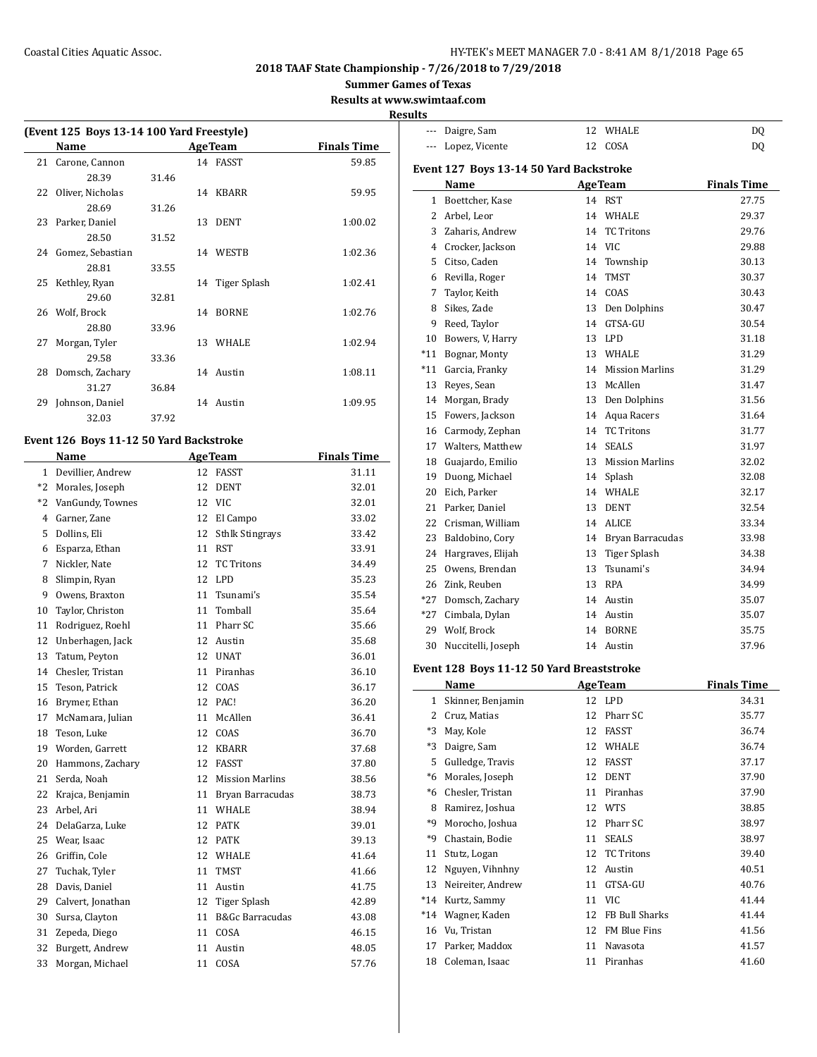--- Daigre, Sam 12 WHALE DQ

## **2018 TAAF State Championship - 7/26/2018 to 7/29/2018**

**Summer Games of Texas**

**Results at www.swimtaaf.com**

#### **Results**

| (Event 125 Boys 13-14 100 Yard Freestyle) |                     |       |    |                 |                    |  |
|-------------------------------------------|---------------------|-------|----|-----------------|--------------------|--|
|                                           | Name                |       |    | <b>AgeTeam</b>  | <b>Finals Time</b> |  |
| 21                                        | Carone, Cannon      |       |    | 14 FASST        | 59.85              |  |
|                                           | 28.39               | 31.46 |    |                 |                    |  |
|                                           | 22 Oliver, Nicholas |       |    | 14 KBARR        | 59.95              |  |
|                                           | 28.69               | 31.26 |    |                 |                    |  |
|                                           | 23 Parker, Daniel   |       | 13 | DENT            | 1:00.02            |  |
|                                           | 28.50               | 31.52 |    |                 |                    |  |
|                                           | 24 Gomez, Sebastian |       |    | 14 WESTR        | 1:02.36            |  |
|                                           | 28.81               | 33.55 |    |                 |                    |  |
|                                           | 25 Kethley, Ryan    |       |    | 14 Tiger Splash | 1:02.41            |  |
|                                           | 29.60               | 32.81 |    |                 |                    |  |
|                                           | 26 Wolf, Brock      |       |    | 14 BORNE        | 1:02.76            |  |
|                                           | 28.80               | 33.96 |    |                 |                    |  |
| 27                                        | Morgan, Tyler       |       |    | 13 WHALE        | 1:02.94            |  |
|                                           | 29.58               | 33.36 |    |                 |                    |  |
| 28                                        | Domsch, Zachary     |       |    | 14 Austin       | 1:08.11            |  |
|                                           | 31.27               | 36.84 |    |                 |                    |  |
| 29                                        | Johnson, Daniel     |       |    | 14 Austin       | 1:09.95            |  |
|                                           | 32.03               | 37.92 |    |                 |                    |  |

## **Event 126 Boys 11-12 50 Yard Backstroke**

 $\overline{\phantom{a}}$ 

|      | Name              |    | <b>AgeTeam</b>             | <b>Finals Time</b> |
|------|-------------------|----|----------------------------|--------------------|
| 1    | Devillier, Andrew | 12 | <b>FASST</b>               | 31.11              |
| $*2$ | Morales, Joseph   | 12 | <b>DENT</b>                | 32.01              |
| $*2$ | VanGundy, Townes  | 12 | <b>VIC</b>                 | 32.01              |
| 4    | Garner, Zane      | 12 | El Campo                   | 33.02              |
| 5    | Dollins, Eli      | 12 | <b>Sthlk Stingrays</b>     | 33.42              |
| 6    | Esparza, Ethan    | 11 | <b>RST</b>                 | 33.91              |
| 7    | Nickler, Nate     | 12 | <b>TC Tritons</b>          | 34.49              |
| 8    | Slimpin, Ryan     | 12 | <b>LPD</b>                 | 35.23              |
| 9    | Owens, Braxton    | 11 | Tsunami's                  | 35.54              |
| 10   | Taylor, Christon  | 11 | Tomball                    | 35.64              |
| 11   | Rodriguez, Roehl  | 11 | Pharr SC                   | 35.66              |
| 12   | Unberhagen, Jack  | 12 | Austin                     | 35.68              |
| 13   | Tatum, Peyton     | 12 | <b>UNAT</b>                | 36.01              |
| 14   | Chesler, Tristan  | 11 | Piranhas                   | 36.10              |
| 15   | Teson, Patrick    | 12 | COAS                       | 36.17              |
| 16   | Brymer, Ethan     | 12 | PAC!                       | 36.20              |
| 17   | McNamara, Julian  | 11 | McAllen                    | 36.41              |
| 18   | Teson, Luke       | 12 | COAS                       | 36.70              |
| 19   | Worden, Garrett   | 12 | <b>KBARR</b>               | 37.68              |
| 20   | Hammons, Zachary  | 12 | <b>FASST</b>               | 37.80              |
| 21   | Serda, Noah       | 12 | <b>Mission Marlins</b>     | 38.56              |
| 22   | Krajca, Benjamin  | 11 | Bryan Barracudas           | 38.73              |
| 23   | Arbel, Ari        | 11 | WHALE                      | 38.94              |
| 24   | DelaGarza, Luke   | 12 | <b>PATK</b>                | 39.01              |
| 25   | Wear, Isaac       | 12 | <b>PATK</b>                | 39.13              |
| 26   | Griffin, Cole     | 12 | WHALE                      | 41.64              |
| 27   | Tuchak, Tyler     | 11 | <b>TMST</b>                | 41.66              |
| 28   | Davis, Daniel     | 11 | Austin                     | 41.75              |
| 29   | Calvert, Jonathan | 12 | Tiger Splash               | 42.89              |
| 30   | Sursa, Clayton    | 11 | <b>B&amp;Gc Barracudas</b> | 43.08              |
| 31   | Zepeda, Diego     | 11 | COSA                       | 46.15              |
| 32   | Burgett, Andrew   | 11 | Austin                     | 48.05              |
| 33   | Morgan, Michael   | 11 | COSA                       | 57.76              |

| $- - -$ | Lopez, Vicente                          | 12 | COSA                   | DQ                 |
|---------|-----------------------------------------|----|------------------------|--------------------|
|         | Event 127 Boys 13-14 50 Yard Backstroke |    |                        |                    |
|         | Name                                    |    | <b>AgeTeam</b>         | <b>Finals Time</b> |
|         | 1 Boettcher, Kase                       |    | 14 RST                 | 27.75              |
| 2       | Arbel, Leor                             |    | 14 WHALE               | 29.37              |
| 3       | Zaharis, Andrew                         | 14 | <b>TC</b> Tritons      | 29.76              |
| 4       | Crocker, Jackson                        |    | 14 VIC                 | 29.88              |
| 5       | Citso. Caden                            | 14 | Township               | 30.13              |
| 6       | Revilla, Roger                          | 14 | <b>TMST</b>            | 30.37              |
| 7       | Taylor, Keith                           | 14 | COAS                   | 30.43              |
| 8       | Sikes, Zade                             | 13 | Den Dolphins           | 30.47              |
| 9       | Reed, Taylor                            | 14 | GTSA-GU                | 30.54              |
| 10      | Bowers, V, Harry                        |    | 13 LPD                 | 31.18              |
| $*11$   | Bognar, Monty                           | 13 | WHALE                  | 31.29              |
| $*11$   | Garcia, Franky                          | 14 | <b>Mission Marlins</b> | 31.29              |
| 13      | Reyes, Sean                             | 13 | McAllen                | 31.47              |
|         | 14 Morgan, Brady                        |    | 13 Den Dolphins        | 31.56              |
| 15      | Fowers, Jackson                         |    | 14 Aqua Racers         | 31.64              |
| 16      | Carmody, Zephan                         | 14 | <b>TC Tritons</b>      | 31.77              |
| 17      | Walters. Matthew                        | 14 | <b>SEALS</b>           | 31.97              |
| 18      | Guajardo, Emilio                        | 13 | <b>Mission Marlins</b> | 32.02              |
| 19      | Duong, Michael                          | 14 | Splash                 | 32.08              |
| 20      | Eich, Parker                            | 14 | WHALE                  | 32.17              |
| 21      | Parker, Daniel                          | 13 | <b>DENT</b>            | 32.54              |
| 22      | Crisman, William                        | 14 | <b>ALICE</b>           | 33.34              |
| 23      | Baldobino, Cory                         |    | 14 Bryan Barracudas    | 33.98              |
| 24      | Hargraves, Elijah                       | 13 | Tiger Splash           | 34.38              |
| 25      | Owens, Brendan                          | 13 | Tsunami's              | 34.94              |
| 26      | Zink, Reuben                            | 13 | <b>RPA</b>             | 34.99              |
| $*27$   | Domsch, Zachary                         |    | 14 Austin              | 35.07              |
| $*27$   | Cimbala, Dylan                          | 14 | Austin                 | 35.07              |
| 29      | Wolf, Brock                             | 14 | <b>BORNE</b>           | 35.75              |
| 30      | Nuccitelli, Joseph                      | 14 | Austin                 | 37.96              |

## **Event 128 Boys 11-12 50 Yard Breaststroke**

|       | Name              |    | <b>AgeTeam</b>      | <b>Finals Time</b> |
|-------|-------------------|----|---------------------|--------------------|
| 1     | Skinner, Benjamin | 12 | LPD                 | 34.31              |
| 2     | Cruz, Matias      | 12 | Pharr SC            | 35.77              |
| $*3$  | May, Kole         | 12 | FASST               | 36.74              |
| $*3$  | Daigre, Sam       | 12 | WHALE               | 36.74              |
| 5     | Gulledge, Travis  | 12 | FASST               | 37.17              |
| $*6$  | Morales, Joseph   | 12 | <b>DENT</b>         | 37.90              |
| $*6$  | Chesler, Tristan  | 11 | Piranhas            | 37.90              |
| 8     | Ramirez, Joshua   | 12 | <b>WTS</b>          | 38.85              |
| *9    | Morocho, Joshua   | 12 | Pharr SC            | 38.97              |
| *9    | Chastain, Bodie   | 11 | <b>SEALS</b>        | 38.97              |
| 11    | Stutz, Logan      | 12 | <b>TC Tritons</b>   | 39.40              |
| 12    | Nguyen, Vihnhny   | 12 | Austin              | 40.51              |
| 13    | Neireiter, Andrew | 11 | GTSA-GU             | 40.76              |
| $*14$ | Kurtz, Sammy      | 11 | <b>VIC</b>          | 41.44              |
| $*14$ | Wagner, Kaden     | 12 | FB Bull Sharks      | 41.44              |
| 16    | Vu, Tristan       | 12 | <b>FM Blue Fins</b> | 41.56              |
| 17    | Parker, Maddox    | 11 | Navasota            | 41.57              |
| 18    | Coleman, Isaac    | 11 | Piranhas            | 41.60              |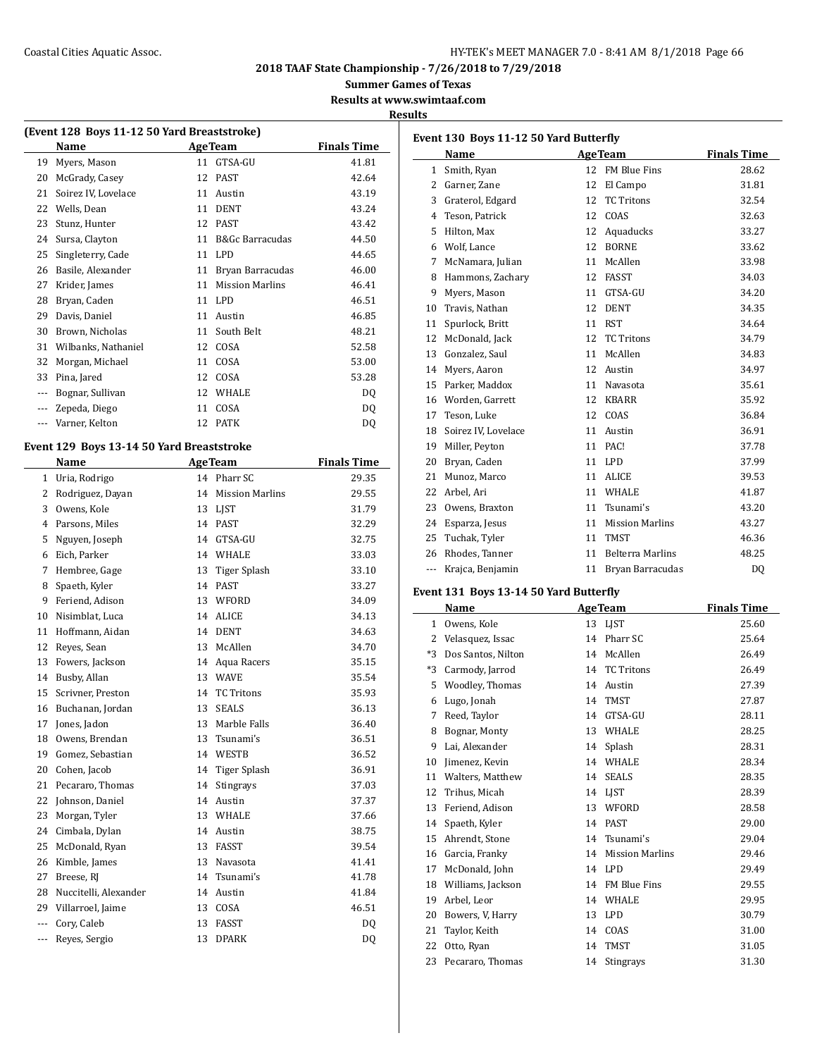## Coastal Cities Aquatic Assoc. The Coastal Cities Aquatic Assoc. The Coastal Cities Aquatic Assoc.

**2018 TAAF State Championship - 7/26/2018 to 7/29/2018**

**Summer Games of Texas**

**Results at www.swimtaaf.com**

#### **Results**

| (Event 128 Boys 11-12 50 Yard Breaststroke) |                     |    |                        |                    |  |  |
|---------------------------------------------|---------------------|----|------------------------|--------------------|--|--|
|                                             | Name                |    | <b>Age Team</b>        | <b>Finals Time</b> |  |  |
| 19                                          | Myers, Mason        | 11 | GTSA-GU                | 41.81              |  |  |
| 20                                          | McGrady, Casey      | 12 | <b>PAST</b>            | 42.64              |  |  |
| 21                                          | Soirez IV, Lovelace | 11 | Austin                 | 43.19              |  |  |
| 22                                          | Wells, Dean         | 11 | <b>DENT</b>            | 43.24              |  |  |
| 23                                          | Stunz, Hunter       | 12 | <b>PAST</b>            | 43.42              |  |  |
| 24                                          | Sursa, Clayton      | 11 | B&Gc Barracudas        | 44.50              |  |  |
| 25                                          | Singleterry, Cade   | 11 | LPD                    | 44.65              |  |  |
| 26                                          | Basile, Alexander   | 11 | Bryan Barracudas       | 46.00              |  |  |
| 27                                          | Krider, James       | 11 | <b>Mission Marlins</b> | 46.41              |  |  |
| 28                                          | Bryan, Caden        | 11 | LPD                    | 46.51              |  |  |
| 29                                          | Davis, Daniel       | 11 | Austin                 | 46.85              |  |  |
| 30                                          | Brown, Nicholas     | 11 | South Belt             | 48.21              |  |  |
| 31                                          | Wilbanks, Nathaniel | 12 | COSA                   | 52.58              |  |  |
| 32                                          | Morgan, Michael     | 11 | COSA                   | 53.00              |  |  |
| 33                                          | Pina, Jared         | 12 | COSA                   | 53.28              |  |  |
| ---                                         | Bognar, Sullivan    | 12 | WHALE                  | DQ                 |  |  |
| $\cdots$                                    | Zepeda, Diego       | 11 | COSA                   | DQ                 |  |  |
|                                             | Varner, Kelton      | 12 | <b>PATK</b>            | DQ                 |  |  |
|                                             |                     |    |                        |                    |  |  |

# **Event 129 Boys 13-14 50 Yard Breaststroke**

|                | Name                  |    | <b>AgeTeam</b>         | <b>Finals Time</b> |
|----------------|-----------------------|----|------------------------|--------------------|
| 1              | Uria, Rodrigo         |    | 14 Pharr SC            | 29.35              |
| 2              | Rodriguez, Dayan      | 14 | <b>Mission Marlins</b> | 29.55              |
| 3              | Owens, Kole           | 13 | LJST                   | 31.79              |
| 4              | Parsons, Miles        | 14 | <b>PAST</b>            | 32.29              |
| 5              | Nguyen, Joseph        | 14 | GTSA-GU                | 32.75              |
| 6              | Eich, Parker          | 14 | <b>WHALE</b>           | 33.03              |
| 7              | Hembree, Gage         | 13 | Tiger Splash           | 33.10              |
| 8              | Spaeth, Kyler         | 14 | <b>PAST</b>            | 33.27              |
| 9              | Feriend. Adison       | 13 | WFORD                  | 34.09              |
| 10             | Nisimblat. Luca       | 14 | <b>ALICE</b>           | 34.13              |
| 11             | Hoffmann, Aidan       | 14 | <b>DENT</b>            | 34.63              |
| 12             | Reyes, Sean           | 13 | McAllen                | 34.70              |
| 13             | Fowers, Jackson       | 14 | Aqua Racers            | 35.15              |
| 14             | Busby, Allan          | 13 | <b>WAVE</b>            | 35.54              |
| 15             | Scrivner, Preston     | 14 | <b>TC Tritons</b>      | 35.93              |
| 16             | Buchanan, Jordan      | 13 | <b>SEALS</b>           | 36.13              |
| 17             | Jones, Jadon          | 13 | Marble Falls           | 36.40              |
| 18             | Owens, Brendan        | 13 | Tsunami's              | 36.51              |
| 19             | Gomez, Sebastian      |    | 14 WESTB               | 36.52              |
| 20             | Cohen, Jacob          | 14 | Tiger Splash           | 36.91              |
| 21             | Pecararo, Thomas      | 14 | <b>Stingrays</b>       | 37.03              |
| 22             | Johnson, Daniel       | 14 | Austin                 | 37.37              |
| 23             | Morgan, Tyler         | 13 | WHALE                  | 37.66              |
| 24             | Cimbala, Dylan        | 14 | Austin                 | 38.75              |
| 25             | McDonald, Ryan        | 13 | <b>FASST</b>           | 39.54              |
| 26             | Kimble, James         | 13 | Navasota               | 41.41              |
| 27             | Breese, RJ            | 14 | Tsunami's              | 41.78              |
| 28             | Nuccitelli, Alexander | 14 | Austin                 | 41.84              |
| 29             | Villarroel, Jaime     | 13 | COSA                   | 46.51              |
| $\overline{a}$ | Cory, Caleb           | 13 | <b>FASST</b>           | DQ                 |
| ---            | Reyes, Sergio         | 13 | <b>DPARK</b>           | DQ                 |
|                |                       |    |                        |                    |

| Event 130 Boys 11-12 50 Yard Butterfly |                     |    |                         |                    |  |  |
|----------------------------------------|---------------------|----|-------------------------|--------------------|--|--|
|                                        | Name                |    | <b>AgeTeam</b>          | <b>Finals Time</b> |  |  |
| 1                                      | Smith, Ryan         | 12 | FM Blue Fins            | 28.62              |  |  |
| $\overline{2}$                         | Garner, Zane        | 12 | El Campo                | 31.81              |  |  |
| 3                                      | Graterol, Edgard    | 12 | <b>TC Tritons</b>       | 32.54              |  |  |
| 4                                      | Teson. Patrick      | 12 | COAS                    | 32.63              |  |  |
| 5                                      | Hilton, Max         | 12 | Aquaducks               | 33.27              |  |  |
| 6                                      | Wolf, Lance         | 12 | <b>BORNE</b>            | 33.62              |  |  |
| 7                                      | McNamara, Julian    | 11 | McAllen                 | 33.98              |  |  |
| 8                                      | Hammons, Zachary    | 12 | <b>FASST</b>            | 34.03              |  |  |
| 9                                      | Myers, Mason        | 11 | GTSA-GU                 | 34.20              |  |  |
| 10                                     | Travis, Nathan      | 12 | <b>DENT</b>             | 34.35              |  |  |
| 11                                     | Spurlock, Britt     | 11 | <b>RST</b>              | 34.64              |  |  |
| 12                                     | McDonald, Jack      | 12 | <b>TC Tritons</b>       | 34.79              |  |  |
| 13                                     | Gonzalez, Saul      | 11 | McAllen                 | 34.83              |  |  |
| 14                                     | Myers, Aaron        | 12 | Austin                  | 34.97              |  |  |
| 15                                     | Parker. Maddox      | 11 | Navasota                | 35.61              |  |  |
| 16                                     | Worden. Garrett     | 12 | <b>KBARR</b>            | 35.92              |  |  |
| 17                                     | Teson, Luke         | 12 | COAS                    | 36.84              |  |  |
| 18                                     | Soirez IV, Lovelace | 11 | Austin                  | 36.91              |  |  |
| 19                                     | Miller, Peyton      | 11 | PAC!                    | 37.78              |  |  |
| 20                                     | Bryan, Caden        | 11 | LPD                     | 37.99              |  |  |
| 21                                     | Munoz, Marco        | 11 | <b>ALICE</b>            | 39.53              |  |  |
| 22                                     | Arbel, Ari          | 11 | <b>WHALE</b>            | 41.87              |  |  |
| 23                                     | Owens, Braxton      | 11 | Tsunami's               | 43.20              |  |  |
| 24                                     | Esparza, Jesus      | 11 | <b>Mission Marlins</b>  | 43.27              |  |  |
| 25                                     | Tuchak, Tyler       | 11 | <b>TMST</b>             | 46.36              |  |  |
| 26                                     | Rhodes, Tanner      | 11 | <b>Belterra Marlins</b> | 48.25              |  |  |
| ---                                    | Krajca, Benjamin    | 11 | Bryan Barracudas        | DQ                 |  |  |

#### **Event 131 Boys 13-14 50 Yard Butterfly**

|              | Name               |    | <b>AgeTeam</b>         | <b>Finals Time</b> |
|--------------|--------------------|----|------------------------|--------------------|
| $\mathbf{1}$ | Owens, Kole        | 13 | LIST                   | 25.60              |
| 2            | Velasquez, Issac   | 14 | Pharr SC               | 25.64              |
| $*3$         | Dos Santos, Nilton | 14 | McAllen                | 26.49              |
| $*3$         | Carmody, Jarrod    | 14 | <b>TC Tritons</b>      | 26.49              |
| 5            | Woodley, Thomas    | 14 | Austin                 | 27.39              |
| 6            | Lugo, Jonah        | 14 | <b>TMST</b>            | 27.87              |
| 7            | Reed, Taylor       | 14 | GTSA-GU                | 28.11              |
| 8            | Bognar, Monty      | 13 | WHALE                  | 28.25              |
| 9            | Lai, Alexander     | 14 | Splash                 | 28.31              |
| 10           | Jimenez, Kevin     | 14 | <b>WHALE</b>           | 28.34              |
| 11           | Walters, Matthew   | 14 | <b>SEALS</b>           | 28.35              |
| 12           | Trihus, Micah      |    | 14 LIST                | 28.39              |
| 13           | Feriend, Adison    | 13 | WFORD                  | 28.58              |
| 14           | Spaeth, Kyler      | 14 | <b>PAST</b>            | 29.00              |
| 15           | Ahrendt, Stone     | 14 | Tsunami's              | 29.04              |
| 16           | Garcia, Franky     | 14 | <b>Mission Marlins</b> | 29.46              |
| 17           | McDonald, John     | 14 | LPD                    | 29.49              |
| 18           | Williams, Jackson  | 14 | FM Blue Fins           | 29.55              |
| 19           | Arbel, Leor        | 14 | WHALE                  | 29.95              |
| 20           | Bowers, V, Harry   | 13 | <b>LPD</b>             | 30.79              |
| 21           | Taylor, Keith      | 14 | COAS                   | 31.00              |
| 22           | Otto, Ryan         | 14 | <b>TMST</b>            | 31.05              |
| 23           | Pecararo. Thomas   | 14 | <b>Stingrays</b>       | 31.30              |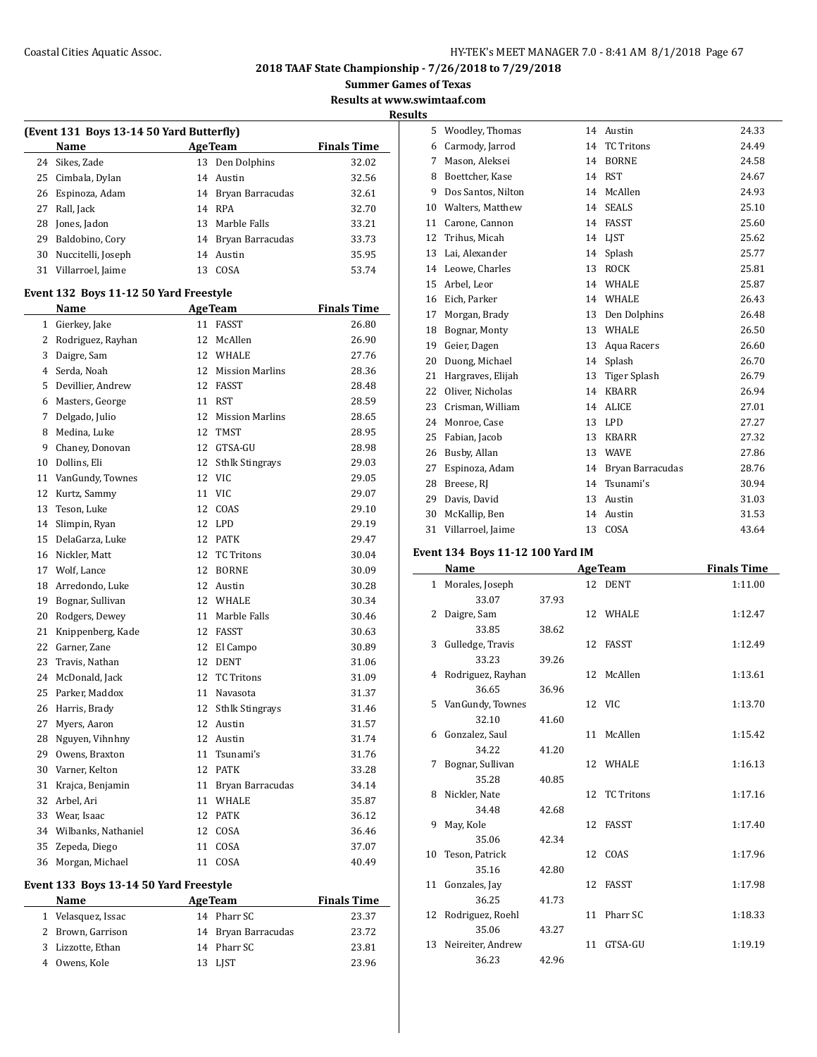#### Coastal Cities Aquatic Assoc. HY-TEK's MEET MANAGER 7.0 - 8:41 AM 8/1/2018 Page 67

**2018 TAAF State Championship - 7/26/2018 to 7/29/2018**

**Summer Games of Texas**

**Results at www.swimtaaf.com**

**Results**

| (Event 131 Boys 13-14 50 Yard Butterfly) |                    |    |                     |                    |  |  |  |
|------------------------------------------|--------------------|----|---------------------|--------------------|--|--|--|
|                                          | Name               |    | <b>AgeTeam</b>      | <b>Finals Time</b> |  |  |  |
|                                          | 24 Sikes, Zade     |    | 13 Den Dolphins     | 32.02              |  |  |  |
|                                          | 25 Cimbala, Dylan  |    | 14 Austin           | 32.56              |  |  |  |
| 26                                       | Espinoza, Adam     |    | 14 Bryan Barracudas | 32.61              |  |  |  |
| 27                                       | Rall, Jack         |    | 14 RPA              | 32.70              |  |  |  |
| 28                                       | Jones, Jadon       |    | 13 Marble Falls     | 33.21              |  |  |  |
| 29                                       | Baldobino, Cory    | 14 | Bryan Barracudas    | 33.73              |  |  |  |
| 30                                       | Nuccitelli, Joseph |    | 14 Austin           | 35.95              |  |  |  |
| 31                                       | Villarroel, Jaime  | 13 | COSA                | 53.74              |  |  |  |

## **Event 132 Boys 11-12 50 Yard Freestyle**

|              | Name                |    | <b>AgeTeam</b>         | <b>Finals Time</b> |
|--------------|---------------------|----|------------------------|--------------------|
| $\mathbf{1}$ | Gierkey, Jake       | 11 | <b>FASST</b>           | 26.80              |
| 2            | Rodriguez, Rayhan   | 12 | McAllen                | 26.90              |
| 3            | Daigre, Sam         | 12 | WHALE                  | 27.76              |
| 4            | Serda, Noah         | 12 | <b>Mission Marlins</b> | 28.36              |
| 5            | Devillier, Andrew   | 12 | <b>FASST</b>           | 28.48              |
| 6            | Masters, George     | 11 | <b>RST</b>             | 28.59              |
| 7            | Delgado, Julio      | 12 | <b>Mission Marlins</b> | 28.65              |
| 8            | Medina, Luke        | 12 | <b>TMST</b>            | 28.95              |
| 9            | Chaney, Donovan     | 12 | GTSA-GU                | 28.98              |
| 10           | Dollins, Eli        | 12 | <b>Sthlk Stingrays</b> | 29.03              |
| 11           | VanGundy, Townes    | 12 | <b>VIC</b>             | 29.05              |
| 12           | Kurtz, Sammy        | 11 | <b>VIC</b>             | 29.07              |
| 13           | Teson, Luke         | 12 | COAS                   | 29.10              |
| 14           | Slimpin, Ryan       | 12 | <b>LPD</b>             | 29.19              |
| 15           | DelaGarza, Luke     | 12 | <b>PATK</b>            | 29.47              |
| 16           | Nickler, Matt       | 12 | <b>TC Tritons</b>      | 30.04              |
| 17           | Wolf, Lance         | 12 | <b>BORNE</b>           | 30.09              |
| 18           | Arredondo, Luke     | 12 | Austin                 | 30.28              |
|              | 19 Bognar, Sullivan | 12 | <b>WHALE</b>           | 30.34              |
| 20           | Rodgers, Dewey      | 11 | Marble Falls           | 30.46              |
| 21           | Knippenberg, Kade   | 12 | <b>FASST</b>           | 30.63              |
| 22           | Garner, Zane        | 12 | El Campo               | 30.89              |
| 23           | Travis, Nathan      | 12 | <b>DENT</b>            | 31.06              |
| 24           | McDonald, Jack      | 12 | <b>TC Tritons</b>      | 31.09              |
| 25           | Parker, Maddox      | 11 | Navasota               | 31.37              |
| 26           | Harris, Brady       | 12 | <b>Sthlk Stingrays</b> | 31.46              |
| 27           | Myers, Aaron        | 12 | Austin                 | 31.57              |
| 28           | Nguyen, Vihnhny     | 12 | Austin                 | 31.74              |
| 29           | Owens, Braxton      | 11 | Tsunami's              | 31.76              |
| 30           | Varner, Kelton      | 12 | <b>PATK</b>            | 33.28              |
| 31           | Krajca, Benjamin    | 11 | Bryan Barracudas       | 34.14              |
| 32           | Arbel, Ari          | 11 | <b>WHALE</b>           | 35.87              |
| 33           | Wear, Isaac         | 12 | <b>PATK</b>            | 36.12              |
| 34           | Wilbanks, Nathaniel | 12 | COSA                   | 36.46              |
| 35           | Zepeda, Diego       | 11 | COSA                   | 37.07              |
| 36           | Morgan, Michael     | 11 | COSA                   | 40.49              |
|              |                     |    |                        |                    |

## **Event 133 Boys 13-14 50 Yard Freestyle**

| <b>Name</b>        | <b>AgeTeam</b>      | <b>Finals Time</b> |
|--------------------|---------------------|--------------------|
| 1 Velasquez, Issac | 14 Pharr SC         | 23.37              |
| 2 Brown, Garrison  | 14 Bryan Barracudas | 23.72              |
| 3 Lizzotte, Ethan  | 14 Pharr SC         | 23.81              |
| 4 Owens, Kole      | 13 LIST             | 23.96              |

| 5  | Woodley, Thomas    | 14 | Austin            | 24.33 |
|----|--------------------|----|-------------------|-------|
| 6  | Carmody, Jarrod    | 14 | <b>TC Tritons</b> | 24.49 |
| 7  | Mason, Aleksei     | 14 | <b>BORNE</b>      | 24.58 |
| 8  | Boettcher, Kase    | 14 | <b>RST</b>        | 24.67 |
| 9  | Dos Santos, Nilton | 14 | McAllen           | 24.93 |
| 10 | Walters, Matthew   | 14 | <b>SEALS</b>      | 25.10 |
| 11 | Carone, Cannon     | 14 | <b>FASST</b>      | 25.60 |
| 12 | Trihus, Micah      | 14 | <b>LIST</b>       | 25.62 |
| 13 | Lai, Alexander     | 14 | Splash            | 25.77 |
| 14 | Leowe, Charles     | 13 | <b>ROCK</b>       | 25.81 |
| 15 | Arbel, Leor        | 14 | WHALE             | 25.87 |
| 16 | Eich, Parker       | 14 | WHALE             | 26.43 |
| 17 | Morgan, Brady      | 13 | Den Dolphins      | 26.48 |
| 18 | Bognar, Monty      | 13 | WHALE             | 26.50 |
| 19 | Geier, Dagen       | 13 | Aqua Racers       | 26.60 |
| 20 | Duong, Michael     | 14 | Splash            | 26.70 |
| 21 | Hargraves, Elijah  | 13 | Tiger Splash      | 26.79 |
| 22 | Oliver, Nicholas   | 14 | <b>KBARR</b>      | 26.94 |
| 23 | Crisman, William   | 14 | <b>ALICE</b>      | 27.01 |
| 24 | Monroe, Case       | 13 | <b>LPD</b>        | 27.27 |
| 25 | Fabian, Jacob      | 13 | <b>KBARR</b>      | 27.32 |
| 26 | Busby, Allan       | 13 | <b>WAVE</b>       | 27.86 |
| 27 | Espinoza, Adam     | 14 | Bryan Barracudas  | 28.76 |
| 28 | Breese, RJ         | 14 | Tsunami's         | 30.94 |
| 29 | Davis, David       | 13 | Austin            | 31.03 |
| 30 | McKallip, Ben      | 14 | Austin            | 31.53 |
| 31 | Villarroel, Jaime  | 13 | COSA              | 43.64 |

#### **Event 134 Boys 11-12 100 Yard IM**

|    | Name                 |       |    | <b>AgeTeam</b> | <b>Finals Time</b> |
|----|----------------------|-------|----|----------------|--------------------|
|    | 1 Morales, Joseph    |       |    | 12 DENT        | 1:11.00            |
|    | 33.07                | 37.93 |    |                |                    |
| 2  | Daigre, Sam          |       |    | 12 WHALE       | 1:12.47            |
|    | 33.85                | 38.62 |    |                |                    |
|    | 3 Gulledge, Travis   |       |    | 12 FASST       | 1:12.49            |
|    | 33.23                | 39.26 |    |                |                    |
|    | 4 Rodriguez, Rayhan  |       |    | 12 McAllen     | 1:13.61            |
|    | 36.65                | 36.96 |    |                |                    |
|    | 5 VanGundy, Townes   |       |    | 12 VIC         | 1:13.70            |
|    | 32.10                | 41.60 |    |                |                    |
| 6  | Gonzalez, Saul       |       |    | 11 McAllen     | 1:15.42            |
|    | 34.22                | 41.20 |    |                |                    |
| 7  | Bognar, Sullivan     |       |    | 12 WHALE       | 1:16.13            |
|    | 35.28                | 40.85 |    |                |                    |
| 8  | Nickler, Nate        |       |    | 12 TC Tritons  | 1:17.16            |
|    | 34.48                | 42.68 |    |                |                    |
| 9  | May, Kole            |       |    | 12 FASST       | 1:17.40            |
|    | 35.06                | 42.34 |    |                |                    |
|    | 10 Teson, Patrick    |       |    | 12 COAS        | 1:17.96            |
|    | 35.16                | 42.80 |    |                |                    |
| 11 | Gonzales, Jay        |       | 12 | FASST          | 1:17.98            |
|    | 36.25                | 41.73 |    |                |                    |
|    | 12 Rodriguez, Roehl  |       |    | 11 Pharr SC    | 1:18.33            |
|    | 35.06                | 43.27 |    |                |                    |
|    | 13 Neireiter, Andrew |       | 11 | GTSA-GU        | 1:19.19            |
|    | 36.23                | 42.96 |    |                |                    |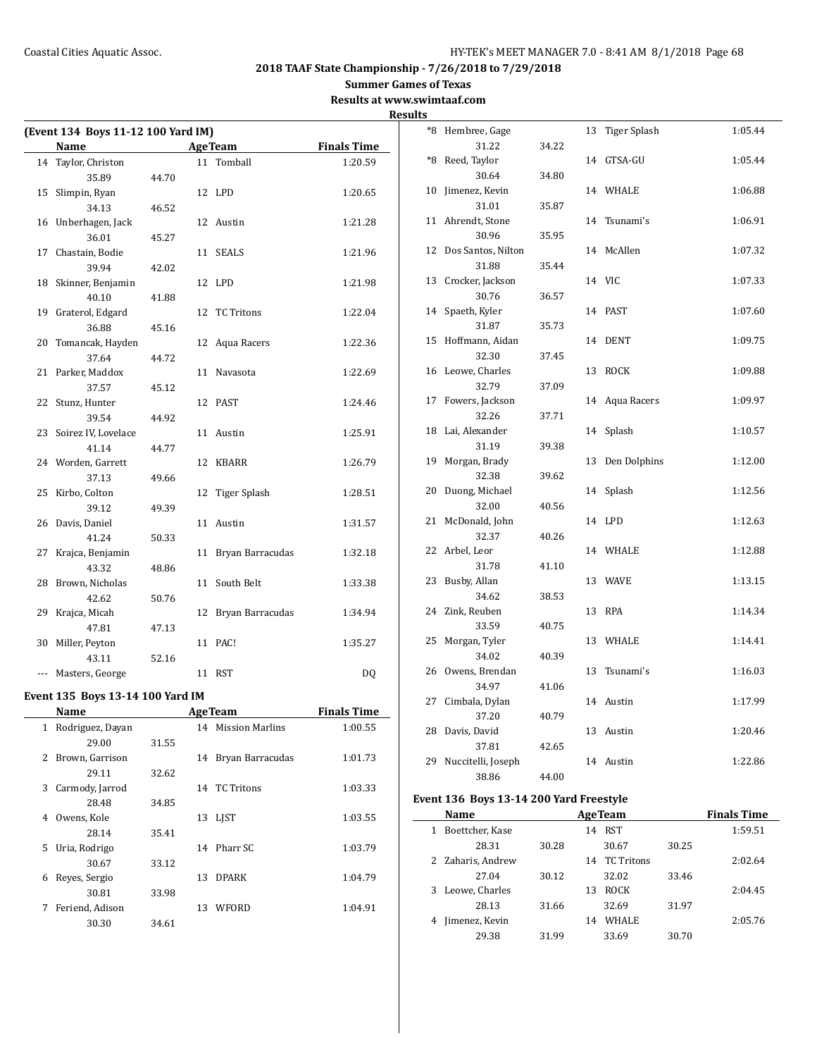**Summer Games of Texas**

**Results at www.swimtaaf.com Results**

| (Event 134 Boys 11-12 100 Yard IM) |                     |       |    |                   |                    |
|------------------------------------|---------------------|-------|----|-------------------|--------------------|
|                                    | Name                |       |    | <b>AgeTeam</b>    | <b>Finals Time</b> |
|                                    | 14 Taylor, Christon |       |    | 11 Tomball        | 1:20.59            |
|                                    | 35.89               | 44.70 |    |                   |                    |
| 15                                 | Slimpin, Ryan       |       |    | 12 LPD            | 1:20.65            |
|                                    | 34.13               | 46.52 |    |                   |                    |
| 16                                 | Unberhagen, Jack    |       |    | 12 Austin         | 1:21.28            |
|                                    | 36.01               | 45.27 |    |                   |                    |
| 17                                 | Chastain, Bodie     |       | 11 | <b>SEALS</b>      | 1:21.96            |
|                                    | 39.94               | 42.02 |    |                   |                    |
| 18                                 | Skinner, Benjamin   |       |    | 12 LPD            | 1:21.98            |
|                                    | 40.10               | 41.88 |    |                   |                    |
| 19                                 | Graterol, Edgard    |       | 12 | <b>TC Tritons</b> | 1:22.04            |
|                                    | 36.88               | 45.16 |    |                   |                    |
| 20                                 | Tomancak, Hayden    |       | 12 | Aqua Racers       | 1:22.36            |
|                                    | 37.64               | 44.72 |    |                   |                    |
| 21                                 | Parker, Maddox      |       | 11 | Navasota          | 1:22.69            |
|                                    | 37.57               | 45.12 |    |                   |                    |
| 22                                 | Stunz, Hunter       |       |    | 12 PAST           | 1:24.46            |
|                                    | 39.54               | 44.92 |    |                   |                    |
| 23                                 | Soirez IV, Lovelace |       |    | 11 Austin         | 1:25.91            |
|                                    | 41.14               | 44.77 |    |                   |                    |
|                                    | 24 Worden, Garrett  |       | 12 | KBARR             | 1:26.79            |
|                                    | 37.13               | 49.66 |    |                   |                    |
| 25                                 | Kirbo, Colton       |       | 12 | Tiger Splash      | 1:28.51            |
|                                    | 39.12               | 49.39 |    |                   |                    |
| 26                                 | Davis, Daniel       |       | 11 | Austin            | 1:31.57            |
|                                    | 41.24               | 50.33 |    |                   |                    |
| 27                                 | Krajca, Benjamin    |       | 11 | Bryan Barracudas  | 1:32.18            |
|                                    | 43.32               | 48.86 |    |                   |                    |
| 28                                 | Brown, Nicholas     |       | 11 | South Belt        | 1:33.38            |
|                                    | 42.62               | 50.76 |    |                   |                    |
| 29                                 | Krajca, Micah       |       | 12 | Bryan Barracudas  | 1:34.94            |
|                                    | 47.81               | 47.13 |    |                   |                    |
| 30                                 | Miller, Peyton      |       |    | 11 PAC!           | 1:35.27            |
|                                    | 43.11               | 52.16 |    |                   |                    |
| ---                                | Masters, George     |       |    | 11 RST            | DQ                 |

## **Event 135 Boys 13-14 100 Yard IM**

|              | Name             | <b>AgeTeam</b> |    | <b>Finals Time</b> |         |
|--------------|------------------|----------------|----|--------------------|---------|
| $\mathbf{1}$ | Rodriguez, Dayan |                |    | 14 Mission Marlins | 1:00.55 |
|              | 29.00            | 31.55          |    |                    |         |
| 2            | Brown, Garrison  |                | 14 | Bryan Barracudas   | 1:01.73 |
|              | 29.11            | 32.62          |    |                    |         |
| 3            | Carmody, Jarrod  |                |    | 14 TC Tritons      | 1:03.33 |
|              | 28.48            | 34.85          |    |                    |         |
| 4            | Owens, Kole      |                |    | 13 LIST            | 1:03.55 |
|              | 28.14            | 35.41          |    |                    |         |
| 5.           | Uria, Rodrigo    |                |    | 14 Pharr SC        | 1:03.79 |
|              | 30.67            | 33.12          |    |                    |         |
| 6            | Reyes, Sergio    |                | 13 | <b>DPARK</b>       | 1:04.79 |
|              | 30.81            | 33.98          |    |                    |         |
| 7            | Feriend, Adison  |                | 13 | WFORD              | 1:04.91 |
|              | 30.30            | 34.61          |    |                    |         |
|              |                  |                |    |                    |         |

| $8*$ | Hembree, Gage      |       | 13 | Tiger Splash | 1:05.44 |
|------|--------------------|-------|----|--------------|---------|
|      | 31.22              | 34.22 |    |              |         |
| $*8$ | Reed, Taylor       |       | 14 | GTSA-GU      | 1:05.44 |
|      | 30.64              | 34.80 |    |              |         |
| 10   | Jimenez, Kevin     |       |    | 14 WHALE     | 1:06.88 |
|      | 31.01              | 35.87 |    |              |         |
| 11   | Ahrendt, Stone     |       | 14 | Tsunami's    | 1:06.91 |
|      | 30.96              | 35.95 |    |              |         |
| 12   | Dos Santos, Nilton |       | 14 | McAllen      | 1:07.32 |
|      | 31.88              | 35.44 |    |              |         |
| 13   | Crocker, Jackson   |       |    | 14 VIC       | 1:07.33 |
|      | 30.76              | 36.57 |    |              |         |
| 14   | Spaeth, Kyler      |       |    | 14 PAST      | 1:07.60 |
|      | 31.87              | 35.73 |    |              |         |
| 15   | Hoffmann, Aidan    |       | 14 | <b>DENT</b>  | 1:09.75 |
|      | 32.30              | 37.45 |    |              |         |
| 16   | Leowe, Charles     |       | 13 | <b>ROCK</b>  | 1:09.88 |
|      | 32.79              | 37.09 |    |              |         |
| 17   | Fowers, Jackson    |       | 14 | Aqua Racers  | 1:09.97 |
|      | 32.26              | 37.71 |    |              |         |
| 18   | Lai, Alexander     |       | 14 | Splash       | 1:10.57 |
|      | 31.19              | 39.38 |    |              |         |
| 19   | Morgan, Brady      |       | 13 | Den Dolphins | 1:12.00 |
|      | 32.38              | 39.62 |    |              |         |
| 20   | Duong, Michael     |       | 14 | Splash       | 1:12.56 |
|      | 32.00              | 40.56 |    |              |         |
| 21   | McDonald, John     |       | 14 | LPD          | 1:12.63 |
|      | 32.37              | 40.26 |    |              |         |
| 22   | Arbel, Leor        |       | 14 | WHALE        | 1:12.88 |
|      | 31.78              | 41.10 |    |              |         |
| 23   | Busby, Allan       |       | 13 | <b>WAVE</b>  | 1:13.15 |
|      | 34.62              | 38.53 |    |              |         |
| 24   | Zink, Reuben       |       | 13 | <b>RPA</b>   | 1:14.34 |
|      | 33.59              | 40.75 |    |              |         |
| 25   | Morgan, Tyler      |       | 13 | WHALE        | 1:14.41 |
|      | 34.02              | 40.39 |    |              |         |
| 26   | Owens, Brendan     |       | 13 | Tsunami's    | 1:16.03 |
|      | 34.97              | 41.06 |    |              |         |
| 27   | Cimbala, Dylan     |       |    | 14 Austin    | 1:17.99 |
|      | 37.20              | 40.79 |    |              |         |
| 28   | Davis, David       |       | 13 | Austin       | 1:20.46 |
|      | 37.81              | 42.65 |    |              |         |
| 29   | Nuccitelli, Joseph |       |    | 14 Austin    | 1:22.86 |
|      | 38.86              | 44.00 |    |              |         |

## **Event 136 Boys 13-14 200 Yard Freestyle**

| Name                 |       | <b>AgeTeam</b> |                   |       | <b>Finals Time</b> |
|----------------------|-------|----------------|-------------------|-------|--------------------|
| Boettcher, Kase<br>1 |       | 14             | <b>RST</b>        |       | 1:59.51            |
| 28.31                | 30.28 |                | 30.67             | 30.25 |                    |
| 2 Zaharis, Andrew    |       | 14             | <b>TC Tritons</b> |       | 2:02.64            |
| 27.04                | 30.12 |                | 32.02             | 33.46 |                    |
| Leowe, Charles<br>3. |       | 13             | <b>ROCK</b>       |       | 2:04.45            |
| 28.13                | 31.66 |                | 32.69             | 31.97 |                    |
| Jimenez, Kevin       |       | 14             | <b>WHALE</b>      |       | 2:05.76            |
| 29.38                | 31.99 |                | 33.69             | 30.70 |                    |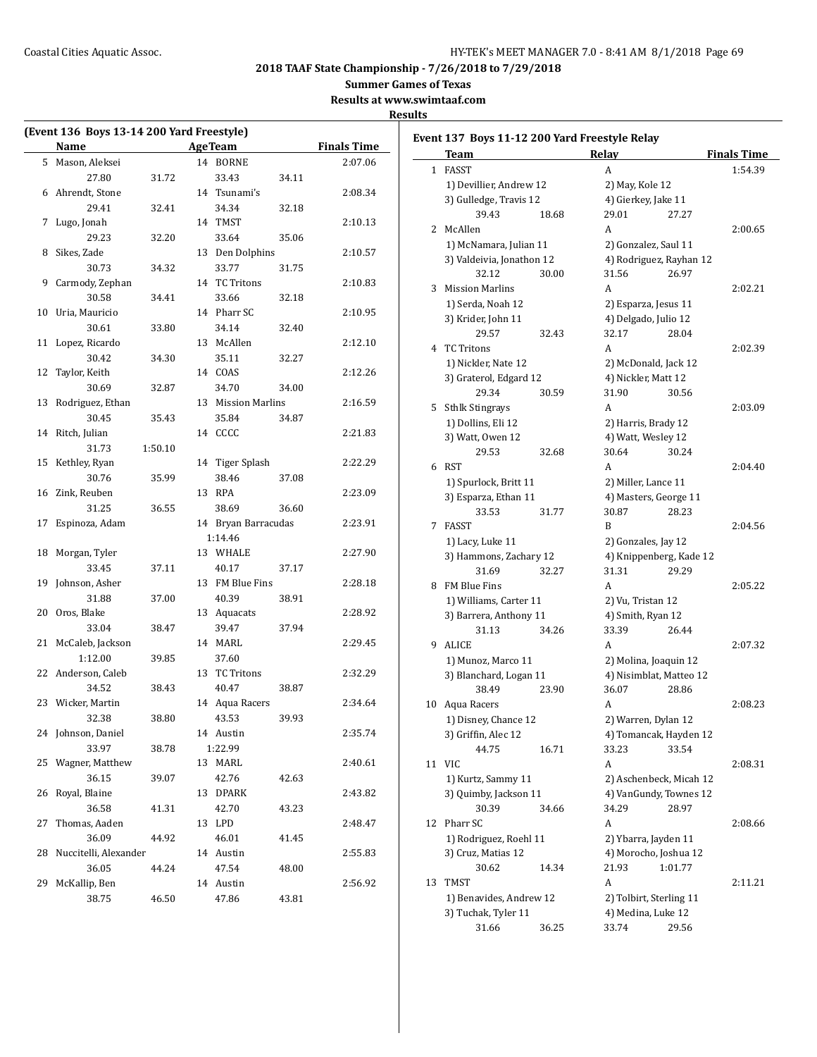**Summer Games of Texas**

**Results at www.swimtaaf.com**

| (Event 136 Boys 13-14 200 Yard Freestyle) |                       |         |  |                     |       |                    |
|-------------------------------------------|-----------------------|---------|--|---------------------|-------|--------------------|
|                                           | <b>Name</b>           |         |  | <b>AgeTeam</b>      |       | <b>Finals Time</b> |
| 5                                         | Mason, Aleksei        |         |  | 14 BORNE            |       | 2:07.06            |
|                                           | 27.80                 | 31.72   |  | 33.43               | 34.11 |                    |
| 6                                         | Ahrendt, Stone        |         |  | 14 Tsunami's        |       | 2:08.34            |
|                                           | 29.41                 | 32.41   |  | 34.34               | 32.18 |                    |
| 7                                         | Lugo, Jonah           |         |  | 14 TMST             |       | 2:10.13            |
|                                           | 29.23                 | 32.20   |  | 33.64               | 35.06 |                    |
| 8                                         | Sikes, Zade           |         |  | 13 Den Dolphins     |       | 2:10.57            |
|                                           | 30.73                 | 34.32   |  | 33.77               | 31.75 |                    |
| 9                                         | Carmody, Zephan       |         |  | 14 TC Tritons       |       | 2:10.83            |
|                                           | 30.58                 | 34.41   |  | 33.66               | 32.18 |                    |
| 10                                        | Uria, Mauricio        |         |  | 14 Pharr SC         |       | 2:10.95            |
|                                           | 30.61                 | 33.80   |  | 34.14               | 32.40 |                    |
| 11                                        | Lopez, Ricardo        |         |  | 13 McAllen          |       | 2:12.10            |
|                                           | 30.42                 | 34.30   |  | 35.11               | 32.27 |                    |
| 12                                        | Taylor, Keith         |         |  | 14 COAS             |       | 2:12.26            |
|                                           | 30.69                 | 32.87   |  | 34.70               | 34.00 |                    |
| 13                                        | Rodriguez, Ethan      |         |  | 13 Mission Marlins  |       | 2:16.59            |
|                                           | 30.45                 | 35.43   |  | 35.84               | 34.87 |                    |
| 14                                        | Ritch, Julian         |         |  | 14 CCCC             |       | 2:21.83            |
|                                           | 31.73                 | 1:50.10 |  |                     |       |                    |
| 15                                        | Kethley, Ryan         |         |  | 14 Tiger Splash     |       | 2:22.29            |
|                                           | 30.76                 | 35.99   |  | 38.46               | 37.08 |                    |
| 16                                        | Zink, Reuben          |         |  | 13 RPA              |       | 2:23.09            |
|                                           | 31.25                 | 36.55   |  | 38.69               | 36.60 |                    |
| 17                                        | Espinoza, Adam        |         |  | 14 Bryan Barracudas |       | 2:23.91            |
|                                           |                       |         |  | 1:14.46             |       |                    |
| 18                                        | Morgan, Tyler         |         |  | 13 WHALE            |       | 2:27.90            |
|                                           | 33.45                 | 37.11   |  | 40.17               | 37.17 |                    |
| 19                                        | Johnson, Asher        |         |  | 13 FM Blue Fins     |       | 2:28.18            |
|                                           | 31.88                 | 37.00   |  | 40.39               | 38.91 |                    |
| 20                                        | Oros, Blake           |         |  | 13 Aquacats         |       | 2:28.92            |
|                                           | 33.04                 | 38.47   |  | 39.47               | 37.94 |                    |
| 21                                        | McCaleb, Jackson      |         |  | 14 MARL             |       | 2:29.45            |
|                                           | 1:12.00               | 39.85   |  | 37.60               |       |                    |
| 22                                        | Anderson, Caleb       |         |  | 13 TC Tritons       |       | 2:32.29            |
|                                           | 34.52                 | 38.43   |  | 40.47               | 38.87 |                    |
| 23                                        | Wicker, Martin        |         |  | 14 Aqua Racers      |       | 2:34.64            |
|                                           | 32.38                 | 38.80   |  | 43.53               | 39.93 |                    |
| 24                                        | Johnson, Daniel       |         |  | 14 Austin           |       | 2:35.74            |
|                                           | 33.97                 | 38.78   |  | 1:22.99             |       |                    |
| 25                                        | Wagner, Matthew       |         |  | 13 MARL             |       | 2:40.61            |
|                                           | 36.15                 | 39.07   |  | 42.76               | 42.63 |                    |
| 26                                        | Royal, Blaine         |         |  | 13 DPARK            |       | 2:43.82            |
|                                           | 36.58                 | 41.31   |  | 42.70               | 43.23 |                    |
| 27                                        | Thomas, Aaden         |         |  | 13 LPD              |       | 2:48.47            |
|                                           | 36.09                 | 44.92   |  | 46.01               | 41.45 |                    |
| 28                                        | Nuccitelli, Alexander |         |  | 14 Austin           |       | 2:55.83            |
|                                           | 36.05                 | 44.24   |  | 47.54               | 48.00 |                    |
| 29                                        | McKallip, Ben         |         |  | 14 Austin           |       | 2:56.92            |
|                                           | 38.75                 | 46.50   |  | 47.86               | 43.81 |                    |

|    | Event 137  Boys 11-12 200 Yard Freestyle Relay<br>Team | Relay                                              | <b>Finals Time</b> |
|----|--------------------------------------------------------|----------------------------------------------------|--------------------|
| 1  | FASST                                                  | A                                                  | 1:54.39            |
|    | 1) Devillier, Andrew 12                                | 2) May, Kole 12                                    |                    |
|    | 3) Gulledge, Travis 12                                 | 4) Gierkey, Jake 11                                |                    |
|    | 39.43<br>18.68                                         | 29.01<br>27.27                                     |                    |
| 2  | McAllen                                                | A                                                  | 2:00.65            |
|    | 1) McNamara, Julian 11                                 | 2) Gonzalez, Saul 11                               |                    |
|    | 3) Valdeivia, Jonathon 12                              | 4) Rodriguez, Rayhan 12                            |                    |
|    | 32.12<br>30.00                                         | 31.56<br>26.97                                     |                    |
| 3  | <b>Mission Marlins</b>                                 | A                                                  | 2:02.21            |
|    | 1) Serda, Noah 12                                      | 2) Esparza, Jesus 11                               |                    |
|    | 3) Krider, John 11                                     | 4) Delgado, Julio 12                               |                    |
|    | 29.57<br>32.43                                         | 32.17<br>28.04                                     |                    |
| 4  | <b>TC Tritons</b>                                      | A                                                  | 2:02.39            |
|    | 1) Nickler, Nate 12                                    | 2) McDonald, Jack 12                               |                    |
|    | 3) Graterol, Edgard 12                                 | 4) Nickler, Matt 12                                |                    |
|    | 29.34<br>30.59                                         | 31.90<br>30.56                                     |                    |
| 5  | <b>Sthlk Stingrays</b>                                 | A                                                  | 2:03.09            |
|    | 1) Dollins, Eli 12                                     | 2) Harris, Brady 12                                |                    |
|    | 3) Watt, Owen 12                                       | 4) Watt, Wesley 12                                 |                    |
|    | 29.53<br>32.68                                         | 30.64<br>30.24                                     |                    |
| 6  | RST                                                    | A                                                  | 2:04.40            |
|    | 1) Spurlock, Britt 11                                  | 2) Miller, Lance 11                                |                    |
|    | 3) Esparza, Ethan 11                                   | 4) Masters, George 11                              |                    |
|    | 33.53<br>31.77                                         | 30.87<br>28.23                                     |                    |
| 7  | FASST                                                  | B                                                  | 2:04.56            |
|    | 1) Lacy, Luke 11                                       | 2) Gonzales, Jay 12                                |                    |
|    | 3) Hammons, Zachary 12                                 | 4) Knippenberg, Kade 12                            |                    |
|    | 31.69<br>32.27                                         | 31.31<br>29.29                                     |                    |
| 8  | FM Blue Fins                                           | A                                                  | 2:05.22            |
|    | 1) Williams, Carter 11                                 | 2) Vu, Tristan 12                                  |                    |
|    | 3) Barrera, Anthony 11                                 | 4) Smith, Ryan 12                                  |                    |
|    | 31.13<br>34.26                                         | 33.39<br>26.44                                     |                    |
| 9  | <b>ALICE</b>                                           | A                                                  | 2:07.32            |
|    | 1) Munoz, Marco 11                                     | 2) Molina, Joaquin 12                              |                    |
|    | 3) Blanchard, Logan 11                                 | 4) Nisimblat, Matteo 12                            |                    |
|    | 38.49<br>23.90                                         | 36.07<br>28.86                                     |                    |
| 10 | Aqua Racers                                            | A                                                  | 2:08.23            |
|    | 1) Disney, Chance 12                                   | 2) Warren, Dylan 12                                |                    |
|    | 3) Griffin, Alec 12                                    | 4) Tomancak, Hayden 12                             |                    |
|    | 44.75<br>16.71                                         | 33.23<br>33.54                                     |                    |
|    | 11 VIC                                                 | A                                                  | 2:08.31            |
|    | 1) Kurtz, Sammy 11                                     | 2) Aschenbeck, Micah 12                            |                    |
|    | 3) Quimby, Jackson 11                                  | 4) VanGundy, Townes 12                             |                    |
|    | 30.39<br>34.66                                         | 34.29<br>28.97                                     |                    |
| 12 | Pharr SC                                               | A                                                  | 2:08.66            |
|    | 1) Rodriguez, Roehl 11                                 | 2) Ybarra, Jayden 11                               |                    |
|    | 3) Cruz, Matias 12                                     | 4) Morocho, Joshua 12                              |                    |
|    | 30.62<br>14.34                                         | 21.93<br>1:01.77                                   |                    |
| 13 | TMST                                                   | A                                                  | 2:11.21            |
|    |                                                        | 1) Benavides, Andrew 12<br>2) Tolbirt, Sterling 11 |                    |
|    | 3) Tuchak, Tyler 11                                    | 4) Medina, Luke 12<br>33.74<br>29.56               |                    |
|    | 31.66<br>36.25                                         |                                                    |                    |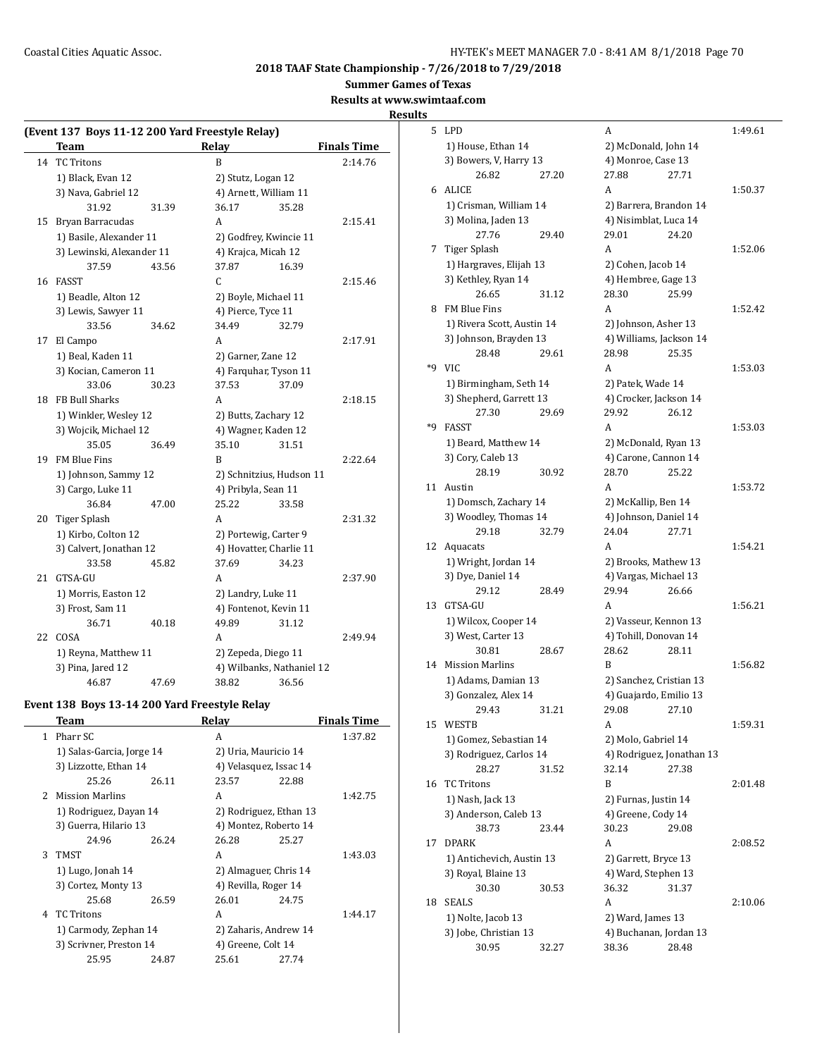**Summer Games of Texas**

**Results at www.swimtaaf.com**

| (Event 137 Boys 11-12 200 Yard Freestyle Relay)   |                                               |                      |                         |                           |                    |  |
|---------------------------------------------------|-----------------------------------------------|----------------------|-------------------------|---------------------------|--------------------|--|
|                                                   | <b>Team</b>                                   |                      | Relay                   |                           | <b>Finals Time</b> |  |
| 14                                                | <b>TC Tritons</b>                             |                      | B                       |                           | 2:14.76            |  |
|                                                   | 1) Black, Evan 12                             |                      | 2) Stutz, Logan 12      |                           |                    |  |
|                                                   | 3) Nava, Gabriel 12                           |                      | 4) Arnett, William 11   |                           |                    |  |
|                                                   | 31.92                                         | 31.39                | 36.17                   | 35.28                     |                    |  |
|                                                   | 15 Bryan Barracudas                           |                      | A                       |                           | 2:15.41            |  |
|                                                   | 1) Basile, Alexander 11                       |                      | 2) Godfrey, Kwincie 11  |                           |                    |  |
|                                                   | 3) Lewinski, Alexander 11                     |                      |                         | 4) Krajca, Micah 12       |                    |  |
|                                                   | 37.59                                         | 43.56                | 37.87                   | 16.39                     |                    |  |
| 16                                                | FASST                                         |                      | C                       |                           | 2:15.46            |  |
|                                                   | 1) Beadle, Alton 12                           |                      | 2) Boyle, Michael 11    |                           |                    |  |
|                                                   | 3) Lewis, Sawyer 11                           |                      | 4) Pierce, Tyce 11      |                           |                    |  |
|                                                   | 33.56                                         | 34.62                | 34.49                   | 32.79                     |                    |  |
| 17                                                | El Campo                                      |                      | A                       |                           | 2:17.91            |  |
|                                                   | 1) Beal, Kaden 11                             |                      | 2) Garner, Zane 12      |                           |                    |  |
|                                                   | 3) Kocian, Cameron 11                         |                      | 4) Farquhar, Tyson 11   |                           |                    |  |
|                                                   | 33.06                                         | 30.23                | 37.53                   | 37.09                     |                    |  |
|                                                   | 18 FB Bull Sharks                             |                      | A                       |                           | 2:18.15            |  |
|                                                   | 1) Winkler, Wesley 12                         |                      | 2) Butts, Zachary 12    |                           |                    |  |
|                                                   | 3) Wojcik, Michael 12                         |                      | 4) Wagner, Kaden 12     |                           |                    |  |
|                                                   | 35.05                                         | 36.49                | 35.10                   | 31.51                     |                    |  |
| 19                                                | FM Blue Fins                                  |                      | B                       |                           | 2:22.64            |  |
|                                                   | 1) Johnson, Sammy 12                          |                      |                         | 2) Schnitzius, Hudson 11  |                    |  |
|                                                   | 3) Cargo, Luke 11                             |                      | 4) Pribyla, Sean 11     |                           |                    |  |
|                                                   | 36.84                                         | 47.00                | 25.22                   | 33.58                     |                    |  |
| 20                                                | <b>Tiger Splash</b>                           |                      | A                       |                           | 2:31.32            |  |
|                                                   | 1) Kirbo, Colton 12                           |                      | 2) Portewig, Carter 9   |                           |                    |  |
|                                                   | 3) Calvert, Jonathan 12                       |                      | 4) Hovatter, Charlie 11 |                           |                    |  |
|                                                   | 33.58                                         | 45.82                | 37.69                   | 34.23                     |                    |  |
| 21                                                | GTSA-GU                                       |                      | A                       |                           | 2:37.90            |  |
|                                                   | 1) Morris, Easton 12                          |                      | 2) Landry, Luke 11      |                           |                    |  |
|                                                   | 3) Frost, Sam 11                              |                      | 4) Fontenot, Kevin 11   |                           |                    |  |
|                                                   | 36.71                                         | 40.18                | 49.89                   | 31.12                     |                    |  |
| 22                                                | COSA                                          |                      | A                       |                           | 2:49.94            |  |
|                                                   |                                               | 1) Reyna, Matthew 11 |                         | 2) Zepeda, Diego 11       |                    |  |
|                                                   | 3) Pina, Jared 12                             |                      |                         | 4) Wilbanks, Nathaniel 12 |                    |  |
|                                                   | 46.87                                         | 47.69                | 38.82                   | 36.56                     |                    |  |
|                                                   | Event 138 Boys 13-14 200 Yard Freestyle Relay |                      |                         |                           |                    |  |
| <b>Team</b><br><b>Relay</b><br><b>Finals Time</b> |                                               |                      |                         |                           |                    |  |
|                                                   | 1 Pharr SC                                    |                      | А                       |                           | 1:37.82            |  |

| 1 | Pharr SC                  |       | A                      |       | 1:37.82 |
|---|---------------------------|-------|------------------------|-------|---------|
|   | 1) Salas-Garcia, Jorge 14 |       | 2) Uria, Mauricio 14   |       |         |
|   | 3) Lizzotte, Ethan 14     |       | 4) Velasquez, Issac 14 |       |         |
|   | 25.26                     | 26.11 | 23.57                  | 22.88 |         |
| 2 | <b>Mission Marlins</b>    |       | A                      |       | 1:42.75 |
|   | 1) Rodriguez, Dayan 14    |       | 2) Rodriguez, Ethan 13 |       |         |
|   | 3) Guerra, Hilario 13     |       | 4) Montez, Roberto 14  |       |         |
|   | 24.96                     | 26.24 | 26.28                  | 25.27 |         |
| 3 | TMST                      |       | A                      |       | 1:43.03 |
|   | 1) Lugo, Jonah 14         |       | 2) Almaguer, Chris 14  |       |         |
|   | 3) Cortez, Monty 13       |       | 4) Revilla, Roger 14   |       |         |
|   | 25.68                     | 26.59 | 26.01                  | 24.75 |         |
| 4 | TC Tritons                |       | A                      |       | 1:44.17 |
|   | 1) Carmody, Zephan 14     |       | 2) Zaharis, Andrew 14  |       |         |
|   | 3) Scrivner, Preston 14   |       | 4) Greene, Colt 14     |       |         |
|   | 25.95                     | 24.87 | 25.61                  | 27.74 |         |
|   |                           |       |                        |       |         |

| 5  | <b>LPD</b>                                  |       | A                                                 |       | 1:49.61 |
|----|---------------------------------------------|-------|---------------------------------------------------|-------|---------|
|    | 1) House, Ethan 14                          |       | 2) McDonald, John 14                              |       |         |
|    | 3) Bowers, V, Harry 13                      |       | 4) Monroe, Case 13                                |       |         |
|    | 26.82                                       | 27.20 | 27.88                                             | 27.71 |         |
|    | 6 ALICE                                     |       | A                                                 |       | 1:50.37 |
|    | 1) Crisman, William 14                      |       | 2) Barrera, Brandon 14                            |       |         |
|    | 3) Molina, Jaden 13                         |       | 4) Nisimblat, Luca 14                             |       |         |
|    | 27.76                                       | 29.40 | 29.01                                             | 24.20 |         |
| 7  | Tiger Splash                                |       | A                                                 |       | 1:52.06 |
|    | 1) Hargraves, Elijah 13                     |       | 2) Cohen, Jacob 14                                |       |         |
|    | 3) Kethley, Ryan 14                         |       | 4) Hembree, Gage 13                               |       |         |
|    | 26.65                                       | 31.12 | 28.30                                             | 25.99 |         |
| 8  | FM Blue Fins                                |       | A                                                 |       | 1:52.42 |
|    | 1) Rivera Scott, Austin 14                  |       | 2) Johnson, Asher 13                              |       |         |
|    | 3) Johnson, Brayden 13                      |       | 4) Williams, Jackson 14                           |       |         |
|    | 28.48                                       | 29.61 | 28.98                                             | 25.35 |         |
| *9 | <b>VIC</b>                                  |       | A                                                 |       | 1:53.03 |
|    | 1) Birmingham, Seth 14                      |       | 2) Patek, Wade 14                                 |       |         |
|    | 3) Shepherd, Garrett 13                     |       | 4) Crocker, Jackson 14                            |       |         |
|    | 27.30                                       | 29.69 | 29.92                                             | 26.12 |         |
| *9 | FASST                                       |       | A                                                 |       | 1:53.03 |
|    | 1) Beard, Matthew 14                        |       | 2) McDonald, Ryan 13                              |       |         |
|    | 3) Cory, Caleb 13                           |       | 4) Carone, Cannon 14                              |       |         |
|    | 28.19                                       | 30.92 | 28.70                                             | 25.22 |         |
| 11 | Austin                                      |       | A                                                 |       | 1:53.72 |
|    | 1) Domsch, Zachary 14                       |       | 2) McKallip, Ben 14                               |       |         |
|    | 3) Woodley, Thomas 14                       |       | 4) Johnson, Daniel 14                             |       |         |
|    | 29.18                                       | 32.79 | 24.04                                             | 27.71 |         |
| 12 | Aquacats                                    |       | A                                                 |       | 1:54.21 |
|    | 1) Wright, Jordan 14                        |       | 2) Brooks, Mathew 13                              |       |         |
|    | 3) Dye, Daniel 14                           |       | 4) Vargas, Michael 13                             |       |         |
|    | 29.12                                       | 28.49 | 29.94                                             | 26.66 |         |
| 13 | GTSA-GU                                     |       | A                                                 |       | 1:56.21 |
|    | 1) Wilcox, Cooper 14                        |       | 2) Vasseur, Kennon 13                             |       |         |
|    | 3) West, Carter 13<br>30.81                 |       | 4) Tohill, Donovan 14                             |       |         |
|    |                                             | 28.67 | 28.62<br>B                                        | 28.11 | 1:56.82 |
| 14 | <b>Mission Marlins</b>                      |       |                                                   |       |         |
|    | 1) Adams, Damian 13<br>3) Gonzalez, Alex 14 |       | 2) Sanchez, Cristian 13<br>4) Guajardo, Emilio 13 |       |         |
|    | 29.43                                       | 31.21 | 29.08 27.10                                       |       |         |
| 15 | WESTB                                       |       | A                                                 |       | 1:59.31 |
|    | 1) Gomez, Sebastian 14                      |       | 2) Molo, Gabriel 14                               |       |         |
|    | 3) Rodriguez, Carlos 14                     |       | 4) Rodriguez, Jonathan 13                         |       |         |
|    | 28.27                                       | 31.52 | 32.14                                             | 27.38 |         |
| 16 | <b>TC Tritons</b>                           |       | B                                                 |       | 2:01.48 |
|    | 1) Nash, Jack 13                            |       | 2) Furnas, Justin 14                              |       |         |
|    | 3) Anderson, Caleb 13                       |       | 4) Greene, Cody 14                                |       |         |
|    | 38.73                                       | 23.44 | 30.23                                             | 29.08 |         |
| 17 | <b>DPARK</b>                                |       | А                                                 |       | 2:08.52 |
|    | 1) Antichevich, Austin 13                   |       | 2) Garrett, Bryce 13                              |       |         |
|    | 3) Royal, Blaine 13                         |       | 4) Ward, Stephen 13                               |       |         |
|    | 30.30                                       | 30.53 | 36.32                                             | 31.37 |         |
| 18 | <b>SEALS</b>                                |       | А                                                 |       | 2:10.06 |
|    | 1) Nolte, Jacob 13                          |       | 2) Ward, James 13                                 |       |         |
|    | 3) Jobe, Christian 13                       |       | 4) Buchanan, Jordan 13                            |       |         |
|    | 30.95                                       | 32.27 | 38.36                                             | 28.48 |         |
|    |                                             |       |                                                   |       |         |